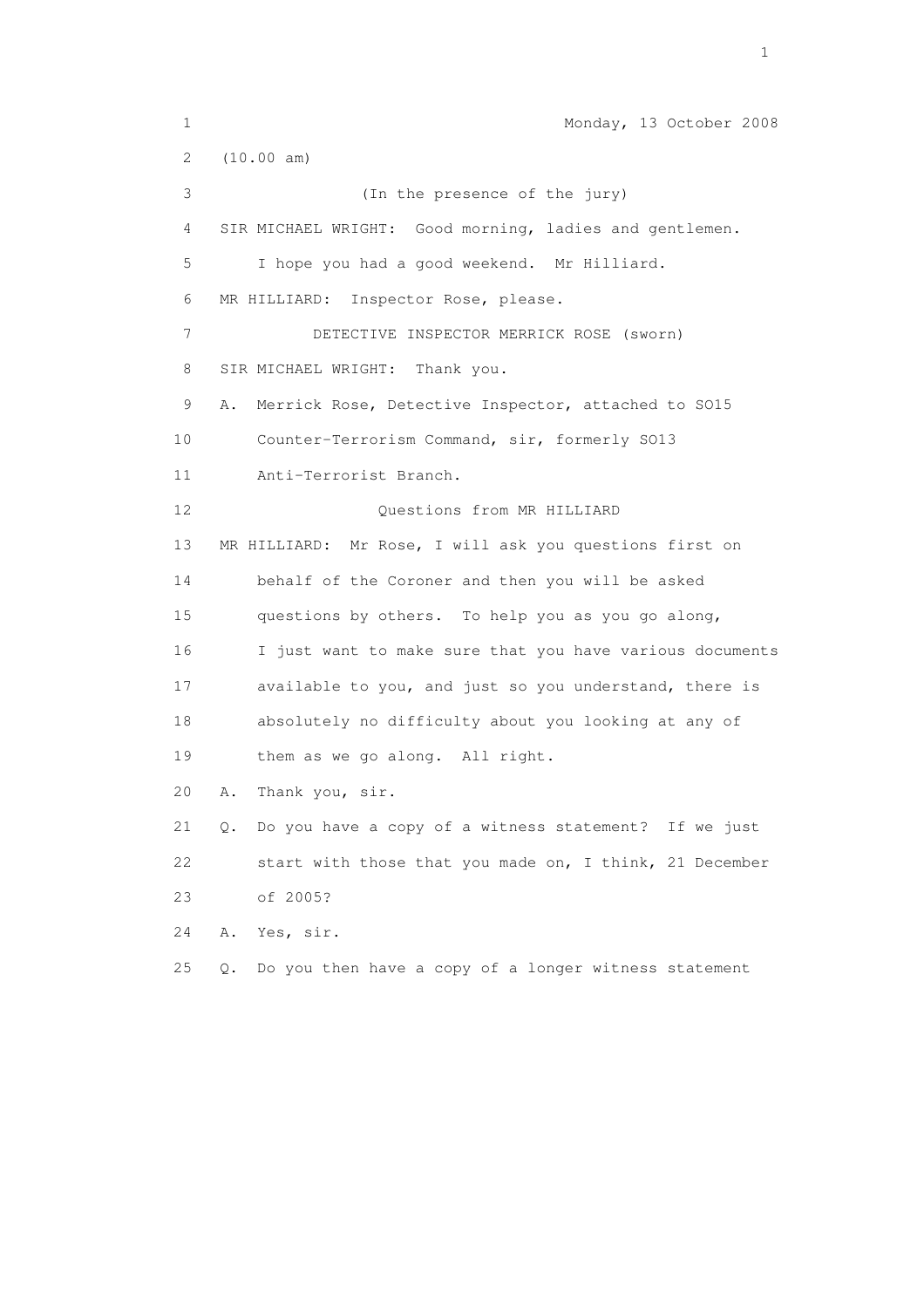1 Monday, 13 October 2008 2 (10.00 am) 3 (In the presence of the jury) 4 SIR MICHAEL WRIGHT: Good morning, ladies and gentlemen. 5 I hope you had a good weekend. Mr Hilliard. 6 MR HILLIARD: Inspector Rose, please. 7 DETECTIVE INSPECTOR MERRICK ROSE (sworn) 8 SIR MICHAEL WRIGHT: Thank you. 9 A. Merrick Rose, Detective Inspector, attached to SO15 10 Counter-Terrorism Command, sir, formerly SO13 11 Anti-Terrorist Branch. 12 Questions from MR HILLIARD 13 MR HILLIARD: Mr Rose, I will ask you questions first on 14 behalf of the Coroner and then you will be asked 15 questions by others. To help you as you go along, 16 I just want to make sure that you have various documents 17 available to you, and just so you understand, there is 18 absolutely no difficulty about you looking at any of 19 them as we go along. All right. 20 A. Thank you, sir. 21 Q. Do you have a copy of a witness statement? If we just 22 start with those that you made on, I think, 21 December 23 of 2005? 24 A. Yes, sir. 25 Q. Do you then have a copy of a longer witness statement

the contract of the contract of the contract of the contract of the contract of the contract of the contract of the contract of the contract of the contract of the contract of the contract of the contract of the contract o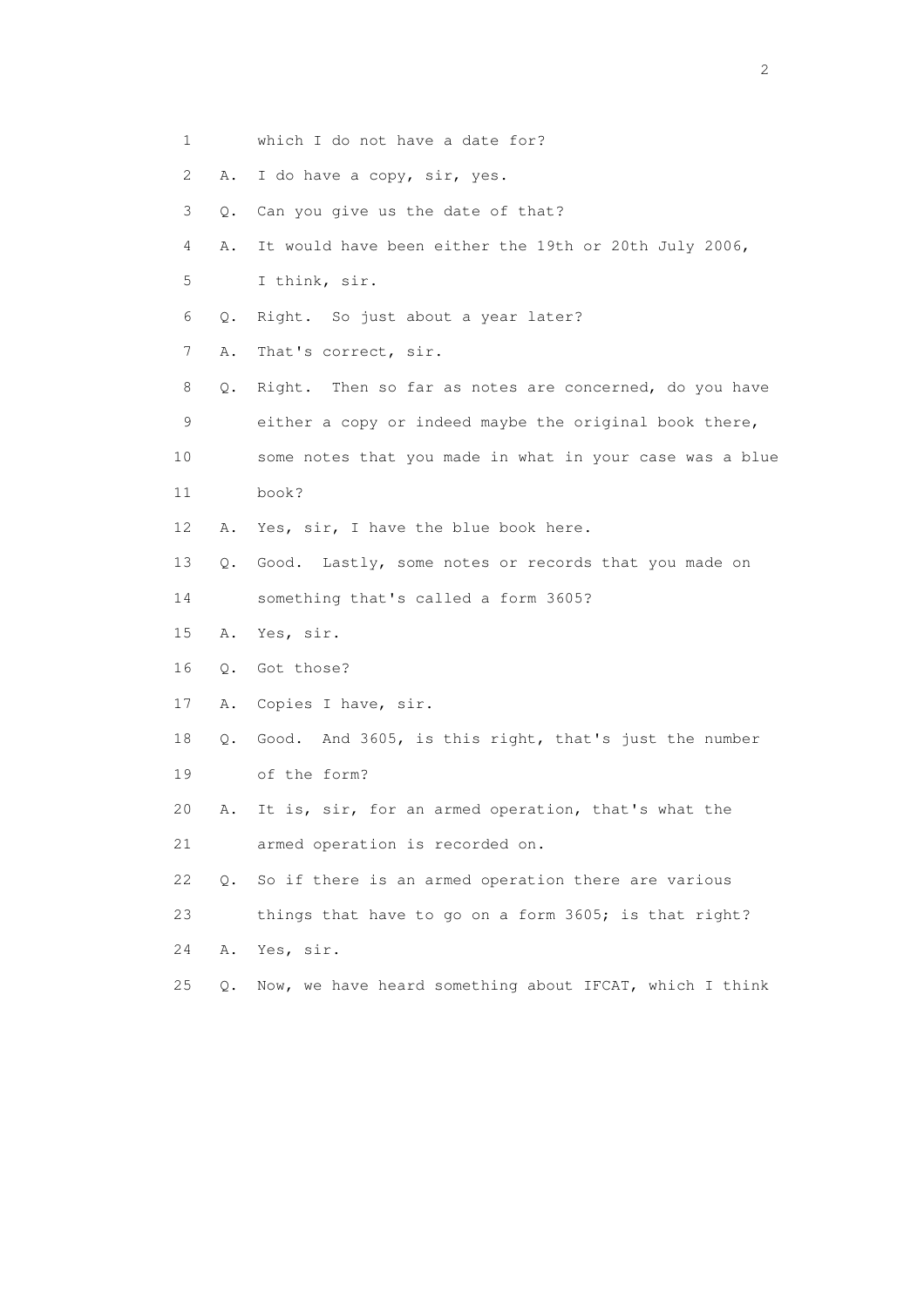- 1 which I do not have a date for?
- 2 A. I do have a copy, sir, yes.
- 3 Q. Can you give us the date of that?
- 4 A. It would have been either the 19th or 20th July 2006,
- 5 I think, sir.
- 6 Q. Right. So just about a year later?
- 7 A. That's correct, sir.
- 8 Q. Right. Then so far as notes are concerned, do you have 9 either a copy or indeed maybe the original book there, 10 some notes that you made in what in your case was a blue
- 11 book?
- 12 A. Yes, sir, I have the blue book here.
- 13 Q. Good. Lastly, some notes or records that you made on
- 14 something that's called a form 3605?
- 15 A. Yes, sir.
- 16 Q. Got those?
- 17 A. Copies I have, sir.
- 18 Q. Good. And 3605, is this right, that's just the number 19 of the form?
- 20 A. It is, sir, for an armed operation, that's what the 21 armed operation is recorded on.
- 22 Q. So if there is an armed operation there are various
- 23 things that have to go on a form 3605; is that right?
- 24 A. Yes, sir.
- 25 Q. Now, we have heard something about IFCAT, which I think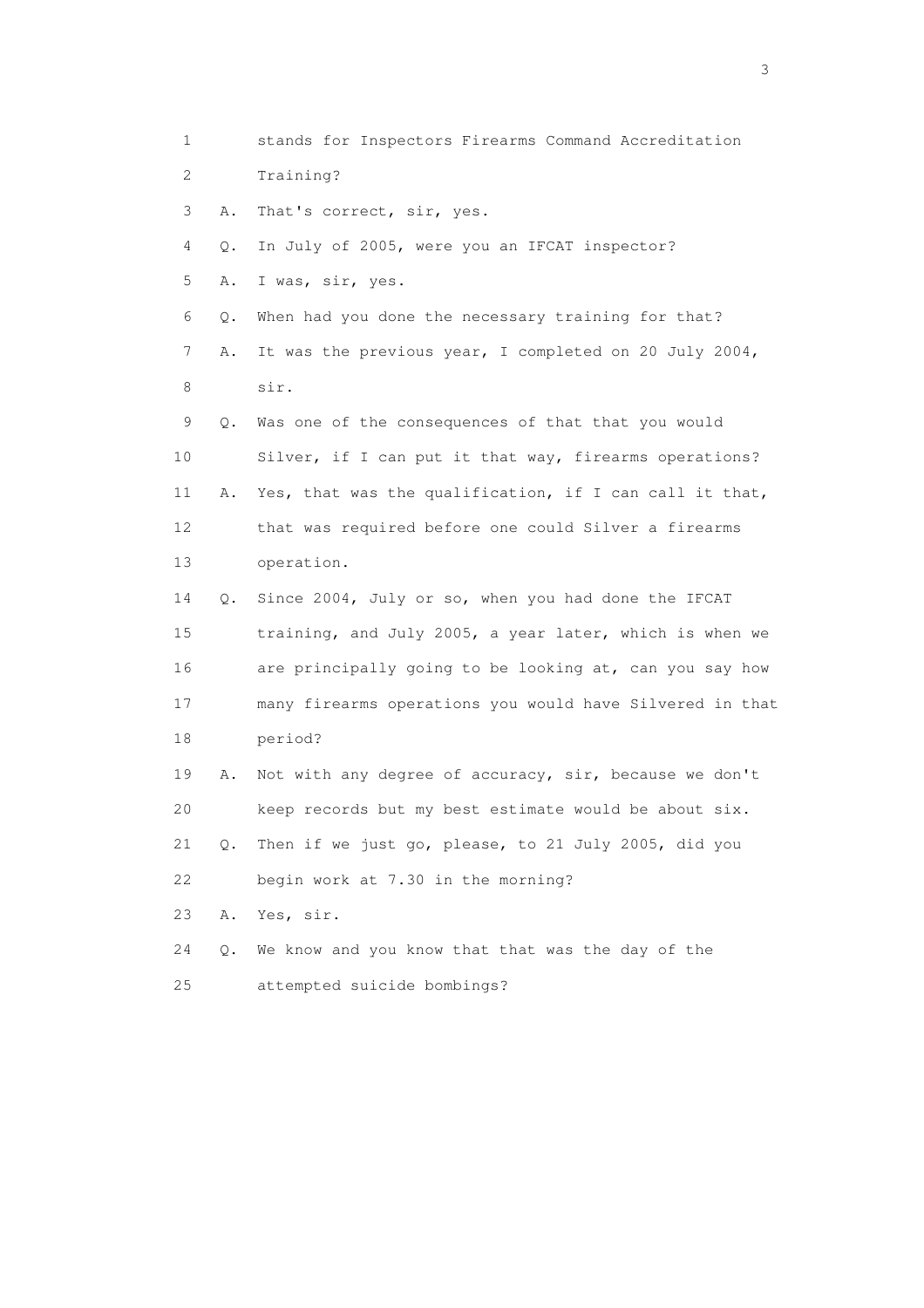1 stands for Inspectors Firearms Command Accreditation 2 Training? 3 A. That's correct, sir, yes. 4 Q. In July of 2005, were you an IFCAT inspector? 5 A. I was, sir, yes. 6 Q. When had you done the necessary training for that? 7 A. It was the previous year, I completed on 20 July 2004, 8 sir. 9 Q. Was one of the consequences of that that you would 10 Silver, if I can put it that way, firearms operations? 11 A. Yes, that was the qualification, if I can call it that, 12 that was required before one could Silver a firearms 13 operation. 14 Q. Since 2004, July or so, when you had done the IFCAT 15 training, and July 2005, a year later, which is when we 16 are principally going to be looking at, can you say how 17 many firearms operations you would have Silvered in that 18 period? 19 A. Not with any degree of accuracy, sir, because we don't 20 keep records but my best estimate would be about six. 21 Q. Then if we just go, please, to 21 July 2005, did you 22 begin work at 7.30 in the morning? 23 A. Yes, sir. 24 Q. We know and you know that that was the day of the 25 attempted suicide bombings?

 $\sim$  3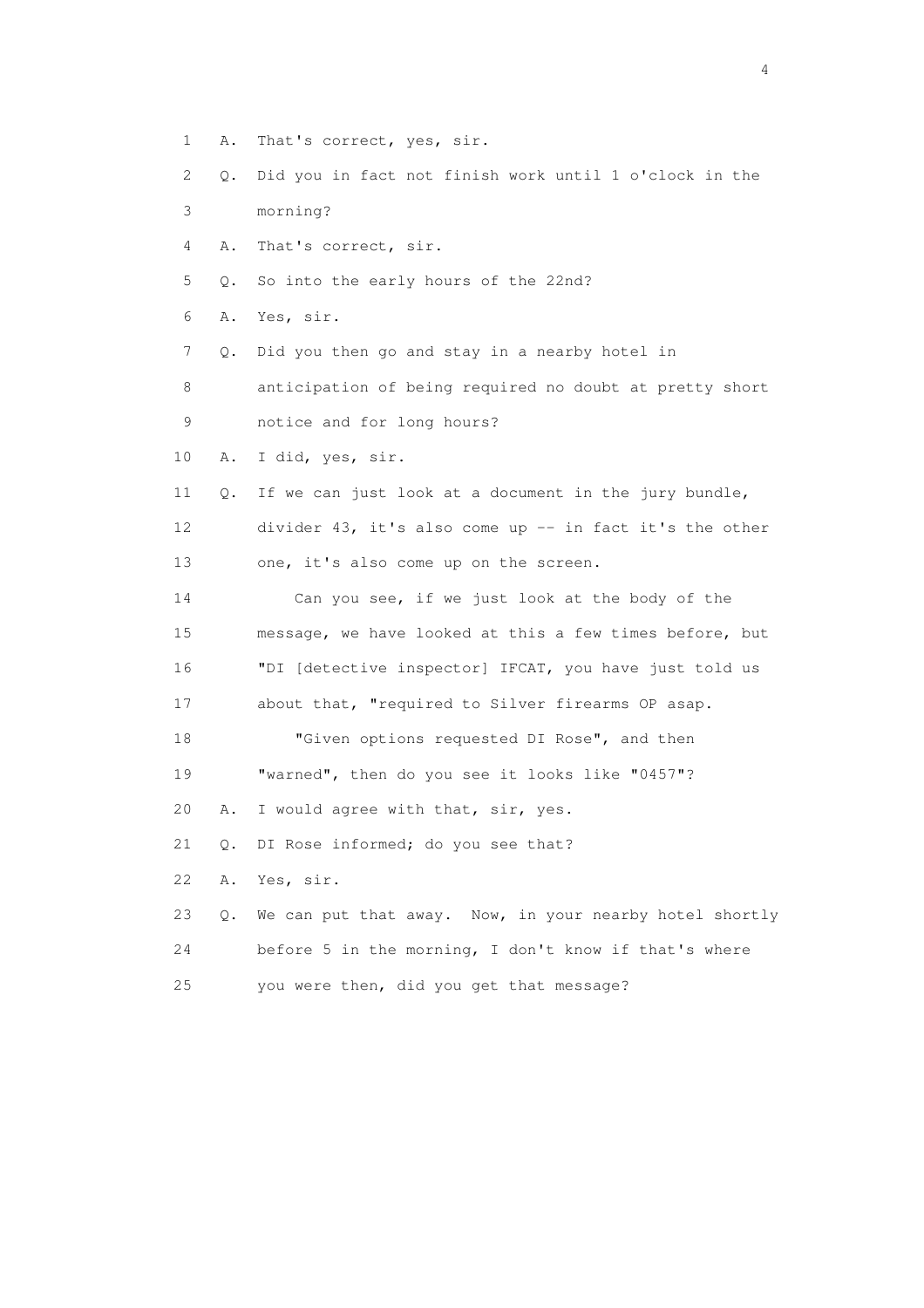- 1 A. That's correct, yes, sir.
- 2 Q. Did you in fact not finish work until 1 o'clock in the 3 morning?
- 
- 4 A. That's correct, sir.
- 5 Q. So into the early hours of the 22nd?
- 6 A. Yes, sir.
- 7 Q. Did you then go and stay in a nearby hotel in

 8 anticipation of being required no doubt at pretty short 9 notice and for long hours?

- 10 A. I did, yes, sir.
- 11 Q. If we can just look at a document in the jury bundle, 12 divider 43, it's also come up -- in fact it's the other 13 one, it's also come up on the screen.
- 14 Can you see, if we just look at the body of the 15 message, we have looked at this a few times before, but 16 "DI [detective inspector] IFCAT, you have just told us 17 about that, "required to Silver firearms OP asap.
- 18 "Given options requested DI Rose", and then 19 "warned", then do you see it looks like "0457"?
- 20 A. I would agree with that, sir, yes.
- 21 Q. DI Rose informed; do you see that?
- 22 A. Yes, sir.
- 23 Q. We can put that away. Now, in your nearby hotel shortly 24 before 5 in the morning, I don't know if that's where 25 you were then, did you get that message?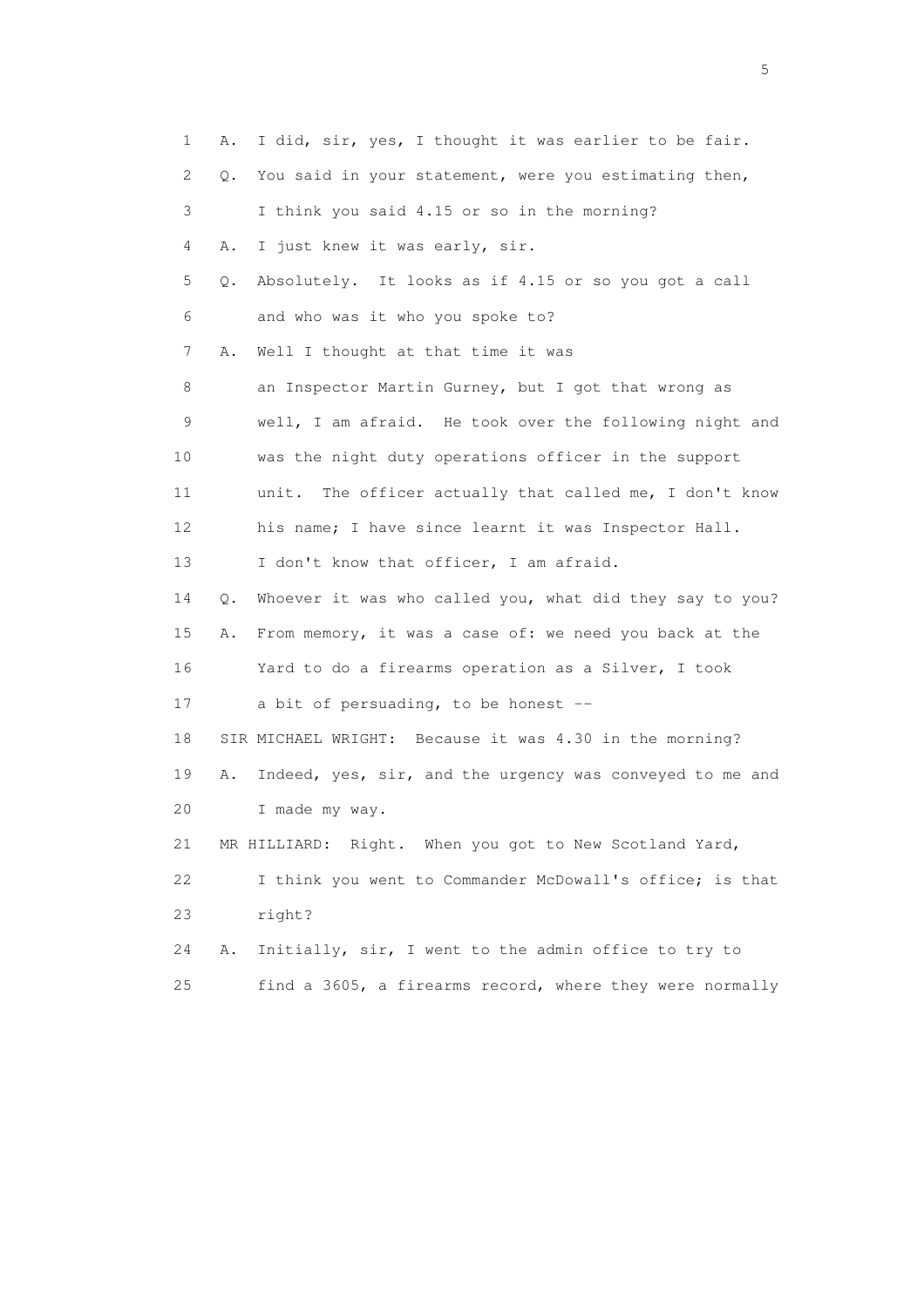| 1  | Α. | I did, sir, yes, I thought it was earlier to be fair.      |
|----|----|------------------------------------------------------------|
| 2  | Q. | You said in your statement, were you estimating then,      |
| 3  |    | I think you said 4.15 or so in the morning?                |
| 4  | Α. | I just knew it was early, sir.                             |
| 5  | Q. | Absolutely. It looks as if 4.15 or so you got a call       |
| 6  |    | and who was it who you spoke to?                           |
| 7  | Α. | Well I thought at that time it was                         |
| 8  |    | an Inspector Martin Gurney, but I got that wrong as        |
| 9  |    | well, I am afraid. He took over the following night and    |
| 10 |    | was the night duty operations officer in the support       |
| 11 |    | The officer actually that called me, I don't know<br>unit. |
| 12 |    | his name; I have since learnt it was Inspector Hall.       |
| 13 |    | I don't know that officer, I am afraid.                    |
| 14 | Q. | Whoever it was who called you, what did they say to you?   |
| 15 | Α. | From memory, it was a case of: we need you back at the     |
| 16 |    | Yard to do a firearms operation as a Silver, I took        |
| 17 |    | a bit of persuading, to be honest --                       |
| 18 |    | SIR MICHAEL WRIGHT: Because it was 4.30 in the morning?    |
| 19 | Α. | Indeed, yes, sir, and the urgency was conveyed to me and   |
| 20 |    | I made my way.                                             |
| 21 |    | MR HILLIARD: Right. When you got to New Scotland Yard,     |
| 22 |    | I think you went to Commander McDowall's office; is that   |
| 23 |    | right?                                                     |
| 24 | Α. | Initially, sir, I went to the admin office to try to       |
| 25 |    | find a 3605, a firearms record, where they were normally   |

 $\sim$  5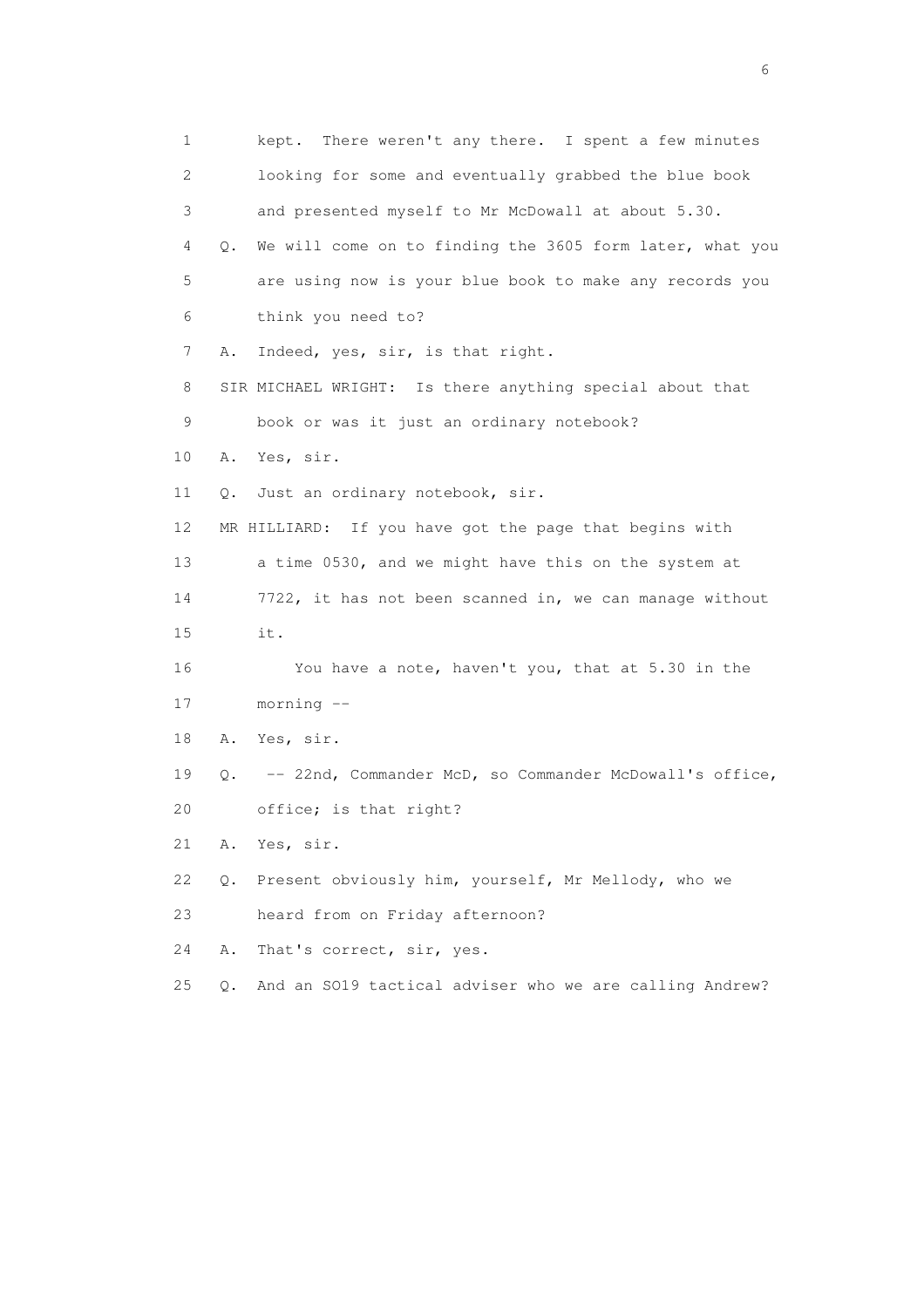1 kept. There weren't any there. I spent a few minutes 2 looking for some and eventually grabbed the blue book 3 and presented myself to Mr McDowall at about 5.30. 4 Q. We will come on to finding the 3605 form later, what you 5 are using now is your blue book to make any records you 6 think you need to? 7 A. Indeed, yes, sir, is that right. 8 SIR MICHAEL WRIGHT: Is there anything special about that 9 book or was it just an ordinary notebook? 10 A. Yes, sir. 11 Q. Just an ordinary notebook, sir. 12 MR HILLIARD: If you have got the page that begins with 13 a time 0530, and we might have this on the system at 14 7722, it has not been scanned in, we can manage without 15 it. 16 You have a note, haven't you, that at 5.30 in the 17 morning -- 18 A. Yes, sir. 19 Q. -- 22nd, Commander McD, so Commander McDowall's office, 20 office; is that right? 21 A. Yes, sir. 22 Q. Present obviously him, yourself, Mr Mellody, who we 23 heard from on Friday afternoon? 24 A. That's correct, sir, yes. 25 Q. And an SO19 tactical adviser who we are calling Andrew?

 $\sim$  6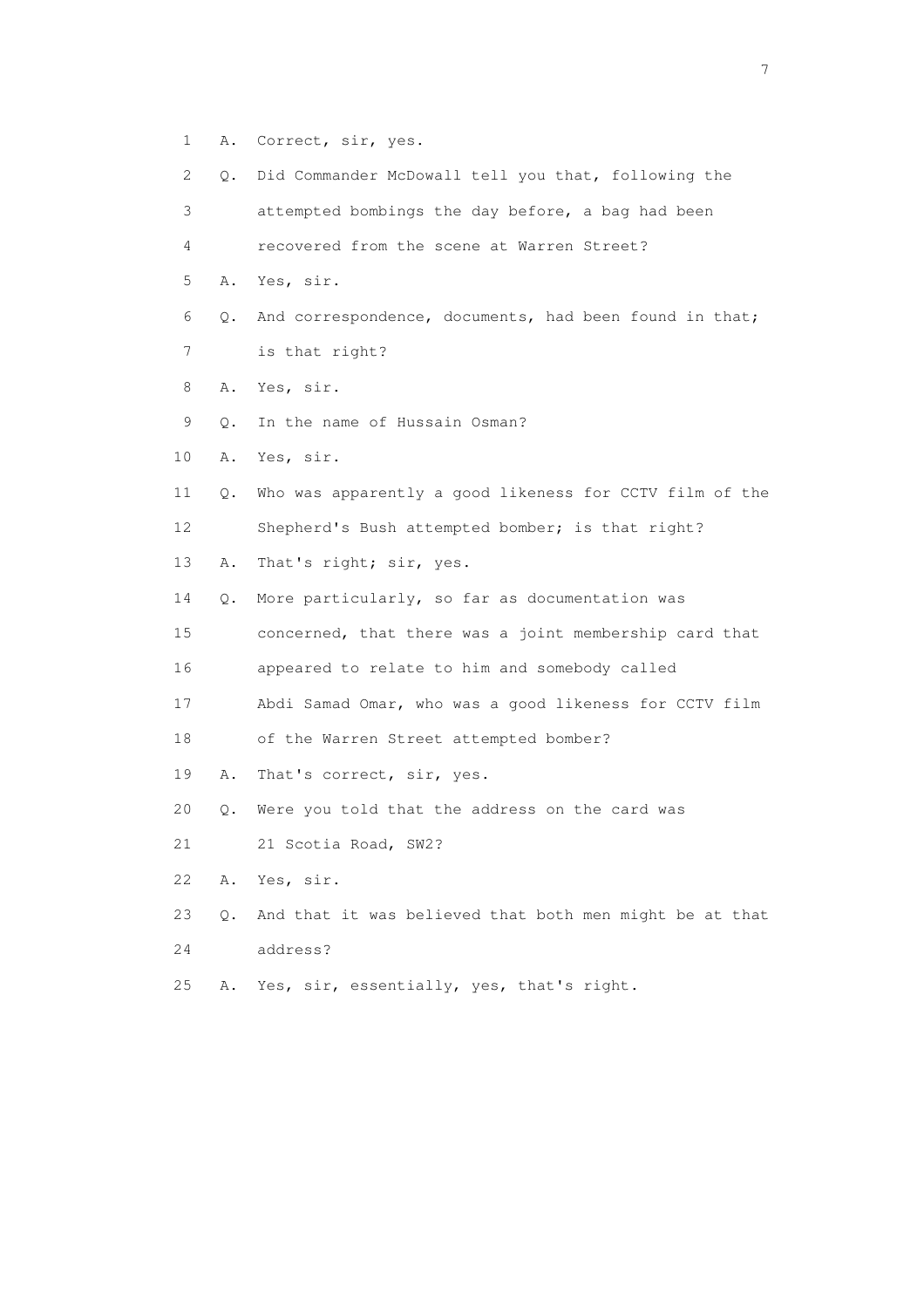- 1 A. Correct, sir, yes.
- 2 Q. Did Commander McDowall tell you that, following the 3 attempted bombings the day before, a bag had been 4 recovered from the scene at Warren Street? 5 A. Yes, sir. 6 Q. And correspondence, documents, had been found in that; 7 is that right? 8 A. Yes, sir. 9 Q. In the name of Hussain Osman? 10 A. Yes, sir. 11 Q. Who was apparently a good likeness for CCTV film of the 12 Shepherd's Bush attempted bomber; is that right? 13 A. That's right; sir, yes. 14 Q. More particularly, so far as documentation was 15 concerned, that there was a joint membership card that 16 appeared to relate to him and somebody called 17 Abdi Samad Omar, who was a good likeness for CCTV film 18 of the Warren Street attempted bomber? 19 A. That's correct, sir, yes. 20 Q. Were you told that the address on the card was 21 21 Scotia Road, SW2? 22 A. Yes, sir. 23 Q. And that it was believed that both men might be at that 24 address?
- 25 A. Yes, sir, essentially, yes, that's right.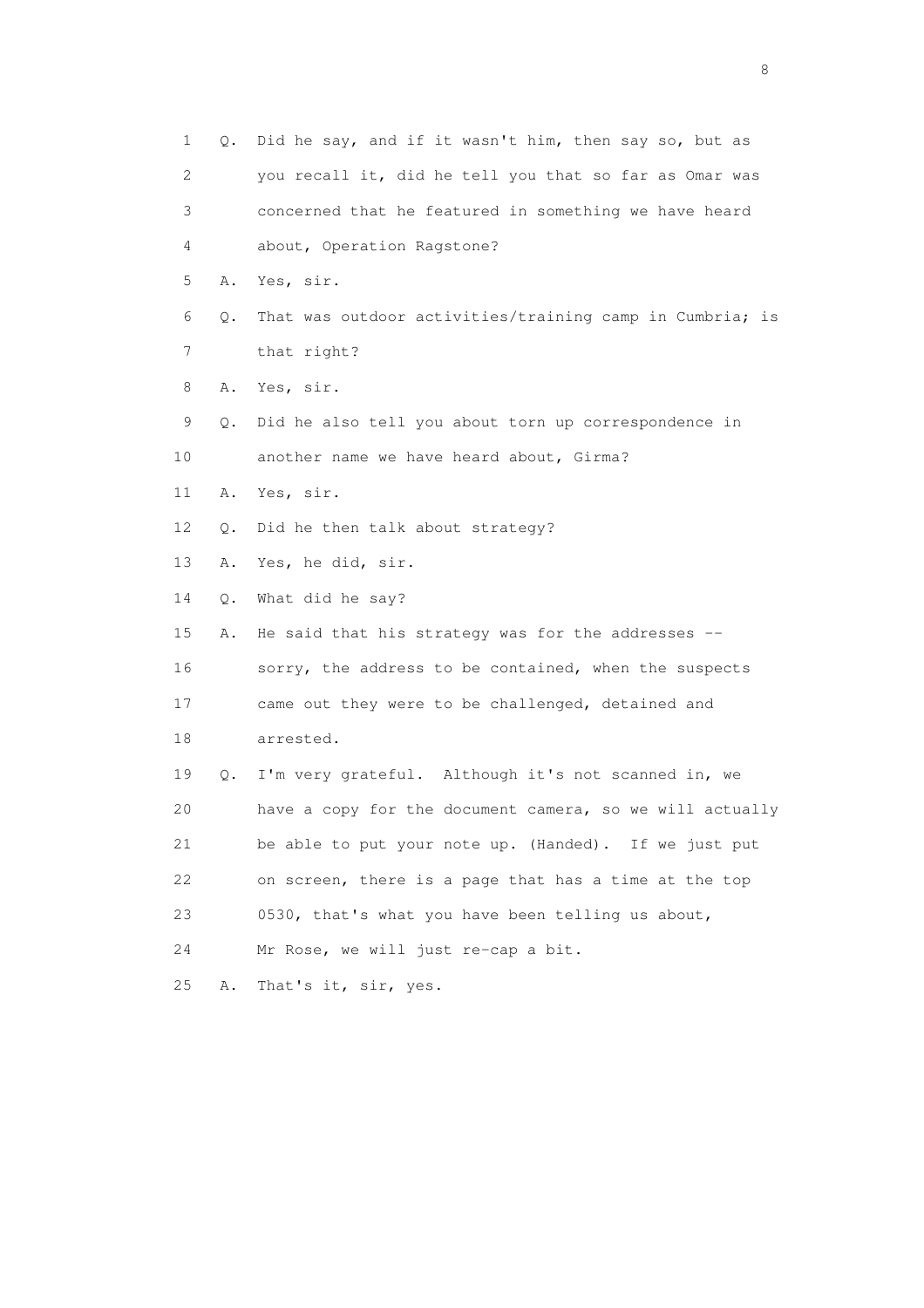1 Q. Did he say, and if it wasn't him, then say so, but as 2 you recall it, did he tell you that so far as Omar was 3 concerned that he featured in something we have heard 4 about, Operation Ragstone? 5 A. Yes, sir. 6 Q. That was outdoor activities/training camp in Cumbria; is 7 that right? 8 A. Yes, sir. 9 Q. Did he also tell you about torn up correspondence in 10 another name we have heard about, Girma? 11 A. Yes, sir. 12 Q. Did he then talk about strategy? 13 A. Yes, he did, sir. 14 Q. What did he say? 15 A. He said that his strategy was for the addresses -- 16 sorry, the address to be contained, when the suspects 17 came out they were to be challenged, detained and 18 arrested. 19 Q. I'm very grateful. Although it's not scanned in, we 20 have a copy for the document camera, so we will actually 21 be able to put your note up. (Handed). If we just put 22 on screen, there is a page that has a time at the top 23 0530, that's what you have been telling us about, 24 Mr Rose, we will just re-cap a bit. 25 A. That's it, sir, yes.

en de la construction de la construction de la construction de la construction de la construction de la constr<br>En 1980, en 1980, en 1980, en 1980, en 1980, en 1980, en 1980, en 1980, en 1980, en 1980, en 1980, en 1980, en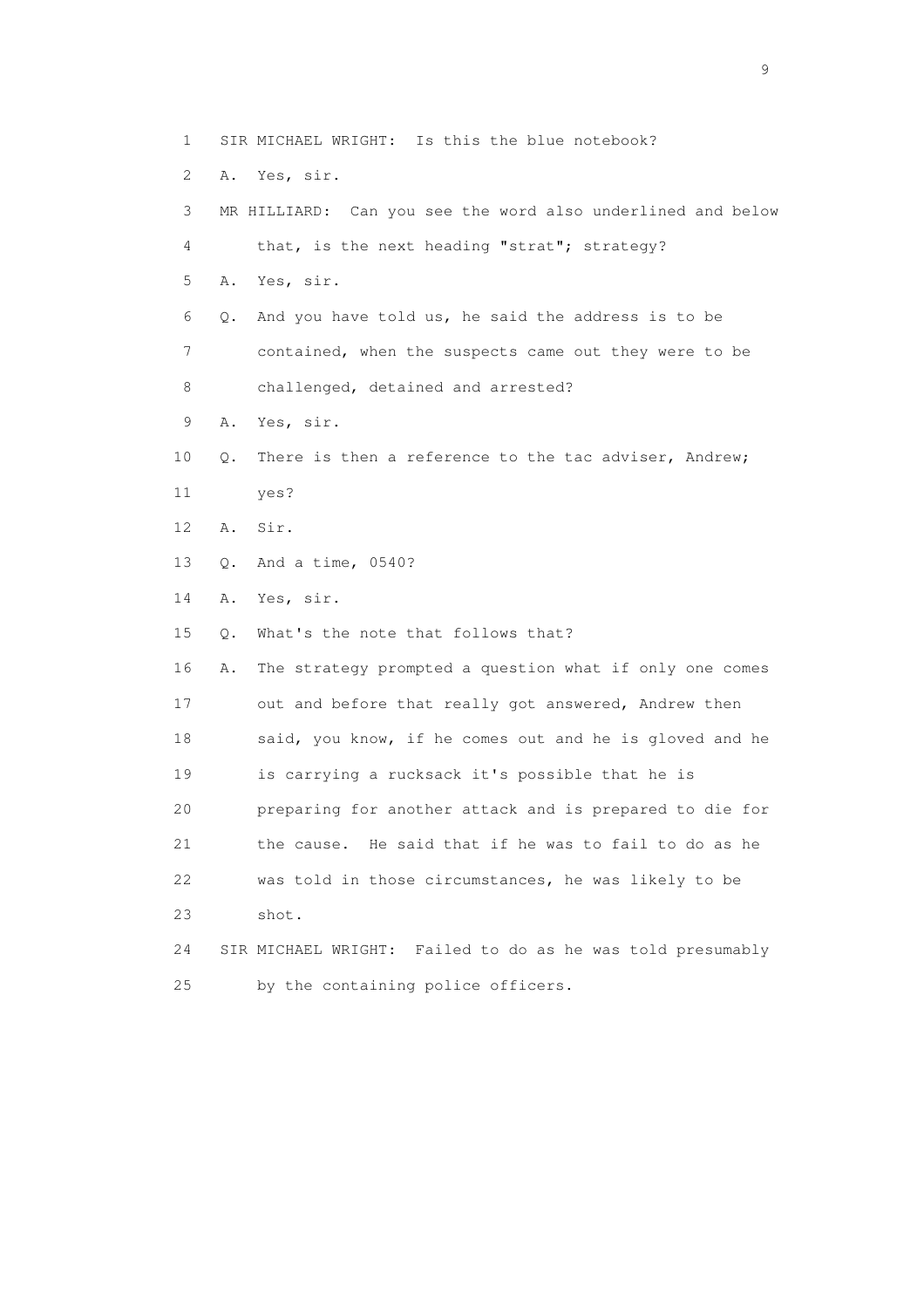- 1 SIR MICHAEL WRIGHT: Is this the blue notebook?
- 2 A. Yes, sir.

 3 MR HILLIARD: Can you see the word also underlined and below 4 that, is the next heading "strat"; strategy? 5 A. Yes, sir. 6 Q. And you have told us, he said the address is to be 7 contained, when the suspects came out they were to be 8 challenged, detained and arrested? 9 A. Yes, sir. 10 Q. There is then a reference to the tac adviser, Andrew; 11 yes? 12 A. Sir. 13 Q. And a time, 0540? 14 A. Yes, sir. 15 Q. What's the note that follows that? 16 A. The strategy prompted a question what if only one comes 17 out and before that really got answered, Andrew then 18 said, you know, if he comes out and he is gloved and he 19 is carrying a rucksack it's possible that he is 20 preparing for another attack and is prepared to die for 21 the cause. He said that if he was to fail to do as he 22 was told in those circumstances, he was likely to be 23 shot. 24 SIR MICHAEL WRIGHT: Failed to do as he was told presumably 25 by the containing police officers.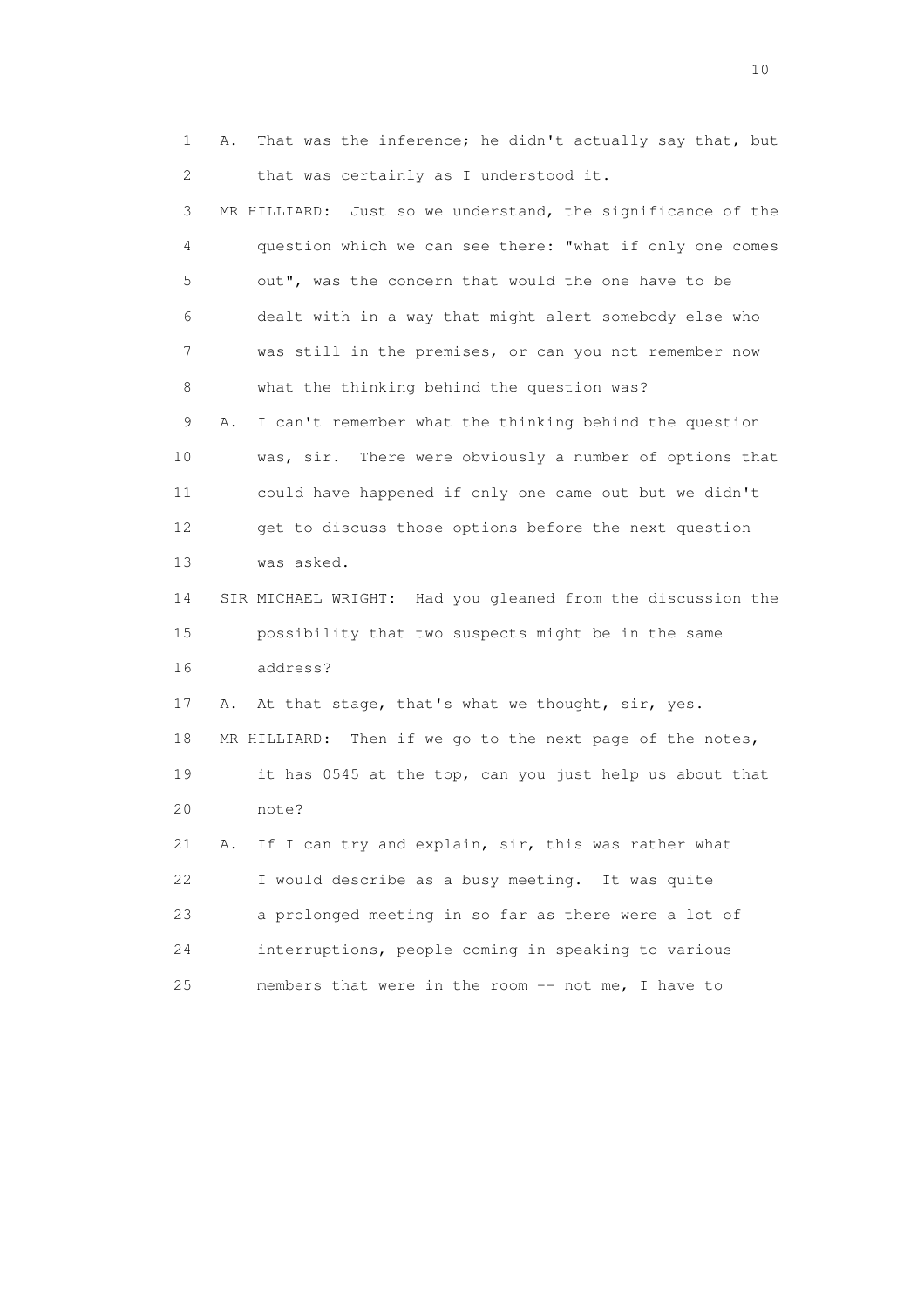1 A. That was the inference; he didn't actually say that, but 2 that was certainly as I understood it.

 3 MR HILLIARD: Just so we understand, the significance of the 4 question which we can see there: "what if only one comes 5 out", was the concern that would the one have to be 6 dealt with in a way that might alert somebody else who 7 was still in the premises, or can you not remember now 8 what the thinking behind the question was? 9 A. I can't remember what the thinking behind the question 10 was, sir. There were obviously a number of options that 11 could have happened if only one came out but we didn't 12 get to discuss those options before the next question 13 was asked. 14 SIR MICHAEL WRIGHT: Had you gleaned from the discussion the 15 possibility that two suspects might be in the same 16 address? 17 A. At that stage, that's what we thought, sir, yes. 18 MR HILLIARD: Then if we go to the next page of the notes, 19 it has 0545 at the top, can you just help us about that 20 note? 21 A. If I can try and explain, sir, this was rather what 22 I would describe as a busy meeting. It was quite 23 a prolonged meeting in so far as there were a lot of 24 interruptions, people coming in speaking to various

25 members that were in the room -- not me, I have to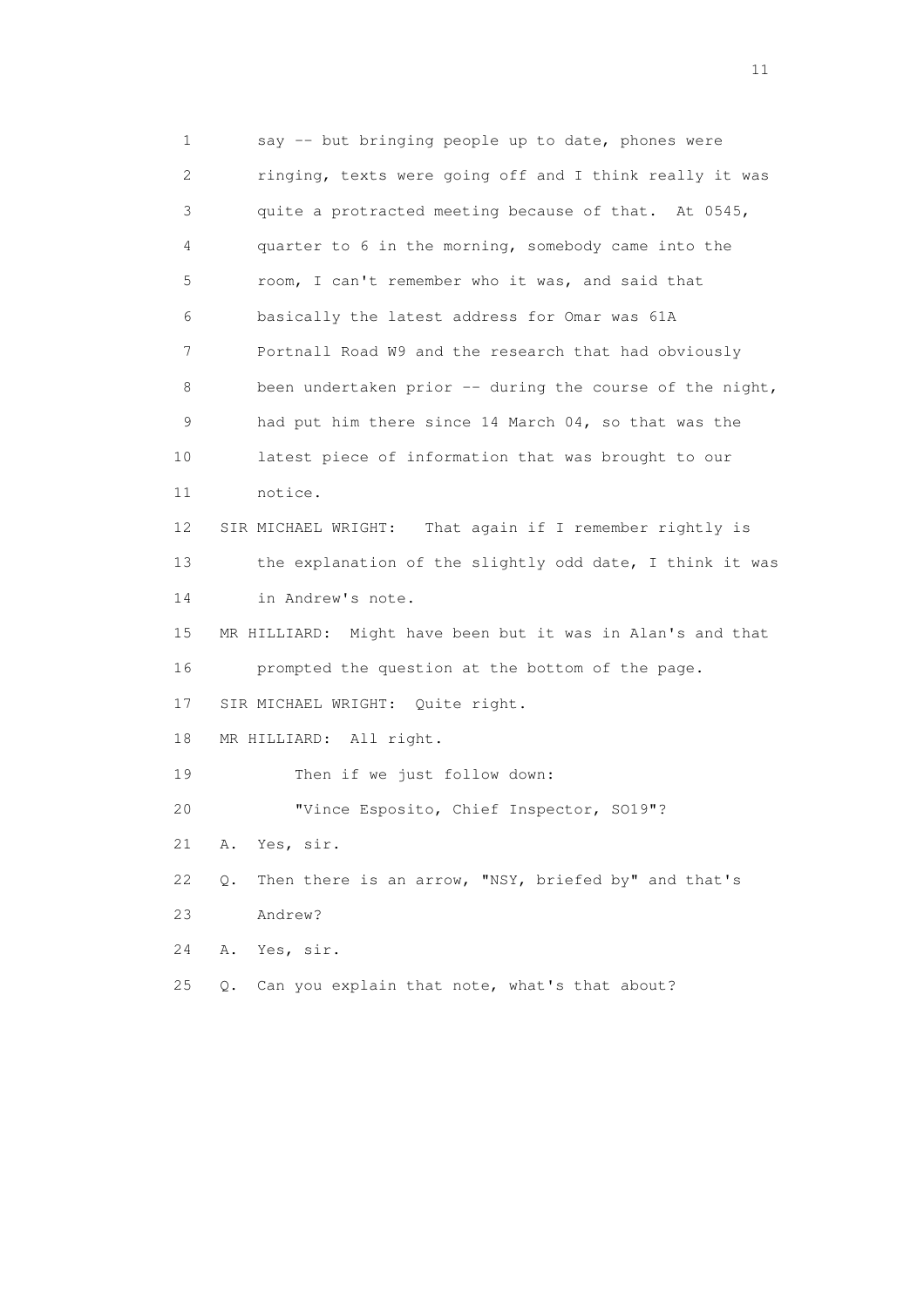1 say -- but bringing people up to date, phones were 2 ringing, texts were going off and I think really it was 3 quite a protracted meeting because of that. At 0545, 4 quarter to 6 in the morning, somebody came into the 5 room, I can't remember who it was, and said that 6 basically the latest address for Omar was 61A 7 Portnall Road W9 and the research that had obviously 8 been undertaken prior -- during the course of the night, 9 had put him there since 14 March 04, so that was the 10 latest piece of information that was brought to our 11 notice. 12 SIR MICHAEL WRIGHT: That again if I remember rightly is 13 the explanation of the slightly odd date, I think it was 14 in Andrew's note. 15 MR HILLIARD: Might have been but it was in Alan's and that 16 prompted the question at the bottom of the page. 17 SIR MICHAEL WRIGHT: Quite right. 18 MR HILLIARD: All right. 19 Then if we just follow down: 20 "Vince Esposito, Chief Inspector, SO19"? 21 A. Yes, sir. 22 Q. Then there is an arrow, "NSY, briefed by" and that's 23 Andrew? 24 A. Yes, sir. 25 Q. Can you explain that note, what's that about?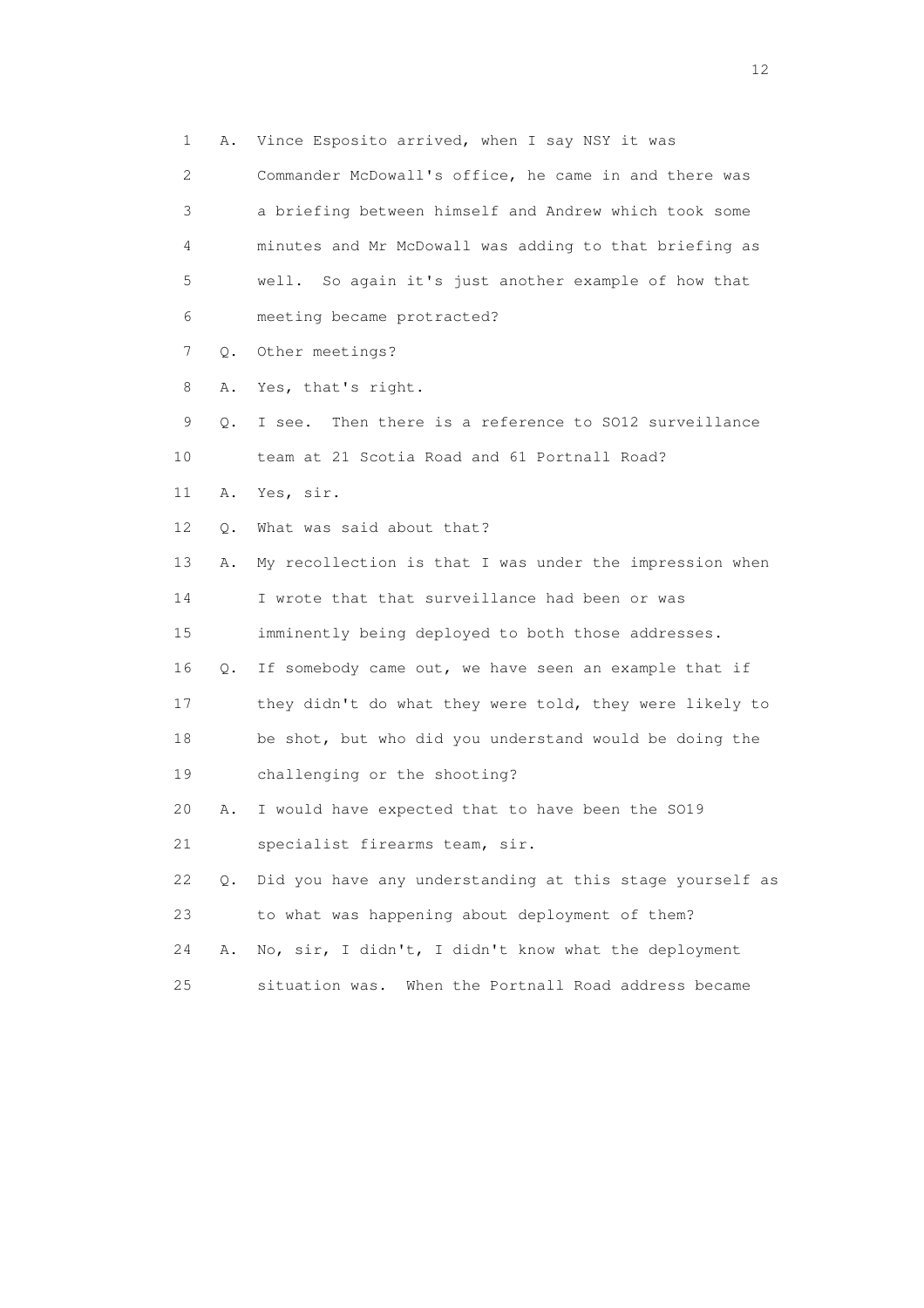1 A. Vince Esposito arrived, when I say NSY it was

 2 Commander McDowall's office, he came in and there was 3 a briefing between himself and Andrew which took some 4 minutes and Mr McDowall was adding to that briefing as 5 well. So again it's just another example of how that 6 meeting became protracted?

7 Q. Other meetings?

8 A. Yes, that's right.

 9 Q. I see. Then there is a reference to SO12 surveillance 10 team at 21 Scotia Road and 61 Portnall Road?

11 A. Yes, sir.

12 Q. What was said about that?

 13 A. My recollection is that I was under the impression when 14 I wrote that that surveillance had been or was 15 imminently being deployed to both those addresses.

 16 Q. If somebody came out, we have seen an example that if 17 they didn't do what they were told, they were likely to 18 be shot, but who did you understand would be doing the

19 challenging or the shooting?

20 A. I would have expected that to have been the SO19

21 specialist firearms team, sir.

 22 Q. Did you have any understanding at this stage yourself as 23 to what was happening about deployment of them?

24 A. No, sir, I didn't, I didn't know what the deployment

25 situation was. When the Portnall Road address became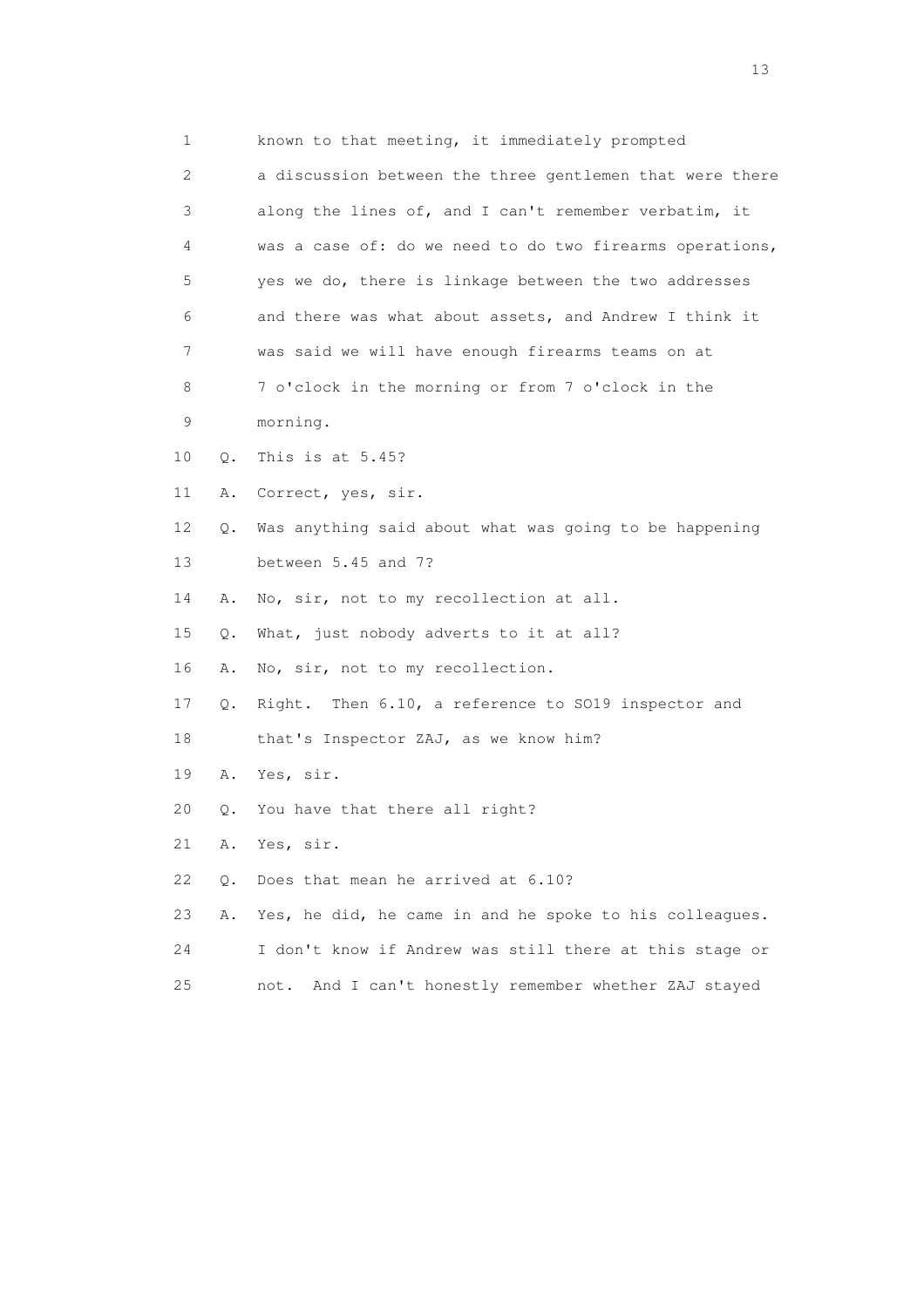| 1           | known to that meeting, it immediately prompted           |
|-------------|----------------------------------------------------------|
| 2           | a discussion between the three gentlemen that were there |
| 3           | along the lines of, and I can't remember verbatim, it    |
| 4           | was a case of: do we need to do two firearms operations, |
| 5           | yes we do, there is linkage between the two addresses    |
| 6           | and there was what about assets, and Andrew I think it   |
| 7           | was said we will have enough firearms teams on at        |
| 8           | 7 o'clock in the morning or from 7 o'clock in the        |
| $\mathsf 9$ | morning.                                                 |
| 10<br>$Q$ . | This is at 5.45?                                         |
| 11<br>Α.    | Correct, yes, sir.                                       |
| 12<br>Q.    | Was anything said about what was going to be happening   |
| 13          | between 5.45 and 7?                                      |
| 14<br>Α.    | No, sir, not to my recollection at all.                  |
| 15<br>Q.    | What, just nobody adverts to it at all?                  |
| 16<br>Α.    | No, sir, not to my recollection.                         |
| 17<br>Q.    | Right. Then 6.10, a reference to SO19 inspector and      |
| 18          | that's Inspector ZAJ, as we know him?                    |
| 19<br>Α.    | Yes, sir.                                                |
| 20<br>Q.    | You have that there all right?                           |
| 21<br>Α.    | Yes, sir.                                                |
| 22<br>Q.    | Does that mean he arrived at 6.10?                       |
| 23<br>Α.    | Yes, he did, he came in and he spoke to his colleagues.  |
| 24          | I don't know if Andrew was still there at this stage or  |
| 25          | And I can't honestly remember whether ZAJ stayed<br>not. |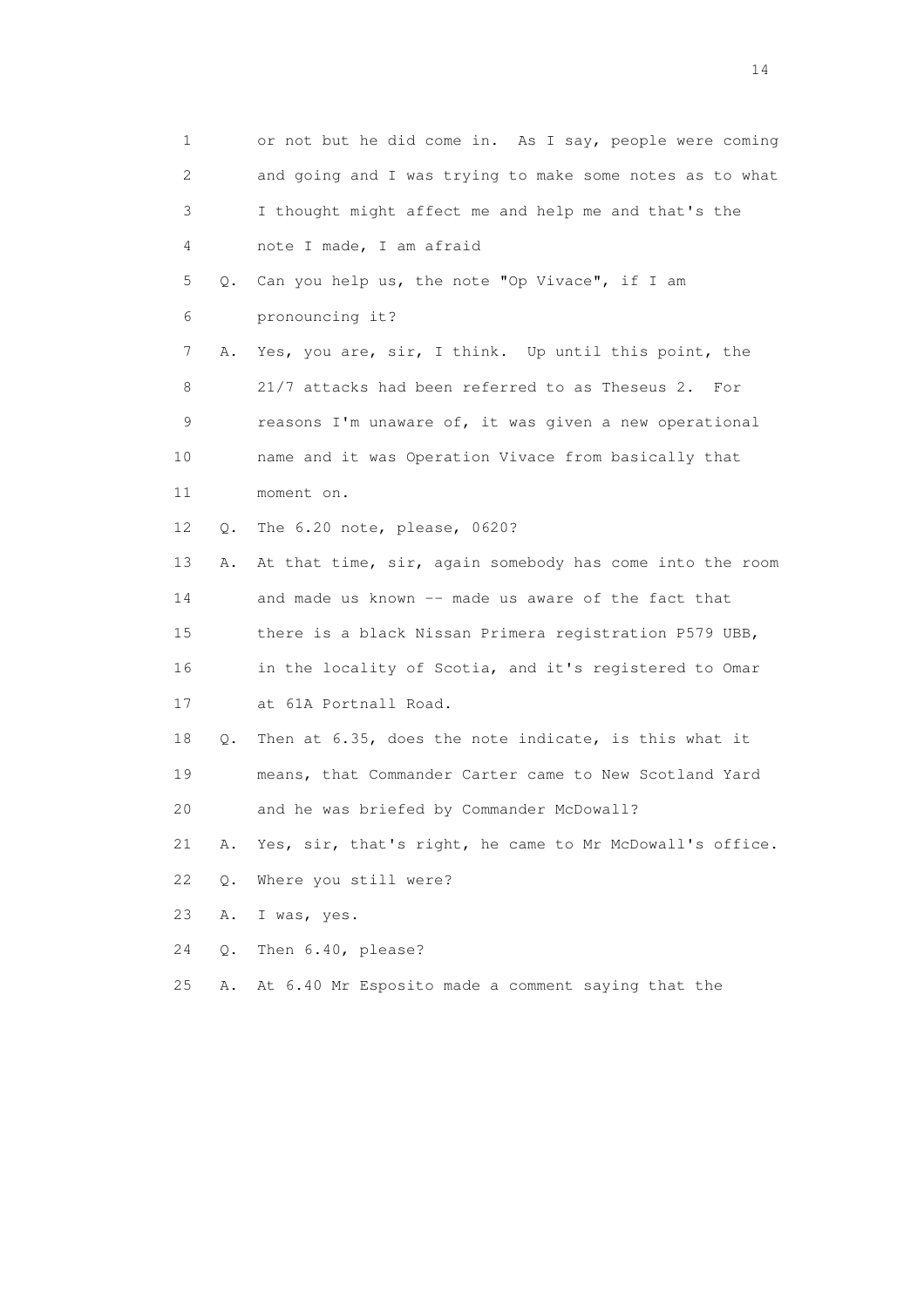1 or not but he did come in. As I say, people were coming 2 and going and I was trying to make some notes as to what 3 I thought might affect me and help me and that's the 4 note I made, I am afraid 5 Q. Can you help us, the note "Op Vivace", if I am 6 pronouncing it? 7 A. Yes, you are, sir, I think. Up until this point, the 8 21/7 attacks had been referred to as Theseus 2. For 9 reasons I'm unaware of, it was given a new operational 10 name and it was Operation Vivace from basically that 11 moment on. 12 Q. The 6.20 note, please, 0620? 13 A. At that time, sir, again somebody has come into the room 14 and made us known -- made us aware of the fact that 15 there is a black Nissan Primera registration P579 UBB, 16 in the locality of Scotia, and it's registered to Omar 17 at 61A Portnall Road. 18 Q. Then at 6.35, does the note indicate, is this what it 19 means, that Commander Carter came to New Scotland Yard 20 and he was briefed by Commander McDowall? 21 A. Yes, sir, that's right, he came to Mr McDowall's office. 22 Q. Where you still were? 23 A. I was, yes. 24 Q. Then 6.40, please? 25 A. At 6.40 Mr Esposito made a comment saying that the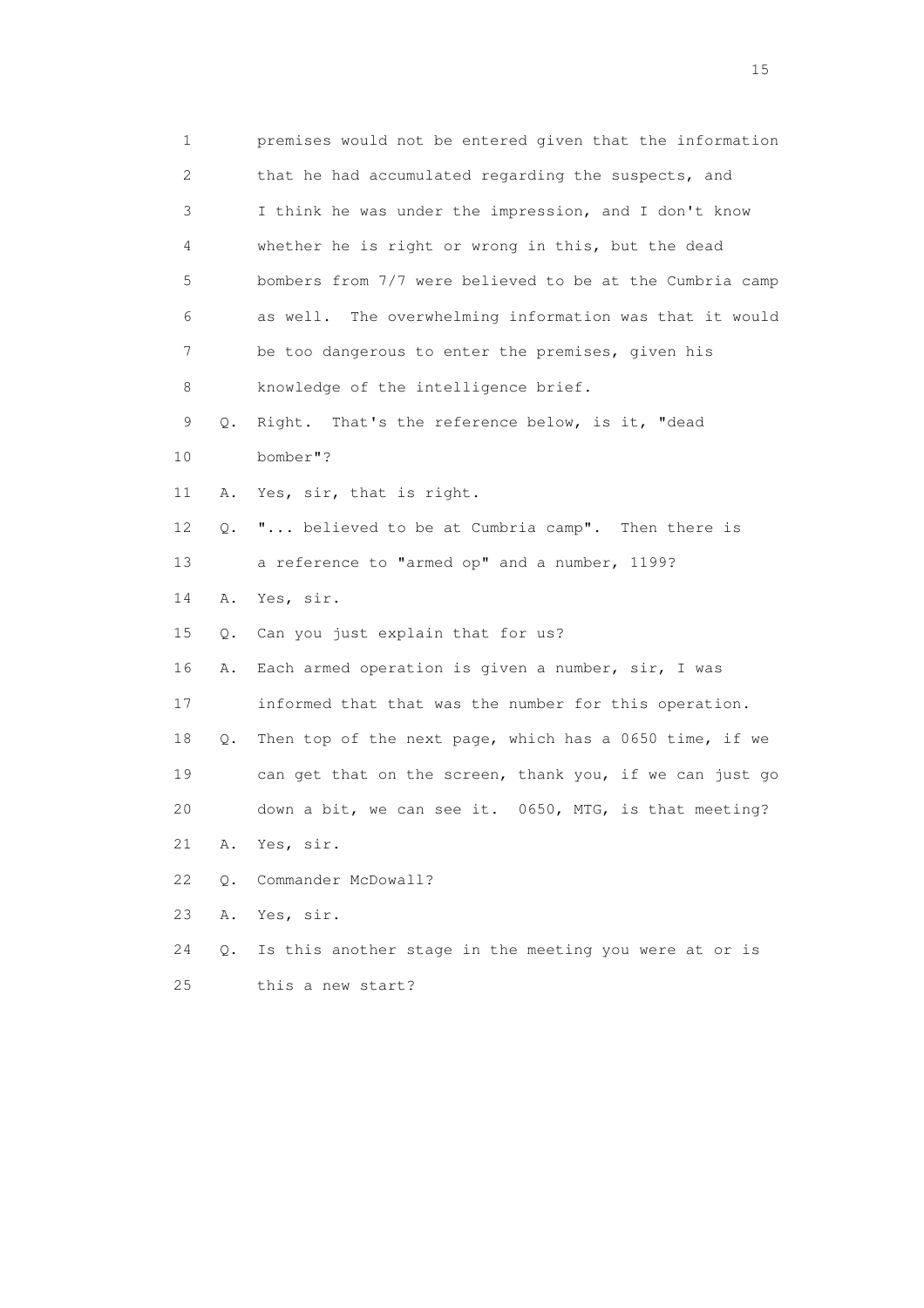| 1                         |    | premises would not be entered given that the information   |
|---------------------------|----|------------------------------------------------------------|
| $\mathbf{2}^{\mathsf{I}}$ |    | that he had accumulated regarding the suspects, and        |
| 3                         |    | I think he was under the impression, and I don't know      |
| 4                         |    | whether he is right or wrong in this, but the dead         |
| 5                         |    | bombers from 7/7 were believed to be at the Cumbria camp   |
| 6                         |    | The overwhelming information was that it would<br>as well. |
| 7                         |    | be too dangerous to enter the premises, given his          |
| 8                         |    | knowledge of the intelligence brief.                       |
| 9                         | Q. | Right. That's the reference below, is it, "dead            |
| 10                        |    | bomber"?                                                   |
| 11                        | Α. | Yes, sir, that is right.                                   |
| 12                        | Q. | " believed to be at Cumbria camp". Then there is           |
| 13                        |    | a reference to "armed op" and a number, 1199?              |
| 14                        | Α. | Yes, sir.                                                  |
| 15                        | Q. | Can you just explain that for us?                          |
| 16                        | Α. | Each armed operation is given a number, sir, I was         |
| 17                        |    | informed that that was the number for this operation.      |
| 18                        | Q. | Then top of the next page, which has a 0650 time, if we    |
| 19                        |    | can get that on the screen, thank you, if we can just go   |
| 20                        |    | down a bit, we can see it. 0650, MTG, is that meeting?     |
| 21                        | Α. | Yes, sir.                                                  |
| 22                        | Q. | Commander McDowall?                                        |
| 23                        | Α. | Yes, sir.                                                  |
| 24                        | Q. | Is this another stage in the meeting you were at or is     |
| 25                        |    | this a new start?                                          |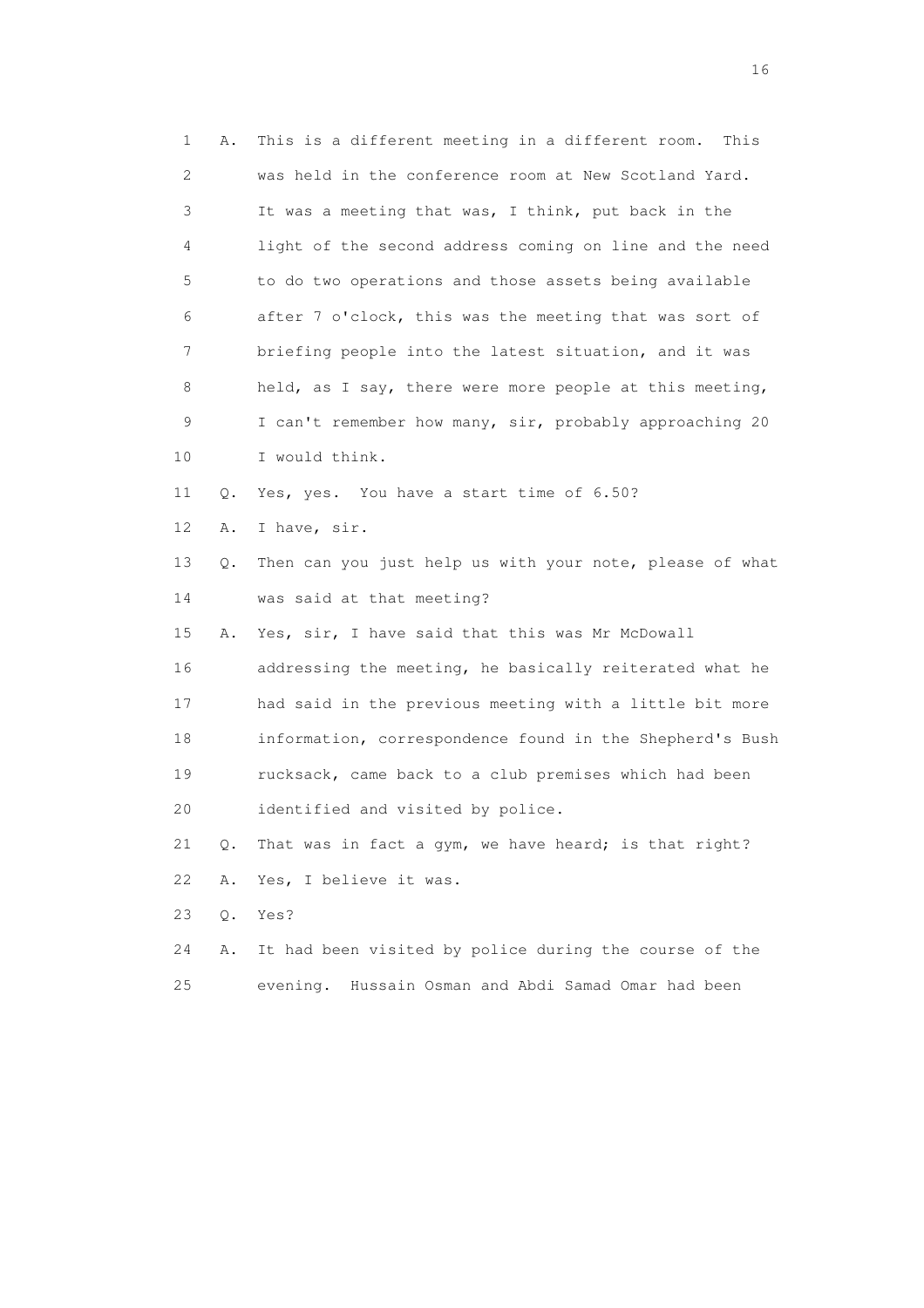| $\mathbf 1$ | Α. | This is a different meeting in a different room.<br>This |
|-------------|----|----------------------------------------------------------|
| 2           |    | was held in the conference room at New Scotland Yard.    |
| 3           |    | It was a meeting that was, I think, put back in the      |
| 4           |    | light of the second address coming on line and the need  |
| 5           |    | to do two operations and those assets being available    |
| 6           |    | after 7 o'clock, this was the meeting that was sort of   |
| 7           |    | briefing people into the latest situation, and it was    |
| 8           |    | held, as I say, there were more people at this meeting,  |
| 9           |    | I can't remember how many, sir, probably approaching 20  |
| 10          |    | I would think.                                           |
| 11          | Q. | Yes, yes. You have a start time of 6.50?                 |
| 12          | Α. | I have, sir.                                             |
| 13          | Q. | Then can you just help us with your note, please of what |
| 14          |    | was said at that meeting?                                |
| 15          | Α. | Yes, sir, I have said that this was Mr McDowall          |
| 16          |    | addressing the meeting, he basically reiterated what he  |
| 17          |    | had said in the previous meeting with a little bit more  |
| 18          |    | information, correspondence found in the Shepherd's Bush |
| 19          |    | rucksack, came back to a club premises which had been    |
| 20          |    | identified and visited by police.                        |
| 21          | Q. | That was in fact a gym, we have heard; is that right?    |
| 22          | Α. | Yes, I believe it was.                                   |
| 23          | Q. | Yes?                                                     |
| 24          | Α. | It had been visited by police during the course of the   |
| 25          |    | evening.<br>Hussain Osman and Abdi Samad Omar had been   |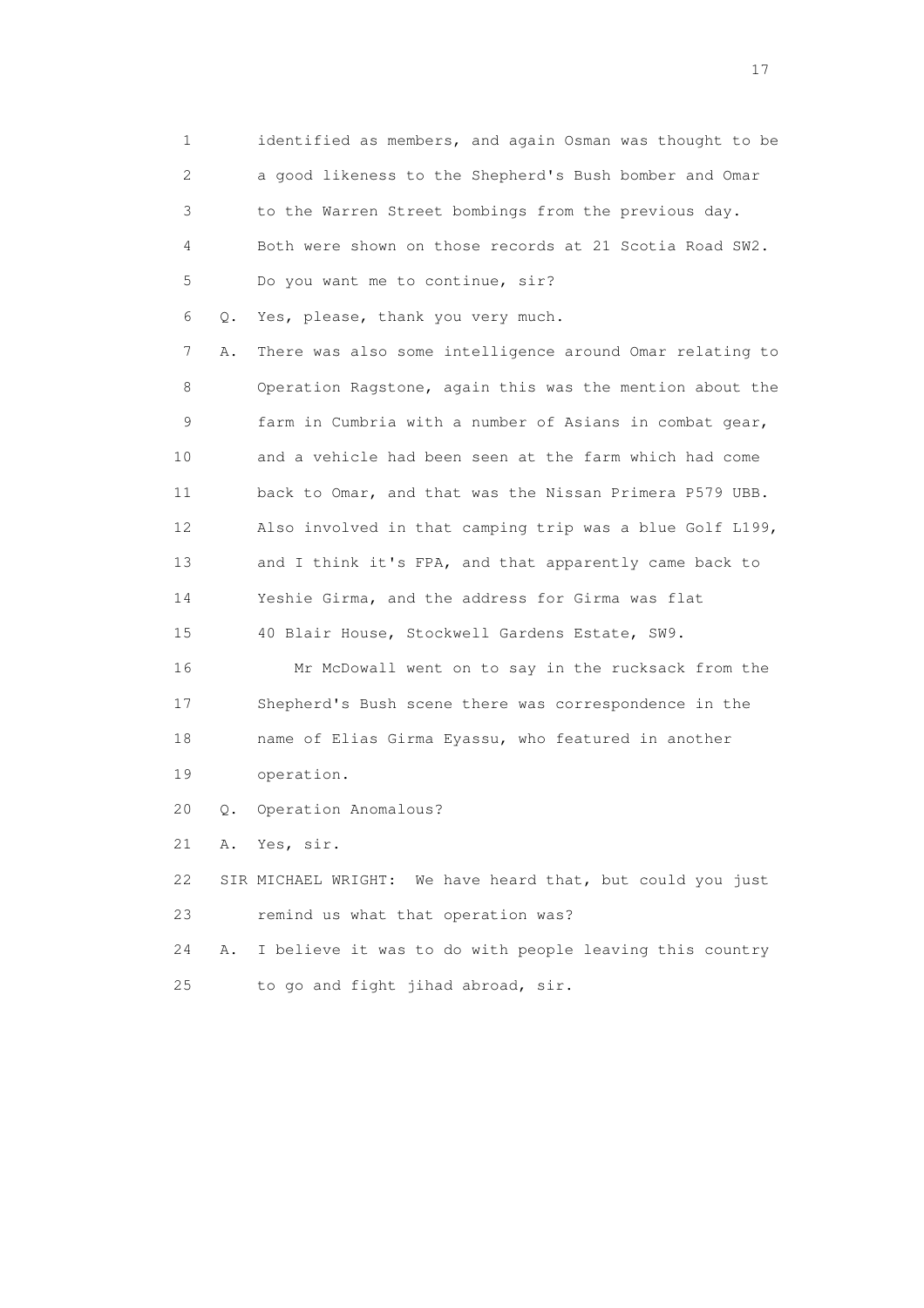1 identified as members, and again Osman was thought to be 2 a good likeness to the Shepherd's Bush bomber and Omar 3 to the Warren Street bombings from the previous day. 4 Both were shown on those records at 21 Scotia Road SW2. 5 Do you want me to continue, sir? 6 Q. Yes, please, thank you very much. 7 A. There was also some intelligence around Omar relating to 8 Operation Ragstone, again this was the mention about the 9 farm in Cumbria with a number of Asians in combat gear, 10 and a vehicle had been seen at the farm which had come 11 back to Omar, and that was the Nissan Primera P579 UBB. 12 Also involved in that camping trip was a blue Golf L199, 13 and I think it's FPA, and that apparently came back to 14 Yeshie Girma, and the address for Girma was flat 15 40 Blair House, Stockwell Gardens Estate, SW9. 16 Mr McDowall went on to say in the rucksack from the 17 Shepherd's Bush scene there was correspondence in the 18 name of Elias Girma Eyassu, who featured in another 19 operation. 20 Q. Operation Anomalous? 21 A. Yes, sir. 22 SIR MICHAEL WRIGHT: We have heard that, but could you just 23 remind us what that operation was? 24 A. I believe it was to do with people leaving this country

25 to go and fight jihad abroad, sir.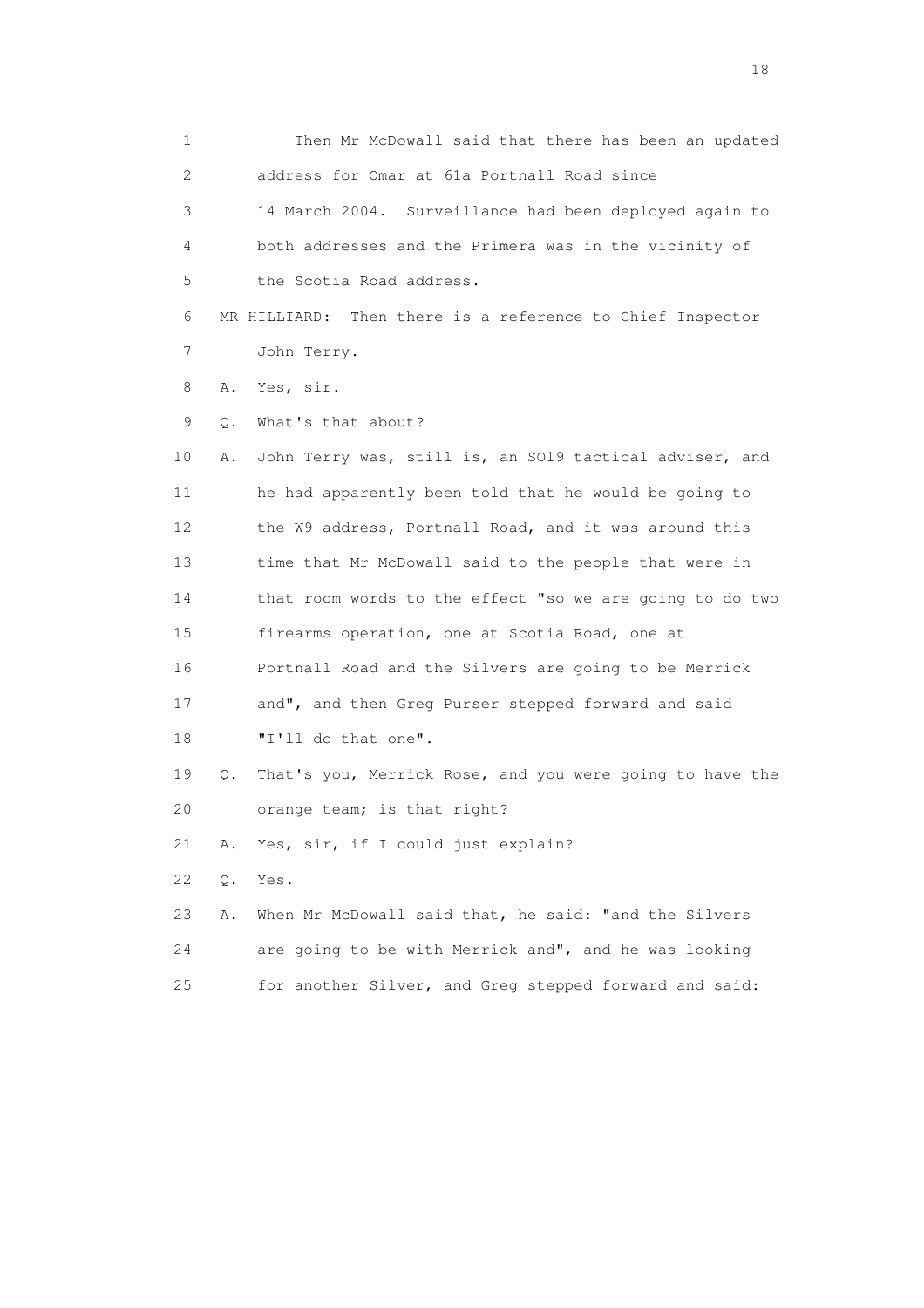1 Then Mr McDowall said that there has been an updated 2 address for Omar at 61a Portnall Road since 3 14 March 2004. Surveillance had been deployed again to 4 both addresses and the Primera was in the vicinity of 5 the Scotia Road address. 6 MR HILLIARD: Then there is a reference to Chief Inspector 7 John Terry. 8 A. Yes, sir. 9 Q. What's that about? 10 A. John Terry was, still is, an SO19 tactical adviser, and 11 he had apparently been told that he would be going to 12 the W9 address, Portnall Road, and it was around this 13 time that Mr McDowall said to the people that were in 14 that room words to the effect "so we are going to do two 15 firearms operation, one at Scotia Road, one at 16 Portnall Road and the Silvers are going to be Merrick 17 and", and then Greg Purser stepped forward and said 18 "I'll do that one". 19 Q. That's you, Merrick Rose, and you were going to have the 20 orange team; is that right? 21 A. Yes, sir, if I could just explain? 22 Q. Yes. 23 A. When Mr McDowall said that, he said: "and the Silvers 24 are going to be with Merrick and", and he was looking 25 for another Silver, and Greg stepped forward and said: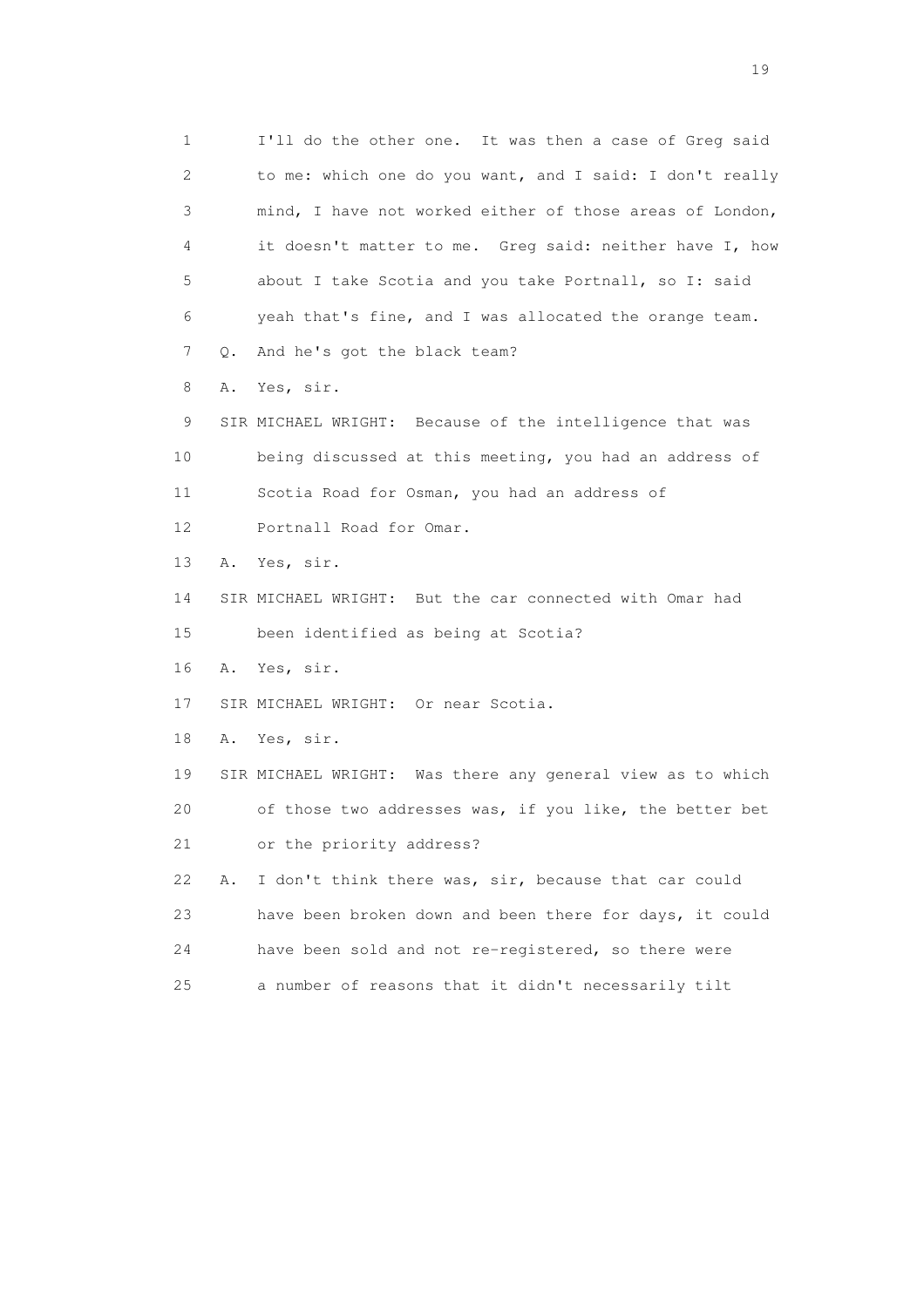1 I'll do the other one. It was then a case of Greg said 2 to me: which one do you want, and I said: I don't really 3 mind, I have not worked either of those areas of London, 4 it doesn't matter to me. Greg said: neither have I, how 5 about I take Scotia and you take Portnall, so I: said 6 yeah that's fine, and I was allocated the orange team. 7 Q. And he's got the black team? 8 A. Yes, sir. 9 SIR MICHAEL WRIGHT: Because of the intelligence that was 10 being discussed at this meeting, you had an address of 11 Scotia Road for Osman, you had an address of 12 Portnall Road for Omar. 13 A. Yes, sir. 14 SIR MICHAEL WRIGHT: But the car connected with Omar had 15 been identified as being at Scotia? 16 A. Yes, sir. 17 SIR MICHAEL WRIGHT: Or near Scotia. 18 A. Yes, sir. 19 SIR MICHAEL WRIGHT: Was there any general view as to which 20 of those two addresses was, if you like, the better bet 21 or the priority address? 22 A. I don't think there was, sir, because that car could 23 have been broken down and been there for days, it could 24 have been sold and not re-registered, so there were 25 a number of reasons that it didn't necessarily tilt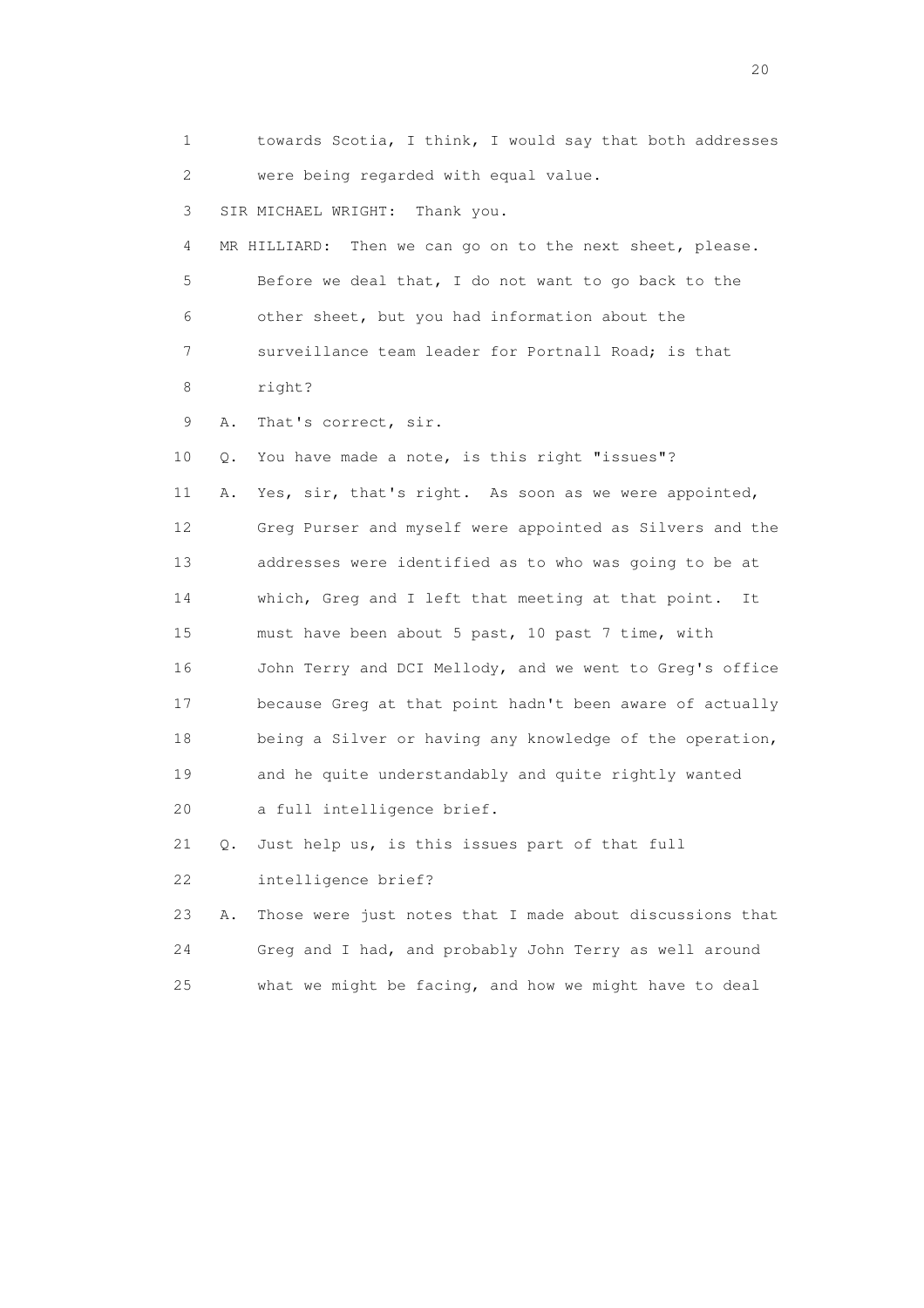1 towards Scotia, I think, I would say that both addresses 2 were being regarded with equal value. 3 SIR MICHAEL WRIGHT: Thank you. 4 MR HILLIARD: Then we can go on to the next sheet, please. 5 Before we deal that, I do not want to go back to the 6 other sheet, but you had information about the 7 surveillance team leader for Portnall Road; is that 8 right? 9 A. That's correct, sir. 10 Q. You have made a note, is this right "issues"? 11 A. Yes, sir, that's right. As soon as we were appointed, 12 Greg Purser and myself were appointed as Silvers and the 13 addresses were identified as to who was going to be at 14 which, Greg and I left that meeting at that point. It 15 must have been about 5 past, 10 past 7 time, with 16 John Terry and DCI Mellody, and we went to Greg's office 17 because Greg at that point hadn't been aware of actually 18 being a Silver or having any knowledge of the operation, 19 and he quite understandably and quite rightly wanted 20 a full intelligence brief. 21 Q. Just help us, is this issues part of that full 22 intelligence brief? 23 A. Those were just notes that I made about discussions that 24 Greg and I had, and probably John Terry as well around 25 what we might be facing, and how we might have to deal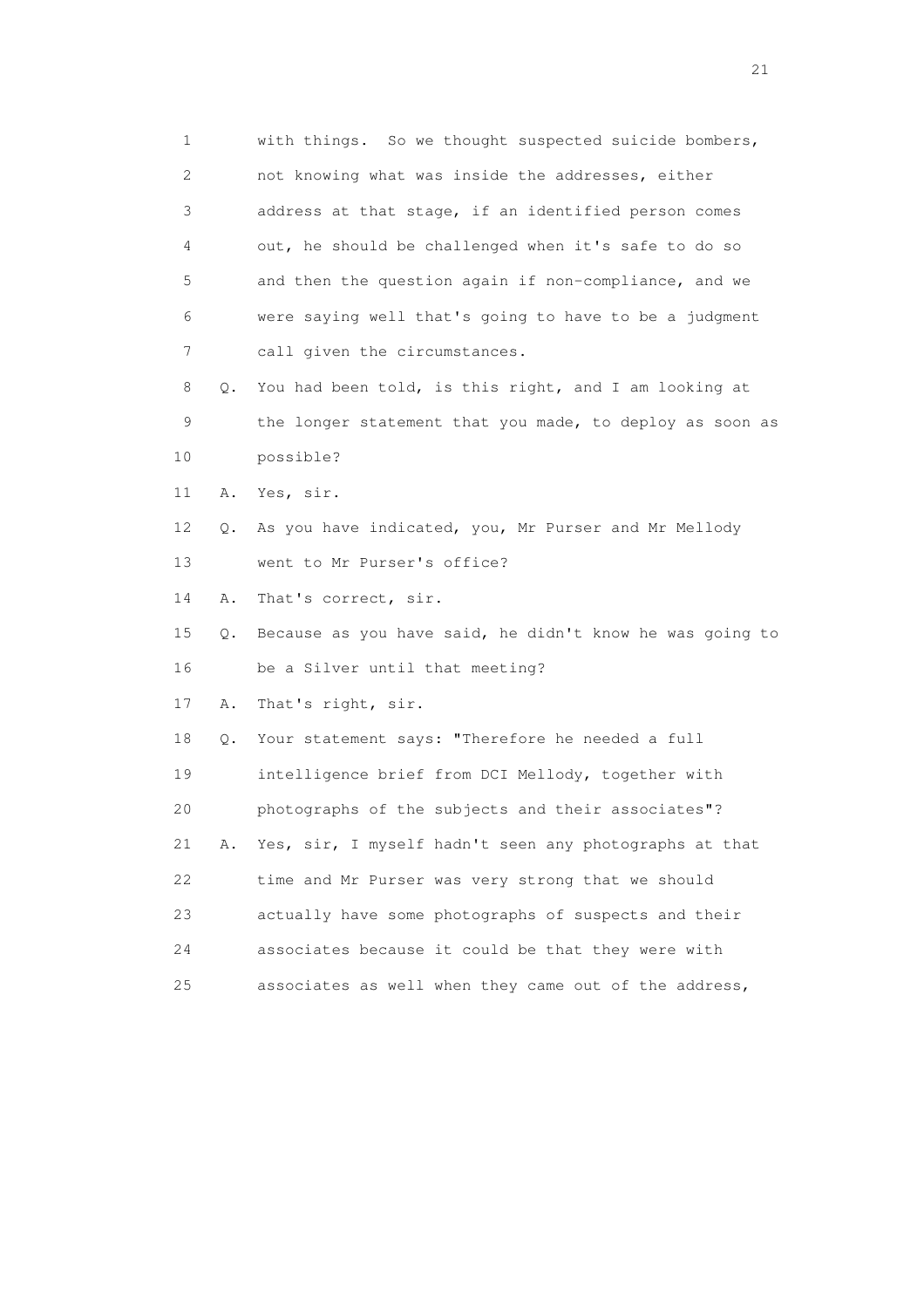| 1  |    | with things. So we thought suspected suicide bombers,    |
|----|----|----------------------------------------------------------|
| 2  |    | not knowing what was inside the addresses, either        |
| 3  |    | address at that stage, if an identified person comes     |
| 4  |    | out, he should be challenged when it's safe to do so     |
| 5  |    | and then the question again if non-compliance, and we    |
| 6  |    | were saying well that's going to have to be a judgment   |
| 7  |    | call given the circumstances.                            |
| 8  | Q. | You had been told, is this right, and I am looking at    |
| 9  |    | the longer statement that you made, to deploy as soon as |
| 10 |    | possible?                                                |
| 11 | Α. | Yes, sir.                                                |
| 12 | Q. | As you have indicated, you, Mr Purser and Mr Mellody     |
| 13 |    | went to Mr Purser's office?                              |
| 14 | Α. | That's correct, sir.                                     |
| 15 | Q. | Because as you have said, he didn't know he was going to |
| 16 |    | be a Silver until that meeting?                          |
| 17 | Α. | That's right, sir.                                       |
| 18 | Q. | Your statement says: "Therefore he needed a full         |
| 19 |    | intelligence brief from DCI Mellody, together with       |
| 20 |    | photographs of the subjects and their associates"?       |
| 21 | Α. | Yes, sir, I myself hadn't seen any photographs at that   |
| 22 |    | time and Mr Purser was very strong that we should        |
| 23 |    | actually have some photographs of suspects and their     |
| 24 |    | associates because it could be that they were with       |
| 25 |    | associates as well when they came out of the address,    |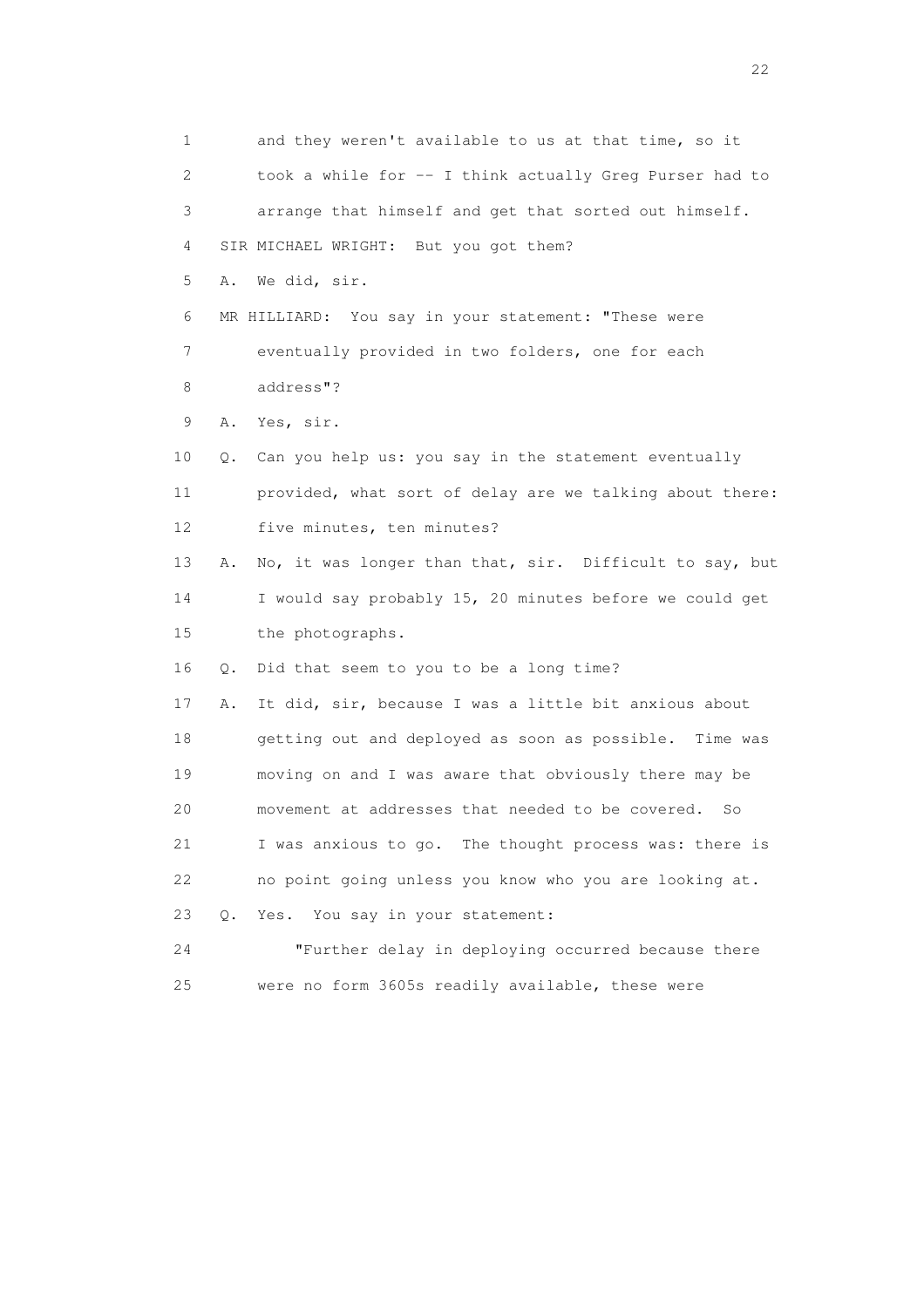1 and they weren't available to us at that time, so it 2 took a while for -- I think actually Greg Purser had to 3 arrange that himself and get that sorted out himself. 4 SIR MICHAEL WRIGHT: But you got them? 5 A. We did, sir. 6 MR HILLIARD: You say in your statement: "These were 7 eventually provided in two folders, one for each 8 address"? 9 A. Yes, sir. 10 Q. Can you help us: you say in the statement eventually 11 provided, what sort of delay are we talking about there: 12 five minutes, ten minutes? 13 A. No, it was longer than that, sir. Difficult to say, but 14 I would say probably 15, 20 minutes before we could get 15 the photographs. 16 Q. Did that seem to you to be a long time? 17 A. It did, sir, because I was a little bit anxious about 18 getting out and deployed as soon as possible. Time was 19 moving on and I was aware that obviously there may be 20 movement at addresses that needed to be covered. So 21 I was anxious to go. The thought process was: there is 22 no point going unless you know who you are looking at. 23 Q. Yes. You say in your statement: 24 "Further delay in deploying occurred because there 25 were no form 3605s readily available, these were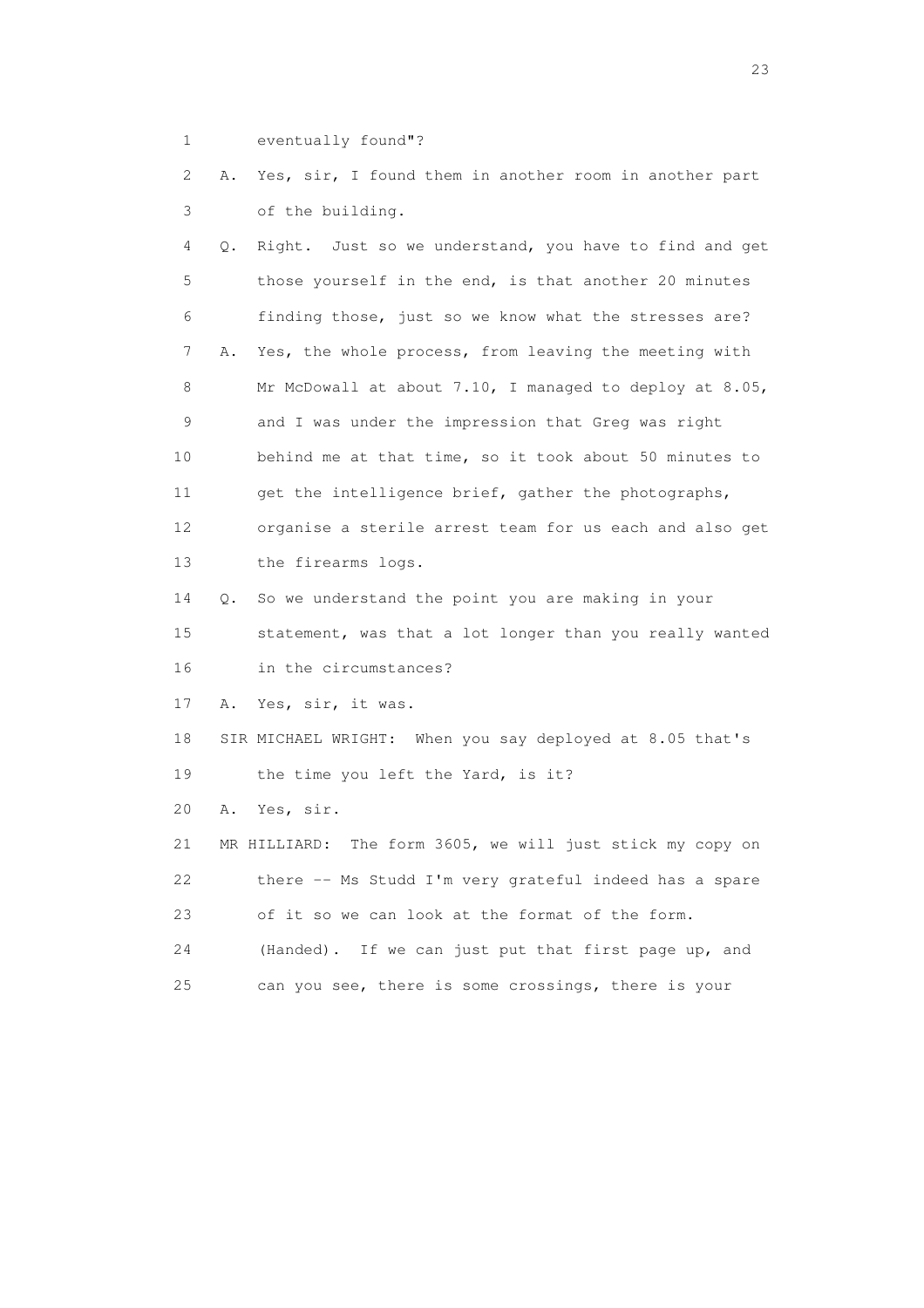1 eventually found"?

 2 A. Yes, sir, I found them in another room in another part 3 of the building.

 4 Q. Right. Just so we understand, you have to find and get 5 those yourself in the end, is that another 20 minutes 6 finding those, just so we know what the stresses are? 7 A. Yes, the whole process, from leaving the meeting with 8 Mr McDowall at about 7.10, I managed to deploy at 8.05, 9 and I was under the impression that Greg was right 10 behind me at that time, so it took about 50 minutes to 11 get the intelligence brief, gather the photographs, 12 organise a sterile arrest team for us each and also get 13 the firearms logs. 14 Q. So we understand the point you are making in your 15 statement, was that a lot longer than you really wanted 16 in the circumstances? 17 A. Yes, sir, it was.

 18 SIR MICHAEL WRIGHT: When you say deployed at 8.05 that's 19 the time you left the Yard, is it?

20 A. Yes, sir.

 21 MR HILLIARD: The form 3605, we will just stick my copy on 22 there -- Ms Studd I'm very grateful indeed has a spare 23 of it so we can look at the format of the form. 24 (Handed). If we can just put that first page up, and

25 can you see, there is some crossings, there is your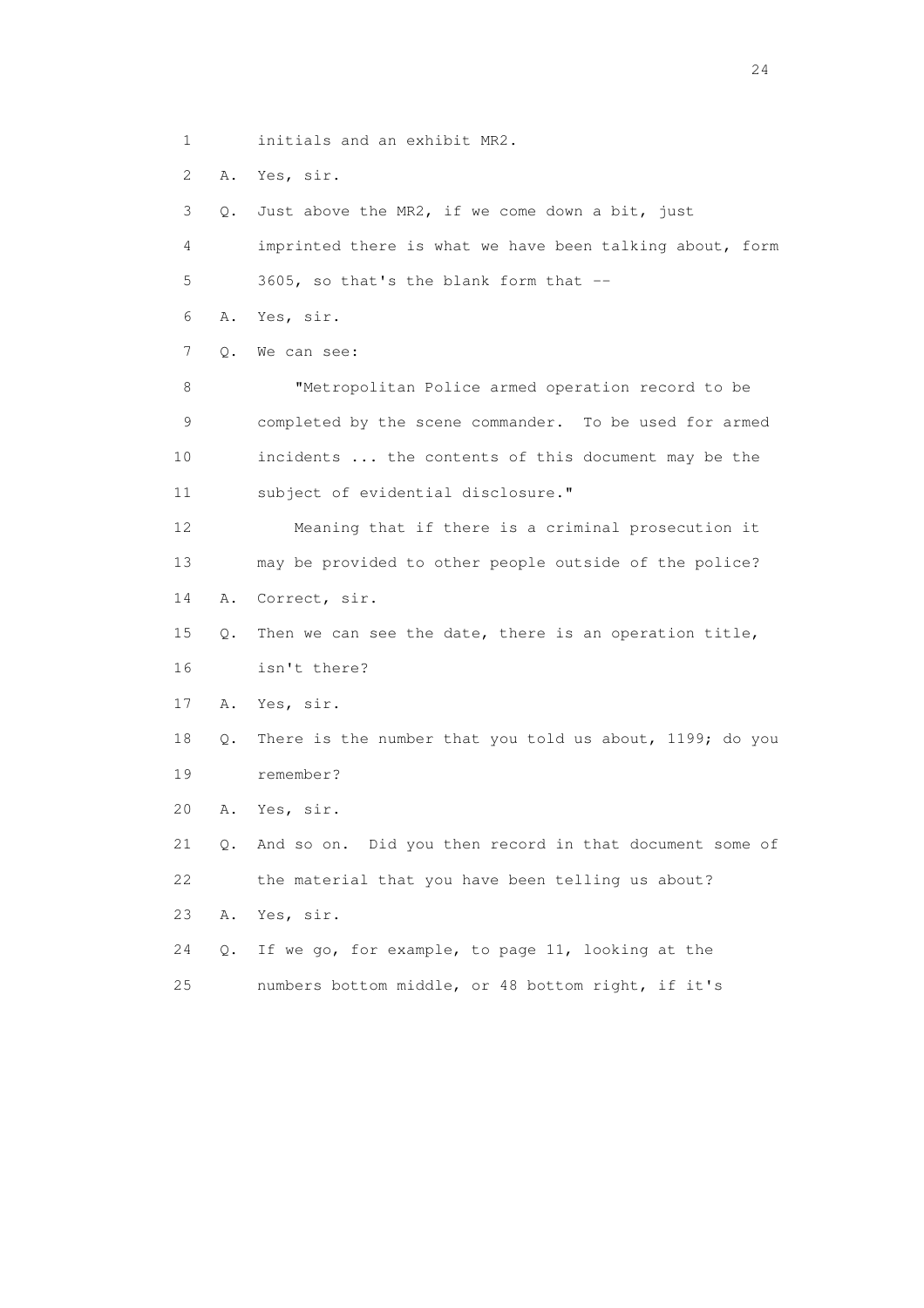1 initials and an exhibit MR2.

2 A. Yes, sir.

 3 Q. Just above the MR2, if we come down a bit, just 4 imprinted there is what we have been talking about, form 5 3605, so that's the blank form that -- 6 A. Yes, sir. 7 Q. We can see: 8 "Metropolitan Police armed operation record to be 9 completed by the scene commander. To be used for armed 10 incidents ... the contents of this document may be the 11 subject of evidential disclosure." 12 Meaning that if there is a criminal prosecution it 13 may be provided to other people outside of the police? 14 A. Correct, sir. 15 Q. Then we can see the date, there is an operation title, 16 isn't there? 17 A. Yes, sir. 18 Q. There is the number that you told us about, 1199; do you 19 remember? 20 A. Yes, sir. 21 Q. And so on. Did you then record in that document some of 22 the material that you have been telling us about? 23 A. Yes, sir. 24 Q. If we go, for example, to page 11, looking at the 25 numbers bottom middle, or 48 bottom right, if it's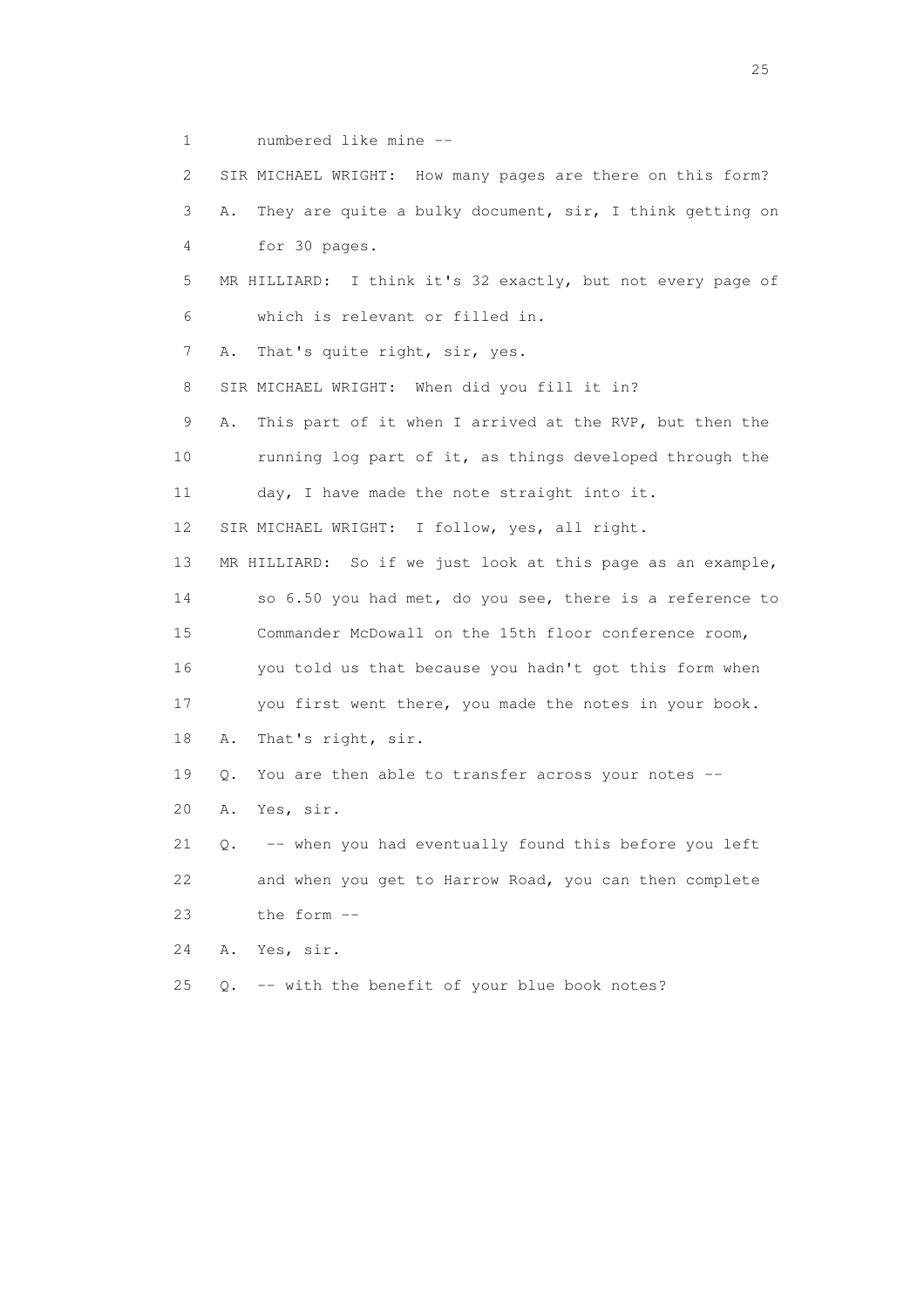1 numbered like mine --

 2 SIR MICHAEL WRIGHT: How many pages are there on this form? 3 A. They are quite a bulky document, sir, I think getting on 4 for 30 pages. 5 MR HILLIARD: I think it's 32 exactly, but not every page of 6 which is relevant or filled in. 7 A. That's quite right, sir, yes. 8 SIR MICHAEL WRIGHT: When did you fill it in? 9 A. This part of it when I arrived at the RVP, but then the 10 running log part of it, as things developed through the 11 day, I have made the note straight into it. 12 SIR MICHAEL WRIGHT: I follow, yes, all right. 13 MR HILLIARD: So if we just look at this page as an example, 14 so 6.50 you had met, do you see, there is a reference to 15 Commander McDowall on the 15th floor conference room, 16 you told us that because you hadn't got this form when 17 you first went there, you made the notes in your book. 18 A. That's right, sir. 19 Q. You are then able to transfer across your notes -- 20 A. Yes, sir. 21 Q. -- when you had eventually found this before you left 22 and when you get to Harrow Road, you can then complete 23 the form -- 24 A. Yes, sir. 25 Q. -- with the benefit of your blue book notes?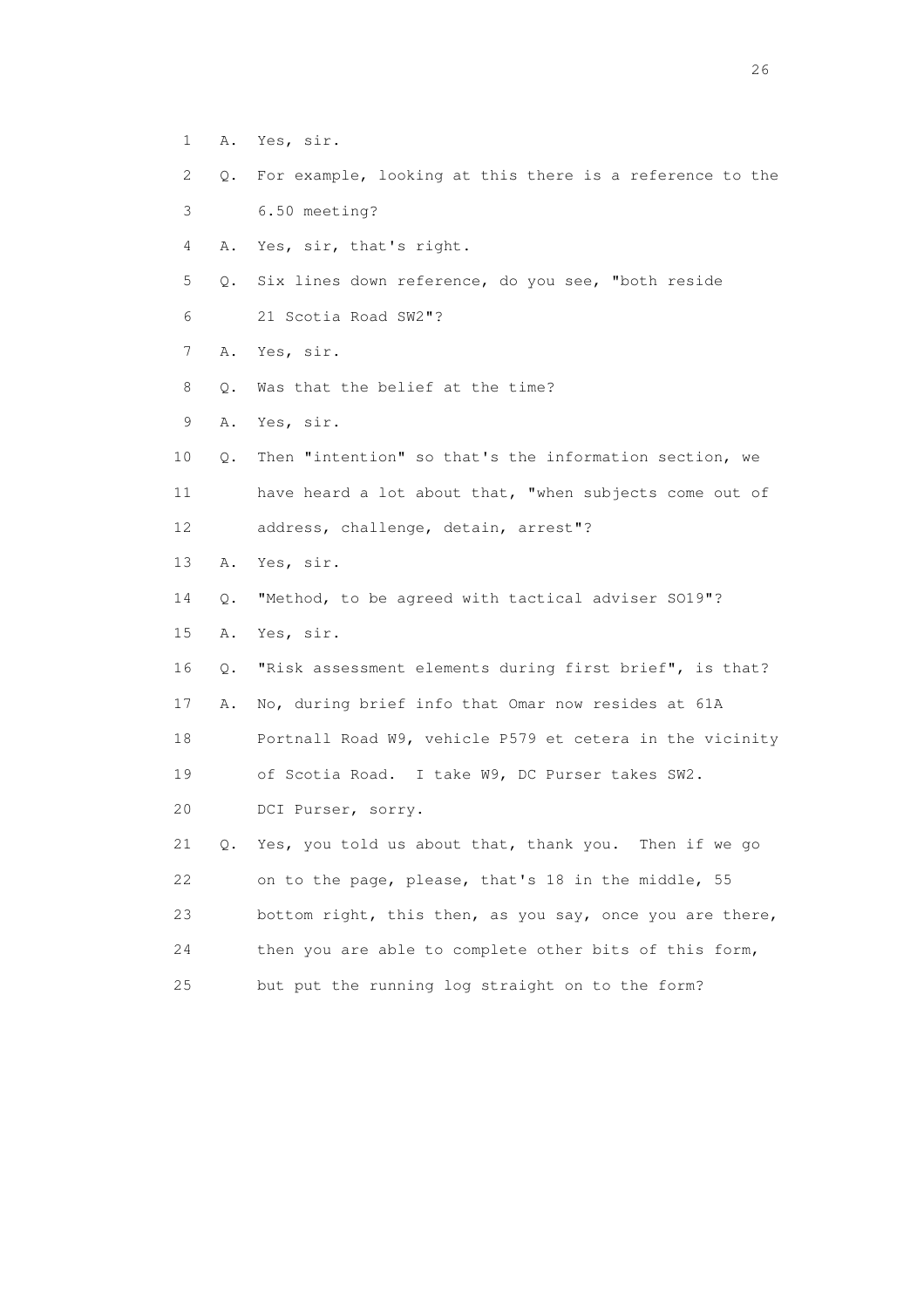- 1 A. Yes, sir.
- 2 Q. For example, looking at this there is a reference to the
- 3 6.50 meeting?
- 4 A. Yes, sir, that's right.
- 5 Q. Six lines down reference, do you see, "both reside
- 6 21 Scotia Road SW2"?
- 7 A. Yes, sir.
- 8 0. Was that the belief at the time?
- 9 A. Yes, sir.
- 10 Q. Then "intention" so that's the information section, we 11 have heard a lot about that, "when subjects come out of 12 address, challenge, detain, arrest"?
- 13 A. Yes, sir.
- 14 Q. "Method, to be agreed with tactical adviser SO19"?
- 15 A. Yes, sir.
- 16 Q. "Risk assessment elements during first brief", is that?
- 17 A. No, during brief info that Omar now resides at 61A
- 18 Portnall Road W9, vehicle P579 et cetera in the vicinity
- 19 of Scotia Road. I take W9, DC Purser takes SW2.
- 20 DCI Purser, sorry.
- 21 Q. Yes, you told us about that, thank you. Then if we go 22 on to the page, please, that's 18 in the middle, 55 23 bottom right, this then, as you say, once you are there, 24 then you are able to complete other bits of this form, 25 but put the running log straight on to the form?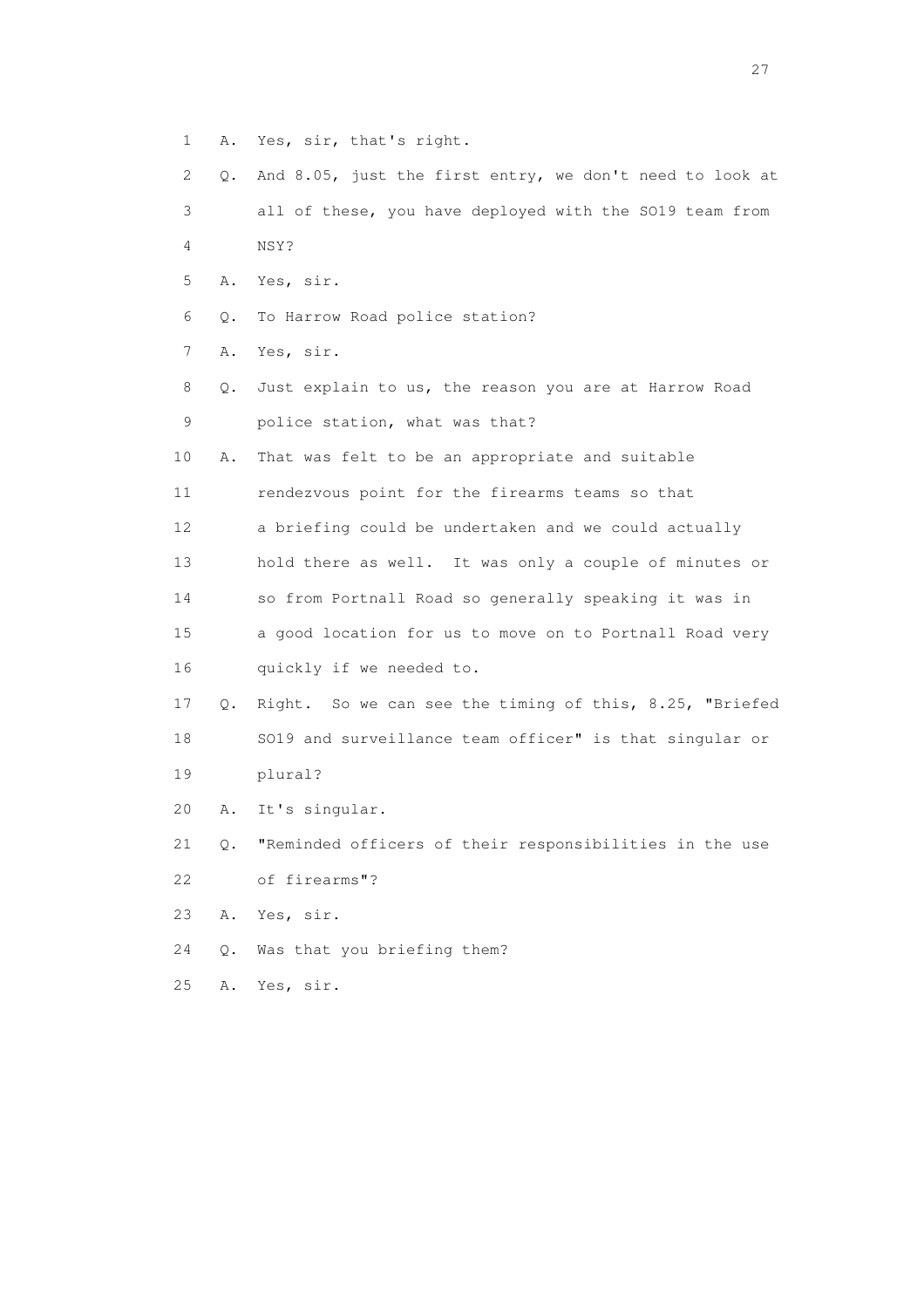- 1 A. Yes, sir, that's right.
- 2 Q. And 8.05, just the first entry, we don't need to look at 3 all of these, you have deployed with the SO19 team from 4 NSY?
- 5 A. Yes, sir.
- 6 Q. To Harrow Road police station?
- 7 A. Yes, sir.
- 8 Q. Just explain to us, the reason you are at Harrow Road 9 police station, what was that?
- 10 A. That was felt to be an appropriate and suitable
- 11 rendezvous point for the firearms teams so that
- 12 a briefing could be undertaken and we could actually
- 13 hold there as well. It was only a couple of minutes or
- 14 so from Portnall Road so generally speaking it was in
- 15 a good location for us to move on to Portnall Road very 16 quickly if we needed to.
- 17 Q. Right. So we can see the timing of this, 8.25, "Briefed 18 SO19 and surveillance team officer" is that singular or 19 plural?
- 20 A. It's singular.
- 21 Q. "Reminded officers of their responsibilities in the use 22 of firearms"?
- 23 A. Yes, sir.
- 24 Q. Was that you briefing them?
- 25 A. Yes, sir.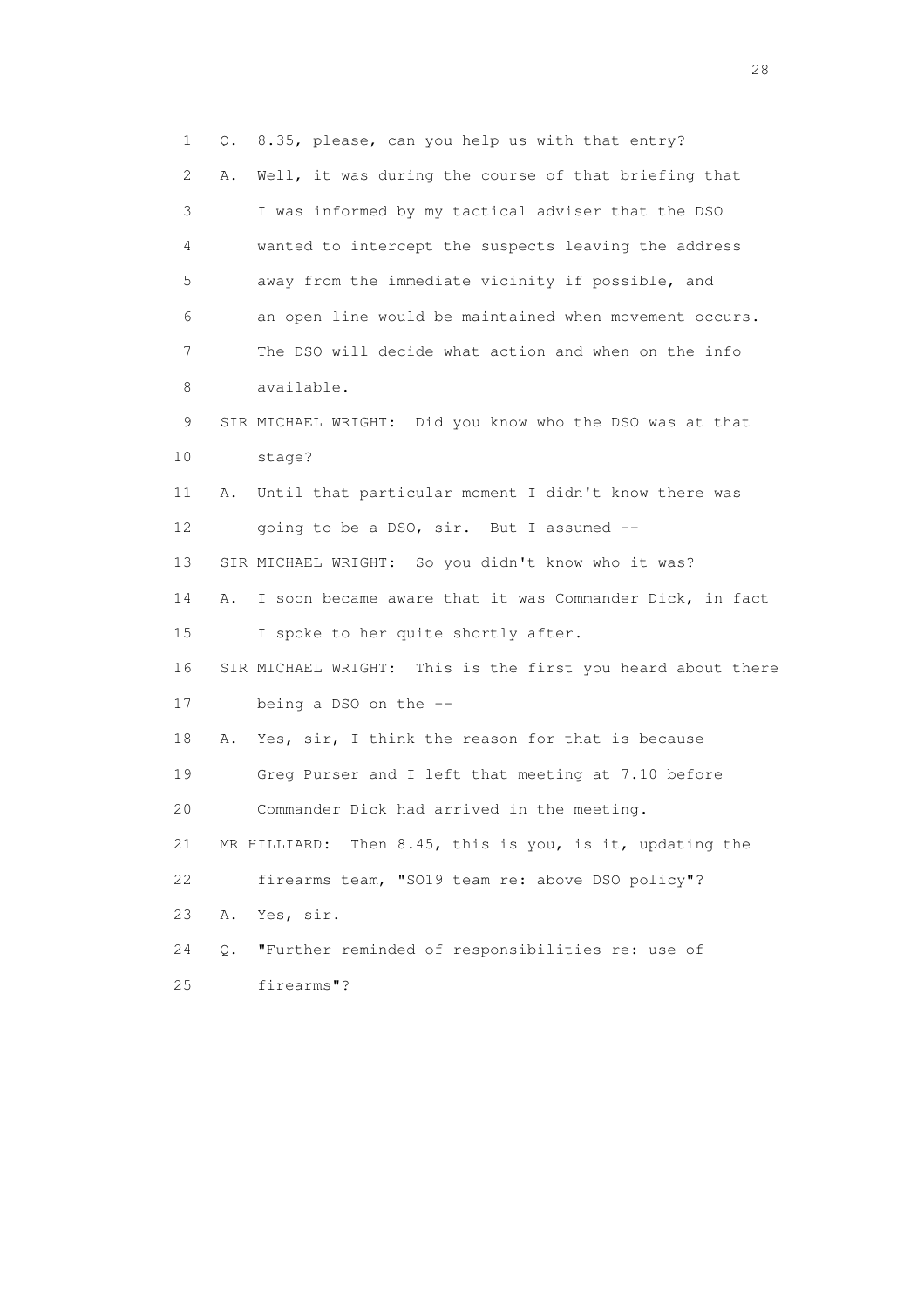1 Q. 8.35, please, can you help us with that entry? 2 A. Well, it was during the course of that briefing that 3 I was informed by my tactical adviser that the DSO 4 wanted to intercept the suspects leaving the address 5 away from the immediate vicinity if possible, and 6 an open line would be maintained when movement occurs. 7 The DSO will decide what action and when on the info 8 available. 9 SIR MICHAEL WRIGHT: Did you know who the DSO was at that 10 stage? 11 A. Until that particular moment I didn't know there was 12 going to be a DSO, sir. But I assumed -- 13 SIR MICHAEL WRIGHT: So you didn't know who it was? 14 A. I soon became aware that it was Commander Dick, in fact 15 I spoke to her quite shortly after. 16 SIR MICHAEL WRIGHT: This is the first you heard about there 17 being a DSO on the -- 18 A. Yes, sir, I think the reason for that is because 19 Greg Purser and I left that meeting at 7.10 before 20 Commander Dick had arrived in the meeting. 21 MR HILLIARD: Then 8.45, this is you, is it, updating the 22 firearms team, "SO19 team re: above DSO policy"? 23 A. Yes, sir. 24 Q. "Further reminded of responsibilities re: use of 25 firearms"?

28 and 28 and 28 and 28 and 28 and 28 and 28 and 28 and 28 and 28 and 28 and 28 and 28 and 28 and 28 and 28 and 28 and 28 and 28 and 28 and 28 and 28 and 28 and 28 and 28 and 28 and 28 and 28 and 28 and 28 and 28 and 28 an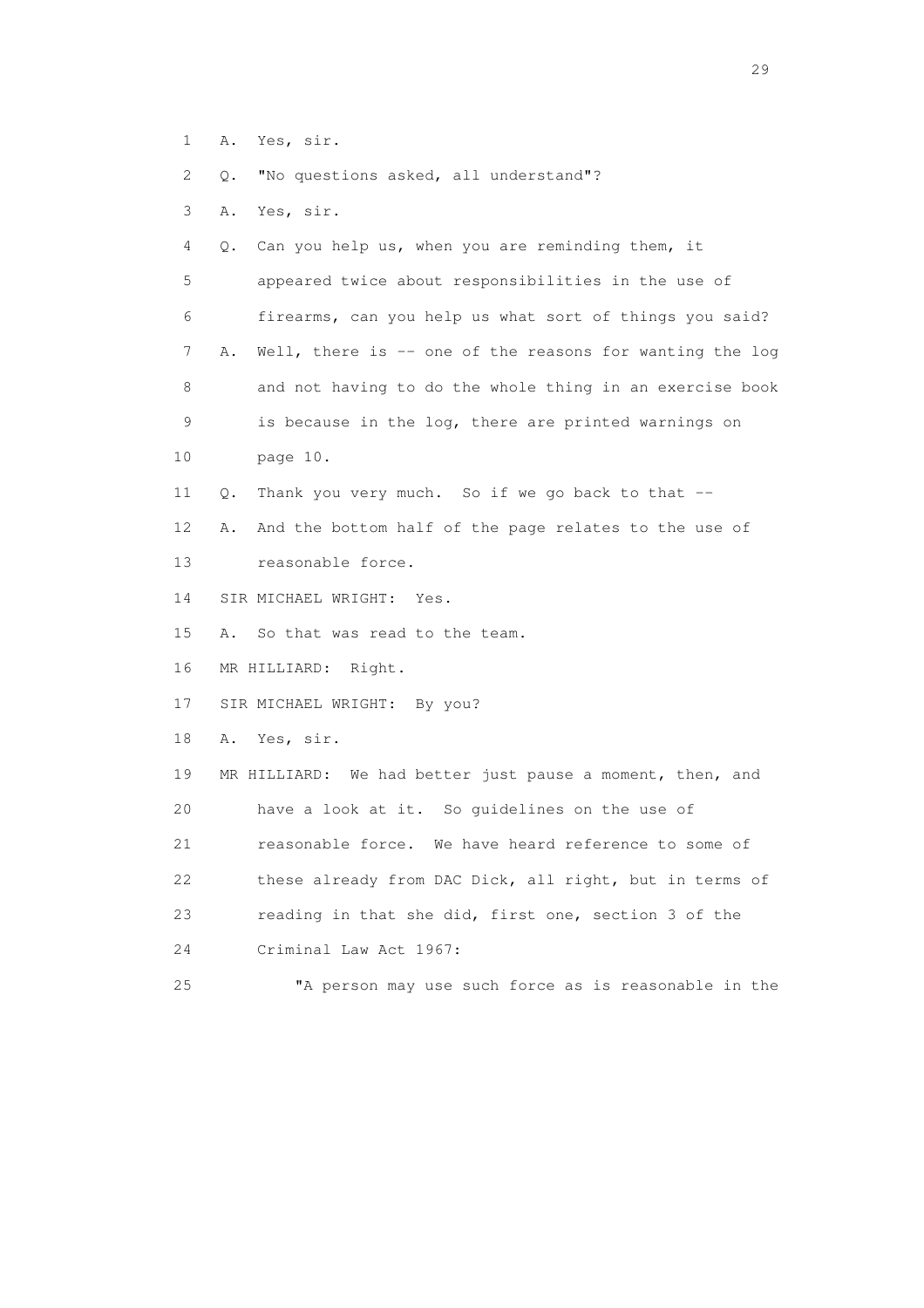- 1 A. Yes, sir.
- 2 Q. "No questions asked, all understand"?
- 3 A. Yes, sir.

 4 Q. Can you help us, when you are reminding them, it 5 appeared twice about responsibilities in the use of 6 firearms, can you help us what sort of things you said? 7 A. Well, there is -- one of the reasons for wanting the log 8 and not having to do the whole thing in an exercise book 9 is because in the log, there are printed warnings on 10 page 10. 11 Q. Thank you very much. So if we go back to that -- 12 A. And the bottom half of the page relates to the use of

- 13 reasonable force.
- 14 SIR MICHAEL WRIGHT: Yes.
- 15 A. So that was read to the team.

16 MR HILLIARD: Right.

17 SIR MICHAEL WRIGHT: By you?

18 A. Yes, sir.

 19 MR HILLIARD: We had better just pause a moment, then, and 20 have a look at it. So guidelines on the use of 21 reasonable force. We have heard reference to some of 22 these already from DAC Dick, all right, but in terms of 23 reading in that she did, first one, section 3 of the 24 Criminal Law Act 1967:

25 "A person may use such force as is reasonable in the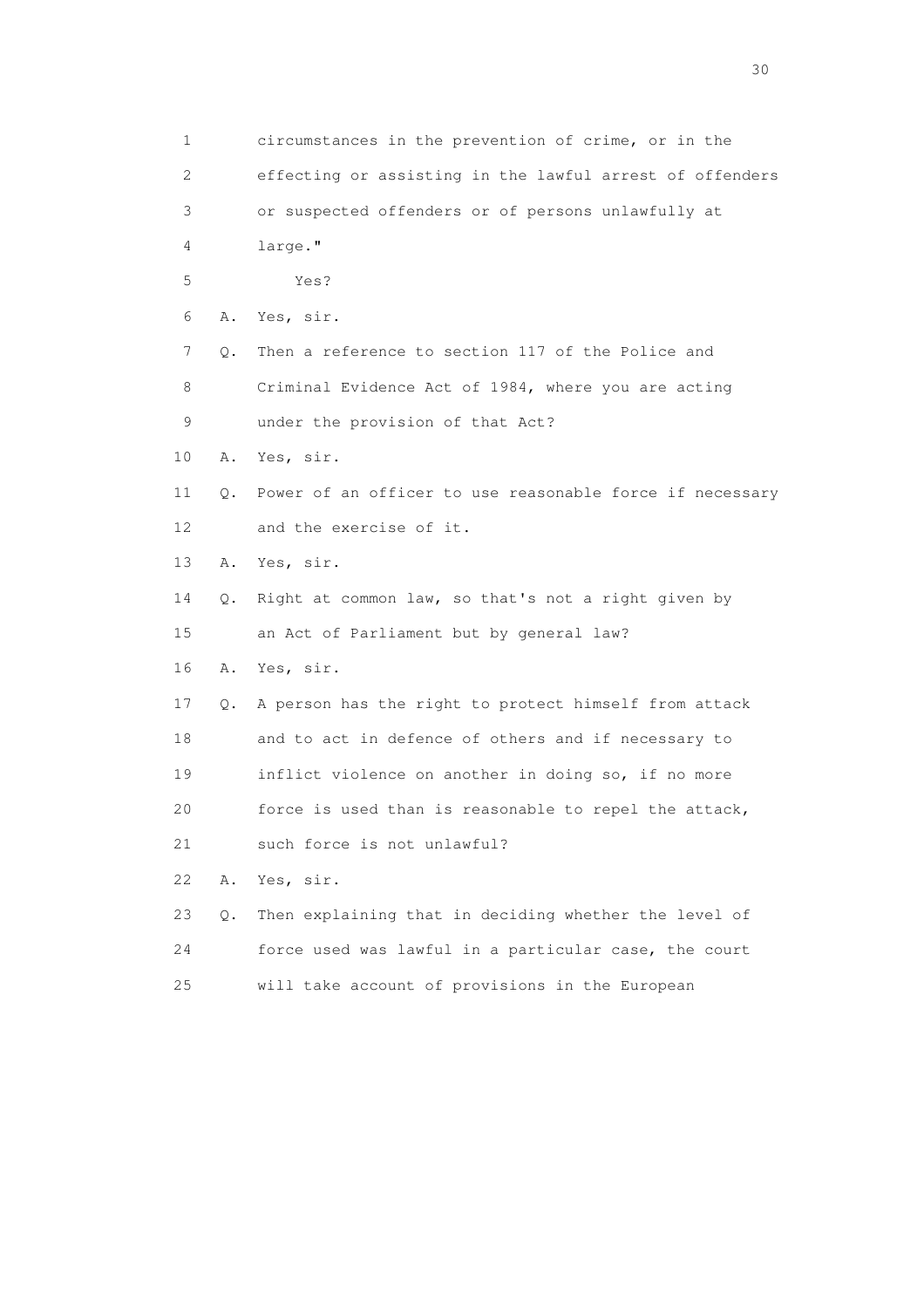| 1              |    | circumstances in the prevention of crime, or in the      |
|----------------|----|----------------------------------------------------------|
| $\overline{2}$ |    | effecting or assisting in the lawful arrest of offenders |
| 3              |    | or suspected offenders or of persons unlawfully at       |
| 4              |    | large."                                                  |
| 5              |    | Yes?                                                     |
| 6              | Α. | Yes, sir.                                                |
| 7              | Q. | Then a reference to section 117 of the Police and        |
| 8              |    | Criminal Evidence Act of 1984, where you are acting      |
| 9              |    | under the provision of that Act?                         |
| 10             | Α. | Yes, sir.                                                |
| 11             | Q. | Power of an officer to use reasonable force if necessary |
| 12             |    | and the exercise of it.                                  |
| 13             | Α. | Yes, sir.                                                |
| 14             | Q. | Right at common law, so that's not a right given by      |
| 15             |    | an Act of Parliament but by general law?                 |
| 16             | Α. | Yes, sir.                                                |
| 17             | Q. | A person has the right to protect himself from attack    |
| 18             |    | and to act in defence of others and if necessary to      |
| 19             |    | inflict violence on another in doing so, if no more      |
| 20             |    | force is used than is reasonable to repel the attack,    |
| 21             |    | such force is not unlawful?                              |
| 22             | Α. | Yes, sir.                                                |
| 23             | Q. | Then explaining that in deciding whether the level of    |
| 24             |    | force used was lawful in a particular case, the court    |
| 25             |    | will take account of provisions in the European          |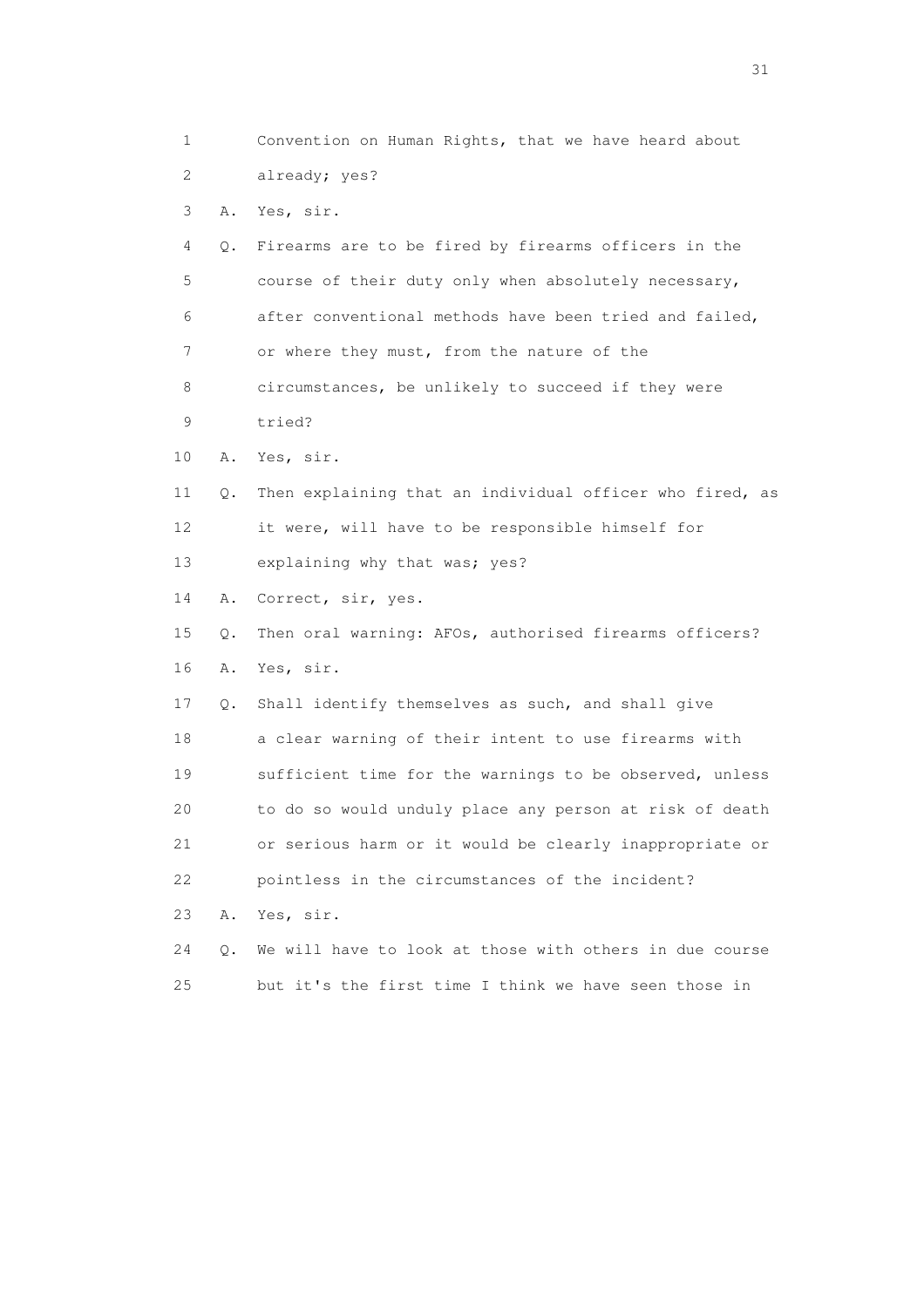1 Convention on Human Rights, that we have heard about 2 already; yes? 3 A. Yes, sir. 4 Q. Firearms are to be fired by firearms officers in the 5 course of their duty only when absolutely necessary, 6 after conventional methods have been tried and failed, 7 or where they must, from the nature of the 8 circumstances, be unlikely to succeed if they were 9 tried? 10 A. Yes, sir. 11 Q. Then explaining that an individual officer who fired, as 12 it were, will have to be responsible himself for 13 explaining why that was; yes? 14 A. Correct, sir, yes. 15 Q. Then oral warning: AFOs, authorised firearms officers? 16 A. Yes, sir. 17 Q. Shall identify themselves as such, and shall give 18 a clear warning of their intent to use firearms with 19 sufficient time for the warnings to be observed, unless 20 to do so would unduly place any person at risk of death 21 or serious harm or it would be clearly inappropriate or 22 pointless in the circumstances of the incident? 23 A. Yes, sir. 24 Q. We will have to look at those with others in due course 25 but it's the first time I think we have seen those in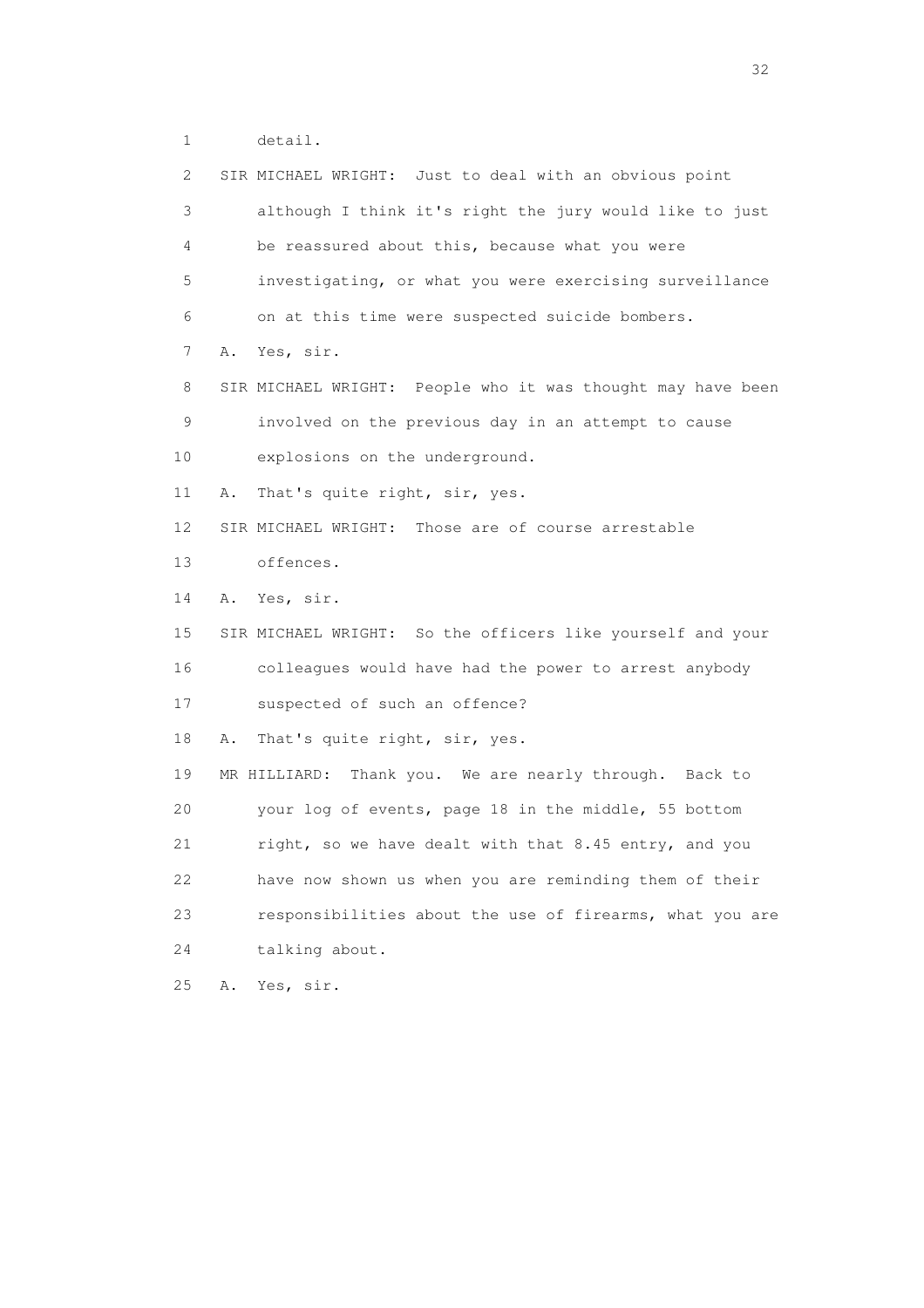1 detail.

| 2  | SIR MICHAEL WRIGHT: Just to deal with an obvious point      |
|----|-------------------------------------------------------------|
| 3  | although I think it's right the jury would like to just     |
| 4  | be reassured about this, because what you were              |
| 5  | investigating, or what you were exercising surveillance     |
| 6  | on at this time were suspected suicide bombers.             |
| 7  | Yes, sir.<br>Α.                                             |
| 8  | SIR MICHAEL WRIGHT: People who it was thought may have been |
| 9  | involved on the previous day in an attempt to cause         |
| 10 | explosions on the underground.                              |
| 11 | That's quite right, sir, yes.<br>Α.                         |
| 12 | SIR MICHAEL WRIGHT: Those are of course arrestable          |
| 13 | offences.                                                   |
| 14 | Yes, sir.<br>Α.                                             |
| 15 | SIR MICHAEL WRIGHT: So the officers like yourself and your  |
| 16 | colleagues would have had the power to arrest anybody       |
| 17 | suspected of such an offence?                               |
| 18 | That's quite right, sir, yes.<br>Α.                         |
| 19 | Thank you. We are nearly through. Back to<br>MR HILLIARD:   |
| 20 | your log of events, page 18 in the middle, 55 bottom        |
| 21 | right, so we have dealt with that 8.45 entry, and you       |
| 22 | have now shown us when you are reminding them of their      |
| 23 | responsibilities about the use of firearms, what you are    |
| 24 | talking about.                                              |
| 25 | Α.<br>Yes, sir.                                             |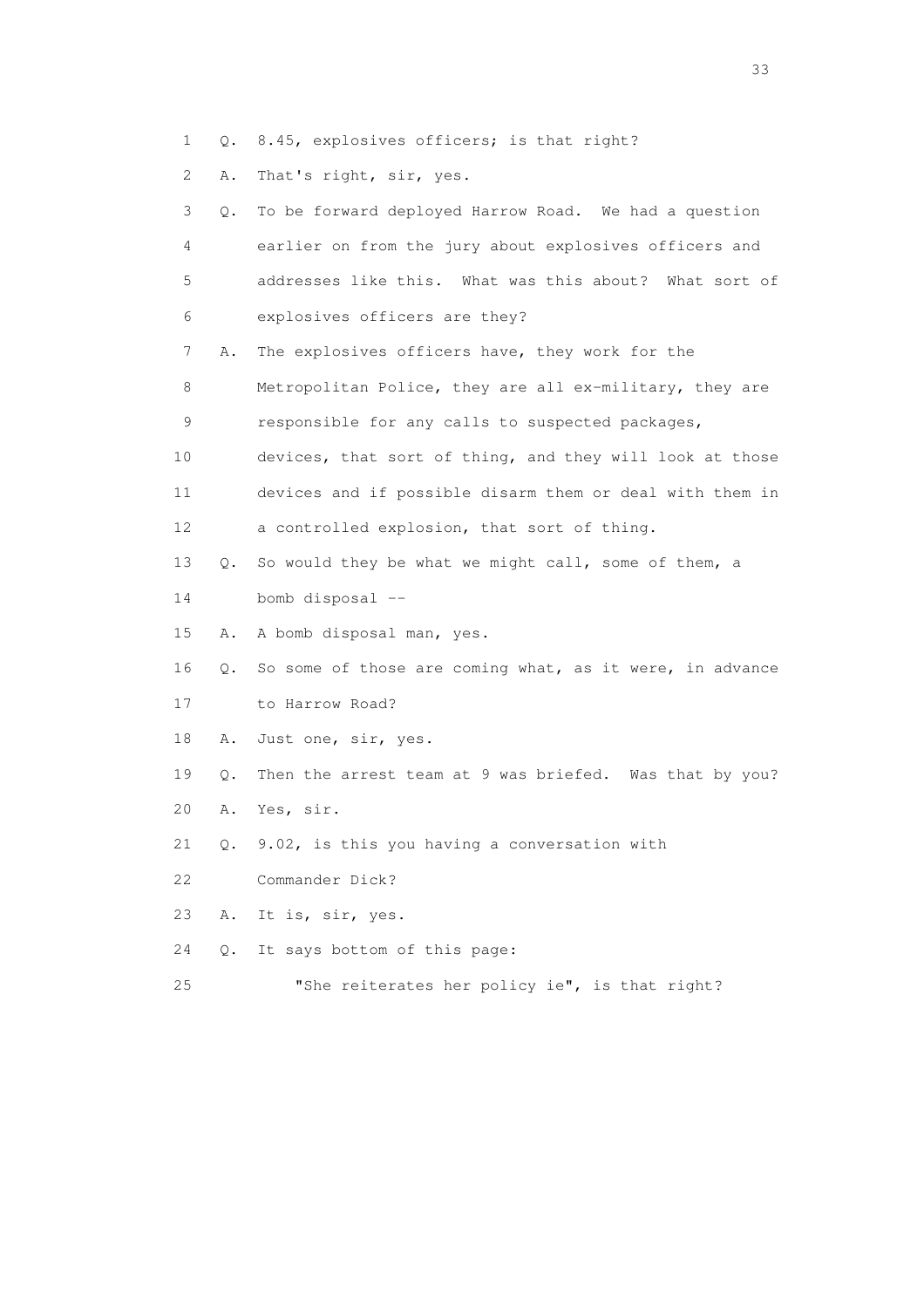1 Q. 8.45, explosives officers; is that right?

2 A. That's right, sir, yes.

| 3  | Q.        | To be forward deployed Harrow Road. We had a question    |
|----|-----------|----------------------------------------------------------|
| 4  |           | earlier on from the jury about explosives officers and   |
| 5  |           | addresses like this. What was this about? What sort of   |
| 6  |           | explosives officers are they?                            |
| 7  | Α.        | The explosives officers have, they work for the          |
| 8  |           | Metropolitan Police, they are all ex-military, they are  |
| 9  |           | responsible for any calls to suspected packages,         |
| 10 |           | devices, that sort of thing, and they will look at those |
| 11 |           | devices and if possible disarm them or deal with them in |
| 12 |           | a controlled explosion, that sort of thing.              |
| 13 | Q.        | So would they be what we might call, some of them, a     |
| 14 |           | bomb disposal $-$                                        |
| 15 | Α.        | A bomb disposal man, yes.                                |
| 16 | $\circ$ . | So some of those are coming what, as it were, in advance |
| 17 |           | to Harrow Road?                                          |
| 18 | Α.        | Just one, sir, yes.                                      |
| 19 | Q.        | Then the arrest team at 9 was briefed. Was that by you?  |
| 20 | Α.        | Yes, sir.                                                |
| 21 | Q.        | 9.02, is this you having a conversation with             |
| 22 |           | Commander Dick?                                          |
| 23 | Α.        | It is, sir, yes.                                         |
| 24 | О.        | It says bottom of this page:                             |
| 25 |           | "She reiterates her policy ie", is that right?           |

<u>33</u> and the state of the state of the state of the state of the state of the state of the state of the state of the state of the state of the state of the state of the state of the state of the state of the state of the s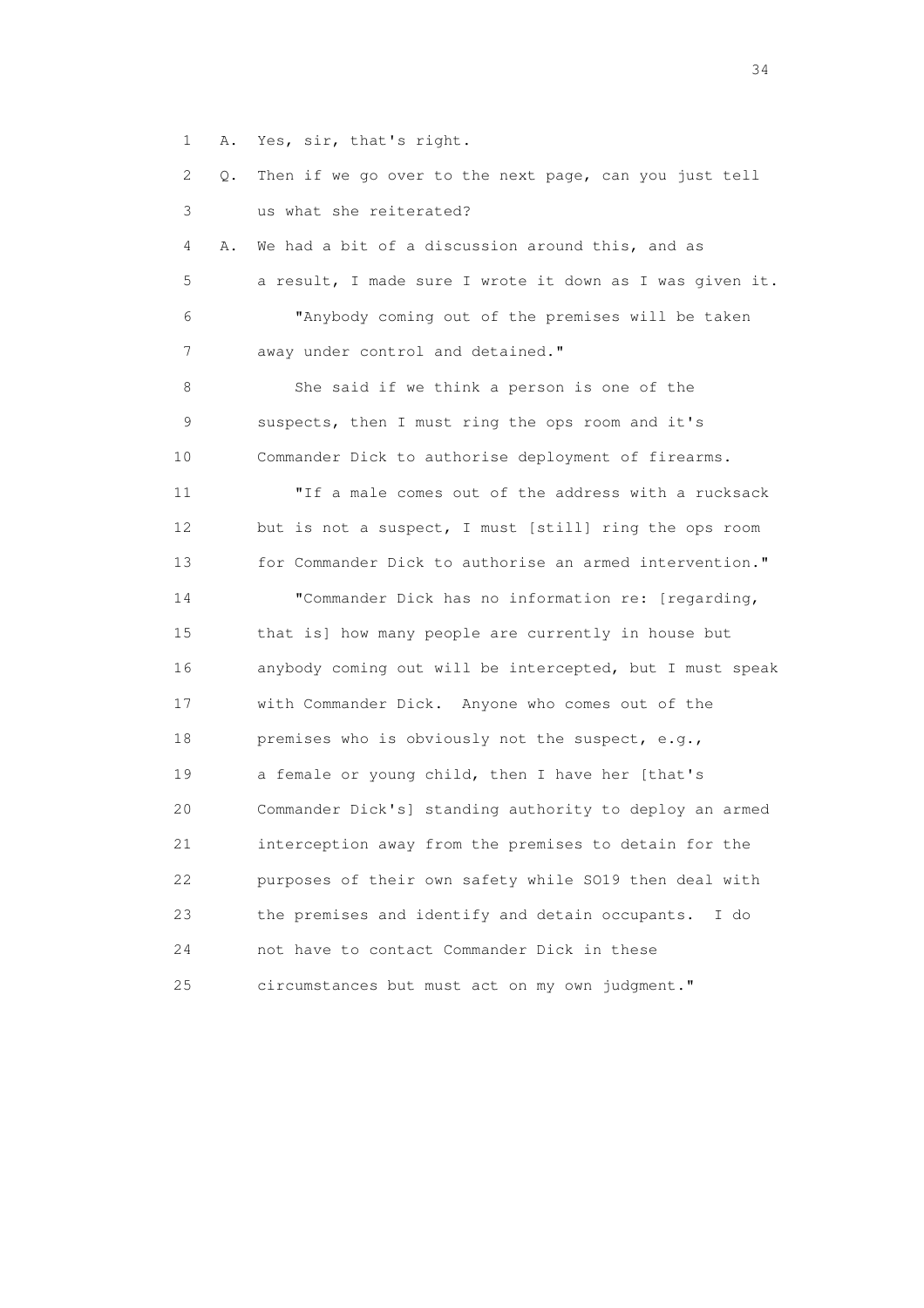1 A. Yes, sir, that's right.

 2 Q. Then if we go over to the next page, can you just tell 3 us what she reiterated? 4 A. We had a bit of a discussion around this, and as 5 a result, I made sure I wrote it down as I was given it. 6 "Anybody coming out of the premises will be taken 7 away under control and detained." 8 She said if we think a person is one of the 9 suspects, then I must ring the ops room and it's 10 Commander Dick to authorise deployment of firearms. 11 "If a male comes out of the address with a rucksack 12 but is not a suspect, I must [still] ring the ops room 13 for Commander Dick to authorise an armed intervention." 14 "Commander Dick has no information re: [regarding, 15 that is] how many people are currently in house but 16 anybody coming out will be intercepted, but I must speak 17 with Commander Dick. Anyone who comes out of the 18 premises who is obviously not the suspect, e.g., 19 a female or young child, then I have her [that's 20 Commander Dick's] standing authority to deploy an armed 21 interception away from the premises to detain for the 22 purposes of their own safety while SO19 then deal with 23 the premises and identify and detain occupants. I do 24 not have to contact Commander Dick in these 25 circumstances but must act on my own judgment."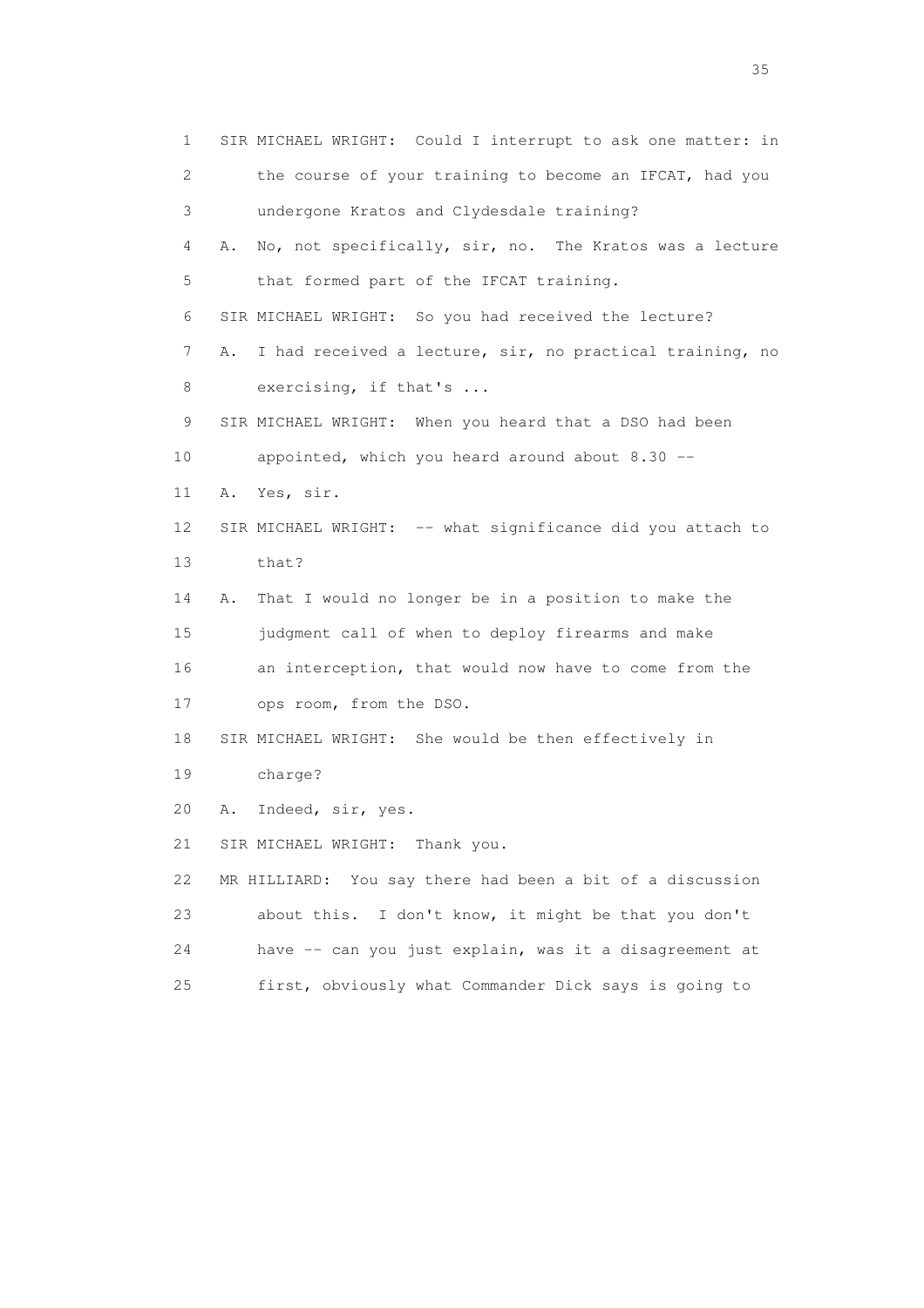1 SIR MICHAEL WRIGHT: Could I interrupt to ask one matter: in 2 the course of your training to become an IFCAT, had you 3 undergone Kratos and Clydesdale training? 4 A. No, not specifically, sir, no. The Kratos was a lecture 5 that formed part of the IFCAT training. 6 SIR MICHAEL WRIGHT: So you had received the lecture? 7 A. I had received a lecture, sir, no practical training, no 8 exercising, if that's ... 9 SIR MICHAEL WRIGHT: When you heard that a DSO had been 10 appointed, which you heard around about 8.30 -- 11 A. Yes, sir. 12 SIR MICHAEL WRIGHT: -- what significance did you attach to 13 that? 14 A. That I would no longer be in a position to make the 15 judgment call of when to deploy firearms and make 16 an interception, that would now have to come from the 17 ops room, from the DSO. 18 SIR MICHAEL WRIGHT: She would be then effectively in 19 charge? 20 A. Indeed, sir, yes. 21 SIR MICHAEL WRIGHT: Thank you. 22 MR HILLIARD: You say there had been a bit of a discussion 23 about this. I don't know, it might be that you don't 24 have -- can you just explain, was it a disagreement at 25 first, obviously what Commander Dick says is going to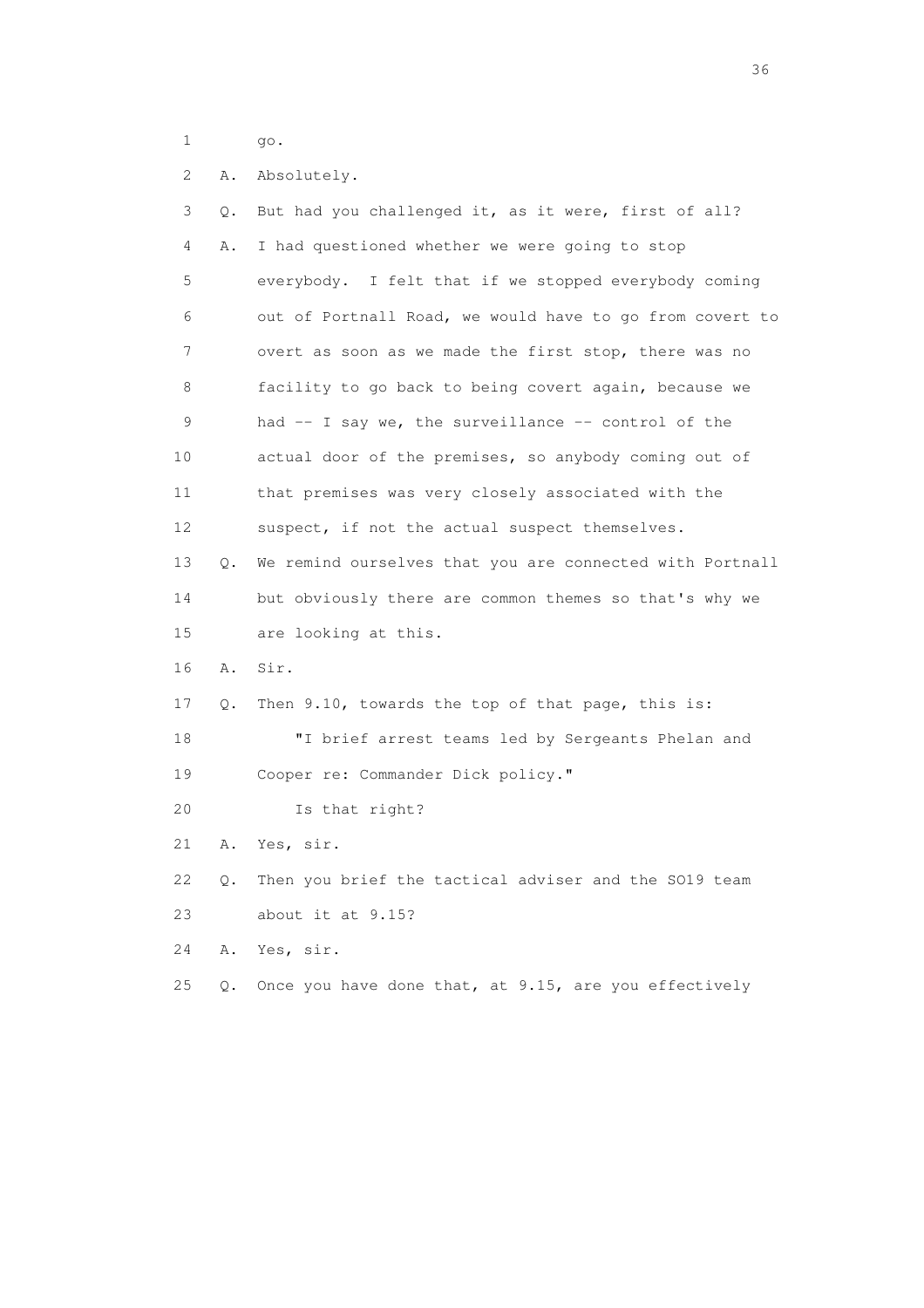1 go.

 2 A. Absolutely. 3 Q. But had you challenged it, as it were, first of all? 4 A. I had questioned whether we were going to stop 5 everybody. I felt that if we stopped everybody coming 6 out of Portnall Road, we would have to go from covert to 7 overt as soon as we made the first stop, there was no 8 facility to go back to being covert again, because we 9 had -- I say we, the surveillance -- control of the 10 actual door of the premises, so anybody coming out of 11 that premises was very closely associated with the 12 suspect, if not the actual suspect themselves. 13 Q. We remind ourselves that you are connected with Portnall 14 but obviously there are common themes so that's why we 15 are looking at this. 16 A. Sir. 17 Q. Then 9.10, towards the top of that page, this is: 18 "I brief arrest teams led by Sergeants Phelan and 19 Cooper re: Commander Dick policy." 20 Is that right? 21 A. Yes, sir. 22 Q. Then you brief the tactical adviser and the SO19 team 23 about it at 9.15? 24 A. Yes, sir. 25 Q. Once you have done that, at 9.15, are you effectively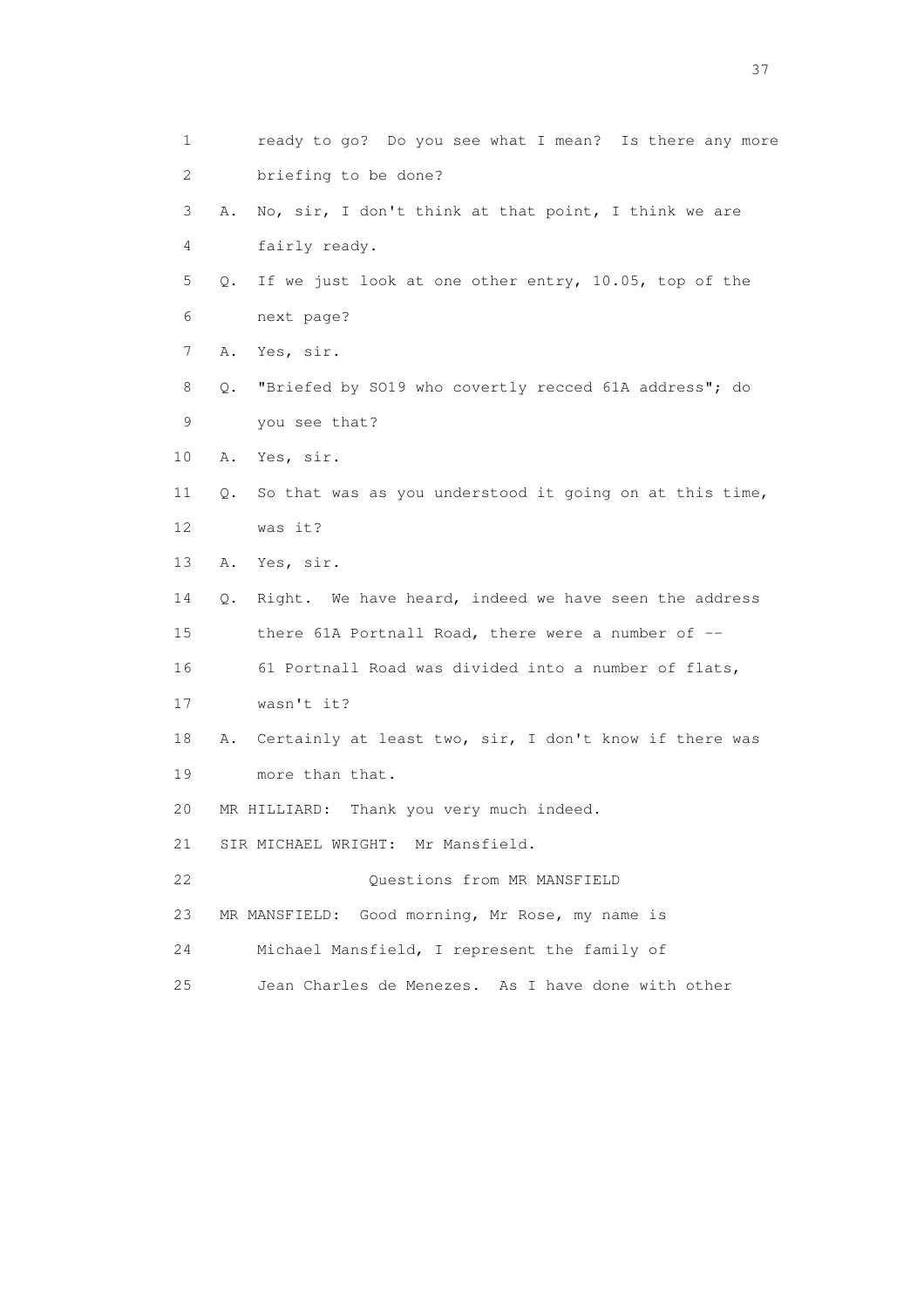1 ready to go? Do you see what I mean? Is there any more 2 briefing to be done? 3 A. No, sir, I don't think at that point, I think we are 4 fairly ready. 5 Q. If we just look at one other entry, 10.05, top of the 6 next page? 7 A. Yes, sir. 8 Q. "Briefed by SO19 who covertly recced 61A address"; do 9 you see that? 10 A. Yes, sir. 11 Q. So that was as you understood it going on at this time, 12 was it? 13 A. Yes, sir. 14 Q. Right. We have heard, indeed we have seen the address 15 there 61A Portnall Road, there were a number of -- 16 61 Portnall Road was divided into a number of flats, 17 wasn't it? 18 A. Certainly at least two, sir, I don't know if there was 19 more than that. 20 MR HILLIARD: Thank you very much indeed. 21 SIR MICHAEL WRIGHT: Mr Mansfield. 22 Questions from MR MANSFIELD 23 MR MANSFIELD: Good morning, Mr Rose, my name is 24 Michael Mansfield, I represent the family of 25 Jean Charles de Menezes. As I have done with other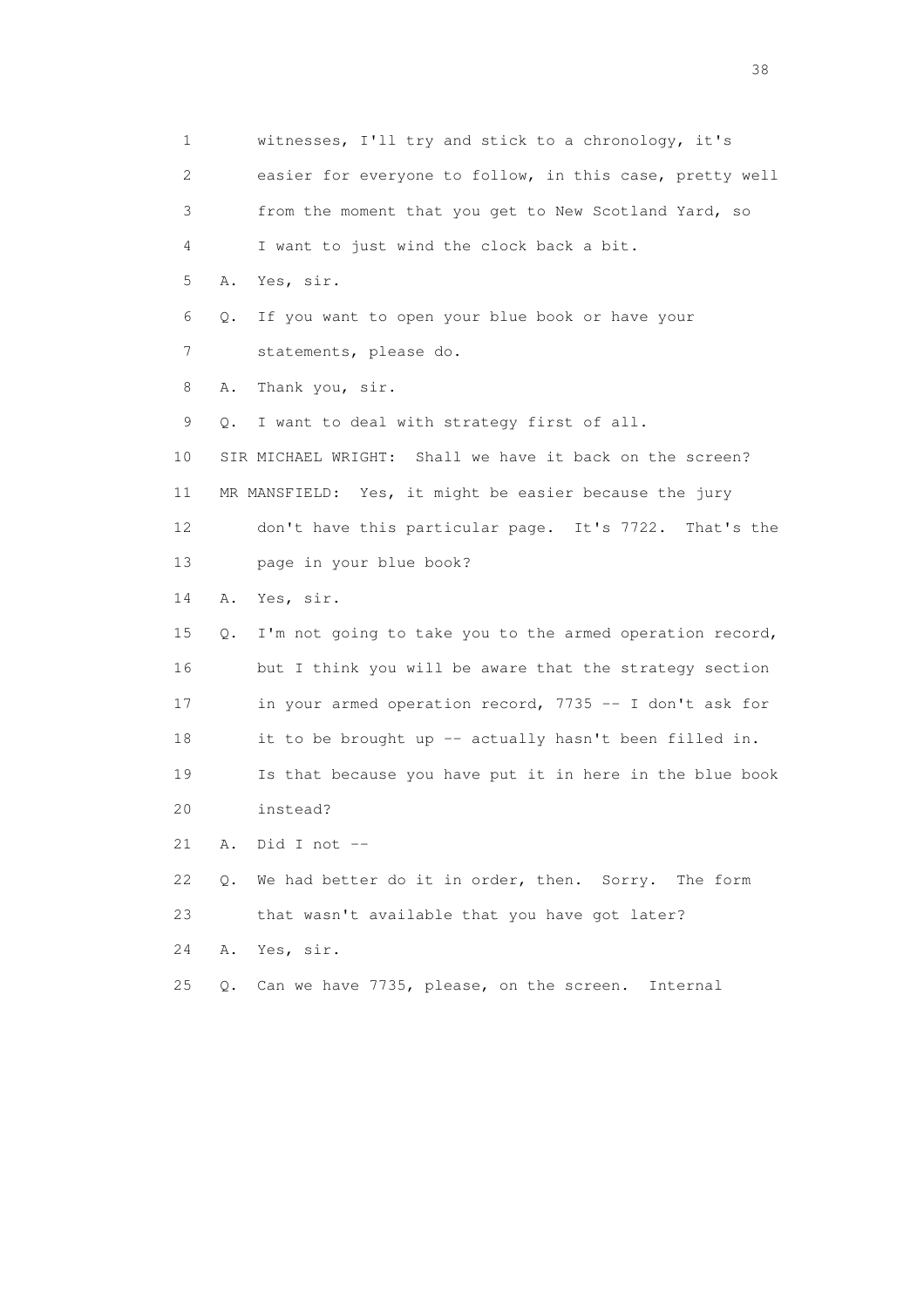1 witnesses, I'll try and stick to a chronology, it's 2 easier for everyone to follow, in this case, pretty well 3 from the moment that you get to New Scotland Yard, so 4 I want to just wind the clock back a bit. 5 A. Yes, sir. 6 Q. If you want to open your blue book or have your 7 statements, please do. 8 A. Thank you, sir. 9 Q. I want to deal with strategy first of all. 10 SIR MICHAEL WRIGHT: Shall we have it back on the screen? 11 MR MANSFIELD: Yes, it might be easier because the jury 12 don't have this particular page. It's 7722. That's the 13 page in your blue book? 14 A. Yes, sir. 15 Q. I'm not going to take you to the armed operation record, 16 but I think you will be aware that the strategy section 17 in your armed operation record, 7735 -- I don't ask for 18 it to be brought up -- actually hasn't been filled in. 19 Is that because you have put it in here in the blue book 20 instead? 21 A. Did I not -- 22 Q. We had better do it in order, then. Sorry. The form 23 that wasn't available that you have got later? 24 A. Yes, sir. 25 Q. Can we have 7735, please, on the screen. Internal

and the state of the state of the state of the state of the state of the state of the state of the state of the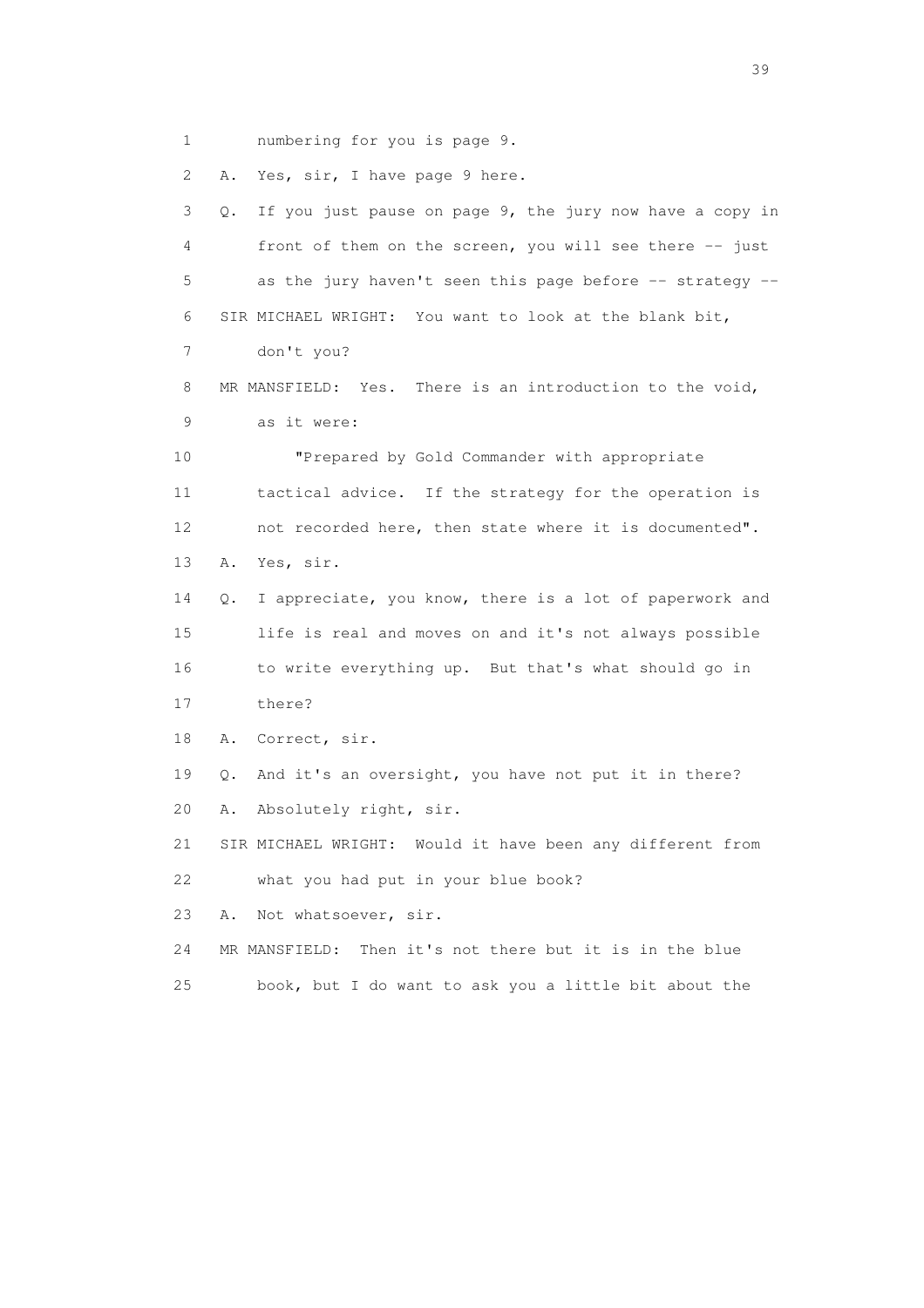1 numbering for you is page 9.

2 A. Yes, sir, I have page 9 here.

 3 Q. If you just pause on page 9, the jury now have a copy in 4 front of them on the screen, you will see there -- just 5 as the jury haven't seen this page before -- strategy -- 6 SIR MICHAEL WRIGHT: You want to look at the blank bit, 7 don't you? 8 MR MANSFIELD: Yes. There is an introduction to the void, 9 as it were: 10 "Prepared by Gold Commander with appropriate 11 tactical advice. If the strategy for the operation is 12 not recorded here, then state where it is documented". 13 A. Yes, sir. 14 Q. I appreciate, you know, there is a lot of paperwork and 15 life is real and moves on and it's not always possible 16 to write everything up. But that's what should go in 17 there? 18 A. Correct, sir. 19 Q. And it's an oversight, you have not put it in there? 20 A. Absolutely right, sir. 21 SIR MICHAEL WRIGHT: Would it have been any different from 22 what you had put in your blue book? 23 A. Not whatsoever, sir. 24 MR MANSFIELD: Then it's not there but it is in the blue 25 book, but I do want to ask you a little bit about the

 $39<sup>2</sup>$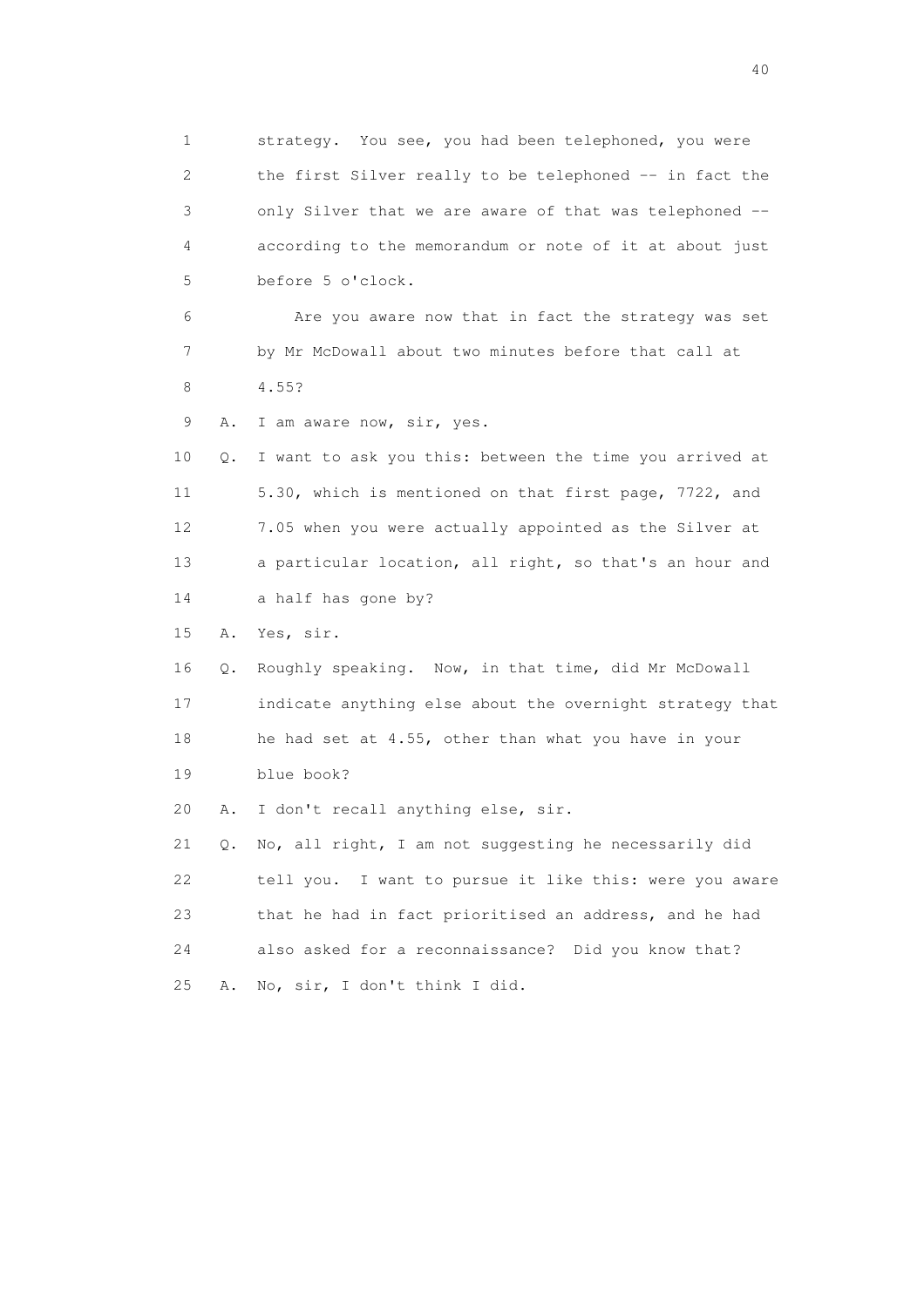1 strategy. You see, you had been telephoned, you were 2 the first Silver really to be telephoned -- in fact the 3 only Silver that we are aware of that was telephoned -- 4 according to the memorandum or note of it at about just 5 before 5 o'clock. 6 Are you aware now that in fact the strategy was set 7 by Mr McDowall about two minutes before that call at 8 4.55? 9 A. I am aware now, sir, yes. 10 Q. I want to ask you this: between the time you arrived at 11 5.30, which is mentioned on that first page, 7722, and 12 7.05 when you were actually appointed as the Silver at 13 a particular location, all right, so that's an hour and 14 a half has gone by? 15 A. Yes, sir. 16 Q. Roughly speaking. Now, in that time, did Mr McDowall 17 indicate anything else about the overnight strategy that 18 he had set at 4.55, other than what you have in your 19 blue book? 20 A. I don't recall anything else, sir. 21 Q. No, all right, I am not suggesting he necessarily did 22 tell you. I want to pursue it like this: were you aware 23 that he had in fact prioritised an address, and he had 24 also asked for a reconnaissance? Did you know that? 25 A. No, sir, I don't think I did.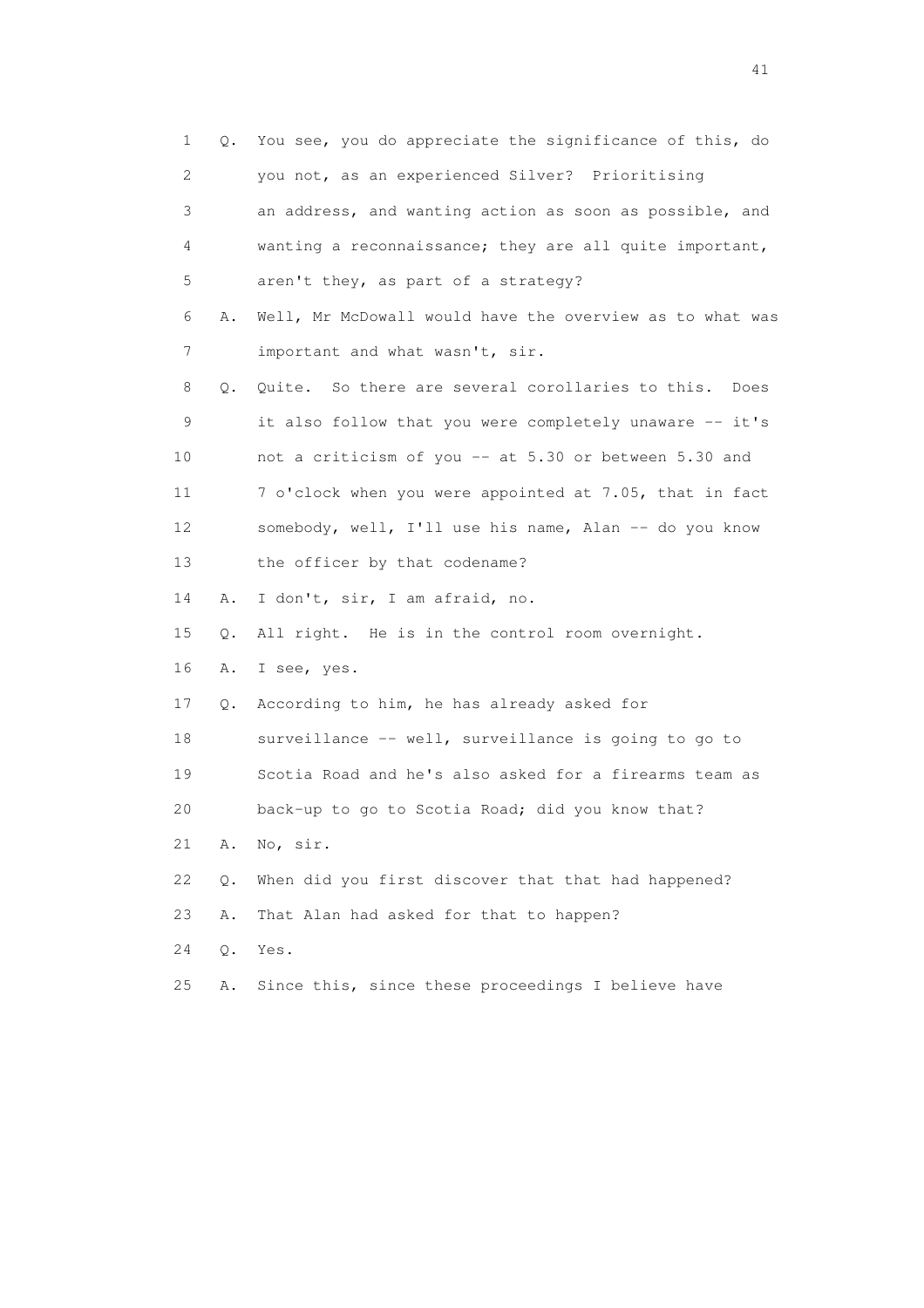| 1                         | Q.    | You see, you do appreciate the significance of this, do  |
|---------------------------|-------|----------------------------------------------------------|
| $\mathbf{2}^{\mathsf{I}}$ |       | you not, as an experienced Silver? Prioritising          |
| 3                         |       | an address, and wanting action as soon as possible, and  |
| 4                         |       | wanting a reconnaissance; they are all quite important,  |
| 5                         |       | aren't they, as part of a strategy?                      |
| 6                         | Α.    | Well, Mr McDowall would have the overview as to what was |
| 7                         |       | important and what wasn't, sir.                          |
| 8                         | Q.    | Quite. So there are several corollaries to this.<br>Does |
| 9                         |       | it also follow that you were completely unaware -- it's  |
| 10                        |       | not a criticism of you -- at 5.30 or between 5.30 and    |
| 11                        |       | 7 o'clock when you were appointed at 7.05, that in fact  |
| 12                        |       | somebody, well, I'll use his name, Alan -- do you know   |
| 13                        |       | the officer by that codename?                            |
| 14                        | Α.    | I don't, sir, I am afraid, no.                           |
| 15                        | Q.    | All right. He is in the control room overnight.          |
| 16                        | Α.    | I see, yes.                                              |
| 17                        | Q.    | According to him, he has already asked for               |
| 18                        |       | surveillance -- well, surveillance is going to go to     |
| 19                        |       | Scotia Road and he's also asked for a firearms team as   |
| 20                        |       | back-up to go to Scotia Road; did you know that?         |
| 21                        | Α.    | No, sir.                                                 |
| 22                        | Q.    | When did you first discover that that had happened?      |
| 23                        | Α.    | That Alan had asked for that to happen?                  |
| 24                        | $Q$ . | Yes.                                                     |
| 25                        | Α.    | Since this, since these proceedings I believe have       |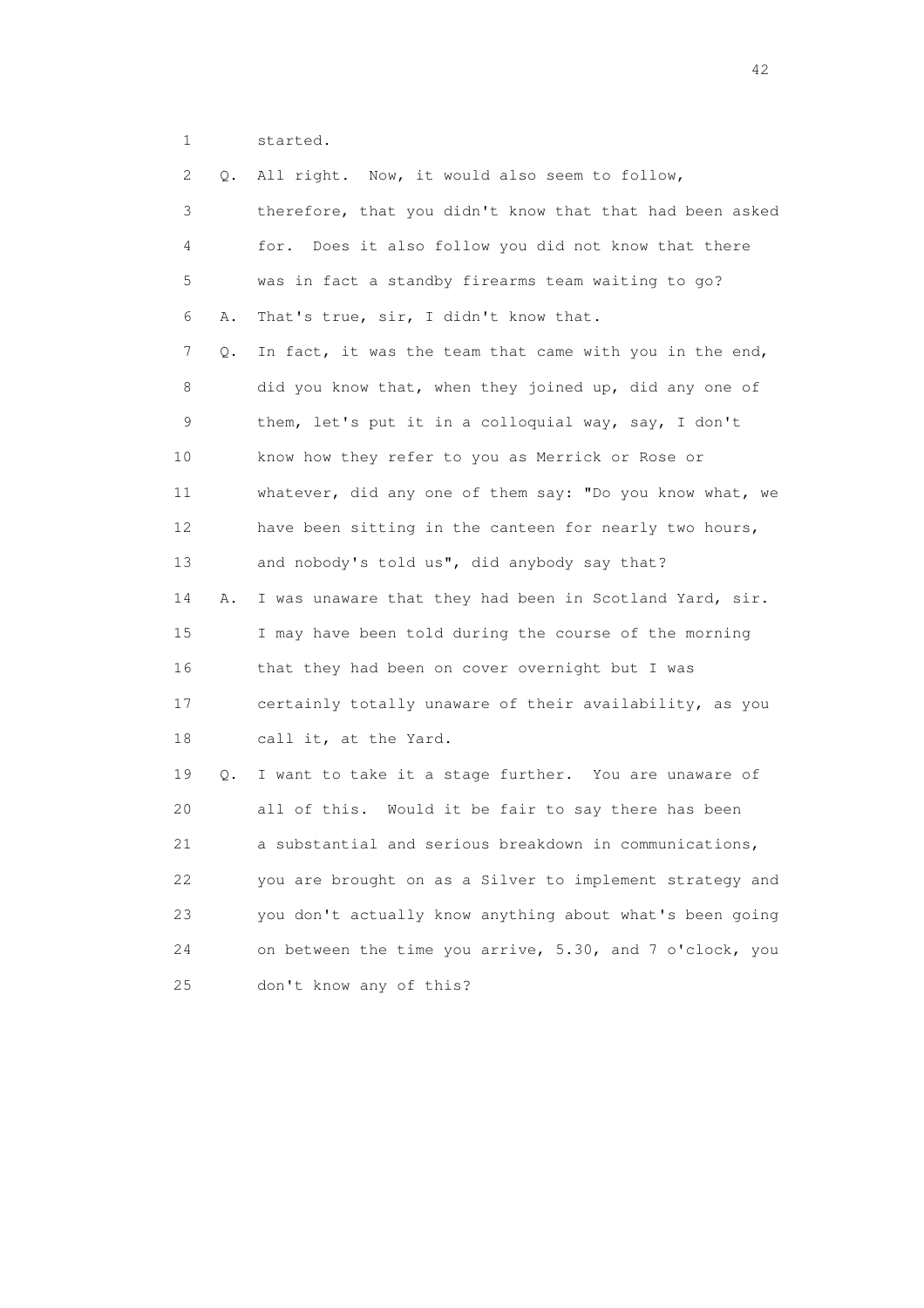1 started.

| 2  | Q. | All right. Now, it would also seem to follow,            |
|----|----|----------------------------------------------------------|
| 3  |    | therefore, that you didn't know that that had been asked |
| 4  |    | for. Does it also follow you did not know that there     |
| 5  |    | was in fact a standby firearms team waiting to go?       |
| 6  | Α. | That's true, sir, I didn't know that.                    |
| 7  | Q. | In fact, it was the team that came with you in the end,  |
| 8  |    | did you know that, when they joined up, did any one of   |
| 9  |    | them, let's put it in a colloquial way, say, I don't     |
| 10 |    | know how they refer to you as Merrick or Rose or         |
| 11 |    | whatever, did any one of them say: "Do you know what, we |
| 12 |    | have been sitting in the canteen for nearly two hours,   |
| 13 |    | and nobody's told us", did anybody say that?             |
| 14 | Α. | I was unaware that they had been in Scotland Yard, sir.  |
| 15 |    | I may have been told during the course of the morning    |
| 16 |    | that they had been on cover overnight but I was          |
| 17 |    | certainly totally unaware of their availability, as you  |
| 18 |    | call it, at the Yard.                                    |
| 19 | Q. | I want to take it a stage further. You are unaware of    |
| 20 |    | all of this. Would it be fair to say there has been      |
| 21 |    | a substantial and serious breakdown in communications,   |
| 22 |    | you are brought on as a Silver to implement strategy and |
| 23 |    | you don't actually know anything about what's been going |
| 24 |    | on between the time you arrive, 5.30, and 7 o'clock, you |
| 25 |    | don't know any of this?                                  |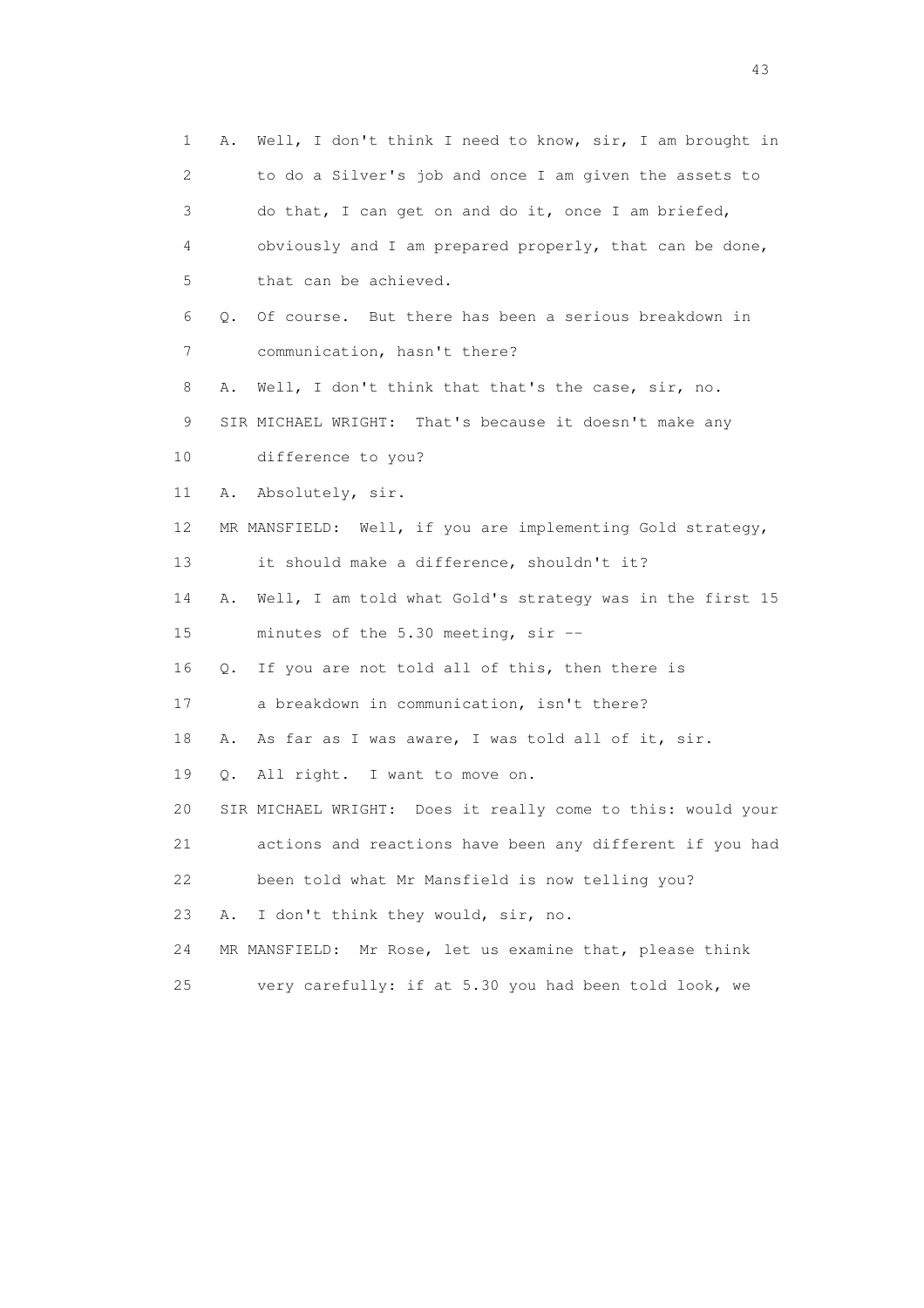1 A. Well, I don't think I need to know, sir, I am brought in 2 to do a Silver's job and once I am given the assets to 3 do that, I can get on and do it, once I am briefed, 4 obviously and I am prepared properly, that can be done, 5 that can be achieved. 6 Q. Of course. But there has been a serious breakdown in 7 communication, hasn't there? 8 A. Well, I don't think that that's the case, sir, no. 9 SIR MICHAEL WRIGHT: That's because it doesn't make any 10 difference to you? 11 A. Absolutely, sir. 12 MR MANSFIELD: Well, if you are implementing Gold strategy, 13 it should make a difference, shouldn't it? 14 A. Well, I am told what Gold's strategy was in the first 15 15 minutes of the 5.30 meeting, sir -- 16 Q. If you are not told all of this, then there is 17 a breakdown in communication, isn't there? 18 A. As far as I was aware, I was told all of it, sir. 19 Q. All right. I want to move on. 20 SIR MICHAEL WRIGHT: Does it really come to this: would your 21 actions and reactions have been any different if you had 22 been told what Mr Mansfield is now telling you? 23 A. I don't think they would, sir, no. 24 MR MANSFIELD: Mr Rose, let us examine that, please think 25 very carefully: if at 5.30 you had been told look, we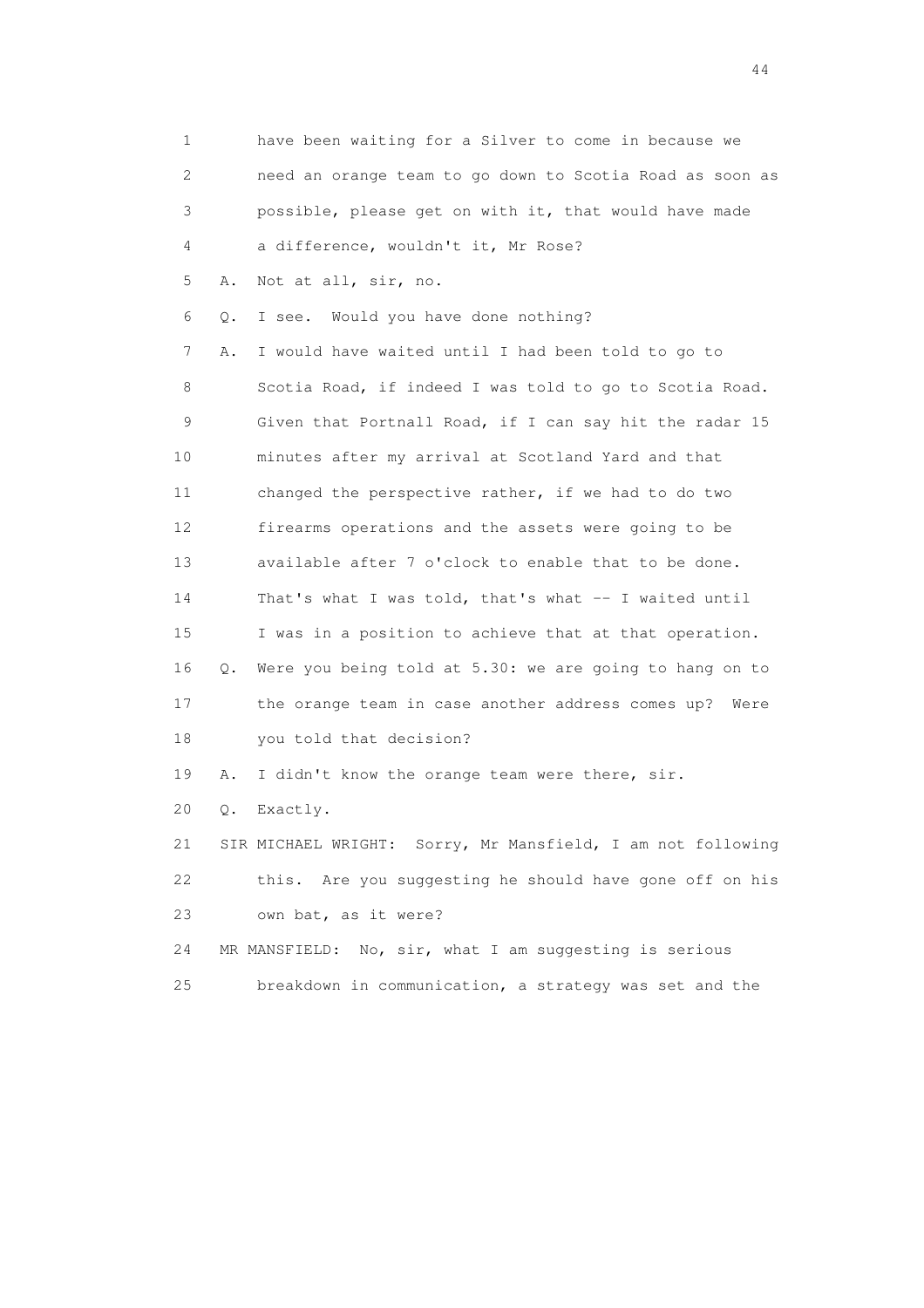| 1                         |    | have been waiting for a Silver to come in because we        |
|---------------------------|----|-------------------------------------------------------------|
| $\mathbf{2}^{\mathsf{I}}$ |    | need an orange team to go down to Scotia Road as soon as    |
| 3                         |    | possible, please get on with it, that would have made       |
| 4                         |    | a difference, wouldn't it, Mr Rose?                         |
| 5                         | Α. | Not at all, sir, no.                                        |
| 6                         | Q. | I see. Would you have done nothing?                         |
| 7                         | Α. | I would have waited until I had been told to go to          |
| 8                         |    | Scotia Road, if indeed I was told to go to Scotia Road.     |
| 9                         |    | Given that Portnall Road, if I can say hit the radar 15     |
| 10                        |    | minutes after my arrival at Scotland Yard and that          |
| 11                        |    | changed the perspective rather, if we had to do two         |
| 12                        |    | firearms operations and the assets were going to be         |
| 13                        |    | available after 7 o'clock to enable that to be done.        |
| 14                        |    | That's what I was told, that's what -- I waited until       |
| 15                        |    | I was in a position to achieve that at that operation.      |
| 16                        | Q. | Were you being told at 5.30: we are going to hang on to     |
| 17                        |    | the orange team in case another address comes up? Were      |
| 18                        |    | you told that decision?                                     |
| 19                        | Α. | I didn't know the orange team were there, sir.              |
| 20                        | Q. | Exactly.                                                    |
| 21                        |    | SIR MICHAEL WRIGHT: Sorry, Mr Mansfield, I am not following |
| 22                        |    | this. Are you suggesting he should have gone off on his     |
| 23                        |    | own bat, as it were?                                        |
| 24                        |    | MR MANSFIELD: No, sir, what I am suggesting is serious      |
| 25                        |    | breakdown in communication, a strategy was set and the      |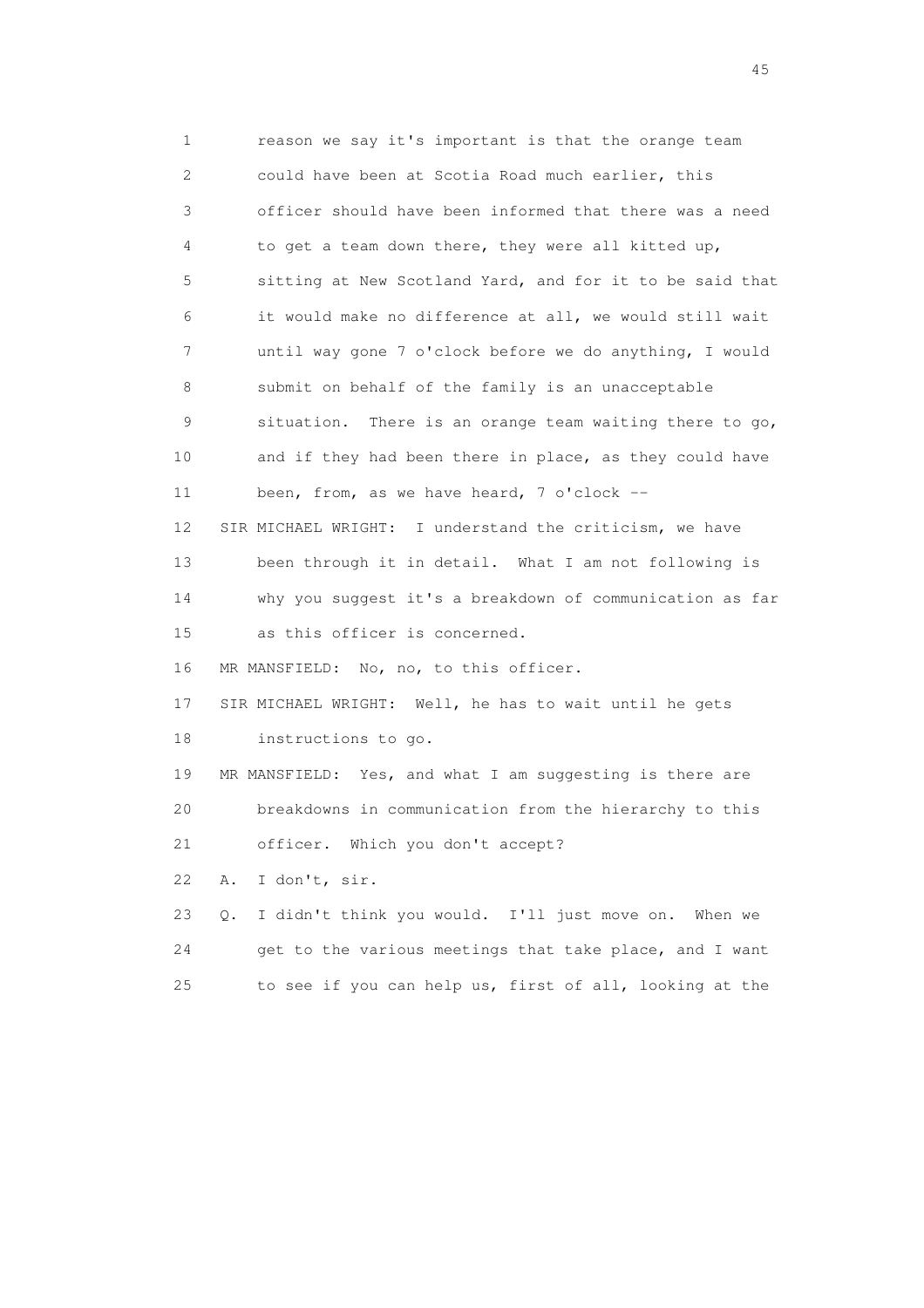1 reason we say it's important is that the orange team 2 could have been at Scotia Road much earlier, this 3 officer should have been informed that there was a need 4 to get a team down there, they were all kitted up, 5 sitting at New Scotland Yard, and for it to be said that 6 it would make no difference at all, we would still wait 7 until way gone 7 o'clock before we do anything, I would 8 submit on behalf of the family is an unacceptable 9 situation. There is an orange team waiting there to go, 10 and if they had been there in place, as they could have 11 been, from, as we have heard, 7 o'clock -- 12 SIR MICHAEL WRIGHT: I understand the criticism, we have 13 been through it in detail. What I am not following is 14 why you suggest it's a breakdown of communication as far 15 as this officer is concerned. 16 MR MANSFIELD: No, no, to this officer. 17 SIR MICHAEL WRIGHT: Well, he has to wait until he gets 18 instructions to go. 19 MR MANSFIELD: Yes, and what I am suggesting is there are 20 breakdowns in communication from the hierarchy to this 21 officer. Which you don't accept? 22 A. I don't, sir. 23 Q. I didn't think you would. I'll just move on. When we 24 get to the various meetings that take place, and I want 25 to see if you can help us, first of all, looking at the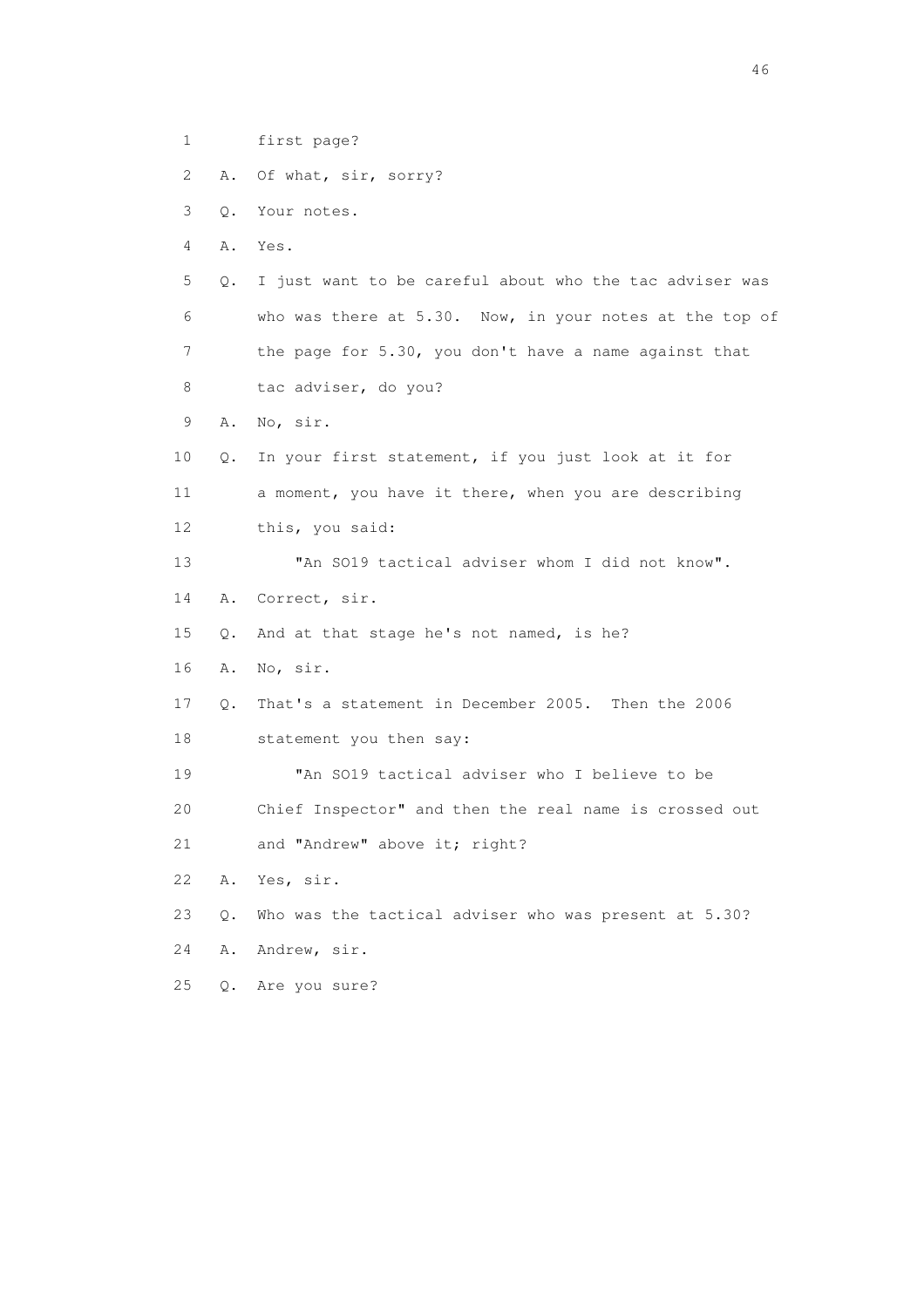2 A. Of what, sir, sorry? 3 Q. Your notes. 4 A. Yes. 5 Q. I just want to be careful about who the tac adviser was 6 who was there at 5.30. Now, in your notes at the top of 7 the page for 5.30, you don't have a name against that 8 tac adviser, do you? 9 A. No, sir. 10 Q. In your first statement, if you just look at it for 11 a moment, you have it there, when you are describing 12 this, you said: 13 "An SO19 tactical adviser whom I did not know". 14 A. Correct, sir. 15 Q. And at that stage he's not named, is he? 16 A. No, sir. 17 Q. That's a statement in December 2005. Then the 2006 18 statement you then say: 19 "An SO19 tactical adviser who I believe to be 20 Chief Inspector" and then the real name is crossed out 21 and "Andrew" above it; right? 22 A. Yes, sir. 23 Q. Who was the tactical adviser who was present at 5.30? 24 A. Andrew, sir. 25 Q. Are you sure?

1 first page?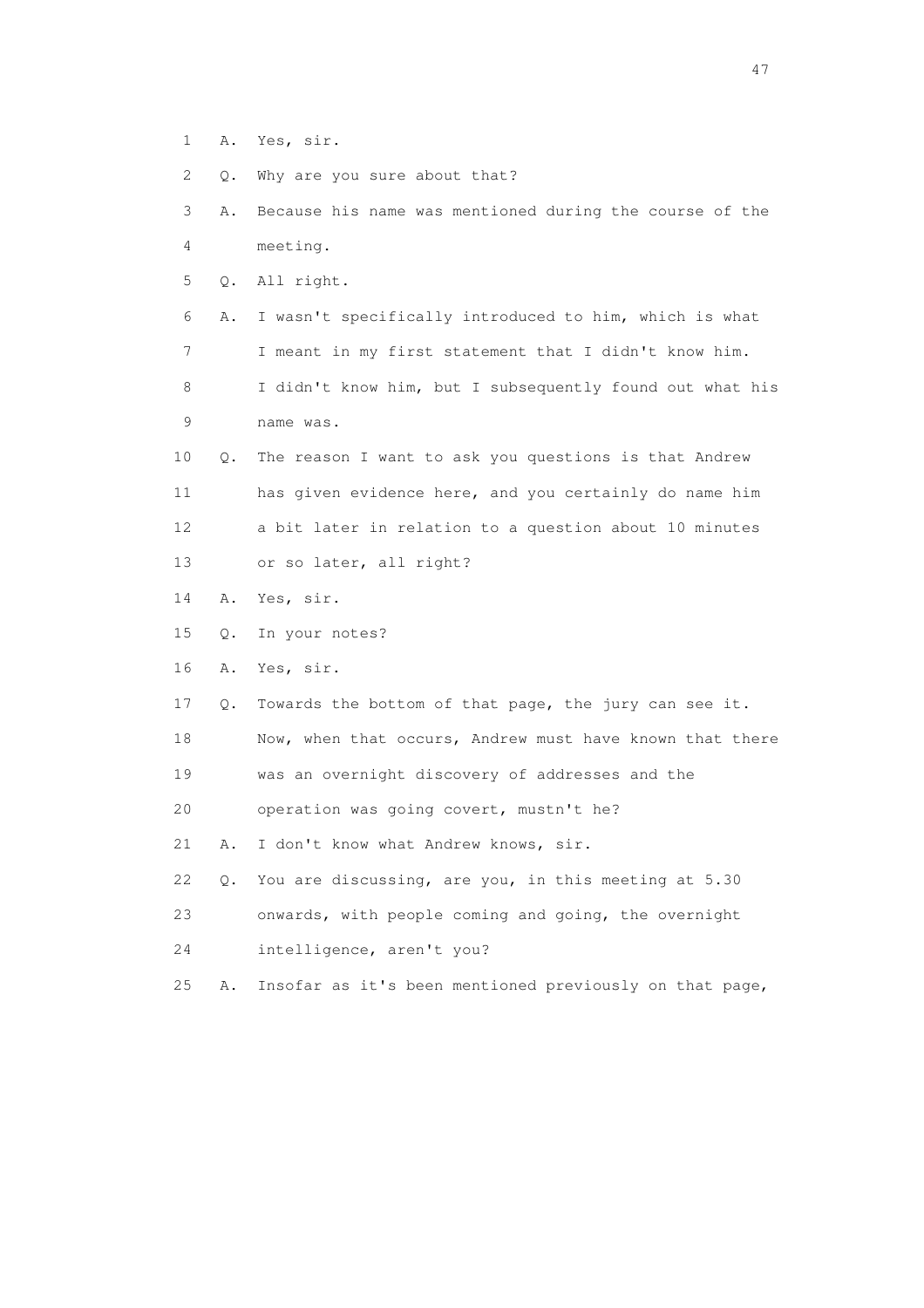- 1 A. Yes, sir.
- 2 Q. Why are you sure about that?
- 3 A. Because his name was mentioned during the course of the 4 meeting.
- 5 Q. All right.
- 6 A. I wasn't specifically introduced to him, which is what 7 I meant in my first statement that I didn't know him. 8 I didn't know him, but I subsequently found out what his
- 9 name was.
- 10 Q. The reason I want to ask you questions is that Andrew 11 has given evidence here, and you certainly do name him 12 a bit later in relation to a question about 10 minutes 13 or so later, all right?
- 14 A. Yes, sir.
- 15 Q. In your notes?
- 16 A. Yes, sir.
- 17 Q. Towards the bottom of that page, the jury can see it.
- 18 Now, when that occurs, Andrew must have known that there
- 19 was an overnight discovery of addresses and the
- 20 operation was going covert, mustn't he?

21 A. I don't know what Andrew knows, sir.

- 22 Q. You are discussing, are you, in this meeting at 5.30
- 23 onwards, with people coming and going, the overnight
- 24 intelligence, aren't you?
- 25 A. Insofar as it's been mentioned previously on that page,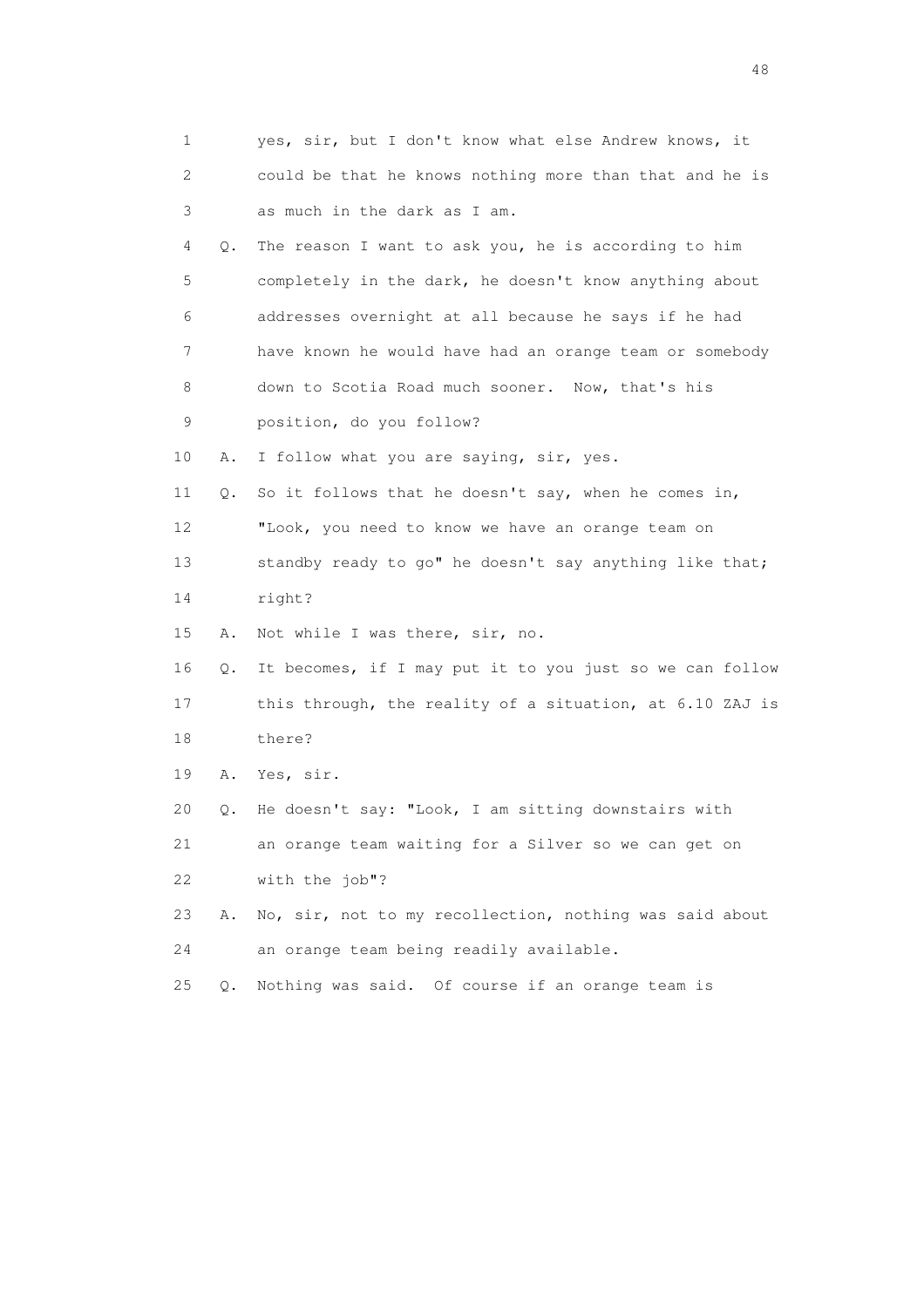| 1  |           | yes, sir, but I don't know what else Andrew knows, it    |
|----|-----------|----------------------------------------------------------|
| 2  |           | could be that he knows nothing more than that and he is  |
| 3  |           | as much in the dark as I am.                             |
| 4  | Q.        | The reason I want to ask you, he is according to him     |
| 5  |           | completely in the dark, he doesn't know anything about   |
| 6  |           | addresses overnight at all because he says if he had     |
| 7  |           | have known he would have had an orange team or somebody  |
| 8  |           | down to Scotia Road much sooner. Now, that's his         |
| 9  |           | position, do you follow?                                 |
| 10 | Α.        | I follow what you are saying, sir, yes.                  |
| 11 | Q.        | So it follows that he doesn't say, when he comes in,     |
| 12 |           | "Look, you need to know we have an orange team on        |
| 13 |           | standby ready to go" he doesn't say anything like that;  |
| 14 |           | right?                                                   |
| 15 | Α.        | Not while I was there, sir, no.                          |
| 16 | Q.        | It becomes, if I may put it to you just so we can follow |
| 17 |           | this through, the reality of a situation, at 6.10 ZAJ is |
| 18 |           | there?                                                   |
| 19 | Α.        | Yes, sir.                                                |
| 20 | Q.        | He doesn't say: "Look, I am sitting downstairs with      |
| 21 |           | an orange team waiting for a Silver so we can get on     |
| 22 |           | with the job"?                                           |
| 23 | Α.        | No, sir, not to my recollection, nothing was said about  |
| 24 |           | an orange team being readily available.                  |
| 25 | $\circ$ . | Nothing was said. Of course if an orange team is         |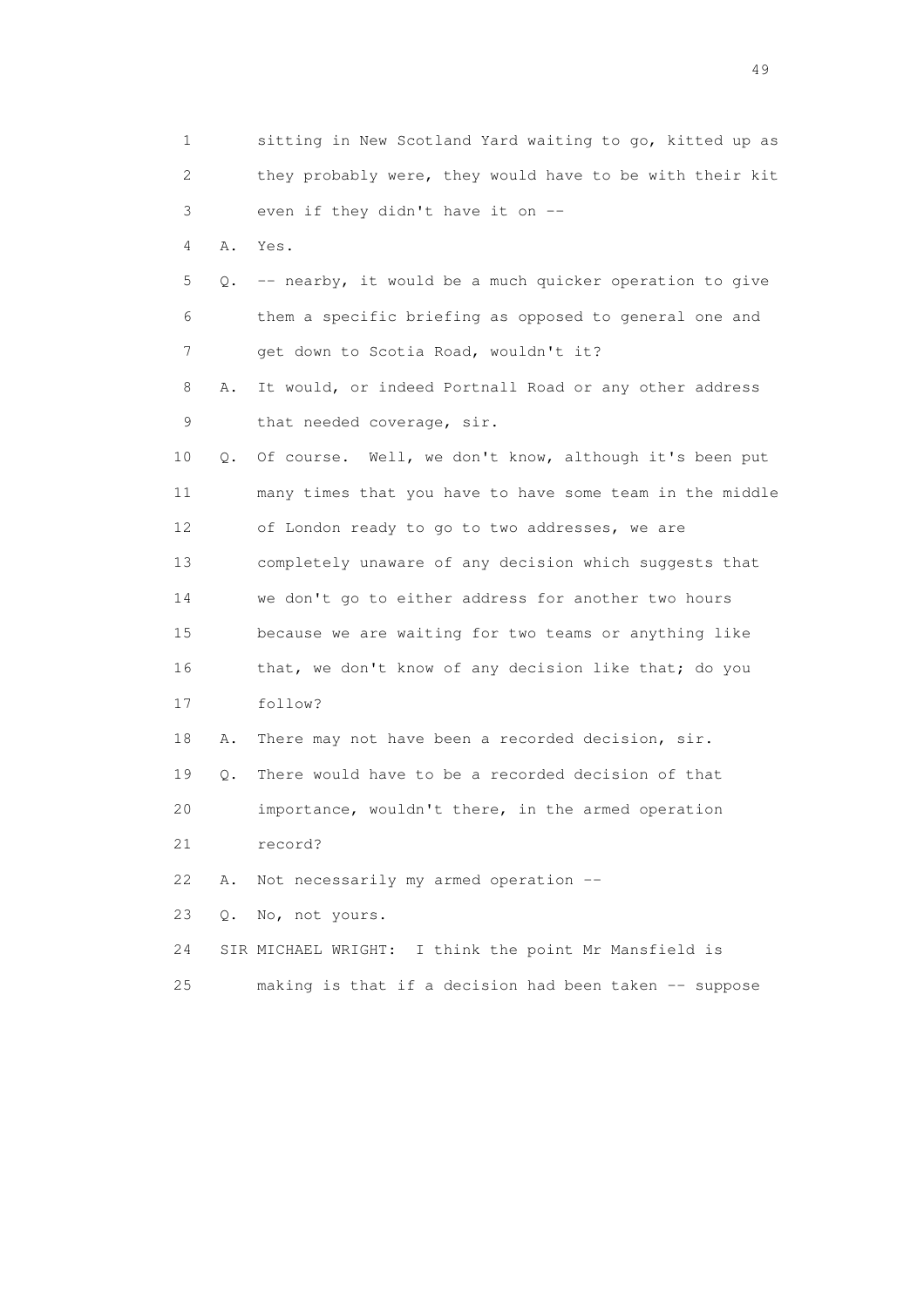| 1  |    | sitting in New Scotland Yard waiting to go, kitted up as |
|----|----|----------------------------------------------------------|
| 2  |    | they probably were, they would have to be with their kit |
| 3  |    | even if they didn't have it on --                        |
| 4  | Α. | Yes.                                                     |
| 5  | Q. | -- nearby, it would be a much quicker operation to give  |
| 6  |    | them a specific briefing as opposed to general one and   |
| 7  |    | get down to Scotia Road, wouldn't it?                    |
| 8  | Α. | It would, or indeed Portnall Road or any other address   |
| 9  |    | that needed coverage, sir.                               |
| 10 | Q. | Of course. Well, we don't know, although it's been put   |
| 11 |    | many times that you have to have some team in the middle |
| 12 |    | of London ready to go to two addresses, we are           |
| 13 |    | completely unaware of any decision which suggests that   |
| 14 |    | we don't go to either address for another two hours      |
| 15 |    | because we are waiting for two teams or anything like    |
| 16 |    | that, we don't know of any decision like that; do you    |
| 17 |    | follow?                                                  |
| 18 | Α. | There may not have been a recorded decision, sir.        |
| 19 | Q. | There would have to be a recorded decision of that       |
| 20 |    | importance, wouldn't there, in the armed operation       |
| 21 |    | record?                                                  |
| 22 | Α. | Not necessarily my armed operation --                    |
| 23 | Q. | No, not yours.                                           |
| 24 |    | SIR MICHAEL WRIGHT: I think the point Mr Mansfield is    |
| 25 |    | making is that if a decision had been taken -- suppose   |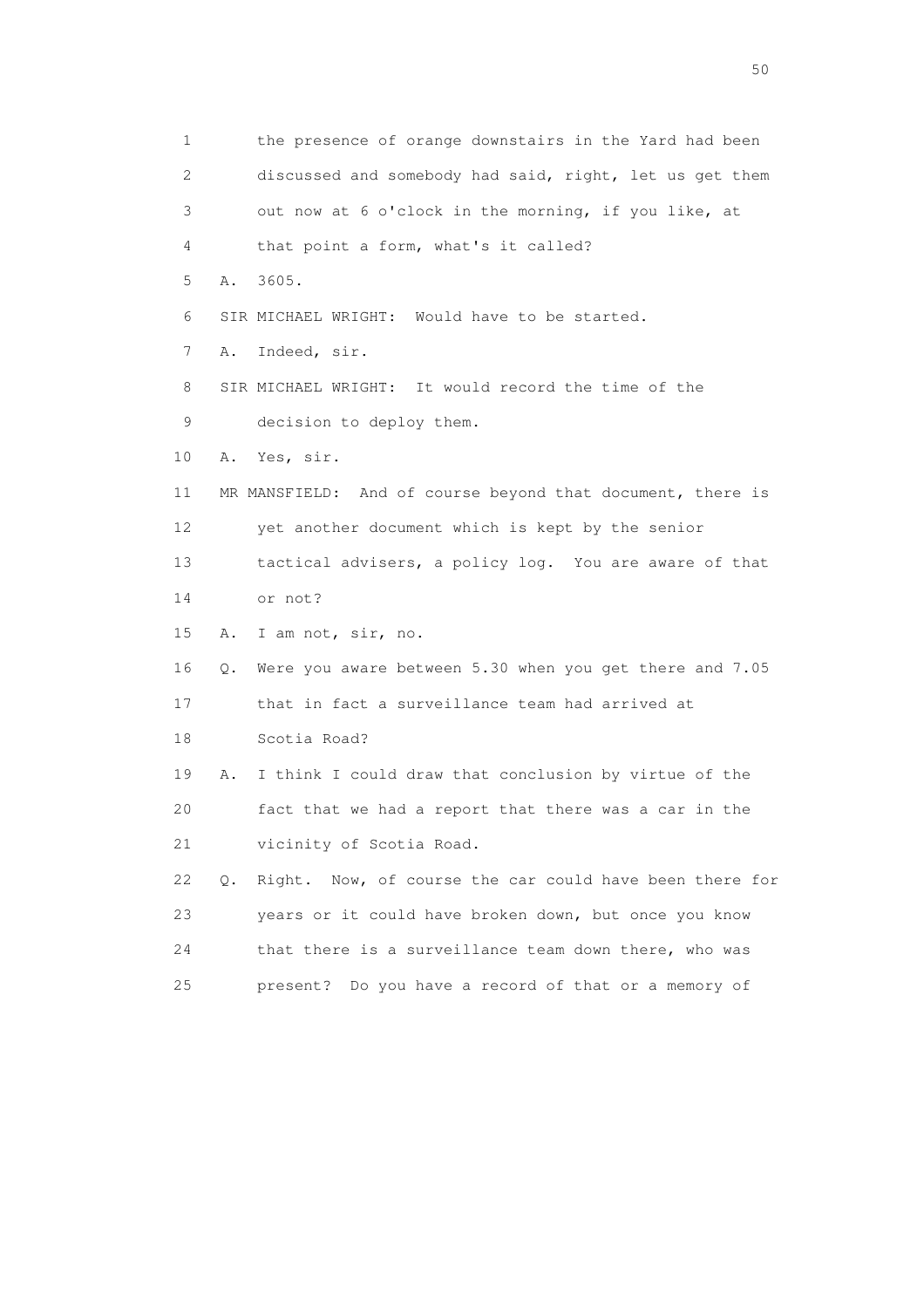1 the presence of orange downstairs in the Yard had been 2 discussed and somebody had said, right, let us get them 3 out now at 6 o'clock in the morning, if you like, at 4 that point a form, what's it called? 5 A. 3605. 6 SIR MICHAEL WRIGHT: Would have to be started. 7 A. Indeed, sir. 8 SIR MICHAEL WRIGHT: It would record the time of the 9 decision to deploy them. 10 A. Yes, sir. 11 MR MANSFIELD: And of course beyond that document, there is 12 yet another document which is kept by the senior 13 tactical advisers, a policy log. You are aware of that 14 or not? 15 A. I am not, sir, no. 16 Q. Were you aware between 5.30 when you get there and 7.05 17 that in fact a surveillance team had arrived at 18 Scotia Road? 19 A. I think I could draw that conclusion by virtue of the 20 fact that we had a report that there was a car in the 21 vicinity of Scotia Road. 22 Q. Right. Now, of course the car could have been there for 23 years or it could have broken down, but once you know 24 that there is a surveillance team down there, who was 25 present? Do you have a record of that or a memory of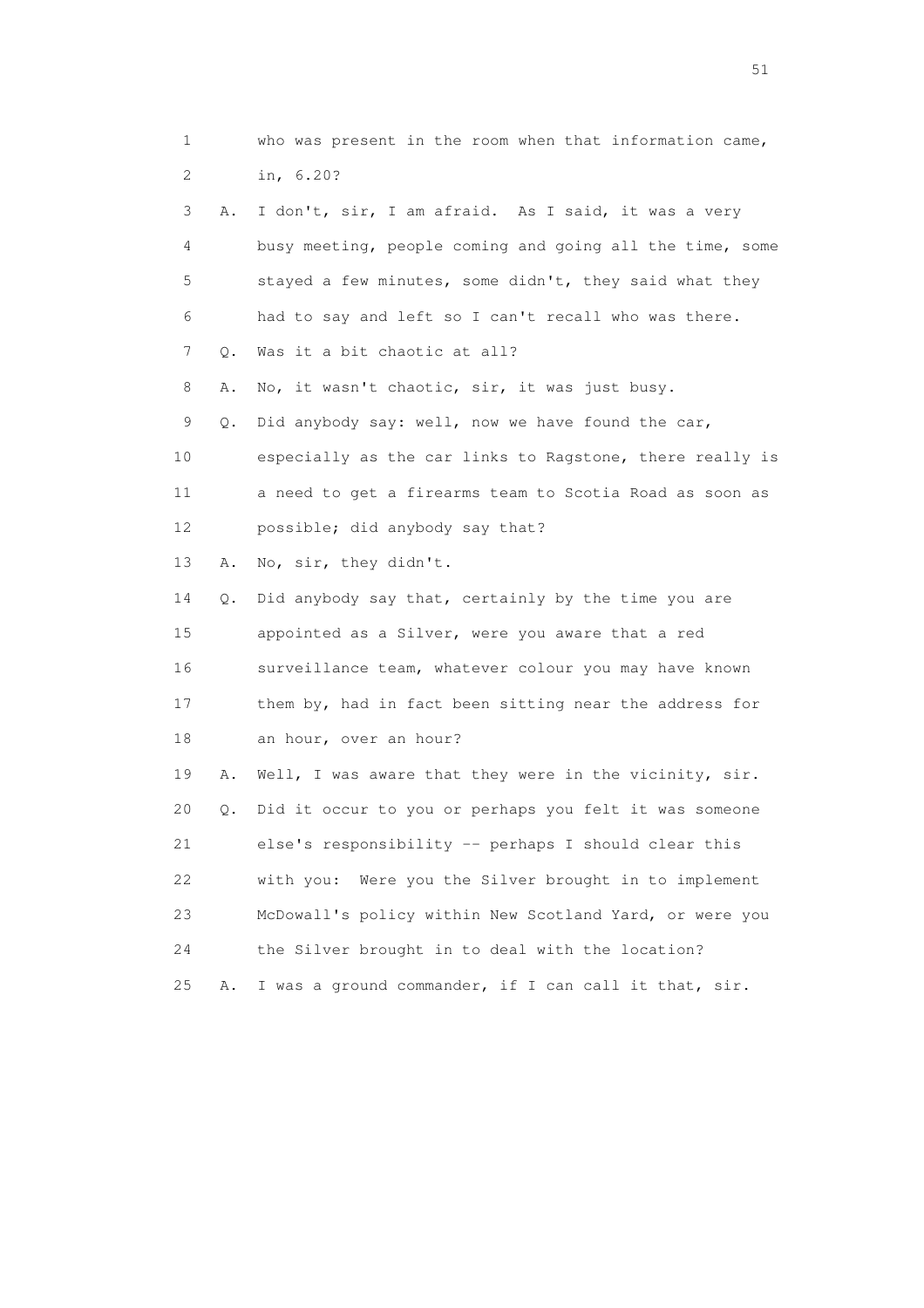| 1  |    | who was present in the room when that information came,  |
|----|----|----------------------------------------------------------|
| 2  |    | in, 6.20?                                                |
| 3  | Α. | I don't, sir, I am afraid. As I said, it was a very      |
| 4  |    | busy meeting, people coming and going all the time, some |
| 5  |    | stayed a few minutes, some didn't, they said what they   |
| 6  |    | had to say and left so I can't recall who was there.     |
| 7  | Q. | Was it a bit chaotic at all?                             |
| 8  | Α. | No, it wasn't chaotic, sir, it was just busy.            |
| 9  | Q. | Did anybody say: well, now we have found the car,        |
| 10 |    | especially as the car links to Ragstone, there really is |
| 11 |    | a need to get a firearms team to Scotia Road as soon as  |
| 12 |    | possible; did anybody say that?                          |
| 13 | Α. | No, sir, they didn't.                                    |
| 14 | Q. | Did anybody say that, certainly by the time you are      |
| 15 |    | appointed as a Silver, were you aware that a red         |
| 16 |    | surveillance team, whatever colour you may have known    |
| 17 |    | them by, had in fact been sitting near the address for   |
| 18 |    | an hour, over an hour?                                   |
| 19 | Α. | Well, I was aware that they were in the vicinity, sir.   |
| 20 | Q. | Did it occur to you or perhaps you felt it was someone   |
| 21 |    | else's responsibility -- perhaps I should clear this     |
| 22 |    | with you:<br>Were you the Silver brought in to implement |
| 23 |    | McDowall's policy within New Scotland Yard, or were you  |
| 24 |    | the Silver brought in to deal with the location?         |
| 25 | Α. | I was a ground commander, if I can call it that, sir.    |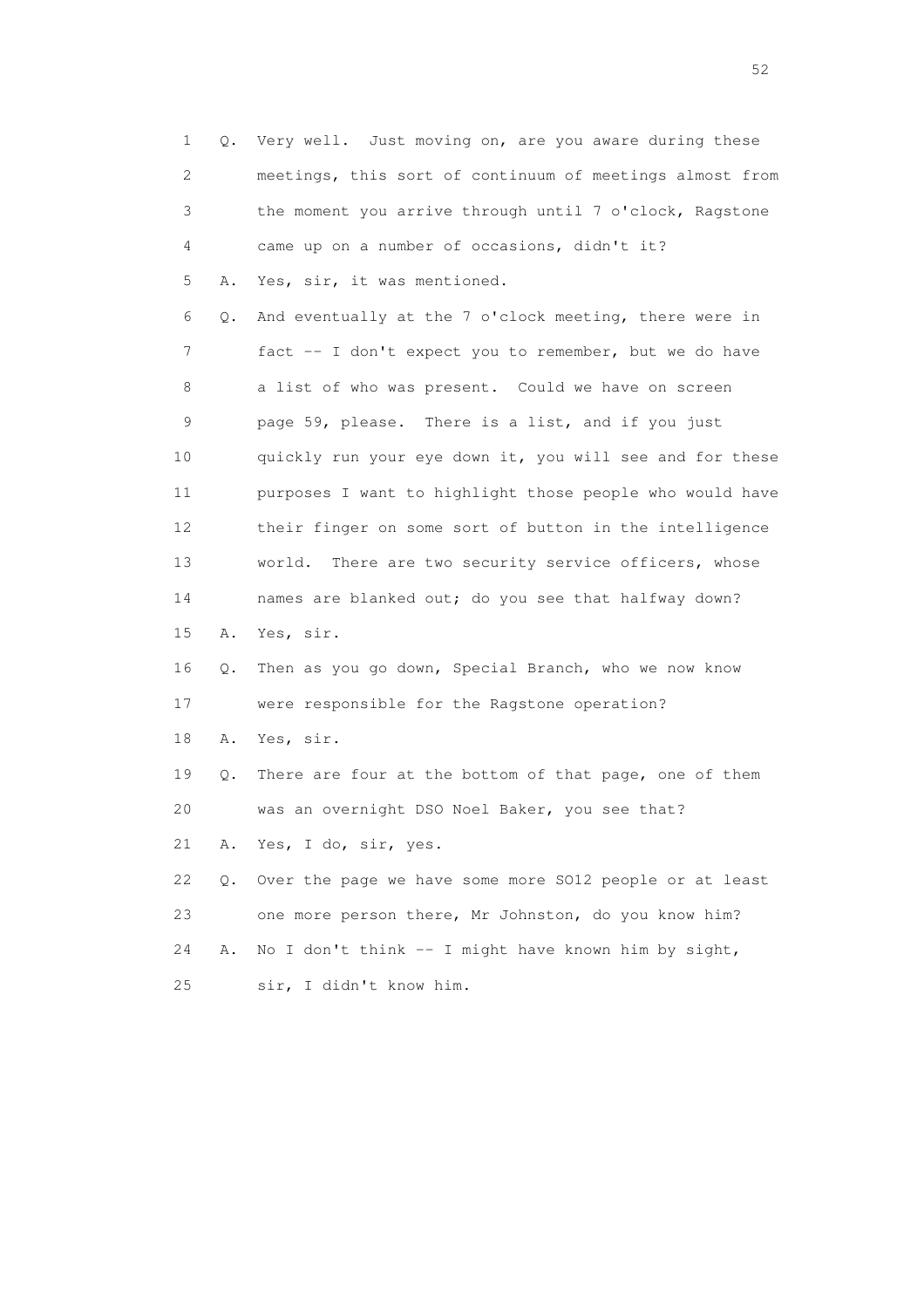| $\mathbf 1$ | Q. | Very well. Just moving on, are you aware during these    |
|-------------|----|----------------------------------------------------------|
| 2           |    | meetings, this sort of continuum of meetings almost from |
| 3           |    | the moment you arrive through until 7 o'clock, Ragstone  |
| 4           |    | came up on a number of occasions, didn't it?             |
| 5           | Α. | Yes, sir, it was mentioned.                              |
| 6           | Q. | And eventually at the 7 o'clock meeting, there were in   |
| 7           |    | fact -- I don't expect you to remember, but we do have   |
| 8           |    | a list of who was present. Could we have on screen       |
| 9           |    | page 59, please. There is a list, and if you just        |
| 10          |    | quickly run your eye down it, you will see and for these |
| 11          |    | purposes I want to highlight those people who would have |
| 12          |    | their finger on some sort of button in the intelligence  |
| 13          |    | world.<br>There are two security service officers, whose |
| 14          |    | names are blanked out; do you see that halfway down?     |
| 15          | Α. | Yes, sir.                                                |
| 16          | Q. | Then as you go down, Special Branch, who we now know     |
| 17          |    | were responsible for the Ragstone operation?             |
| 18          | Α. | Yes, sir.                                                |
| 19          | Q. | There are four at the bottom of that page, one of them   |
| 20          |    | was an overnight DSO Noel Baker, you see that?           |
| 21          | Α. | Yes, I do, sir, yes.                                     |
| 22          | Q. | Over the page we have some more SO12 people or at least  |
| 23          |    | one more person there, Mr Johnston, do you know him?     |
| 24          | Α. | No I don't think -- I might have known him by sight,     |
| 25          |    | sir, I didn't know him.                                  |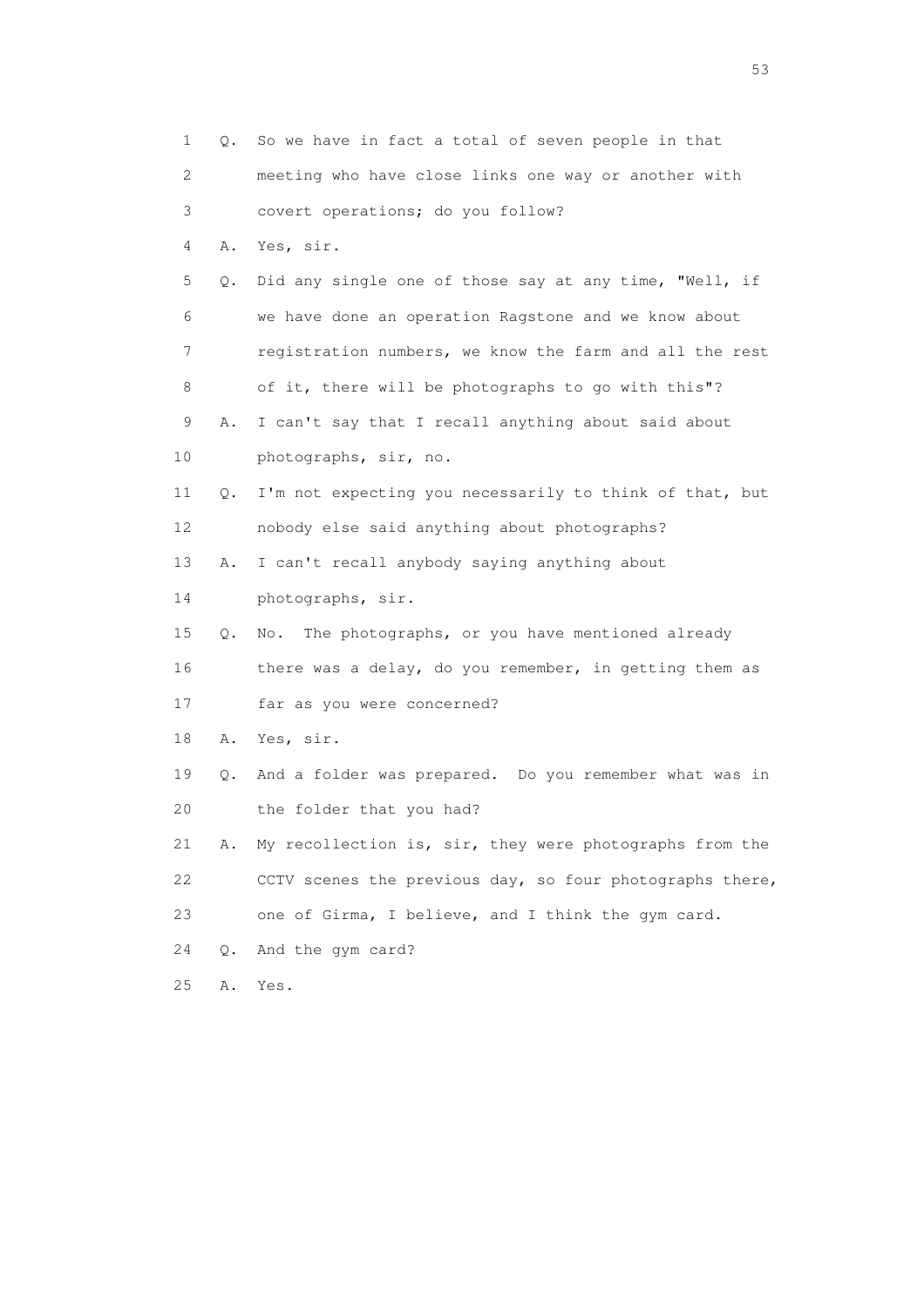|    | 1  | Q. | So we have in fact a total of seven people in that                    |
|----|----|----|-----------------------------------------------------------------------|
|    | 2  |    | meeting who have close links one way or another with                  |
|    | 3  |    | covert operations; do you follow?                                     |
|    | 4  | Α. | Yes, sir.                                                             |
|    | 5  | Q. | Did any single one of those say at any time, "Well, if                |
|    | 6  |    | we have done an operation Ragstone and we know about                  |
|    | 7  |    | registration numbers, we know the farm and all the rest               |
|    | 8  |    | of it, there will be photographs to go with this"?                    |
|    | 9  | Α. | I can't say that I recall anything about said about                   |
| 10 |    |    | photographs, sir, no.                                                 |
|    | 11 | Q. | I'm not expecting you necessarily to think of that, but               |
|    | 12 |    | nobody else said anything about photographs?                          |
|    | 13 | Α. | I can't recall anybody saying anything about                          |
|    | 14 |    | photographs, sir.                                                     |
|    | 15 | Q. | The photographs, or you have mentioned already<br>$\mathbb N \circ$ . |
|    | 16 |    | there was a delay, do you remember, in getting them as                |
|    | 17 |    | far as you were concerned?                                            |
|    | 18 | Α. | Yes, sir.                                                             |
|    | 19 | Q. | And a folder was prepared. Do you remember what was in                |
|    | 20 |    | the folder that you had?                                              |
|    | 21 | Α. | My recollection is, sir, they were photographs from the               |
|    | 22 |    | CCTV scenes the previous day, so four photographs there,              |
| 23 |    |    | one of Girma, I believe, and I think the gym card.                    |
| 24 |    | Q. | And the gym card?                                                     |
| 25 |    | Α. | Yes.                                                                  |

 $\sim$  53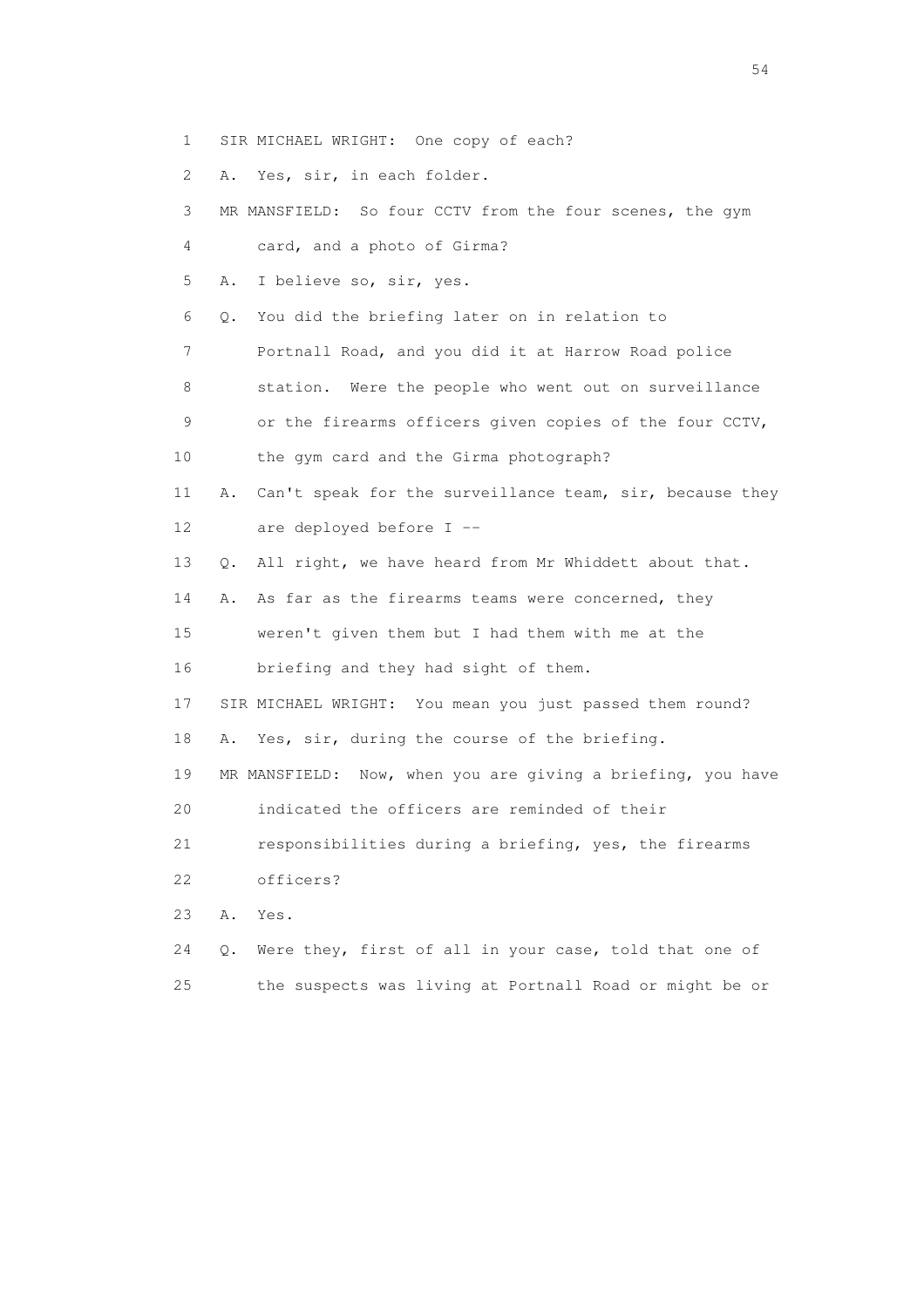- 1 SIR MICHAEL WRIGHT: One copy of each?
- 2 A. Yes, sir, in each folder.

| 3  | MR MANSFIELD: So four CCTV from the four scenes, the gym       |
|----|----------------------------------------------------------------|
| 4  | card, and a photo of Girma?                                    |
| 5  | I believe so, sir, yes.<br>Α.                                  |
| 6  | You did the briefing later on in relation to<br>Q.             |
| 7  | Portnall Road, and you did it at Harrow Road police            |
| 8  | station. Were the people who went out on surveillance          |
| 9  | or the firearms officers given copies of the four CCTV,        |
| 10 | the gym card and the Girma photograph?                         |
| 11 | Can't speak for the surveillance team, sir, because they<br>Α. |
| 12 | are deployed before I --                                       |
| 13 | All right, we have heard from Mr Whiddett about that.<br>Q.    |
| 14 | As far as the firearms teams were concerned, they<br>Α.        |
| 15 | weren't given them but I had them with me at the               |
| 16 | briefing and they had sight of them.                           |
| 17 | SIR MICHAEL WRIGHT: You mean you just passed them round?       |
| 18 | Yes, sir, during the course of the briefing.<br>Α.             |
| 19 | MR MANSFIELD: Now, when you are giving a briefing, you have    |
| 20 | indicated the officers are reminded of their                   |
| 21 | responsibilities during a briefing, yes, the firearms          |
| 22 | officers?                                                      |
| 23 | Α.<br>Yes.                                                     |
| 24 | Were they, first of all in your case, told that one of<br>Q.   |
| 25 | the suspects was living at Portnall Road or might be or        |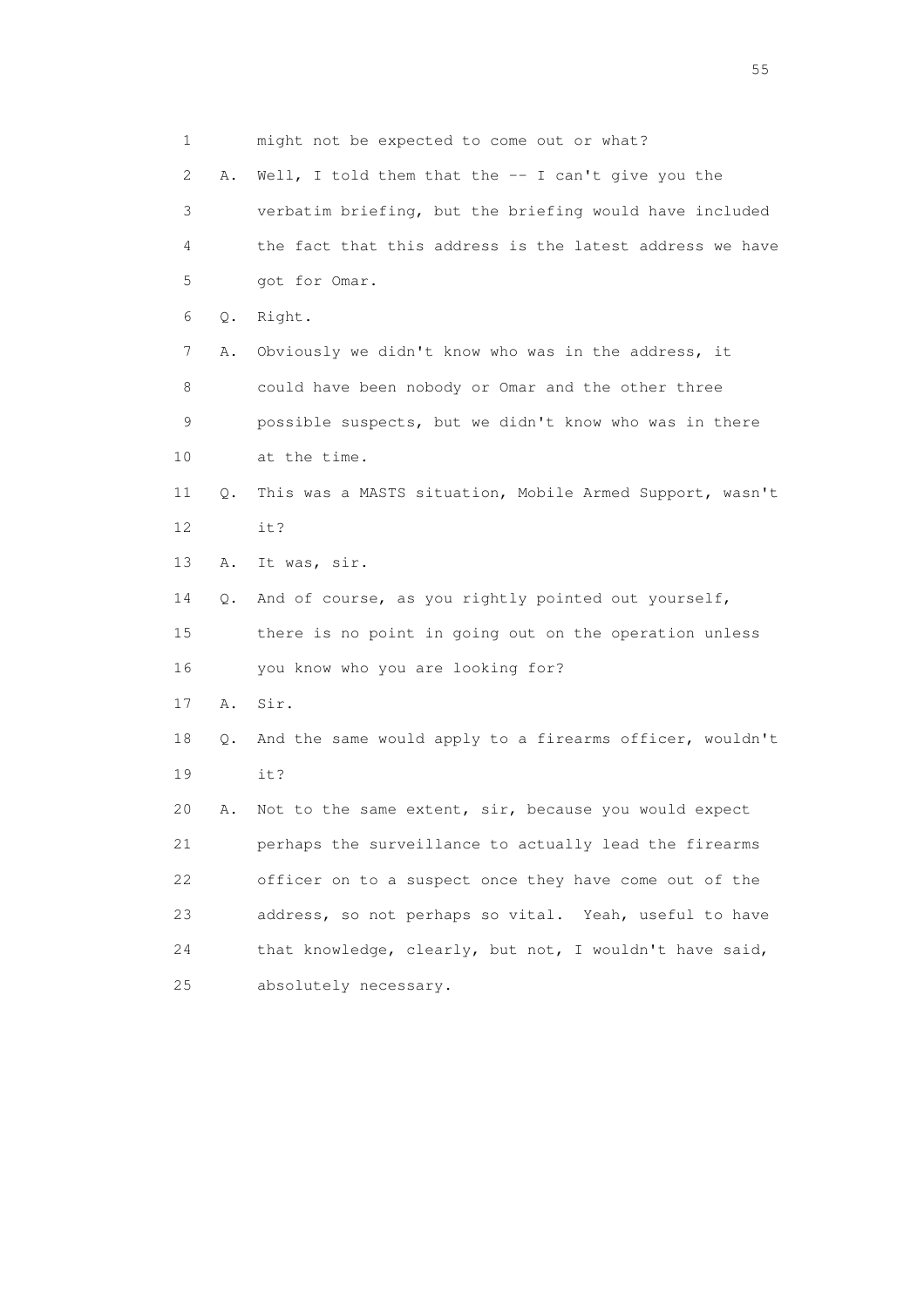1 might not be expected to come out or what? 2 A. Well, I told them that the -- I can't give you the 3 verbatim briefing, but the briefing would have included 4 the fact that this address is the latest address we have 5 got for Omar. 6 Q. Right. 7 A. Obviously we didn't know who was in the address, it 8 could have been nobody or Omar and the other three 9 possible suspects, but we didn't know who was in there 10 at the time. 11 Q. This was a MASTS situation, Mobile Armed Support, wasn't 12 it? 13 A. It was, sir. 14 Q. And of course, as you rightly pointed out yourself, 15 there is no point in going out on the operation unless 16 you know who you are looking for? 17 A. Sir. 18 Q. And the same would apply to a firearms officer, wouldn't 19 it? 20 A. Not to the same extent, sir, because you would expect 21 perhaps the surveillance to actually lead the firearms 22 officer on to a suspect once they have come out of the 23 address, so not perhaps so vital. Yeah, useful to have 24 that knowledge, clearly, but not, I wouldn't have said, 25 absolutely necessary.

the state of the state of the state of the state of the state of the state of the state of the state of the state of the state of the state of the state of the state of the state of the state of the state of the state of t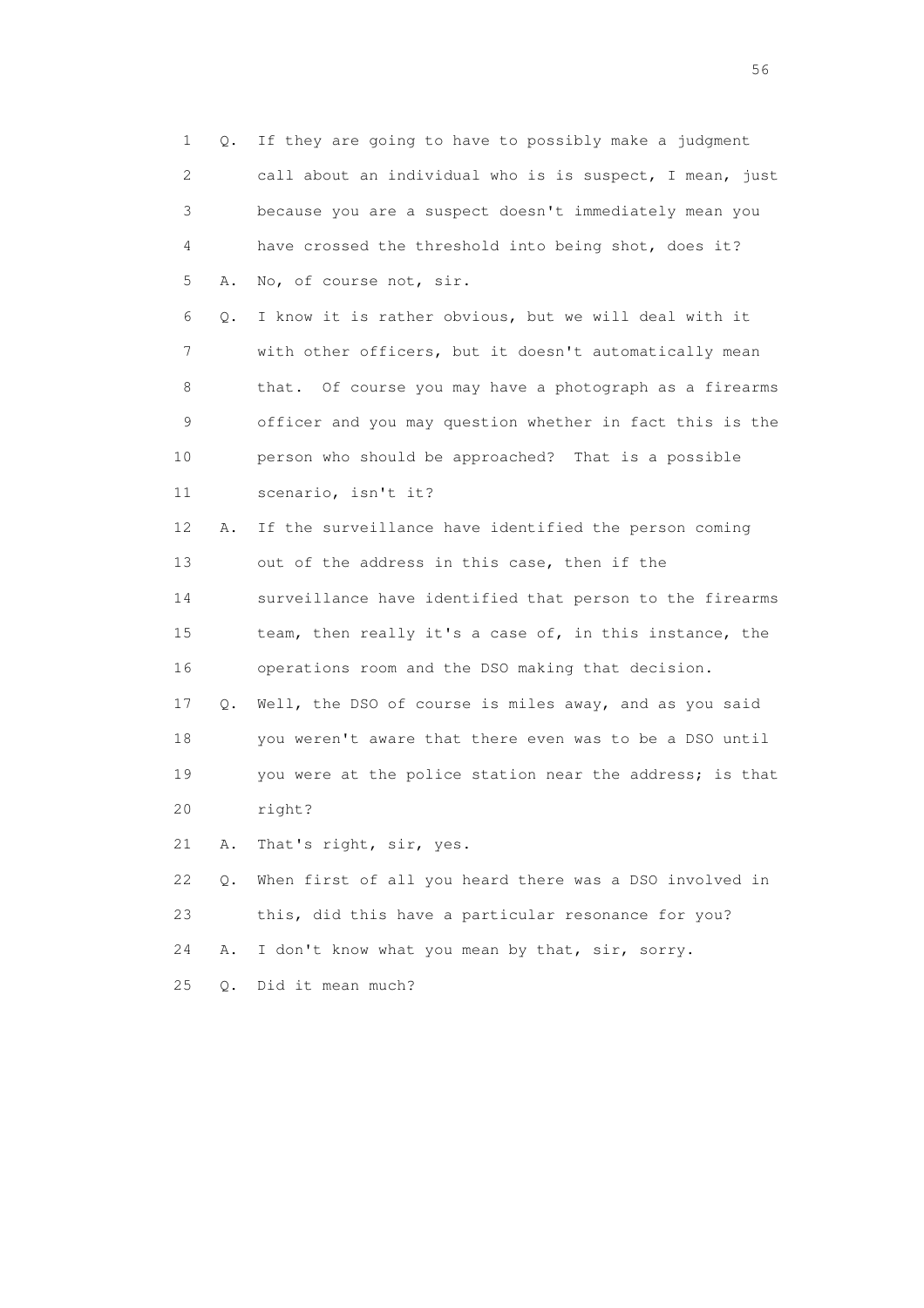1 Q. If they are going to have to possibly make a judgment 2 call about an individual who is is suspect, I mean, just 3 because you are a suspect doesn't immediately mean you 4 have crossed the threshold into being shot, does it? 5 A. No, of course not, sir. 6 Q. I know it is rather obvious, but we will deal with it 7 with other officers, but it doesn't automatically mean 8 that. Of course you may have a photograph as a firearms 9 officer and you may question whether in fact this is the 10 person who should be approached? That is a possible 11 scenario, isn't it? 12 A. If the surveillance have identified the person coming 13 out of the address in this case, then if the 14 surveillance have identified that person to the firearms 15 team, then really it's a case of, in this instance, the 16 operations room and the DSO making that decision. 17 Q. Well, the DSO of course is miles away, and as you said 18 you weren't aware that there even was to be a DSO until 19 you were at the police station near the address; is that 20 right? 21 A. That's right, sir, yes. 22 Q. When first of all you heard there was a DSO involved in 23 this, did this have a particular resonance for you? 24 A. I don't know what you mean by that, sir, sorry. 25 Q. Did it mean much?

 $56<sup>o</sup>$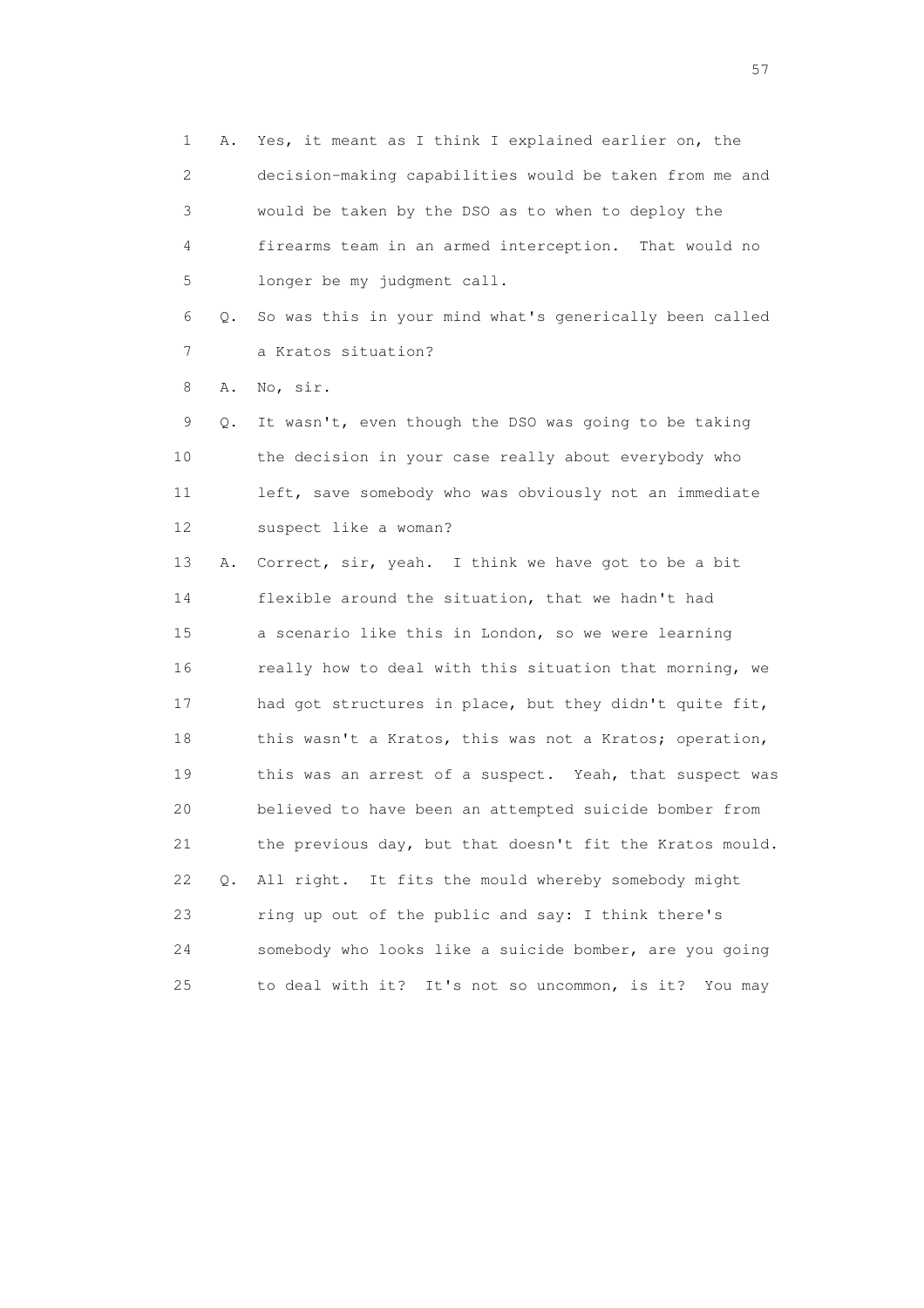1 A. Yes, it meant as I think I explained earlier on, the 2 decision-making capabilities would be taken from me and 3 would be taken by the DSO as to when to deploy the 4 firearms team in an armed interception. That would no 5 longer be my judgment call.

 6 Q. So was this in your mind what's generically been called 7 a Kratos situation?

8 A. No, sir.

 9 Q. It wasn't, even though the DSO was going to be taking 10 the decision in your case really about everybody who 11 left, save somebody who was obviously not an immediate 12 suspect like a woman?

 13 A. Correct, sir, yeah. I think we have got to be a bit 14 flexible around the situation, that we hadn't had 15 a scenario like this in London, so we were learning 16 really how to deal with this situation that morning, we 17 had got structures in place, but they didn't quite fit, 18 this wasn't a Kratos, this was not a Kratos; operation, 19 this was an arrest of a suspect. Yeah, that suspect was 20 believed to have been an attempted suicide bomber from 21 the previous day, but that doesn't fit the Kratos mould. 22 Q. All right. It fits the mould whereby somebody might 23 ring up out of the public and say: I think there's 24 somebody who looks like a suicide bomber, are you going 25 to deal with it? It's not so uncommon, is it? You may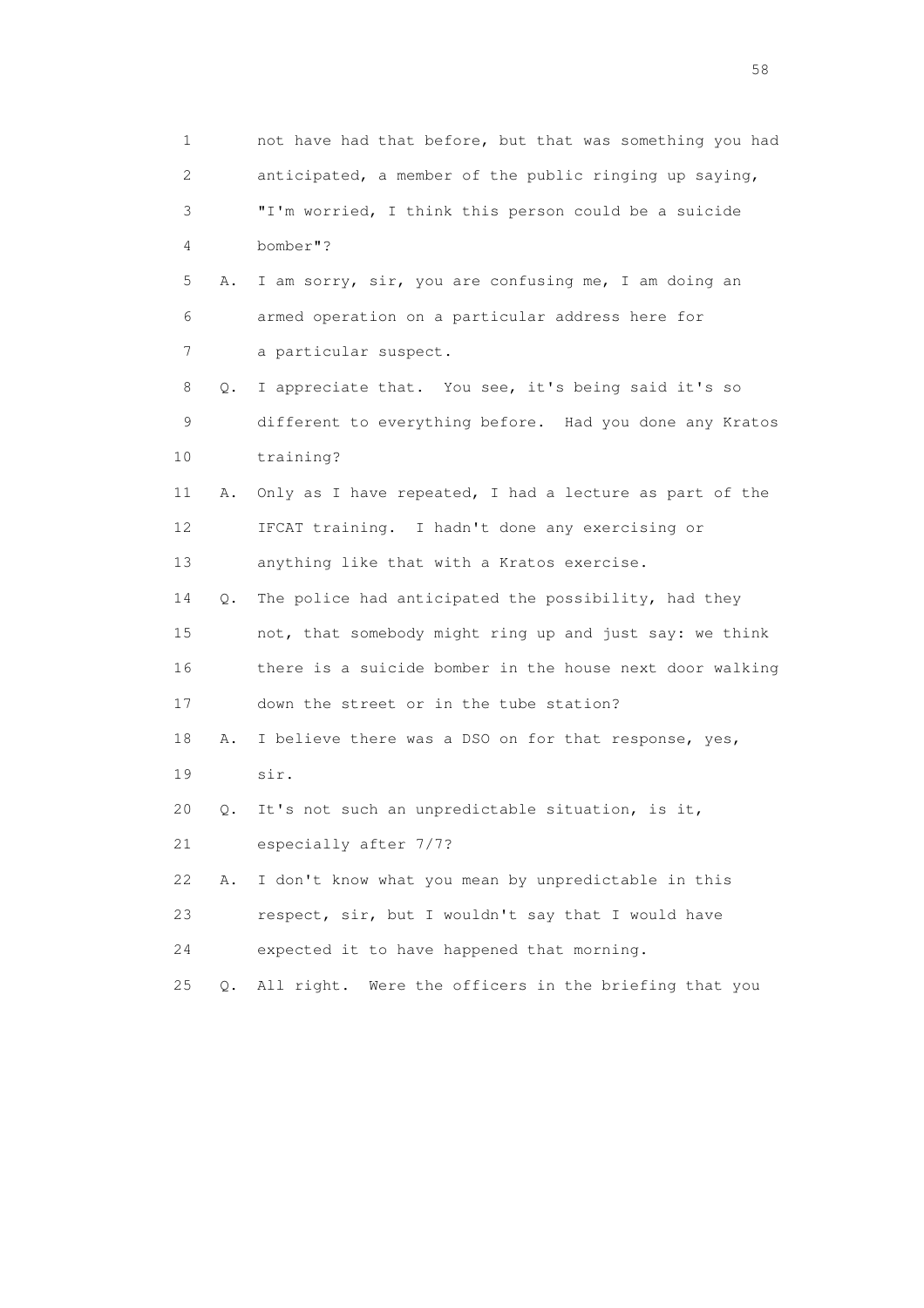| 1                         |           | not have had that before, but that was something you had |
|---------------------------|-----------|----------------------------------------------------------|
| $\mathbf{2}^{\mathsf{I}}$ |           | anticipated, a member of the public ringing up saying,   |
| 3                         |           | "I'm worried, I think this person could be a suicide     |
| 4                         |           | bomber"?                                                 |
| 5                         | Α.        | I am sorry, sir, you are confusing me, I am doing an     |
| 6                         |           | armed operation on a particular address here for         |
| 7                         |           | a particular suspect.                                    |
| 8                         | Q.        | I appreciate that. You see, it's being said it's so      |
| 9                         |           | different to everything before. Had you done any Kratos  |
| 10                        |           | training?                                                |
| 11                        | Α.        | Only as I have repeated, I had a lecture as part of the  |
| 12                        |           | IFCAT training. I hadn't done any exercising or          |
| 13                        |           | anything like that with a Kratos exercise.               |
| 14                        | Q.        | The police had anticipated the possibility, had they     |
| 15                        |           | not, that somebody might ring up and just say: we think  |
| 16                        |           | there is a suicide bomber in the house next door walking |
| 17                        |           | down the street or in the tube station?                  |
| 18                        | Α.        | I believe there was a DSO on for that response, yes,     |
| 19                        |           | sir.                                                     |
| 20                        | $\circ$ . | It's not such an unpredictable situation, is it,         |
| 21                        |           | especially after 7/7?                                    |
| 22                        | Α.        | I don't know what you mean by unpredictable in this      |
| 23                        |           | respect, sir, but I wouldn't say that I would have       |
| 24                        |           | expected it to have happened that morning.               |
| 25                        | $Q$ .     | Were the officers in the briefing that you<br>All right. |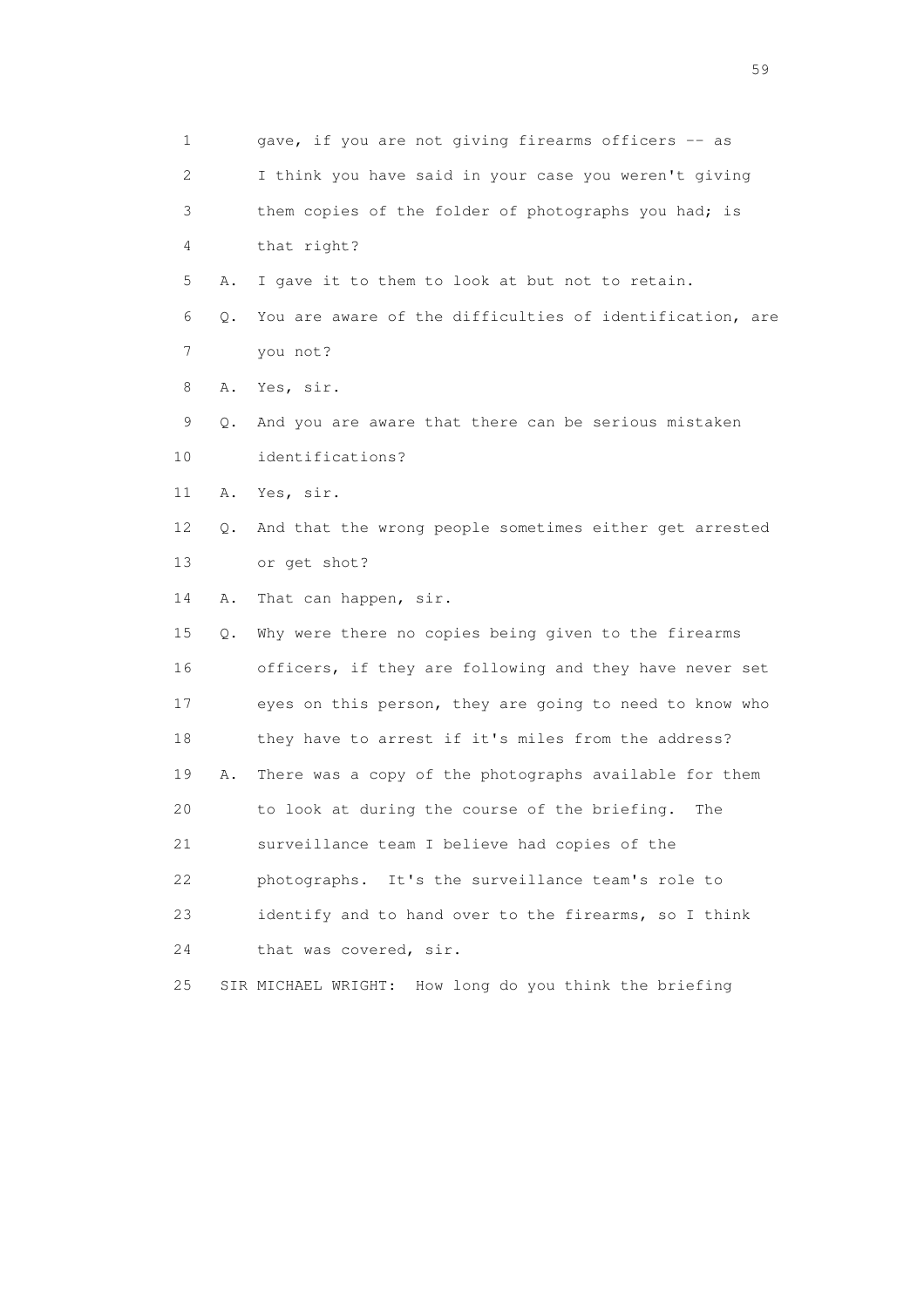| 1      |    | gave, if you are not giving firearms officers -- as       |
|--------|----|-----------------------------------------------------------|
| 2      |    | I think you have said in your case you weren't giving     |
| 3      |    | them copies of the folder of photographs you had; is      |
| 4      |    | that right?                                               |
| 5      | Α. | I gave it to them to look at but not to retain.           |
| 6      | Q. | You are aware of the difficulties of identification, are  |
| 7      |    | you not?                                                  |
| 8      | Α. | Yes, sir.                                                 |
| 9      | Q. | And you are aware that there can be serious mistaken      |
| 10     |    | identifications?                                          |
| 11     | Α. | Yes, sir.                                                 |
| 12     | Q. | And that the wrong people sometimes either get arrested   |
| 13     |    | or get shot?                                              |
| 14     | Α. | That can happen, sir.                                     |
| $15\,$ | Q. | Why were there no copies being given to the firearms      |
| 16     |    | officers, if they are following and they have never set   |
| 17     |    | eyes on this person, they are going to need to know who   |
| 18     |    | they have to arrest if it's miles from the address?       |
| 19     | Α. | There was a copy of the photographs available for them    |
| 20     |    | to look at during the course of the briefing.<br>The      |
| 21     |    | surveillance team I believe had copies of the             |
| 22     |    | photographs. It's the surveillance team's role to         |
| 23     |    | identify and to hand over to the firearms, so I think     |
| 24     |    | that was covered, sir.                                    |
| 25     |    | How long do you think the briefing<br>SIR MICHAEL WRIGHT: |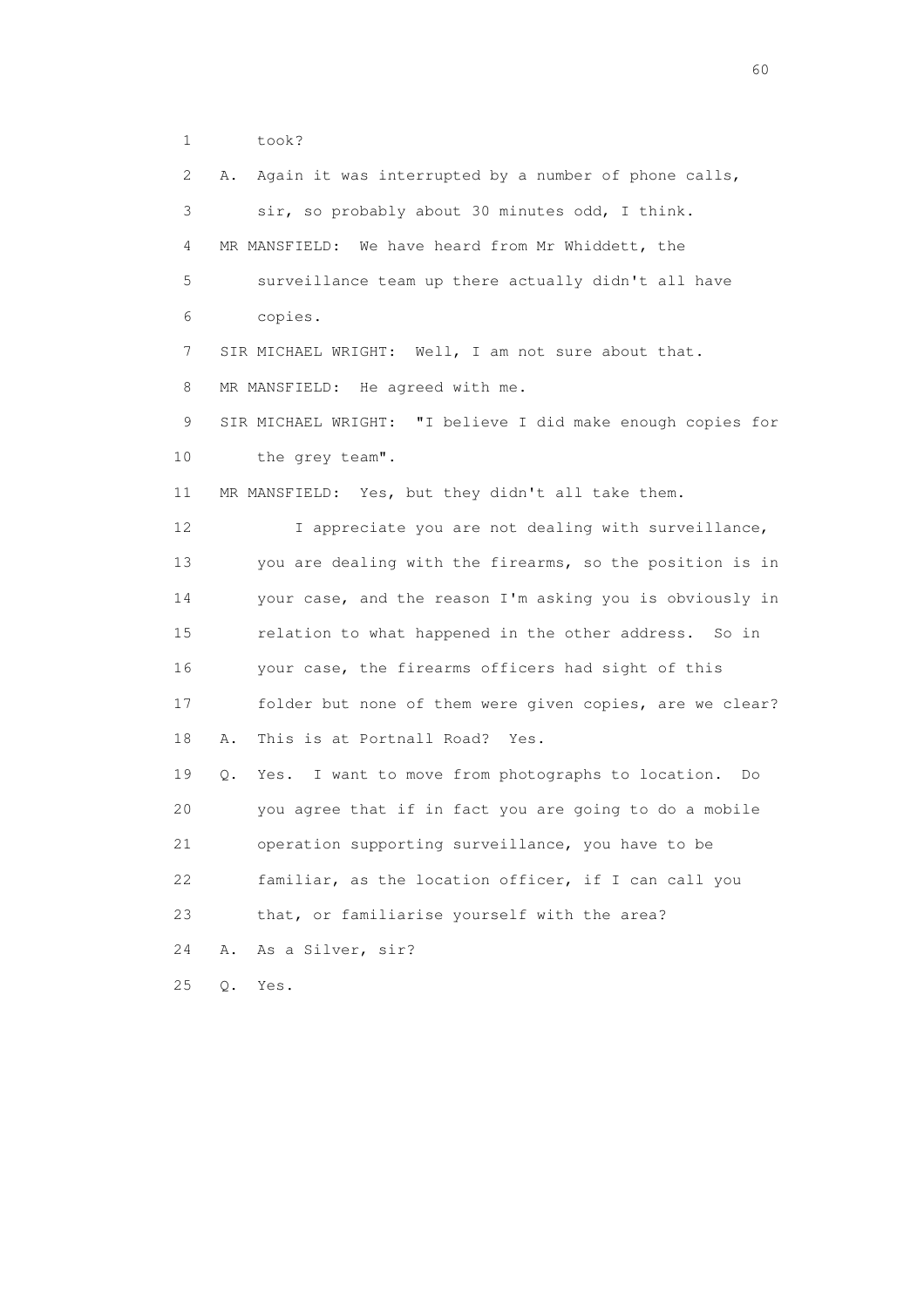1 took?

| $\mathbf{2}^{\mathsf{I}}$ | Again it was interrupted by a number of phone calls,<br>Α.    |
|---------------------------|---------------------------------------------------------------|
| 3                         | sir, so probably about 30 minutes odd, I think.               |
| 4                         | We have heard from Mr Whiddett, the<br>MR MANSFIELD:          |
| 5                         | surveillance team up there actually didn't all have           |
| 6                         | copies.                                                       |
| 7                         | SIR MICHAEL WRIGHT: Well, I am not sure about that.           |
| 8                         | MR MANSFIELD: He agreed with me.                              |
| 9                         | SIR MICHAEL WRIGHT: "I believe I did make enough copies for   |
| 10                        | the grey team".                                               |
| 11                        | MR MANSFIELD: Yes, but they didn't all take them.             |
| 12                        | I appreciate you are not dealing with surveillance,           |
| 13                        | you are dealing with the firearms, so the position is in      |
| 14                        | your case, and the reason I'm asking you is obviously in      |
| 15                        | relation to what happened in the other address. So in         |
| 16                        | your case, the firearms officers had sight of this            |
| 17                        | folder but none of them were given copies, are we clear?      |
| 18                        | This is at Portnall Road? Yes.<br>Α.                          |
| 19                        | Yes. I want to move from photographs to location.<br>Do<br>Q. |
| 20                        | you agree that if in fact you are going to do a mobile        |
| 21                        | operation supporting surveillance, you have to be             |
| 22                        | familiar, as the location officer, if I can call you          |
| 23                        | that, or familiarise yourself with the area?                  |
| 24                        | As a Silver, sir?<br>Α.                                       |
| 25                        | Q.<br>Yes.                                                    |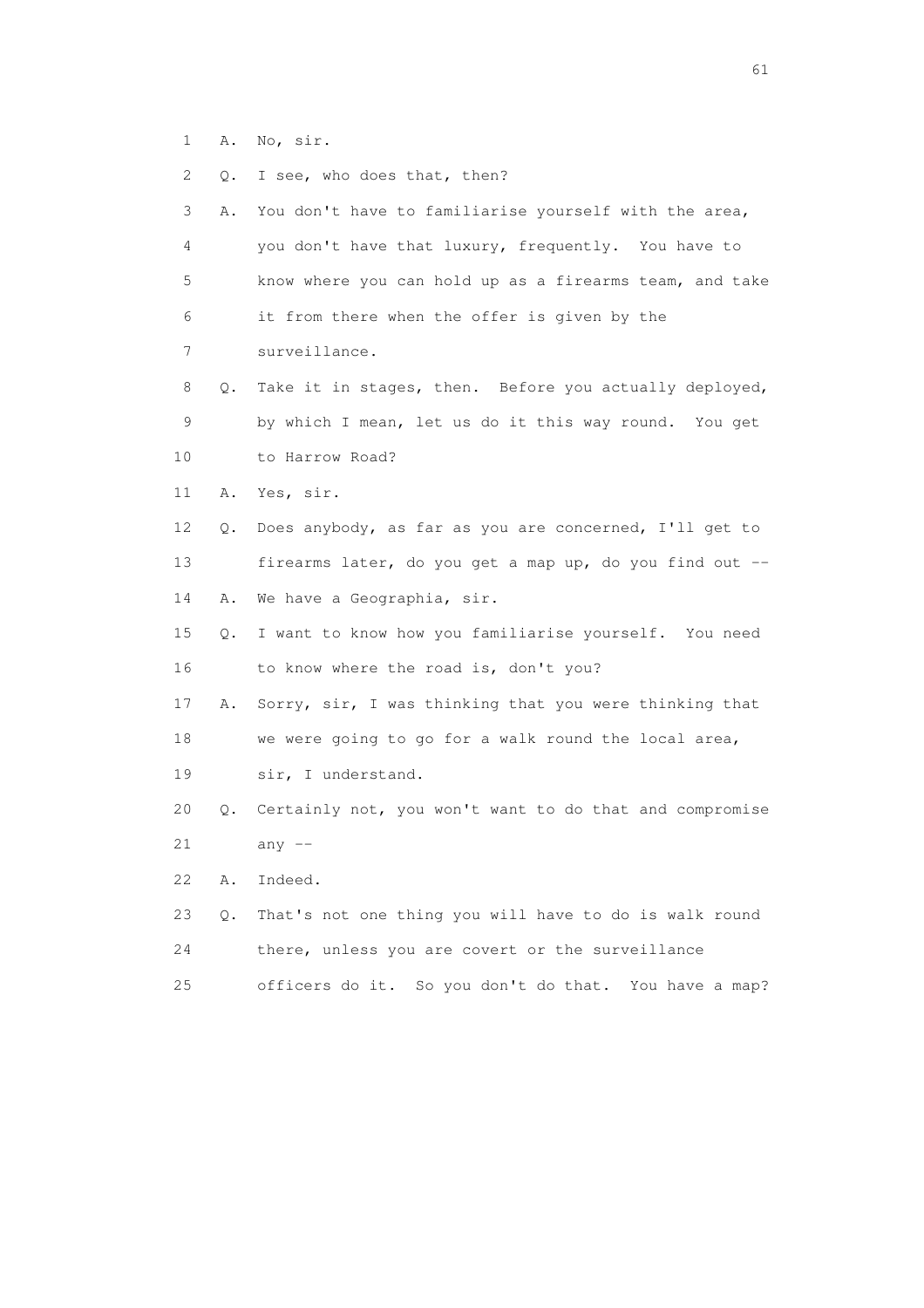1 A. No, sir.

| 2  | $\circ$ . | I see, who does that, then?                             |
|----|-----------|---------------------------------------------------------|
| 3  | Α.        | You don't have to familiarise yourself with the area,   |
| 4  |           | you don't have that luxury, frequently. You have to     |
| 5  |           | know where you can hold up as a firearms team, and take |
| 6  |           | it from there when the offer is given by the            |
| 7  |           | surveillance.                                           |
| 8  | Q.        | Take it in stages, then. Before you actually deployed,  |
| 9  |           | by which I mean, let us do it this way round. You get   |
| 10 |           | to Harrow Road?                                         |
| 11 | Α.        | Yes, sir.                                               |
| 12 | Q.        | Does anybody, as far as you are concerned, I'll get to  |
| 13 |           | firearms later, do you get a map up, do you find out -- |
| 14 | Α.        | We have a Geographia, sir.                              |
| 15 | О.        | I want to know how you familiarise yourself. You need   |
| 16 |           | to know where the road is, don't you?                   |
| 17 | Α.        | Sorry, sir, I was thinking that you were thinking that  |
| 18 |           | we were going to go for a walk round the local area,    |
| 19 |           | sir, I understand.                                      |
| 20 | Q.        | Certainly not, you won't want to do that and compromise |
| 21 |           | any $--$                                                |
| 22 | Α.        | Indeed.                                                 |

 23 Q. That's not one thing you will have to do is walk round 24 there, unless you are covert or the surveillance 25 officers do it. So you don't do that. You have a map?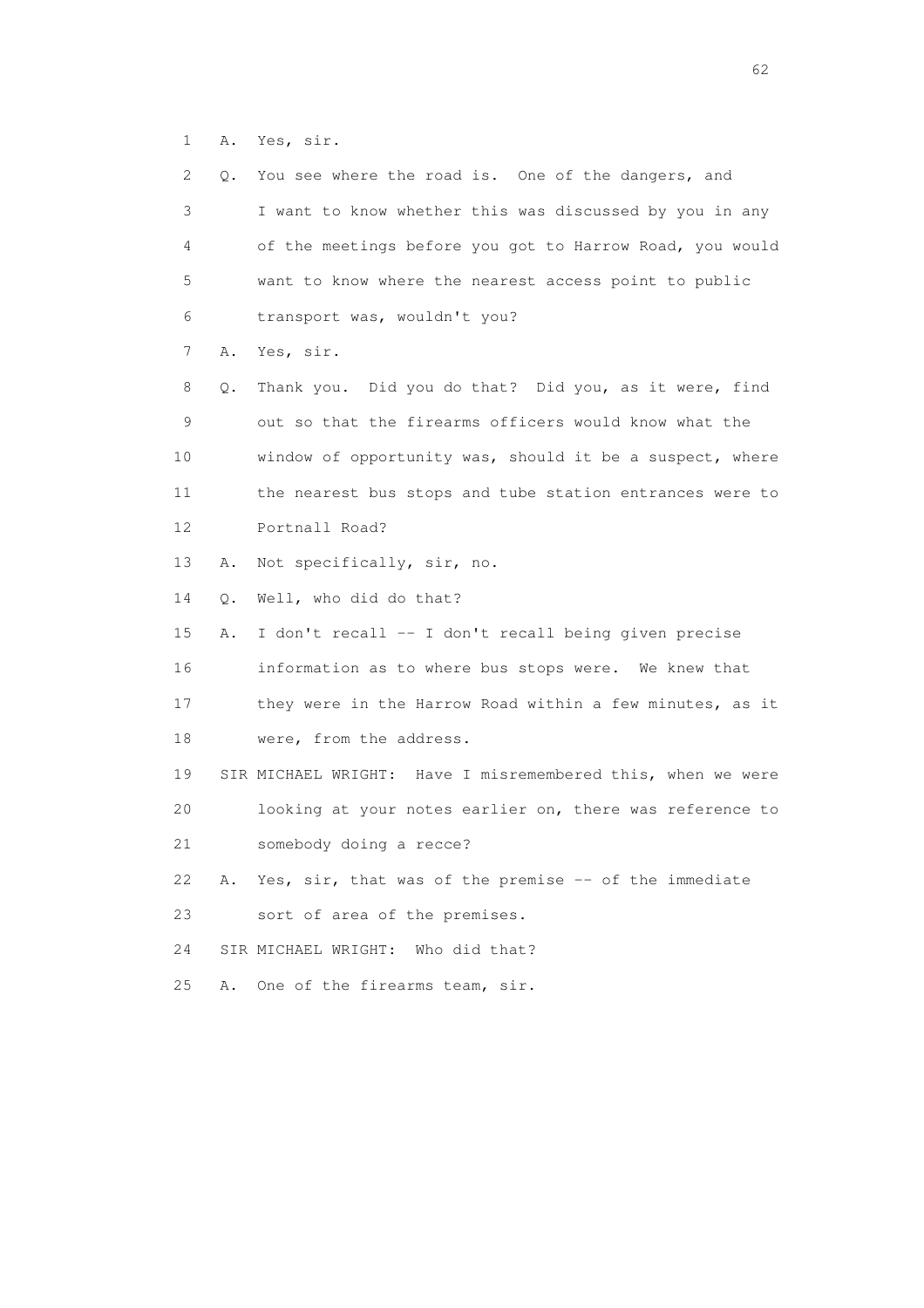1 A. Yes, sir.

| 2  | Q. | You see where the road is. One of the dangers, and          |
|----|----|-------------------------------------------------------------|
| 3  |    | I want to know whether this was discussed by you in any     |
| 4  |    | of the meetings before you got to Harrow Road, you would    |
| 5  |    | want to know where the nearest access point to public       |
| 6  |    | transport was, wouldn't you?                                |
| 7  | Α. | Yes, sir.                                                   |
| 8  | Q. | Thank you. Did you do that? Did you, as it were, find       |
| 9  |    | out so that the firearms officers would know what the       |
| 10 |    | window of opportunity was, should it be a suspect, where    |
| 11 |    | the nearest bus stops and tube station entrances were to    |
| 12 |    | Portnall Road?                                              |
| 13 | Α. | Not specifically, sir, no.                                  |
| 14 | Q. | Well, who did do that?                                      |
| 15 | Α. | I don't recall -- I don't recall being given precise        |
| 16 |    | information as to where bus stops were. We knew that        |
| 17 |    | they were in the Harrow Road within a few minutes, as it    |
| 18 |    | were, from the address.                                     |
| 19 |    | SIR MICHAEL WRIGHT: Have I misremembered this, when we were |
| 20 |    | looking at your notes earlier on, there was reference to    |
| 21 |    | somebody doing a recce?                                     |
| 22 | Α. | Yes, sir, that was of the premise -- of the immediate       |
| 23 |    | sort of area of the premises.                               |
| 24 |    | Who did that?<br>SIR MICHAEL WRIGHT:                        |
| 25 | Α. | One of the firearms team, sir.                              |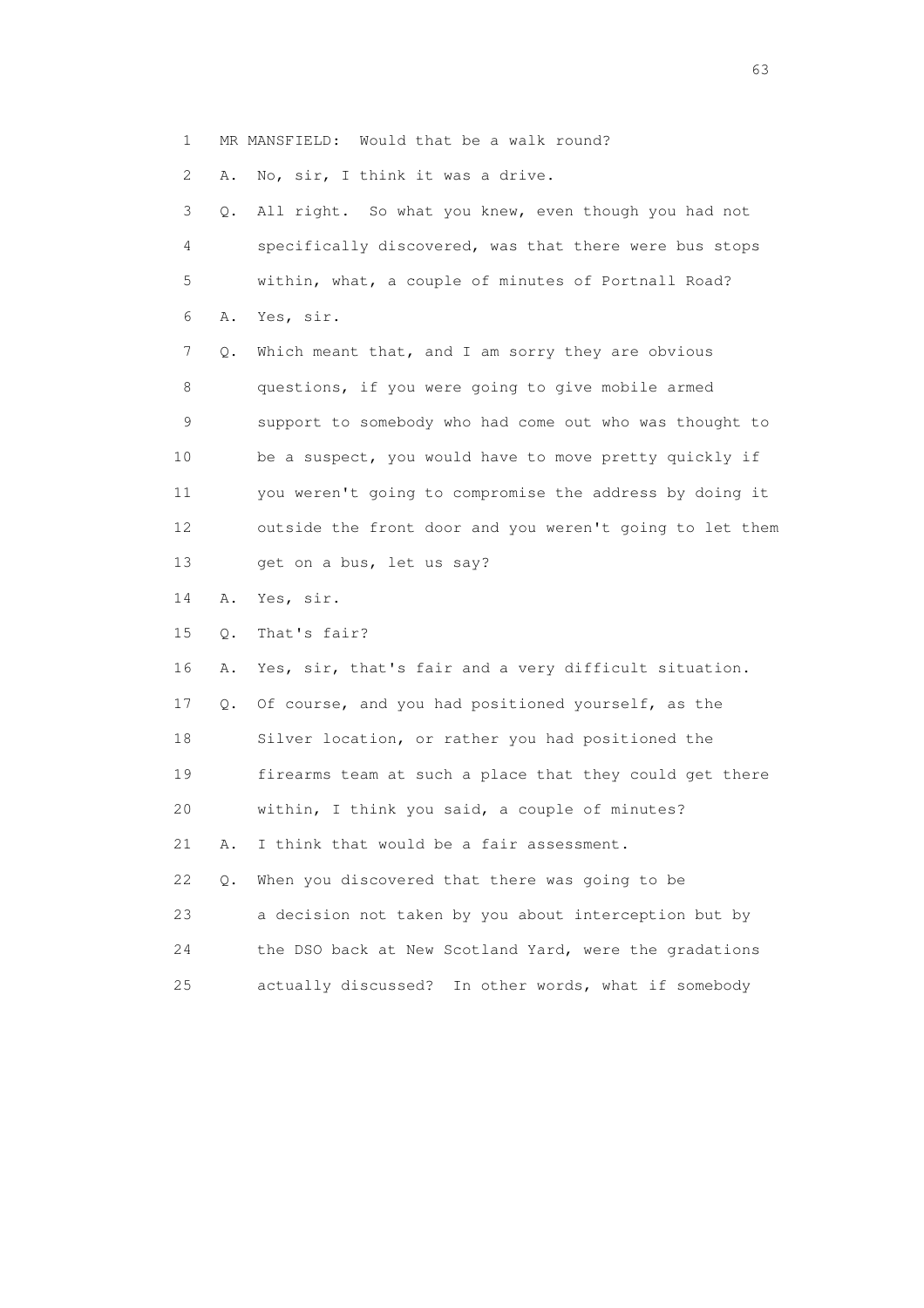1 MR MANSFIELD: Would that be a walk round?

2 A. No, sir, I think it was a drive.

 3 Q. All right. So what you knew, even though you had not 4 specifically discovered, was that there were bus stops 5 within, what, a couple of minutes of Portnall Road? 6 A. Yes, sir. 7 Q. Which meant that, and I am sorry they are obvious 8 questions, if you were going to give mobile armed 9 support to somebody who had come out who was thought to 10 be a suspect, you would have to move pretty quickly if 11 you weren't going to compromise the address by doing it 12 outside the front door and you weren't going to let them 13 get on a bus, let us say? 14 A. Yes, sir. 15 Q. That's fair? 16 A. Yes, sir, that's fair and a very difficult situation. 17 Q. Of course, and you had positioned yourself, as the 18 Silver location, or rather you had positioned the 19 firearms team at such a place that they could get there 20 within, I think you said, a couple of minutes? 21 A. I think that would be a fair assessment. 22 Q. When you discovered that there was going to be 23 a decision not taken by you about interception but by 24 the DSO back at New Scotland Yard, were the gradations 25 actually discussed? In other words, what if somebody

experience of the contract of the contract of the contract of the contract of the contract of the contract of the contract of the contract of the contract of the contract of the contract of the contract of the contract of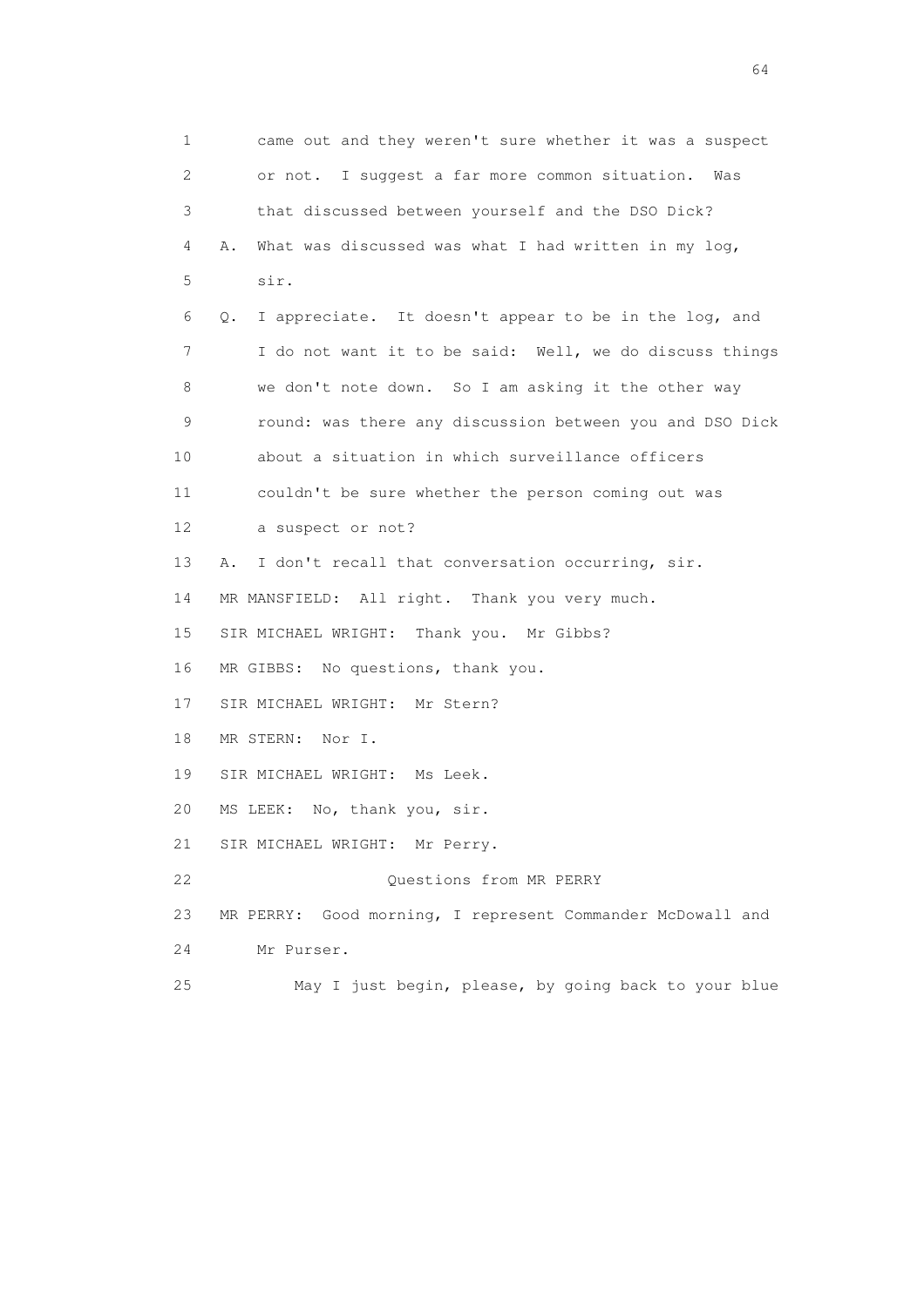1 came out and they weren't sure whether it was a suspect 2 or not. I suggest a far more common situation. Was 3 that discussed between yourself and the DSO Dick? 4 A. What was discussed was what I had written in my log, 5 sir. 6 Q. I appreciate. It doesn't appear to be in the log, and 7 I do not want it to be said: Well, we do discuss things 8 we don't note down. So I am asking it the other way 9 round: was there any discussion between you and DSO Dick 10 about a situation in which surveillance officers 11 couldn't be sure whether the person coming out was 12 a suspect or not? 13 A. I don't recall that conversation occurring, sir. 14 MR MANSFIELD: All right. Thank you very much. 15 SIR MICHAEL WRIGHT: Thank you. Mr Gibbs? 16 MR GIBBS: No questions, thank you. 17 SIR MICHAEL WRIGHT: Mr Stern? 18 MR STERN: Nor I. 19 SIR MICHAEL WRIGHT: Ms Leek. 20 MS LEEK: No, thank you, sir. 21 SIR MICHAEL WRIGHT: Mr Perry. 22 Ouestions from MR PERRY 23 MR PERRY: Good morning, I represent Commander McDowall and 24 Mr Purser. 25 May I just begin, please, by going back to your blue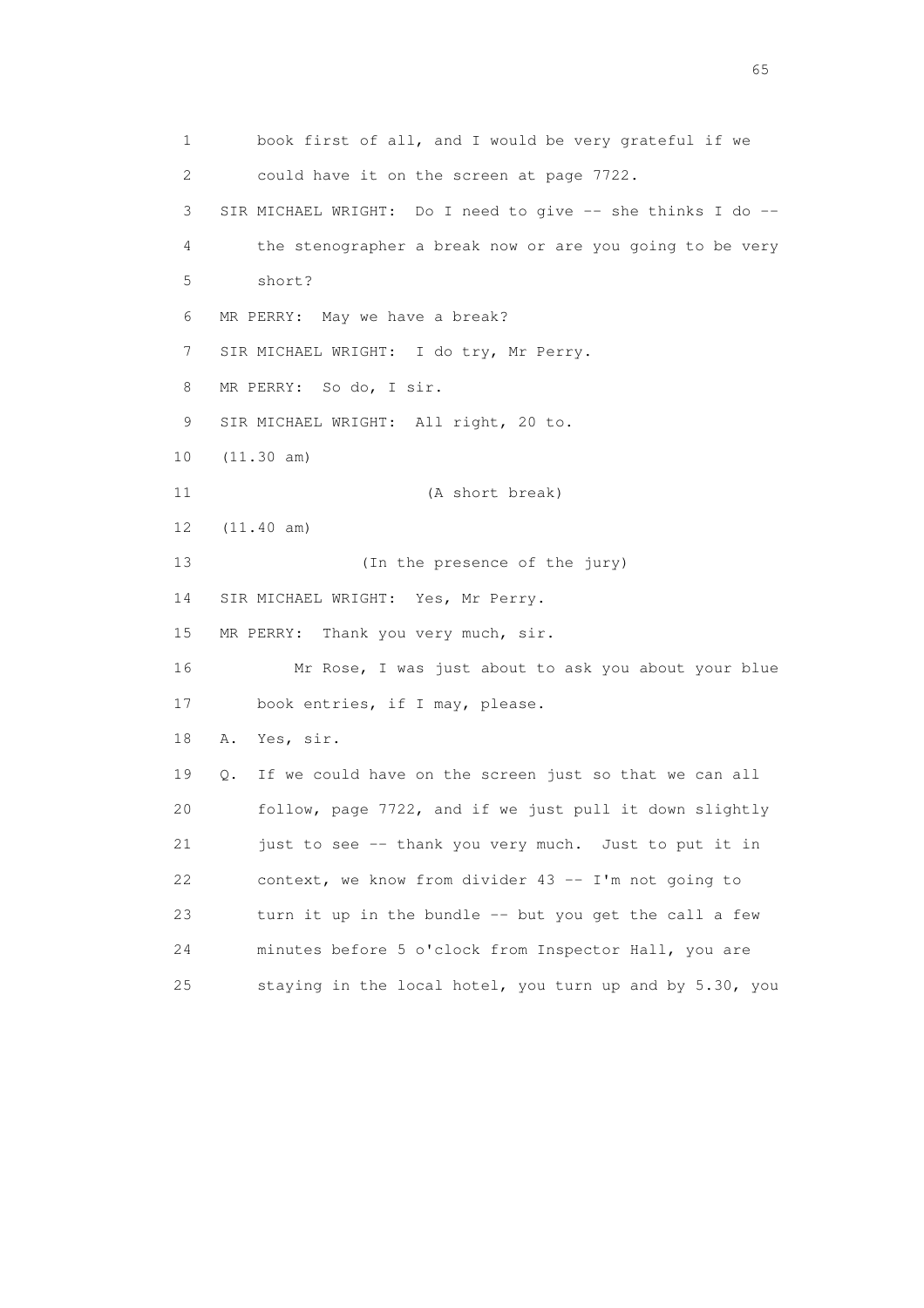1 book first of all, and I would be very grateful if we 2 could have it on the screen at page 7722. 3 SIR MICHAEL WRIGHT: Do I need to give -- she thinks I do -- 4 the stenographer a break now or are you going to be very 5 short? 6 MR PERRY: May we have a break? 7 SIR MICHAEL WRIGHT: I do try, Mr Perry. 8 MR PERRY: So do, I sir. 9 SIR MICHAEL WRIGHT: All right, 20 to. 10 (11.30 am) 11 (A short break) 12 (11.40 am) 13 (In the presence of the jury) 14 SIR MICHAEL WRIGHT: Yes, Mr Perry. 15 MR PERRY: Thank you very much, sir. 16 Mr Rose, I was just about to ask you about your blue 17 book entries, if I may, please. 18 A. Yes, sir. 19 Q. If we could have on the screen just so that we can all 20 follow, page 7722, and if we just pull it down slightly 21 just to see -- thank you very much. Just to put it in 22 context, we know from divider 43 -- I'm not going to 23 turn it up in the bundle -- but you get the call a few 24 minutes before 5 o'clock from Inspector Hall, you are 25 staying in the local hotel, you turn up and by 5.30, you

 $\sim$  65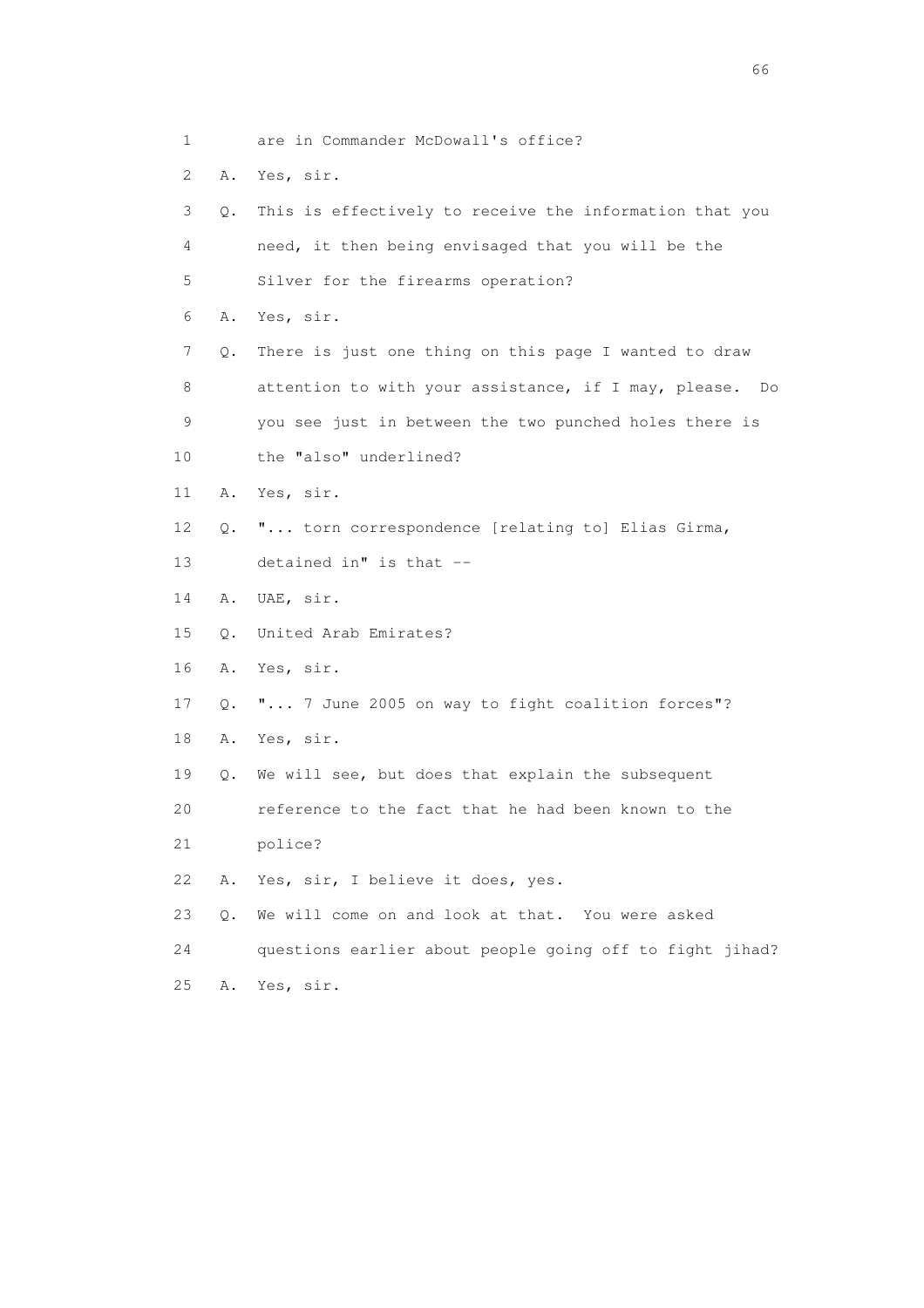1 are in Commander McDowall's office? 2 A. Yes, sir. 3 Q. This is effectively to receive the information that you 4 need, it then being envisaged that you will be the 5 Silver for the firearms operation? 6 A. Yes, sir. 7 Q. There is just one thing on this page I wanted to draw 8 attention to with your assistance, if I may, please. Do 9 you see just in between the two punched holes there is 10 the "also" underlined? 11 A. Yes, sir. 12 Q. "... torn correspondence [relating to] Elias Girma, 13 detained in" is that -- 14 A. UAE, sir. 15 Q. United Arab Emirates? 16 A. Yes, sir. 17 Q. "... 7 June 2005 on way to fight coalition forces"? 18 A. Yes, sir. 19 Q. We will see, but does that explain the subsequent 20 reference to the fact that he had been known to the 21 police? 22 A. Yes, sir, I believe it does, yes. 23 Q. We will come on and look at that. You were asked 24 questions earlier about people going off to fight jihad? 25 A. Yes, sir.

 $\sim$  66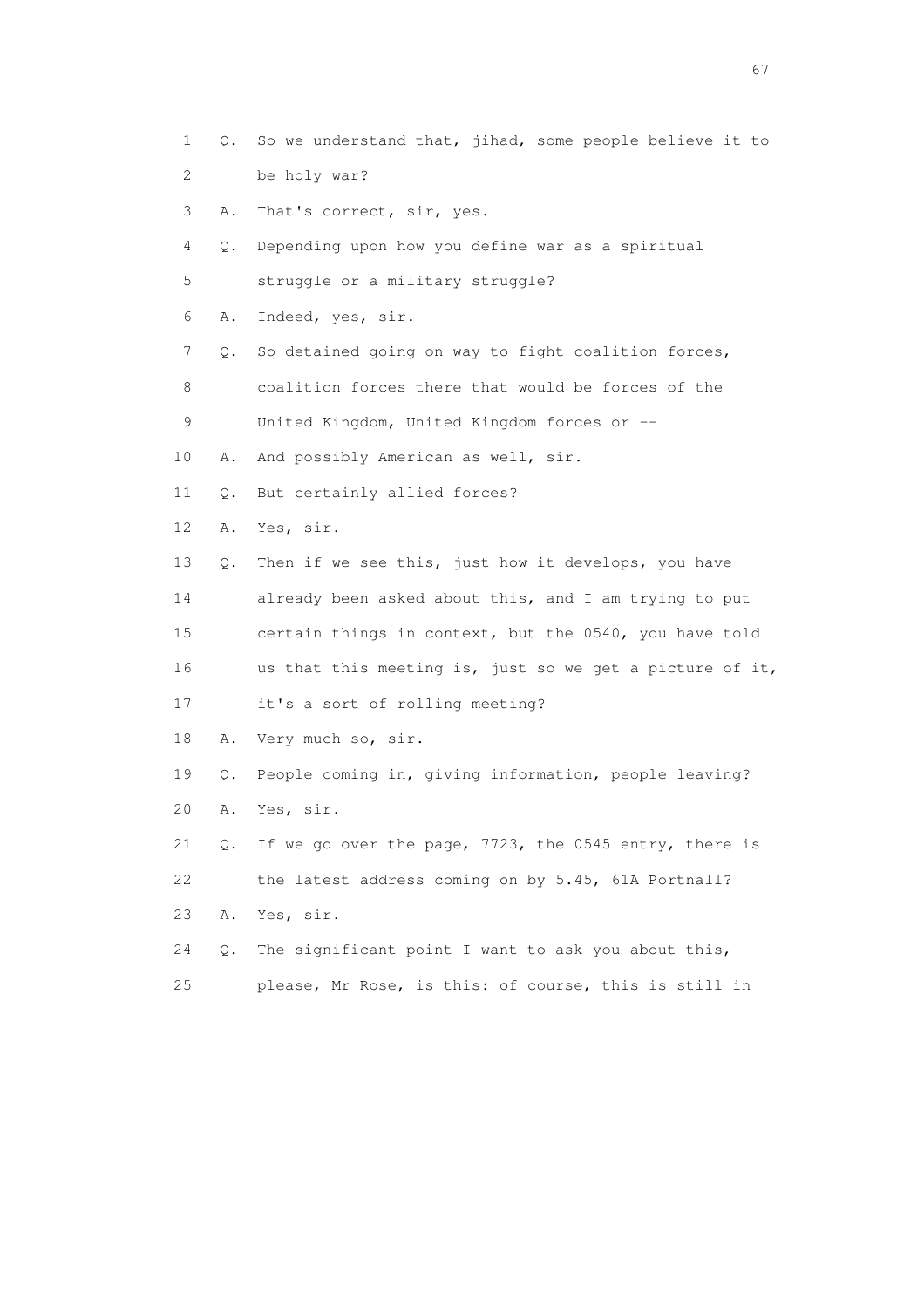- 1 Q. So we understand that, jihad, some people believe it to 2 be holy war?
- 3 A. That's correct, sir, yes.
- 4 Q. Depending upon how you define war as a spiritual
- 5 struggle or a military struggle?
- 6 A. Indeed, yes, sir.
- 7 Q. So detained going on way to fight coalition forces,
- 8 coalition forces there that would be forces of the

9 United Kingdom, United Kingdom forces or --

- 10 A. And possibly American as well, sir.
- 11 Q. But certainly allied forces?
- 12 A. Yes, sir.
- 13 Q. Then if we see this, just how it develops, you have
- 14 already been asked about this, and I am trying to put 15 certain things in context, but the 0540, you have told
- 16 us that this meeting is, just so we get a picture of it,
- 17 it's a sort of rolling meeting?
- 18 A. Very much so, sir.
- 19 Q. People coming in, giving information, people leaving? 20 A. Yes, sir.
- 21 Q. If we go over the page, 7723, the 0545 entry, there is 22 the latest address coming on by 5.45, 61A Portnall?
- 23 A. Yes, sir.
- 24 Q. The significant point I want to ask you about this, 25 please, Mr Rose, is this: of course, this is still in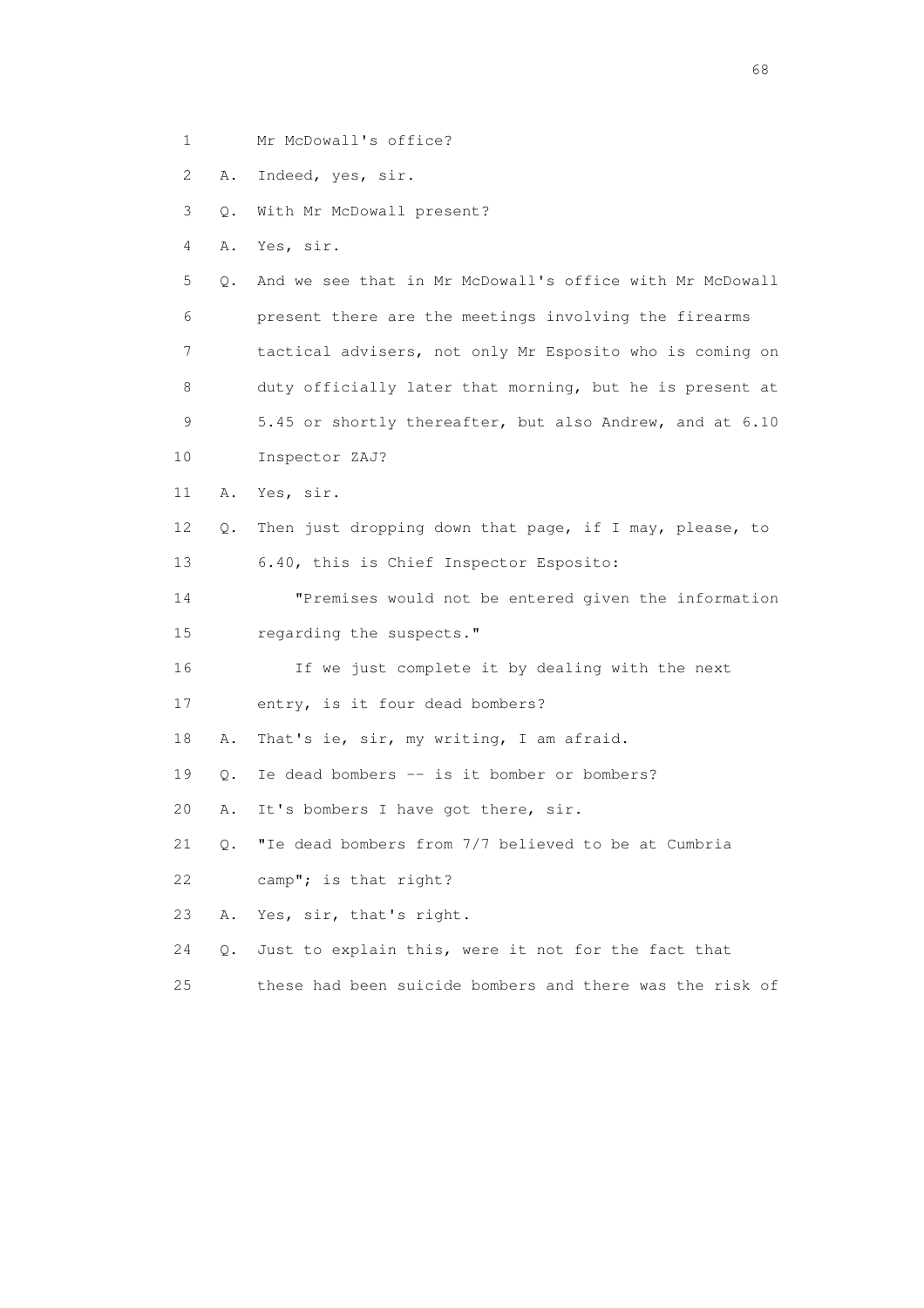1 Mr McDowall's office?

2 A. Indeed, yes, sir.

3 Q. With Mr McDowall present?

4 A. Yes, sir.

 5 Q. And we see that in Mr McDowall's office with Mr McDowall 6 present there are the meetings involving the firearms 7 tactical advisers, not only Mr Esposito who is coming on 8 duty officially later that morning, but he is present at 9 5.45 or shortly thereafter, but also Andrew, and at 6.10

- 10 Inspector ZAJ?
- 11 A. Yes, sir.
- 12 Q. Then just dropping down that page, if I may, please, to 13 6.40, this is Chief Inspector Esposito:

 14 "Premises would not be entered given the information 15 regarding the suspects."

16 If we just complete it by dealing with the next

17 entry, is it four dead bombers?

18 A. That's ie, sir, my writing, I am afraid.

19 Q. Ie dead bombers -- is it bomber or bombers?

20 A. It's bombers I have got there, sir.

21 Q. "Ie dead bombers from 7/7 believed to be at Cumbria

22 camp"; is that right?

23 A. Yes, sir, that's right.

24 Q. Just to explain this, were it not for the fact that

25 these had been suicide bombers and there was the risk of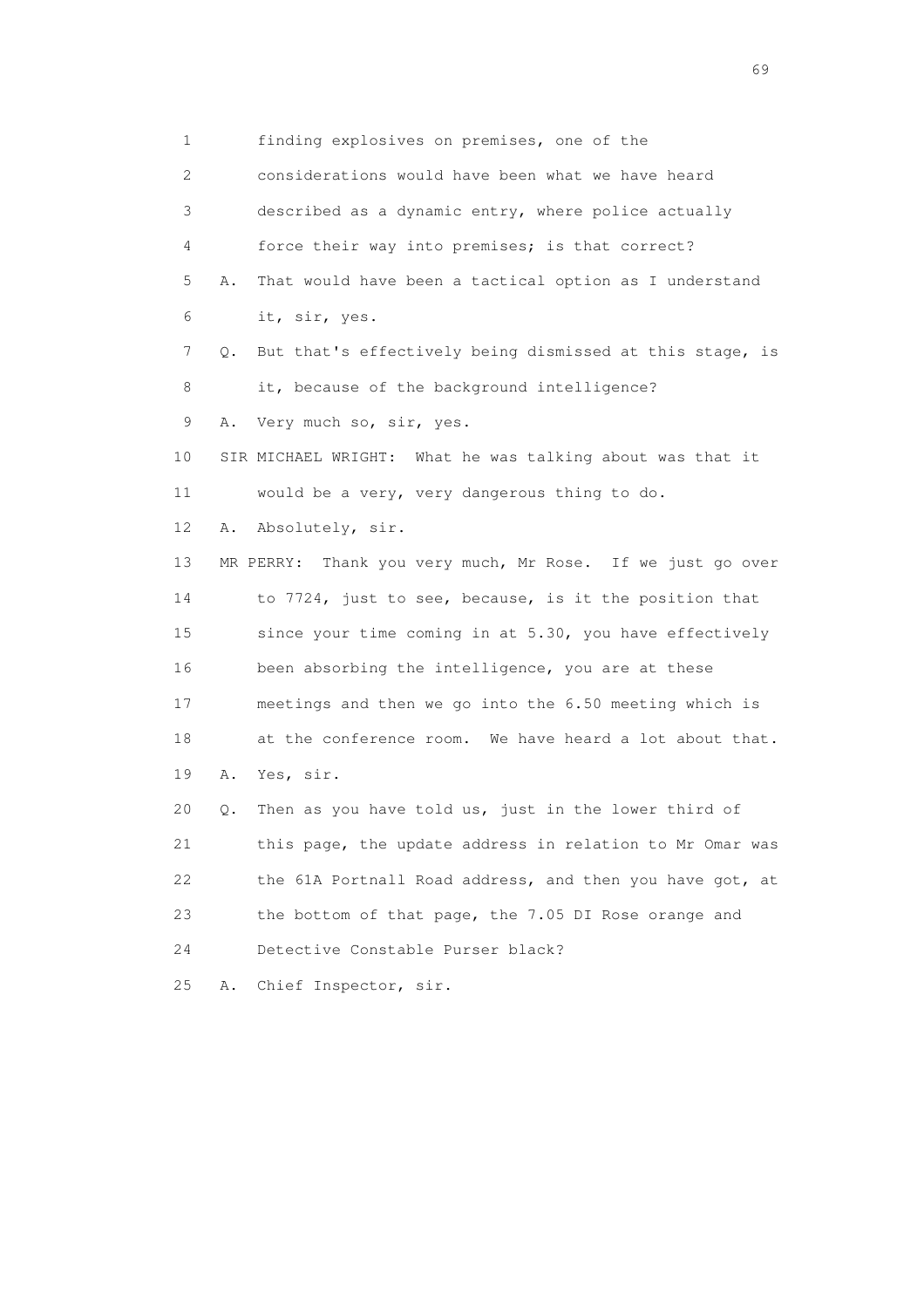1 finding explosives on premises, one of the 2 considerations would have been what we have heard 3 described as a dynamic entry, where police actually 4 force their way into premises; is that correct? 5 A. That would have been a tactical option as I understand 6 it, sir, yes. 7 Q. But that's effectively being dismissed at this stage, is 8 it, because of the background intelligence? 9 A. Very much so, sir, yes. 10 SIR MICHAEL WRIGHT: What he was talking about was that it 11 would be a very, very dangerous thing to do. 12 A. Absolutely, sir. 13 MR PERRY: Thank you very much, Mr Rose. If we just go over 14 to 7724, just to see, because, is it the position that 15 since your time coming in at 5.30, you have effectively 16 been absorbing the intelligence, you are at these 17 meetings and then we go into the 6.50 meeting which is 18 at the conference room. We have heard a lot about that. 19 A. Yes, sir. 20 Q. Then as you have told us, just in the lower third of 21 this page, the update address in relation to Mr Omar was 22 the 61A Portnall Road address, and then you have got, at 23 the bottom of that page, the 7.05 DI Rose orange and 24 Detective Constable Purser black? 25 A. Chief Inspector, sir.

entral de la construction de la construction de la construction de la construction de la construction de la co<br>1990 : la construction de la construction de la construction de la construction de la construction de la const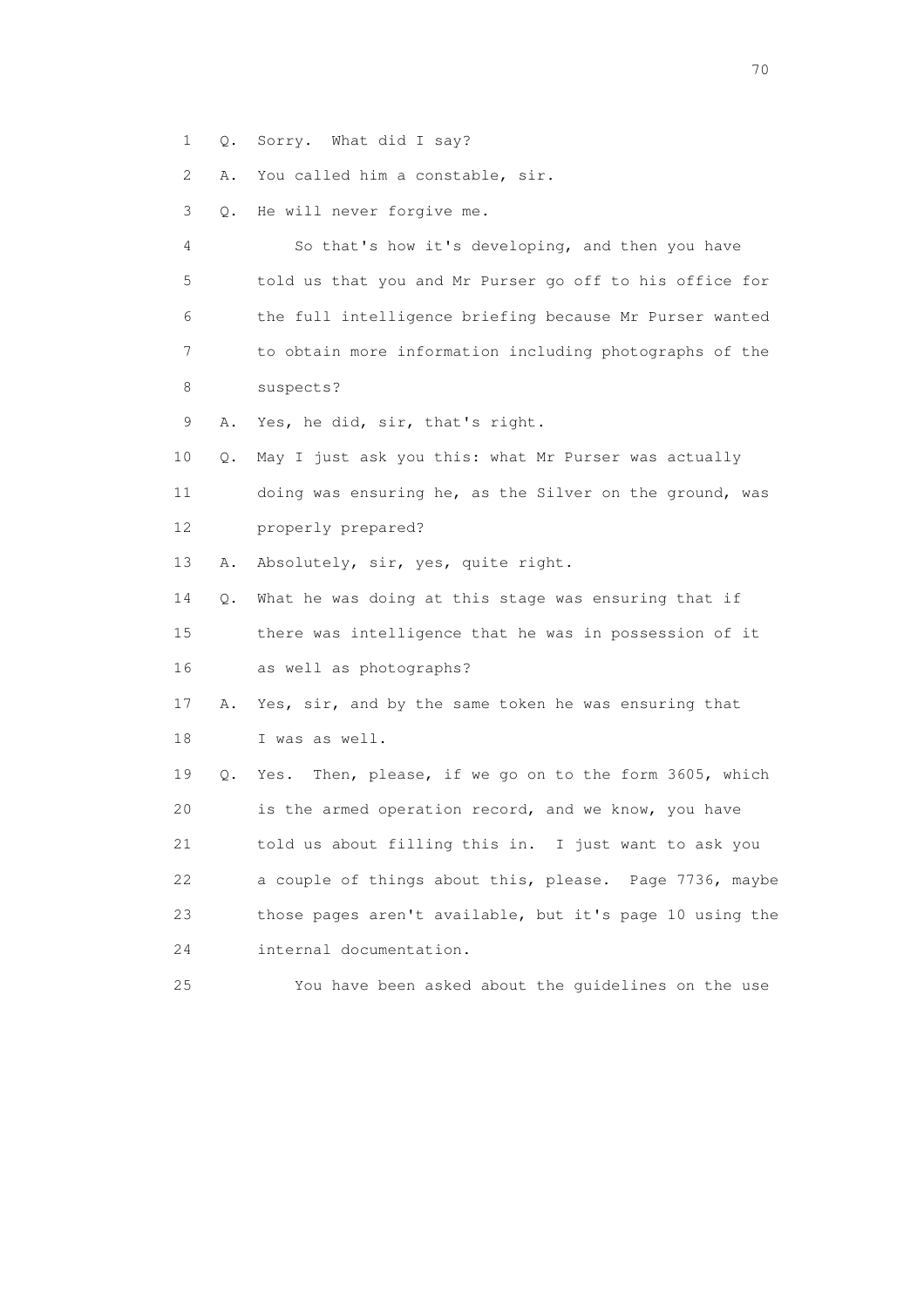1 Q. Sorry. What did I say?

2 A. You called him a constable, sir.

3 Q. He will never forgive me.

 4 So that's how it's developing, and then you have 5 told us that you and Mr Purser go off to his office for 6 the full intelligence briefing because Mr Purser wanted 7 to obtain more information including photographs of the 8 suspects?

9 A. Yes, he did, sir, that's right.

 10 Q. May I just ask you this: what Mr Purser was actually 11 doing was ensuring he, as the Silver on the ground, was 12 properly prepared?

13 A. Absolutely, sir, yes, quite right.

 14 Q. What he was doing at this stage was ensuring that if 15 there was intelligence that he was in possession of it

16 as well as photographs?

 17 A. Yes, sir, and by the same token he was ensuring that 18 I was as well.

 19 Q. Yes. Then, please, if we go on to the form 3605, which 20 is the armed operation record, and we know, you have 21 told us about filling this in. I just want to ask you 22 a couple of things about this, please. Page 7736, maybe 23 those pages aren't available, but it's page 10 using the 24 internal documentation.

25 You have been asked about the guidelines on the use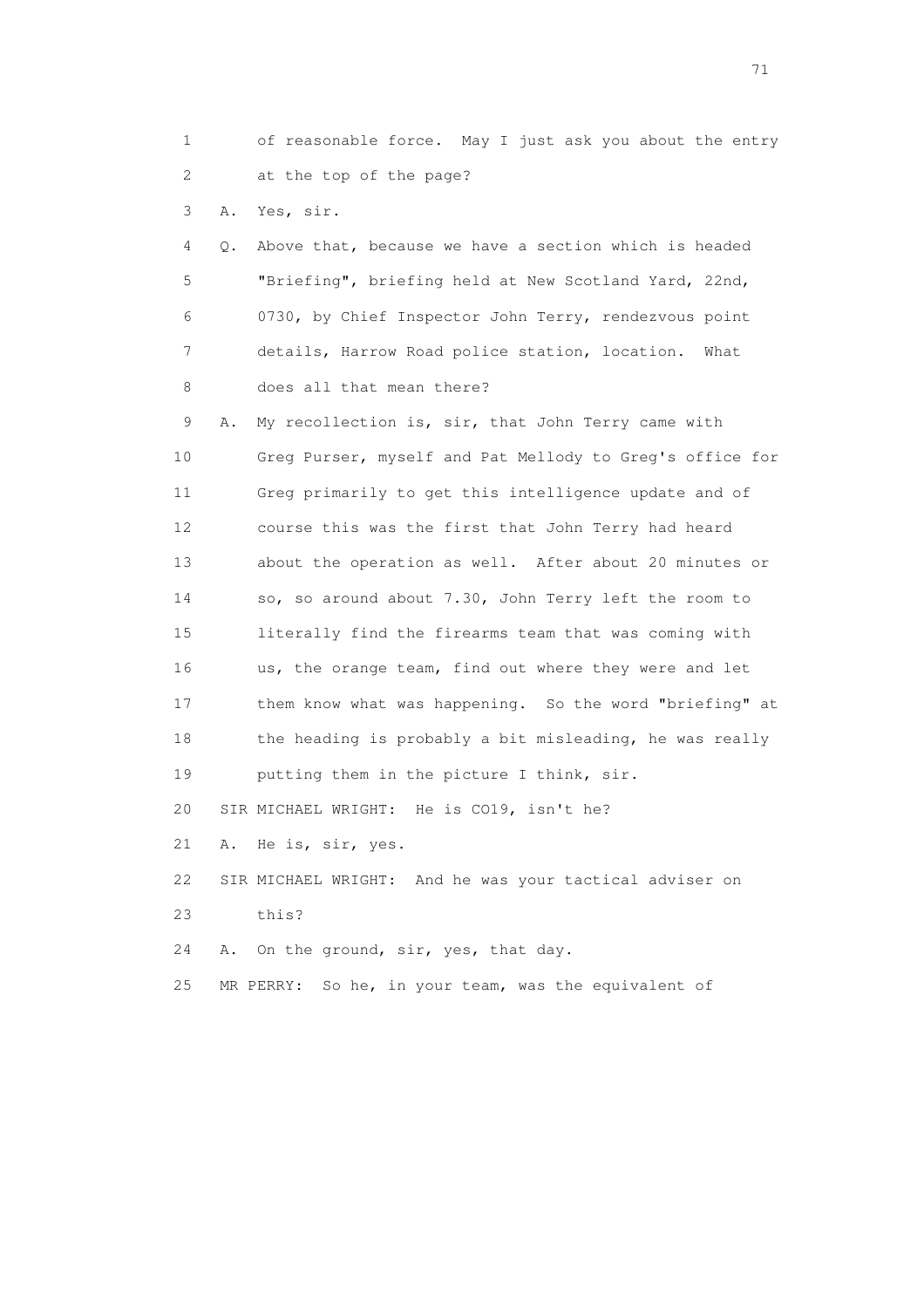1 of reasonable force. May I just ask you about the entry 2 at the top of the page?

3 A. Yes, sir.

 4 Q. Above that, because we have a section which is headed 5 "Briefing", briefing held at New Scotland Yard, 22nd, 6 0730, by Chief Inspector John Terry, rendezvous point 7 details, Harrow Road police station, location. What 8 does all that mean there?

 9 A. My recollection is, sir, that John Terry came with 10 Greg Purser, myself and Pat Mellody to Greg's office for 11 Greg primarily to get this intelligence update and of 12 course this was the first that John Terry had heard 13 about the operation as well. After about 20 minutes or 14 so, so around about 7.30, John Terry left the room to 15 literally find the firearms team that was coming with 16 us, the orange team, find out where they were and let 17 them know what was happening. So the word "briefing" at 18 the heading is probably a bit misleading, he was really 19 putting them in the picture I think, sir. 20 SIR MICHAEL WRIGHT: He is CO19, isn't he? 21 A. He is, sir, yes. 22 SIR MICHAEL WRIGHT: And he was your tactical adviser on

23 this?

24 A. On the ground, sir, yes, that day.

25 MR PERRY: So he, in your team, was the equivalent of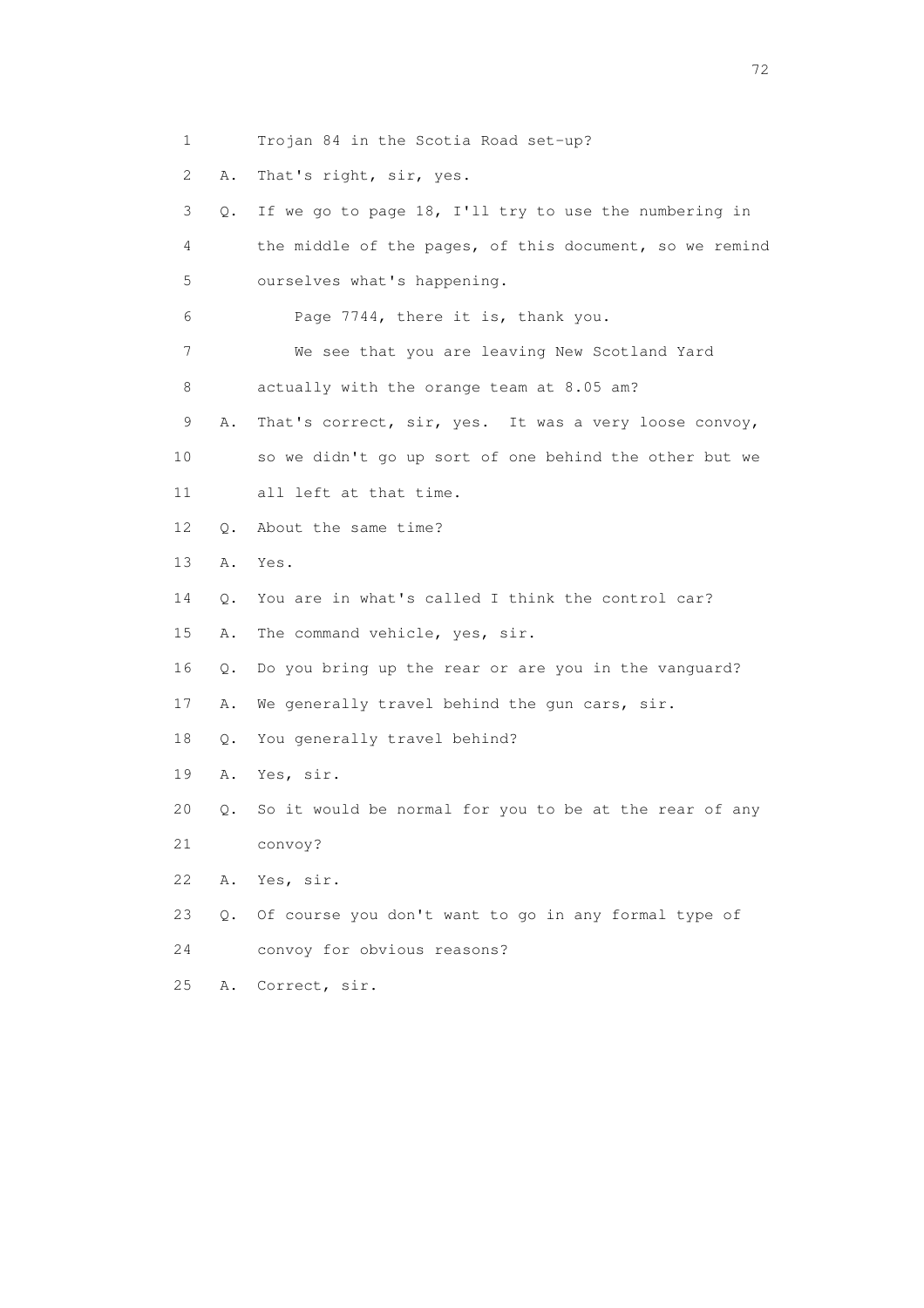- 1 Trojan 84 in the Scotia Road set-up?
- 2 A. That's right, sir, yes.

 3 Q. If we go to page 18, I'll try to use the numbering in 4 the middle of the pages, of this document, so we remind 5 ourselves what's happening. 6 Page 7744, there it is, thank you. 7 We see that you are leaving New Scotland Yard 8 actually with the orange team at 8.05 am? 9 A. That's correct, sir, yes. It was a very loose convoy, 10 so we didn't go up sort of one behind the other but we 11 all left at that time. 12 Q. About the same time? 13 A. Yes. 14 Q. You are in what's called I think the control car? 15 A. The command vehicle, yes, sir. 16 Q. Do you bring up the rear or are you in the vanguard? 17 A. We generally travel behind the gun cars, sir. 18 Q. You generally travel behind? 19 A. Yes, sir. 20 Q. So it would be normal for you to be at the rear of any 21 convoy? 22 A. Yes, sir. 23 Q. Of course you don't want to go in any formal type of 24 convoy for obvious reasons?

25 A. Correct, sir.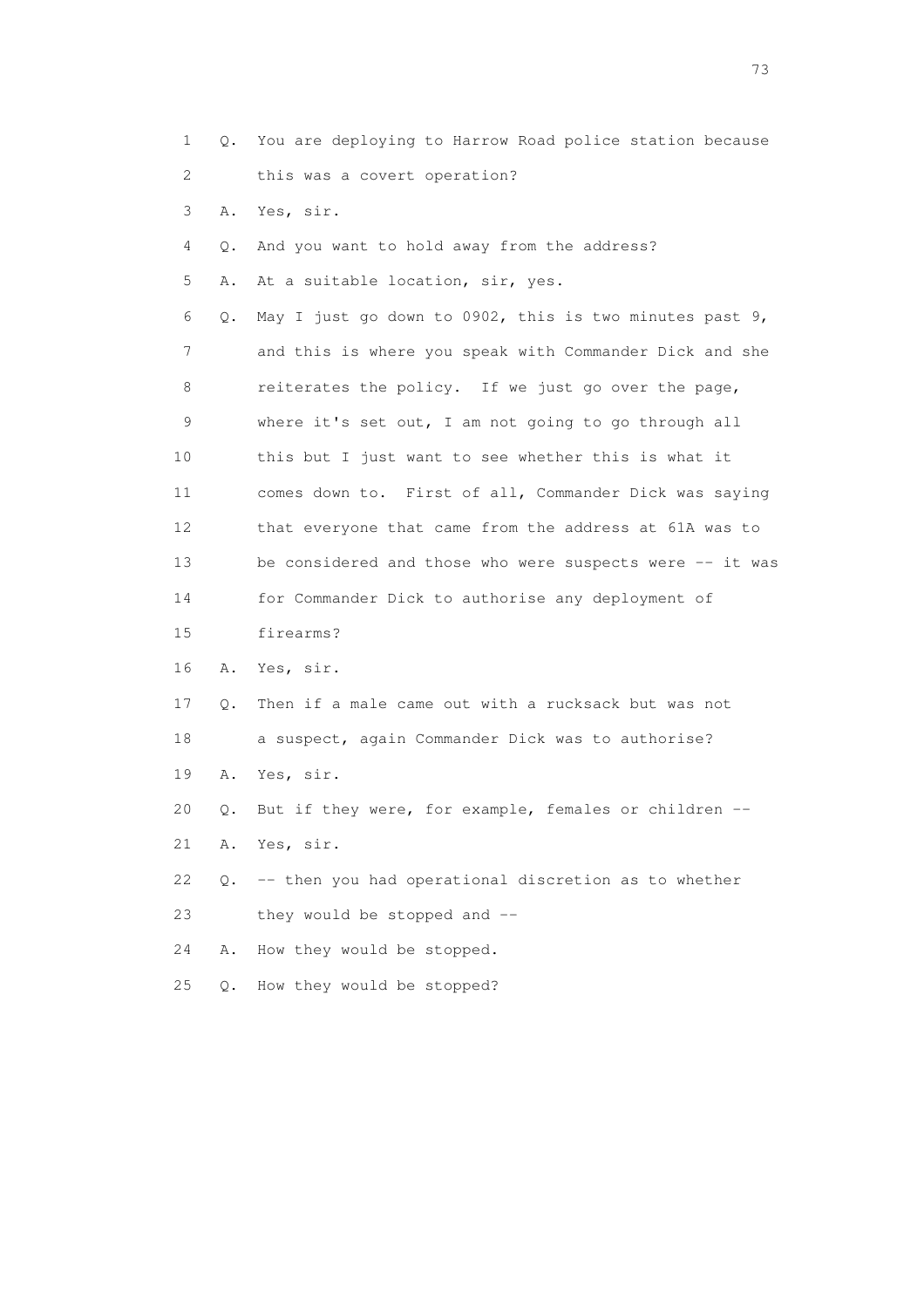1 Q. You are deploying to Harrow Road police station because 2 this was a covert operation?

- 3 A. Yes, sir.
- 4 Q. And you want to hold away from the address?
- 5 A. At a suitable location, sir, yes.

 6 Q. May I just go down to 0902, this is two minutes past 9, 7 and this is where you speak with Commander Dick and she 8 reiterates the policy. If we just go over the page, 9 where it's set out, I am not going to go through all 10 this but I just want to see whether this is what it 11 comes down to. First of all, Commander Dick was saying 12 that everyone that came from the address at 61A was to 13 be considered and those who were suspects were -- it was 14 for Commander Dick to authorise any deployment of 15 firearms?

- 16 A. Yes, sir.
- 17 Q. Then if a male came out with a rucksack but was not 18 a suspect, again Commander Dick was to authorise?
- 19 A. Yes, sir.
- 20 Q. But if they were, for example, females or children --
- 21 A. Yes, sir.

 22 Q. -- then you had operational discretion as to whether 23 they would be stopped and --

24 A. How they would be stopped.

25 Q. How they would be stopped?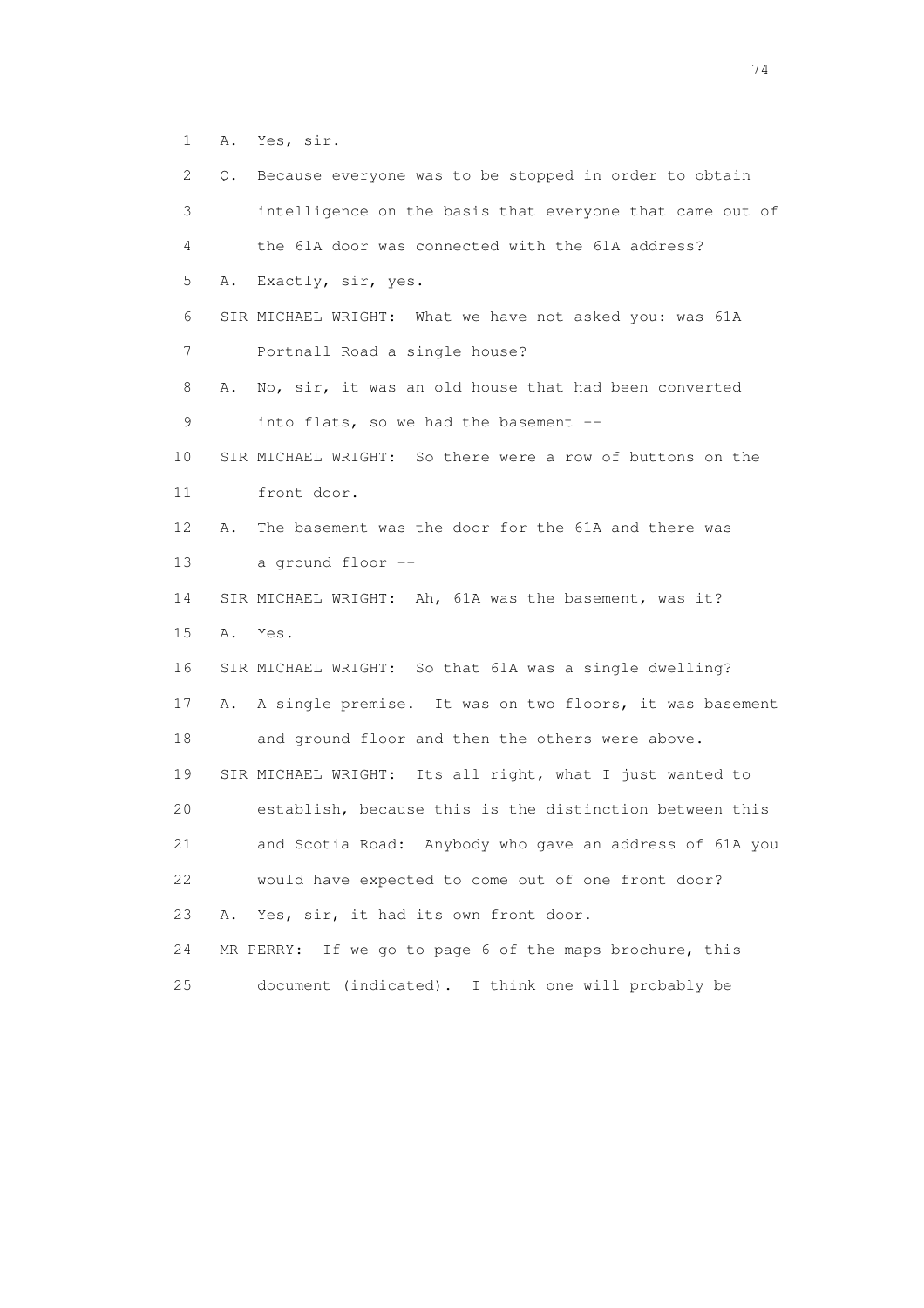1 A. Yes, sir.

| 2  | Q. | Because everyone was to be stopped in order to obtain      |
|----|----|------------------------------------------------------------|
| 3  |    | intelligence on the basis that everyone that came out of   |
| 4  |    | the 61A door was connected with the 61A address?           |
| 5  | Α. | Exactly, sir, yes.                                         |
| 6  |    | SIR MICHAEL WRIGHT: What we have not asked you: was 61A    |
| 7  |    | Portnall Road a single house?                              |
| 8  | Α. | No, sir, it was an old house that had been converted       |
| 9  |    | into flats, so we had the basement --                      |
| 10 |    | SIR MICHAEL WRIGHT: So there were a row of buttons on the  |
| 11 |    | front door.                                                |
| 12 | Α. | The basement was the door for the 61A and there was        |
| 13 |    | a ground floor --                                          |
| 14 |    | SIR MICHAEL WRIGHT: Ah, 61A was the basement, was it?      |
| 15 | Α. | Yes.                                                       |
| 16 |    | SIR MICHAEL WRIGHT: So that 61A was a single dwelling?     |
| 17 | Α. | A single premise. It was on two floors, it was basement    |
| 18 |    | and ground floor and then the others were above.           |
| 19 |    | SIR MICHAEL WRIGHT: Its all right, what I just wanted to   |
| 20 |    | establish, because this is the distinction between this    |
| 21 |    | and Scotia Road: Anybody who gave an address of 61A you    |
| 22 |    | would have expected to come out of one front door?         |
| 23 | Α. | Yes, sir, it had its own front door.                       |
| 24 |    | If we go to page 6 of the maps brochure, this<br>MR PERRY: |
| 25 |    | document (indicated). I think one will probably be         |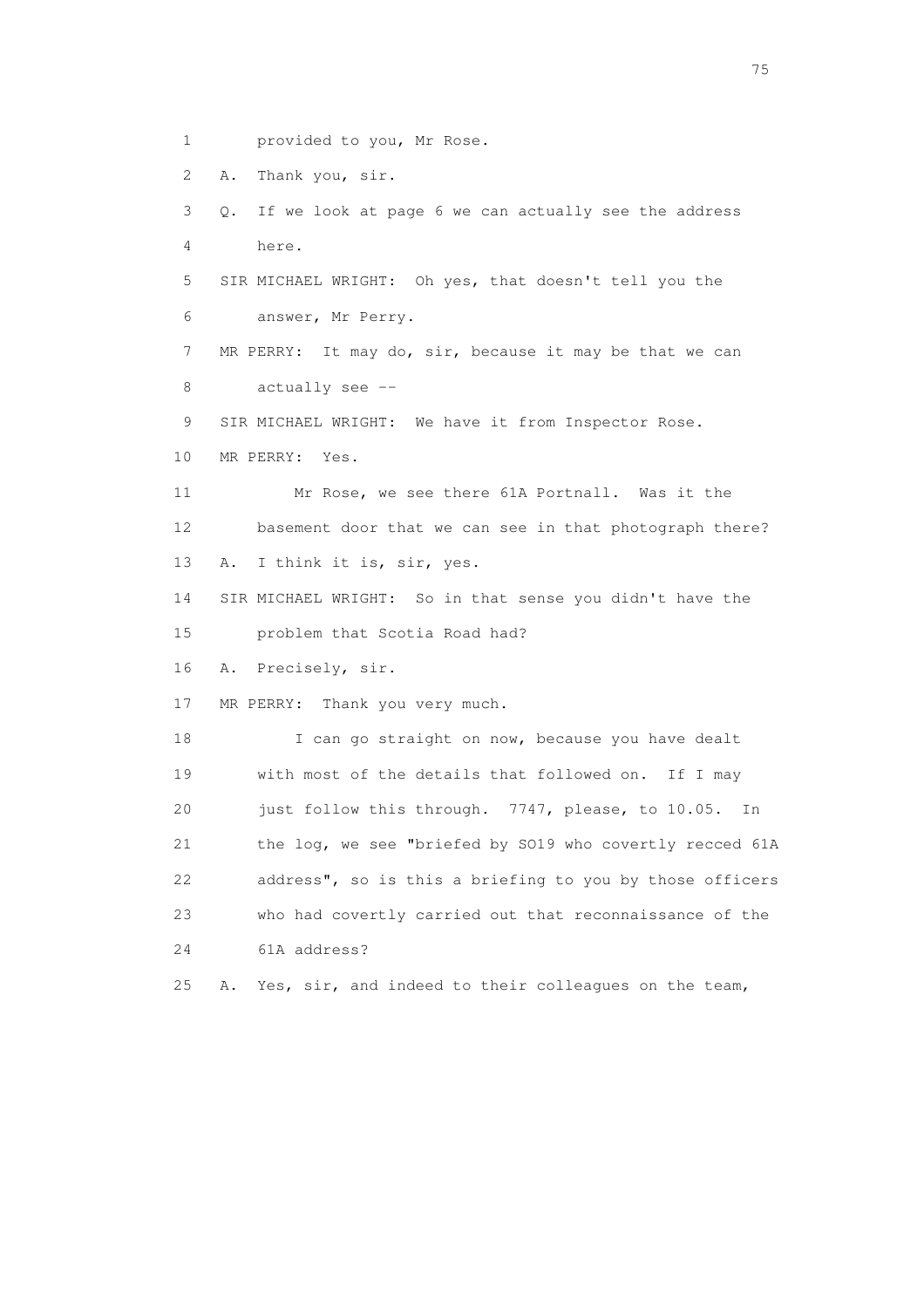1 provided to you, Mr Rose.

2 A. Thank you, sir.

 3 Q. If we look at page 6 we can actually see the address 4 here.

 5 SIR MICHAEL WRIGHT: Oh yes, that doesn't tell you the 6 answer, Mr Perry.

 7 MR PERRY: It may do, sir, because it may be that we can 8 actually see --

9 SIR MICHAEL WRIGHT: We have it from Inspector Rose.

10 MR PERRY: Yes.

 11 Mr Rose, we see there 61A Portnall. Was it the 12 basement door that we can see in that photograph there? 13 A. I think it is, sir, yes.

 14 SIR MICHAEL WRIGHT: So in that sense you didn't have the 15 problem that Scotia Road had?

16 A. Precisely, sir.

17 MR PERRY: Thank you very much.

18 I can go straight on now, because you have dealt 19 with most of the details that followed on. If I may 20 just follow this through. 7747, please, to 10.05. In 21 the log, we see "briefed by SO19 who covertly recced 61A 22 address", so is this a briefing to you by those officers 23 who had covertly carried out that reconnaissance of the 24 61A address?

25 A. Yes, sir, and indeed to their colleagues on the team,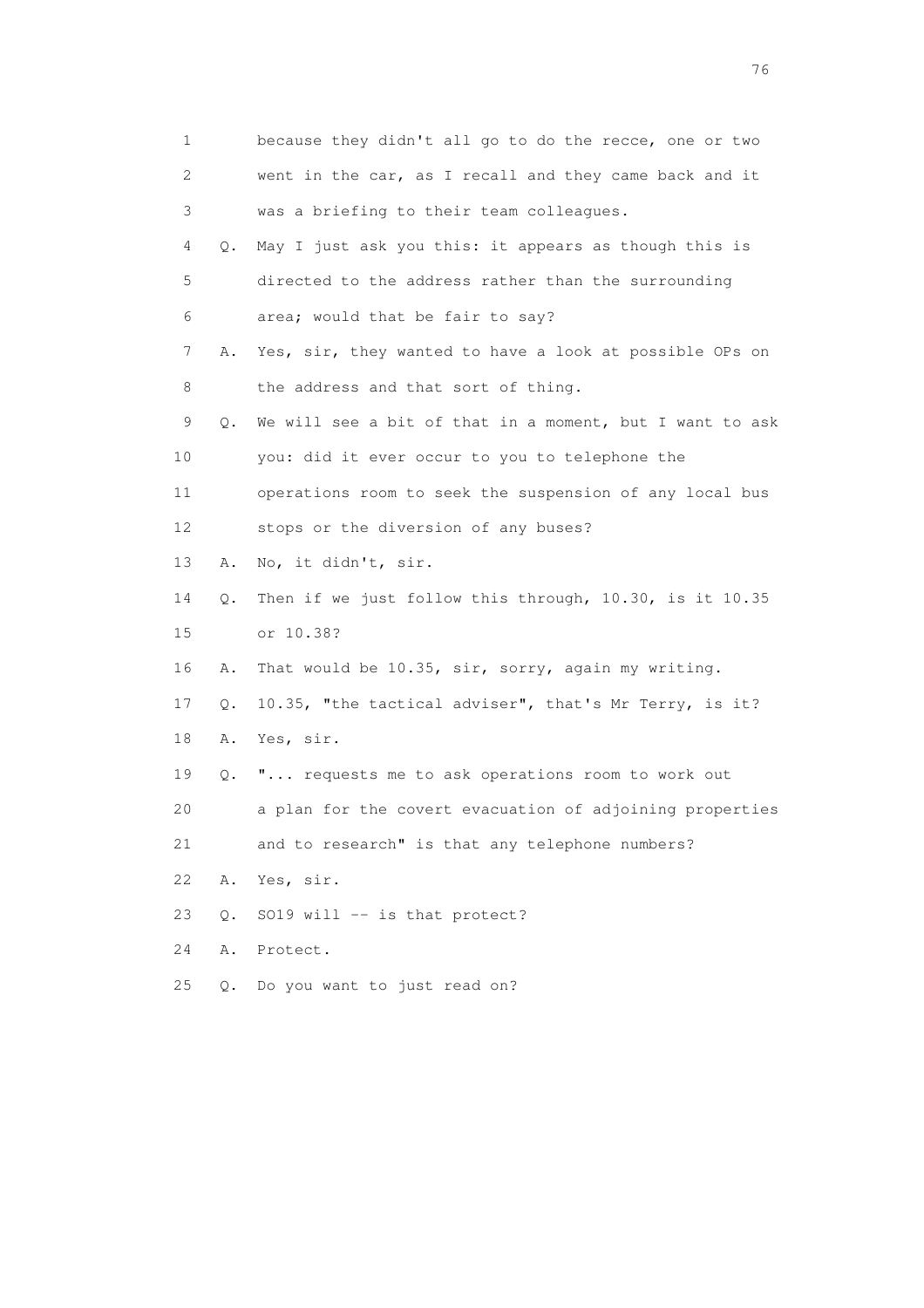| 1                         |       | because they didn't all go to do the recce, one or two   |
|---------------------------|-------|----------------------------------------------------------|
| $\mathbf{2}^{\mathsf{I}}$ |       | went in the car, as I recall and they came back and it   |
| 3                         |       | was a briefing to their team colleagues.                 |
| 4                         | Q.    | May I just ask you this: it appears as though this is    |
| 5                         |       | directed to the address rather than the surrounding      |
| 6                         |       | area; would that be fair to say?                         |
| 7                         | Α.    | Yes, sir, they wanted to have a look at possible OPs on  |
| 8                         |       | the address and that sort of thing.                      |
| 9                         | Q.    | We will see a bit of that in a moment, but I want to ask |
| 10                        |       | you: did it ever occur to you to telephone the           |
| 11                        |       | operations room to seek the suspension of any local bus  |
| 12 <sup>°</sup>           |       | stops or the diversion of any buses?                     |
| 13                        | Α.    | No, it didn't, sir.                                      |
| 14                        | Q.    | Then if we just follow this through, 10.30, is it 10.35  |
| 15                        |       | or 10.38?                                                |
| 16                        | Α.    | That would be 10.35, sir, sorry, again my writing.       |
| 17                        | Q.    | 10.35, "the tactical adviser", that's Mr Terry, is it?   |
| 18                        | Α.    | Yes, sir.                                                |
| 19                        | Q.    | " requests me to ask operations room to work out         |
| 20                        |       | a plan for the covert evacuation of adjoining properties |
| 21                        |       | and to research" is that any telephone numbers?          |
| 22                        | Α.    | Yes, sir.                                                |
| 23                        | $Q$ . | SO19 will -- is that protect?                            |
| 24                        | Α.    | Protect.                                                 |
| 25                        | Q.    | Do you want to just read on?                             |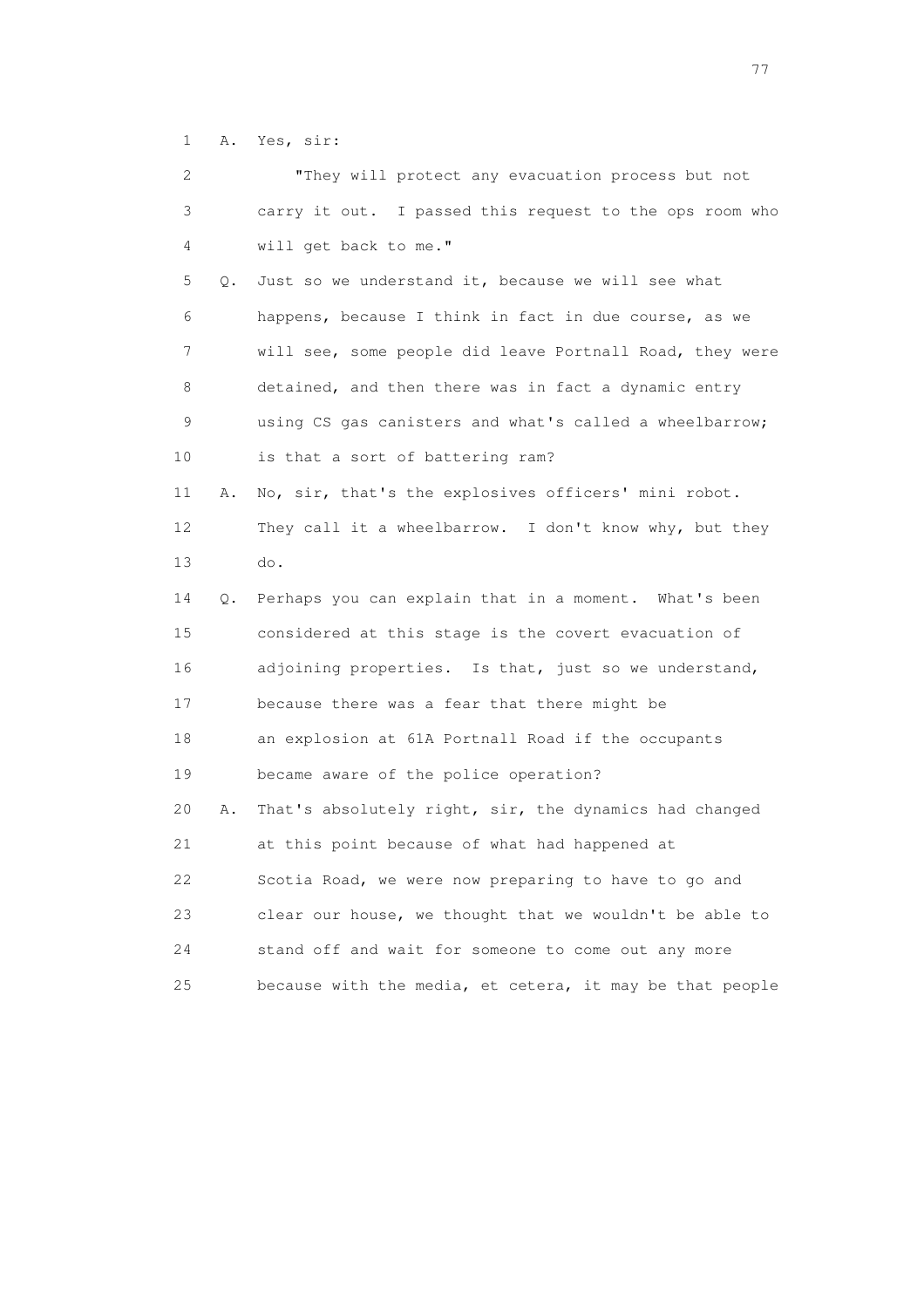1 A. Yes, sir:

| $\mathbf{2}^{\mathsf{I}}$ |    | "They will protect any evacuation process but not        |
|---------------------------|----|----------------------------------------------------------|
| 3                         |    | carry it out. I passed this request to the ops room who  |
| 4                         |    | will get back to me."                                    |
| 5                         | 0. | Just so we understand it, because we will see what       |
| 6                         |    | happens, because I think in fact in due course, as we    |
| 7                         |    | will see, some people did leave Portnall Road, they were |
| 8                         |    | detained, and then there was in fact a dynamic entry     |
| 9                         |    | using CS gas canisters and what's called a wheelbarrow;  |
| 10                        |    | is that a sort of battering ram?                         |
| 11                        | Α. | No, sir, that's the explosives officers' mini robot.     |
| 12                        |    | They call it a wheelbarrow. I don't know why, but they   |
| 13                        |    | do.                                                      |
| 14                        | О. | Perhaps you can explain that in a moment. What's been    |
| 15                        |    | considered at this stage is the covert evacuation of     |
| 16                        |    | adjoining properties. Is that, just so we understand,    |
| 17                        |    | because there was a fear that there might be             |
| 18                        |    | an explosion at 61A Portnall Road if the occupants       |
| 19                        |    | became aware of the police operation?                    |
| 20                        | Α. | That's absolutely right, sir, the dynamics had changed   |
| 21                        |    | at this point because of what had happened at            |
| 22                        |    | Scotia Road, we were now preparing to have to go and     |
| 23                        |    | clear our house, we thought that we wouldn't be able to  |
| 24                        |    | stand off and wait for someone to come out any more      |
| 25                        |    | because with the media, et cetera, it may be that people |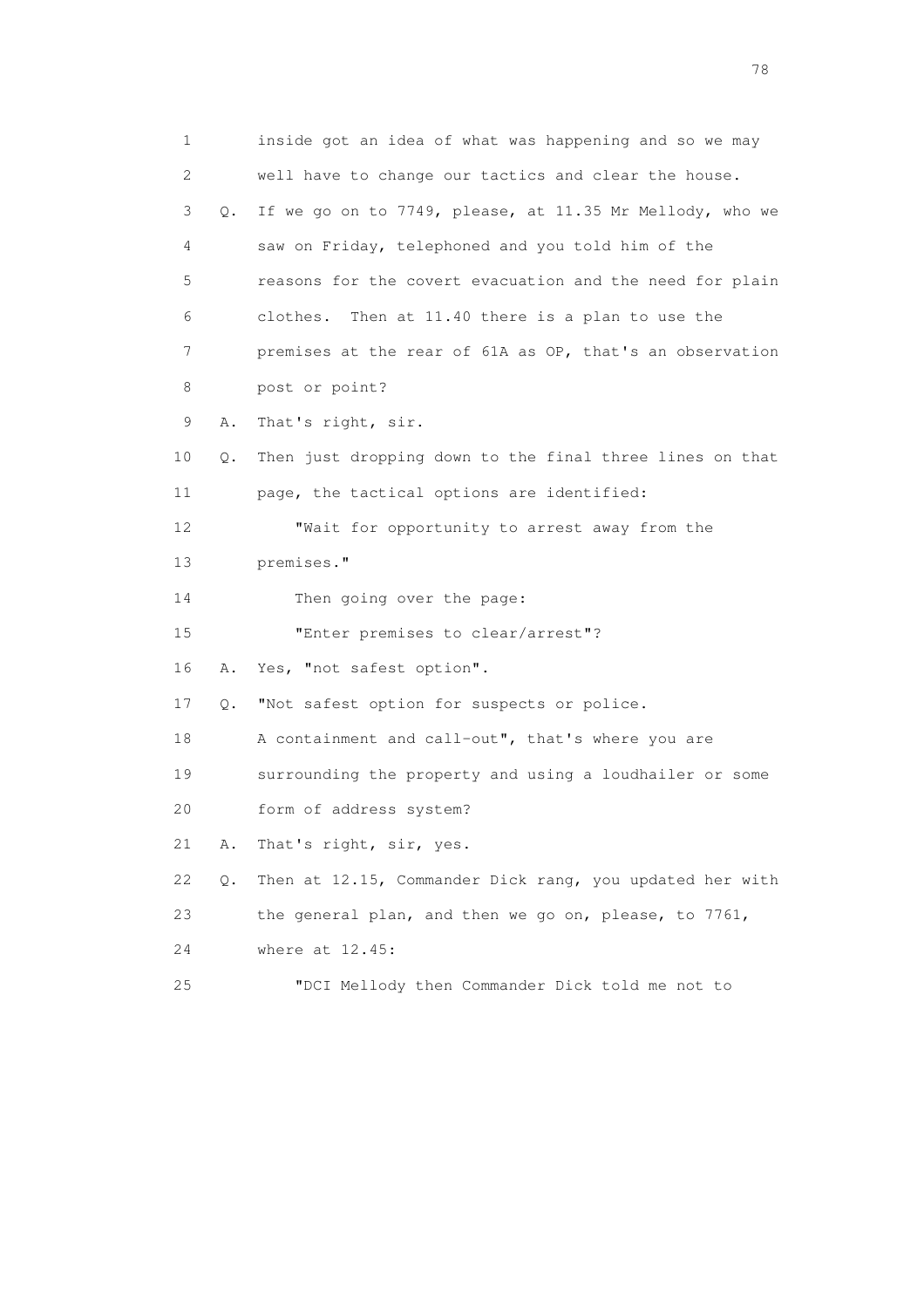1 inside got an idea of what was happening and so we may 2 well have to change our tactics and clear the house. 3 Q. If we go on to 7749, please, at 11.35 Mr Mellody, who we 4 saw on Friday, telephoned and you told him of the 5 reasons for the covert evacuation and the need for plain 6 clothes. Then at 11.40 there is a plan to use the 7 premises at the rear of 61A as OP, that's an observation 8 post or point? 9 A. That's right, sir. 10 Q. Then just dropping down to the final three lines on that 11 page, the tactical options are identified: 12 "Wait for opportunity to arrest away from the 13 premises." 14 Then going over the page: 15 "Enter premises to clear/arrest"? 16 A. Yes, "not safest option". 17 Q. "Not safest option for suspects or police. 18 A containment and call-out", that's where you are 19 surrounding the property and using a loudhailer or some 20 form of address system? 21 A. That's right, sir, yes. 22 Q. Then at 12.15, Commander Dick rang, you updated her with 23 the general plan, and then we go on, please, to 7761, 24 where at 12.45: 25 "DCI Mellody then Commander Dick told me not to

na na matsayang mga kasang mga kalendaryon ng mga kasang mga kasang mga kasang mga kasang mga kasang mga kasan<br>Mga kasang mga kasang mga kasang mga kasang mga kasang mga kasang mga kasang mga kasang mga kasang mga kasang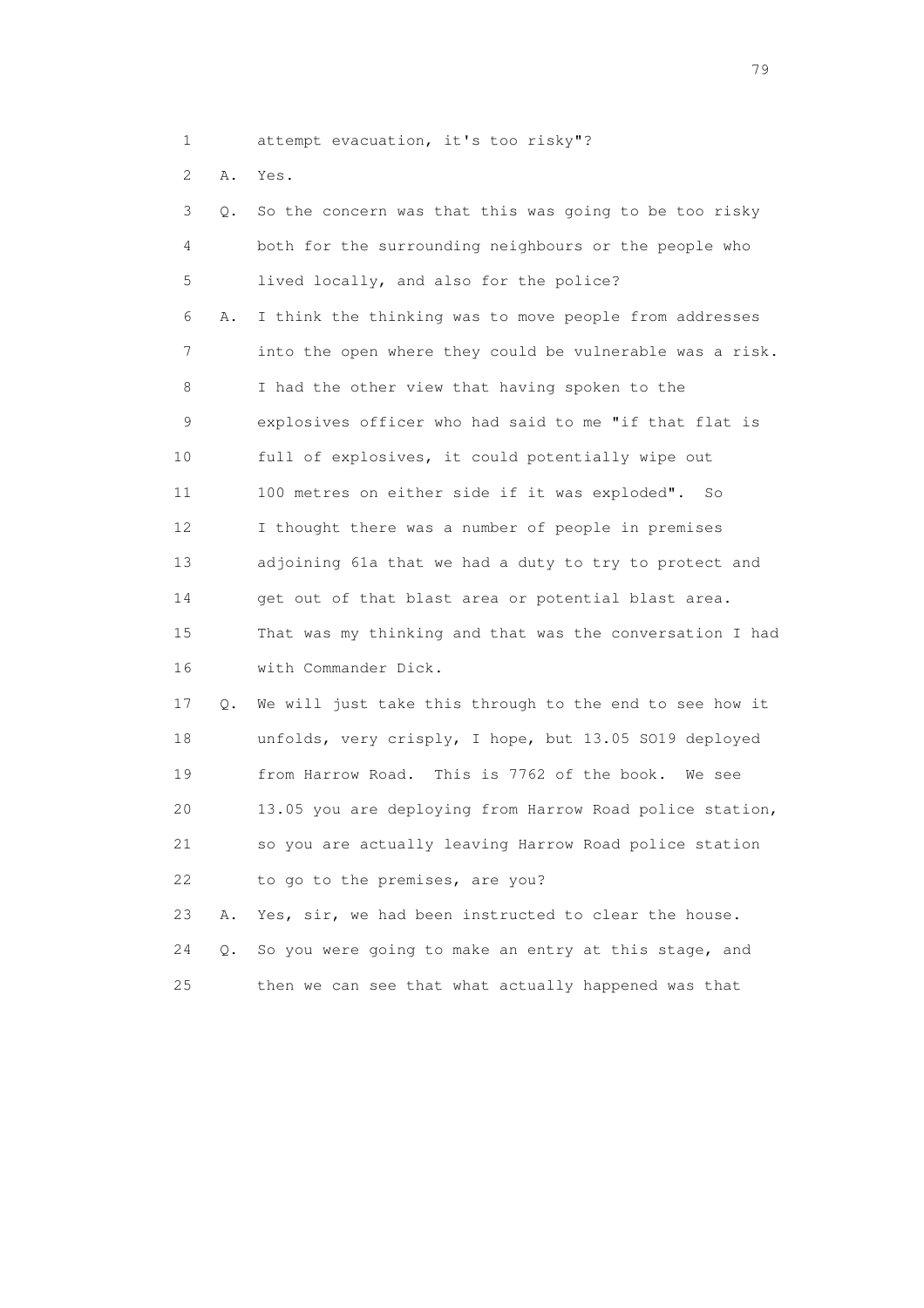1 attempt evacuation, it's too risky"?

2 A. Yes.

| 3  | $\circ$ . | So the concern was that this was going to be too risky   |
|----|-----------|----------------------------------------------------------|
| 4  |           | both for the surrounding neighbours or the people who    |
| 5  |           | lived locally, and also for the police?                  |
| 6  | Α.        | I think the thinking was to move people from addresses   |
| 7  |           | into the open where they could be vulnerable was a risk. |
| 8  |           | I had the other view that having spoken to the           |
| 9  |           | explosives officer who had said to me "if that flat is   |
| 10 |           | full of explosives, it could potentially wipe out        |
| 11 |           | 100 metres on either side if it was exploded". So        |
| 12 |           | I thought there was a number of people in premises       |
| 13 |           | adjoining 61a that we had a duty to try to protect and   |
| 14 |           | get out of that blast area or potential blast area.      |
| 15 |           | That was my thinking and that was the conversation I had |
| 16 |           | with Commander Dick.                                     |
| 17 | Q.        | We will just take this through to the end to see how it  |
| 18 |           | unfolds, very crisply, I hope, but 13.05 SO19 deployed   |
| 19 |           | from Harrow Road. This is 7762 of the book. We see       |
| 20 |           | 13.05 you are deploying from Harrow Road police station, |

21 so you are actually leaving Harrow Road police station

23 A. Yes, sir, we had been instructed to clear the house.

24 Q. So you were going to make an entry at this stage, and

25 then we can see that what actually happened was that

22 to go to the premises, are you?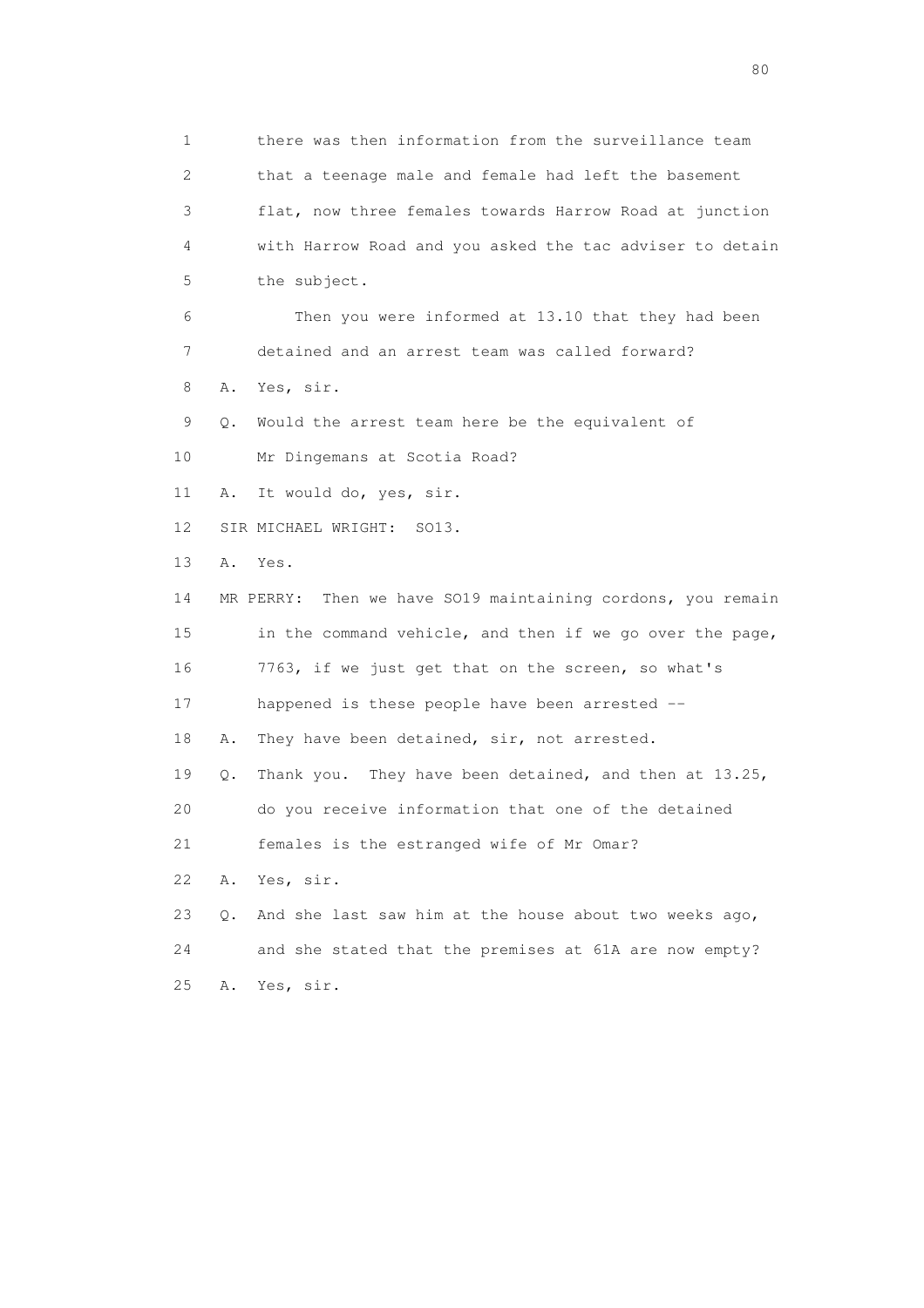1 there was then information from the surveillance team 2 that a teenage male and female had left the basement 3 flat, now three females towards Harrow Road at junction 4 with Harrow Road and you asked the tac adviser to detain 5 the subject. 6 Then you were informed at 13.10 that they had been 7 detained and an arrest team was called forward? 8 A. Yes, sir. 9 Q. Would the arrest team here be the equivalent of 10 Mr Dingemans at Scotia Road? 11 A. It would do, yes, sir. 12 SIR MICHAEL WRIGHT: SO13. 13 A. Yes. 14 MR PERRY: Then we have SO19 maintaining cordons, you remain 15 in the command vehicle, and then if we go over the page, 16 7763, if we just get that on the screen, so what's 17 happened is these people have been arrested -- 18 A. They have been detained, sir, not arrested. 19 Q. Thank you. They have been detained, and then at 13.25, 20 do you receive information that one of the detained 21 females is the estranged wife of Mr Omar? 22 A. Yes, sir. 23 Q. And she last saw him at the house about two weeks ago, 24 and she stated that the premises at 61A are now empty? 25 A. Yes, sir.

entration of the state of the state of the state of the state of the state of the state of the state of the state of the state of the state of the state of the state of the state of the state of the state of the state of t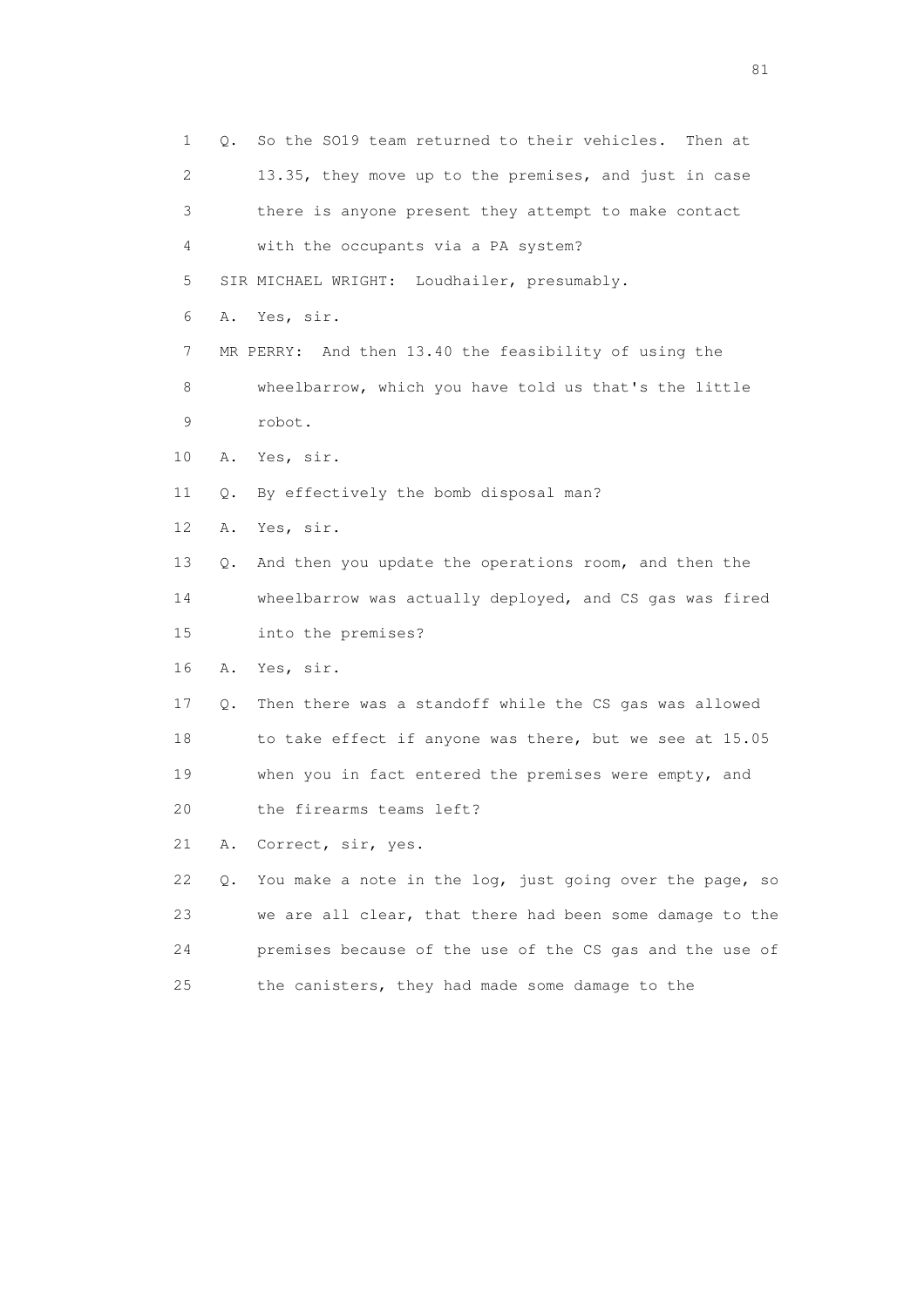1 Q. So the SO19 team returned to their vehicles. Then at 2 13.35, they move up to the premises, and just in case 3 there is anyone present they attempt to make contact 4 with the occupants via a PA system? 5 SIR MICHAEL WRIGHT: Loudhailer, presumably. 6 A. Yes, sir. 7 MR PERRY: And then 13.40 the feasibility of using the 8 wheelbarrow, which you have told us that's the little 9 robot. 10 A. Yes, sir. 11 Q. By effectively the bomb disposal man? 12 A. Yes, sir. 13 Q. And then you update the operations room, and then the 14 wheelbarrow was actually deployed, and CS gas was fired 15 into the premises? 16 A. Yes, sir. 17 Q. Then there was a standoff while the CS gas was allowed 18 to take effect if anyone was there, but we see at 15.05 19 when you in fact entered the premises were empty, and 20 the firearms teams left? 21 A. Correct, sir, yes. 22 Q. You make a note in the log, just going over the page, so 23 we are all clear, that there had been some damage to the 24 premises because of the use of the CS gas and the use of 25 the canisters, they had made some damage to the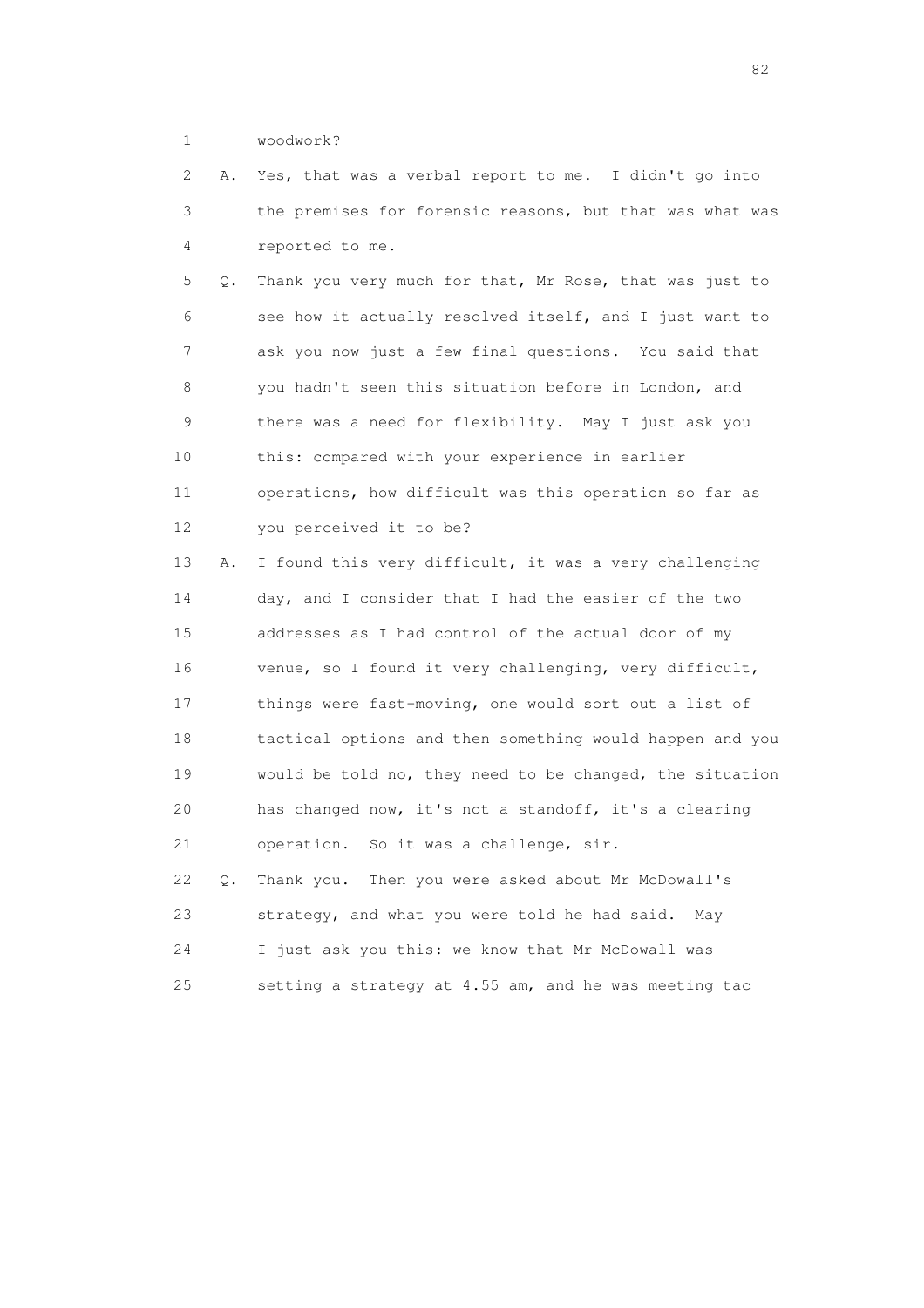## 1 woodwork?

 2 A. Yes, that was a verbal report to me. I didn't go into 3 the premises for forensic reasons, but that was what was 4 reported to me.

 5 Q. Thank you very much for that, Mr Rose, that was just to 6 see how it actually resolved itself, and I just want to 7 ask you now just a few final questions. You said that 8 you hadn't seen this situation before in London, and 9 there was a need for flexibility. May I just ask you 10 this: compared with your experience in earlier 11 operations, how difficult was this operation so far as 12 you perceived it to be?

 13 A. I found this very difficult, it was a very challenging 14 day, and I consider that I had the easier of the two 15 addresses as I had control of the actual door of my 16 venue, so I found it very challenging, very difficult, 17 things were fast-moving, one would sort out a list of 18 tactical options and then something would happen and you 19 would be told no, they need to be changed, the situation 20 has changed now, it's not a standoff, it's a clearing 21 operation. So it was a challenge, sir. 22 Q. Thank you. Then you were asked about Mr McDowall's

 23 strategy, and what you were told he had said. May 24 I just ask you this: we know that Mr McDowall was 25 setting a strategy at 4.55 am, and he was meeting tac

experience of the state of the state of the state of the state of the state of the state of the state of the s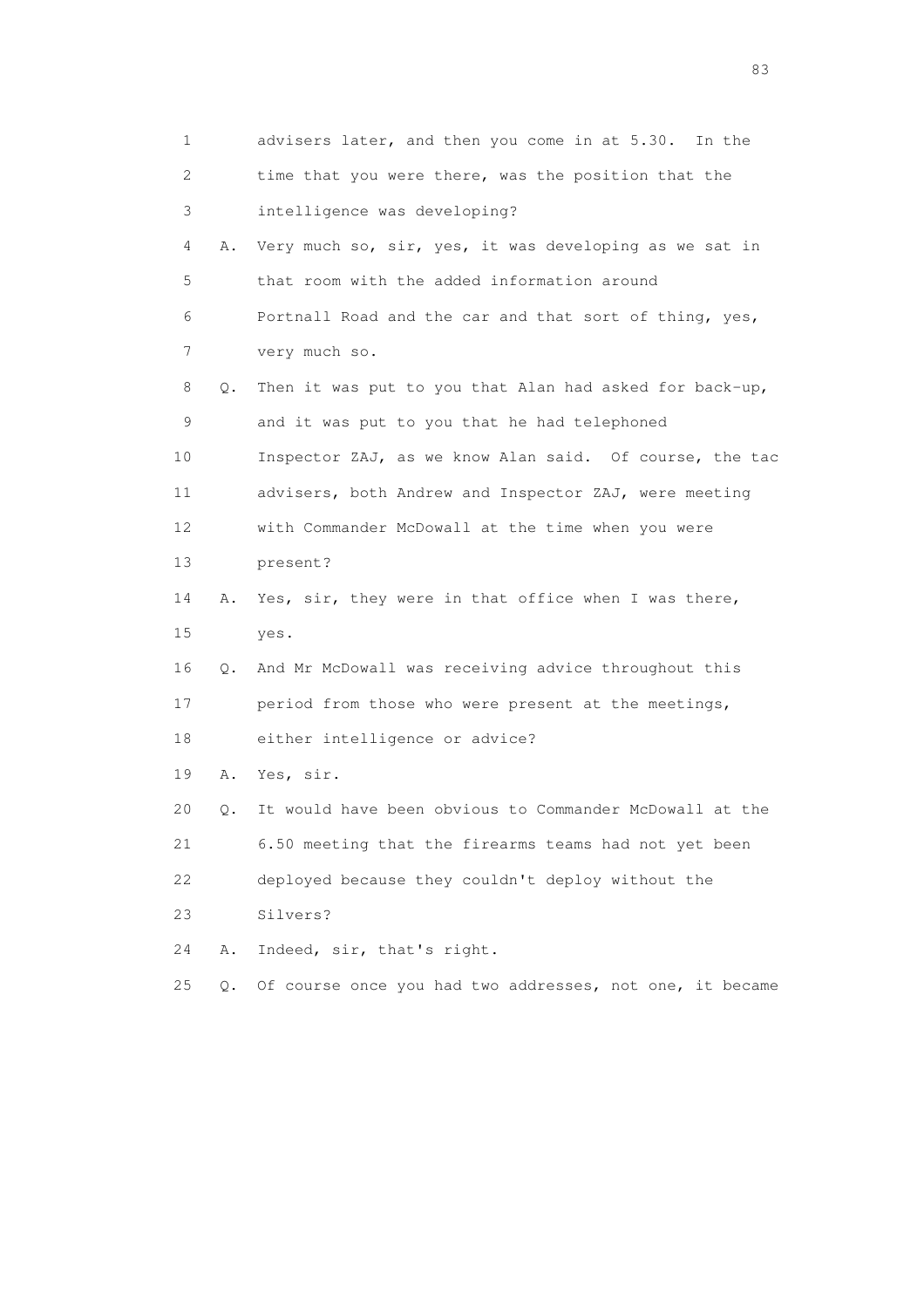| 1  |       | advisers later, and then you come in at 5.30. In the     |
|----|-------|----------------------------------------------------------|
| 2  |       | time that you were there, was the position that the      |
| 3  |       | intelligence was developing?                             |
| 4  | Α.    | Very much so, sir, yes, it was developing as we sat in   |
| 5  |       | that room with the added information around              |
| 6  |       | Portnall Road and the car and that sort of thing, yes,   |
| 7  |       | very much so.                                            |
| 8  | Q.    | Then it was put to you that Alan had asked for back-up,  |
| 9  |       | and it was put to you that he had telephoned             |
| 10 |       | Inspector ZAJ, as we know Alan said. Of course, the tac  |
| 11 |       | advisers, both Andrew and Inspector ZAJ, were meeting    |
| 12 |       | with Commander McDowall at the time when you were        |
| 13 |       | present?                                                 |
| 14 | Α.    | Yes, sir, they were in that office when I was there,     |
| 15 |       | yes.                                                     |
| 16 | Q.    | And Mr McDowall was receiving advice throughout this     |
| 17 |       | period from those who were present at the meetings,      |
| 18 |       | either intelligence or advice?                           |
| 19 | Α.    | Yes, sir.                                                |
| 20 | Q.    | It would have been obvious to Commander McDowall at the  |
| 21 |       | 6.50 meeting that the firearms teams had not yet been    |
| 22 |       | deployed because they couldn't deploy without the        |
| 23 |       | Silvers?                                                 |
| 24 | Α.    | Indeed, sir, that's right.                               |
| 25 | $Q$ . | Of course once you had two addresses, not one, it became |

experience of the contract of the contract of the contract of the contract of the contract of the contract of the contract of the contract of the contract of the contract of the contract of the contract of the contract of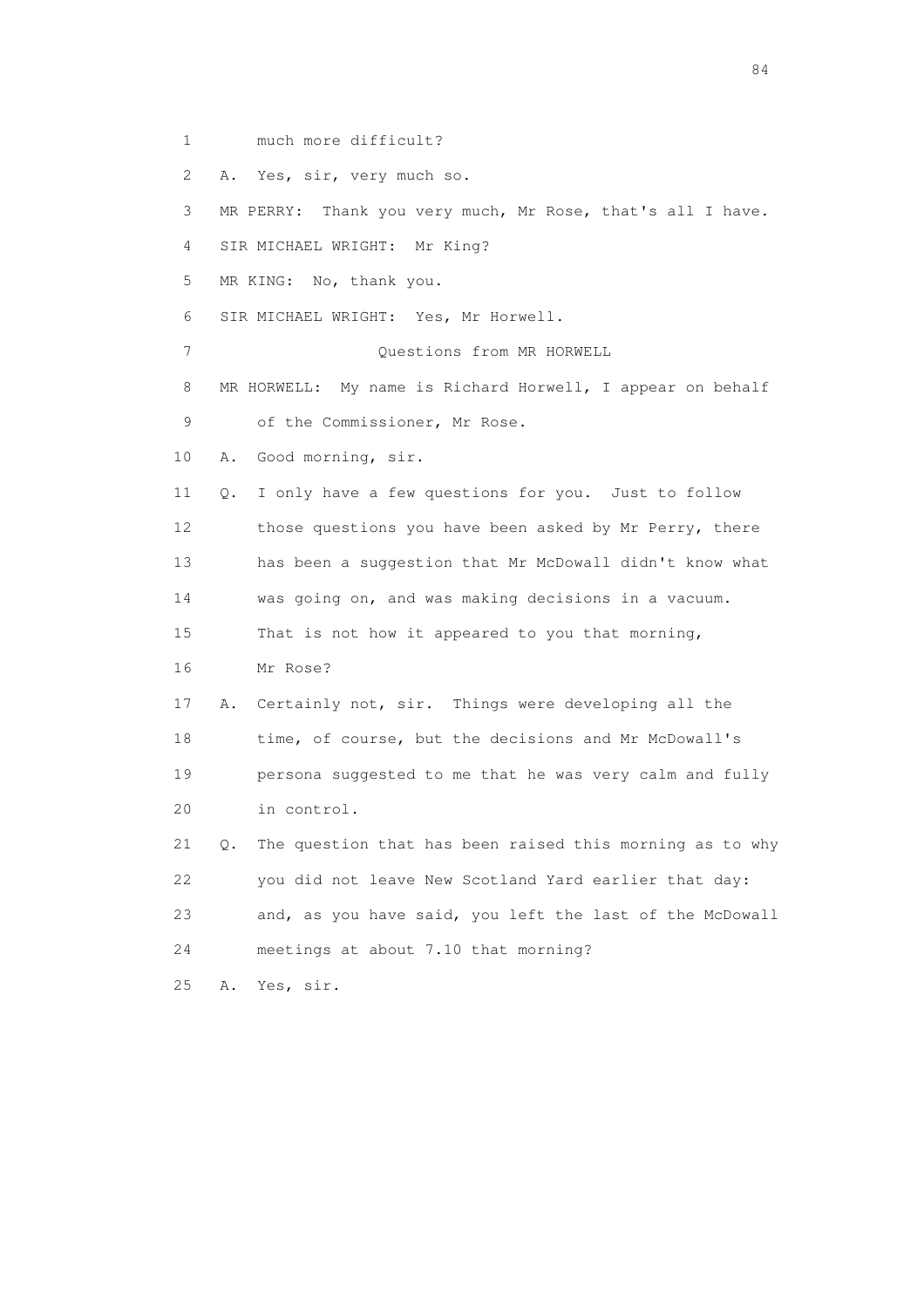- 1 much more difficult?
- 2 A. Yes, sir, very much so.
- 3 MR PERRY: Thank you very much, Mr Rose, that's all I have.
- 4 SIR MICHAEL WRIGHT: Mr King?
- 5 MR KING: No, thank you.
- 6 SIR MICHAEL WRIGHT: Yes, Mr Horwell.
- 7 Questions from MR HORWELL
- 8 MR HORWELL: My name is Richard Horwell, I appear on behalf 9 of the Commissioner, Mr Rose.
- 10 A. Good morning, sir.
- 11 Q. I only have a few questions for you. Just to follow 12 those questions you have been asked by Mr Perry, there 13 has been a suggestion that Mr McDowall didn't know what 14 was going on, and was making decisions in a vacuum. 15 That is not how it appeared to you that morning,
- 16 Mr Rose?
- 17 A. Certainly not, sir. Things were developing all the 18 time, of course, but the decisions and Mr McDowall's 19 persona suggested to me that he was very calm and fully 20 in control.
- 21 Q. The question that has been raised this morning as to why 22 you did not leave New Scotland Yard earlier that day: 23 and, as you have said, you left the last of the McDowall 24 meetings at about 7.10 that morning?
- 25 A. Yes, sir.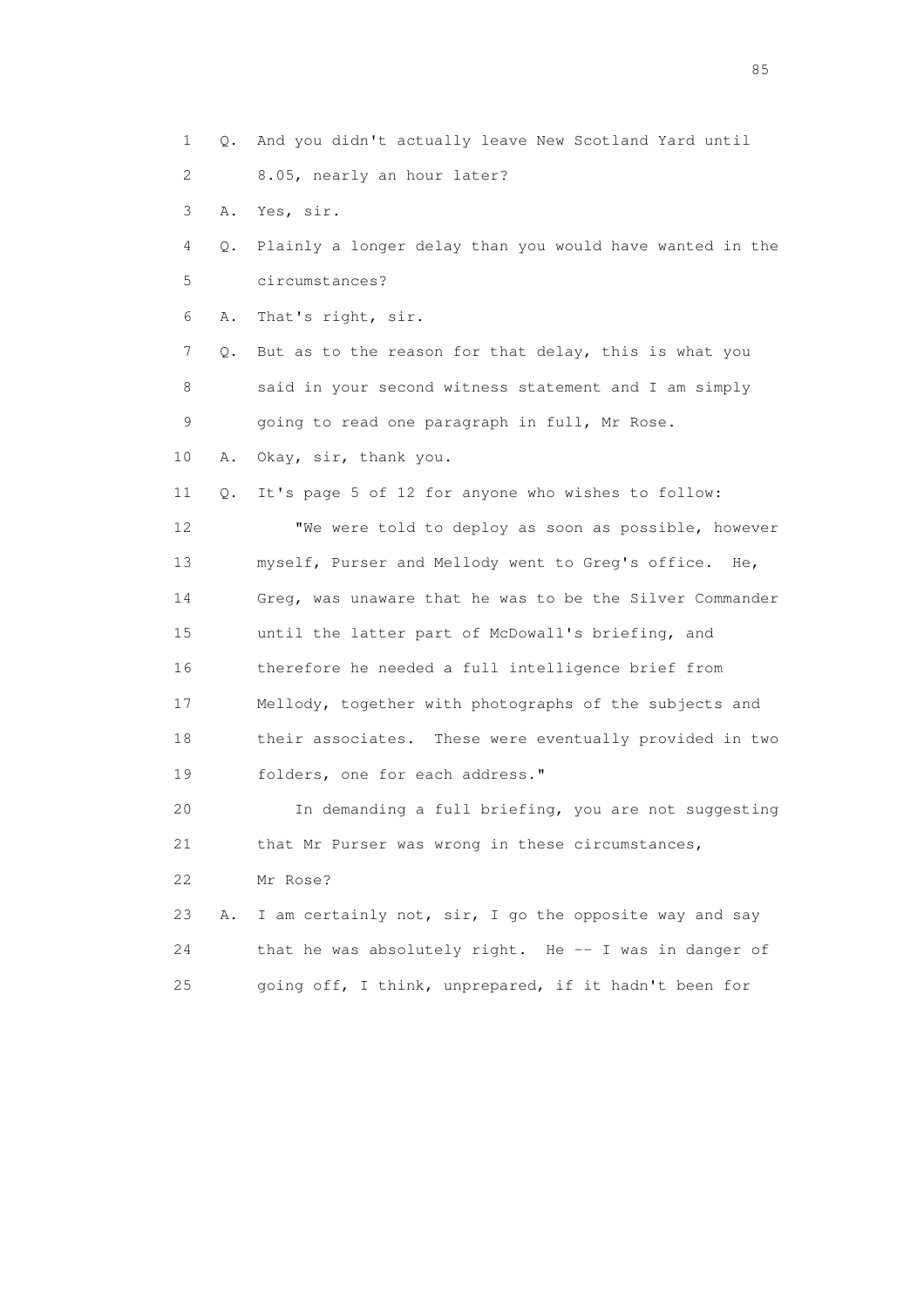- 1 Q. And you didn't actually leave New Scotland Yard until
- 2 8.05, nearly an hour later?
- 3 A. Yes, sir.
- 4 Q. Plainly a longer delay than you would have wanted in the 5 circumstances?
- 6 A. That's right, sir.

 7 Q. But as to the reason for that delay, this is what you 8 said in your second witness statement and I am simply 9 going to read one paragraph in full, Mr Rose.

10 A. Okay, sir, thank you.

11 Q. It's page 5 of 12 for anyone who wishes to follow:

 12 "We were told to deploy as soon as possible, however 13 myself, Purser and Mellody went to Greg's office. He, 14 Greg, was unaware that he was to be the Silver Commander 15 until the latter part of McDowall's briefing, and 16 therefore he needed a full intelligence brief from 17 Mellody, together with photographs of the subjects and 18 their associates. These were eventually provided in two 19 folders, one for each address."

 20 In demanding a full briefing, you are not suggesting 21 that Mr Purser was wrong in these circumstances,

22 Mr Rose?

 23 A. I am certainly not, sir, I go the opposite way and say 24 that he was absolutely right. He -- I was in danger of 25 going off, I think, unprepared, if it hadn't been for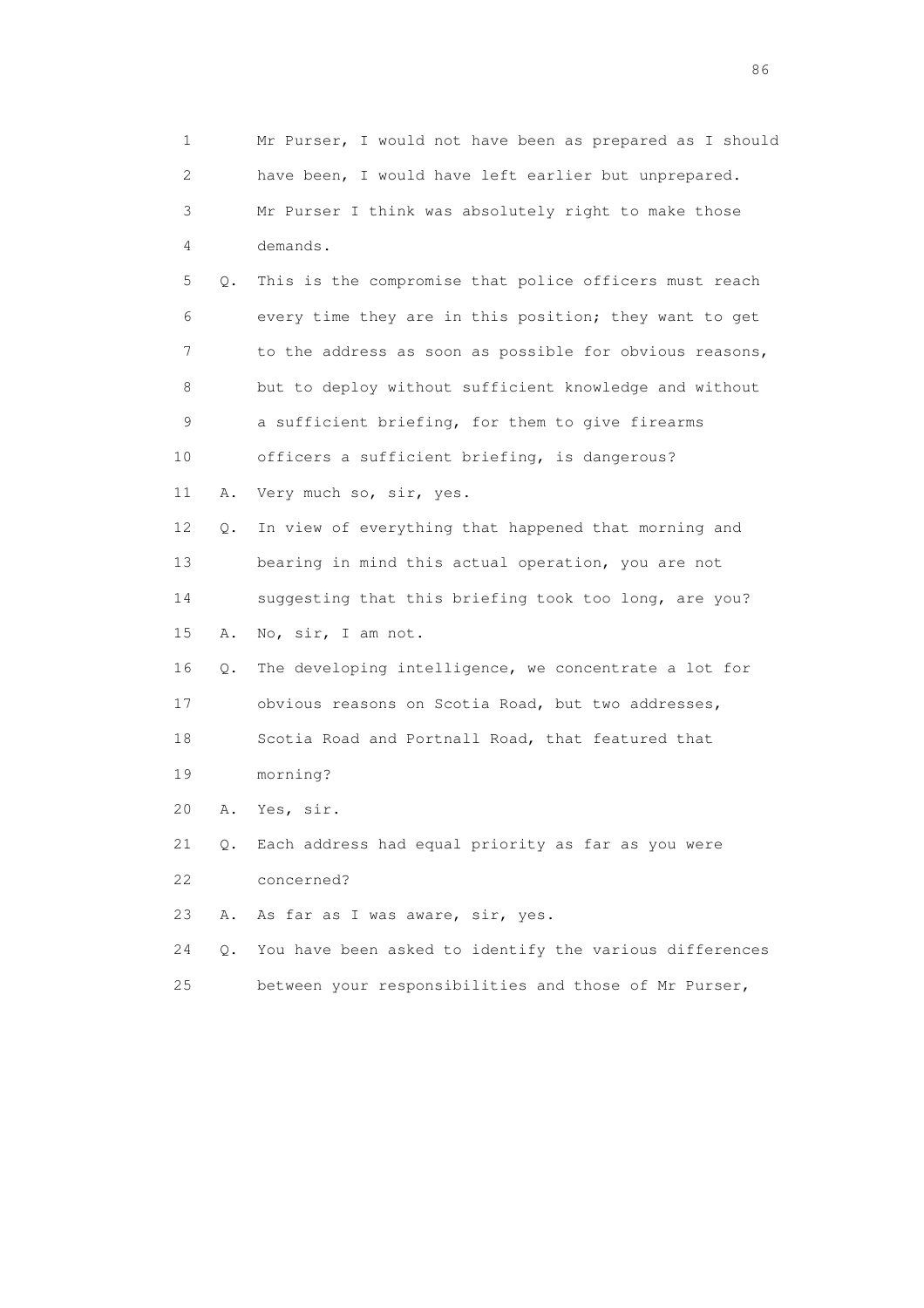| 1                         |       | Mr Purser, I would not have been as prepared as I should |
|---------------------------|-------|----------------------------------------------------------|
| $\mathbf{2}^{\mathsf{I}}$ |       | have been, I would have left earlier but unprepared.     |
| 3                         |       | Mr Purser I think was absolutely right to make those     |
| 4                         |       | demands.                                                 |
| 5                         | $Q$ . | This is the compromise that police officers must reach   |
| 6                         |       | every time they are in this position; they want to get   |
| 7                         |       | to the address as soon as possible for obvious reasons,  |
| 8                         |       | but to deploy without sufficient knowledge and without   |
| 9                         |       | a sufficient briefing, for them to give firearms         |
| 10                        |       | officers a sufficient briefing, is dangerous?            |
| 11                        | Α.    | Very much so, sir, yes.                                  |
| 12                        | О.    | In view of everything that happened that morning and     |
| 13                        |       | bearing in mind this actual operation, you are not       |
| 14                        |       | suggesting that this briefing took too long, are you?    |
| 15                        | Α.    | No, sir, I am not.                                       |
| 16                        | Q.    | The developing intelligence, we concentrate a lot for    |
| 17                        |       | obvious reasons on Scotia Road, but two addresses,       |
| 18                        |       | Scotia Road and Portnall Road, that featured that        |
| 19                        |       | morning?                                                 |
| 20                        | Α.    | Yes, sir.                                                |
| 21                        |       | Q. Each address had equal priority as far as you were    |
| 22                        |       | concerned?                                               |
| 23                        | Α.    | As far as I was aware, sir, yes.                         |
| 24                        | $Q$ . | You have been asked to identify the various differences  |
| 25                        |       | between your responsibilities and those of Mr Purser,    |

entration of the contract of the contract of the contract of the contract of the contract of the contract of the contract of the contract of the contract of the contract of the contract of the contract of the contract of t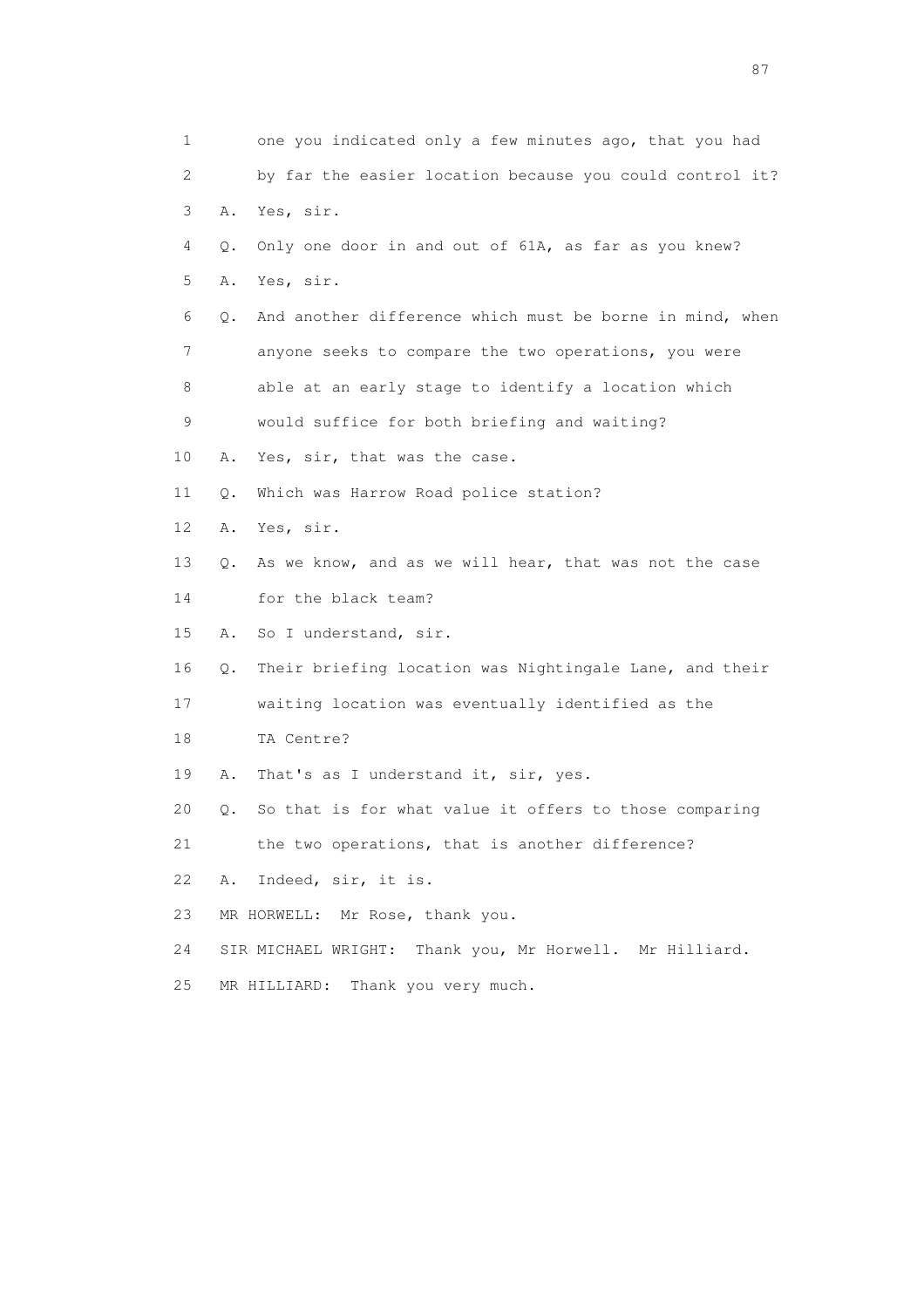| 1  |    | one you indicated only a few minutes ago, that you had   |
|----|----|----------------------------------------------------------|
| 2  |    | by far the easier location because you could control it? |
| 3  | Α. | Yes, sir.                                                |
| 4  | Q. | Only one door in and out of 61A, as far as you knew?     |
| 5  | Α. | Yes, sir.                                                |
| 6  | Q. | And another difference which must be borne in mind, when |
| 7  |    | anyone seeks to compare the two operations, you were     |
| 8  |    | able at an early stage to identify a location which      |
| 9  |    | would suffice for both briefing and waiting?             |
| 10 | Α. | Yes, sir, that was the case.                             |
| 11 | Q. | Which was Harrow Road police station?                    |
| 12 | Α. | Yes, sir.                                                |
| 13 | Q. | As we know, and as we will hear, that was not the case   |
| 14 |    | for the black team?                                      |
| 15 | Α. | So I understand, sir.                                    |
| 16 | Q. | Their briefing location was Nightingale Lane, and their  |
| 17 |    | waiting location was eventually identified as the        |
| 18 |    | TA Centre?                                               |
| 19 | Α. | That's as I understand it, sir, yes.                     |
| 20 | О. | So that is for what value it offers to those comparing   |
| 21 |    | the two operations, that is another difference?          |
| 22 | Α. | Indeed, sir, it is.                                      |
| 23 |    | MR HORWELL: Mr Rose, thank you.                          |
| 24 |    | SIR MICHAEL WRIGHT: Thank you, Mr Horwell. Mr Hilliard.  |
| 25 |    | Thank you very much.<br>MR HILLIARD:                     |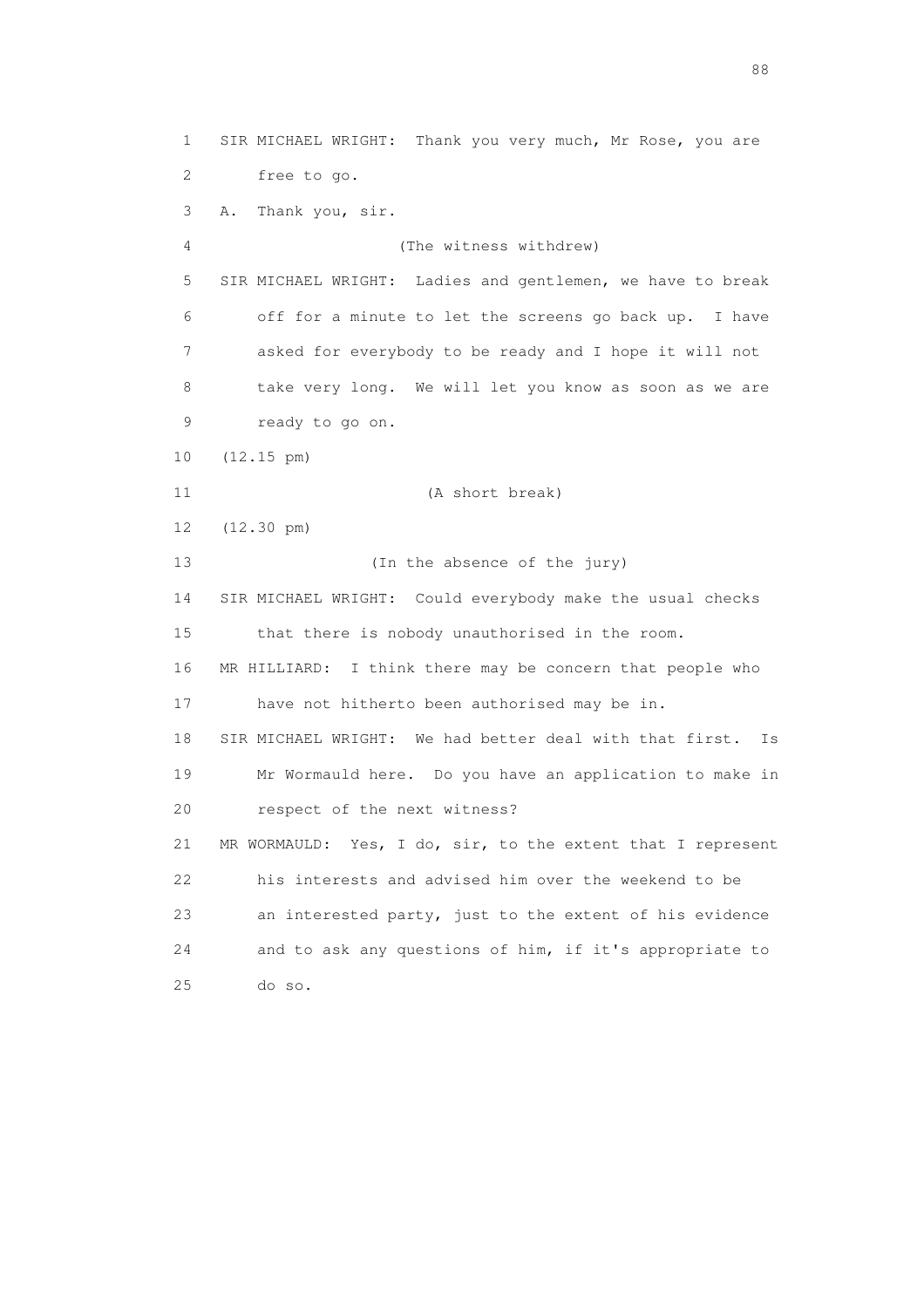1 SIR MICHAEL WRIGHT: Thank you very much, Mr Rose, you are 2 free to go. 3 A. Thank you, sir. 4 (The witness withdrew) 5 SIR MICHAEL WRIGHT: Ladies and gentlemen, we have to break 6 off for a minute to let the screens go back up. I have 7 asked for everybody to be ready and I hope it will not 8 take very long. We will let you know as soon as we are 9 ready to go on. 10 (12.15 pm) 11 (A short break) 12 (12.30 pm) 13 (In the absence of the jury) 14 SIR MICHAEL WRIGHT: Could everybody make the usual checks 15 that there is nobody unauthorised in the room. 16 MR HILLIARD: I think there may be concern that people who 17 have not hitherto been authorised may be in. 18 SIR MICHAEL WRIGHT: We had better deal with that first. Is 19 Mr Wormauld here. Do you have an application to make in 20 respect of the next witness? 21 MR WORMAULD: Yes, I do, sir, to the extent that I represent 22 his interests and advised him over the weekend to be 23 an interested party, just to the extent of his evidence 24 and to ask any questions of him, if it's appropriate to 25 do so.

en de la construction de la construction de la construction de la construction de la construction de la constr<br>1880 : le construction de la construction de la construction de la construction de la construction de la const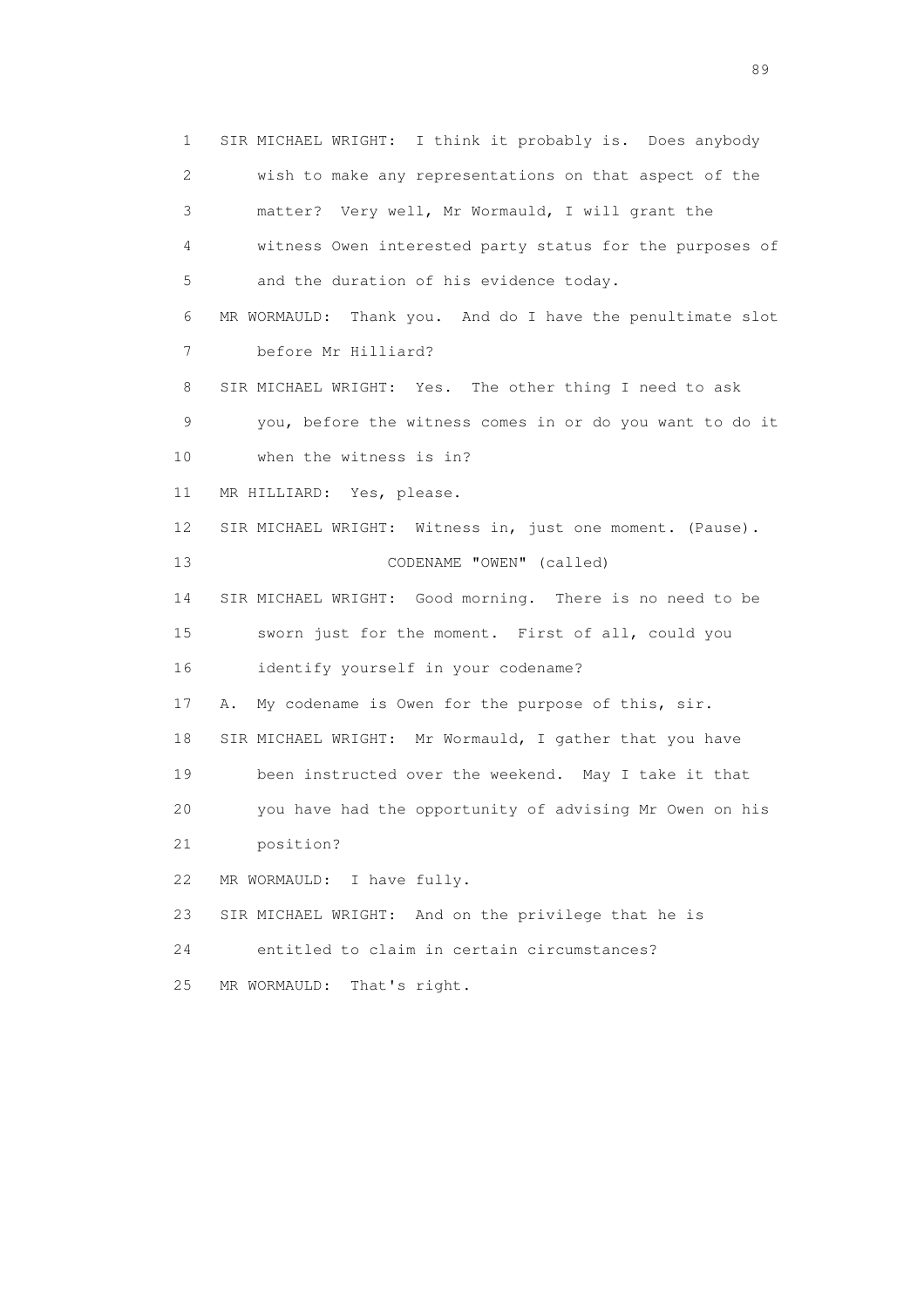1 SIR MICHAEL WRIGHT: I think it probably is. Does anybody 2 wish to make any representations on that aspect of the 3 matter? Very well, Mr Wormauld, I will grant the 4 witness Owen interested party status for the purposes of 5 and the duration of his evidence today. 6 MR WORMAULD: Thank you. And do I have the penultimate slot 7 before Mr Hilliard? 8 SIR MICHAEL WRIGHT: Yes. The other thing I need to ask 9 you, before the witness comes in or do you want to do it 10 when the witness is in? 11 MR HILLIARD: Yes, please. 12 SIR MICHAEL WRIGHT: Witness in, just one moment. (Pause). 13 CODENAME "OWEN" (called) 14 SIR MICHAEL WRIGHT: Good morning. There is no need to be 15 sworn just for the moment. First of all, could you 16 identify yourself in your codename? 17 A. My codename is Owen for the purpose of this, sir. 18 SIR MICHAEL WRIGHT: Mr Wormauld, I gather that you have 19 been instructed over the weekend. May I take it that 20 you have had the opportunity of advising Mr Owen on his 21 position? 22 MR WORMAULD: I have fully. 23 SIR MICHAEL WRIGHT: And on the privilege that he is 24 entitled to claim in certain circumstances? 25 MR WORMAULD: That's right.

en andere de la provincia de la provincia de la provincia de la provincia de la provincia de la provincia de l<br>En 1910, en la provincia de la provincia de la provincia de la provincia de la provincia de la provincia de la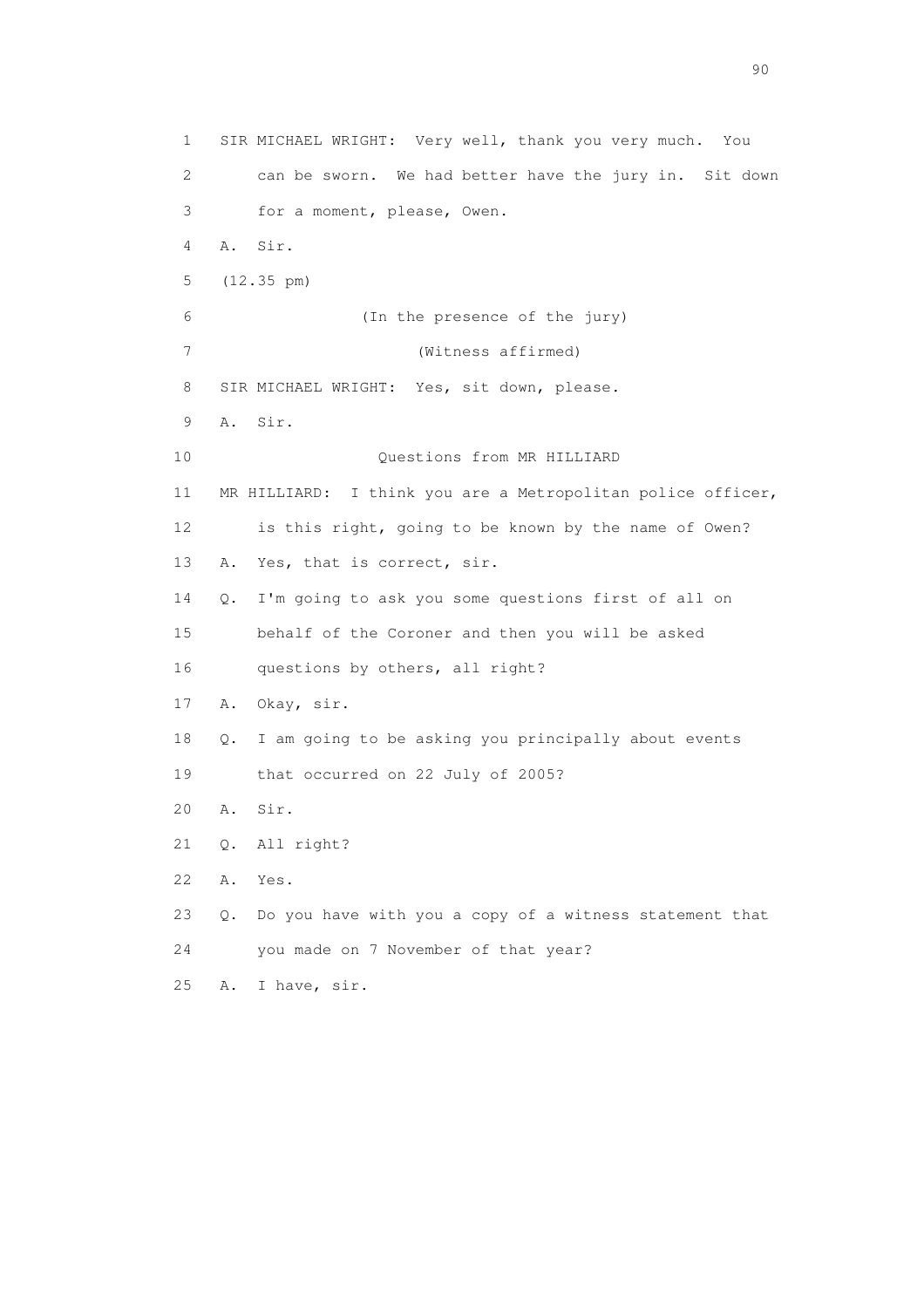1 SIR MICHAEL WRIGHT: Very well, thank you very much. You 2 can be sworn. We had better have the jury in. Sit down 3 for a moment, please, Owen. 4 A. Sir. 5 (12.35 pm) 6 (In the presence of the jury) 7 (Witness affirmed) 8 SIR MICHAEL WRIGHT: Yes, sit down, please. 9 A. Sir. 10 Questions from MR HILLIARD 11 MR HILLIARD: I think you are a Metropolitan police officer, 12 is this right, going to be known by the name of Owen? 13 A. Yes, that is correct, sir. 14 Q. I'm going to ask you some questions first of all on 15 behalf of the Coroner and then you will be asked 16 questions by others, all right? 17 A. Okay, sir. 18 Q. I am going to be asking you principally about events 19 that occurred on 22 July of 2005? 20 A. Sir. 21 Q. All right? 22 A. Yes. 23 Q. Do you have with you a copy of a witness statement that 24 you made on 7 November of that year? 25 A. I have, sir.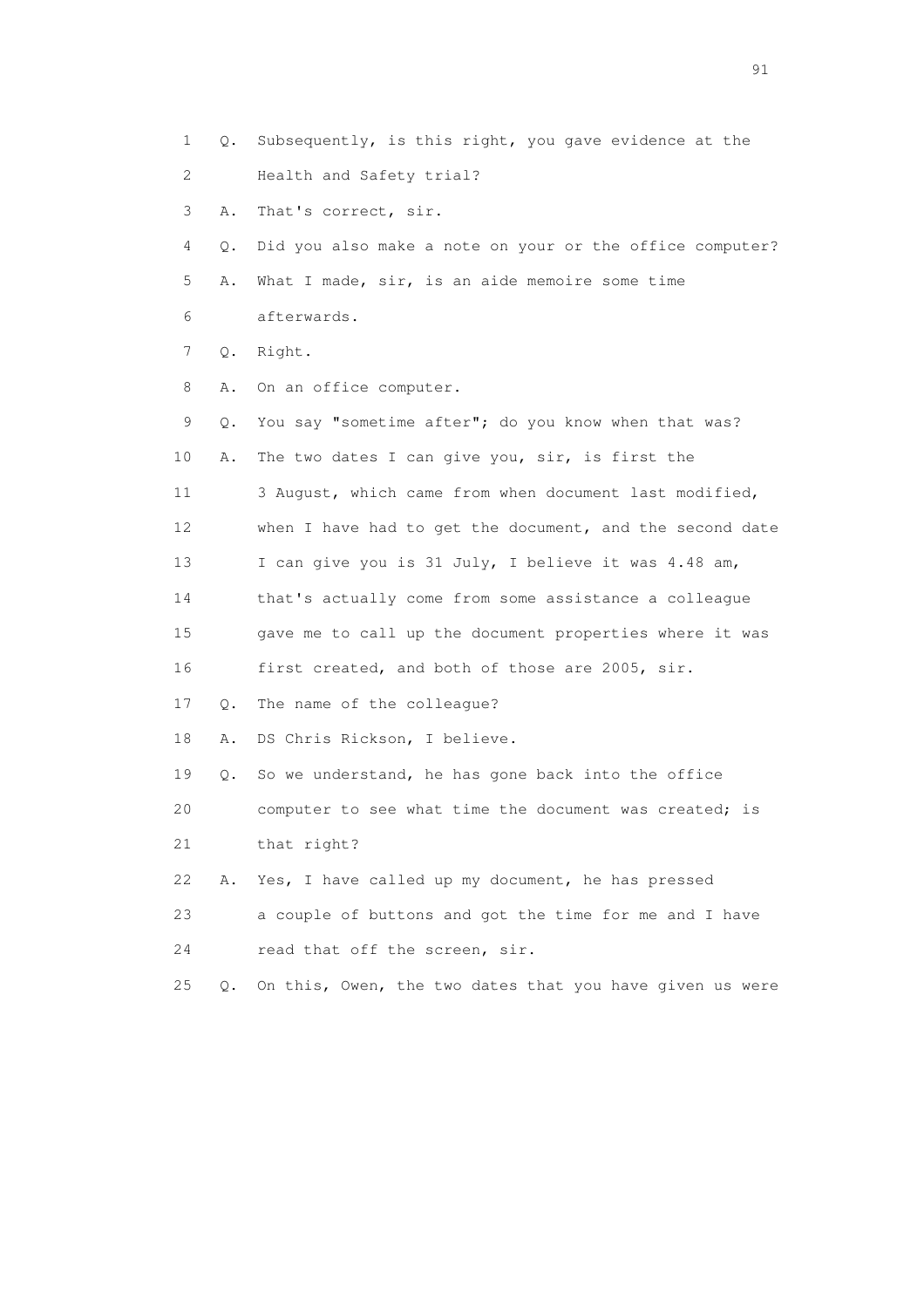1 Q. Subsequently, is this right, you gave evidence at the 2 Health and Safety trial? 3 A. That's correct, sir. 4 Q. Did you also make a note on your or the office computer? 5 A. What I made, sir, is an aide memoire some time 6 afterwards. 7 Q. Right. 8 A. On an office computer. 9 Q. You say "sometime after"; do you know when that was? 10 A. The two dates I can give you, sir, is first the 11 3 August, which came from when document last modified, 12 when I have had to get the document, and the second date 13 I can give you is 31 July, I believe it was 4.48 am, 14 that's actually come from some assistance a colleague 15 gave me to call up the document properties where it was 16 first created, and both of those are 2005, sir. 17 Q. The name of the colleague? 18 A. DS Chris Rickson, I believe. 19 Q. So we understand, he has gone back into the office 20 computer to see what time the document was created; is 21 that right? 22 A. Yes, I have called up my document, he has pressed 23 a couple of buttons and got the time for me and I have 24 read that off the screen, sir. 25 Q. On this, Owen, the two dates that you have given us were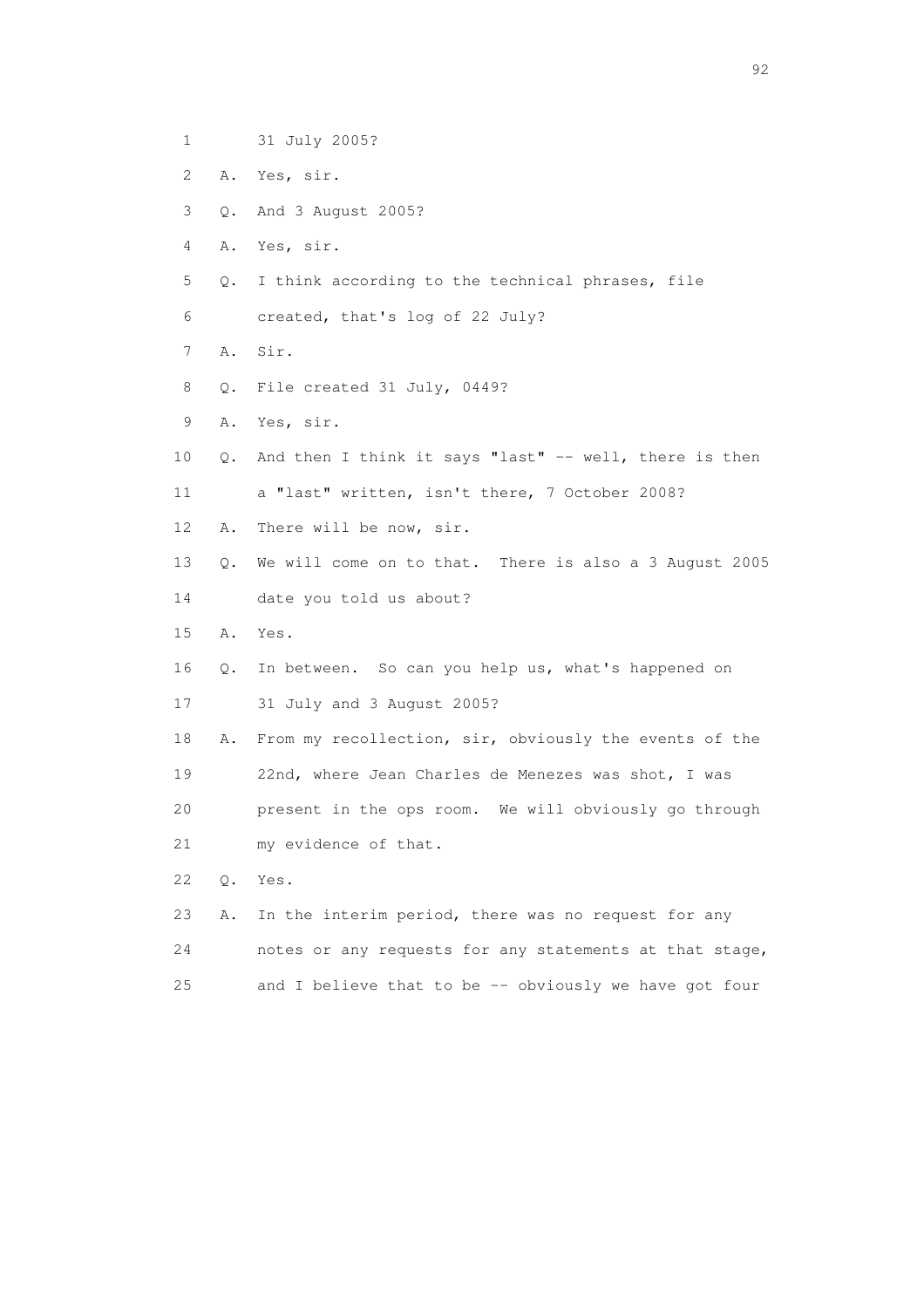- 1 31 July 2005?
- 2 A. Yes, sir.
- 3 Q. And 3 August 2005?
- 4 A. Yes, sir.
- 5 Q. I think according to the technical phrases, file
- 6 created, that's log of 22 July?
- 7 A. Sir.
- 8 Q. File created 31 July, 0449?
- 9 A. Yes, sir.
- 10 Q. And then I think it says "last" -- well, there is then
- 11 a "last" written, isn't there, 7 October 2008?
- 12 A. There will be now, sir.
- 13 Q. We will come on to that. There is also a 3 August 2005
- 14 date you told us about?
- 15 A. Yes.
- 16 Q. In between. So can you help us, what's happened on
- 17 31 July and 3 August 2005?
- 18 A. From my recollection, sir, obviously the events of the 19 22nd, where Jean Charles de Menezes was shot, I was 20 present in the ops room. We will obviously go through
- 21 my evidence of that.
- 22 Q. Yes.
- 23 A. In the interim period, there was no request for any 24 notes or any requests for any statements at that stage, 25 and I believe that to be -- obviously we have got four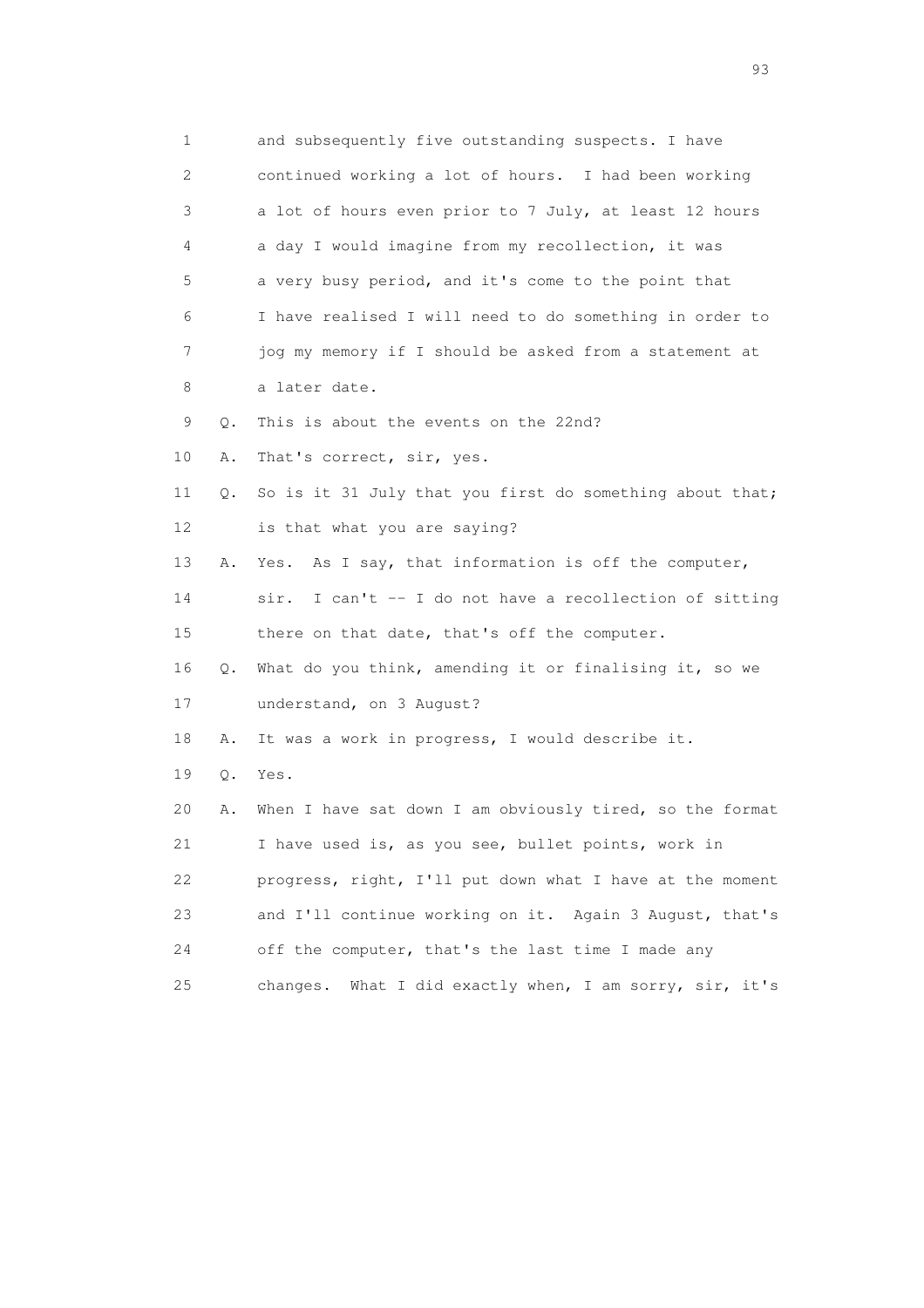| 1                         |       | and subsequently five outstanding suspects. I have         |
|---------------------------|-------|------------------------------------------------------------|
| $\mathbf{2}^{\mathsf{I}}$ |       | continued working a lot of hours. I had been working       |
| 3                         |       | a lot of hours even prior to 7 July, at least 12 hours     |
| 4                         |       | a day I would imagine from my recollection, it was         |
| 5                         |       | a very busy period, and it's come to the point that        |
| 6                         |       | I have realised I will need to do something in order to    |
| 7                         |       | jog my memory if I should be asked from a statement at     |
| 8                         |       | a later date.                                              |
| 9                         | Q.    | This is about the events on the 22nd?                      |
| 10                        | Α.    | That's correct, sir, yes.                                  |
| 11                        | Q.    | So is it 31 July that you first do something about that;   |
| 12                        |       | is that what you are saying?                               |
| 13                        | Α.    | Yes. As I say, that information is off the computer,       |
| 14                        |       | I can't -- I do not have a recollection of sitting<br>sir. |
| 15                        |       | there on that date, that's off the computer.               |
| 16                        | Q.    | What do you think, amending it or finalising it, so we     |
| 17                        |       | understand, on 3 August?                                   |
| 18                        | Α.    | It was a work in progress, I would describe it.            |
| 19                        | $Q$ . | Yes.                                                       |
| 20                        | Α.    | When I have sat down I am obviously tired, so the format   |
| 21                        |       | I have used is, as you see, bullet points, work in         |
| 22                        |       | progress, right, I'll put down what I have at the moment   |
| 23                        |       | and I'll continue working on it. Again 3 August, that's    |
| 24                        |       | off the computer, that's the last time I made any          |
| 25                        |       | What I did exactly when, I am sorry, sir, it's<br>changes. |

experience of the contract of the contract of the contract of the contract of the contract of the contract of the contract of the contract of the contract of the contract of the contract of the contract of the contract of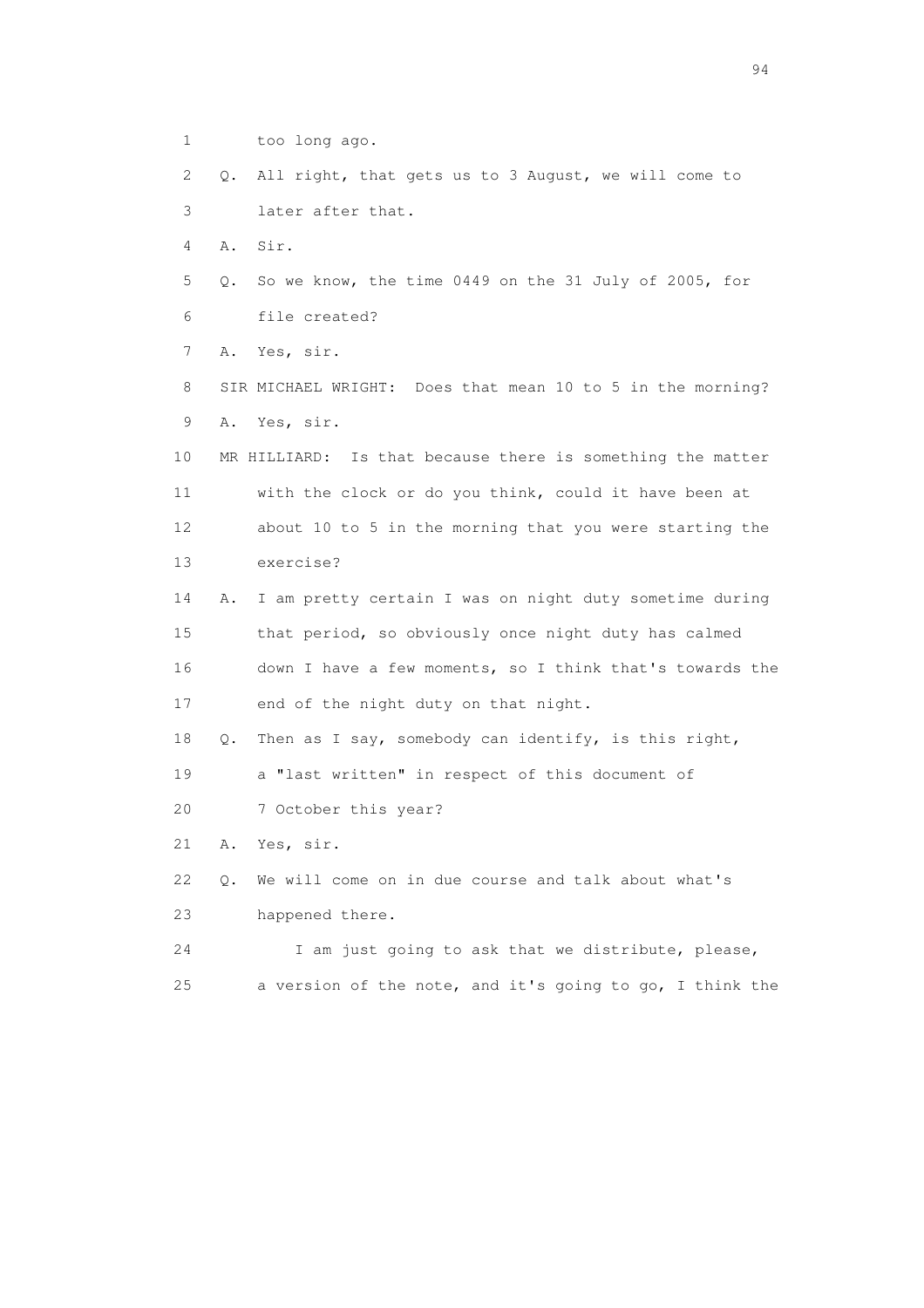1 too long ago. 2 Q. All right, that gets us to 3 August, we will come to 3 later after that. 4 A. Sir. 5 Q. So we know, the time 0449 on the 31 July of 2005, for 6 file created? 7 A. Yes, sir. 8 SIR MICHAEL WRIGHT: Does that mean 10 to 5 in the morning? 9 A. Yes, sir. 10 MR HILLIARD: Is that because there is something the matter 11 with the clock or do you think, could it have been at 12 about 10 to 5 in the morning that you were starting the 13 exercise? 14 A. I am pretty certain I was on night duty sometime during 15 that period, so obviously once night duty has calmed 16 down I have a few moments, so I think that's towards the 17 end of the night duty on that night. 18 Q. Then as I say, somebody can identify, is this right, 19 a "last written" in respect of this document of 20 7 October this year? 21 A. Yes, sir. 22 Q. We will come on in due course and talk about what's 23 happened there. 24 I am just going to ask that we distribute, please, 25 a version of the note, and it's going to go, I think the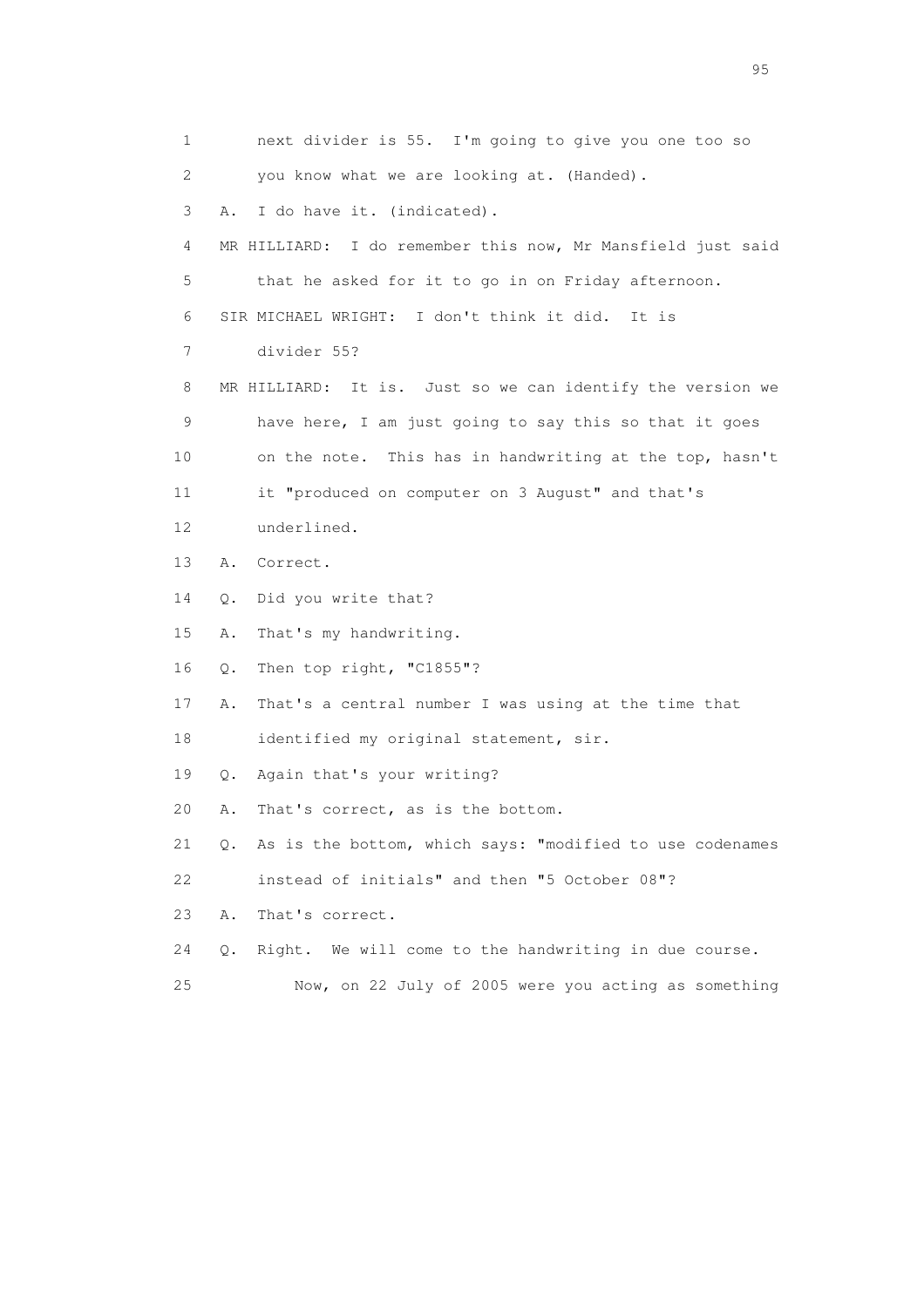1 next divider is 55. I'm going to give you one too so 2 you know what we are looking at. (Handed). 3 A. I do have it. (indicated). 4 MR HILLIARD: I do remember this now, Mr Mansfield just said 5 that he asked for it to go in on Friday afternoon. 6 SIR MICHAEL WRIGHT: I don't think it did. It is 7 divider 55? 8 MR HILLIARD: It is. Just so we can identify the version we 9 have here, I am just going to say this so that it goes 10 on the note. This has in handwriting at the top, hasn't 11 it "produced on computer on 3 August" and that's 12 underlined. 13 A. Correct. 14 Q. Did you write that? 15 A. That's my handwriting. 16 Q. Then top right, "C1855"? 17 A. That's a central number I was using at the time that 18 identified my original statement, sir. 19 Q. Again that's your writing? 20 A. That's correct, as is the bottom. 21 Q. As is the bottom, which says: "modified to use codenames 22 instead of initials" and then "5 October 08"? 23 A. That's correct. 24 Q. Right. We will come to the handwriting in due course. 25 Now, on 22 July of 2005 were you acting as something

experience of the contract of the contract of the contract of the contract of the contract of the contract of the contract of the contract of the contract of the contract of the contract of the contract of the contract of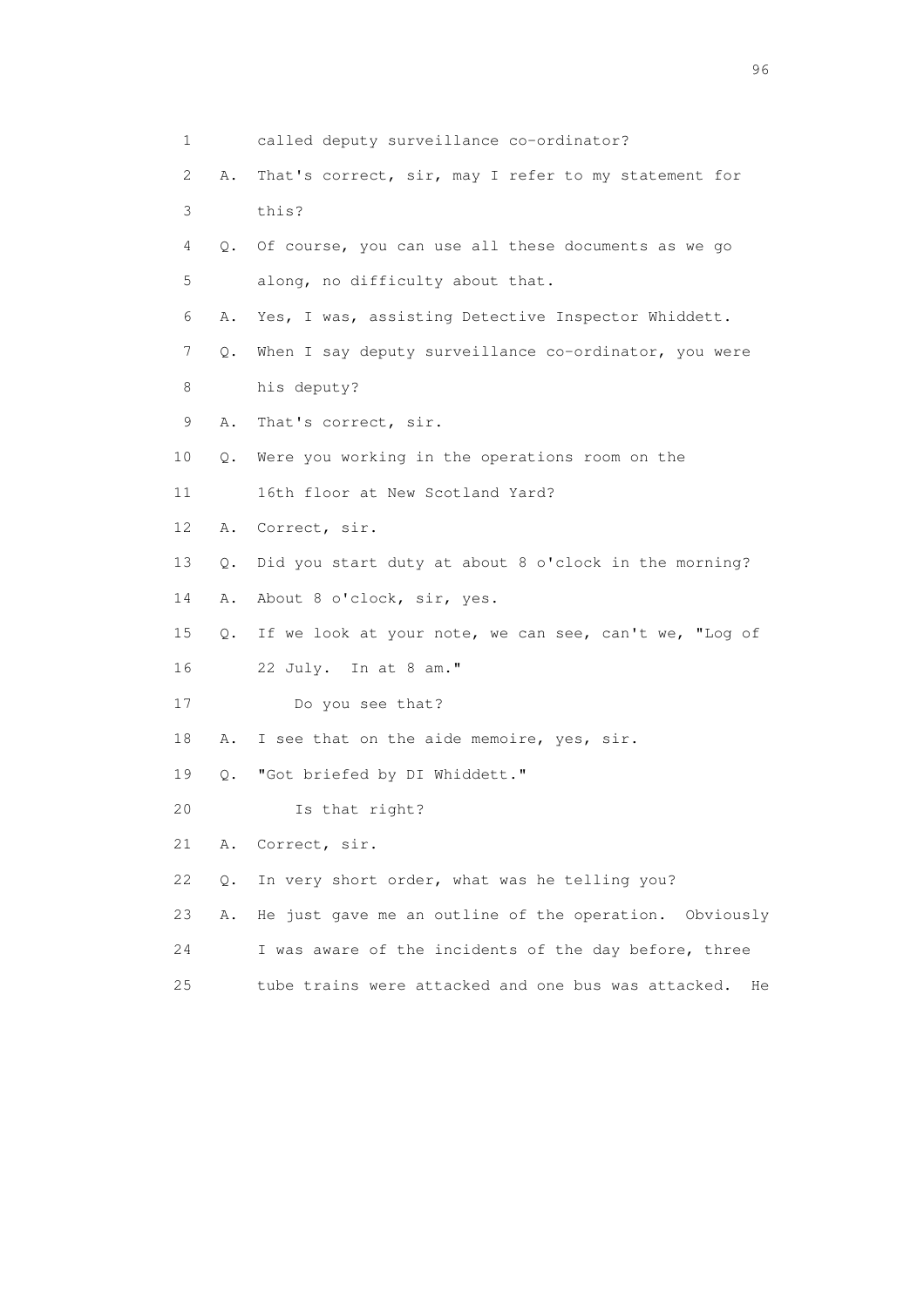| $\mathbf 1$ |           | called deputy surveillance co-ordinator?                  |
|-------------|-----------|-----------------------------------------------------------|
| 2           | Α.        | That's correct, sir, may I refer to my statement for      |
| 3           |           | this?                                                     |
| 4           | О.        | Of course, you can use all these documents as we go       |
| 5           |           | along, no difficulty about that.                          |
| 6           | Α.        | Yes, I was, assisting Detective Inspector Whiddett.       |
| 7           | Q.        | When I say deputy surveillance co-ordinator, you were     |
| 8           |           | his deputy?                                               |
| 9           | Α.        | That's correct, sir.                                      |
| 10          | Q.        | Were you working in the operations room on the            |
| 11          |           | 16th floor at New Scotland Yard?                          |
| 12          | Α.        | Correct, sir.                                             |
| 13          | $\circ$ . | Did you start duty at about 8 o'clock in the morning?     |
| 14          | Α.        | About 8 o'clock, sir, yes.                                |
| 15          | 0.        | If we look at your note, we can see, can't we, "Log of    |
| 16          |           | 22 July. In at 8 am."                                     |
| 17          |           | Do you see that?                                          |
| 18          | Α.        | I see that on the aide memoire, yes, sir.                 |
| 19          | Q.        | "Got briefed by DI Whiddett."                             |
| 20          |           | Is that right?                                            |
| 21          | Α.        | Correct, sir.                                             |
| 22          | $Q$ .     | In very short order, what was he telling you?             |
| 23          | Α.        | He just gave me an outline of the operation. Obviously    |
| 24          |           | I was aware of the incidents of the day before, three     |
| 25          |           | tube trains were attacked and one bus was attacked.<br>He |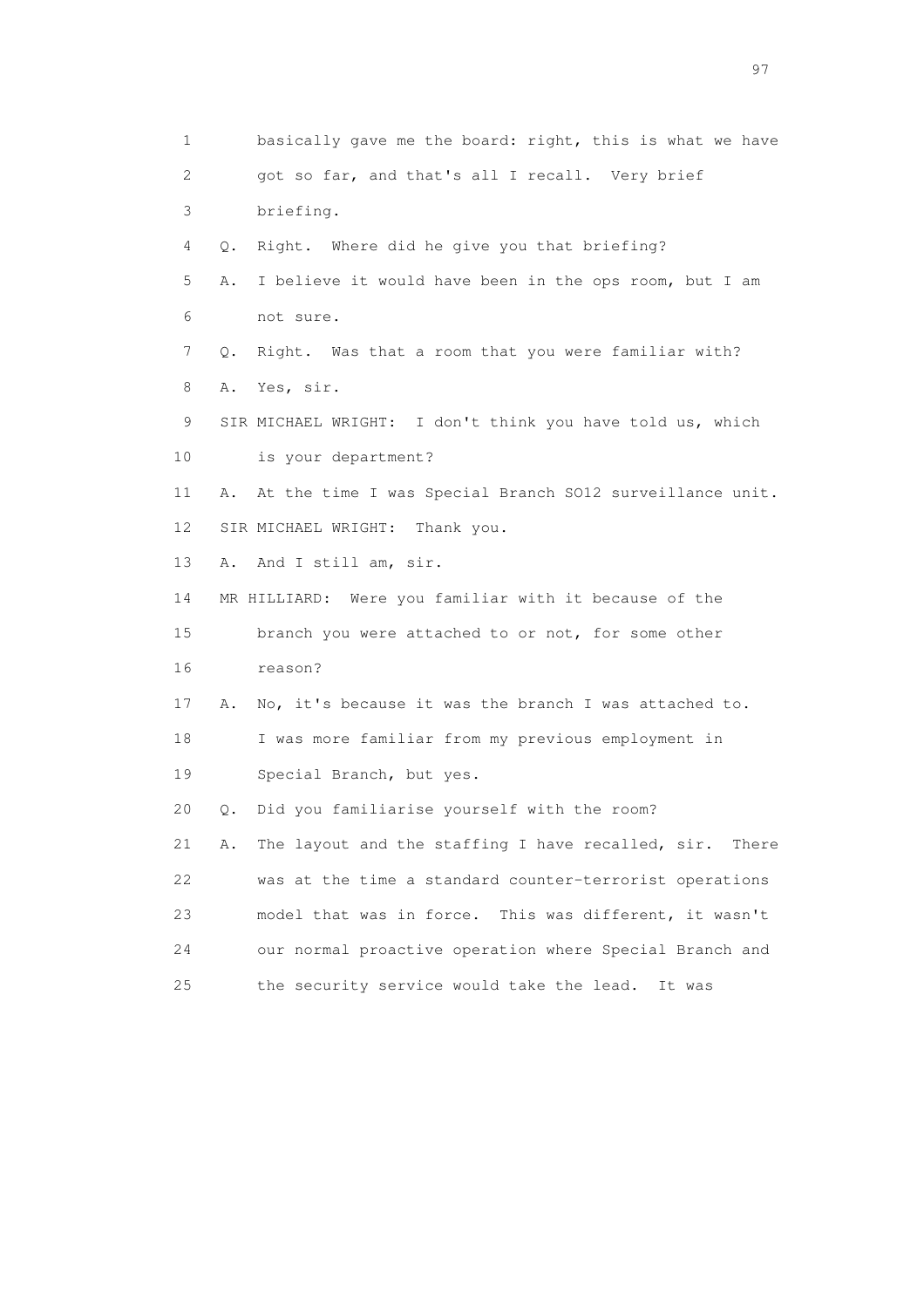1 basically gave me the board: right, this is what we have 2 got so far, and that's all I recall. Very brief 3 briefing. 4 Q. Right. Where did he give you that briefing? 5 A. I believe it would have been in the ops room, but I am 6 not sure. 7 Q. Right. Was that a room that you were familiar with? 8 A. Yes, sir. 9 SIR MICHAEL WRIGHT: I don't think you have told us, which 10 is your department? 11 A. At the time I was Special Branch SO12 surveillance unit. 12 SIR MICHAEL WRIGHT: Thank you. 13 A. And I still am, sir. 14 MR HILLIARD: Were you familiar with it because of the 15 branch you were attached to or not, for some other 16 reason? 17 A. No, it's because it was the branch I was attached to. 18 I was more familiar from my previous employment in 19 Special Branch, but yes. 20 Q. Did you familiarise yourself with the room? 21 A. The layout and the staffing I have recalled, sir. There 22 was at the time a standard counter-terrorist operations 23 model that was in force. This was different, it wasn't 24 our normal proactive operation where Special Branch and 25 the security service would take the lead. It was

experience of the contract of the contract of the contract of the contract of the contract of the contract of the contract of the contract of the contract of the contract of the contract of the contract of the contract of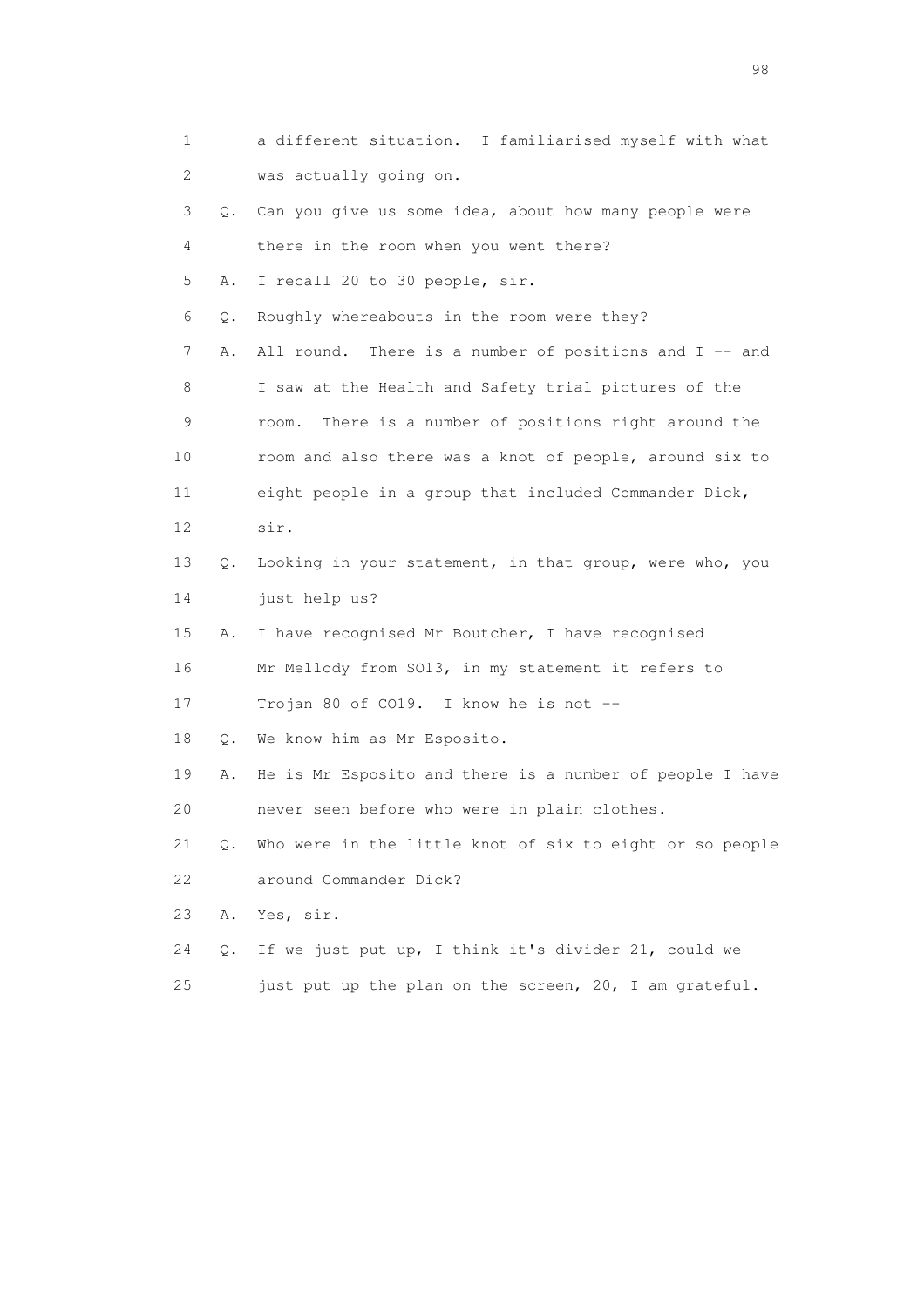| 1  |    | a different situation. I familiarised myself with what   |
|----|----|----------------------------------------------------------|
| 2  |    | was actually going on.                                   |
| 3  | Q. | Can you give us some idea, about how many people were    |
| 4  |    | there in the room when you went there?                   |
| 5  | Α. | I recall 20 to 30 people, sir.                           |
| 6  | Q. | Roughly whereabouts in the room were they?               |
| 7  | Α. | All round. There is a number of positions and $I$ -- and |
| 8  |    | I saw at the Health and Safety trial pictures of the     |
| 9  |    | There is a number of positions right around the<br>room. |
| 10 |    | room and also there was a knot of people, around six to  |
| 11 |    | eight people in a group that included Commander Dick,    |
| 12 |    | sir.                                                     |
| 13 | Q. | Looking in your statement, in that group, were who, you  |
| 14 |    | just help us?                                            |
| 15 | Α. | I have recognised Mr Boutcher, I have recognised         |
| 16 |    | Mr Mellody from SO13, in my statement it refers to       |
| 17 |    | Trojan 80 of CO19. I know he is not --                   |
| 18 | Q. | We know him as Mr Esposito.                              |
| 19 | Α. | He is Mr Esposito and there is a number of people I have |
| 20 |    | never seen before who were in plain clothes.             |
| 21 | Q. | Who were in the little knot of six to eight or so people |
| 22 |    | around Commander Dick?                                   |
| 23 | Α. | Yes, sir.                                                |
| 24 | Q. | If we just put up, I think it's divider 21, could we     |
| 25 |    | just put up the plan on the screen, 20, I am grateful.   |

en 1988 en 1989 en 1989 en 1989 en 1989 en 1989 en 1989 en 1989 en 1989 en 1989 en 1989 en 1989 en 1989 en 19<br>De grote en 1989 en 1989 en 1989 en 1989 en 1989 en 1989 en 1989 en 1989 en 1989 en 1989 en 1989 en 1989 en 19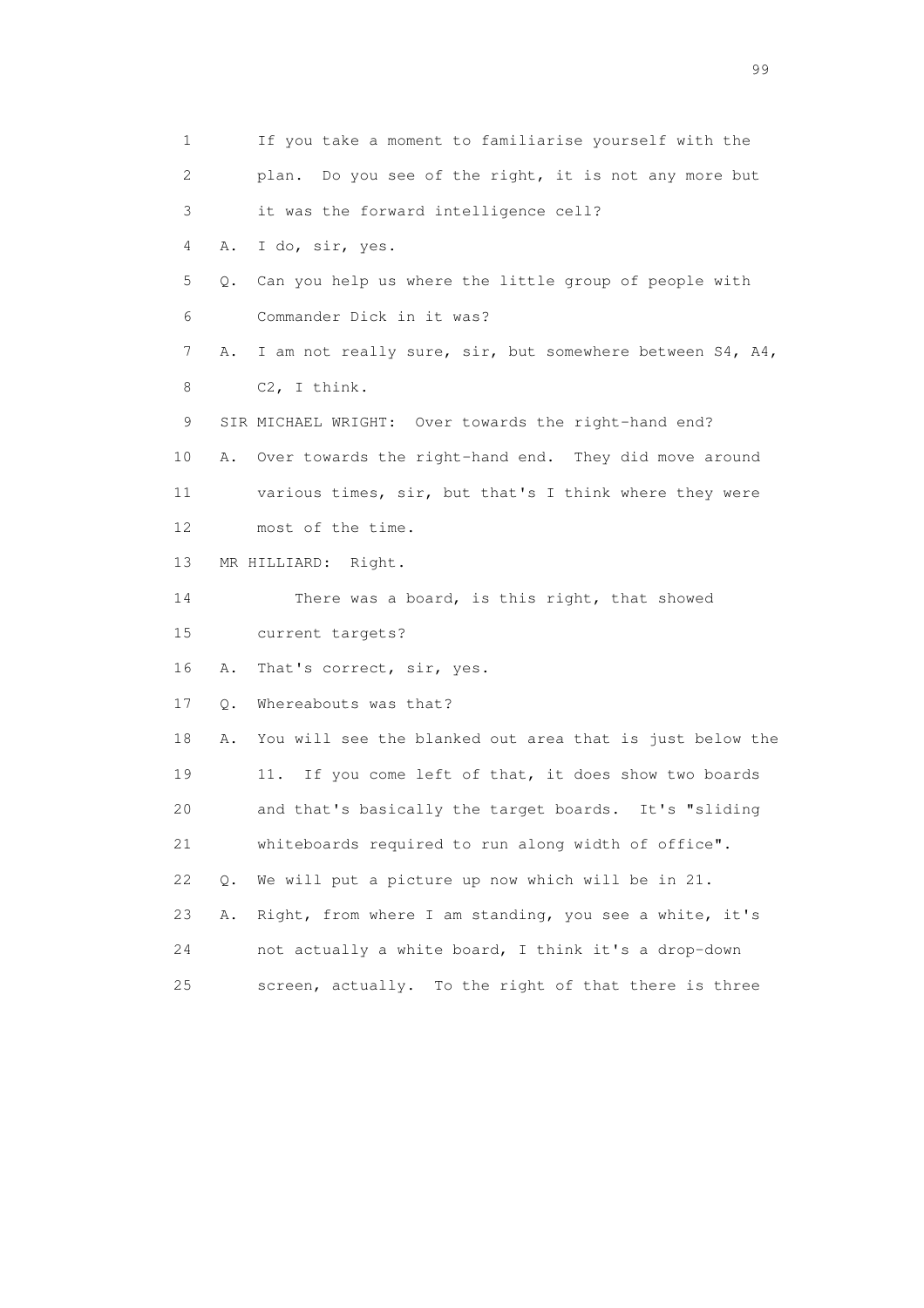1 If you take a moment to familiarise yourself with the 2 plan. Do you see of the right, it is not any more but 3 it was the forward intelligence cell? 4 A. I do, sir, yes. 5 Q. Can you help us where the little group of people with 6 Commander Dick in it was? 7 A. I am not really sure, sir, but somewhere between S4, A4, 8 C2, I think. 9 SIR MICHAEL WRIGHT: Over towards the right-hand end? 10 A. Over towards the right-hand end. They did move around 11 various times, sir, but that's I think where they were 12 most of the time. 13 MR HILLIARD: Right. 14 There was a board, is this right, that showed 15 current targets? 16 A. That's correct, sir, yes. 17 Q. Whereabouts was that? 18 A. You will see the blanked out area that is just below the 19 11. If you come left of that, it does show two boards 20 and that's basically the target boards. It's "sliding 21 whiteboards required to run along width of office". 22 Q. We will put a picture up now which will be in 21. 23 A. Right, from where I am standing, you see a white, it's 24 not actually a white board, I think it's a drop-down 25 screen, actually. To the right of that there is three

en de la construction de la construction de la construction de la construction de la construction de la constr<br>1990 : la construction de la construction de la construction de la construction de la construction de la const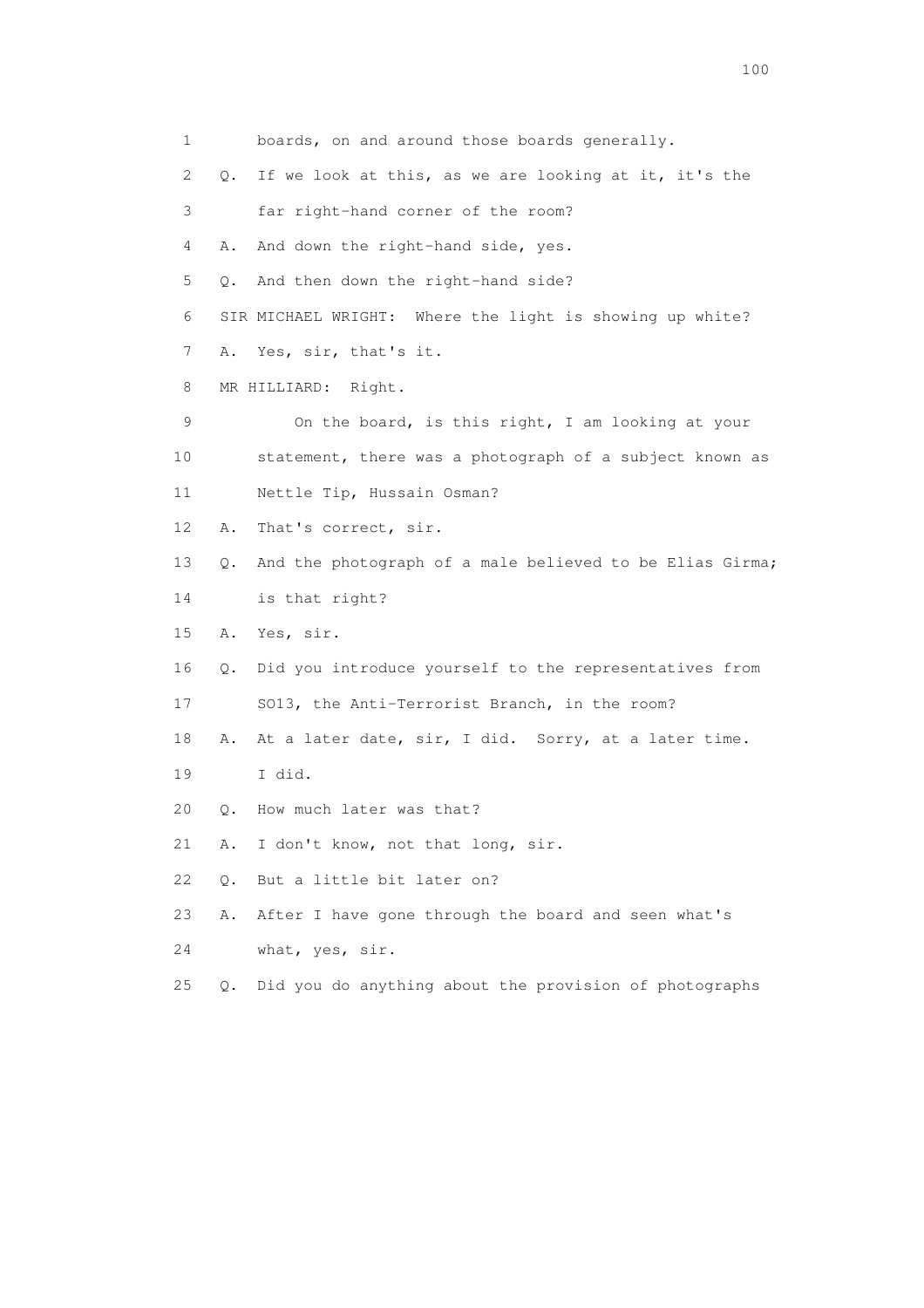1 boards, on and around those boards generally. 2 Q. If we look at this, as we are looking at it, it's the 3 far right-hand corner of the room? 4 A. And down the right-hand side, yes. 5 Q. And then down the right-hand side? 6 SIR MICHAEL WRIGHT: Where the light is showing up white? 7 A. Yes, sir, that's it. 8 MR HILLIARD: Right. 9 On the board, is this right, I am looking at your 10 statement, there was a photograph of a subject known as 11 Nettle Tip, Hussain Osman? 12 A. That's correct, sir. 13 Q. And the photograph of a male believed to be Elias Girma; 14 is that right? 15 A. Yes, sir. 16 Q. Did you introduce yourself to the representatives from 17 SO13, the Anti-Terrorist Branch, in the room? 18 A. At a later date, sir, I did. Sorry, at a later time. 19 I did. 20 Q. How much later was that? 21 A. I don't know, not that long, sir. 22 Q. But a little bit later on? 23 A. After I have gone through the board and seen what's 24 what, yes, sir. 25 Q. Did you do anything about the provision of photographs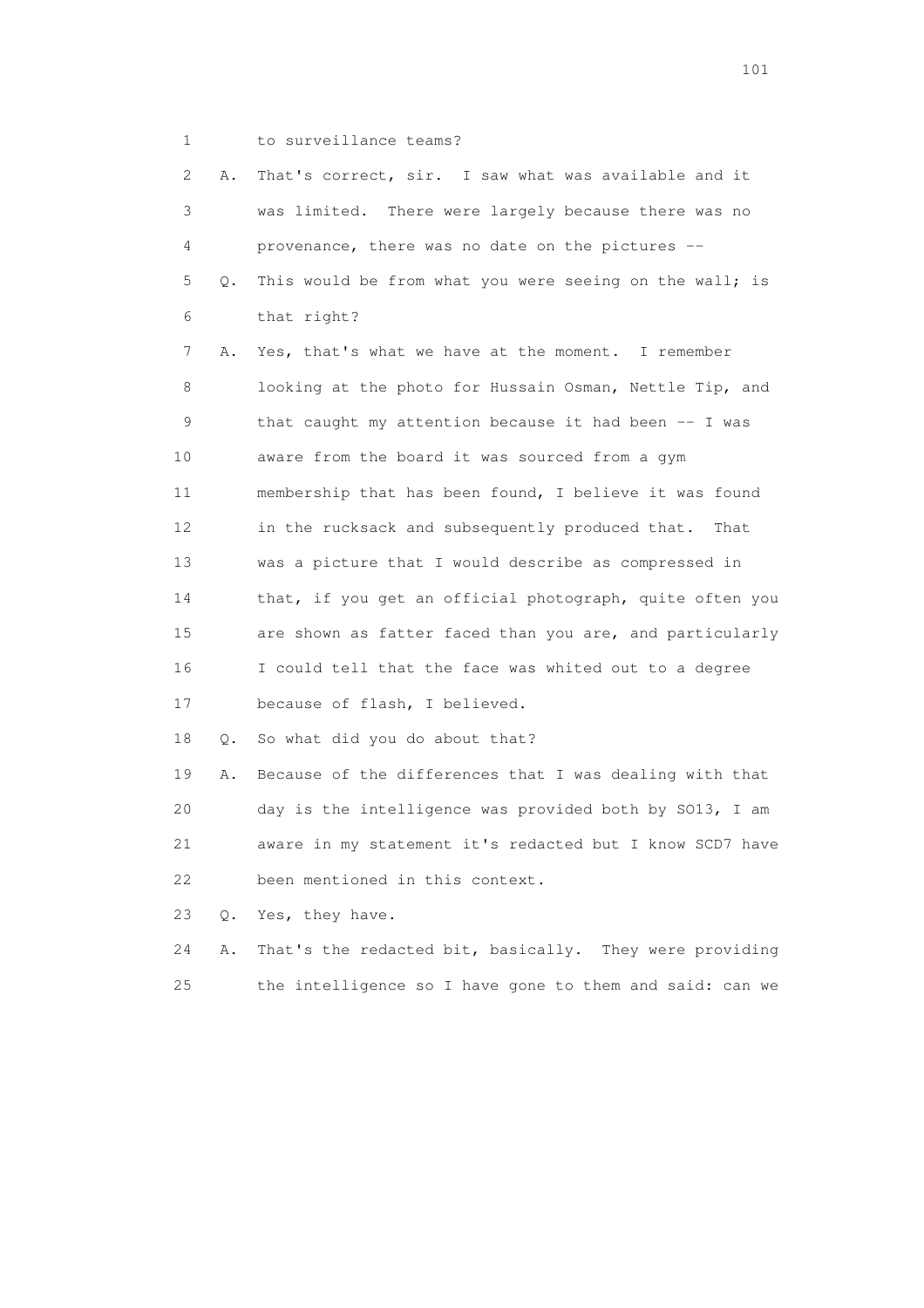1 to surveillance teams?

| 2  | Α. | That's correct, sir. I saw what was available and it     |
|----|----|----------------------------------------------------------|
| 3  |    | was limited. There were largely because there was no     |
| 4  |    | provenance, there was no date on the pictures --         |
| 5  | О. | This would be from what you were seeing on the wall; is  |
| 6  |    | that right?                                              |
| 7  | Α. | Yes, that's what we have at the moment. I remember       |
| 8  |    | looking at the photo for Hussain Osman, Nettle Tip, and  |
| 9  |    | that caught my attention because it had been -- I was    |
| 10 |    | aware from the board it was sourced from a gym           |
| 11 |    | membership that has been found, I believe it was found   |
| 12 |    | in the rucksack and subsequently produced that.<br>That  |
| 13 |    | was a picture that I would describe as compressed in     |
| 14 |    | that, if you get an official photograph, quite often you |
| 15 |    | are shown as fatter faced than you are, and particularly |
| 16 |    | I could tell that the face was whited out to a degree    |
| 17 |    | because of flash, I believed.                            |
| 18 | Q. | So what did you do about that?                           |
| 19 | Α. | Because of the differences that I was dealing with that  |
| 20 |    | day is the intelligence was provided both by SO13, I am  |
| 21 |    | aware in my statement it's redacted but I know SCD7 have |
| 22 |    | been mentioned in this context.                          |
| 23 | 0. | Yes, they have.                                          |
| 24 | Α. | That's the redacted bit, basically. They were providing  |
| 25 |    | the intelligence so I have gone to them and said: can we |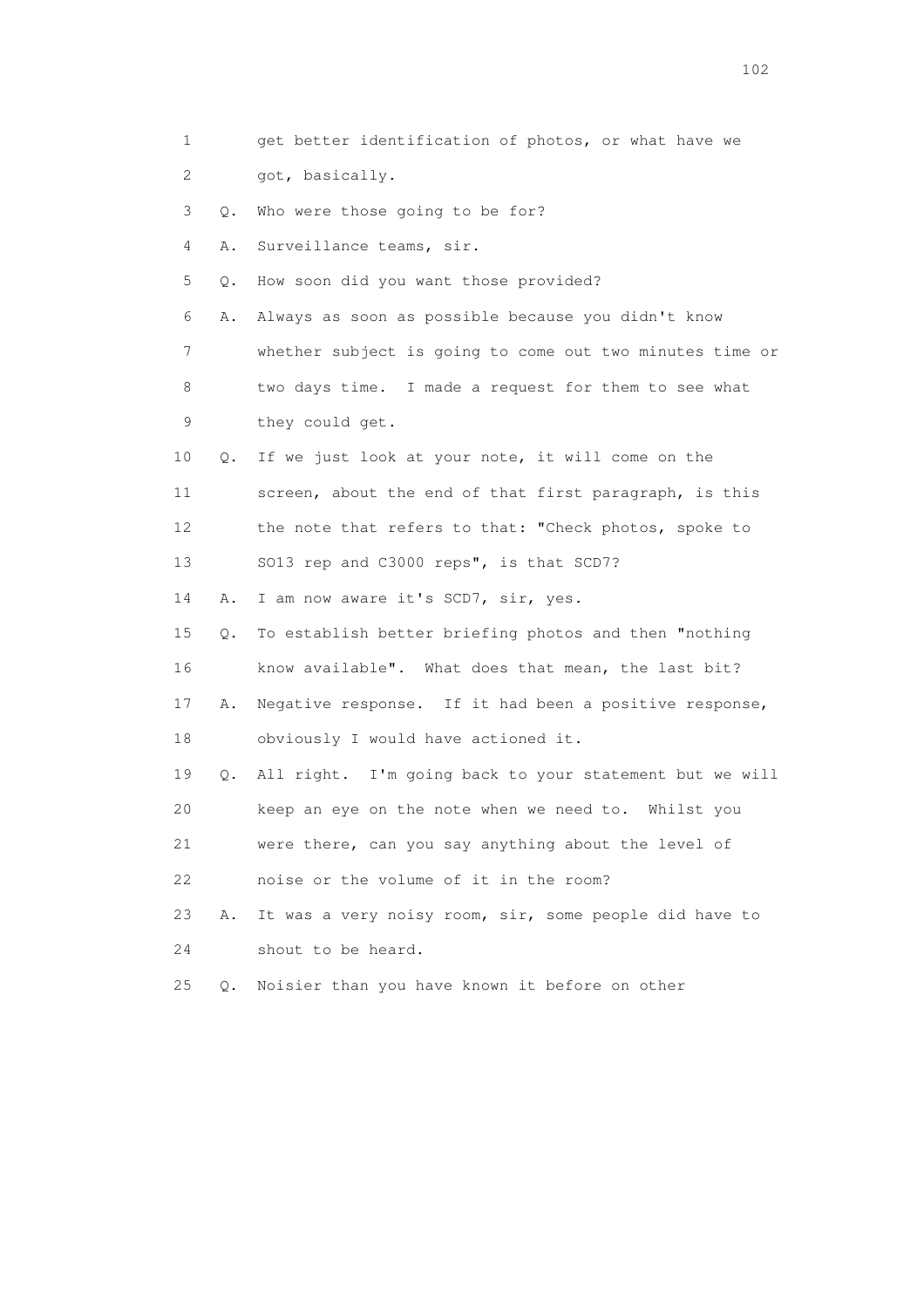1 get better identification of photos, or what have we 2 got, basically. 3 Q. Who were those going to be for? 4 A. Surveillance teams, sir. 5 Q. How soon did you want those provided? 6 A. Always as soon as possible because you didn't know 7 whether subject is going to come out two minutes time or 8 two days time. I made a request for them to see what 9 they could get. 10 Q. If we just look at your note, it will come on the 11 screen, about the end of that first paragraph, is this 12 the note that refers to that: "Check photos, spoke to 13 SO13 rep and C3000 reps", is that SCD7? 14 A. I am now aware it's SCD7, sir, yes. 15 Q. To establish better briefing photos and then "nothing 16 know available". What does that mean, the last bit? 17 A. Negative response. If it had been a positive response, 18 obviously I would have actioned it. 19 Q. All right. I'm going back to your statement but we will 20 keep an eye on the note when we need to. Whilst you 21 were there, can you say anything about the level of 22 noise or the volume of it in the room? 23 A. It was a very noisy room, sir, some people did have to 24 shout to be heard. 25 Q. Noisier than you have known it before on other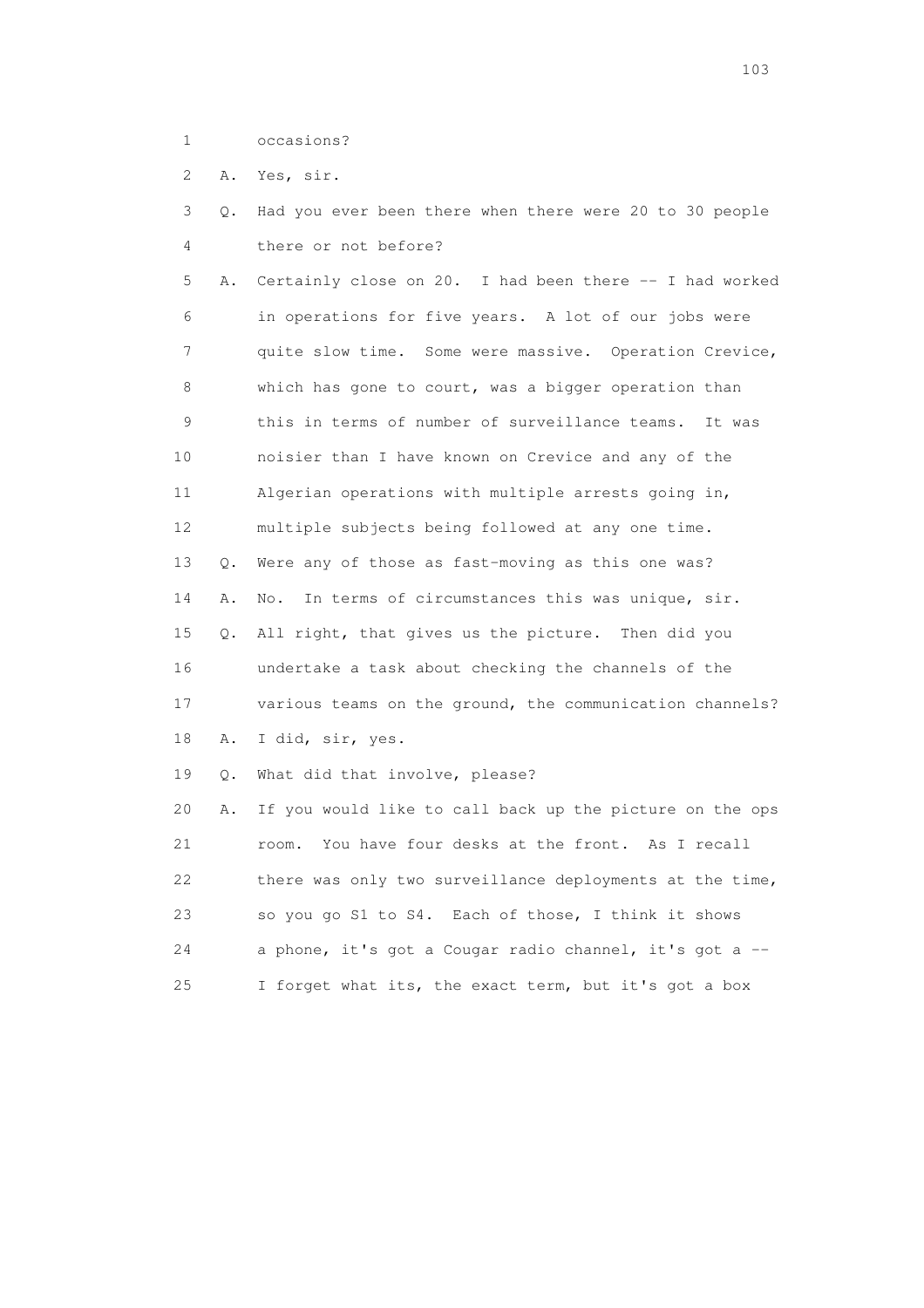1 occasions?

2 A. Yes, sir.

 3 Q. Had you ever been there when there were 20 to 30 people 4 there or not before?

 5 A. Certainly close on 20. I had been there -- I had worked 6 in operations for five years. A lot of our jobs were 7 quite slow time. Some were massive. Operation Crevice, 8 which has gone to court, was a bigger operation than 9 this in terms of number of surveillance teams. It was 10 noisier than I have known on Crevice and any of the 11 Algerian operations with multiple arrests going in, 12 multiple subjects being followed at any one time. 13 Q. Were any of those as fast-moving as this one was? 14 A. No. In terms of circumstances this was unique, sir. 15 Q. All right, that gives us the picture. Then did you 16 undertake a task about checking the channels of the 17 various teams on the ground, the communication channels? 18 A. I did, sir, yes. 19 Q. What did that involve, please?

 20 A. If you would like to call back up the picture on the ops 21 room. You have four desks at the front. As I recall 22 there was only two surveillance deployments at the time, 23 so you go S1 to S4. Each of those, I think it shows 24 a phone, it's got a Cougar radio channel, it's got a -- 25 I forget what its, the exact term, but it's got a box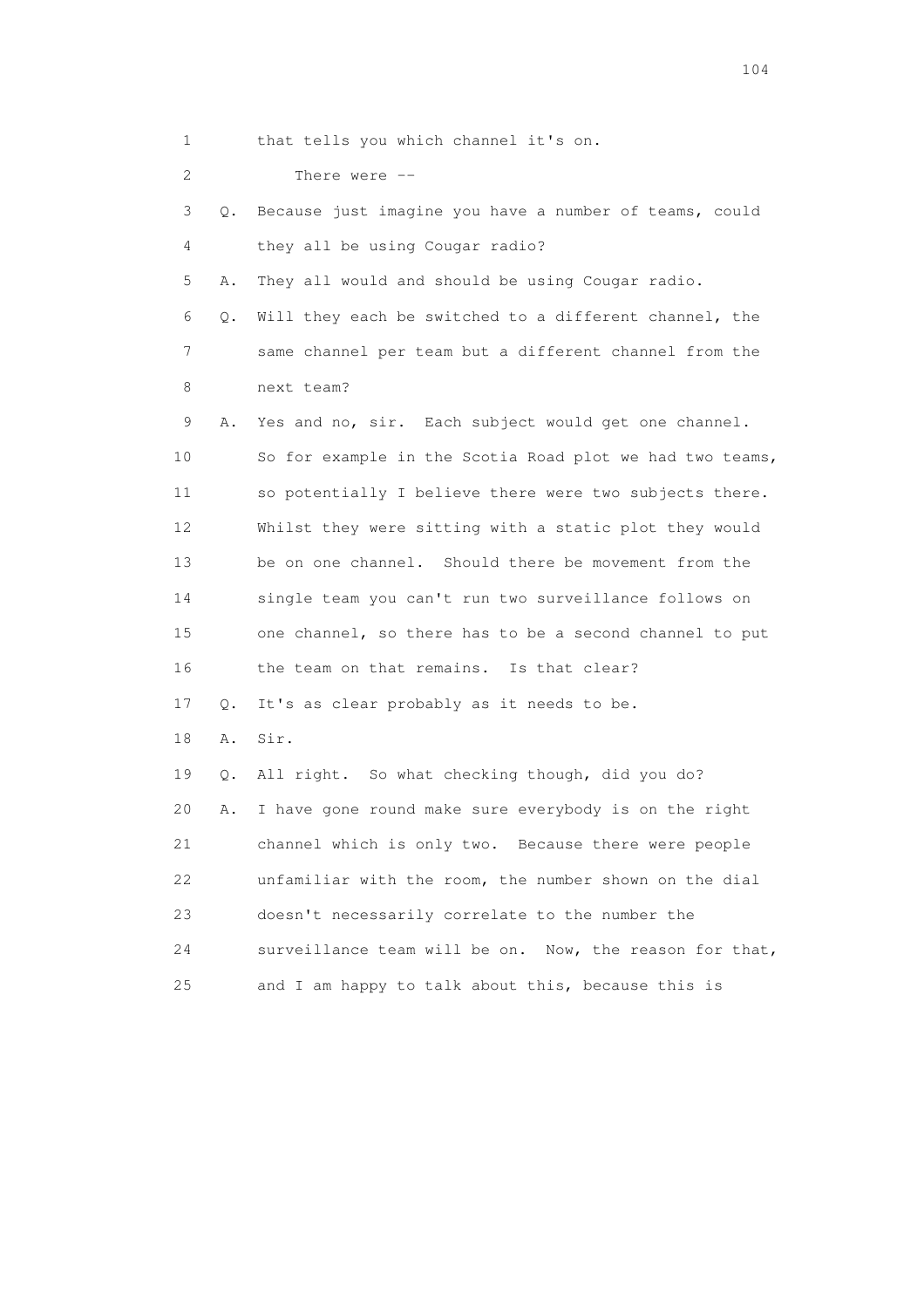2 There were -- 3 Q. Because just imagine you have a number of teams, could 4 they all be using Cougar radio? 5 A. They all would and should be using Cougar radio. 6 Q. Will they each be switched to a different channel, the 7 same channel per team but a different channel from the 8 next team? 9 A. Yes and no, sir. Each subject would get one channel. 10 So for example in the Scotia Road plot we had two teams, 11 so potentially I believe there were two subjects there. 12 Whilst they were sitting with a static plot they would 13 be on one channel. Should there be movement from the 14 single team you can't run two surveillance follows on 15 one channel, so there has to be a second channel to put 16 the team on that remains. Is that clear? 17 Q. It's as clear probably as it needs to be. 18 A. Sir. 19 Q. All right. So what checking though, did you do?

20 A. I have gone round make sure everybody is on the right

21 channel which is only two. Because there were people

22 unfamiliar with the room, the number shown on the dial

24 surveillance team will be on. Now, the reason for that,

23 doesn't necessarily correlate to the number the

25 and I am happy to talk about this, because this is

1 that tells you which channel it's on.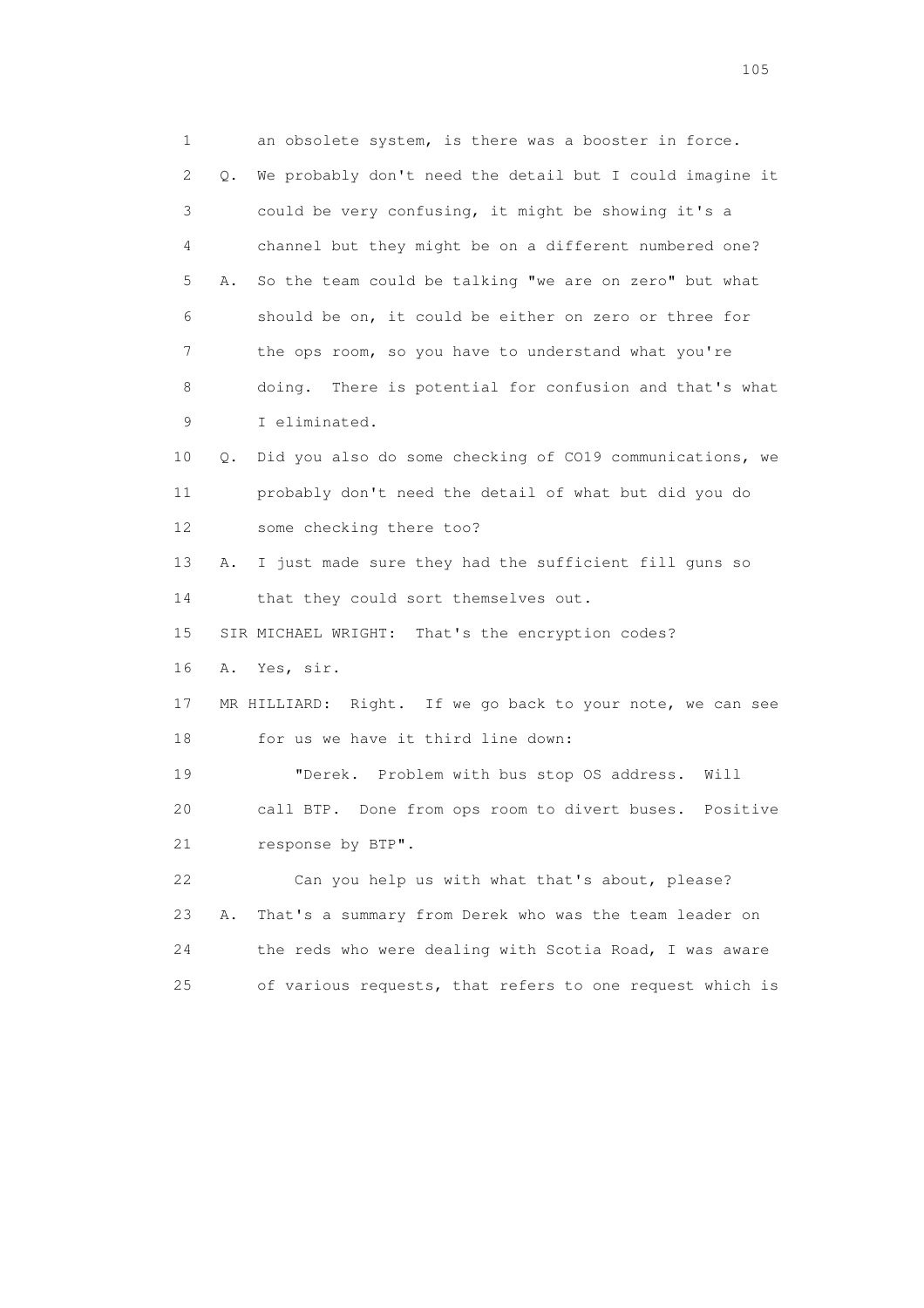1 an obsolete system, is there was a booster in force. 2 Q. We probably don't need the detail but I could imagine it 3 could be very confusing, it might be showing it's a 4 channel but they might be on a different numbered one? 5 A. So the team could be talking "we are on zero" but what 6 should be on, it could be either on zero or three for 7 the ops room, so you have to understand what you're 8 doing. There is potential for confusion and that's what 9 I eliminated. 10 Q. Did you also do some checking of CO19 communications, we 11 probably don't need the detail of what but did you do 12 some checking there too? 13 A. I just made sure they had the sufficient fill guns so 14 that they could sort themselves out. 15 SIR MICHAEL WRIGHT: That's the encryption codes? 16 A. Yes, sir. 17 MR HILLIARD: Right. If we go back to your note, we can see 18 for us we have it third line down: 19 "Derek. Problem with bus stop OS address. Will 20 call BTP. Done from ops room to divert buses. Positive 21 response by BTP". 22 Can you help us with what that's about, please? 23 A. That's a summary from Derek who was the team leader on 24 the reds who were dealing with Scotia Road, I was aware 25 of various requests, that refers to one request which is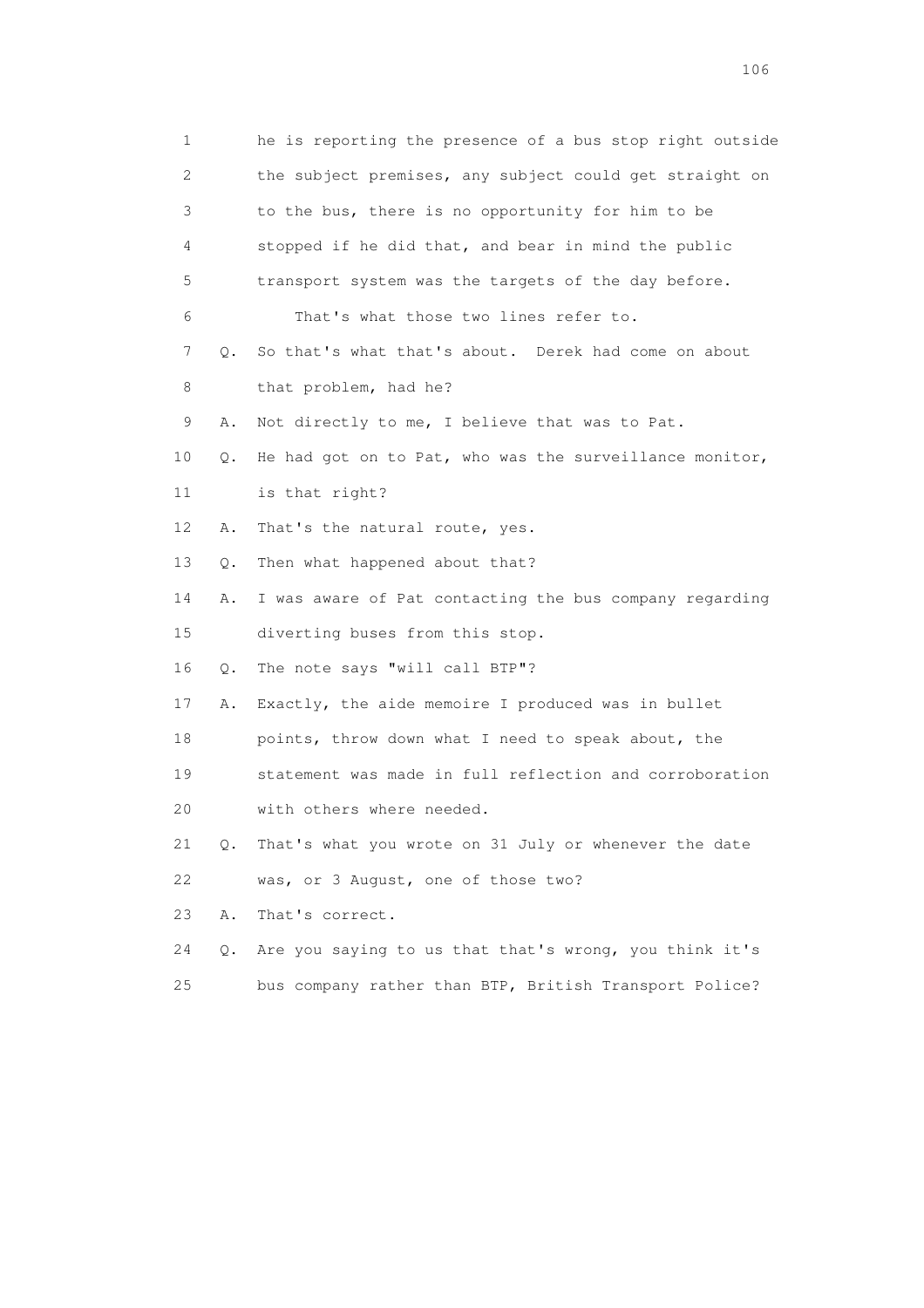1 he is reporting the presence of a bus stop right outside 2 the subject premises, any subject could get straight on 3 to the bus, there is no opportunity for him to be 4 stopped if he did that, and bear in mind the public 5 transport system was the targets of the day before. 6 That's what those two lines refer to. 7 Q. So that's what that's about. Derek had come on about 8 that problem, had he? 9 A. Not directly to me, I believe that was to Pat. 10 Q. He had got on to Pat, who was the surveillance monitor, 11 is that right? 12 A. That's the natural route, yes. 13 Q. Then what happened about that? 14 A. I was aware of Pat contacting the bus company regarding 15 diverting buses from this stop. 16 Q. The note says "will call BTP"? 17 A. Exactly, the aide memoire I produced was in bullet 18 points, throw down what I need to speak about, the 19 statement was made in full reflection and corroboration 20 with others where needed. 21 Q. That's what you wrote on 31 July or whenever the date 22 was, or 3 August, one of those two? 23 A. That's correct. 24 Q. Are you saying to us that that's wrong, you think it's 25 bus company rather than BTP, British Transport Police?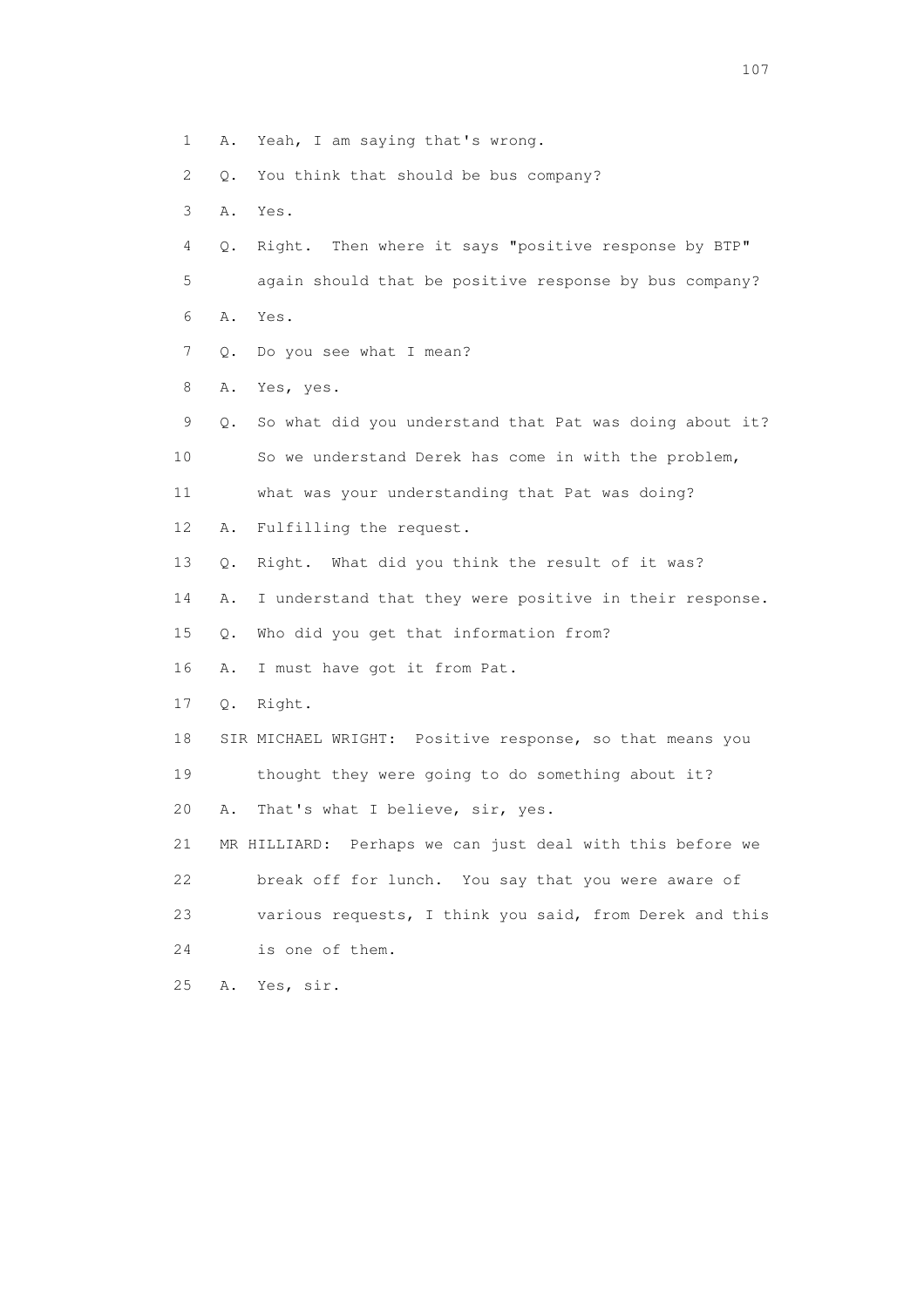- 1 A. Yeah, I am saying that's wrong.
- 2 Q. You think that should be bus company?
- 3 A. Yes.
- 4 Q. Right. Then where it says "positive response by BTP"
- 5 again should that be positive response by bus company?
- 6 A. Yes.
- 7 Q. Do you see what I mean?
- 8 A. Yes, yes.
- 9 Q. So what did you understand that Pat was doing about it? 10 So we understand Derek has come in with the problem, 11 what was your understanding that Pat was doing? 12 A. Fulfilling the request. 13 Q. Right. What did you think the result of it was? 14 A. I understand that they were positive in their response. 15 Q. Who did you get that information from? 16 A. I must have got it from Pat. 17 Q. Right. 18 SIR MICHAEL WRIGHT: Positive response, so that means you 19 thought they were going to do something about it? 20 A. That's what I believe, sir, yes. 21 MR HILLIARD: Perhaps we can just deal with this before we 22 break off for lunch. You say that you were aware of 23 various requests, I think you said, from Derek and this 24 is one of them. 25 A. Yes, sir.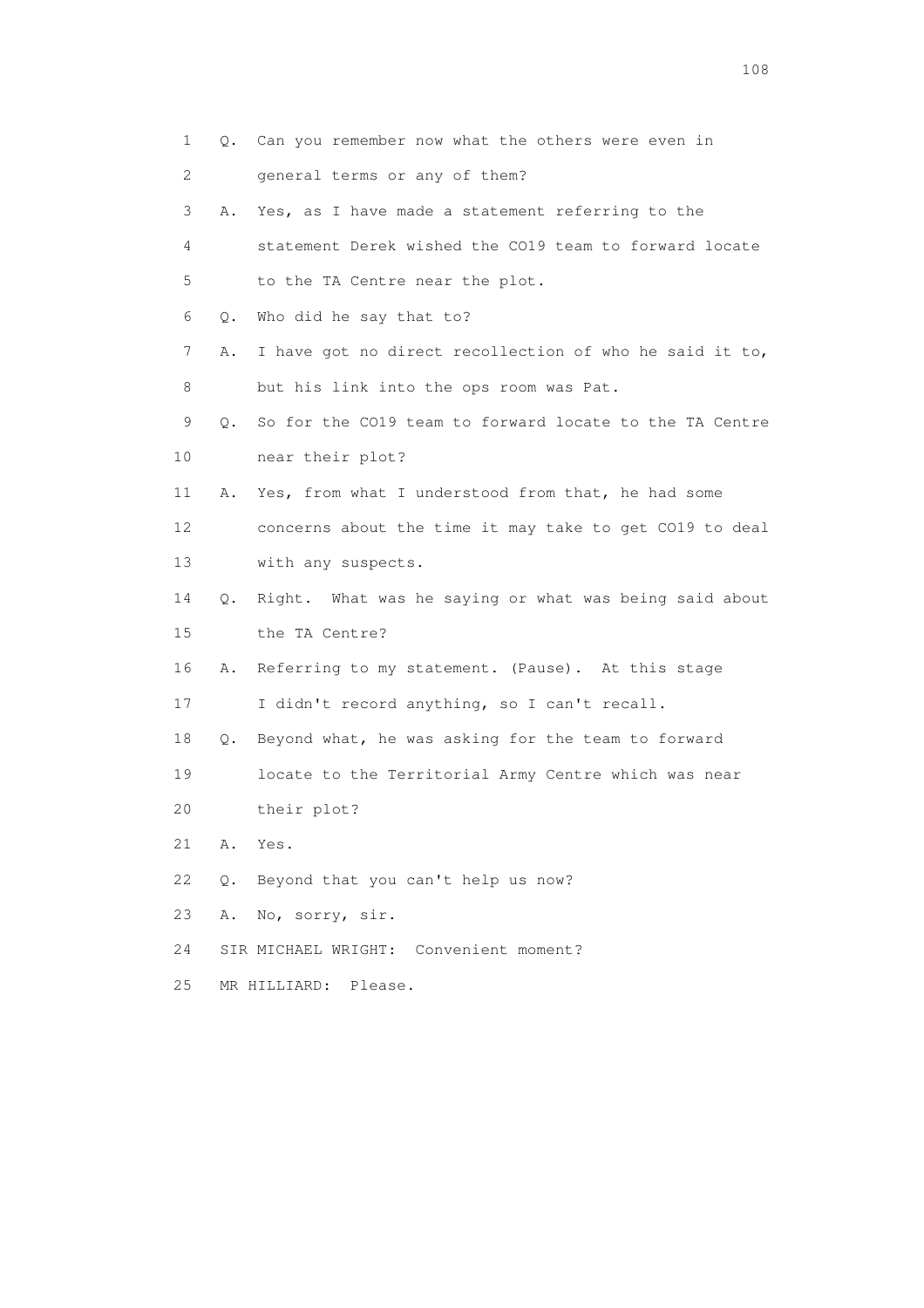1 Q. Can you remember now what the others were even in 2 general terms or any of them? 3 A. Yes, as I have made a statement referring to the 4 statement Derek wished the CO19 team to forward locate 5 to the TA Centre near the plot. 6 Q. Who did he say that to? 7 A. I have got no direct recollection of who he said it to, 8 but his link into the ops room was Pat. 9 Q. So for the CO19 team to forward locate to the TA Centre 10 near their plot? 11 A. Yes, from what I understood from that, he had some 12 concerns about the time it may take to get CO19 to deal 13 with any suspects. 14 Q. Right. What was he saying or what was being said about 15 the TA Centre? 16 A. Referring to my statement. (Pause). At this stage 17 I didn't record anything, so I can't recall. 18 Q. Beyond what, he was asking for the team to forward 19 locate to the Territorial Army Centre which was near 20 their plot? 21 A. Yes. 22 Q. Beyond that you can't help us now? 23 A. No, sorry, sir. 24 SIR MICHAEL WRIGHT: Convenient moment? 25 MR HILLIARD: Please.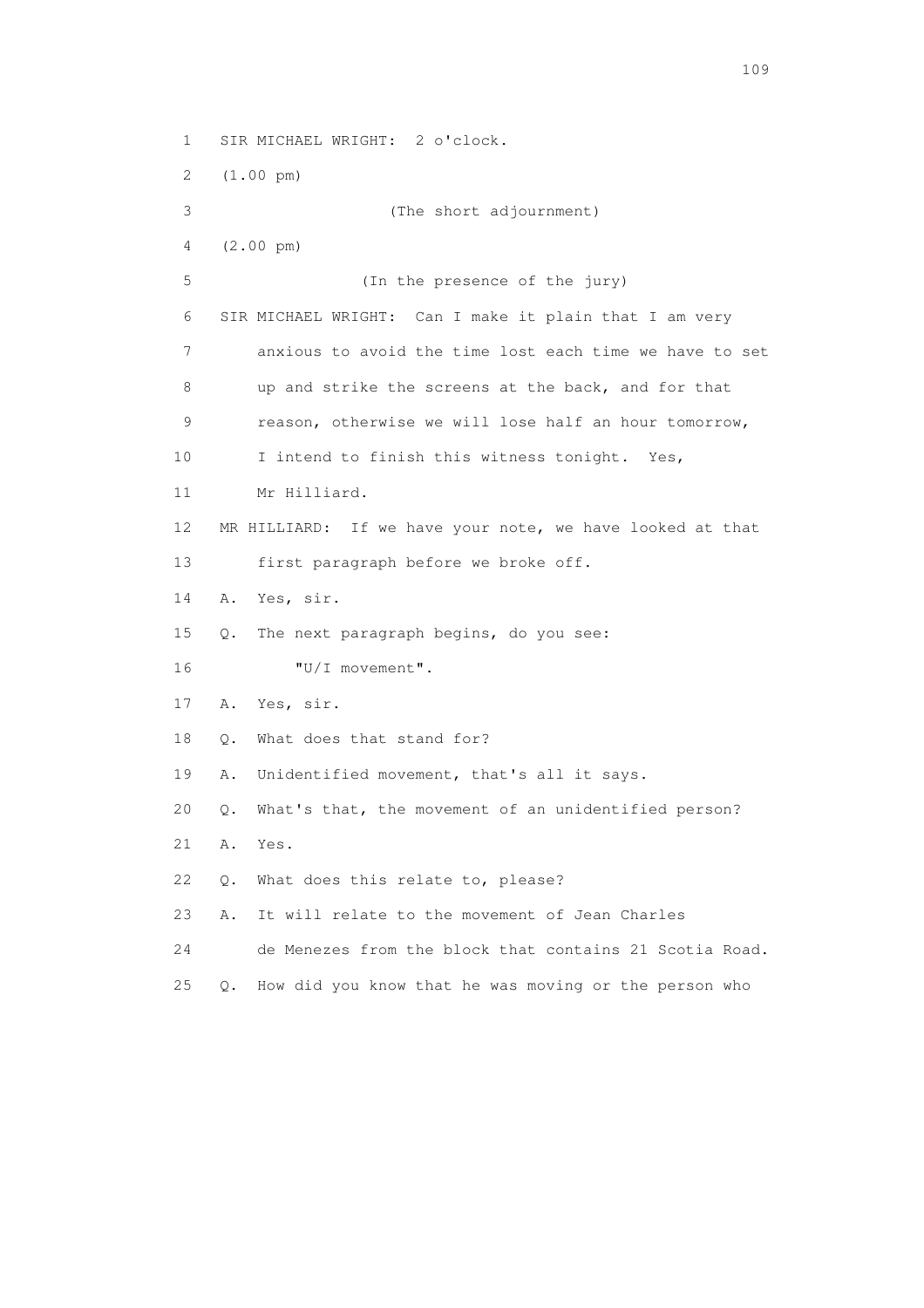1 SIR MICHAEL WRIGHT: 2 o'clock.

2 (1.00 pm)

 3 (The short adjournment) 4 (2.00 pm) 5 (In the presence of the jury) 6 SIR MICHAEL WRIGHT: Can I make it plain that I am very 7 anxious to avoid the time lost each time we have to set 8 up and strike the screens at the back, and for that 9 reason, otherwise we will lose half an hour tomorrow, 10 I intend to finish this witness tonight. Yes, 11 Mr Hilliard. 12 MR HILLIARD: If we have your note, we have looked at that 13 first paragraph before we broke off. 14 A. Yes, sir. 15 Q. The next paragraph begins, do you see: 16  $"U/I$  movement". 17 A. Yes, sir. 18 O. What does that stand for? 19 A. Unidentified movement, that's all it says. 20 Q. What's that, the movement of an unidentified person? 21 A. Yes. 22 Q. What does this relate to, please? 23 A. It will relate to the movement of Jean Charles 24 de Menezes from the block that contains 21 Scotia Road. 25 Q. How did you know that he was moving or the person who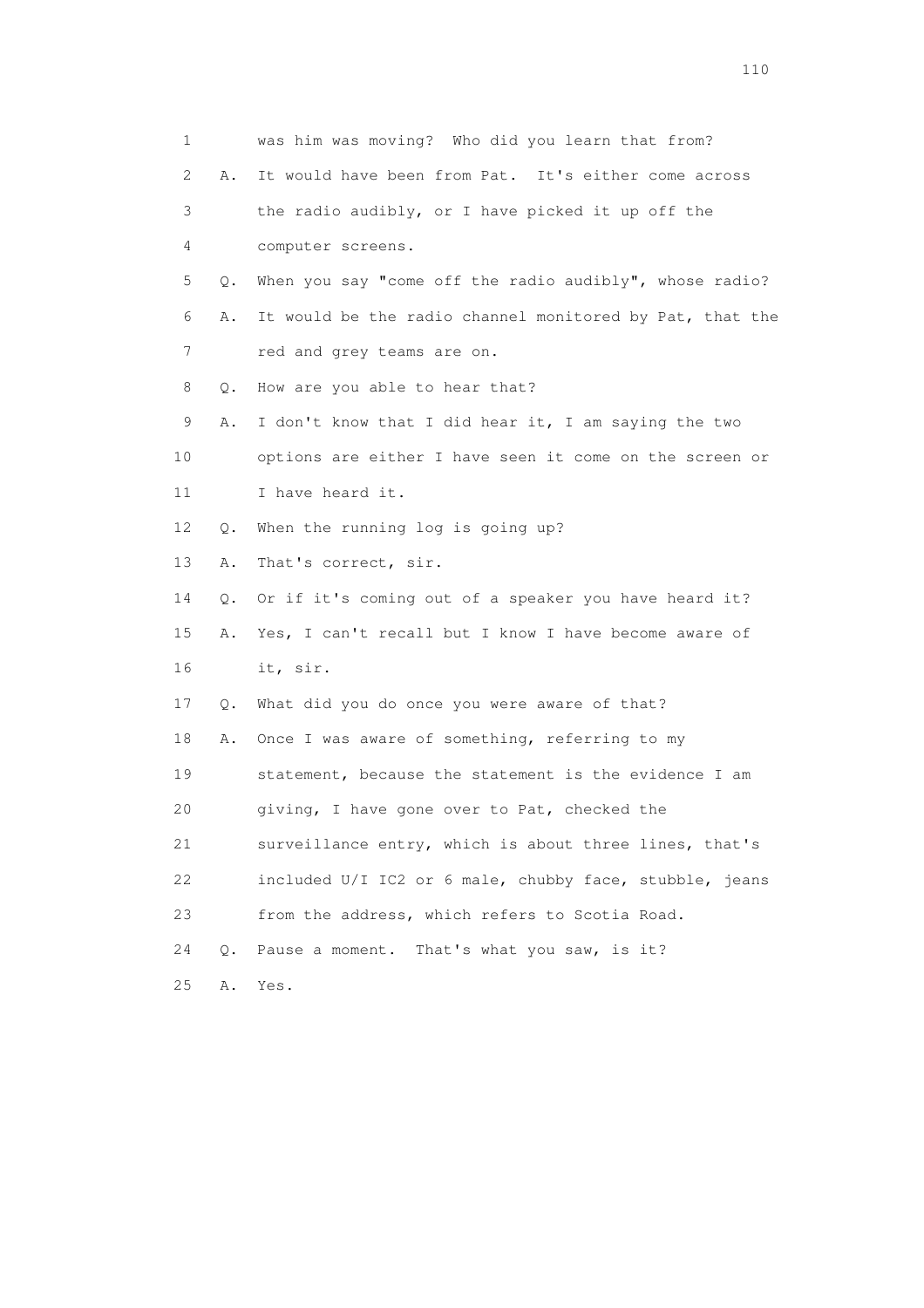| 1              |    | was him was moving? Who did you learn that from?         |
|----------------|----|----------------------------------------------------------|
| $\overline{2}$ | Α. | It would have been from Pat. It's either come across     |
| 3              |    | the radio audibly, or I have picked it up off the        |
| 4              |    | computer screens.                                        |
| 5              | Q. | When you say "come off the radio audibly", whose radio?  |
| 6              | Α. | It would be the radio channel monitored by Pat, that the |
| 7              |    | red and grey teams are on.                               |
| 8              | Q. | How are you able to hear that?                           |
| 9              | Α. | I don't know that I did hear it, I am saying the two     |
| 10             |    | options are either I have seen it come on the screen or  |
| 11             |    | I have heard it.                                         |
| 12             | Q. | When the running log is going up?                        |
| 13             | Α. | That's correct, sir.                                     |
| 14             | Q. | Or if it's coming out of a speaker you have heard it?    |
| 15             | Α. | Yes, I can't recall but I know I have become aware of    |
| 16             |    | it, sir.                                                 |
| 17             | Q. | What did you do once you were aware of that?             |
| 18             | Α. | Once I was aware of something, referring to my           |
| 19             |    | statement, because the statement is the evidence I am    |
| 20             |    | giving, I have gone over to Pat, checked the             |
| 21             |    | surveillance entry, which is about three lines, that's   |
| 22             |    | included U/I IC2 or 6 male, chubby face, stubble, jeans  |
| 23             |    | from the address, which refers to Scotia Road.           |
| 24             | Q. | Pause a moment. That's what you saw, is it?              |
| 25             | Α. | Yes.                                                     |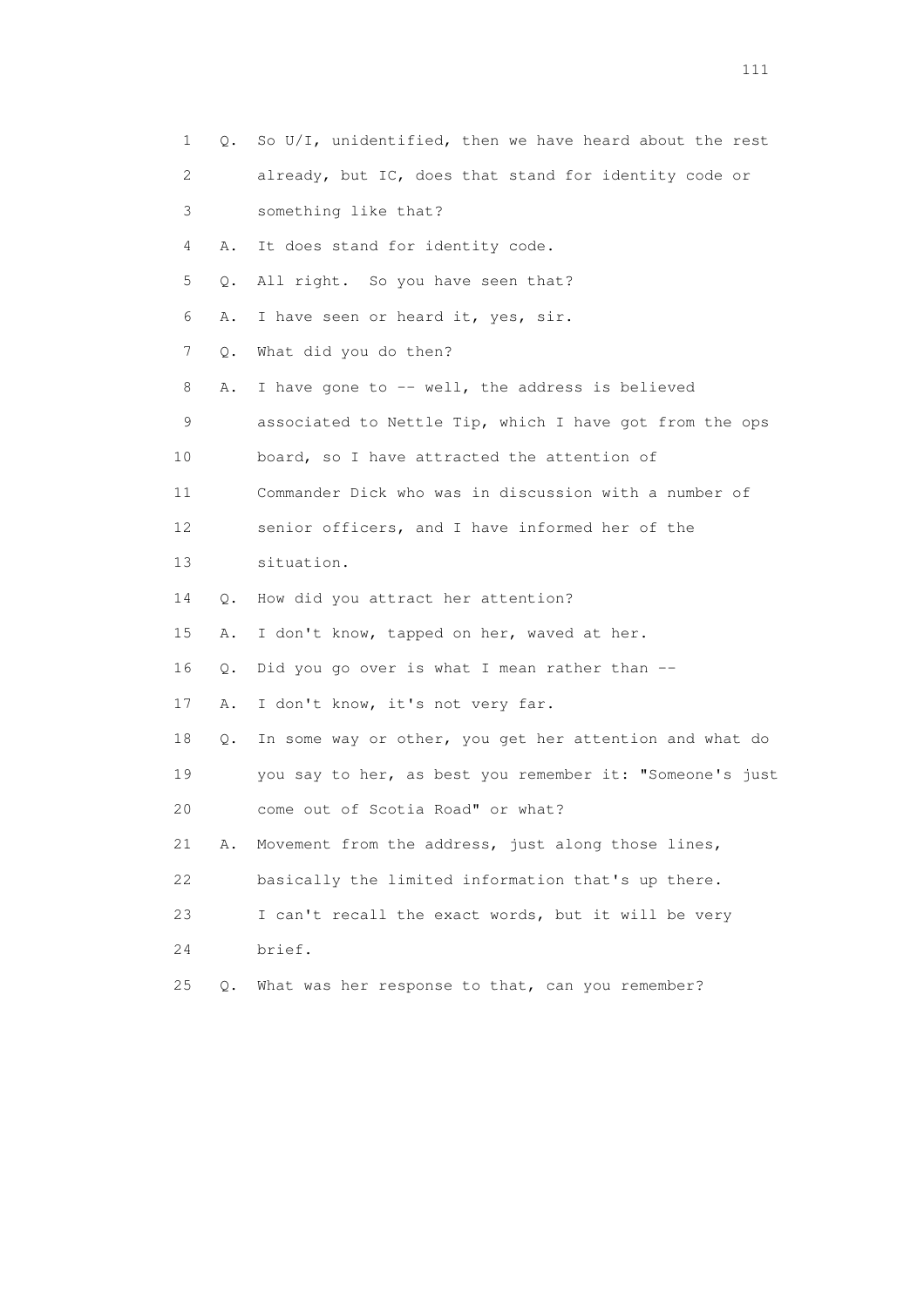| 1                         | Q. | So U/I, unidentified, then we have heard about the rest  |
|---------------------------|----|----------------------------------------------------------|
| $\mathbf{2}^{\mathsf{I}}$ |    | already, but IC, does that stand for identity code or    |
| 3                         |    | something like that?                                     |
| 4                         | Α. | It does stand for identity code.                         |
| 5                         | Q. | All right. So you have seen that?                        |
| 6                         | Α. | I have seen or heard it, yes, sir.                       |
| 7                         | Q. | What did you do then?                                    |
| 8                         | Α. | I have gone to $-$ well, the address is believed         |
| 9                         |    | associated to Nettle Tip, which I have got from the ops  |
| 10                        |    | board, so I have attracted the attention of              |
| 11                        |    | Commander Dick who was in discussion with a number of    |
| 12                        |    | senior officers, and I have informed her of the          |
| 13                        |    | situation.                                               |
| 14                        | Q. | How did you attract her attention?                       |
| 15                        | Α. | I don't know, tapped on her, waved at her.               |
| 16                        | Q. | Did you go over is what I mean rather than $-$           |
| 17                        | Α. | I don't know, it's not very far.                         |
| 18                        | Q. | In some way or other, you get her attention and what do  |
| 19                        |    | you say to her, as best you remember it: "Someone's just |
| 20                        |    | come out of Scotia Road" or what?                        |
| 21                        | Α. | Movement from the address, just along those lines,       |
| 22                        |    | basically the limited information that's up there.       |
| 23                        |    | I can't recall the exact words, but it will be very      |
| 24                        |    | brief.                                                   |
| 25                        | Q. | What was her response to that, can you remember?         |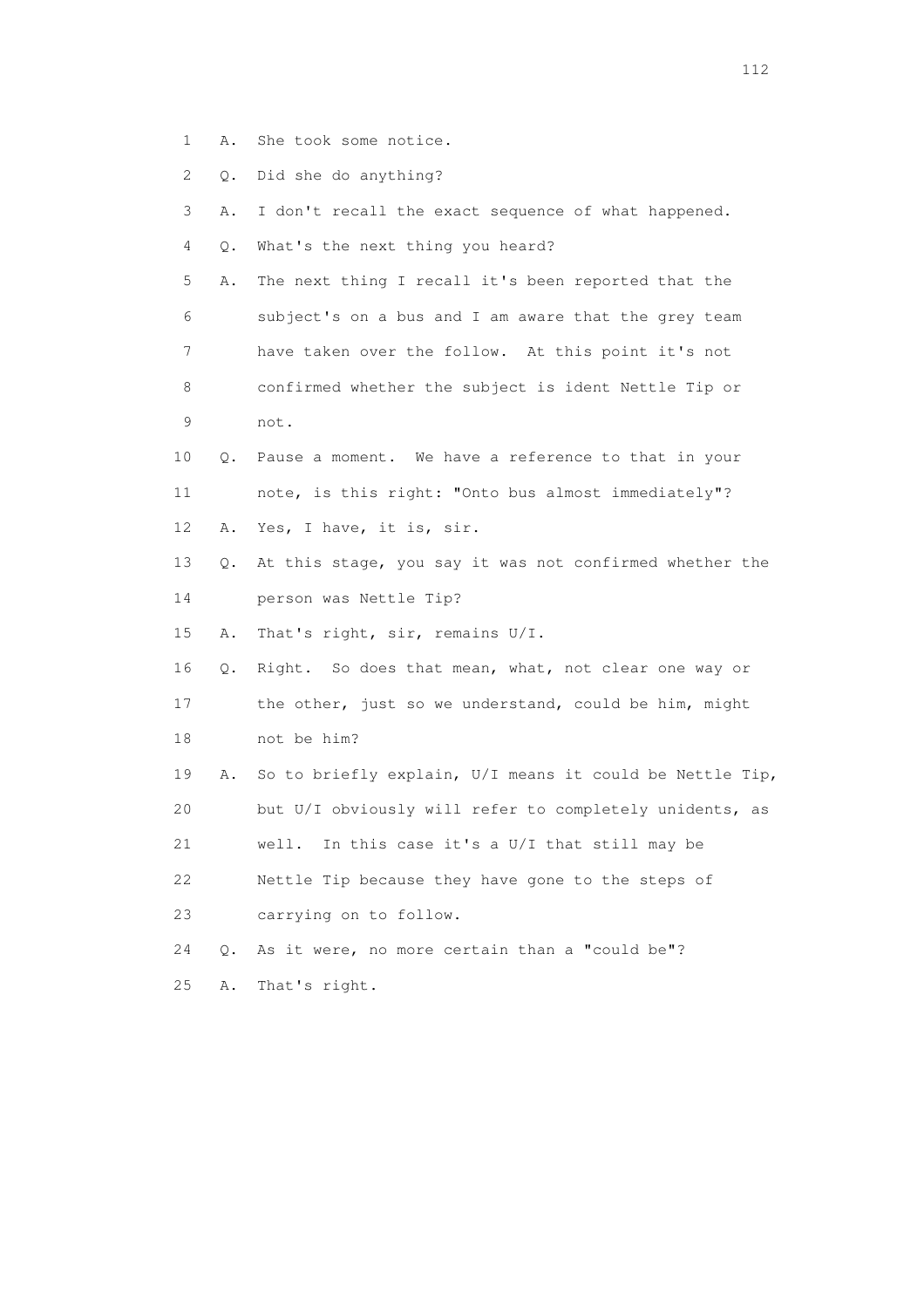- 1 A. She took some notice.
- 2 Q. Did she do anything?
- 3 A. I don't recall the exact sequence of what happened.
- 4 Q. What's the next thing you heard?
- 5 A. The next thing I recall it's been reported that the 6 subject's on a bus and I am aware that the grey team 7 have taken over the follow. At this point it's not 8 confirmed whether the subject is ident Nettle Tip or 9 not.
- 10 Q. Pause a moment. We have a reference to that in your 11 note, is this right: "Onto bus almost immediately"? 12 A. Yes, I have, it is, sir.
- 13 Q. At this stage, you say it was not confirmed whether the 14 person was Nettle Tip?
- 15 A. That's right, sir, remains U/I.
- 16 Q. Right. So does that mean, what, not clear one way or 17 the other, just so we understand, could be him, might
- 18 not be him?
- 19 A. So to briefly explain, U/I means it could be Nettle Tip, 20 but U/I obviously will refer to completely unidents, as 21 well. In this case it's a U/I that still may be 22 Nettle Tip because they have gone to the steps of
- 23 carrying on to follow.
- 24 Q. As it were, no more certain than a "could be"? 25 A. That's right.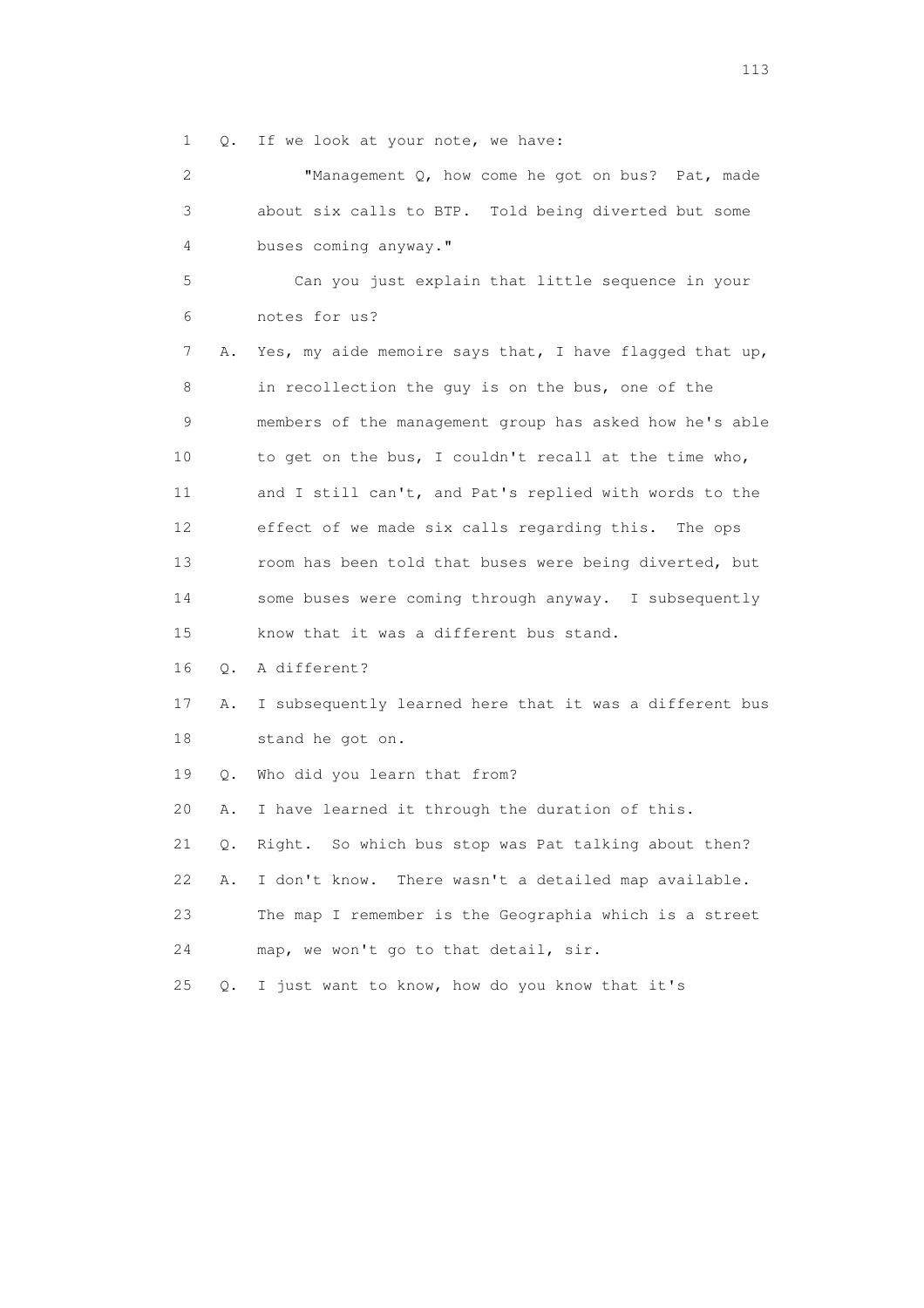1 Q. If we look at your note, we have:

 2 "Management Q, how come he got on bus? Pat, made 3 about six calls to BTP. Told being diverted but some 4 buses coming anyway."

 5 Can you just explain that little sequence in your 6 notes for us?

 7 A. Yes, my aide memoire says that, I have flagged that up, 8 in recollection the guy is on the bus, one of the 9 members of the management group has asked how he's able 10 to get on the bus, I couldn't recall at the time who, 11 and I still can't, and Pat's replied with words to the 12 effect of we made six calls regarding this. The ops 13 room has been told that buses were being diverted, but 14 some buses were coming through anyway. I subsequently 15 know that it was a different bus stand.

16 Q. A different?

 17 A. I subsequently learned here that it was a different bus 18 stand he got on.

19 Q. Who did you learn that from?

20 A. I have learned it through the duration of this.

21 Q. Right. So which bus stop was Pat talking about then?

22 A. I don't know. There wasn't a detailed map available.

 23 The map I remember is the Geographia which is a street 24 map, we won't go to that detail, sir.

25 Q. I just want to know, how do you know that it's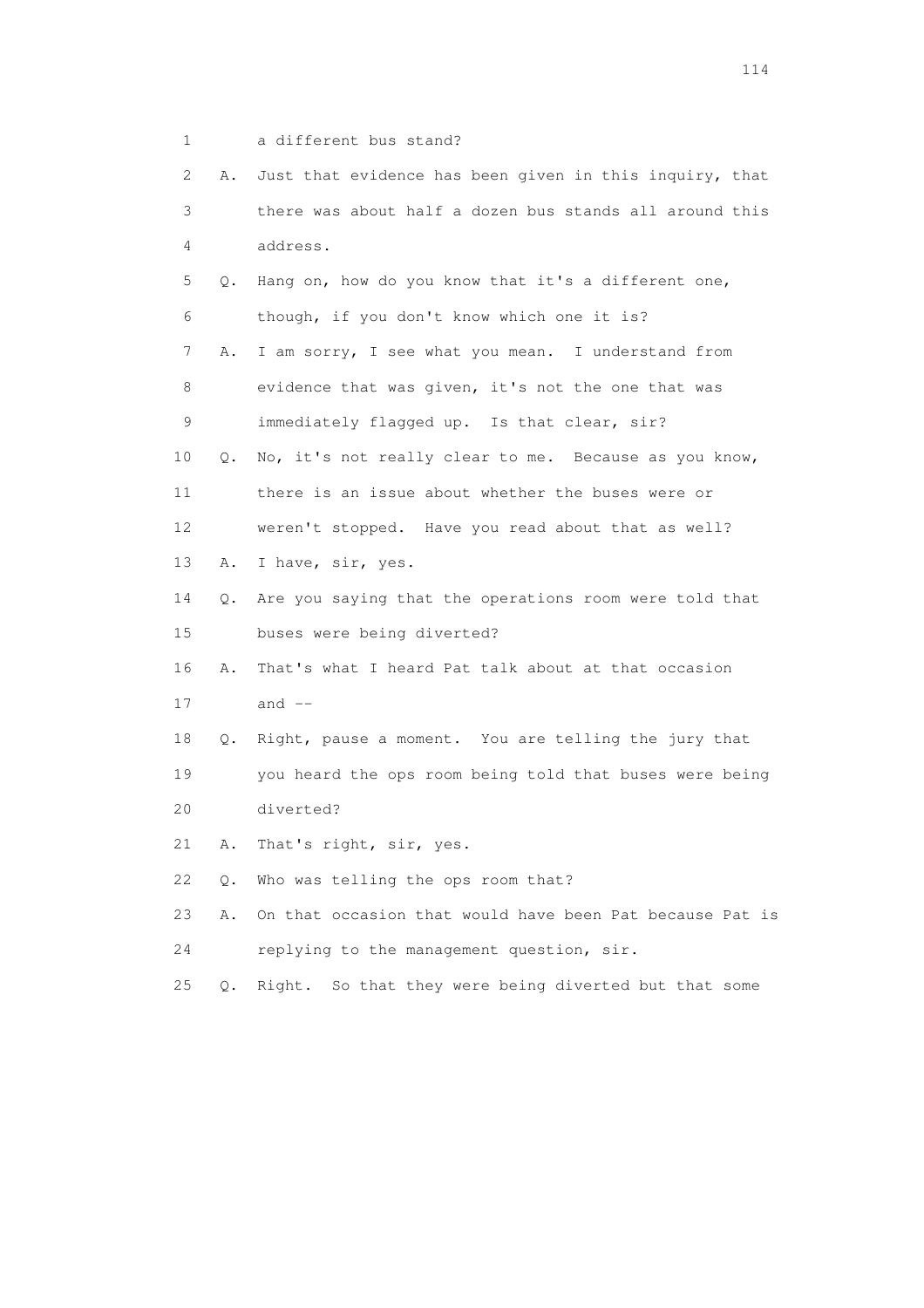1 a different bus stand?

| 2               | Α. | Just that evidence has been given in this inquiry, that  |
|-----------------|----|----------------------------------------------------------|
| 3               |    | there was about half a dozen bus stands all around this  |
| 4               |    | address.                                                 |
| 5               | Q. | Hang on, how do you know that it's a different one,      |
| 6               |    | though, if you don't know which one it is?               |
| 7               | Α. | I am sorry, I see what you mean. I understand from       |
| 8               |    | evidence that was given, it's not the one that was       |
| 9               |    | immediately flagged up. Is that clear, sir?              |
| 10              | Q. | No, it's not really clear to me. Because as you know,    |
| 11              |    | there is an issue about whether the buses were or        |
| 12 <sup>°</sup> |    | weren't stopped. Have you read about that as well?       |
| 13              | Α. | I have, sir, yes.                                        |
| 14              | Q. | Are you saying that the operations room were told that   |
| 15              |    | buses were being diverted?                               |
| 16              | Α. | That's what I heard Pat talk about at that occasion      |
| 17              |    | and $--$                                                 |
| 18              | Q. | Right, pause a moment. You are telling the jury that     |
| 19              |    | you heard the ops room being told that buses were being  |
| 20              |    | diverted?                                                |
| 21              | Α. | That's right, sir, yes.                                  |
| 22              | Q. | Who was telling the ops room that?                       |
| 23              | Α. | On that occasion that would have been Pat because Pat is |
| 24              |    | replying to the management question, sir.                |
| 25              | Q. | So that they were being diverted but that some<br>Right. |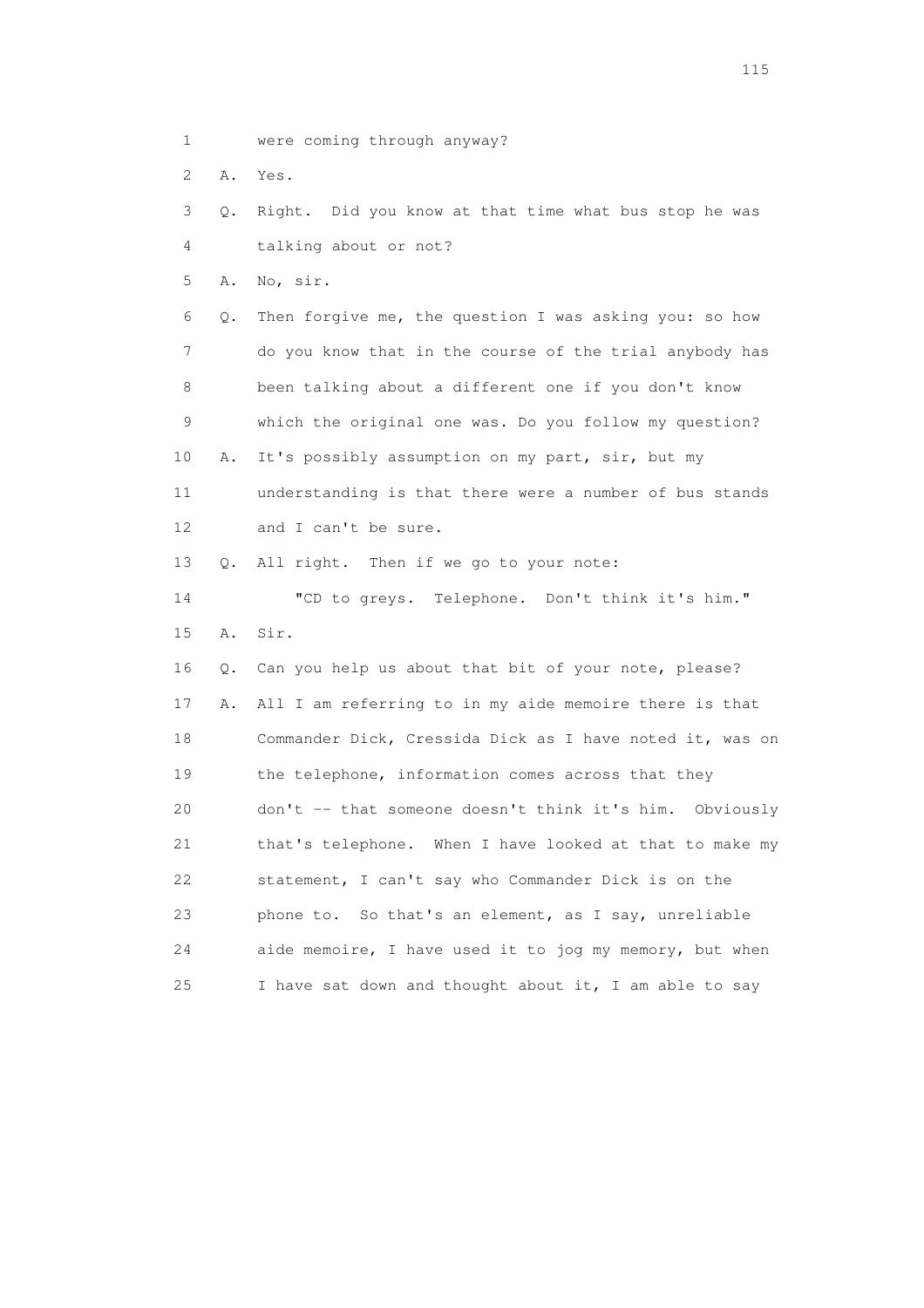- 1 were coming through anyway?
- 2 A. Yes.

 3 Q. Right. Did you know at that time what bus stop he was 4 talking about or not?

5 A. No, sir.

 6 Q. Then forgive me, the question I was asking you: so how 7 do you know that in the course of the trial anybody has 8 been talking about a different one if you don't know 9 which the original one was. Do you follow my question? 10 A. It's possibly assumption on my part, sir, but my 11 understanding is that there were a number of bus stands 12 and I can't be sure.

13 Q. All right. Then if we go to your note:

 14 "CD to greys. Telephone. Don't think it's him." 15 A. Sir.

 16 Q. Can you help us about that bit of your note, please? 17 A. All I am referring to in my aide memoire there is that 18 Commander Dick, Cressida Dick as I have noted it, was on 19 the telephone, information comes across that they 20 don't -- that someone doesn't think it's him. Obviously 21 that's telephone. When I have looked at that to make my 22 statement, I can't say who Commander Dick is on the 23 phone to. So that's an element, as I say, unreliable 24 aide memoire, I have used it to jog my memory, but when 25 I have sat down and thought about it, I am able to say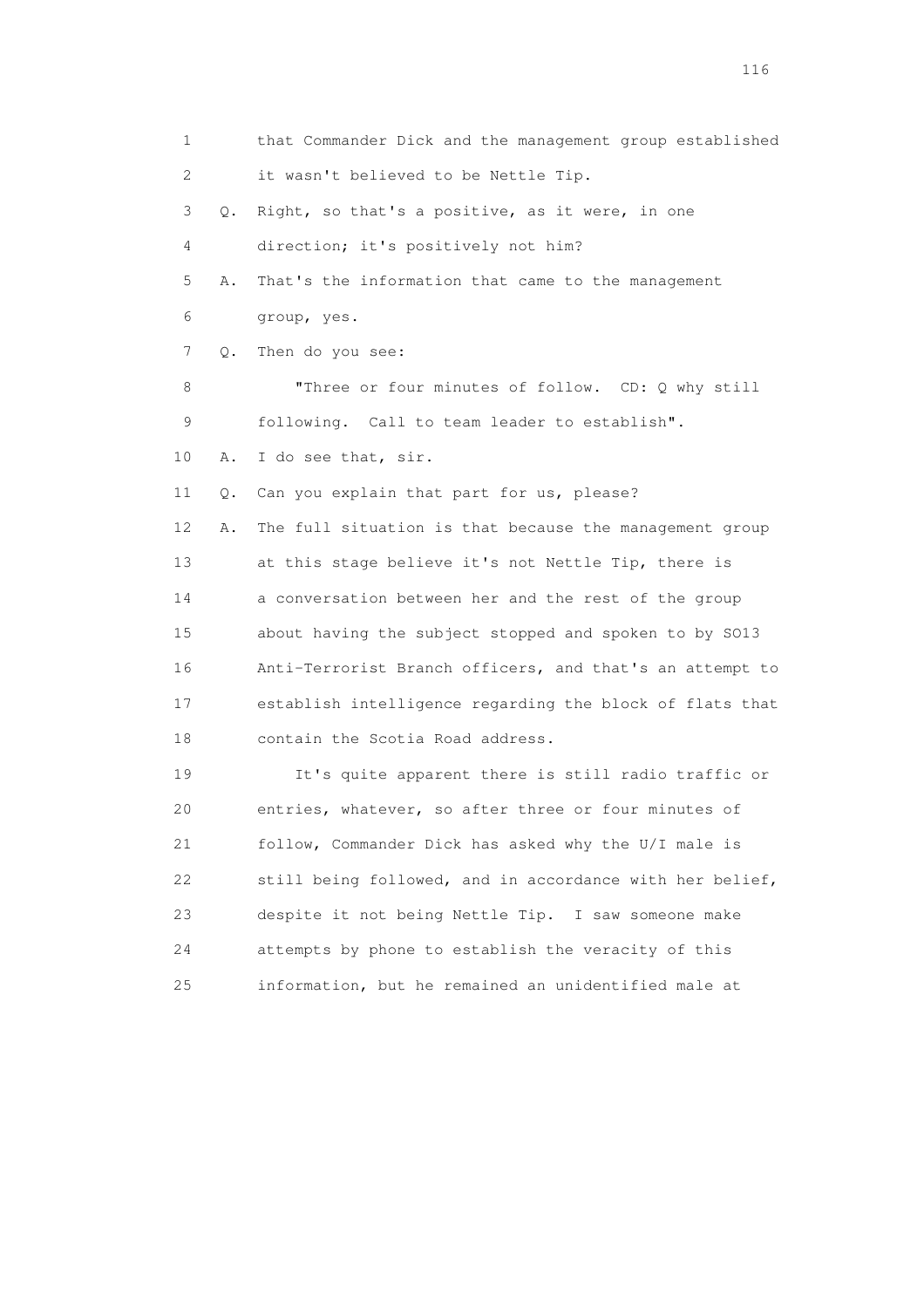1 that Commander Dick and the management group established 2 it wasn't believed to be Nettle Tip. 3 Q. Right, so that's a positive, as it were, in one 4 direction; it's positively not him? 5 A. That's the information that came to the management 6 group, yes. 7 Q. Then do you see: 8 "Three or four minutes of follow. CD: Q why still 9 following. Call to team leader to establish". 10 A. I do see that, sir. 11 Q. Can you explain that part for us, please? 12 A. The full situation is that because the management group 13 at this stage believe it's not Nettle Tip, there is 14 a conversation between her and the rest of the group 15 about having the subject stopped and spoken to by SO13 16 Anti-Terrorist Branch officers, and that's an attempt to 17 establish intelligence regarding the block of flats that 18 contain the Scotia Road address. 19 It's quite apparent there is still radio traffic or 20 entries, whatever, so after three or four minutes of 21 follow, Commander Dick has asked why the U/I male is 22 still being followed, and in accordance with her belief, 23 despite it not being Nettle Tip. I saw someone make 24 attempts by phone to establish the veracity of this 25 information, but he remained an unidentified male at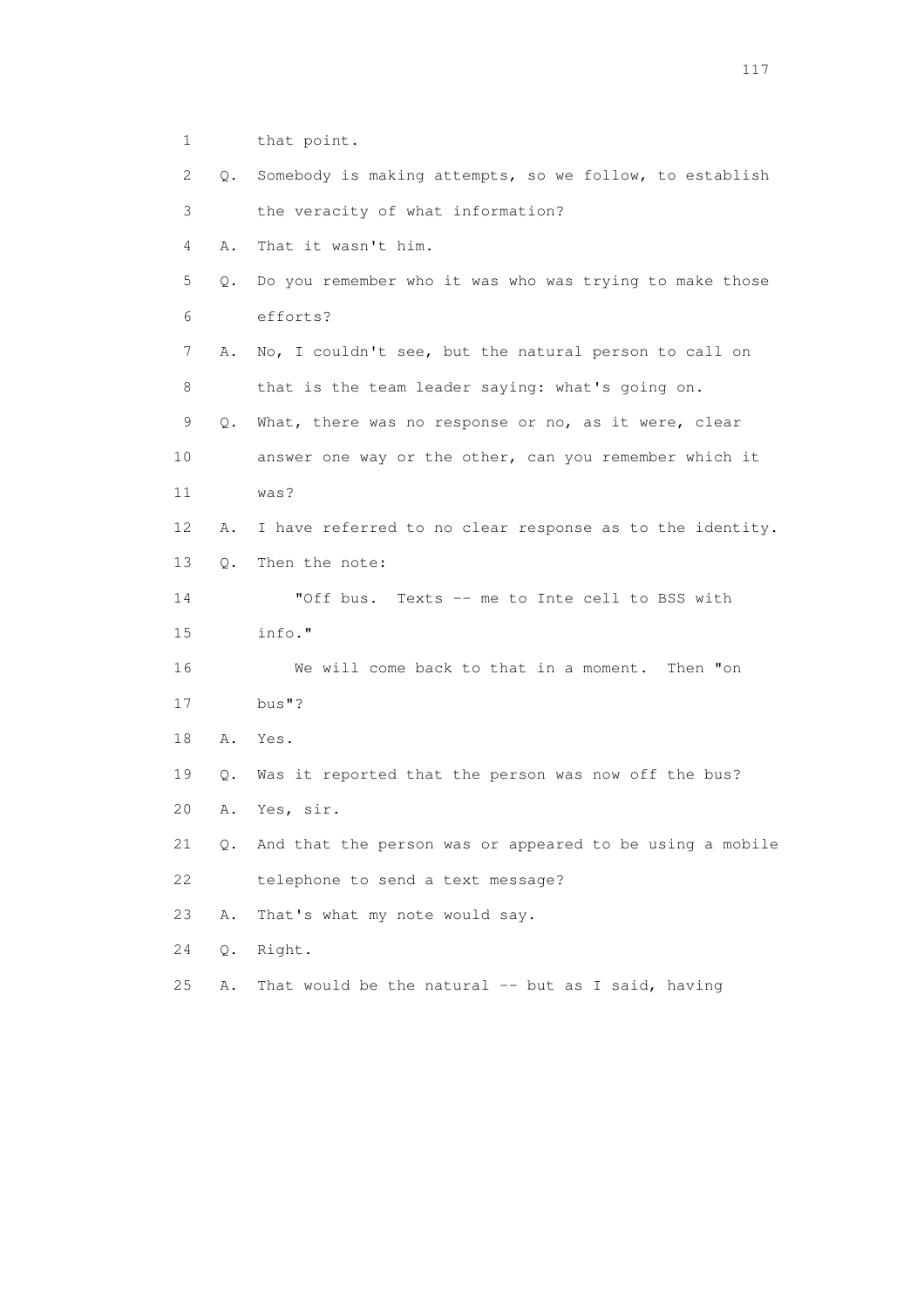1 that point.

| 2              | Q.    | Somebody is making attempts, so we follow, to establish  |
|----------------|-------|----------------------------------------------------------|
| 3              |       | the veracity of what information?                        |
| $\overline{4}$ | Α.    | That it wasn't him.                                      |
| 5              | Q.    | Do you remember who it was who was trying to make those  |
| 6              |       | efforts?                                                 |
| 7              | Α.    | No, I couldn't see, but the natural person to call on    |
| 8              |       | that is the team leader saying: what's going on.         |
| 9              | Q.    | What, there was no response or no, as it were, clear     |
| 10             |       | answer one way or the other, can you remember which it   |
| 11             |       | was?                                                     |
| 12             | Α.    | I have referred to no clear response as to the identity. |
| 13             | $Q$ . | Then the note:                                           |
| 14             |       | "Off bus.<br>Texts -- me to Inte cell to BSS with        |
| 15             |       | info."                                                   |
| 16             |       | We will come back to that in a moment.<br>Then "on       |
| 17             |       | bus"?                                                    |
| 18             | Α.    | Yes.                                                     |
| 19             | Q.    | Was it reported that the person was now off the bus?     |
| 20             | Α.    | Yes, sir.                                                |
| 21             | Q.    | And that the person was or appeared to be using a mobile |
| 22             |       | telephone to send a text message?                        |
| 23             | Α.    | That's what my note would say.                           |
| 24             | Q.    | Right.                                                   |
| 25             | Α.    | That would be the natural -- but as I said, having       |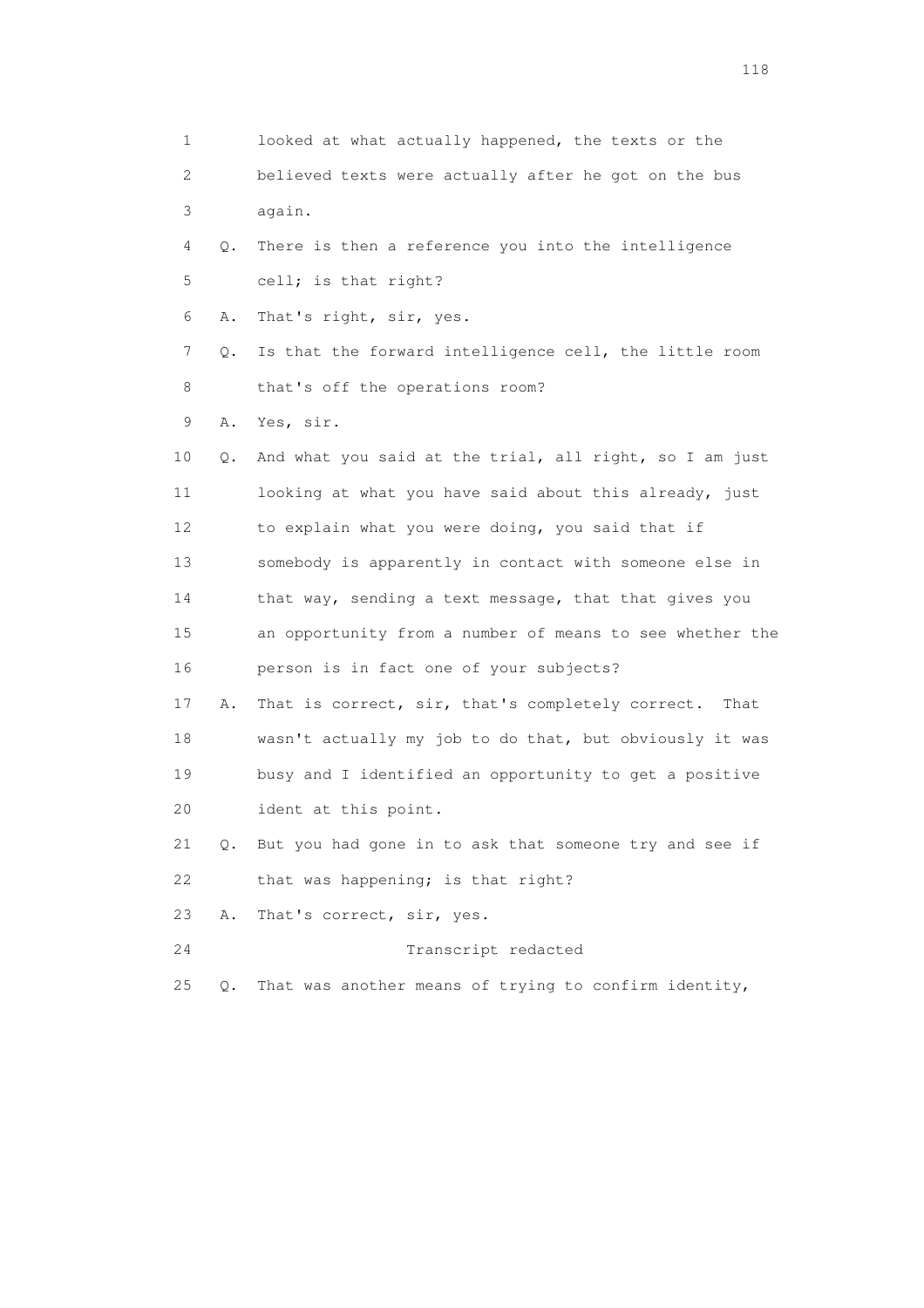1 looked at what actually happened, the texts or the 2 believed texts were actually after he got on the bus 3 again. 4 Q. There is then a reference you into the intelligence 5 cell; is that right? 6 A. That's right, sir, yes. 7 Q. Is that the forward intelligence cell, the little room 8 that's off the operations room? 9 A. Yes, sir. 10 Q. And what you said at the trial, all right, so I am just 11 looking at what you have said about this already, just 12 to explain what you were doing, you said that if 13 somebody is apparently in contact with someone else in 14 that way, sending a text message, that that gives you 15 an opportunity from a number of means to see whether the 16 person is in fact one of your subjects? 17 A. That is correct, sir, that's completely correct. That 18 wasn't actually my job to do that, but obviously it was 19 busy and I identified an opportunity to get a positive 20 ident at this point. 21 Q. But you had gone in to ask that someone try and see if 22 that was happening; is that right? 23 A. That's correct, sir, yes. 24 Transcript redacted 25 Q. That was another means of trying to confirm identity,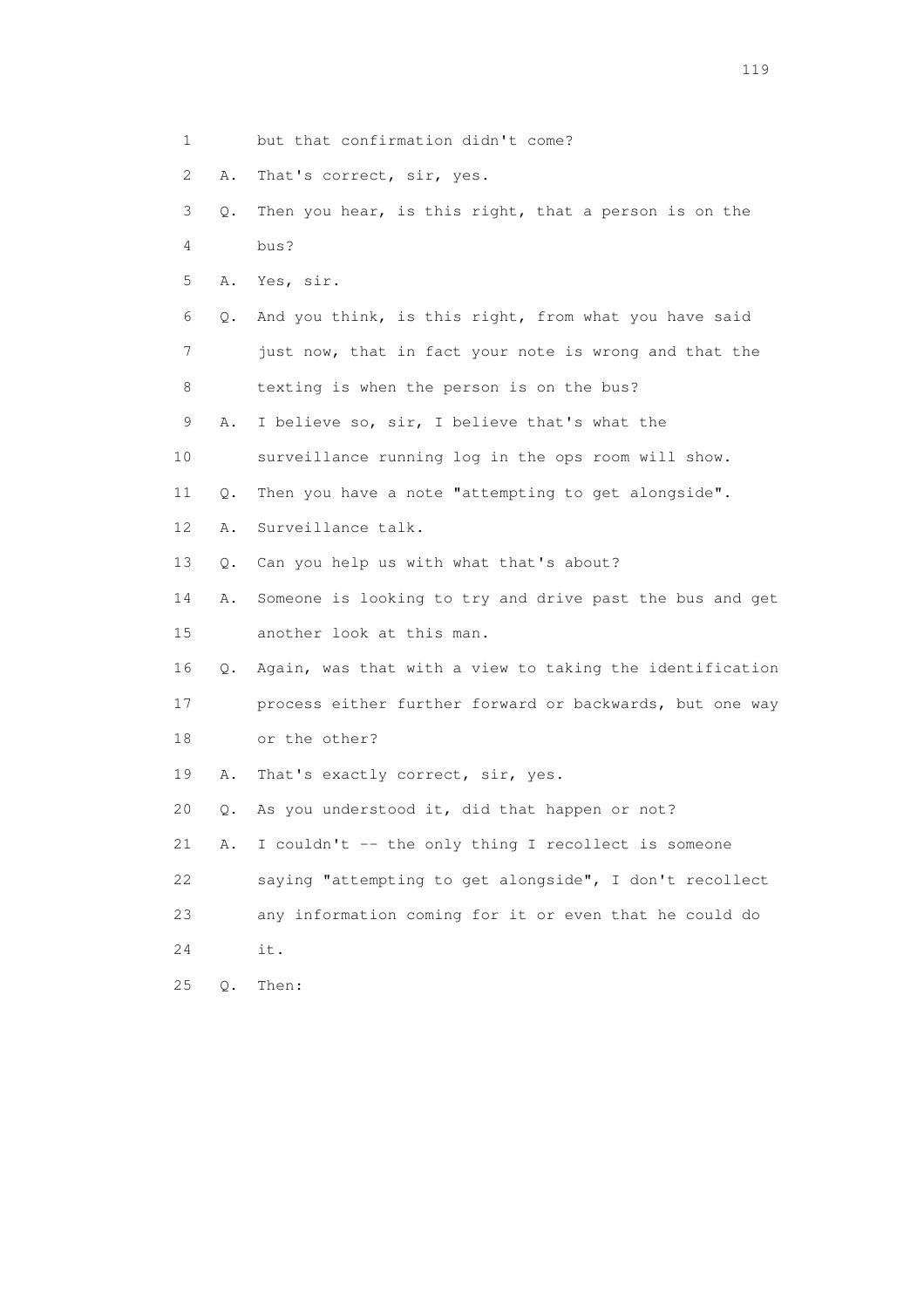- 1 but that confirmation didn't come?
- 2 A. That's correct, sir, yes.
- 3 Q. Then you hear, is this right, that a person is on the 4 bus?
- 5 A. Yes, sir.
- 6 Q. And you think, is this right, from what you have said 7 just now, that in fact your note is wrong and that the 8 texting is when the person is on the bus?
- 9 A. I believe so, sir, I believe that's what the
- 10 surveillance running log in the ops room will show.
- 11 Q. Then you have a note "attempting to get alongside".
- 12 A. Surveillance talk.
- 13 Q. Can you help us with what that's about?
- 14 A. Someone is looking to try and drive past the bus and get 15 another look at this man.
- 16 Q. Again, was that with a view to taking the identification
- 17 process either further forward or backwards, but one way 18 or the other?
- 19 A. That's exactly correct, sir, yes.
- 20 Q. As you understood it, did that happen or not?
- 21 A. I couldn't -- the only thing I recollect is someone
- 22 saying "attempting to get alongside", I don't recollect 23 any information coming for it or even that he could do
- 24 it.
- 25 Q. Then: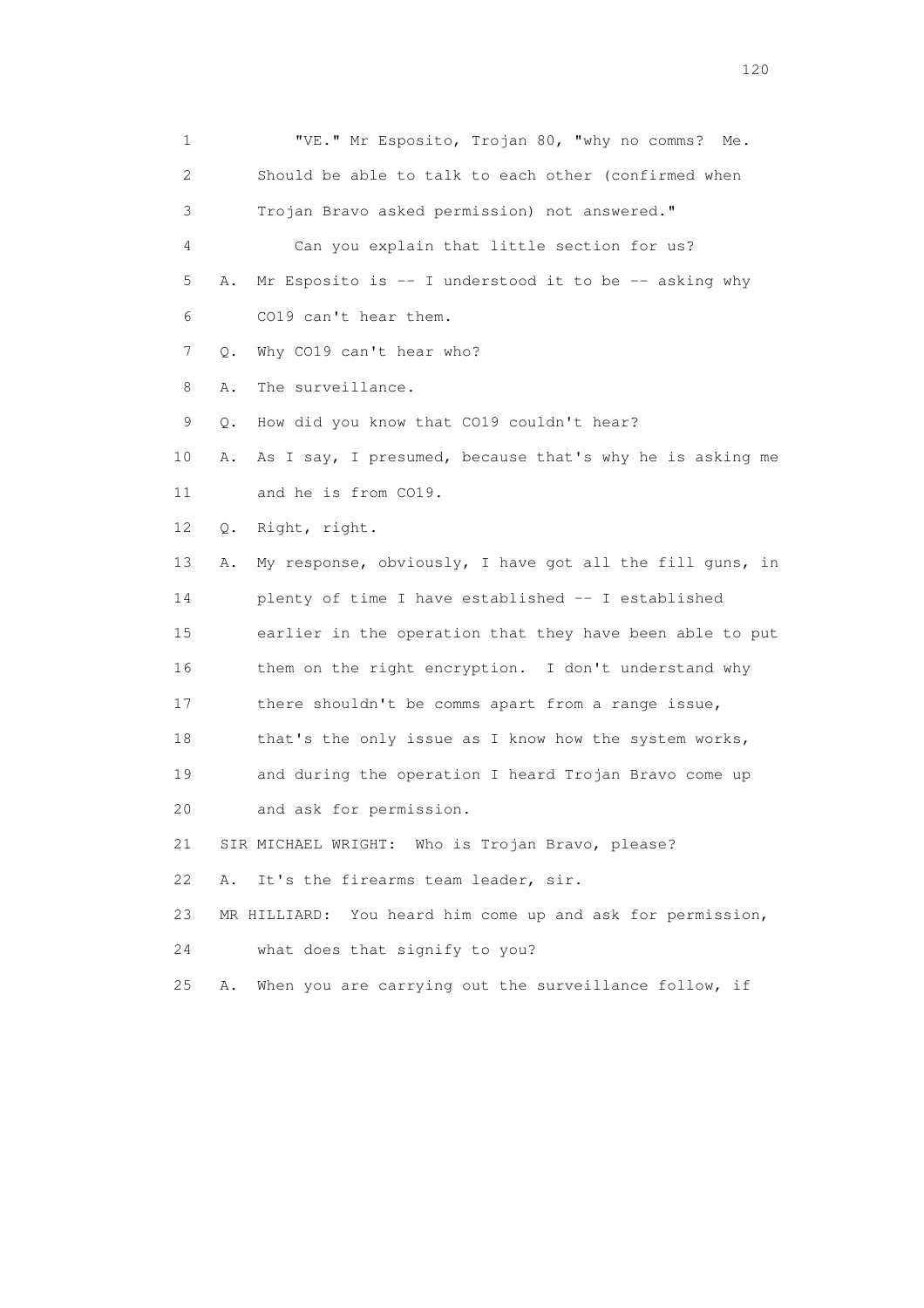1 "VE." Mr Esposito, Trojan 80, "why no comms? Me. 2 Should be able to talk to each other (confirmed when 3 Trojan Bravo asked permission) not answered." 4 Can you explain that little section for us? 5 A. Mr Esposito is -- I understood it to be -- asking why 6 CO19 can't hear them. 7 Q. Why CO19 can't hear who? 8 A. The surveillance. 9 Q. How did you know that CO19 couldn't hear? 10 A. As I say, I presumed, because that's why he is asking me 11 and he is from CO19. 12 Q. Right, right. 13 A. My response, obviously, I have got all the fill guns, in 14 plenty of time I have established -- I established 15 earlier in the operation that they have been able to put 16 them on the right encryption. I don't understand why 17 there shouldn't be comms apart from a range issue, 18 that's the only issue as I know how the system works, 19 and during the operation I heard Trojan Bravo come up 20 and ask for permission. 21 SIR MICHAEL WRIGHT: Who is Trojan Bravo, please? 22 A. It's the firearms team leader, sir. 23 MR HILLIARD: You heard him come up and ask for permission, 24 what does that signify to you? 25 A. When you are carrying out the surveillance follow, if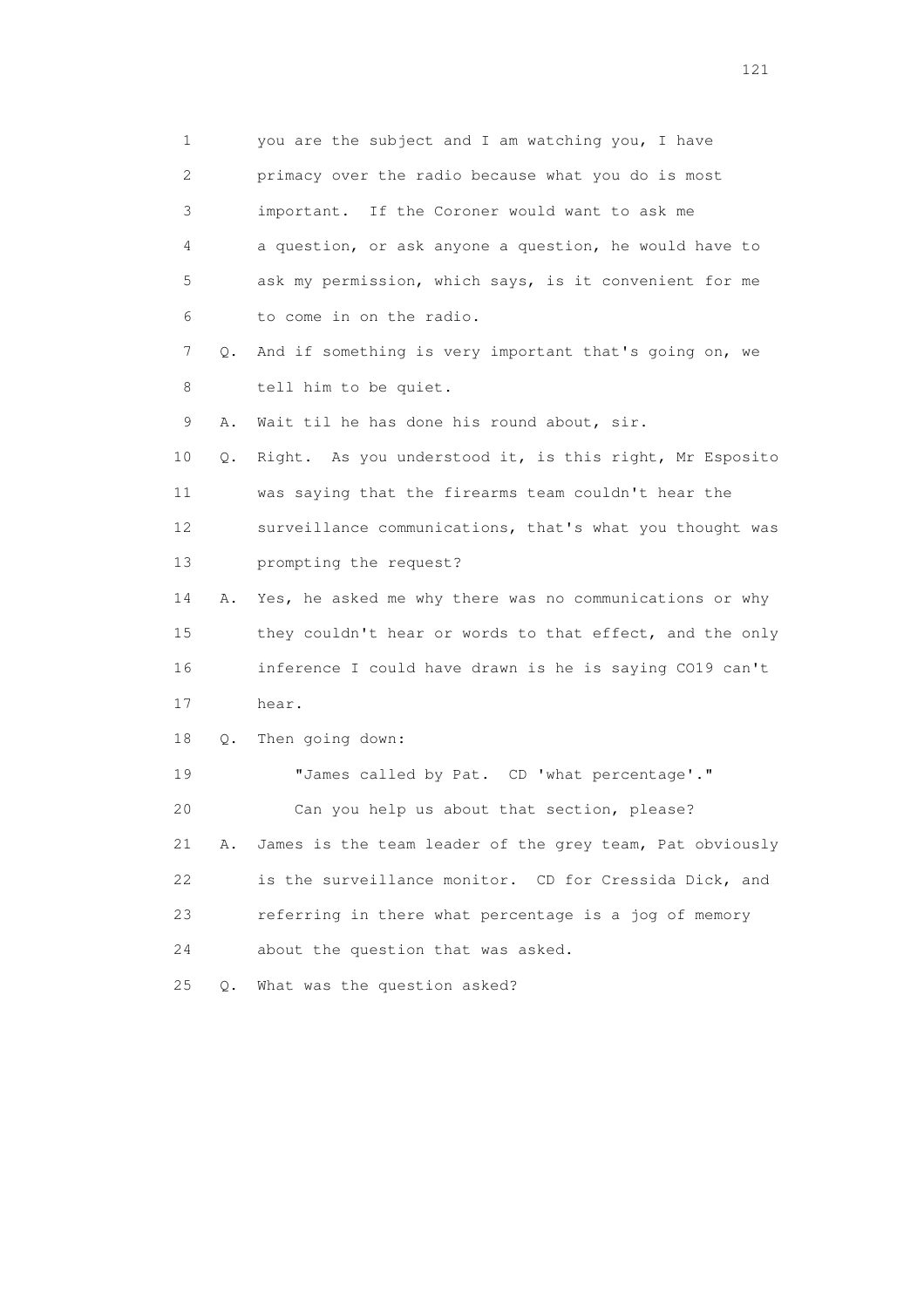1 you are the subject and I am watching you, I have 2 primacy over the radio because what you do is most 3 important. If the Coroner would want to ask me 4 a question, or ask anyone a question, he would have to 5 ask my permission, which says, is it convenient for me 6 to come in on the radio. 7 Q. And if something is very important that's going on, we 8 tell him to be quiet. 9 A. Wait til he has done his round about, sir. 10 Q. Right. As you understood it, is this right, Mr Esposito 11 was saying that the firearms team couldn't hear the 12 surveillance communications, that's what you thought was 13 prompting the request? 14 A. Yes, he asked me why there was no communications or why 15 they couldn't hear or words to that effect, and the only 16 inference I could have drawn is he is saying CO19 can't 17 hear. 18 Q. Then going down: 19 "James called by Pat. CD 'what percentage'." 20 Can you help us about that section, please? 21 A. James is the team leader of the grey team, Pat obviously 22 is the surveillance monitor. CD for Cressida Dick, and 23 referring in there what percentage is a jog of memory 24 about the question that was asked. 25 Q. What was the question asked?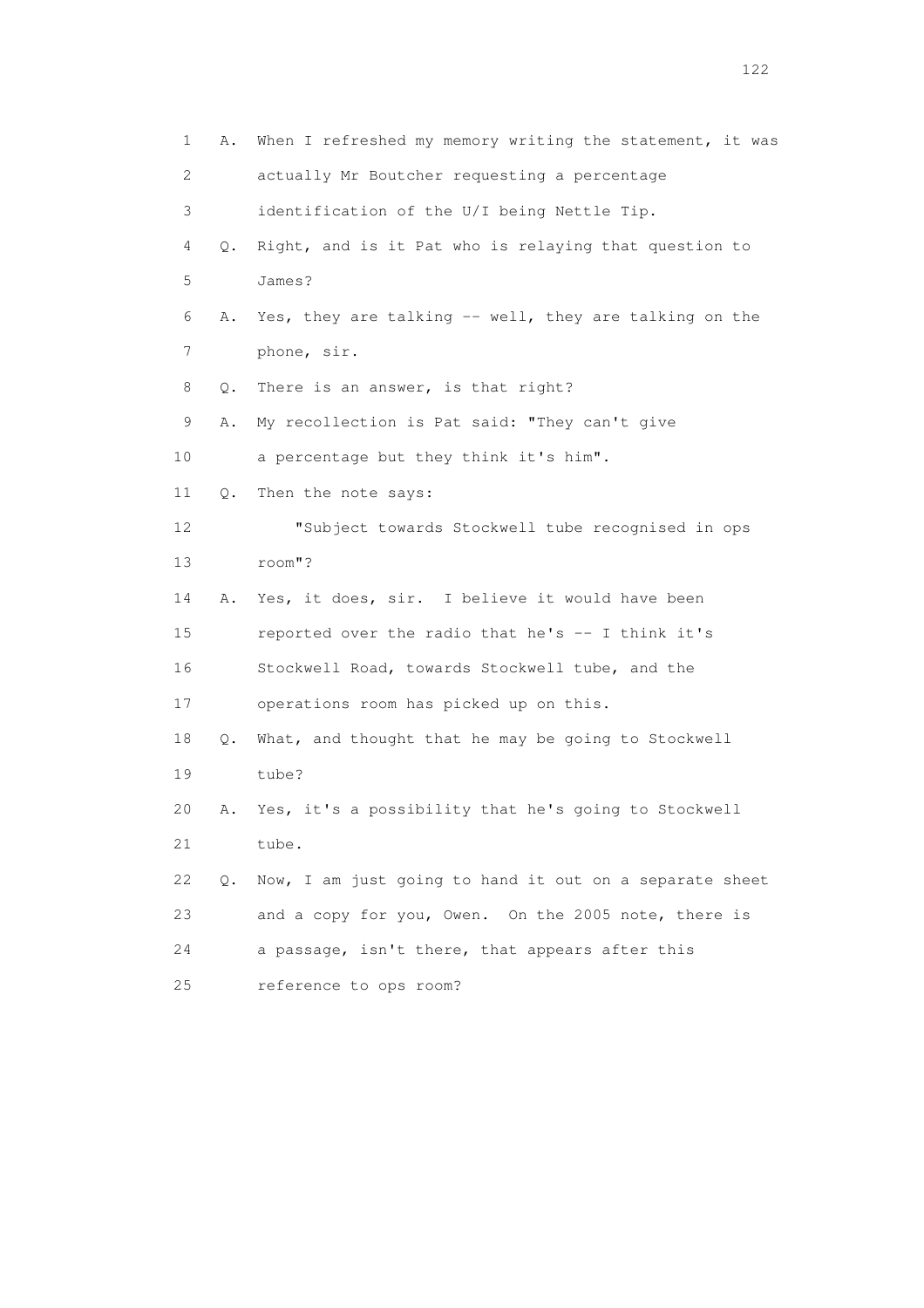| 1              | Α.        | When I refreshed my memory writing the statement, it was |
|----------------|-----------|----------------------------------------------------------|
| $\overline{c}$ |           | actually Mr Boutcher requesting a percentage             |
| 3              |           | identification of the U/I being Nettle Tip.              |
| 4              | Q.        | Right, and is it Pat who is relaying that question to    |
| 5              |           | James?                                                   |
| 6              | Α.        | Yes, they are talking -- well, they are talking on the   |
| 7              |           | phone, sir.                                              |
| 8              | Q.        | There is an answer, is that right?                       |
| 9              | Α.        | My recollection is Pat said: "They can't give            |
| 10             |           | a percentage but they think it's him".                   |
| 11             | Q.        | Then the note says:                                      |
| 12             |           | "Subject towards Stockwell tube recognised in ops        |
| 13             |           | room"?                                                   |
| 14             | Α.        | Yes, it does, sir. I believe it would have been          |
| 15             |           | reported over the radio that he's -- I think it's        |
| 16             |           | Stockwell Road, towards Stockwell tube, and the          |
| 17             |           | operations room has picked up on this.                   |
| 18             | Q.        | What, and thought that he may be going to Stockwell      |
| 19             |           | tube?                                                    |
| 20             | Α.        | Yes, it's a possibility that he's going to Stockwell     |
| 21             |           | tube.                                                    |
| 22             | $\circ$ . | Now, I am just going to hand it out on a separate sheet  |
| 23             |           | and a copy for you, Owen. On the 2005 note, there is     |
| 24             |           | a passage, isn't there, that appears after this          |
| 25             |           | reference to ops room?                                   |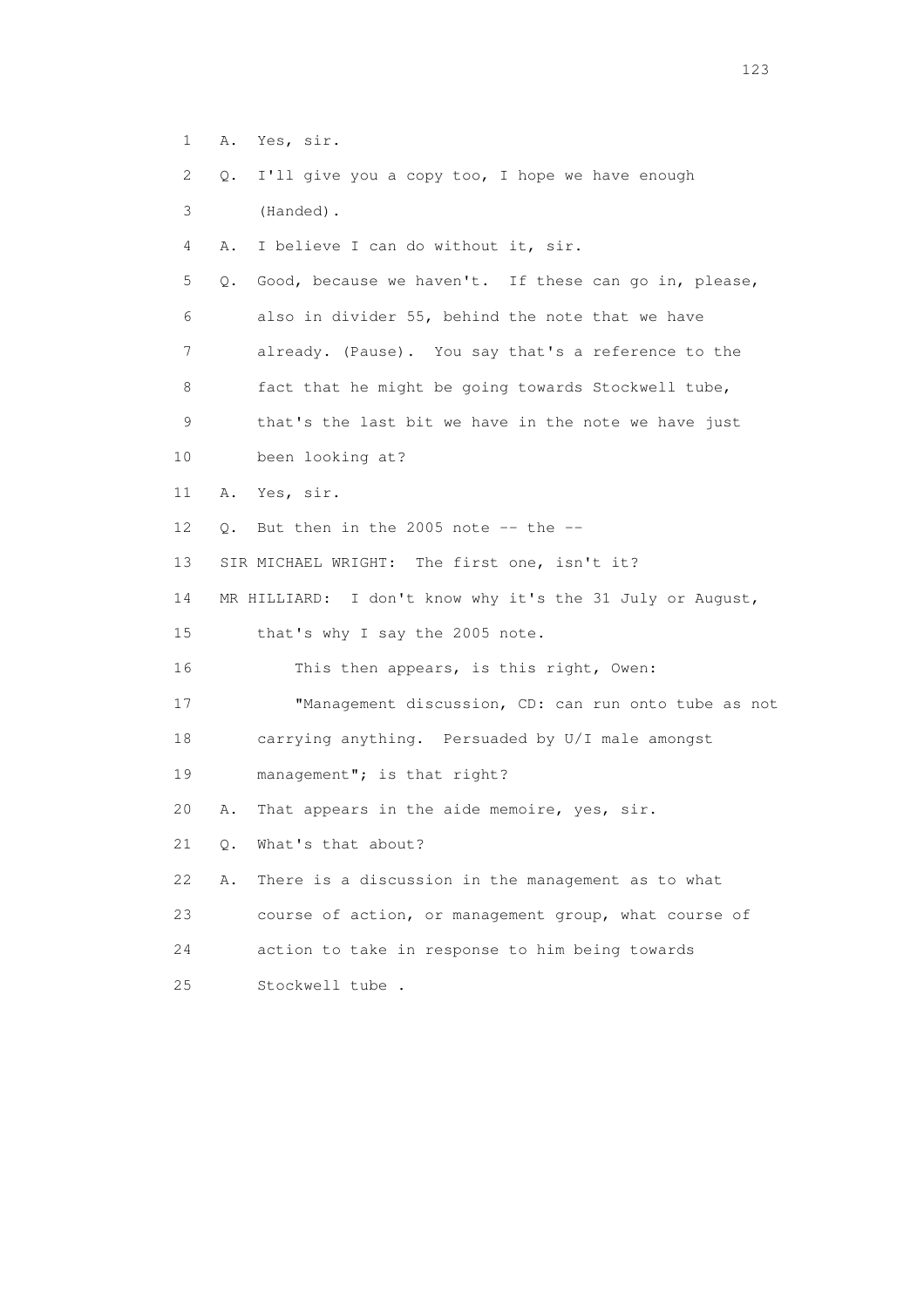1 A. Yes, sir. 2 Q. I'll give you a copy too, I hope we have enough 3 (Handed). 4 A. I believe I can do without it, sir. 5 Q. Good, because we haven't. If these can go in, please, 6 also in divider 55, behind the note that we have 7 already. (Pause). You say that's a reference to the 8 fact that he might be going towards Stockwell tube, 9 that's the last bit we have in the note we have just 10 been looking at? 11 A. Yes, sir. 12  $Q$ . But then in the 2005 note  $-$ - the  $-$  13 SIR MICHAEL WRIGHT: The first one, isn't it? 14 MR HILLIARD: I don't know why it's the 31 July or August, 15 that's why I say the 2005 note. 16 This then appears, is this right, Owen: 17 "Management discussion, CD: can run onto tube as not 18 carrying anything. Persuaded by U/I male amongst 19 management"; is that right? 20 A. That appears in the aide memoire, yes, sir. 21 Q. What's that about? 22 A. There is a discussion in the management as to what 23 course of action, or management group, what course of 24 action to take in response to him being towards 25 Stockwell tube .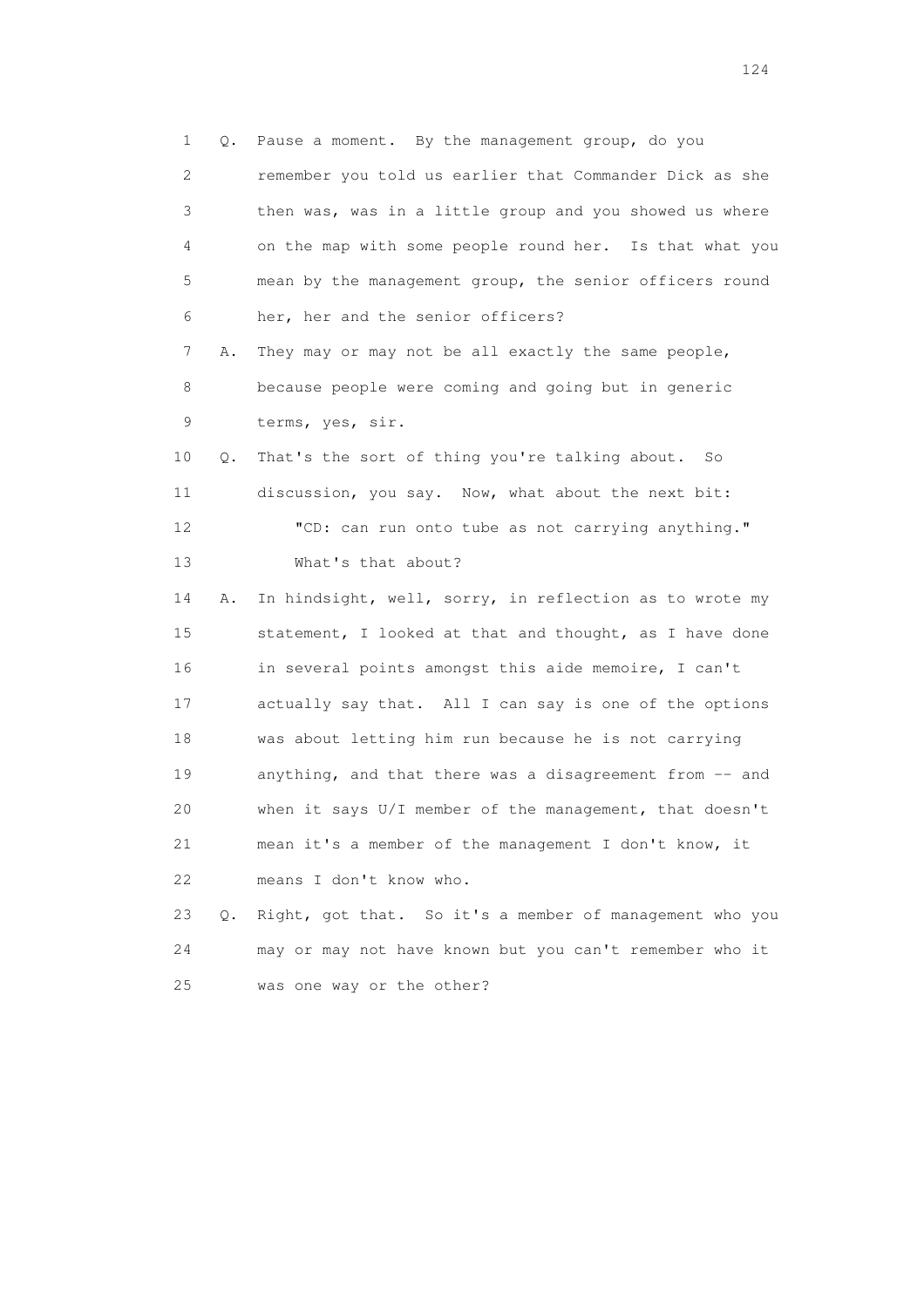1 Q. Pause a moment. By the management group, do you 2 remember you told us earlier that Commander Dick as she 3 then was, was in a little group and you showed us where 4 on the map with some people round her. Is that what you 5 mean by the management group, the senior officers round 6 her, her and the senior officers? 7 A. They may or may not be all exactly the same people, 8 because people were coming and going but in generic 9 terms, yes, sir. 10 Q. That's the sort of thing you're talking about. So 11 discussion, you say. Now, what about the next bit: 12 "CD: can run onto tube as not carrying anything." 13 What's that about? 14 A. In hindsight, well, sorry, in reflection as to wrote my 15 statement, I looked at that and thought, as I have done 16 in several points amongst this aide memoire, I can't 17 actually say that. All I can say is one of the options 18 was about letting him run because he is not carrying 19 anything, and that there was a disagreement from -- and 20 when it says U/I member of the management, that doesn't 21 mean it's a member of the management I don't know, it 22 means I don't know who. 23 Q. Right, got that. So it's a member of management who you 24 may or may not have known but you can't remember who it

25 was one way or the other?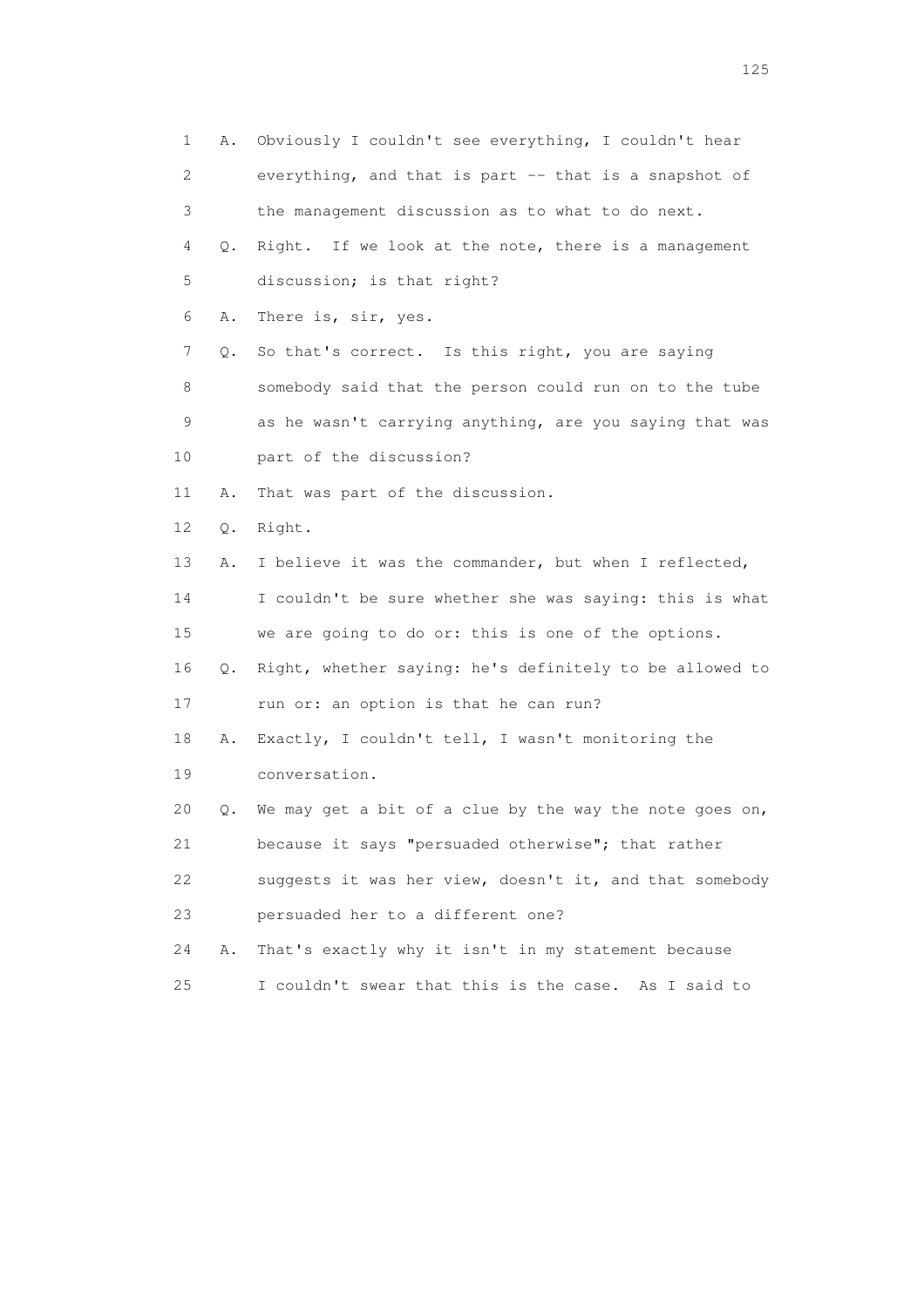1 A. Obviously I couldn't see everything, I couldn't hear 2 everything, and that is part -- that is a snapshot of 3 the management discussion as to what to do next. 4 Q. Right. If we look at the note, there is a management 5 discussion; is that right? 6 A. There is, sir, yes. 7 Q. So that's correct. Is this right, you are saying 8 somebody said that the person could run on to the tube 9 as he wasn't carrying anything, are you saying that was 10 part of the discussion? 11 A. That was part of the discussion. 12 Q. Right. 13 A. I believe it was the commander, but when I reflected, 14 I couldn't be sure whether she was saying: this is what 15 we are going to do or: this is one of the options. 16 Q. Right, whether saying: he's definitely to be allowed to 17 run or: an option is that he can run? 18 A. Exactly, I couldn't tell, I wasn't monitoring the 19 conversation. 20 Q. We may get a bit of a clue by the way the note goes on, 21 because it says "persuaded otherwise"; that rather 22 suggests it was her view, doesn't it, and that somebody 23 persuaded her to a different one? 24 A. That's exactly why it isn't in my statement because 25 I couldn't swear that this is the case. As I said to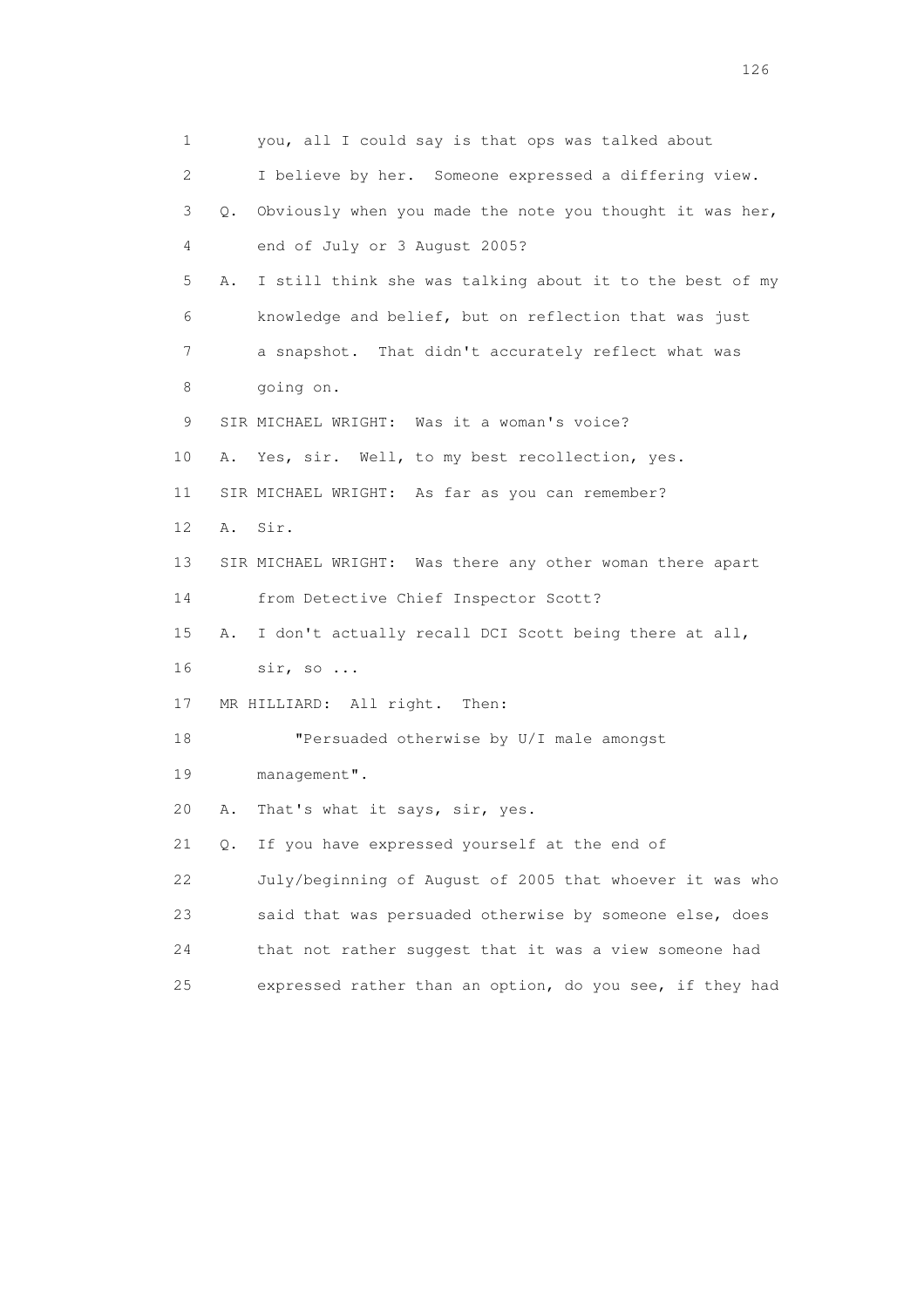1 you, all I could say is that ops was talked about 2 I believe by her. Someone expressed a differing view. 3 Q. Obviously when you made the note you thought it was her, 4 end of July or 3 August 2005? 5 A. I still think she was talking about it to the best of my 6 knowledge and belief, but on reflection that was just 7 a snapshot. That didn't accurately reflect what was 8 going on. 9 SIR MICHAEL WRIGHT: Was it a woman's voice? 10 A. Yes, sir. Well, to my best recollection, yes. 11 SIR MICHAEL WRIGHT: As far as you can remember? 12 A. Sir. 13 SIR MICHAEL WRIGHT: Was there any other woman there apart 14 from Detective Chief Inspector Scott? 15 A. I don't actually recall DCI Scott being there at all, 16 sir, so ... 17 MR HILLIARD: All right. Then: 18 "Persuaded otherwise by U/I male amongst 19 management". 20 A. That's what it says, sir, yes. 21 Q. If you have expressed yourself at the end of 22 July/beginning of August of 2005 that whoever it was who 23 said that was persuaded otherwise by someone else, does 24 that not rather suggest that it was a view someone had 25 expressed rather than an option, do you see, if they had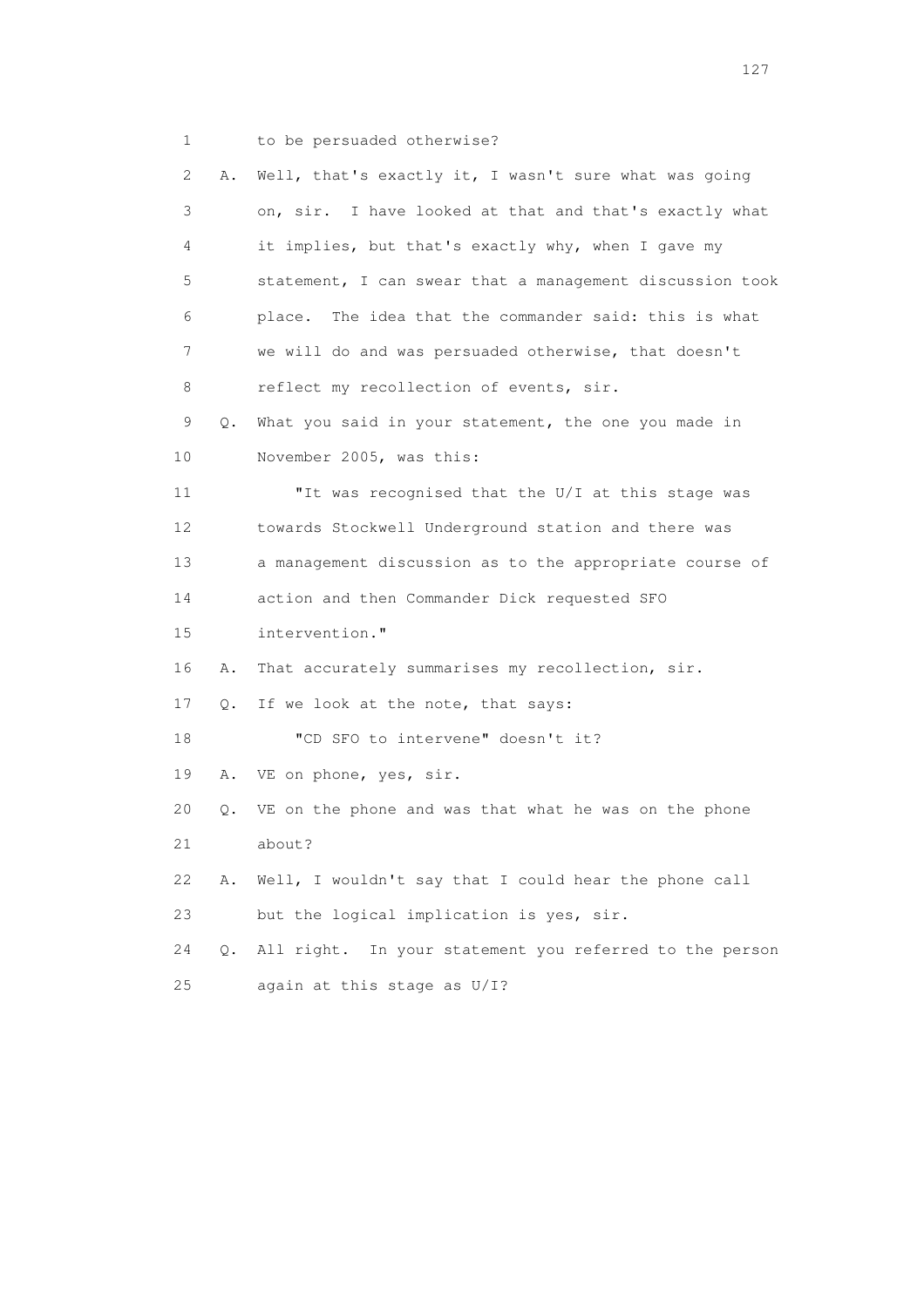1 to be persuaded otherwise?

| 2               | Α. | Well, that's exactly it, I wasn't sure what was going    |
|-----------------|----|----------------------------------------------------------|
| 3               |    | on, sir. I have looked at that and that's exactly what   |
| 4               |    | it implies, but that's exactly why, when I gave my       |
| 5               |    | statement, I can swear that a management discussion took |
| 6               |    | place. The idea that the commander said: this is what    |
| 7               |    | we will do and was persuaded otherwise, that doesn't     |
| 8               |    | reflect my recollection of events, sir.                  |
| 9               | Q. | What you said in your statement, the one you made in     |
| 10              |    | November 2005, was this:                                 |
| 11              |    | "It was recognised that the U/I at this stage was        |
| 12 <sup>°</sup> |    | towards Stockwell Underground station and there was      |
| 13              |    | a management discussion as to the appropriate course of  |
| 14              |    | action and then Commander Dick requested SFO             |
| 15              |    | intervention."                                           |
| 16              | Α. | That accurately summarises my recollection, sir.         |
| 17              | Q. | If we look at the note, that says:                       |
| 18              |    | "CD SFO to intervene" doesn't it?                        |
| 19              |    | A. VE on phone, yes, sir.                                |
| 20              | Q. | VE on the phone and was that what he was on the phone    |
| 21              |    | about?                                                   |
| 22              | Α. | Well, I wouldn't say that I could hear the phone call    |
| 23              |    | but the logical implication is yes, sir.                 |
| 24              | Q. | All right. In your statement you referred to the person  |
| 25              |    | again at this stage as U/I?                              |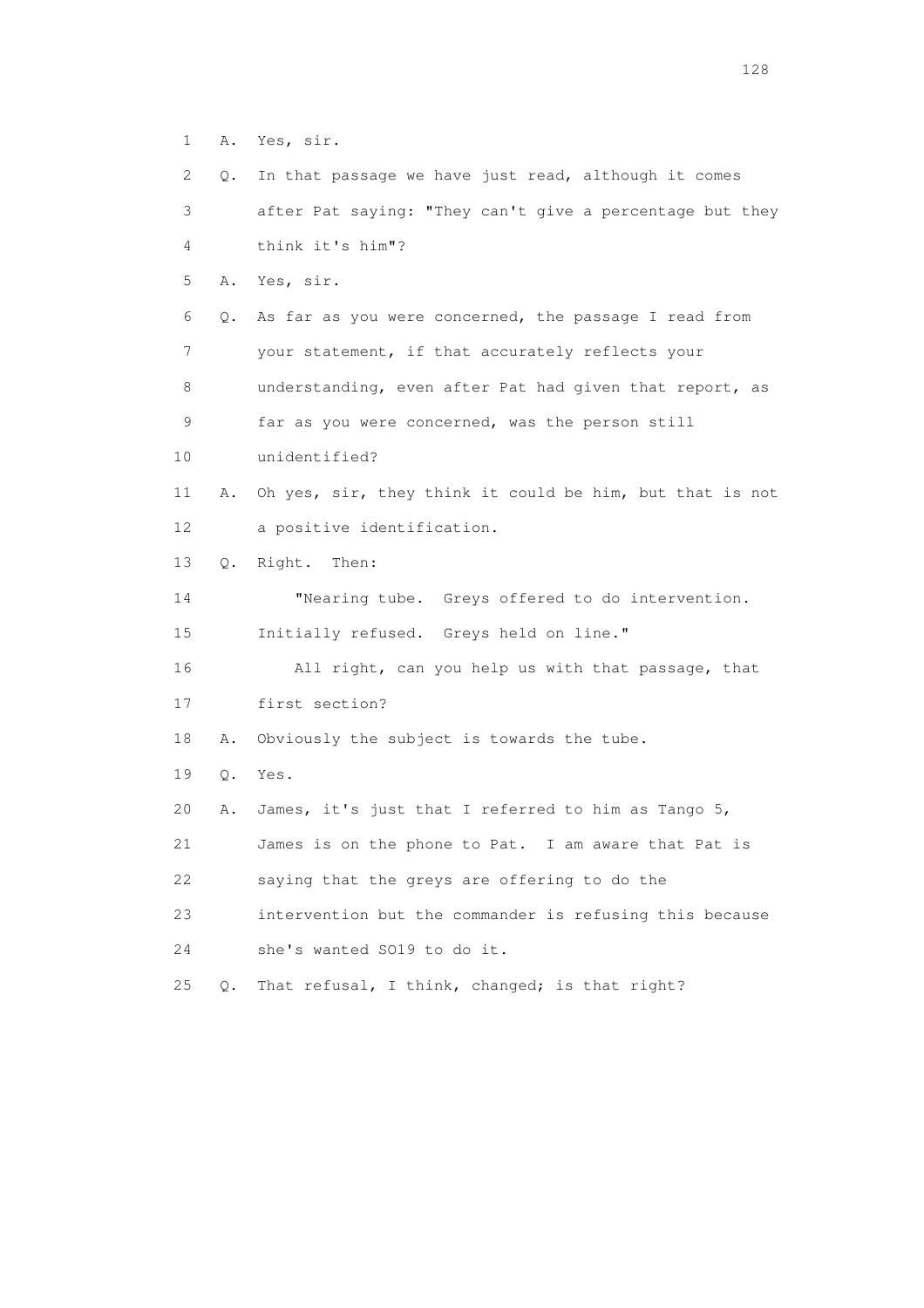1 A. Yes, sir.

 2 Q. In that passage we have just read, although it comes 3 after Pat saying: "They can't give a percentage but they 4 think it's him"? 5 A. Yes, sir. 6 Q. As far as you were concerned, the passage I read from 7 your statement, if that accurately reflects your 8 understanding, even after Pat had given that report, as 9 far as you were concerned, was the person still 10 unidentified? 11 A. Oh yes, sir, they think it could be him, but that is not 12 a positive identification. 13 Q. Right. Then: 14 "Nearing tube. Greys offered to do intervention. 15 Initially refused. Greys held on line." 16 All right, can you help us with that passage, that 17 first section? 18 A. Obviously the subject is towards the tube. 19 Q. Yes. 20 A. James, it's just that I referred to him as Tango 5, 21 James is on the phone to Pat. I am aware that Pat is 22 saying that the greys are offering to do the 23 intervention but the commander is refusing this because 24 she's wanted SO19 to do it. 25 Q. That refusal, I think, changed; is that right?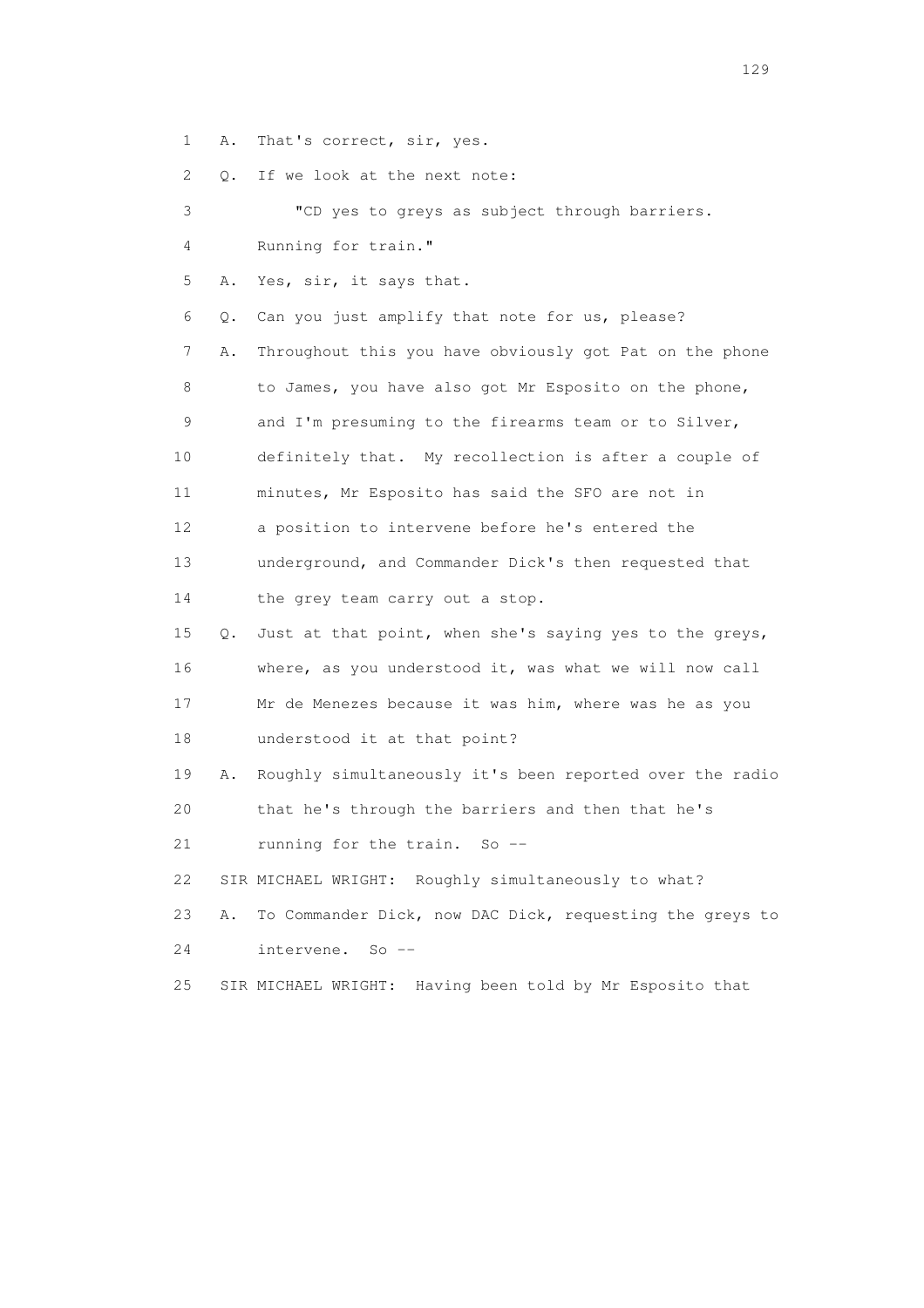1 A. That's correct, sir, yes.

2 Q. If we look at the next note:

| 3               |    | "CD yes to greys as subject through barriers.            |
|-----------------|----|----------------------------------------------------------|
| 4               |    | Running for train."                                      |
| 5               | Α. | Yes, sir, it says that.                                  |
| 6               | О. | Can you just amplify that note for us, please?           |
| 7               | Α. | Throughout this you have obviously got Pat on the phone  |
| 8               |    | to James, you have also got Mr Esposito on the phone,    |
| 9               |    | and I'm presuming to the firearms team or to Silver,     |
| 10              |    | definitely that. My recollection is after a couple of    |
| 11              |    | minutes, Mr Esposito has said the SFO are not in         |
| 12 <sup>°</sup> |    | a position to intervene before he's entered the          |
| 13              |    | underground, and Commander Dick's then requested that    |
| 14              |    | the grey team carry out a stop.                          |
| 15              | Q. | Just at that point, when she's saying yes to the greys,  |
| 16              |    | where, as you understood it, was what we will now call   |
| 17              |    | Mr de Menezes because it was him, where was he as you    |
| 18              |    | understood it at that point?                             |
| 19              | Α. | Roughly simultaneously it's been reported over the radio |
| 20              |    | that he's through the barriers and then that he's        |
| 21              |    | running for the train. So --                             |
| 22              |    | SIR MICHAEL WRIGHT: Roughly simultaneously to what?      |
| 23              | Α. | To Commander Dick, now DAC Dick, requesting the greys to |
| 24              |    | intervene.<br>$So$ $--$                                  |
| 25              |    | SIR MICHAEL WRIGHT: Having been told by Mr Esposito that |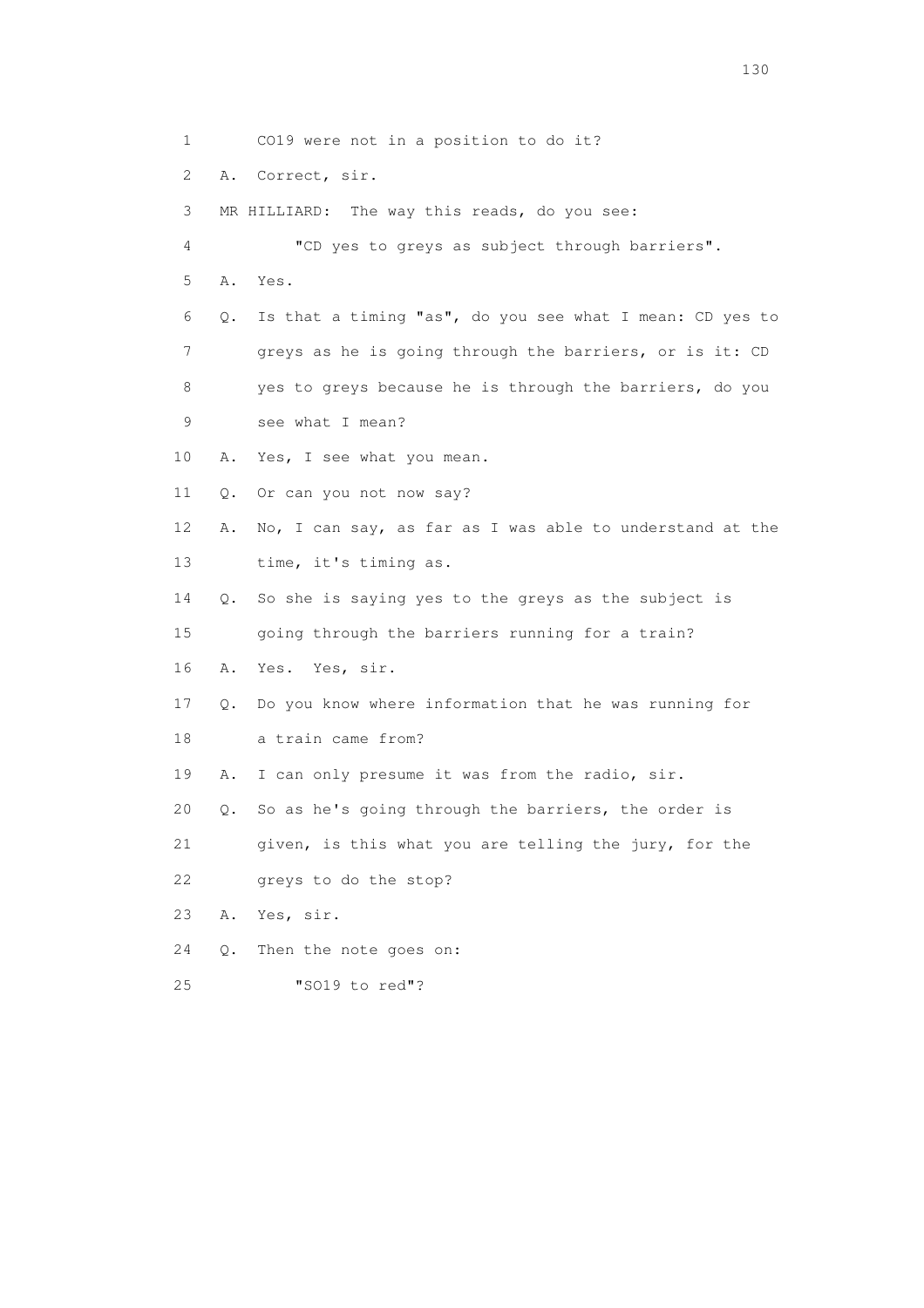1 CO19 were not in a position to do it? 2 A. Correct, sir. 3 MR HILLIARD: The way this reads, do you see: 4 "CD yes to greys as subject through barriers". 5 A. Yes. 6 Q. Is that a timing "as", do you see what I mean: CD yes to 7 greys as he is going through the barriers, or is it: CD 8 yes to greys because he is through the barriers, do you 9 see what I mean? 10 A. Yes, I see what you mean. 11 Q. Or can you not now say? 12 A. No, I can say, as far as I was able to understand at the 13 time, it's timing as. 14 Q. So she is saying yes to the greys as the subject is 15 going through the barriers running for a train? 16 A. Yes. Yes, sir. 17 Q. Do you know where information that he was running for 18 a train came from? 19 A. I can only presume it was from the radio, sir. 20 Q. So as he's going through the barriers, the order is 21 given, is this what you are telling the jury, for the 22 greys to do the stop? 23 A. Yes, sir. 24 Q. Then the note goes on: 25 "SO19 to red"?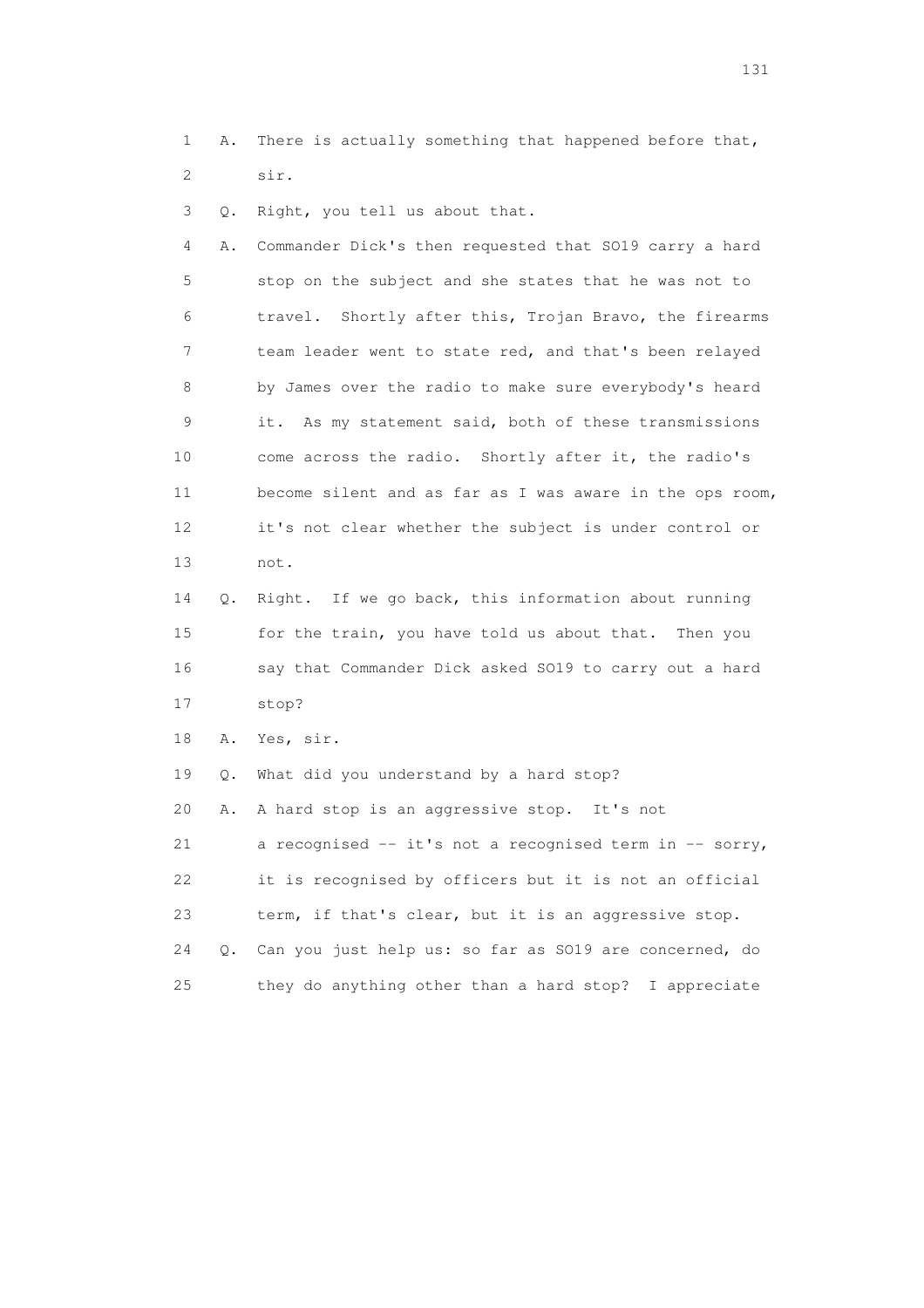1 A. There is actually something that happened before that, 2 sir.

3 Q. Right, you tell us about that.

 4 A. Commander Dick's then requested that SO19 carry a hard 5 stop on the subject and she states that he was not to 6 travel. Shortly after this, Trojan Bravo, the firearms 7 team leader went to state red, and that's been relayed 8 by James over the radio to make sure everybody's heard 9 it. As my statement said, both of these transmissions 10 come across the radio. Shortly after it, the radio's 11 become silent and as far as I was aware in the ops room, 12 it's not clear whether the subject is under control or 13 not.

 14 Q. Right. If we go back, this information about running 15 for the train, you have told us about that. Then you 16 say that Commander Dick asked SO19 to carry out a hard 17 stop?

18 A. Yes, sir.

 19 Q. What did you understand by a hard stop? 20 A. A hard stop is an aggressive stop. It's not 21 a recognised -- it's not a recognised term in -- sorry, 22 it is recognised by officers but it is not an official 23 term, if that's clear, but it is an aggressive stop. 24 Q. Can you just help us: so far as SO19 are concerned, do 25 they do anything other than a hard stop? I appreciate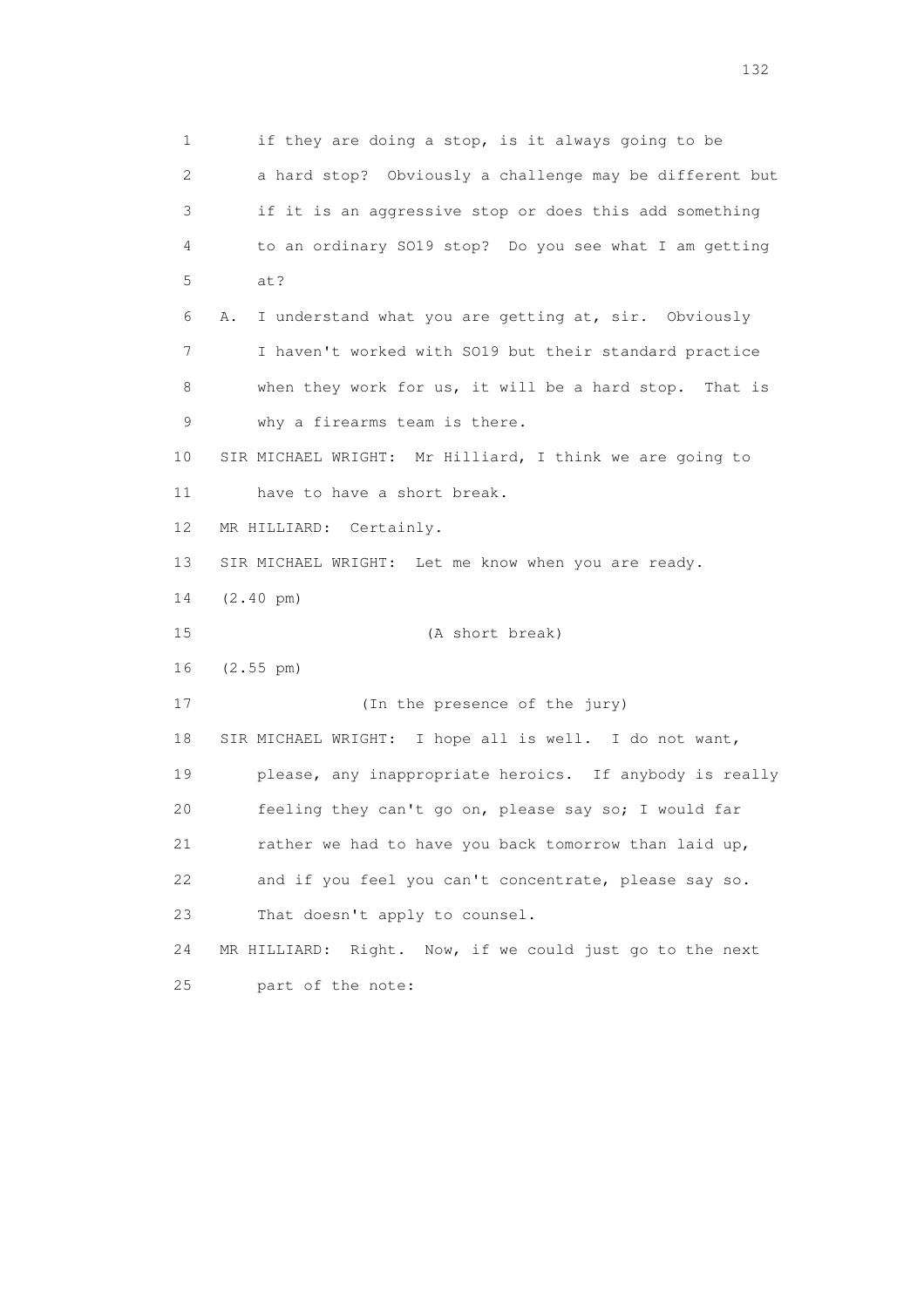1 if they are doing a stop, is it always going to be 2 a hard stop? Obviously a challenge may be different but 3 if it is an aggressive stop or does this add something 4 to an ordinary SO19 stop? Do you see what I am getting 5 at? 6 A. I understand what you are getting at, sir. Obviously 7 I haven't worked with SO19 but their standard practice 8 when they work for us, it will be a hard stop. That is 9 why a firearms team is there. 10 SIR MICHAEL WRIGHT: Mr Hilliard, I think we are going to 11 have to have a short break. 12 MR HILLIARD: Certainly. 13 SIR MICHAEL WRIGHT: Let me know when you are ready. 14 (2.40 pm) 15 (A short break) 16 (2.55 pm) 17 (In the presence of the jury) 18 SIR MICHAEL WRIGHT: I hope all is well. I do not want, 19 please, any inappropriate heroics. If anybody is really 20 feeling they can't go on, please say so; I would far 21 rather we had to have you back tomorrow than laid up, 22 and if you feel you can't concentrate, please say so. 23 That doesn't apply to counsel. 24 MR HILLIARD: Right. Now, if we could just go to the next 25 part of the note: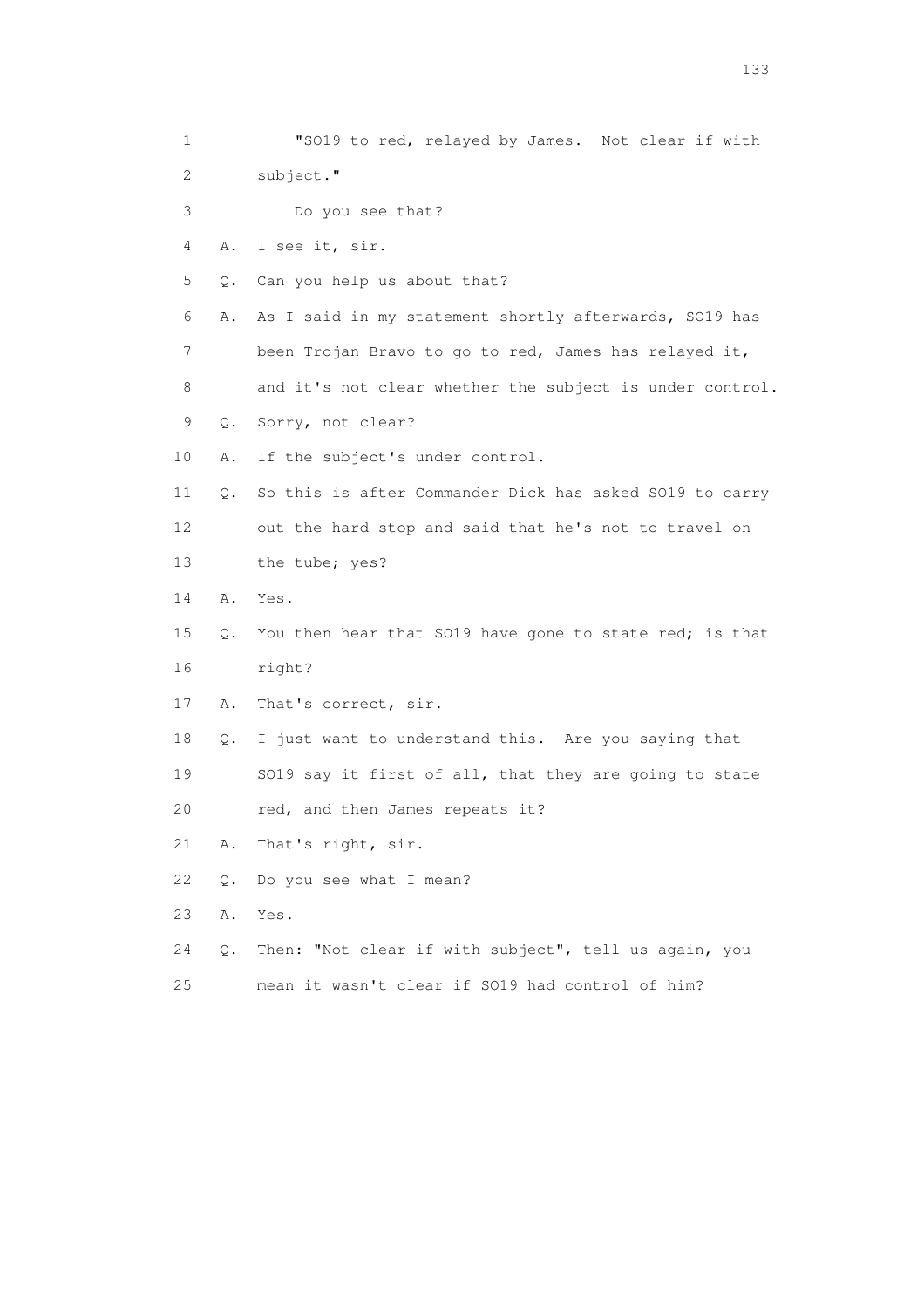| 1                         |       | "SO19 to red, relayed by James. Not clear if with        |
|---------------------------|-------|----------------------------------------------------------|
| $\mathbf{2}^{\mathsf{I}}$ |       | subject."                                                |
| 3                         |       | Do you see that?                                         |
| 4                         | Α.    | I see it, sir.                                           |
| 5                         |       | Can you help us about that?                              |
|                           | Q.    |                                                          |
| 6                         | Α.    | As I said in my statement shortly afterwards, SO19 has   |
| 7                         |       | been Trojan Bravo to go to red, James has relayed it,    |
| 8                         |       | and it's not clear whether the subject is under control. |
| 9                         | Q.    | Sorry, not clear?                                        |
| 10                        | Α.    | If the subject's under control.                          |
| 11                        | Q.    | So this is after Commander Dick has asked SO19 to carry  |
| 12                        |       | out the hard stop and said that he's not to travel on    |
| 13                        |       | the tube; yes?                                           |
| 14                        | Α.    | Yes.                                                     |
| 15                        | Q.    | You then hear that SO19 have gone to state red; is that  |
| 16                        |       | right?                                                   |
| 17                        | Α.    | That's correct, sir.                                     |
| 18                        | Q.    | I just want to understand this. Are you saying that      |
| 19                        |       | SO19 say it first of all, that they are going to state   |
| 20                        |       | red, and then James repeats it?                          |
| 21                        | Α.    | That's right, sir.                                       |
| 22                        | $Q$ . | Do you see what I mean?                                  |
| 23                        | Α.    | Yes.                                                     |
| 24                        | Q.    | Then: "Not clear if with subject", tell us again, you    |
| 25                        |       | mean it wasn't clear if SO19 had control of him?         |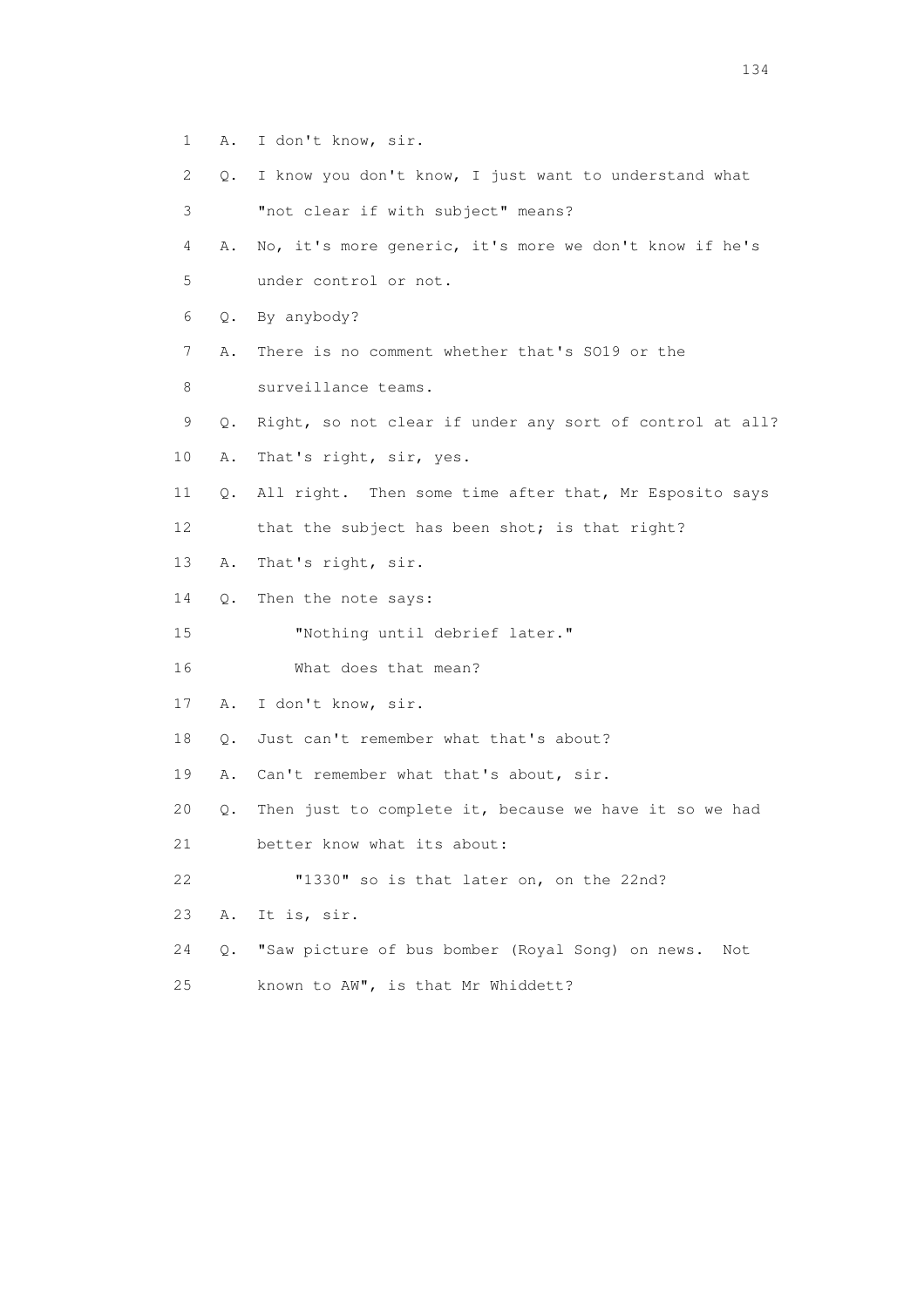- 1 A. I don't know, sir.
- 2 Q. I know you don't know, I just want to understand what
- 3 "not clear if with subject" means?
- 4 A. No, it's more generic, it's more we don't know if he's 5 under control or not.
- 6 Q. By anybody?
- 7 A. There is no comment whether that's SO19 or the
- 8 surveillance teams.
- 9 Q. Right, so not clear if under any sort of control at all?
- 10 A. That's right, sir, yes.
- 11 Q. All right. Then some time after that, Mr Esposito says
- 12 that the subject has been shot; is that right?
- 13 A. That's right, sir.
- 14 Q. Then the note says:
- 15 "Nothing until debrief later."
- 16 What does that mean?
- 17 A. I don't know, sir.
- 18 Q. Just can't remember what that's about?
- 19 A. Can't remember what that's about, sir.
- 20 Q. Then just to complete it, because we have it so we had
- 21 better know what its about:
- 22 "1330" so is that later on, on the 22nd?
- 23 A. It is, sir.
- 24 Q. "Saw picture of bus bomber (Royal Song) on news. Not
- 25 known to AW", is that Mr Whiddett?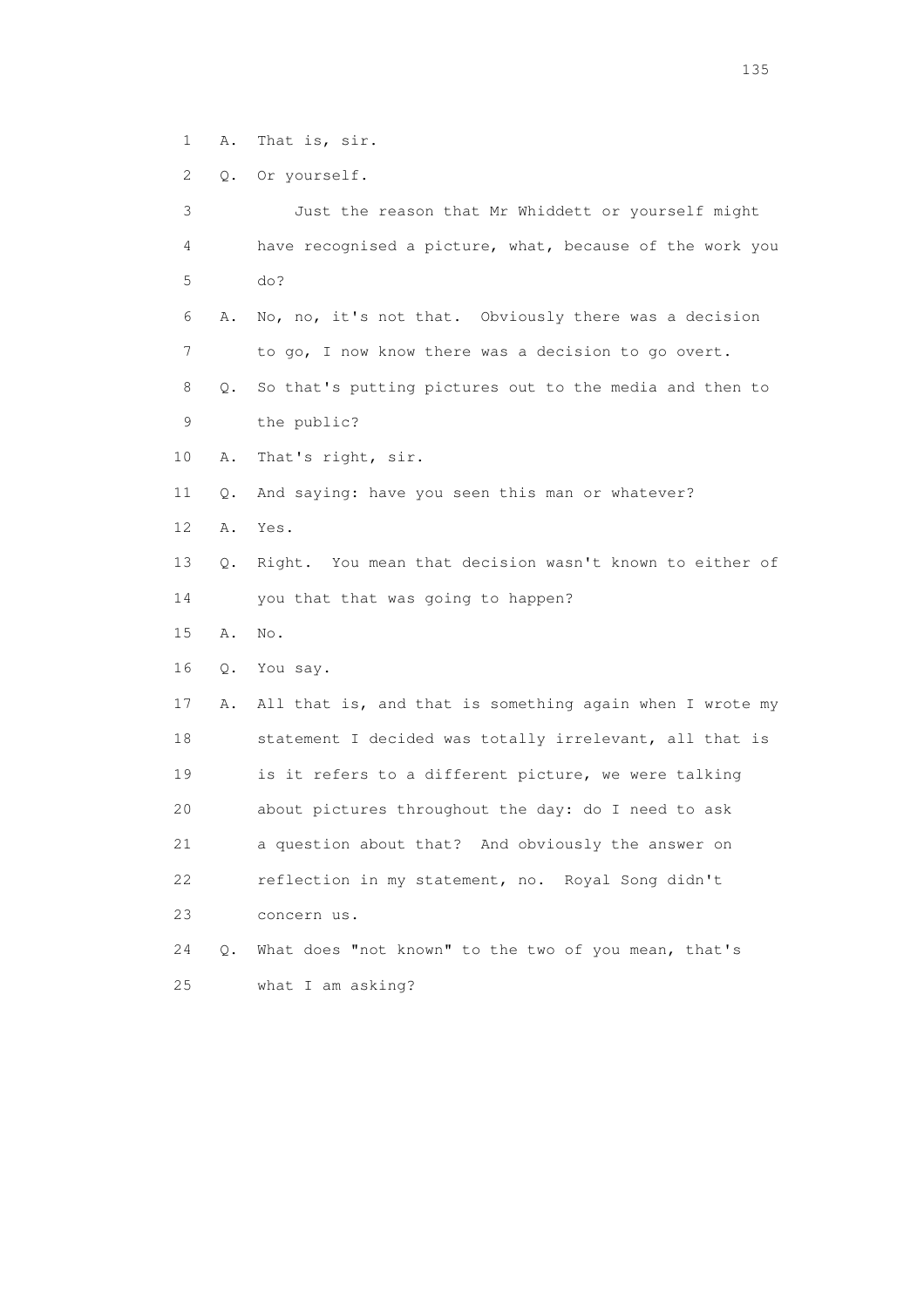1 A. That is, sir.

2 Q. Or yourself.

 3 Just the reason that Mr Whiddett or yourself might 4 have recognised a picture, what, because of the work you 5 do? 6 A. No, no, it's not that. Obviously there was a decision 7 to go, I now know there was a decision to go overt. 8 Q. So that's putting pictures out to the media and then to 9 the public? 10 A. That's right, sir. 11 Q. And saying: have you seen this man or whatever? 12 A. Yes. 13 Q. Right. You mean that decision wasn't known to either of 14 you that that was going to happen? 15 A. No. 16 Q. You say. 17 A. All that is, and that is something again when I wrote my 18 statement I decided was totally irrelevant, all that is 19 is it refers to a different picture, we were talking 20 about pictures throughout the day: do I need to ask 21 a question about that? And obviously the answer on 22 reflection in my statement, no. Royal Song didn't 23 concern us. 24 Q. What does "not known" to the two of you mean, that's 25 what I am asking?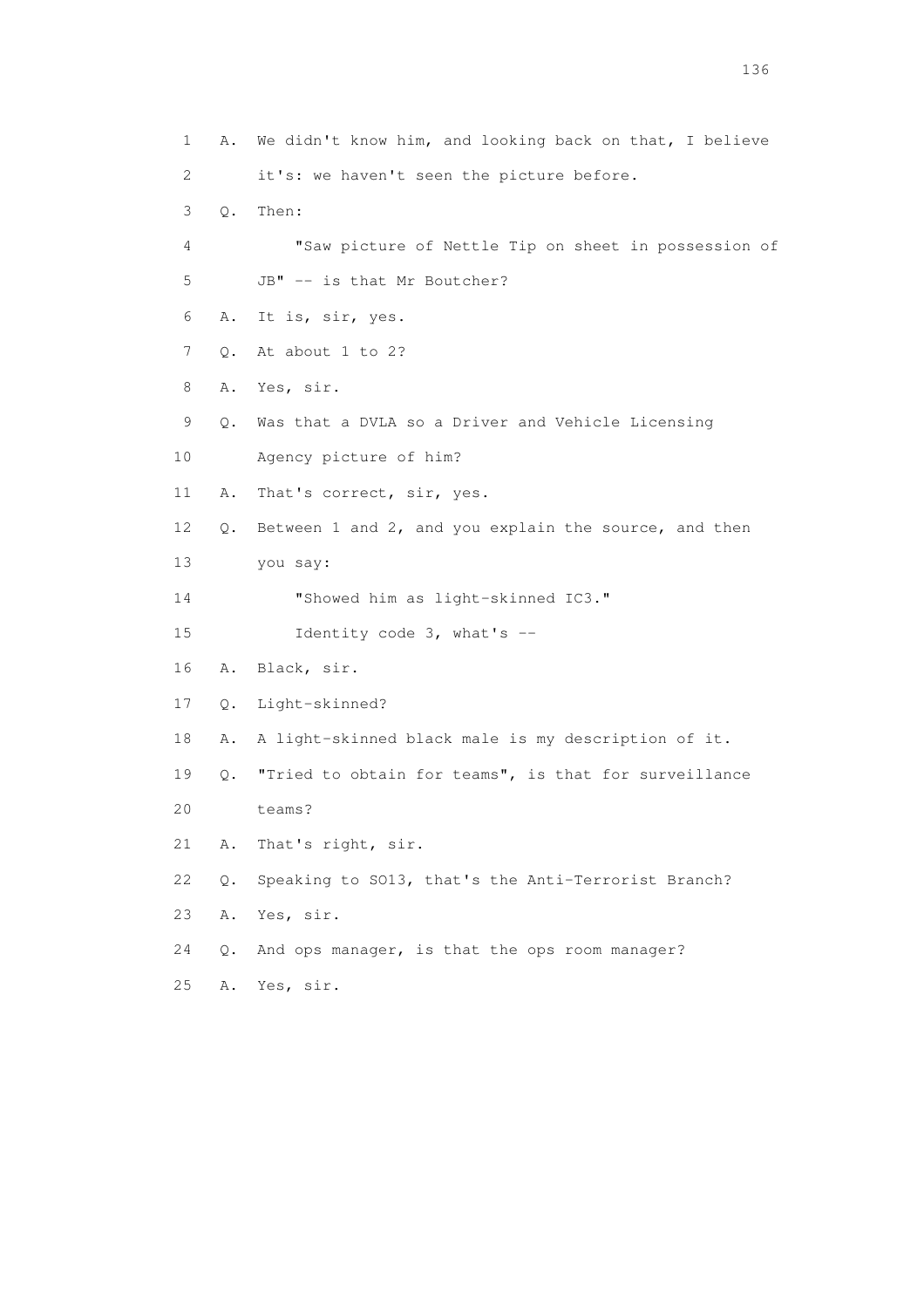1 A. We didn't know him, and looking back on that, I believe 2 it's: we haven't seen the picture before. 3 Q. Then: 4 "Saw picture of Nettle Tip on sheet in possession of 5 JB" -- is that Mr Boutcher? 6 A. It is, sir, yes. 7 Q. At about 1 to 2? 8 A. Yes, sir. 9 Q. Was that a DVLA so a Driver and Vehicle Licensing 10 Agency picture of him? 11 A. That's correct, sir, yes. 12 Q. Between 1 and 2, and you explain the source, and then 13 you say: 14 "Showed him as light-skinned IC3." 15 Identity code 3, what's -- 16 A. Black, sir. 17 Q. Light-skinned? 18 A. A light-skinned black male is my description of it. 19 Q. "Tried to obtain for teams", is that for surveillance 20 teams? 21 A. That's right, sir. 22 Q. Speaking to SO13, that's the Anti-Terrorist Branch? 23 A. Yes, sir. 24 Q. And ops manager, is that the ops room manager? 25 A. Yes, sir.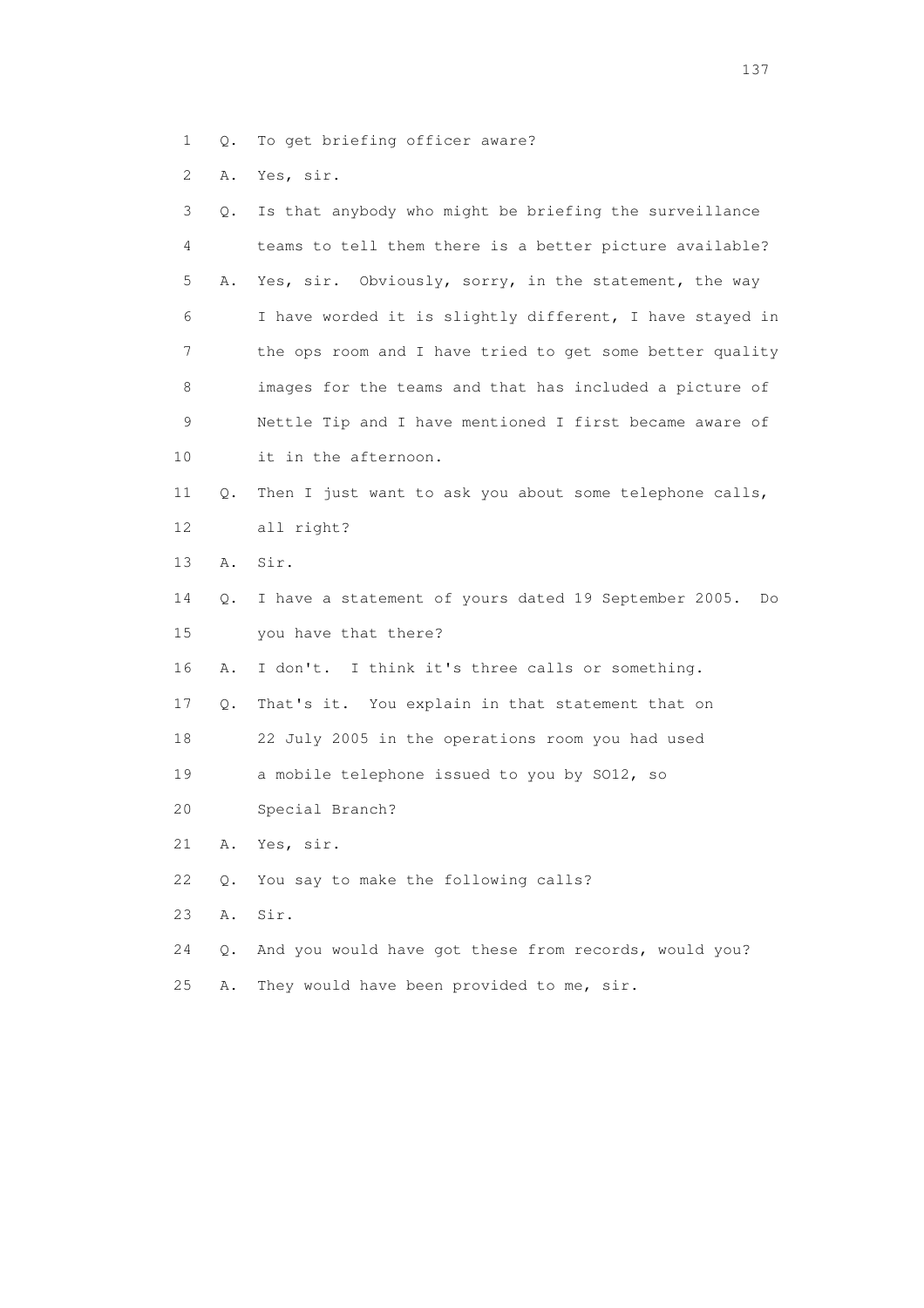- 1 Q. To get briefing officer aware?
- 2 A. Yes, sir.

| 3  | Q. | Is that anybody who might be briefing the surveillance     |
|----|----|------------------------------------------------------------|
| 4  |    | teams to tell them there is a better picture available?    |
| 5  | Α. | Yes, sir. Obviously, sorry, in the statement, the way      |
| 6  |    | I have worded it is slightly different, I have stayed in   |
| 7  |    | the ops room and I have tried to get some better quality   |
| 8  |    | images for the teams and that has included a picture of    |
| 9  |    | Nettle Tip and I have mentioned I first became aware of    |
| 10 |    | it in the afternoon.                                       |
| 11 | Q. | Then I just want to ask you about some telephone calls,    |
| 12 |    | all right?                                                 |
| 13 | Α. | Sir.                                                       |
| 14 | Q. | I have a statement of yours dated 19 September 2005.<br>Do |
| 15 |    | you have that there?                                       |
| 16 | Α. | I don't. I think it's three calls or something.            |
| 17 | Q. | That's it. You explain in that statement that on           |
| 18 |    | 22 July 2005 in the operations room you had used           |
| 19 |    | a mobile telephone issued to you by SO12, so               |
| 20 |    | Special Branch?                                            |
| 21 | Α. | Yes, sir.                                                  |
| 22 | Q. | You say to make the following calls?                       |
| 23 | Α. | Sir.                                                       |
| 24 | Q. | And you would have got these from records, would you?      |
|    |    |                                                            |

25 A. They would have been provided to me, sir.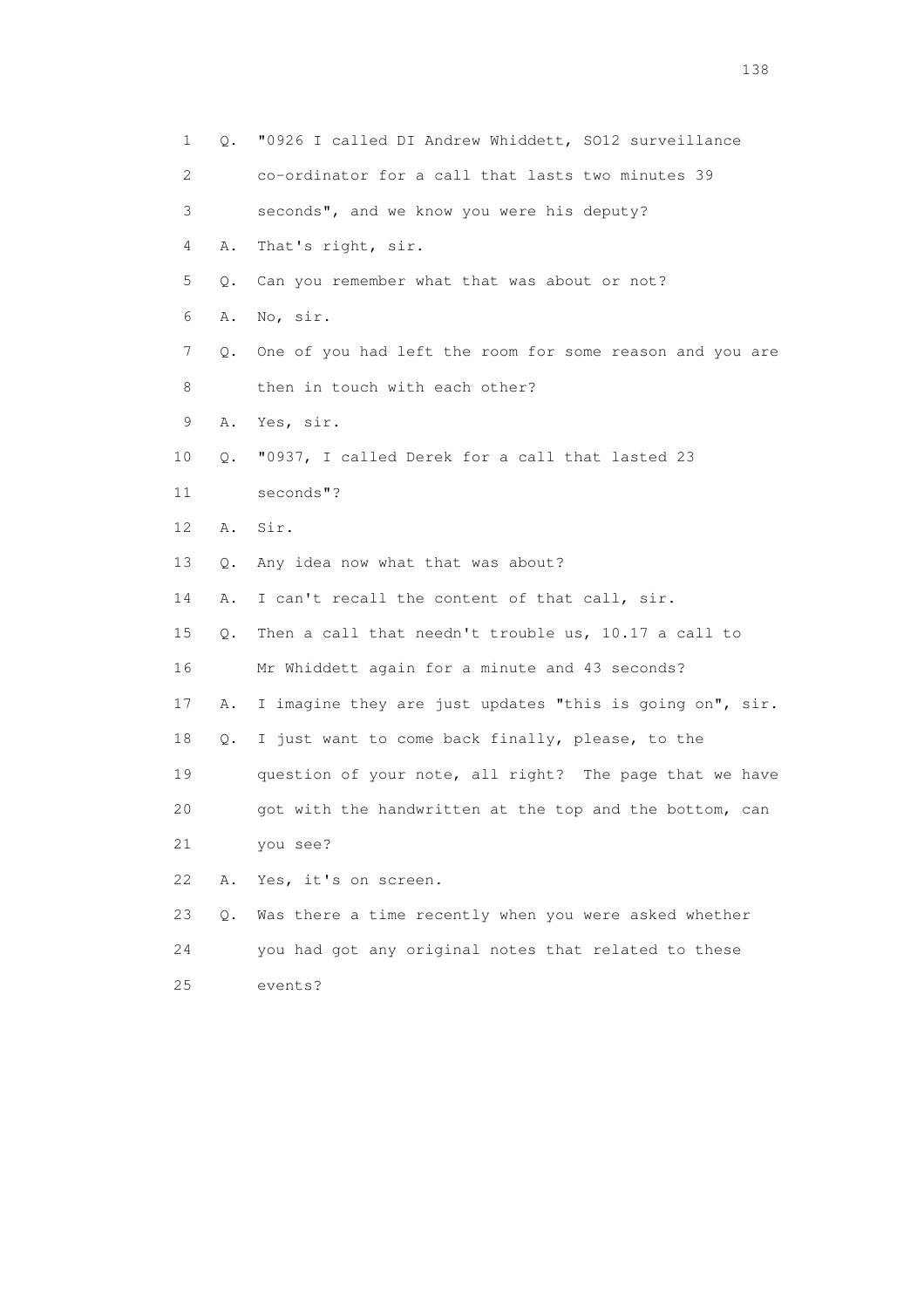| 1                         | Q.    | "0926 I called DI Andrew Whiddett, SO12 surveillance     |
|---------------------------|-------|----------------------------------------------------------|
| $\mathbf{2}^{\mathsf{I}}$ |       | co-ordinator for a call that lasts two minutes 39        |
| 3                         |       | seconds", and we know you were his deputy?               |
| 4                         | Α.    | That's right, sir.                                       |
| 5                         | Q.    | Can you remember what that was about or not?             |
| 6                         | Α.    | No, sir.                                                 |
| 7                         | Q.    | One of you had left the room for some reason and you are |
| 8                         |       | then in touch with each other?                           |
| 9                         | Α.    | Yes, sir.                                                |
| 10                        | Q.    | "0937, I called Derek for a call that lasted 23          |
| 11                        |       | seconds"?                                                |
| 12                        | Α.    | Sir.                                                     |
| 13                        | Q.    | Any idea now what that was about?                        |
| 14                        | Α.    | I can't recall the content of that call, sir.            |
| 15                        | Q.    | Then a call that needn't trouble us, 10.17 a call to     |
| 16                        |       | Mr Whiddett again for a minute and 43 seconds?           |
| 17                        | Α.    | I imagine they are just updates "this is going on", sir. |
| 18                        | Q.    | I just want to come back finally, please, to the         |
| 19                        |       | question of your note, all right? The page that we have  |
| 20                        |       | got with the handwritten at the top and the bottom, can  |
| 21                        |       | you see?                                                 |
| 22                        | Α.    | Yes, it's on screen.                                     |
| 23                        | $Q$ . | Was there a time recently when you were asked whether    |
| 24                        |       | you had got any original notes that related to these     |
| 25                        |       | events?                                                  |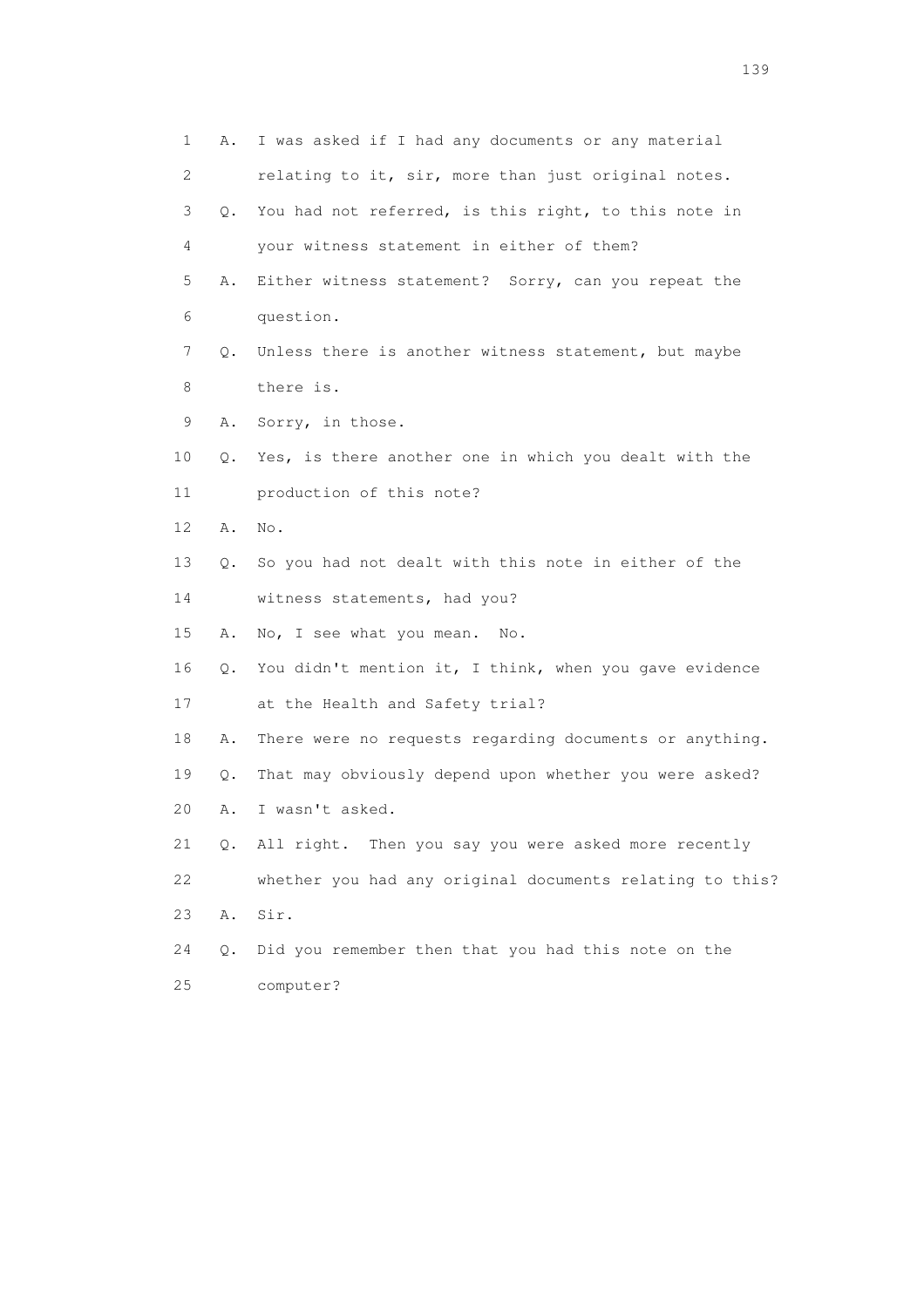| 1  | Α. | I was asked if I had any documents or any material        |
|----|----|-----------------------------------------------------------|
| 2  |    | relating to it, sir, more than just original notes.       |
| 3  | Q. | You had not referred, is this right, to this note in      |
| 4  |    | your witness statement in either of them?                 |
| 5  | Α. | Either witness statement? Sorry, can you repeat the       |
| 6  |    | question.                                                 |
| 7  | 0. | Unless there is another witness statement, but maybe      |
| 8  |    | there is.                                                 |
| 9  | Α. | Sorry, in those.                                          |
| 10 | Q. | Yes, is there another one in which you dealt with the     |
| 11 |    | production of this note?                                  |
| 12 | Α. | No.                                                       |
| 13 | Q. | So you had not dealt with this note in either of the      |
| 14 |    | witness statements, had you?                              |
| 15 | Α. | No, I see what you mean.<br>No.                           |
| 16 |    | Q. You didn't mention it, I think, when you gave evidence |
| 17 |    | at the Health and Safety trial?                           |
| 18 | Α. | There were no requests regarding documents or anything.   |
| 19 | Q. | That may obviously depend upon whether you were asked?    |
| 20 | Α. | I wasn't asked.                                           |
| 21 | Q. | All right. Then you say you were asked more recently      |
| 22 |    | whether you had any original documents relating to this?  |
| 23 | Α. | Sir.                                                      |
| 24 | Q. | Did you remember then that you had this note on the       |
| 25 |    | computer?                                                 |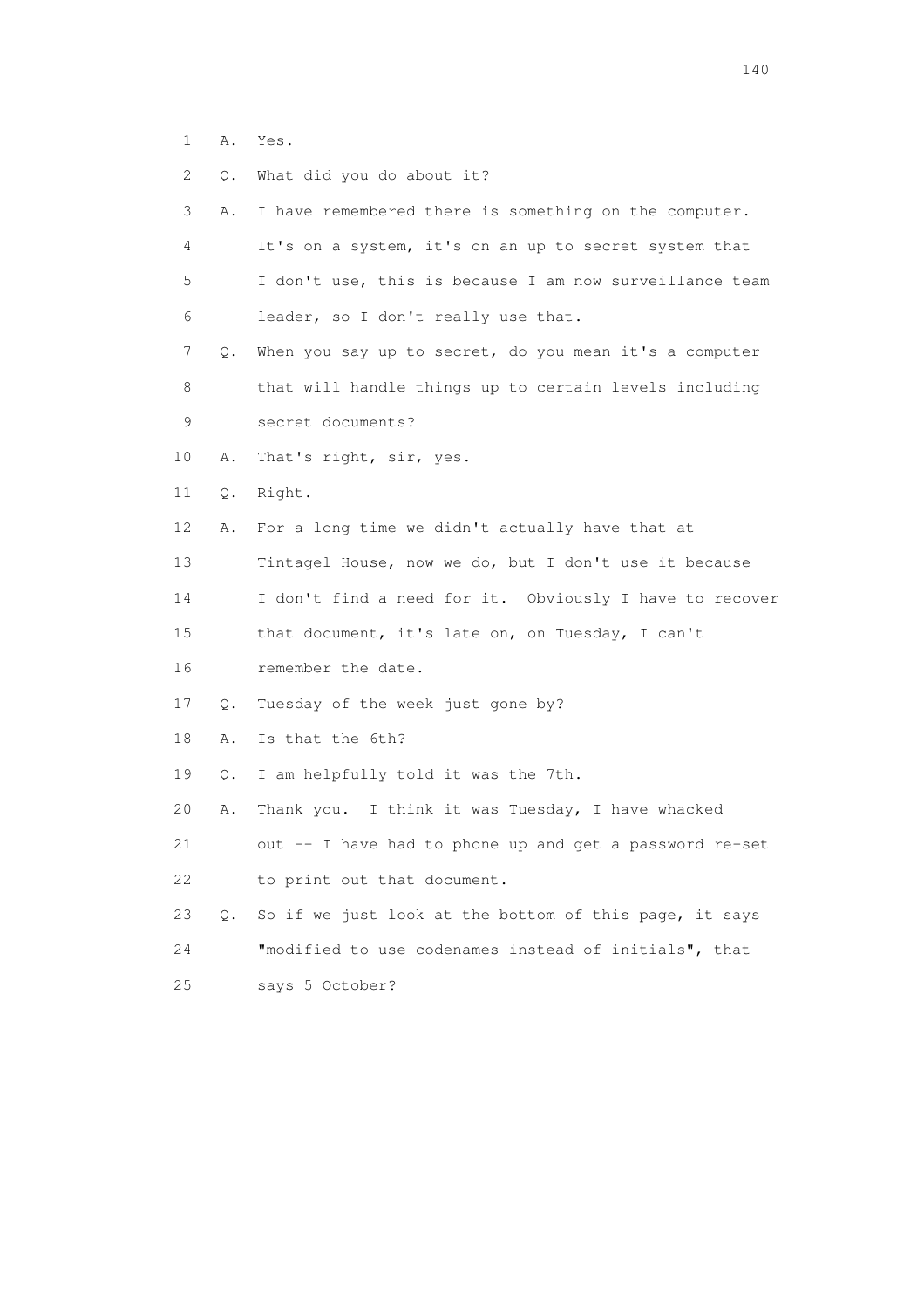- 1 A. Yes.
- 2 Q. What did you do about it?

| 3   | Α.    | I have remembered there is something on the computer.   |
|-----|-------|---------------------------------------------------------|
| 4   |       | It's on a system, it's on an up to secret system that   |
| 5   |       | I don't use, this is because I am now surveillance team |
| 6   |       | leader, so I don't really use that.                     |
| 7   | $Q$ . | When you say up to secret, do you mean it's a computer  |
| 8   |       | that will handle things up to certain levels including  |
| 9   |       | secret documents?                                       |
| 10  | Α.    | That's right, sir, yes.                                 |
| 11  | Q.    | Right.                                                  |
| 12  | Α.    | For a long time we didn't actually have that at         |
| 13  |       | Tintagel House, now we do, but I don't use it because   |
| 14  |       | I don't find a need for it. Obviously I have to recover |
| 15  |       | that document, it's late on, on Tuesday, I can't        |
| 16  |       | remember the date.                                      |
| 17  | Q.    | Tuesday of the week just gone by?                       |
| 18  | Α.    | Is that the 6th?                                        |
| 19  | Q.    | I am helpfully told it was the 7th.                     |
| 20  | Α.    | Thank you. I think it was Tuesday, I have whacked       |
| 21  |       | out -- I have had to phone up and get a password re-set |
| 22  |       | to print out that document.                             |
| 23  | Q.    | So if we just look at the bottom of this page, it says  |
| 24  |       | "modified to use codenames instead of initials", that   |
| 2.5 |       | says 5 October?                                         |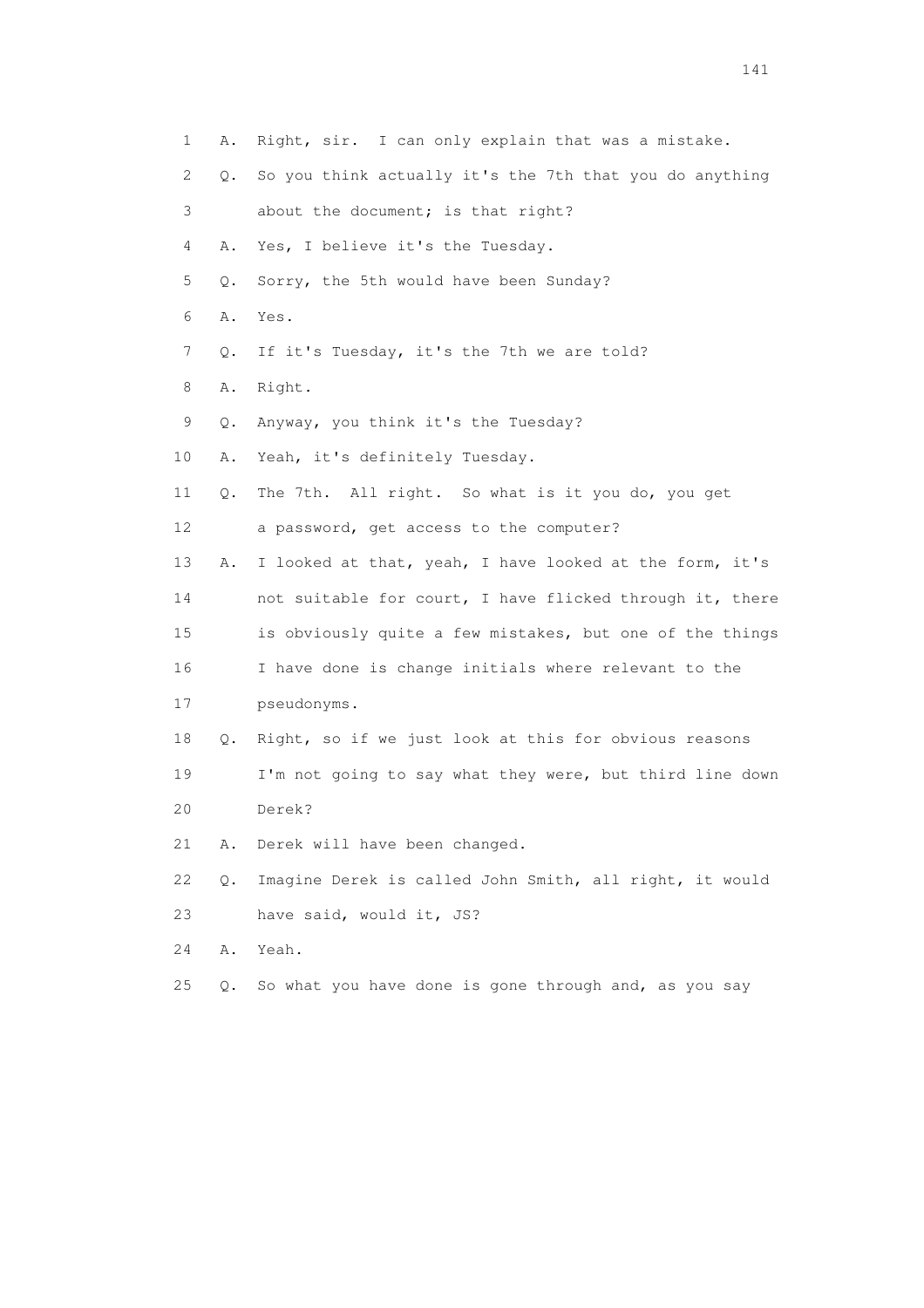| $\mathbf 1$               | Α.    | Right, sir. I can only explain that was a mistake.       |
|---------------------------|-------|----------------------------------------------------------|
| $\mathbf{2}^{\mathsf{I}}$ | Q.    | So you think actually it's the 7th that you do anything  |
| 3                         |       | about the document; is that right?                       |
| 4                         | Α.    | Yes, I believe it's the Tuesday.                         |
| 5                         | О.    | Sorry, the 5th would have been Sunday?                   |
| 6                         | Α.    | Yes.                                                     |
| 7                         | $Q$ . | If it's Tuesday, it's the 7th we are told?               |
| 8                         | Α.    | Right.                                                   |
| 9                         | Q.    | Anyway, you think it's the Tuesday?                      |
| 10                        | Α.    | Yeah, it's definitely Tuesday.                           |
| 11                        | Q.    | The 7th. All right. So what is it you do, you get        |
| 12                        |       | a password, get access to the computer?                  |
| 13                        | Α.    | I looked at that, yeah, I have looked at the form, it's  |
| 14                        |       | not suitable for court, I have flicked through it, there |
| 15                        |       | is obviously quite a few mistakes, but one of the things |
| 16                        |       | I have done is change initials where relevant to the     |
| 17                        |       | pseudonyms.                                              |
| 18                        | Q.    | Right, so if we just look at this for obvious reasons    |
| 19                        |       | I'm not going to say what they were, but third line down |
| 20                        |       | Derek?                                                   |
| 21                        | Α.    | Derek will have been changed.                            |
| 22                        | Q.    | Imagine Derek is called John Smith, all right, it would  |
| 23                        |       | have said, would it, JS?                                 |
| 24                        | Α.    | Yeah.                                                    |
| 25                        | Q.    | So what you have done is gone through and, as you say    |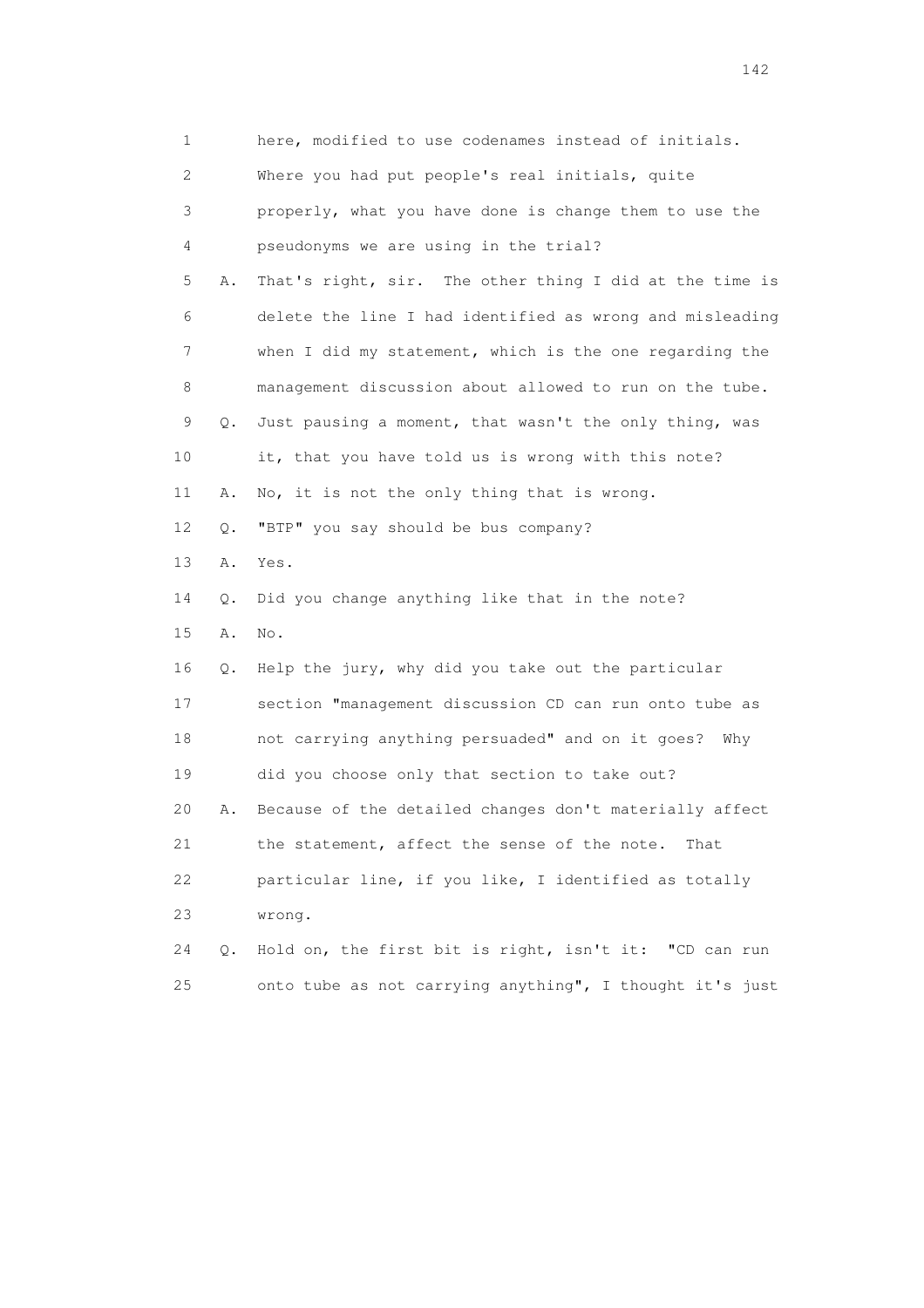| 1  |    | here, modified to use codenames instead of initials.     |
|----|----|----------------------------------------------------------|
| 2  |    | Where you had put people's real initials, quite          |
| 3  |    | properly, what you have done is change them to use the   |
| 4  |    | pseudonyms we are using in the trial?                    |
| 5  | Α. | That's right, sir. The other thing I did at the time is  |
| 6  |    | delete the line I had identified as wrong and misleading |
| 7  |    | when I did my statement, which is the one regarding the  |
| 8  |    | management discussion about allowed to run on the tube.  |
| 9  | Q. | Just pausing a moment, that wasn't the only thing, was   |
| 10 |    | it, that you have told us is wrong with this note?       |
| 11 | Α. | No, it is not the only thing that is wrong.              |
| 12 | Q. | "BTP" you say should be bus company?                     |
| 13 | Α. | Yes.                                                     |
| 14 | Q. | Did you change anything like that in the note?           |
| 15 | Α. | No.                                                      |
| 16 | Q. | Help the jury, why did you take out the particular       |
| 17 |    | section "management discussion CD can run onto tube as   |
| 18 |    | not carrying anything persuaded" and on it goes?<br>Why  |
| 19 |    | did you choose only that section to take out?            |
| 20 | Α. | Because of the detailed changes don't materially affect  |
| 21 |    | the statement, affect the sense of the note.<br>That     |
| 22 |    | particular line, if you like, I identified as totally    |
| 23 |    | wrong.                                                   |
| 24 | Q. | Hold on, the first bit is right, isn't it: "CD can run   |
| 25 |    | onto tube as not carrying anything", I thought it's just |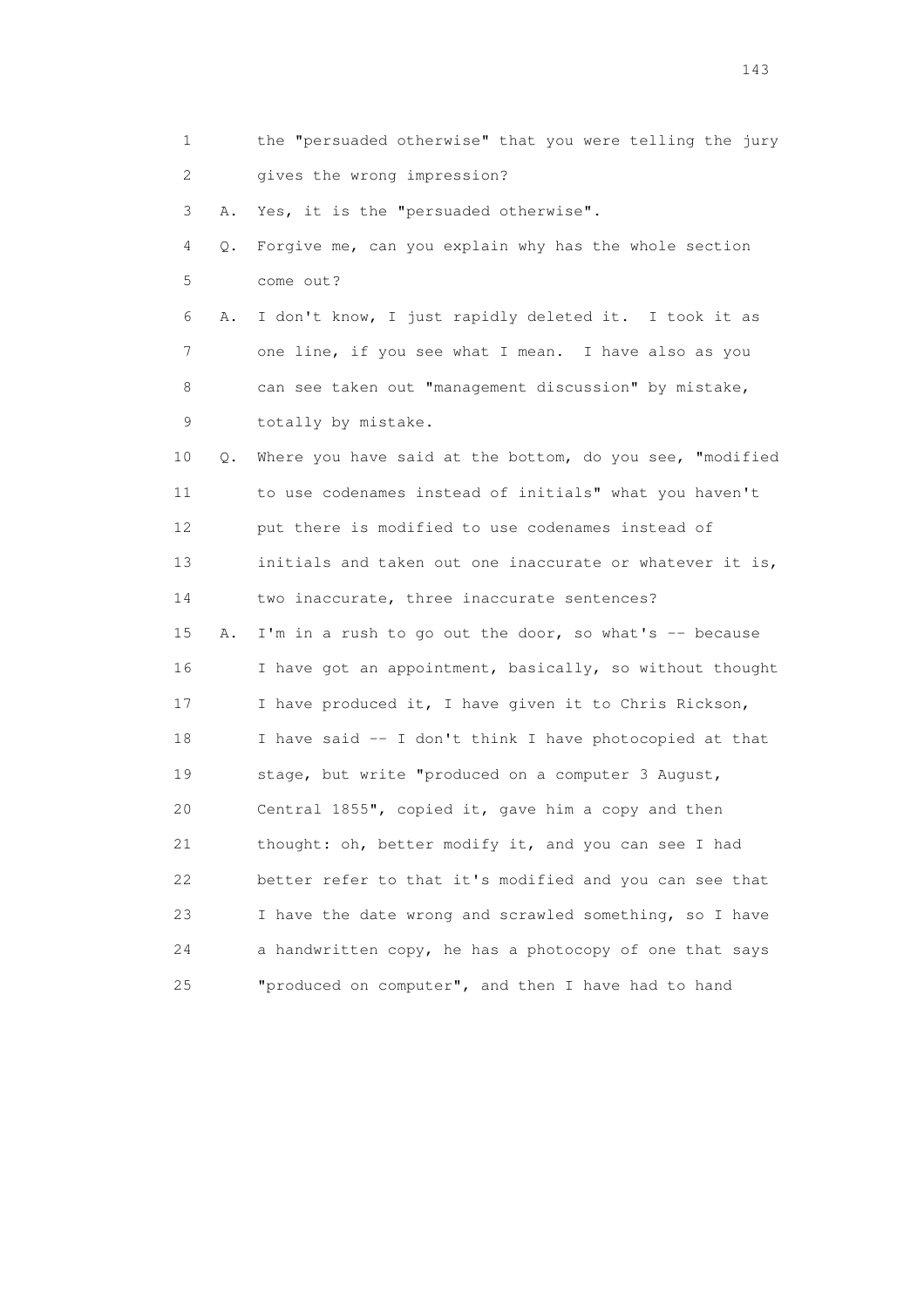| 1  |    | the "persuaded otherwise" that you were telling the jury |
|----|----|----------------------------------------------------------|
| 2  |    | gives the wrong impression?                              |
| 3  | Α. | Yes, it is the "persuaded otherwise".                    |
| 4  | Q. | Forgive me, can you explain why has the whole section    |
| 5  |    | come out?                                                |
| 6  | Α. | I don't know, I just rapidly deleted it. I took it as    |
| 7  |    | one line, if you see what I mean. I have also as you     |
| 8  |    | can see taken out "management discussion" by mistake,    |
| 9  |    | totally by mistake.                                      |
| 10 | Q. | Where you have said at the bottom, do you see, "modified |
| 11 |    | to use codenames instead of initials" what you haven't   |
| 12 |    | put there is modified to use codenames instead of        |
| 13 |    | initials and taken out one inaccurate or whatever it is, |
| 14 |    | two inaccurate, three inaccurate sentences?              |
| 15 | Α. | I'm in a rush to go out the door, so what's -- because   |
| 16 |    | I have got an appointment, basically, so without thought |
| 17 |    | I have produced it, I have given it to Chris Rickson,    |
| 18 |    | I have said -- I don't think I have photocopied at that  |
| 19 |    | stage, but write "produced on a computer 3 August,       |
| 20 |    | Central 1855", copied it, gave him a copy and then       |
| 21 |    | thought: oh, better modify it, and you can see I had     |
| 22 |    | better refer to that it's modified and you can see that  |
| 23 |    | I have the date wrong and scrawled something, so I have  |
| 24 |    | a handwritten copy, he has a photocopy of one that says  |
| 25 |    | "produced on computer", and then I have had to hand      |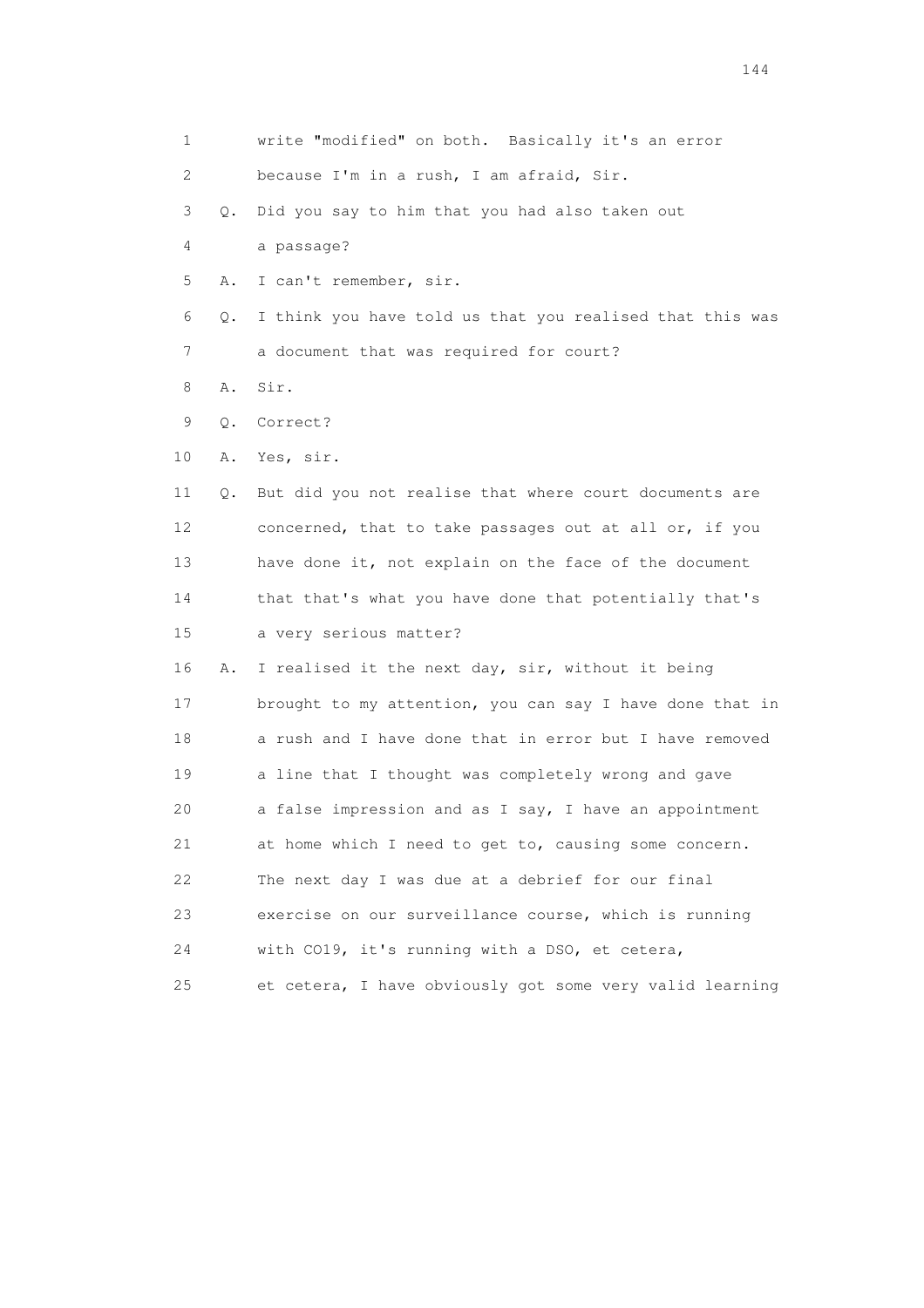| 1  |    | write "modified" on both. Basically it's an error        |
|----|----|----------------------------------------------------------|
| 2  |    | because I'm in a rush, I am afraid, Sir.                 |
| 3  | Q. | Did you say to him that you had also taken out           |
| 4  |    | a passage?                                               |
| 5  | Α. | I can't remember, sir.                                   |
| 6  | Q. | I think you have told us that you realised that this was |
| 7  |    | a document that was required for court?                  |
| 8  | Α. | Sir.                                                     |
| 9  | Q. | Correct?                                                 |
| 10 | Α. | Yes, sir.                                                |
| 11 | Q. | But did you not realise that where court documents are   |
| 12 |    | concerned, that to take passages out at all or, if you   |
| 13 |    | have done it, not explain on the face of the document    |
| 14 |    | that that's what you have done that potentially that's   |
| 15 |    | a very serious matter?                                   |
| 16 | Α. | I realised it the next day, sir, without it being        |
| 17 |    | brought to my attention, you can say I have done that in |
| 18 |    | a rush and I have done that in error but I have removed  |
| 19 |    | a line that I thought was completely wrong and gave      |
| 20 |    | a false impression and as I say, I have an appointment   |
| 21 |    | at home which I need to get to, causing some concern.    |
| 22 |    | The next day I was due at a debrief for our final        |
| 23 |    | exercise on our surveillance course, which is running    |
| 24 |    | with CO19, it's running with a DSO, et cetera,           |
| 25 |    | et cetera, I have obviously got some very valid learning |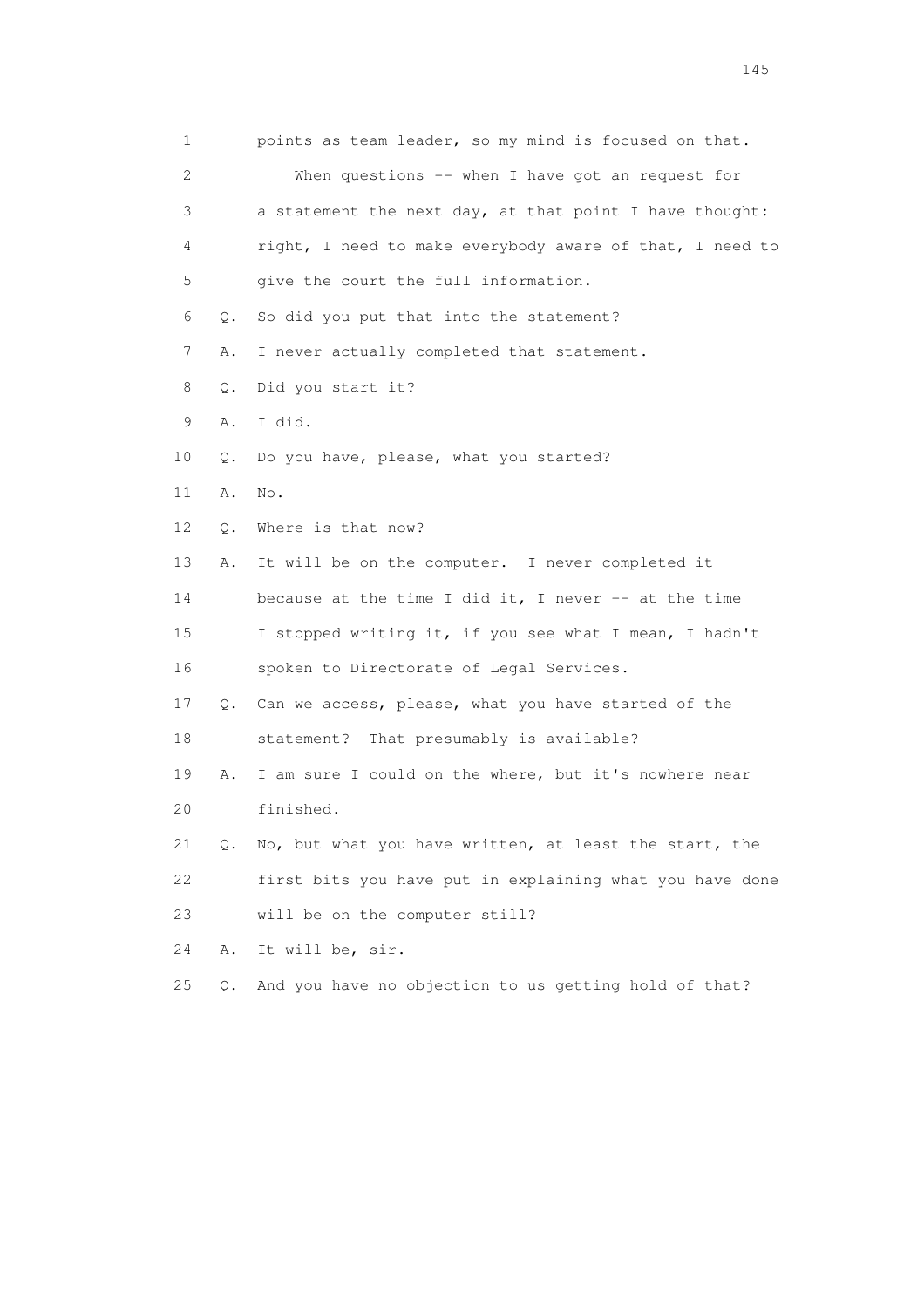| 1                         |       | points as team leader, so my mind is focused on that.    |
|---------------------------|-------|----------------------------------------------------------|
| $\mathbf{2}^{\mathsf{I}}$ |       | When questions -- when I have got an request for         |
| 3                         |       | a statement the next day, at that point I have thought:  |
| 4                         |       | right, I need to make everybody aware of that, I need to |
| 5                         |       | give the court the full information.                     |
| 6                         | Q.    | So did you put that into the statement?                  |
| 7                         | Α.    | I never actually completed that statement.               |
| 8                         | Q.    | Did you start it?                                        |
| 9                         | Α.    | I did.                                                   |
| 10                        | Q.    | Do you have, please, what you started?                   |
| 11                        | Α.    | No.                                                      |
| 12                        | Q.    | Where is that now?                                       |
| 13                        | Α.    | It will be on the computer. I never completed it         |
| 14                        |       | because at the time I did it, I never $-$ at the time    |
| 15                        |       | I stopped writing it, if you see what I mean, I hadn't   |
| 16                        |       | spoken to Directorate of Legal Services.                 |
| 17                        | Q.    | Can we access, please, what you have started of the      |
| 18                        |       | statement? That presumably is available?                 |
| 19                        | Α.    | I am sure I could on the where, but it's nowhere near    |
| 20                        |       | finished.                                                |
| 21                        | Q.    | No, but what you have written, at least the start, the   |
| 22                        |       | first bits you have put in explaining what you have done |
| 23                        |       | will be on the computer still?                           |
| 24                        | Α.    | It will be, sir.                                         |
| 25                        | $Q$ . | And you have no objection to us getting hold of that?    |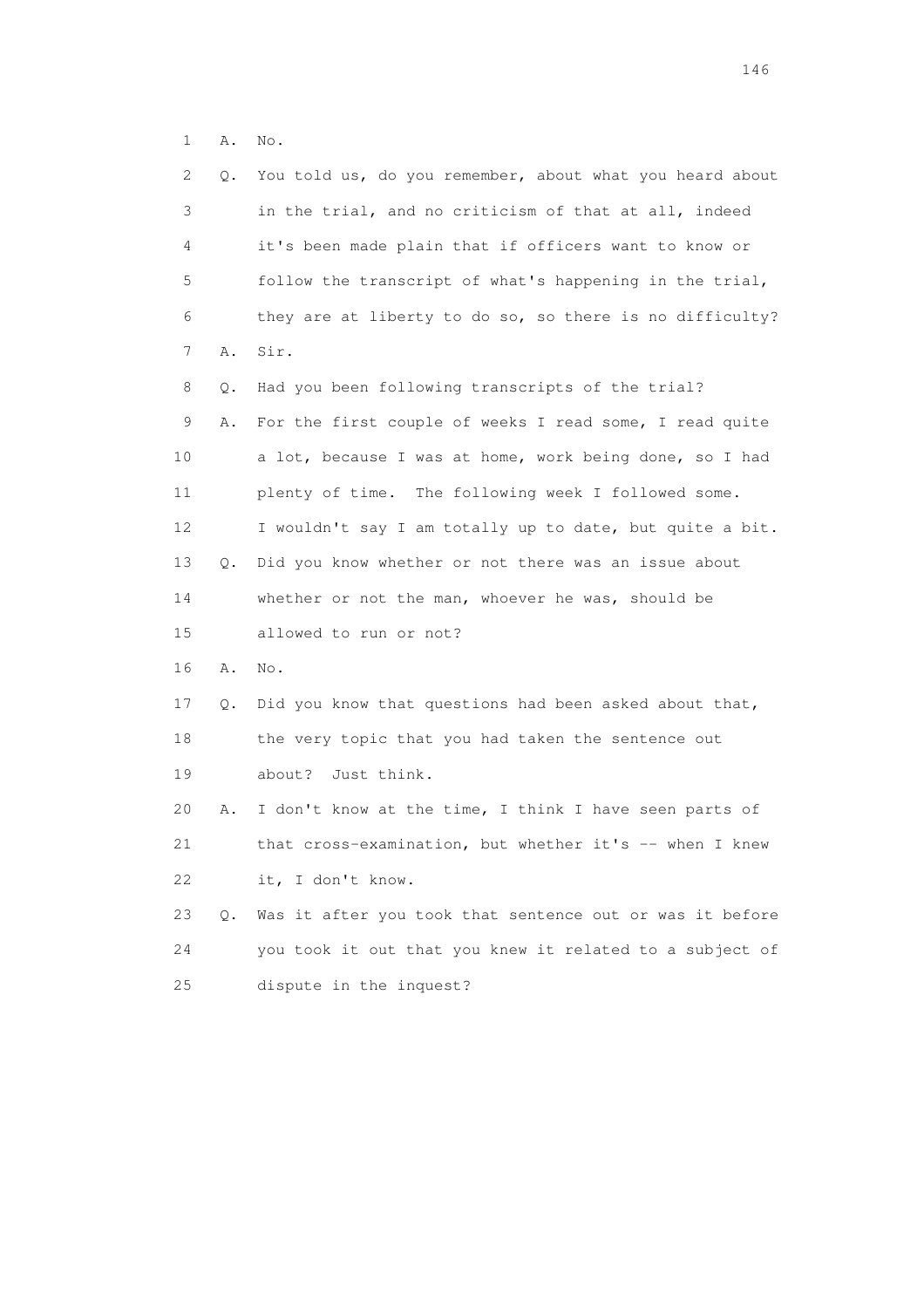1 A. No.

| 2  | Q. | You told us, do you remember, about what you heard about |
|----|----|----------------------------------------------------------|
| 3  |    | in the trial, and no criticism of that at all, indeed    |
| 4  |    | it's been made plain that if officers want to know or    |
| 5  |    | follow the transcript of what's happening in the trial,  |
| 6  |    | they are at liberty to do so, so there is no difficulty? |
| 7  | Α. | Sir.                                                     |
| 8  | Q. | Had you been following transcripts of the trial?         |
| 9  | Α. | For the first couple of weeks I read some, I read quite  |
| 10 |    | a lot, because I was at home, work being done, so I had  |
| 11 |    | plenty of time. The following week I followed some.      |
| 12 |    | I wouldn't say I am totally up to date, but quite a bit. |
| 13 | Q. | Did you know whether or not there was an issue about     |
| 14 |    | whether or not the man, whoever he was, should be        |
| 15 |    | allowed to run or not?                                   |
| 16 | Α. | No.                                                      |
| 17 | Q. | Did you know that questions had been asked about that,   |
| 18 |    | the very topic that you had taken the sentence out       |
| 19 |    | about?<br>Just think.                                    |
| 20 | Α. | I don't know at the time, I think I have seen parts of   |
| 21 |    | that cross-examination, but whether it's -- when I knew  |
| 22 |    | it, I don't know.                                        |
| 23 | Q. | Was it after you took that sentence out or was it before |
| 24 |    | you took it out that you knew it related to a subject of |
| 25 |    | dispute in the inquest?                                  |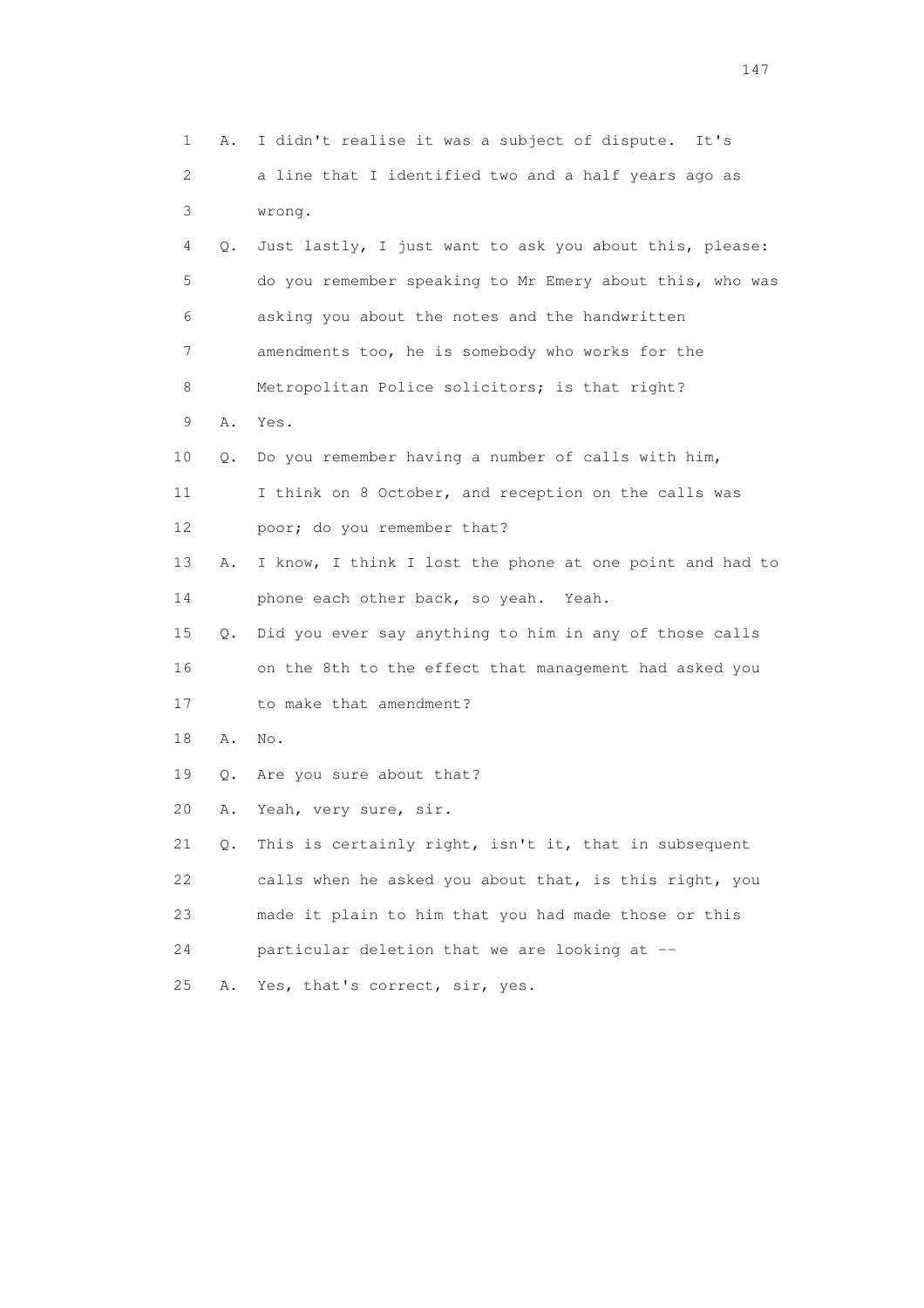| 1  | Α. | I didn't realise it was a subject of dispute. It's       |
|----|----|----------------------------------------------------------|
| 2  |    | a line that I identified two and a half years ago as     |
| 3  |    | wrong.                                                   |
| 4  | Q. | Just lastly, I just want to ask you about this, please:  |
| 5  |    | do you remember speaking to Mr Emery about this, who was |
| 6  |    | asking you about the notes and the handwritten           |
| 7  |    | amendments too, he is somebody who works for the         |
| 8  |    | Metropolitan Police solicitors; is that right?           |
| 9  | Α. | Yes.                                                     |
| 10 | Q. | Do you remember having a number of calls with him,       |
| 11 |    | I think on 8 October, and reception on the calls was     |
| 12 |    | poor; do you remember that?                              |
| 13 | Α. | I know, I think I lost the phone at one point and had to |
| 14 |    | phone each other back, so yeah. Yeah.                    |
| 15 | Q. | Did you ever say anything to him in any of those calls   |
| 16 |    | on the 8th to the effect that management had asked you   |
| 17 |    | to make that amendment?                                  |
| 18 | Α. | No.                                                      |
| 19 | Q. | Are you sure about that?                                 |
| 20 | Α. | Yeah, very sure, sir.                                    |
| 21 | О. | This is certainly right, isn't it, that in subsequent    |
| 22 |    | calls when he asked you about that, is this right, you   |
| 23 |    | made it plain to him that you had made those or this     |
| 24 |    | particular deletion that we are looking at --            |
| 25 | Α. | Yes, that's correct, sir, yes.                           |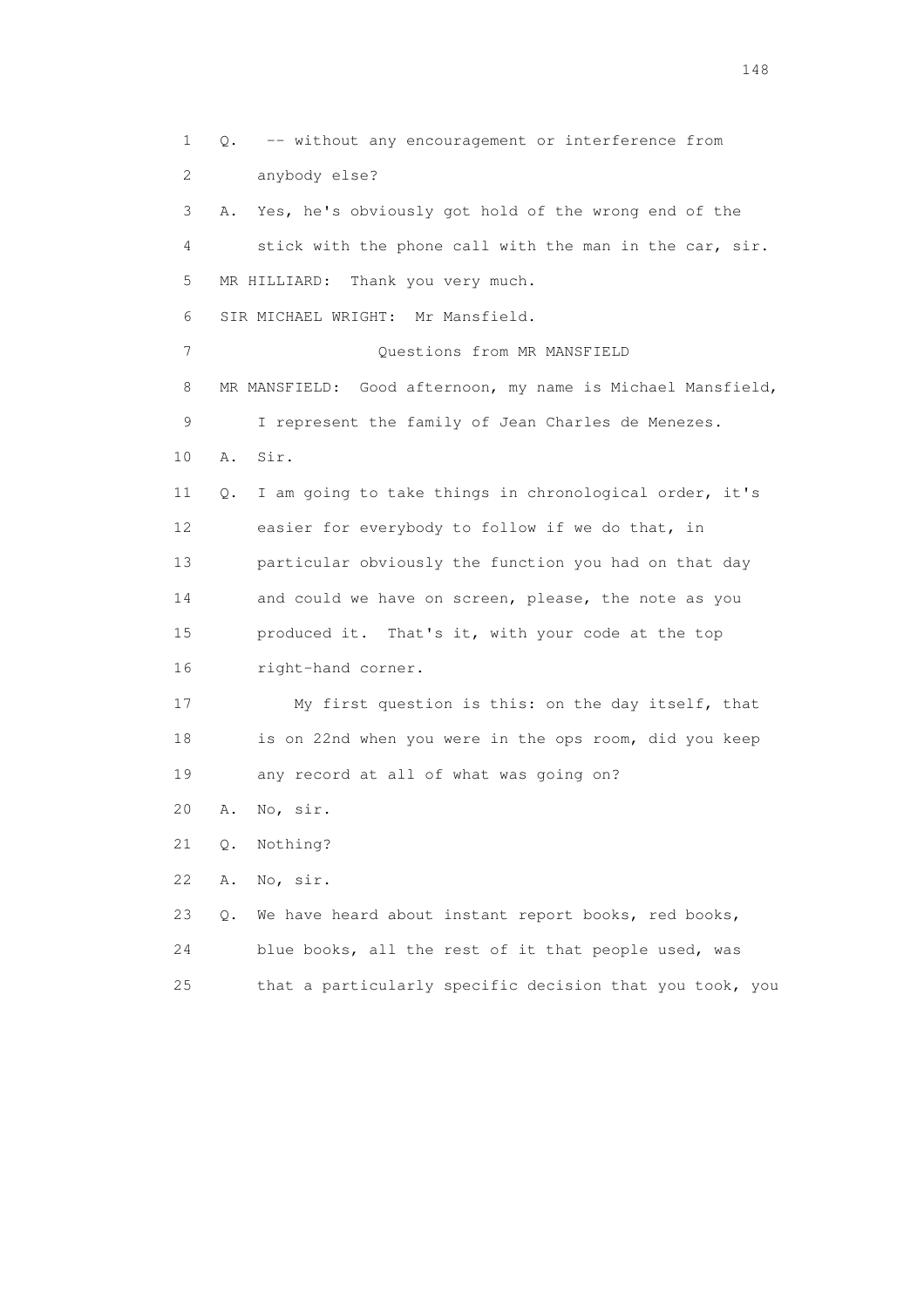1 Q. -- without any encouragement or interference from 2 anybody else? 3 A. Yes, he's obviously got hold of the wrong end of the 4 stick with the phone call with the man in the car, sir. 5 MR HILLIARD: Thank you very much. 6 SIR MICHAEL WRIGHT: Mr Mansfield. 7 Ouestions from MR MANSFIELD 8 MR MANSFIELD: Good afternoon, my name is Michael Mansfield, 9 I represent the family of Jean Charles de Menezes. 10 A. Sir. 11 Q. I am going to take things in chronological order, it's 12 easier for everybody to follow if we do that, in 13 particular obviously the function you had on that day 14 and could we have on screen, please, the note as you 15 produced it. That's it, with your code at the top 16 right-hand corner. 17 My first question is this: on the day itself, that 18 is on 22nd when you were in the ops room, did you keep 19 any record at all of what was going on? 20 A. No, sir. 21 Q. Nothing? 22 A. No, sir. 23 Q. We have heard about instant report books, red books, 24 blue books, all the rest of it that people used, was

25 that a particularly specific decision that you took, you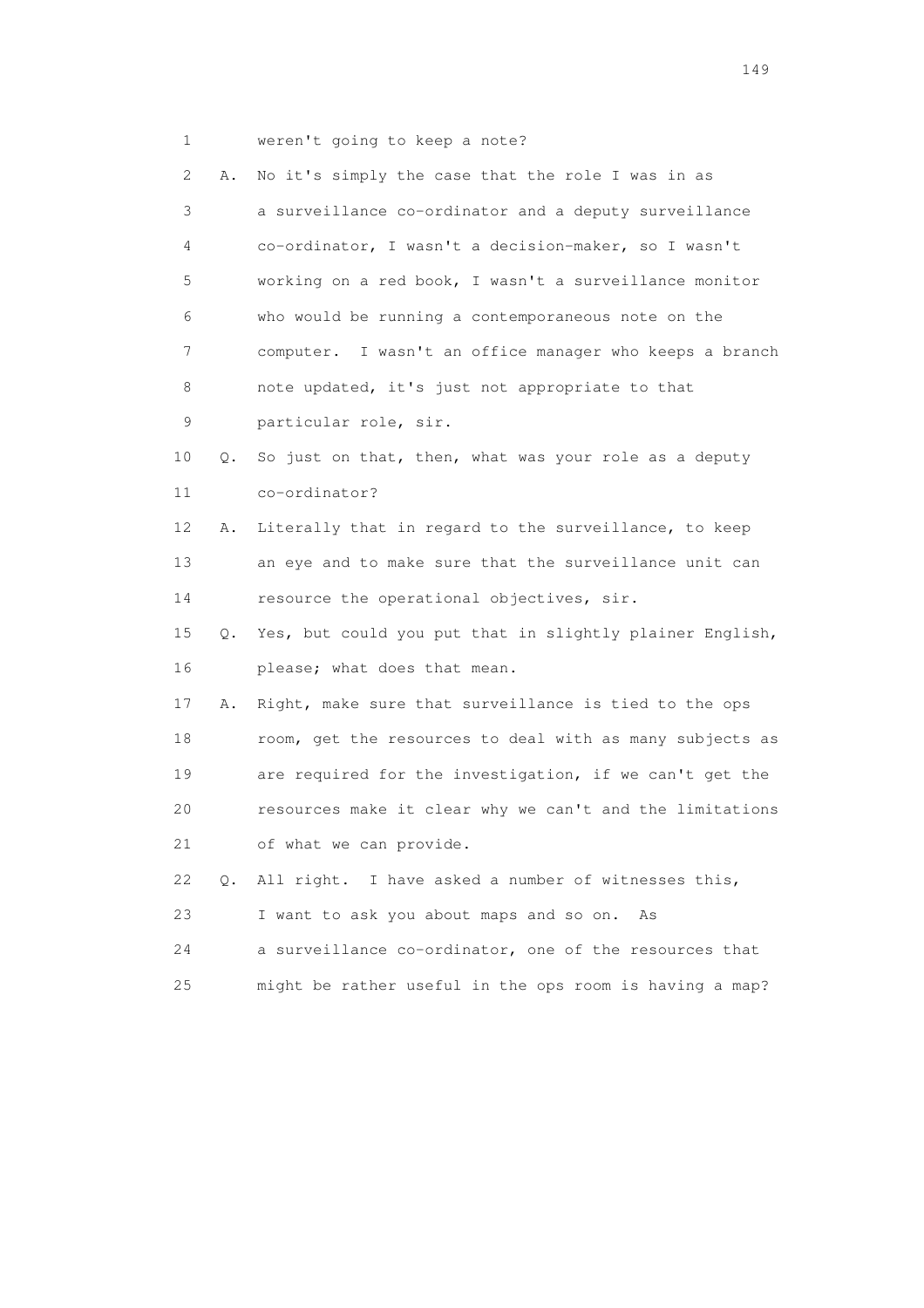1 weren't going to keep a note?

| 2  | Α.            | No it's simply the case that the role I was in as        |
|----|---------------|----------------------------------------------------------|
| 3  |               | a surveillance co-ordinator and a deputy surveillance    |
| 4  |               | co-ordinator, I wasn't a decision-maker, so I wasn't     |
| 5  |               | working on a red book, I wasn't a surveillance monitor   |
| 6  |               | who would be running a contemporaneous note on the       |
| 7  |               | computer. I wasn't an office manager who keeps a branch  |
| 8  |               | note updated, it's just not appropriate to that          |
| 9  |               | particular role, sir.                                    |
| 10 | Q.            | So just on that, then, what was your role as a deputy    |
| 11 |               | co-ordinator?                                            |
| 12 | Α.            | Literally that in regard to the surveillance, to keep    |
| 13 |               | an eye and to make sure that the surveillance unit can   |
| 14 |               | resource the operational objectives, sir.                |
| 15 | О.            | Yes, but could you put that in slightly plainer English, |
| 16 |               | please; what does that mean.                             |
| 17 | Α.            | Right, make sure that surveillance is tied to the ops    |
| 18 |               | room, get the resources to deal with as many subjects as |
| 19 |               | are required for the investigation, if we can't get the  |
| 20 |               | resources make it clear why we can't and the limitations |
| 21 |               | of what we can provide.                                  |
| 22 | $Q_{\bullet}$ | All right. I have asked a number of witnesses this,      |
| 23 |               | I want to ask you about maps and so on.<br>As            |
| 24 |               | a surveillance co-ordinator, one of the resources that   |
| 25 |               | might be rather useful in the ops room is having a map?  |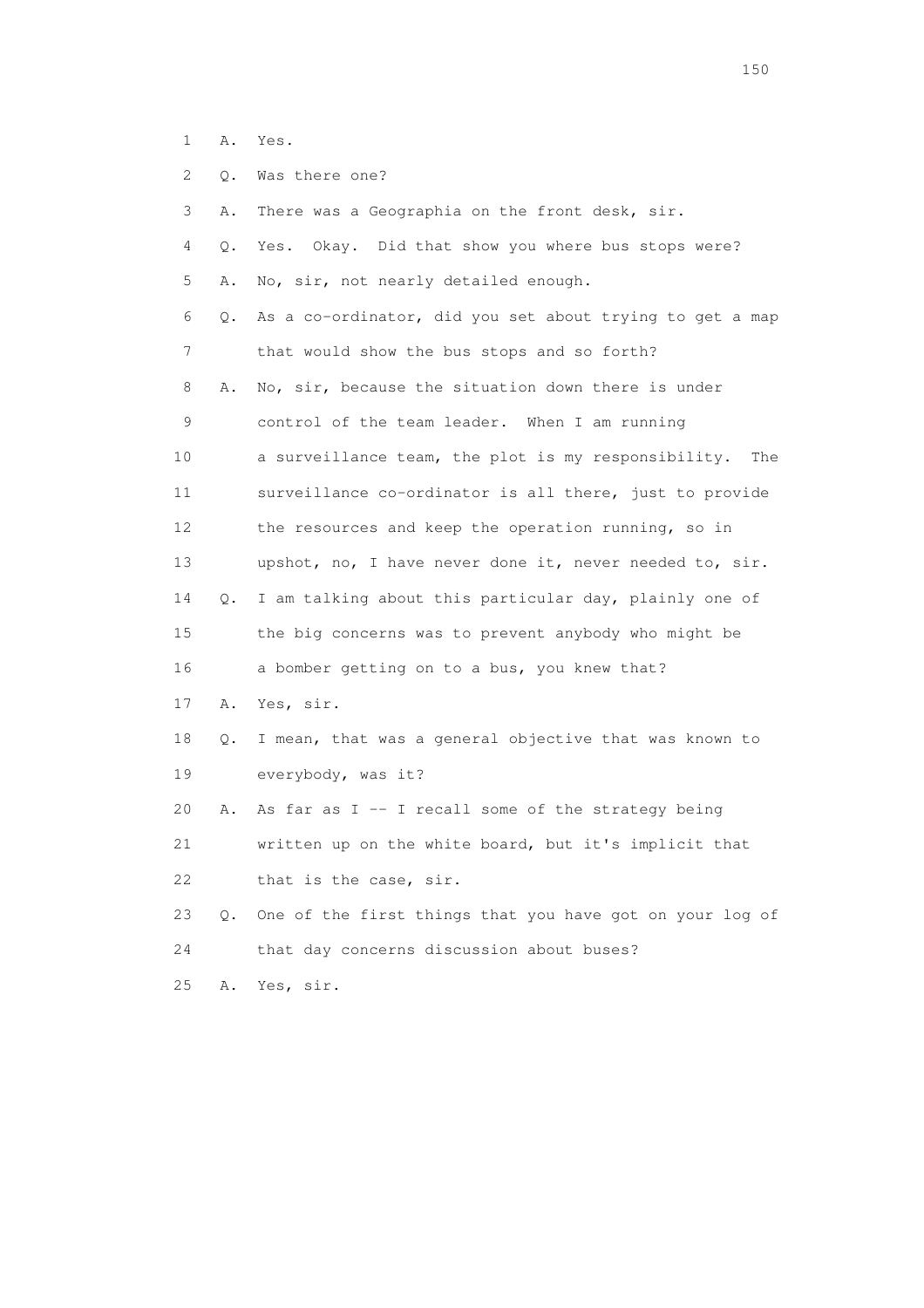- 1 A. Yes.
- 2 Q. Was there one?

| 3               | Α.        | There was a Geographia on the front desk, sir.             |
|-----------------|-----------|------------------------------------------------------------|
| 4               | Q.        | Okay. Did that show you where bus stops were?<br>Yes.      |
| 5               | Α.        | No, sir, not nearly detailed enough.                       |
| 6               | Q.        | As a co-ordinator, did you set about trying to get a map   |
| 7               |           | that would show the bus stops and so forth?                |
| 8               | Α.        | No, sir, because the situation down there is under         |
| 9               |           | control of the team leader. When I am running              |
| 10              |           | a surveillance team, the plot is my responsibility.<br>The |
| 11              |           | surveillance co-ordinator is all there, just to provide    |
| 12 <sup>°</sup> |           | the resources and keep the operation running, so in        |
| 13              |           | upshot, no, I have never done it, never needed to, sir.    |
| 14              | Q.        | I am talking about this particular day, plainly one of     |
| 15              |           | the big concerns was to prevent anybody who might be       |
| 16              |           | a bomber getting on to a bus, you knew that?               |
| 17              | Α.        | Yes, sir.                                                  |
| 18              | Q.        | I mean, that was a general objective that was known to     |
| 19              |           | everybody, was it?                                         |
| 20              | Α.        | As far as $I - I$ recall some of the strategy being        |
| 21              |           | written up on the white board, but it's implicit that      |
| 22              |           | that is the case, sir.                                     |
| 23              | $\circ$ . | One of the first things that you have got on your log of   |
| 24              |           | that day concerns discussion about buses?                  |
| 25              | Α.        | Yes, sir.                                                  |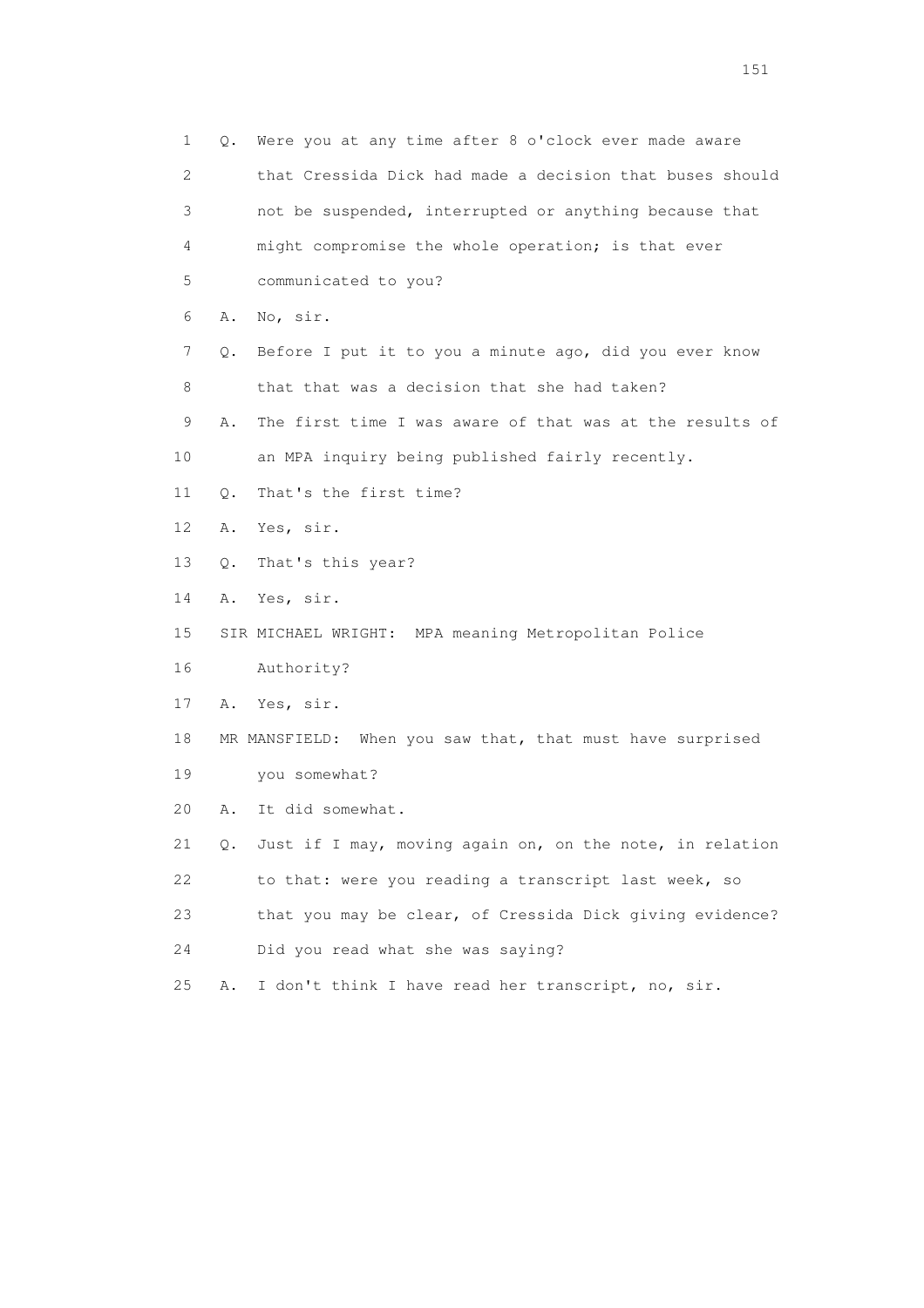1 Q. Were you at any time after 8 o'clock ever made aware 2 that Cressida Dick had made a decision that buses should 3 not be suspended, interrupted or anything because that 4 might compromise the whole operation; is that ever 5 communicated to you? 6 A. No, sir. 7 Q. Before I put it to you a minute ago, did you ever know 8 that that was a decision that she had taken? 9 A. The first time I was aware of that was at the results of 10 an MPA inquiry being published fairly recently. 11 Q. That's the first time? 12 A. Yes, sir. 13 Q. That's this year? 14 A. Yes, sir. 15 SIR MICHAEL WRIGHT: MPA meaning Metropolitan Police 16 Authority? 17 A. Yes, sir. 18 MR MANSFIELD: When you saw that, that must have surprised 19 you somewhat? 20 A. It did somewhat. 21 Q. Just if I may, moving again on, on the note, in relation 22 to that: were you reading a transcript last week, so 23 that you may be clear, of Cressida Dick giving evidence? 24 Did you read what she was saying? 25 A. I don't think I have read her transcript, no, sir.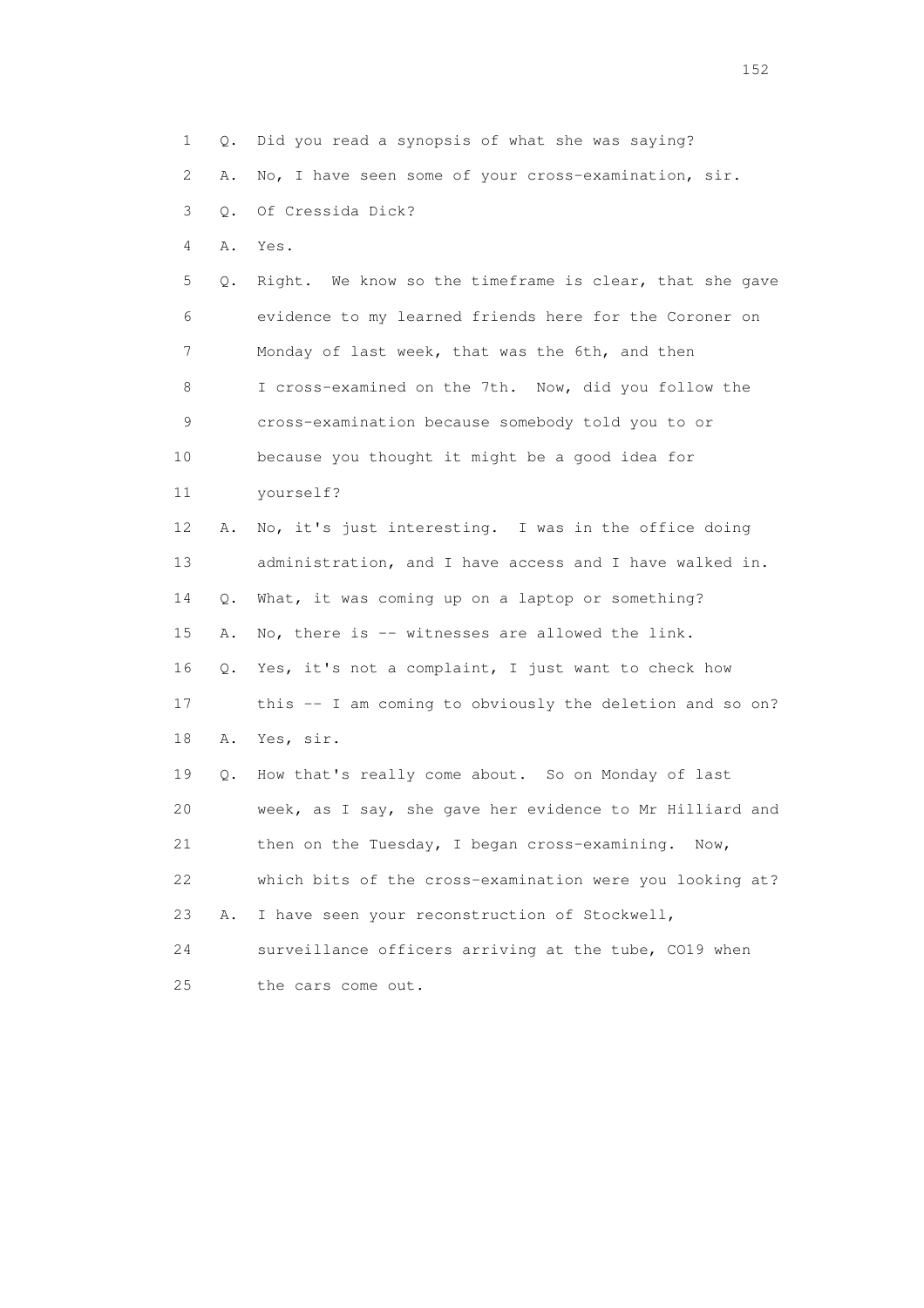1 Q. Did you read a synopsis of what she was saying?

2 A. No, I have seen some of your cross-examination, sir.

3 Q. Of Cressida Dick?

4 A. Yes.

 5 Q. Right. We know so the timeframe is clear, that she gave 6 evidence to my learned friends here for the Coroner on 7 Monday of last week, that was the 6th, and then 8 I cross-examined on the 7th. Now, did you follow the 9 cross-examination because somebody told you to or 10 because you thought it might be a good idea for 11 yourself? 12 A. No, it's just interesting. I was in the office doing 13 administration, and I have access and I have walked in. 14 Q. What, it was coming up on a laptop or something?

15 A. No, there is -- witnesses are allowed the link.

 16 Q. Yes, it's not a complaint, I just want to check how 17 this -- I am coming to obviously the deletion and so on?

18 A. Yes, sir.

 19 Q. How that's really come about. So on Monday of last 20 week, as I say, she gave her evidence to Mr Hilliard and 21 then on the Tuesday, I began cross-examining. Now, 22 which bits of the cross-examination were you looking at? 23 A. I have seen your reconstruction of Stockwell, 24 surveillance officers arriving at the tube, CO19 when

25 the cars come out.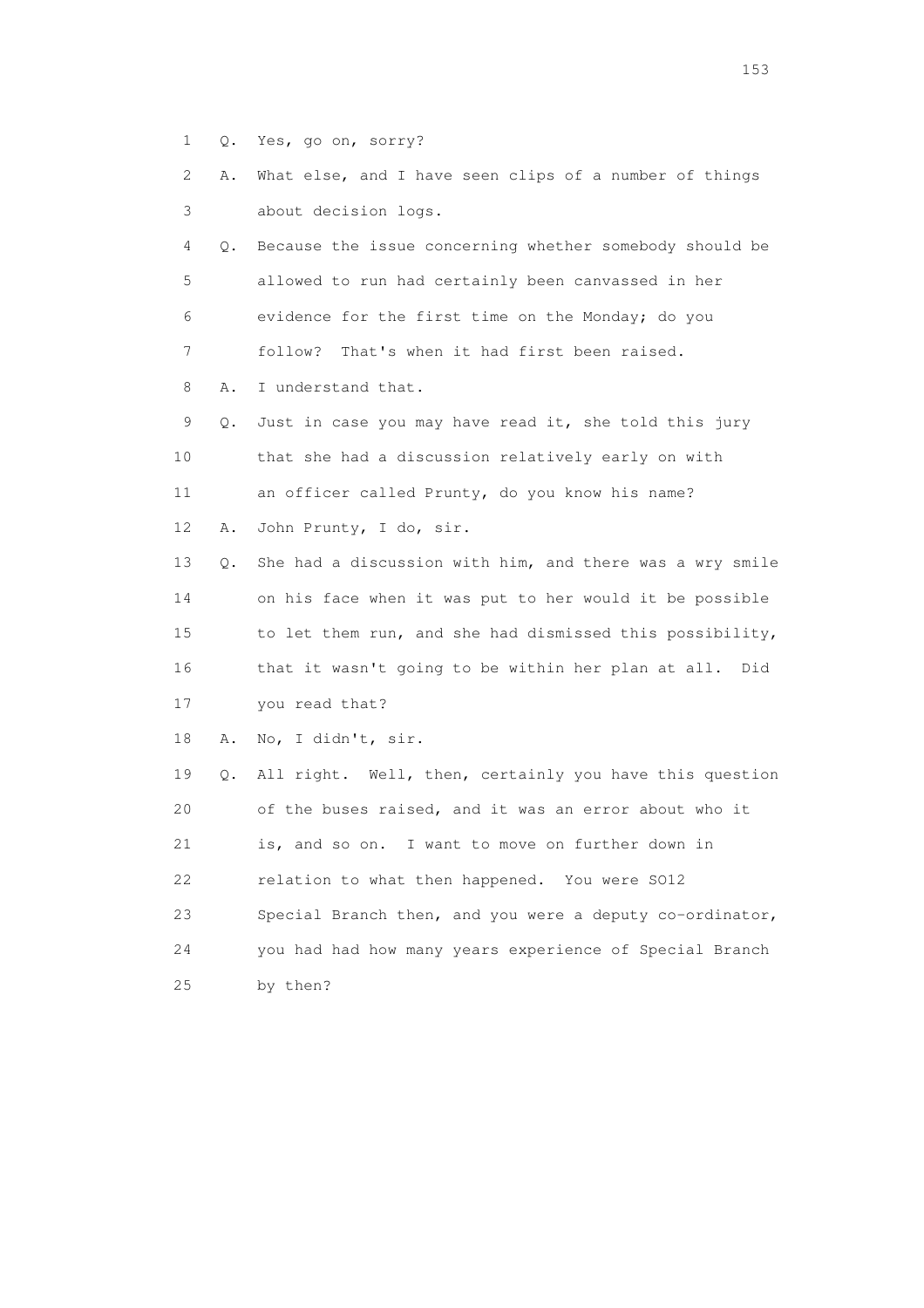- 1 Q. Yes, go on, sorry?
- 2 A. What else, and I have seen clips of a number of things 3 about decision logs.

 4 Q. Because the issue concerning whether somebody should be 5 allowed to run had certainly been canvassed in her 6 evidence for the first time on the Monday; do you 7 follow? That's when it had first been raised.

8 A. I understand that.

 9 Q. Just in case you may have read it, she told this jury 10 that she had a discussion relatively early on with 11 an officer called Prunty, do you know his name?

12 A. John Prunty, I do, sir.

 13 Q. She had a discussion with him, and there was a wry smile 14 on his face when it was put to her would it be possible 15 to let them run, and she had dismissed this possibility, 16 that it wasn't going to be within her plan at all. Did

17 you read that?

18 A. No, I didn't, sir.

 19 Q. All right. Well, then, certainly you have this question 20 of the buses raised, and it was an error about who it 21 is, and so on. I want to move on further down in 22 relation to what then happened. You were SO12 23 Special Branch then, and you were a deputy co-ordinator, 24 you had had how many years experience of Special Branch 25 by then?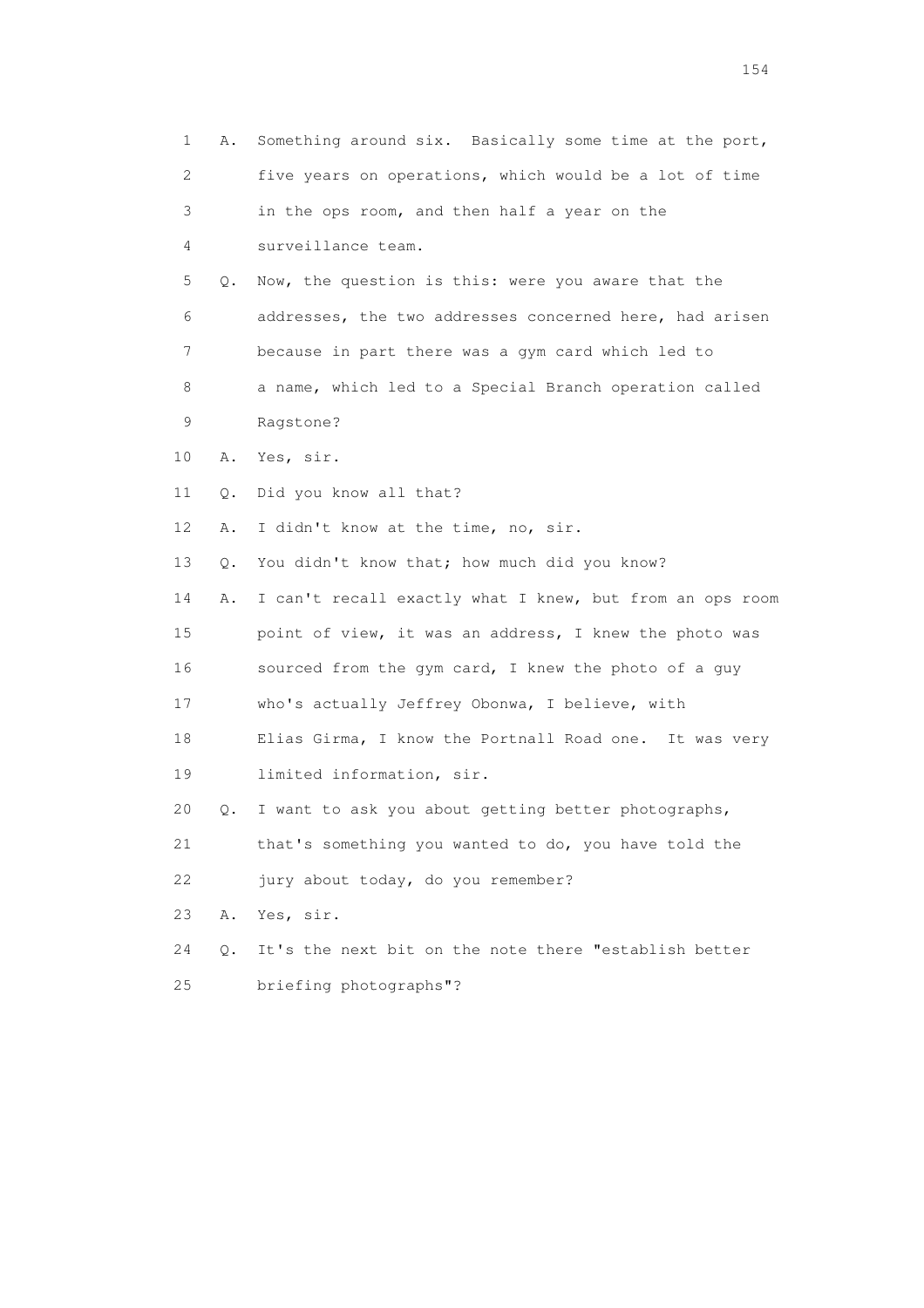1 A. Something around six. Basically some time at the port, 2 five years on operations, which would be a lot of time 3 in the ops room, and then half a year on the 4 surveillance team. 5 Q. Now, the question is this: were you aware that the 6 addresses, the two addresses concerned here, had arisen 7 because in part there was a gym card which led to 8 a name, which led to a Special Branch operation called 9 Ragstone? 10 A. Yes, sir. 11 Q. Did you know all that? 12 A. I didn't know at the time, no, sir. 13 Q. You didn't know that; how much did you know? 14 A. I can't recall exactly what I knew, but from an ops room 15 point of view, it was an address, I knew the photo was 16 sourced from the gym card, I knew the photo of a guy 17 who's actually Jeffrey Obonwa, I believe, with 18 Elias Girma, I know the Portnall Road one. It was very 19 limited information, sir. 20 Q. I want to ask you about getting better photographs, 21 that's something you wanted to do, you have told the 22 jury about today, do you remember? 23 A. Yes, sir. 24 Q. It's the next bit on the note there "establish better 25 briefing photographs"?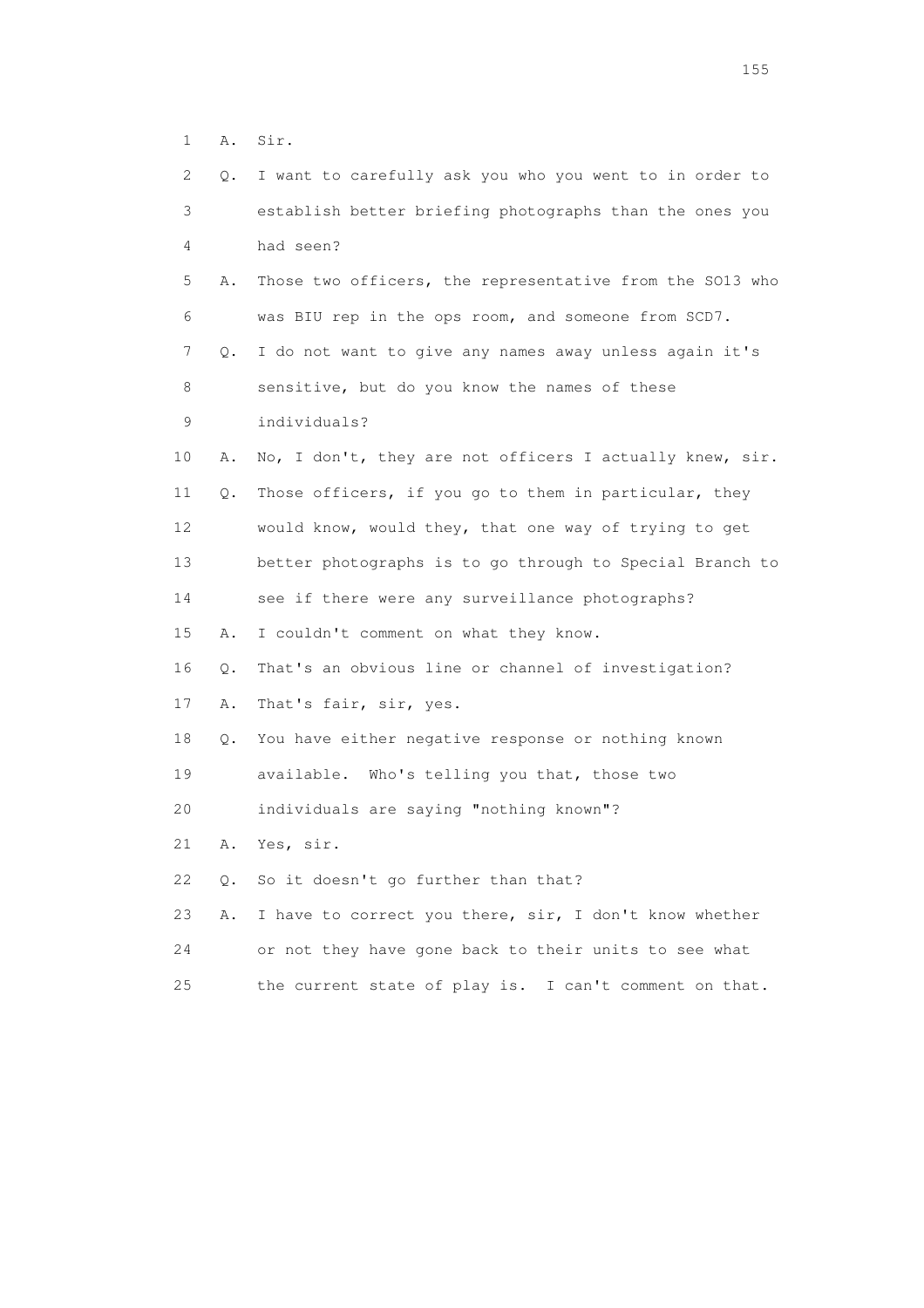1 A. Sir.

| 2  | Q. | I want to carefully ask you who you went to in order to  |
|----|----|----------------------------------------------------------|
| 3  |    | establish better briefing photographs than the ones you  |
| 4  |    | had seen?                                                |
| 5  | Α. | Those two officers, the representative from the SO13 who |
| 6  |    | was BIU rep in the ops room, and someone from SCD7.      |
| 7  | Q. | I do not want to give any names away unless again it's   |
| 8  |    | sensitive, but do you know the names of these            |
| 9  |    | individuals?                                             |
| 10 | Α. | No, I don't, they are not officers I actually knew, sir. |
| 11 | Q. | Those officers, if you go to them in particular, they    |
| 12 |    | would know, would they, that one way of trying to get    |
| 13 |    | better photographs is to go through to Special Branch to |
| 14 |    | see if there were any surveillance photographs?          |
| 15 | Α. | I couldn't comment on what they know.                    |
| 16 | Q. | That's an obvious line or channel of investigation?      |
| 17 | Α. | That's fair, sir, yes.                                   |
| 18 | Q. | You have either negative response or nothing known       |
| 19 |    | available. Who's telling you that, those two             |
| 20 |    | individuals are saying "nothing known"?                  |
| 21 | Α. | Yes, sir.                                                |
| 22 | О. | So it doesn't go further than that?                      |
| 23 | Α. | I have to correct you there, sir, I don't know whether   |
| 24 |    | or not they have gone back to their units to see what    |
| 25 |    | the current state of play is. I can't comment on that.   |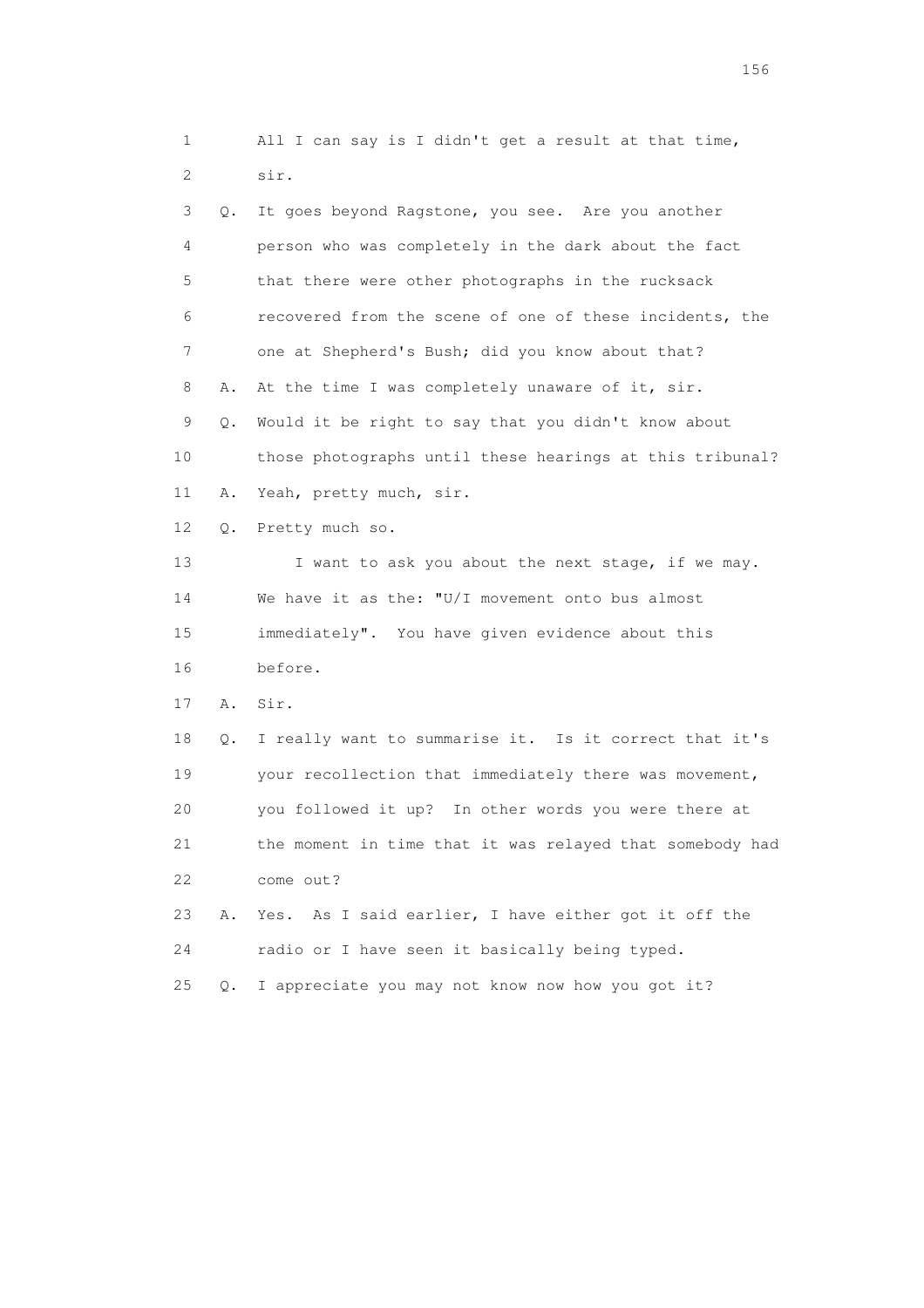1 All I can say is I didn't get a result at that time, 2 sir. 3 Q. It goes beyond Ragstone, you see. Are you another 4 person who was completely in the dark about the fact 5 that there were other photographs in the rucksack 6 recovered from the scene of one of these incidents, the 7 one at Shepherd's Bush; did you know about that? 8 A. At the time I was completely unaware of it, sir. 9 Q. Would it be right to say that you didn't know about 10 those photographs until these hearings at this tribunal? 11 A. Yeah, pretty much, sir. 12 Q. Pretty much so. 13 I want to ask you about the next stage, if we may. 14 We have it as the: "U/I movement onto bus almost 15 immediately". You have given evidence about this 16 before. 17 A. Sir. 18 Q. I really want to summarise it. Is it correct that it's 19 your recollection that immediately there was movement, 20 you followed it up? In other words you were there at 21 the moment in time that it was relayed that somebody had 22 come out? 23 A. Yes. As I said earlier, I have either got it off the 24 radio or I have seen it basically being typed. 25 Q. I appreciate you may not know now how you got it?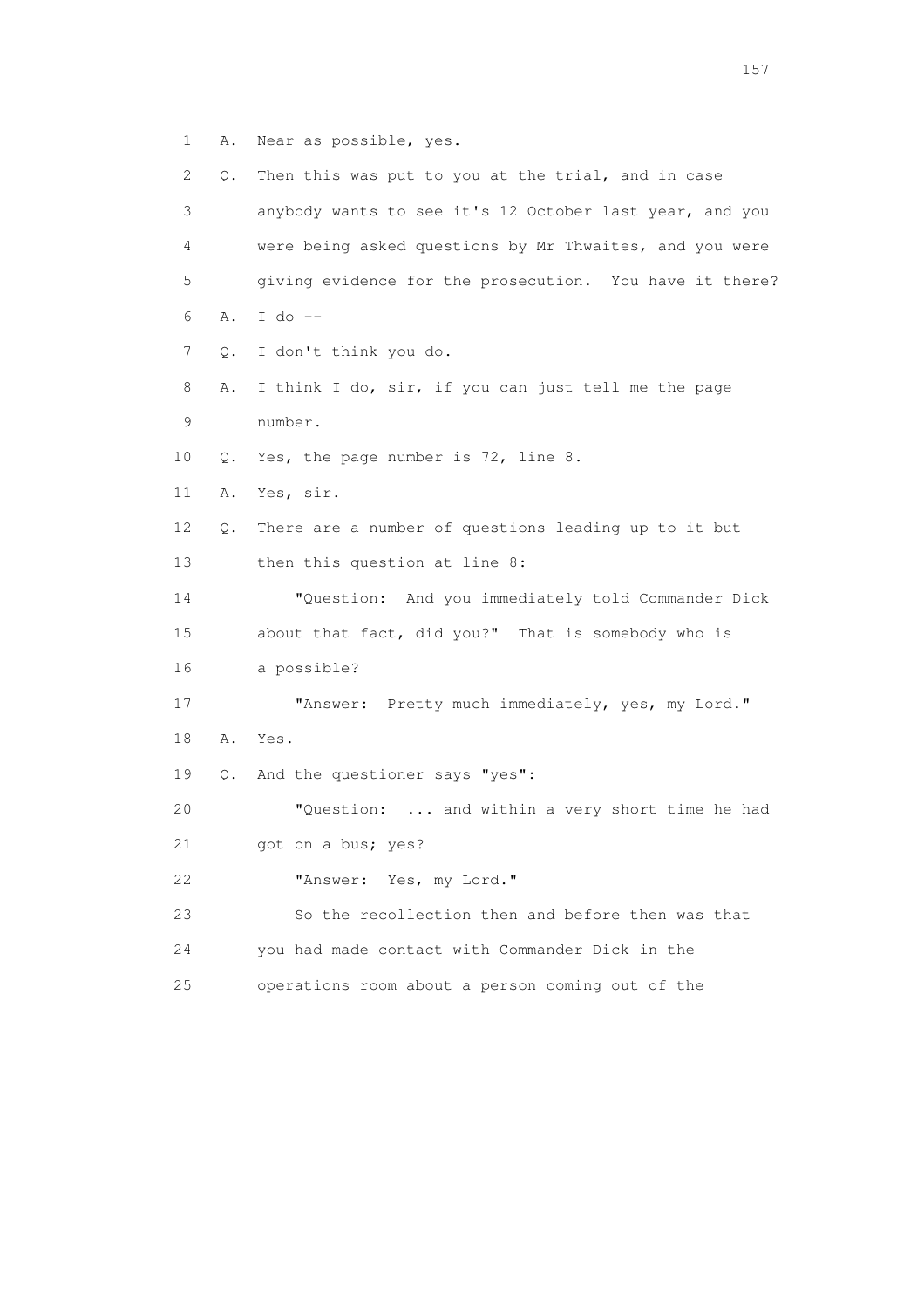1 A. Near as possible, yes.

| $\mathbf{2}^{\mathsf{I}}$ | Q. | Then this was put to you at the trial, and in case      |
|---------------------------|----|---------------------------------------------------------|
| 3                         |    | anybody wants to see it's 12 October last year, and you |
| 4                         |    | were being asked questions by Mr Thwaites, and you were |
| 5                         |    | giving evidence for the prosecution. You have it there? |
| 6                         | Α. | I do $--$                                               |
| 7                         | Q. | I don't think you do.                                   |
| 8                         | Α. | I think I do, sir, if you can just tell me the page     |
| 9                         |    | number.                                                 |
| 10                        | Q. | Yes, the page number is 72, line 8.                     |
| 11                        | Α. | Yes, sir.                                               |
| 12                        | Q. | There are a number of questions leading up to it but    |
| 13                        |    | then this question at line 8:                           |
| 14                        |    | "Question: And you immediately told Commander Dick      |
| 15                        |    | about that fact, did you?" That is somebody who is      |
| 16                        |    | a possible?                                             |
| 17                        |    | "Answer: Pretty much immediately, yes, my Lord."        |
| 18                        | Α. | Yes.                                                    |
| 19                        | Q. | And the questioner says "yes":                          |
| 20                        |    | "Question:  and within a very short time he had         |
| 21                        |    | got on a bus; yes?                                      |
| 22                        |    | "Answer: Yes, my Lord."                                 |
| 23                        |    | So the recollection then and before then was that       |
| 24                        |    | you had made contact with Commander Dick in the         |
| 25                        |    | operations room about a person coming out of the        |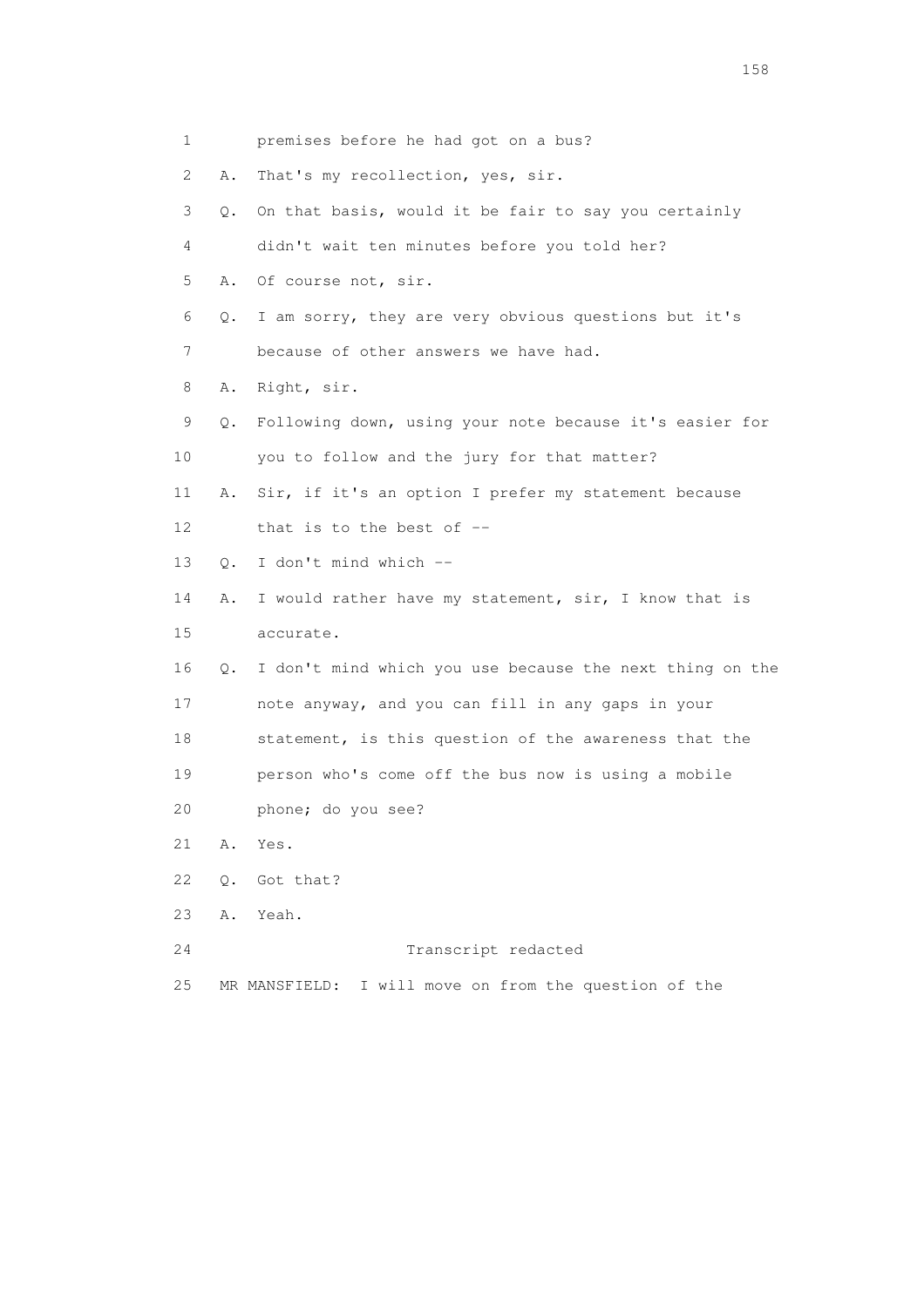| $\mathbf{1}$              |           | premises before he had got on a bus?                     |
|---------------------------|-----------|----------------------------------------------------------|
| $\mathbf{2}^{\mathsf{I}}$ | Α.        | That's my recollection, yes, sir.                        |
| 3                         | Q.        | On that basis, would it be fair to say you certainly     |
| 4                         |           | didn't wait ten minutes before you told her?             |
| 5                         | Α.        | Of course not, sir.                                      |
| 6                         | Q.        | I am sorry, they are very obvious questions but it's     |
| 7                         |           | because of other answers we have had.                    |
| 8                         | Α.        | Right, sir.                                              |
| 9                         | Q.        | Following down, using your note because it's easier for  |
| 10                        |           | you to follow and the jury for that matter?              |
| 11                        | Α.        | Sir, if it's an option I prefer my statement because     |
| 12                        |           | that is to the best of $-$                               |
| 13                        | $\circ$ . | I don't mind which --                                    |
| 14                        | Α.        | I would rather have my statement, sir, I know that is    |
| 15                        |           | accurate.                                                |
| 16                        | Q.        | I don't mind which you use because the next thing on the |
| 17                        |           | note anyway, and you can fill in any gaps in your        |
| 18                        |           | statement, is this question of the awareness that the    |
| 19                        |           | person who's come off the bus now is using a mobile      |
| 20                        |           | phone; do you see?                                       |
| 21                        | Α.        | Yes.                                                     |
| 22                        | $Q$ .     | Got that?                                                |
| 23                        | Α.        | Yeah.                                                    |
| 24                        |           | Transcript redacted                                      |
| 25                        |           | I will move on from the question of the<br>MR MANSFIELD: |

158 and 158 and 158 and 158 and 158 and 158 and 158 and 158 and 158 and 158 and 158 and 158 and 158 and 158 and 158 and 158 and 158 and 158 and 158 and 158 and 159 and 159 and 159 and 159 and 159 and 159 and 159 and 159 an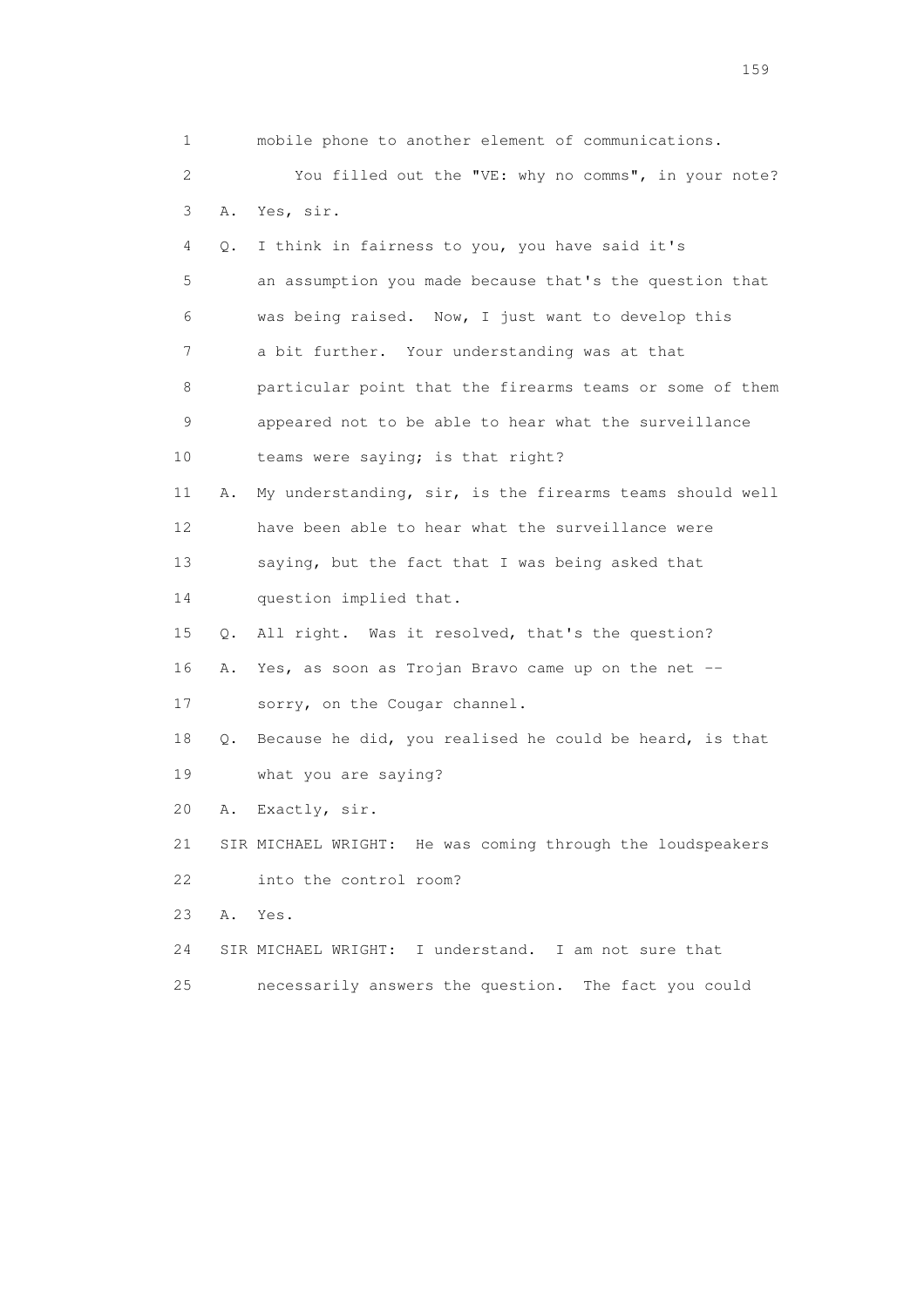| 1                         |    | mobile phone to another element of communications.         |
|---------------------------|----|------------------------------------------------------------|
| $\mathbf{2}^{\mathsf{I}}$ |    | You filled out the "VE: why no comms", in your note?       |
| 3                         | Α. | Yes, sir.                                                  |
| 4                         | Q. | I think in fairness to you, you have said it's             |
| 5                         |    | an assumption you made because that's the question that    |
| 6                         |    | was being raised. Now, I just want to develop this         |
| 7                         |    | a bit further. Your understanding was at that              |
| 8                         |    | particular point that the firearms teams or some of them   |
| 9                         |    | appeared not to be able to hear what the surveillance      |
| 10                        |    | teams were saying; is that right?                          |
| 11                        | Α. | My understanding, sir, is the firearms teams should well   |
| 12                        |    | have been able to hear what the surveillance were          |
| 13                        |    | saying, but the fact that I was being asked that           |
| 14                        |    | question implied that.                                     |
| 15                        | Q. | All right. Was it resolved, that's the question?           |
| 16                        | Α. | Yes, as soon as Trojan Bravo came up on the net --         |
| 17                        |    | sorry, on the Cougar channel.                              |
| 18                        | Q. | Because he did, you realised he could be heard, is that    |
| 19                        |    | what you are saying?                                       |
| 20                        | Α. | Exactly, sir.                                              |
| 21                        |    | SIR MICHAEL WRIGHT: He was coming through the loudspeakers |
| 22                        |    | into the control room?                                     |
| 23                        | Α. | Yes.                                                       |
| 24                        |    | SIR MICHAEL WRIGHT: I understand. I am not sure that       |
| 25                        |    | necessarily answers the question.<br>The fact you could    |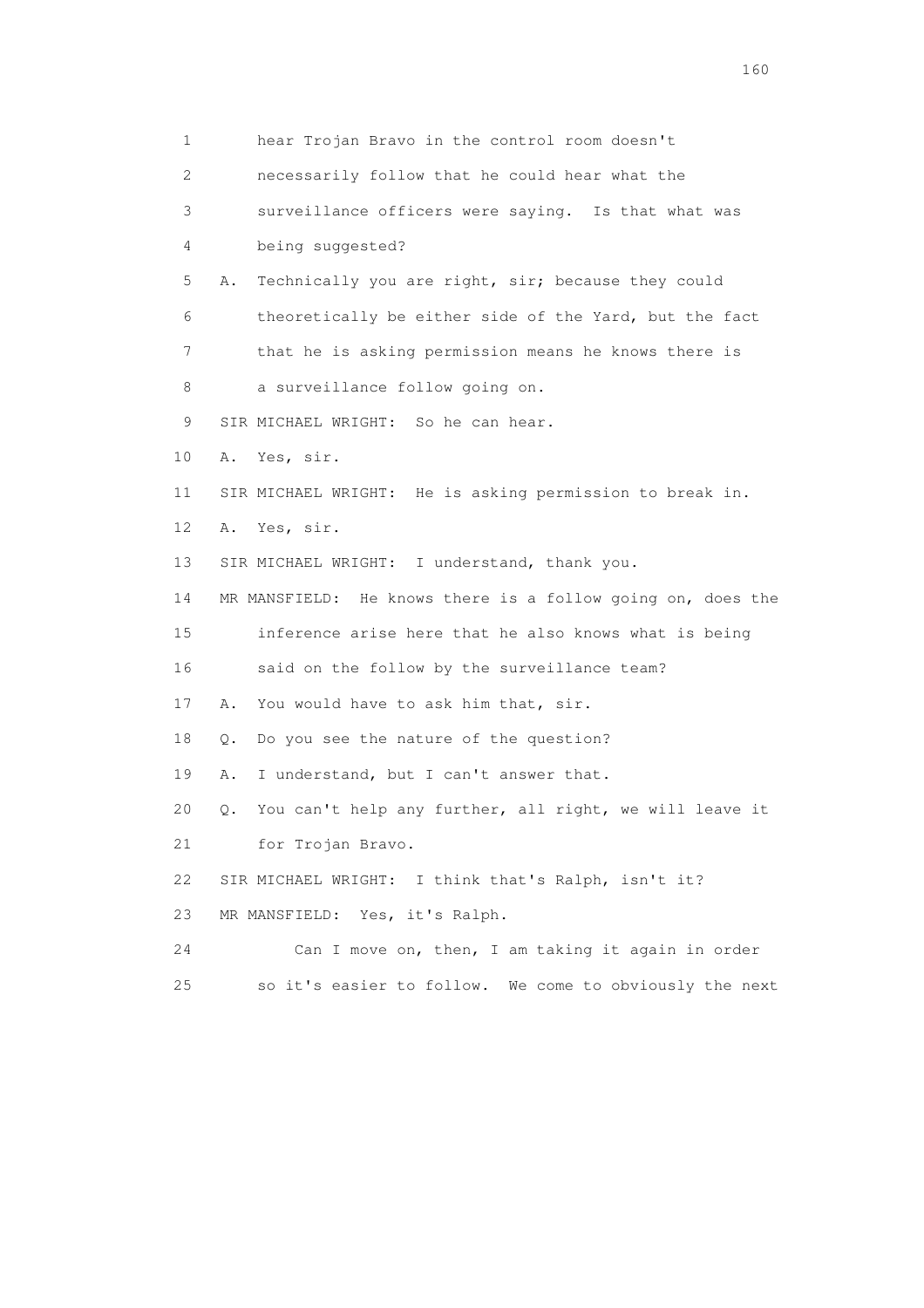1 hear Trojan Bravo in the control room doesn't 2 necessarily follow that he could hear what the 3 surveillance officers were saying. Is that what was 4 being suggested? 5 A. Technically you are right, sir; because they could 6 theoretically be either side of the Yard, but the fact 7 that he is asking permission means he knows there is 8 a surveillance follow going on. 9 SIR MICHAEL WRIGHT: So he can hear. 10 A. Yes, sir. 11 SIR MICHAEL WRIGHT: He is asking permission to break in. 12 A. Yes, sir. 13 SIR MICHAEL WRIGHT: I understand, thank you. 14 MR MANSFIELD: He knows there is a follow going on, does the 15 inference arise here that he also knows what is being 16 said on the follow by the surveillance team? 17 A. You would have to ask him that, sir. 18 Q. Do you see the nature of the question? 19 A. I understand, but I can't answer that. 20 Q. You can't help any further, all right, we will leave it 21 for Trojan Bravo. 22 SIR MICHAEL WRIGHT: I think that's Ralph, isn't it? 23 MR MANSFIELD: Yes, it's Ralph. 24 Can I move on, then, I am taking it again in order 25 so it's easier to follow. We come to obviously the next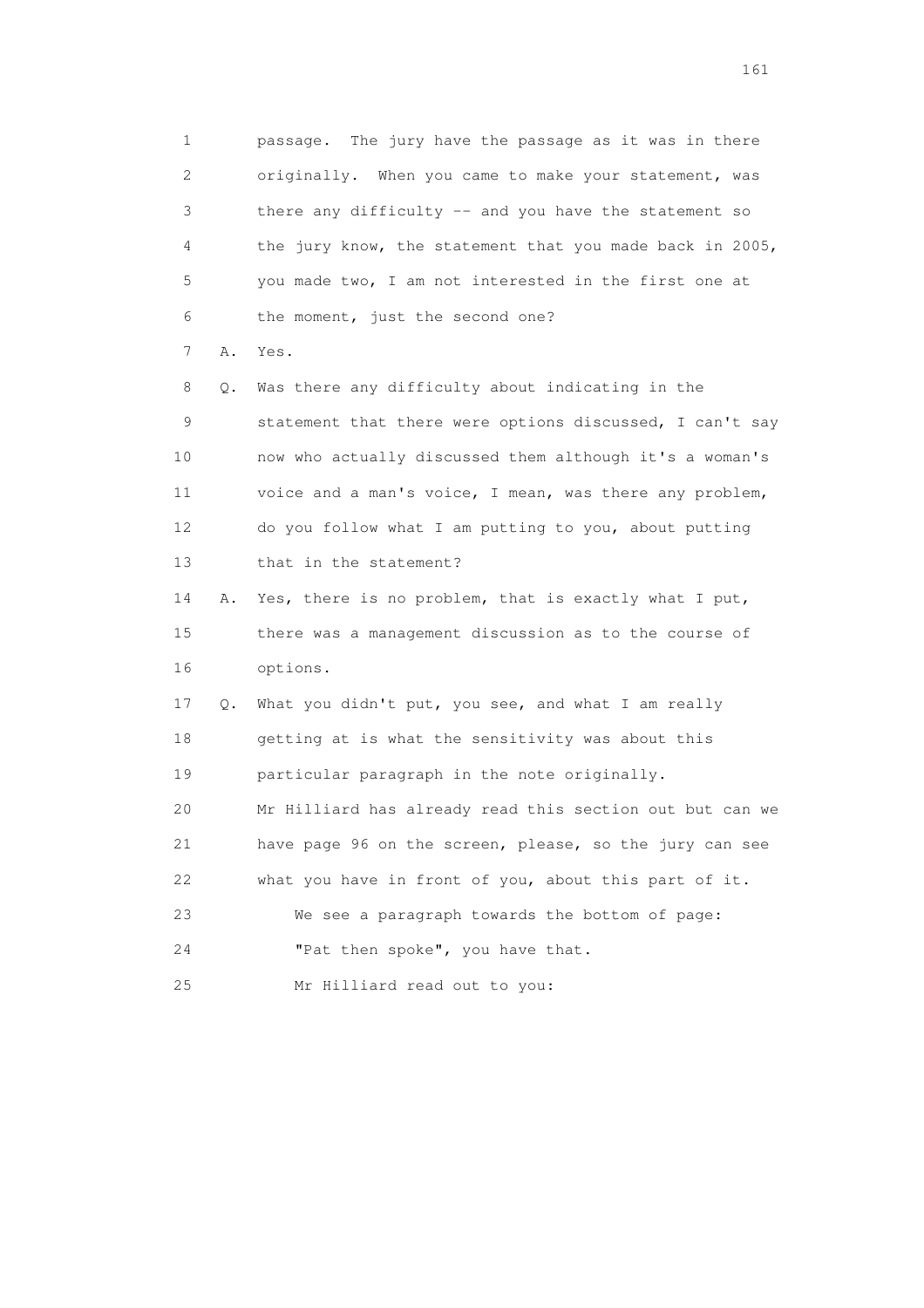1 passage. The jury have the passage as it was in there 2 originally. When you came to make your statement, was 3 there any difficulty -- and you have the statement so 4 the jury know, the statement that you made back in 2005, 5 you made two, I am not interested in the first one at 6 the moment, just the second one? 7 A. Yes. 8 Q. Was there any difficulty about indicating in the 9 statement that there were options discussed, I can't say 10 now who actually discussed them although it's a woman's 11 voice and a man's voice, I mean, was there any problem, 12 do you follow what I am putting to you, about putting 13 that in the statement? 14 A. Yes, there is no problem, that is exactly what I put, 15 there was a management discussion as to the course of 16 options. 17 Q. What you didn't put, you see, and what I am really 18 getting at is what the sensitivity was about this

19 particular paragraph in the note originally.

 20 Mr Hilliard has already read this section out but can we 21 have page 96 on the screen, please, so the jury can see 22 what you have in front of you, about this part of it.

23 We see a paragraph towards the bottom of page:

24 "Pat then spoke", you have that.

25 Mr Hilliard read out to you: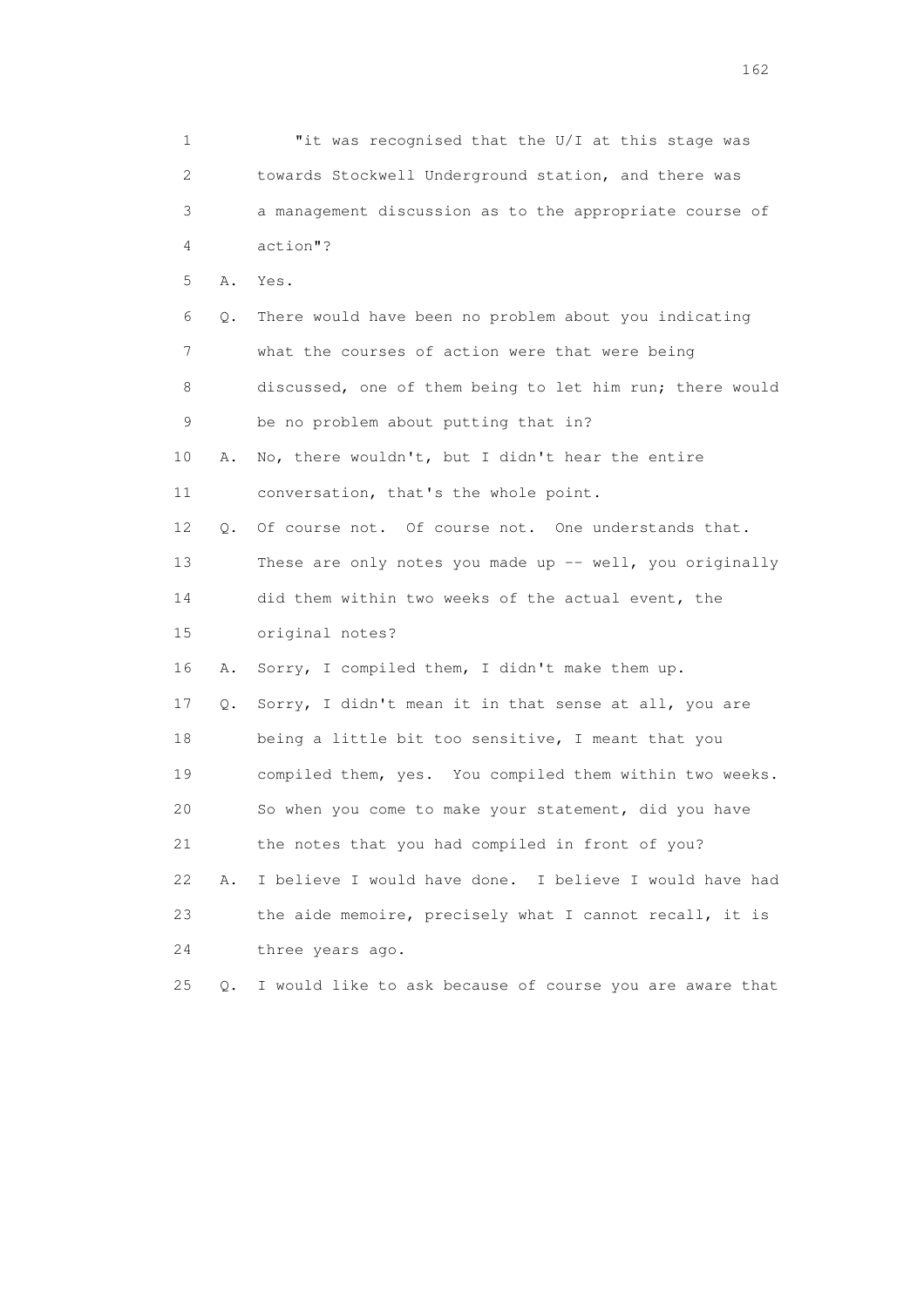| $\mathbf 1$ |           | "it was recognised that the U/I at this stage was        |
|-------------|-----------|----------------------------------------------------------|
| 2.          |           | towards Stockwell Underground station, and there was     |
| 3           |           | a management discussion as to the appropriate course of  |
| 4           |           | action"?                                                 |
| 5           | Α.        | Yes.                                                     |
| 6           | Q.        | There would have been no problem about you indicating    |
| 7           |           | what the courses of action were that were being          |
| 8           |           | discussed, one of them being to let him run; there would |
| 9           |           | be no problem about putting that in?                     |
| 10          | Α.        | No, there wouldn't, but I didn't hear the entire         |
| 11          |           | conversation, that's the whole point.                    |
| 12          | $\circ$ . | Of course not. Of course not. One understands that.      |
| 13          |           | These are only notes you made up -- well, you originally |
| 14          |           | did them within two weeks of the actual event, the       |
| 15          |           | original notes?                                          |
| 16          | Α.        | Sorry, I compiled them, I didn't make them up.           |
| 17          | Q.        | Sorry, I didn't mean it in that sense at all, you are    |
| 18          |           | being a little bit too sensitive, I meant that you       |
| 19          |           | compiled them, yes. You compiled them within two weeks.  |
| 20          |           | So when you come to make your statement, did you have    |
| 21          |           | the notes that you had compiled in front of you?         |
| 22          | Α.        | I believe I would have done. I believe I would have had  |
| 23          |           | the aide memoire, precisely what I cannot recall, it is  |
| 24          |           | three years ago.                                         |
| 25          | Q.        | I would like to ask because of course you are aware that |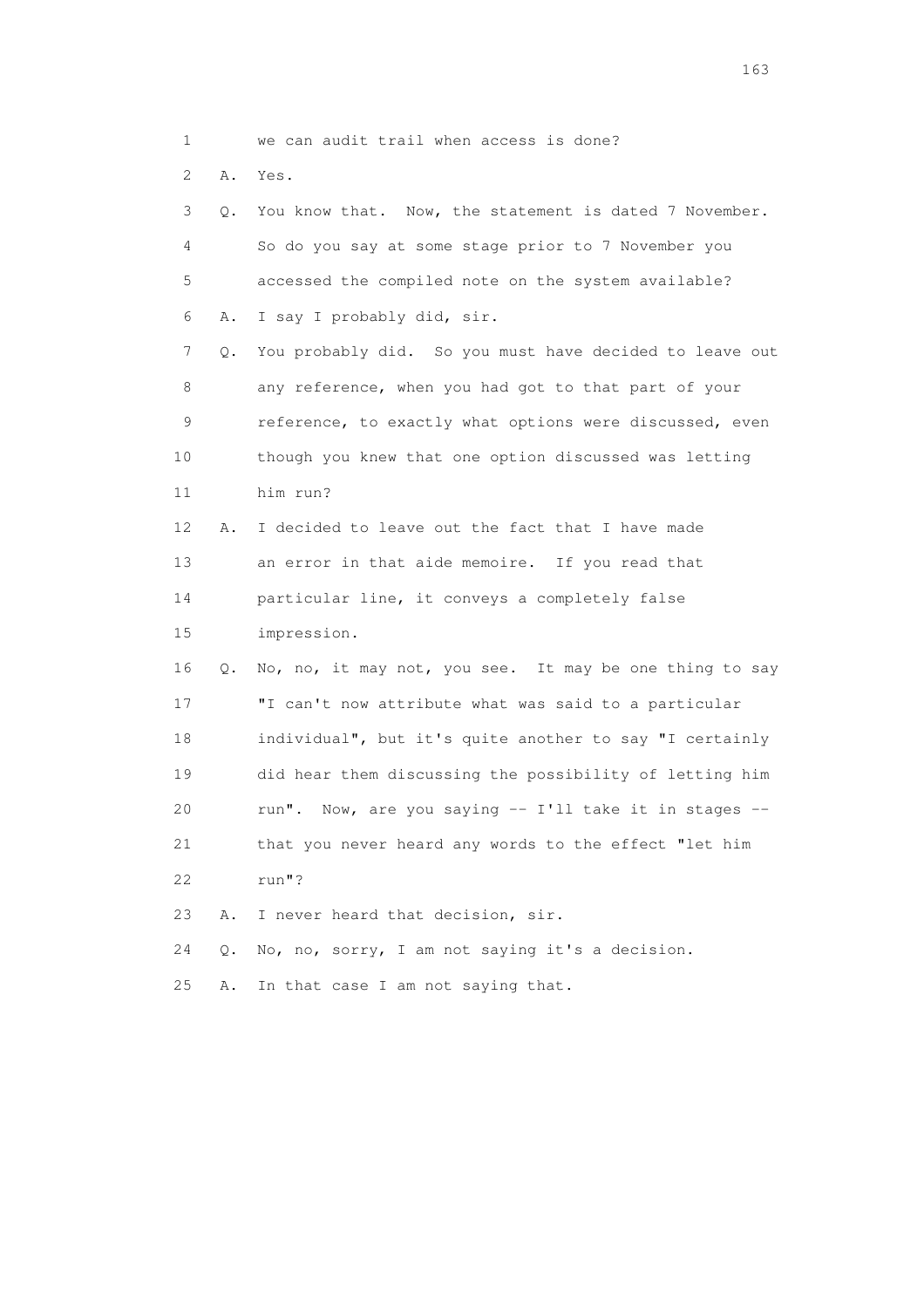1 we can audit trail when access is done?

2 A. Yes.

|                 | 3<br>$\circ$ . | You know that. Now, the statement is dated 7 November.  |
|-----------------|----------------|---------------------------------------------------------|
|                 | $\overline{4}$ | So do you say at some stage prior to 7 November you     |
|                 | 5              | accessed the compiled note on the system available?     |
|                 | 6<br>Α.        | I say I probably did, sir.                              |
|                 | 7<br>Q.        | You probably did. So you must have decided to leave out |
|                 | 8              | any reference, when you had got to that part of your    |
|                 | 9              | reference, to exactly what options were discussed, even |
| 10              |                | though you knew that one option discussed was letting   |
| 11              |                | him run?                                                |
| 12 <sup>°</sup> | Α.             | I decided to leave out the fact that I have made        |
| 13              |                | an error in that aide memoire. If you read that         |
| 14              |                | particular line, it conveys a completely false          |
| 15              |                | impression.                                             |
| 16              | Q.             | No, no, it may not, you see. It may be one thing to say |
| 17              |                | "I can't now attribute what was said to a particular    |
| 18              |                | individual", but it's quite another to say "I certainly |
| 19              |                | did hear them discussing the possibility of letting him |
| 20              |                | run". Now, are you saying -- I'll take it in stages --  |
| 21              |                | that you never heard any words to the effect "let him   |
| 22              |                | run"?                                                   |
| 23              | Α.             | I never heard that decision, sir.                       |
| 24              | Q.             | No, no, sorry, I am not saying it's a decision.         |
| 25              | Α.             | In that case I am not saying that.                      |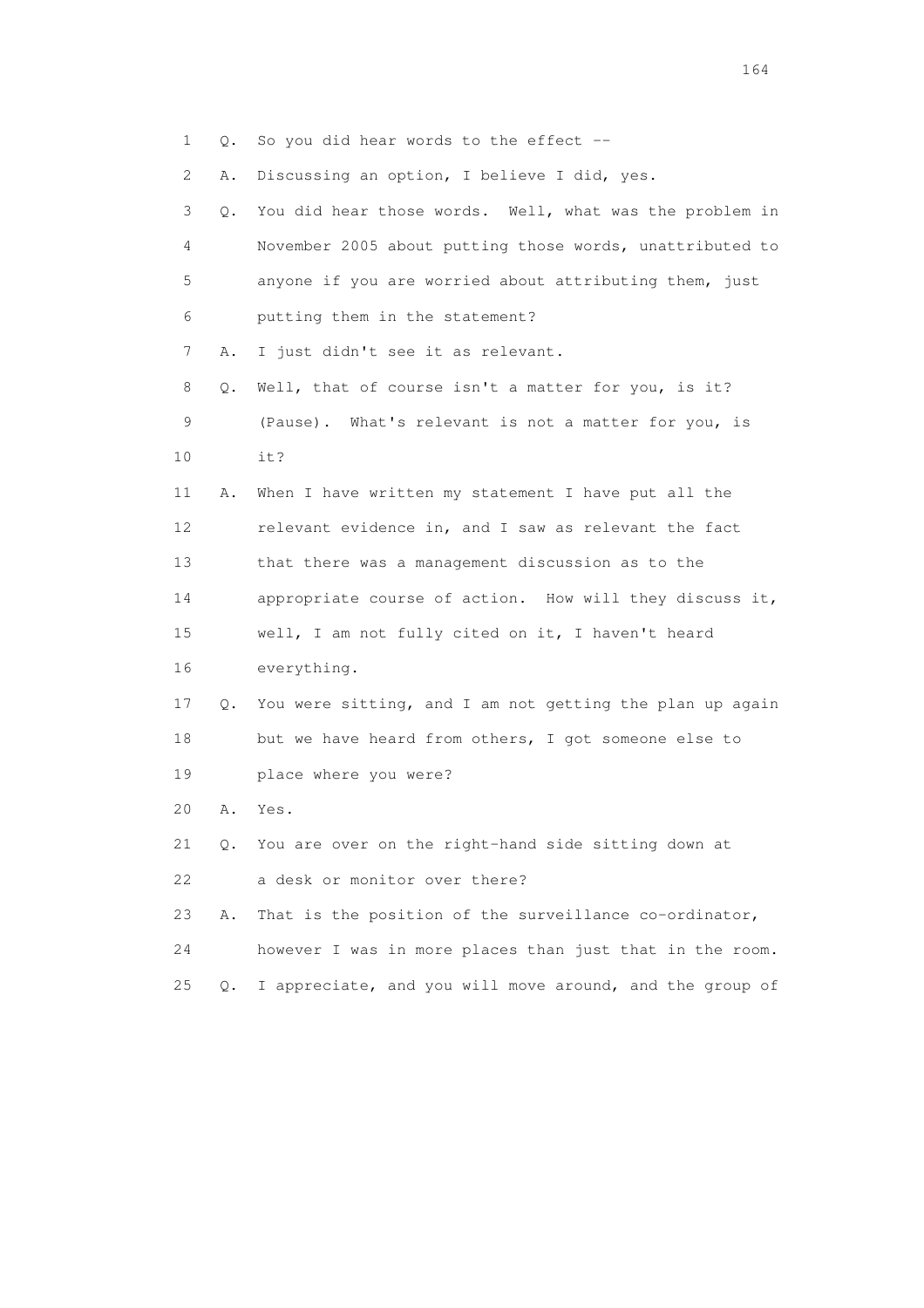1 Q. So you did hear words to the effect --

2 A. Discussing an option, I believe I did, yes.

| 3               | 0. | You did hear those words. Well, what was the problem in     |
|-----------------|----|-------------------------------------------------------------|
| 4               |    | November 2005 about putting those words, unattributed to    |
| 5               |    | anyone if you are worried about attributing them, just      |
| 6               |    | putting them in the statement?                              |
| $\overline{7}$  | Α. | I just didn't see it as relevant.                           |
| 8               | О. | Well, that of course isn't a matter for you, is it?         |
| 9               |    | (Pause). What's relevant is not a matter for you, is        |
| 10              |    | it?                                                         |
| 11              | Α. | When I have written my statement I have put all the         |
| 12 <sup>°</sup> |    | relevant evidence in, and I saw as relevant the fact        |
| 13              |    | that there was a management discussion as to the            |
| 14              |    | appropriate course of action. How will they discuss it,     |
| 15              |    | well, I am not fully cited on it, I haven't heard           |
| 16              |    | everything.                                                 |
| 17              |    | Q. You were sitting, and I am not getting the plan up again |
| 18              |    | but we have heard from others, I got someone else to        |
| 19              |    | place where you were?                                       |
| 20              | Α. | Yes.                                                        |
| 21              | Q. | You are over on the right-hand side sitting down at         |
| 22              |    | a desk or monitor over there?                               |
| 23              | Α. | That is the position of the surveillance co-ordinator,      |
| 24              |    | however I was in more places than just that in the room.    |

25 Q. I appreciate, and you will move around, and the group of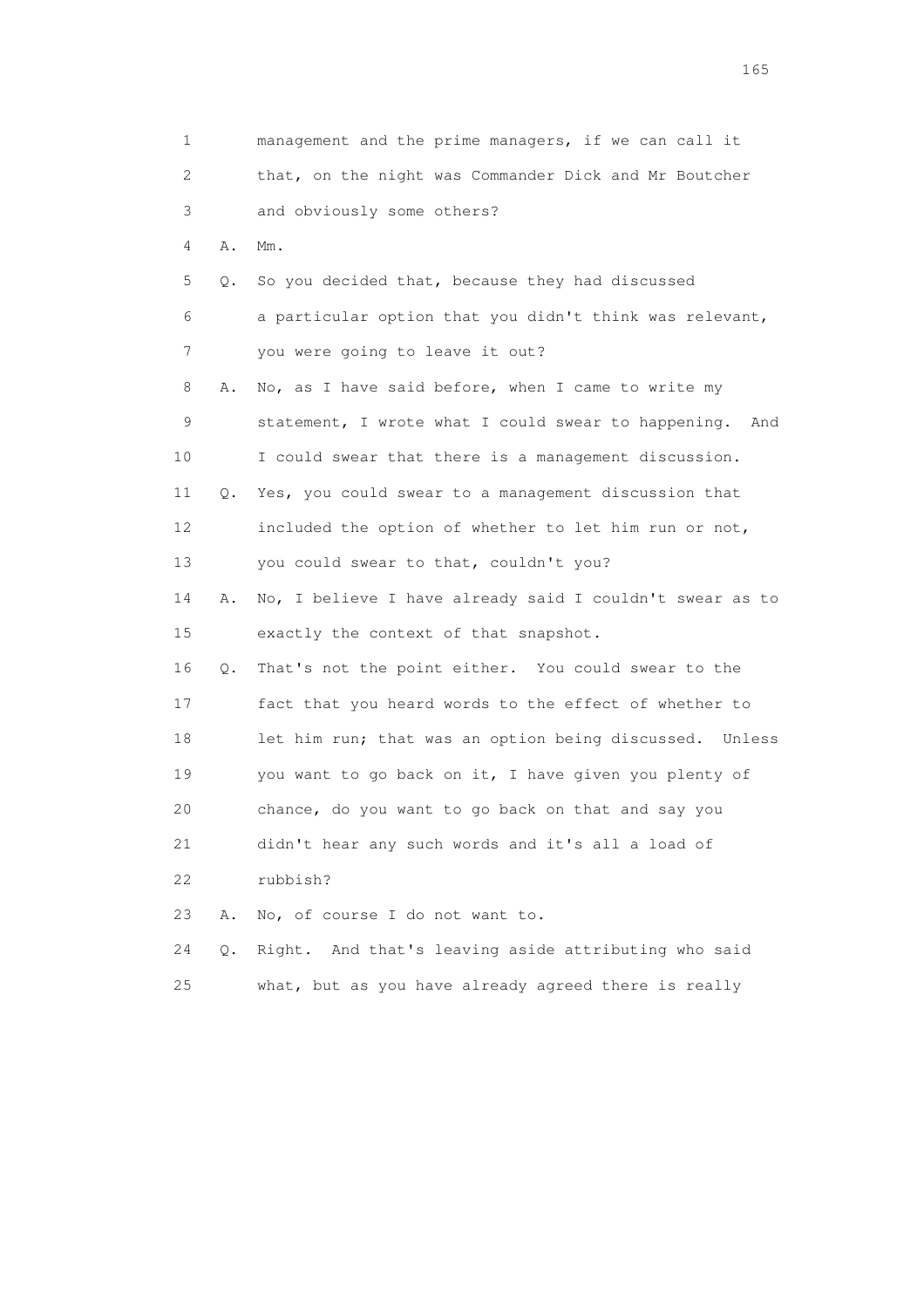| 1  |    | management and the prime managers, if we can call it     |
|----|----|----------------------------------------------------------|
| 2  |    | that, on the night was Commander Dick and Mr Boutcher    |
| 3  |    | and obviously some others?                               |
| 4  | Α. | $Mm$ .                                                   |
| 5  | Q. | So you decided that, because they had discussed          |
| 6  |    | a particular option that you didn't think was relevant,  |
| 7  |    | you were going to leave it out?                          |
| 8  | Α. | No, as I have said before, when I came to write my       |
| 9  |    | statement, I wrote what I could swear to happening. And  |
| 10 |    | I could swear that there is a management discussion.     |
| 11 | Q. | Yes, you could swear to a management discussion that     |
| 12 |    | included the option of whether to let him run or not,    |
| 13 |    | you could swear to that, couldn't you?                   |
| 14 | Α. | No, I believe I have already said I couldn't swear as to |
| 15 |    | exactly the context of that snapshot.                    |
| 16 | Q. | That's not the point either. You could swear to the      |
| 17 |    | fact that you heard words to the effect of whether to    |
| 18 |    | let him run; that was an option being discussed. Unless  |
| 19 |    | you want to go back on it, I have given you plenty of    |
| 20 |    | chance, do you want to go back on that and say you       |
| 21 |    | didn't hear any such words and it's all a load of        |
| 22 |    | rubbish?                                                 |
| 23 | Α. | No, of course I do not want to.                          |
| 24 | Q. | Right. And that's leaving aside attributing who said     |
| 25 |    | what, but as you have already agreed there is really     |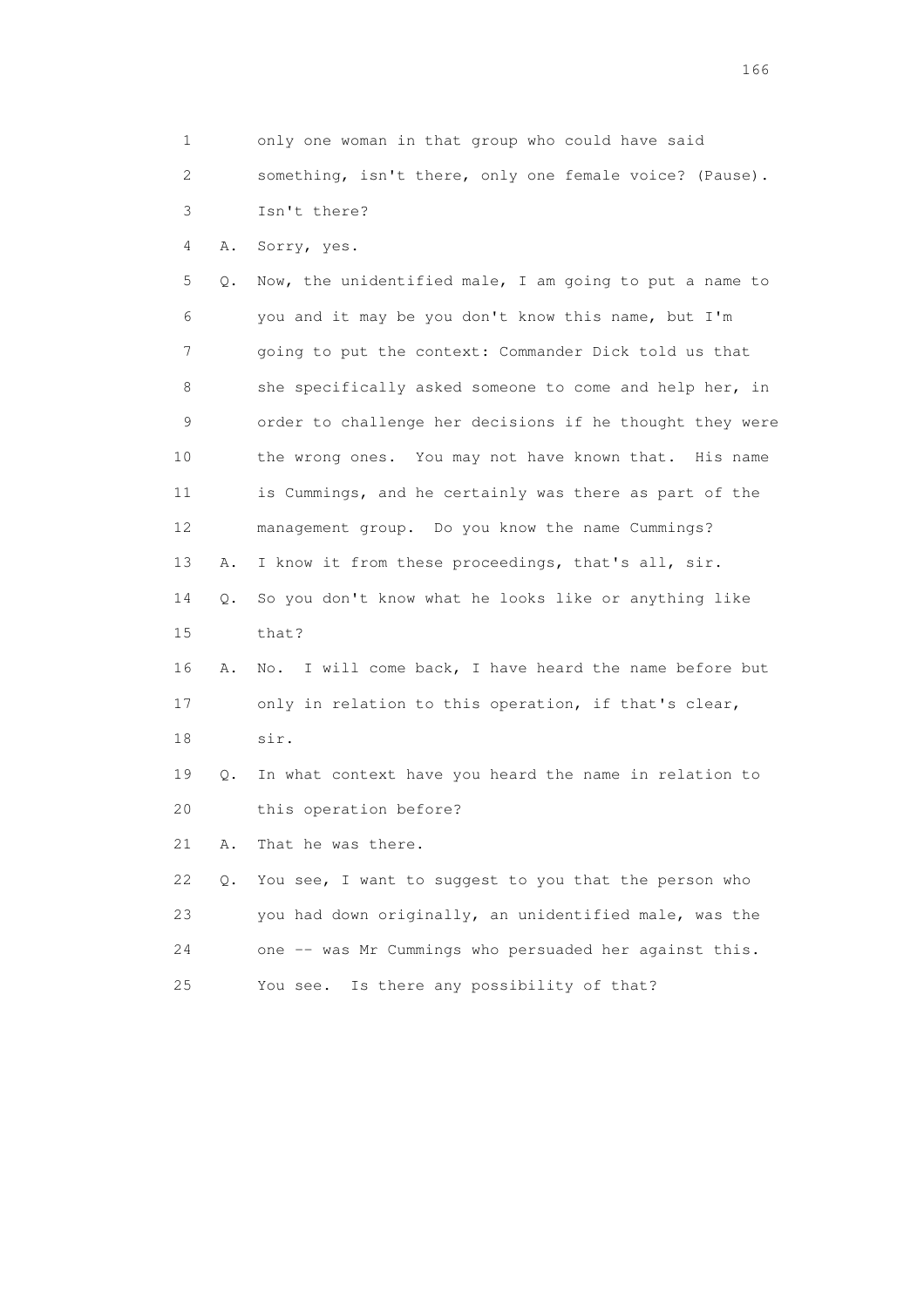1 only one woman in that group who could have said 2 something, isn't there, only one female voice? (Pause). 3 Isn't there? 4 A. Sorry, yes. 5 Q. Now, the unidentified male, I am going to put a name to 6 you and it may be you don't know this name, but I'm 7 going to put the context: Commander Dick told us that 8 she specifically asked someone to come and help her, in 9 order to challenge her decisions if he thought they were 10 the wrong ones. You may not have known that. His name 11 is Cummings, and he certainly was there as part of the 12 management group. Do you know the name Cummings? 13 A. I know it from these proceedings, that's all, sir. 14 Q. So you don't know what he looks like or anything like 15 that? 16 A. No. I will come back, I have heard the name before but 17 only in relation to this operation, if that's clear, 18 sir. 19 Q. In what context have you heard the name in relation to 20 this operation before? 21 A. That he was there. 22 Q. You see, I want to suggest to you that the person who 23 you had down originally, an unidentified male, was the 24 one -- was Mr Cummings who persuaded her against this. 25 You see. Is there any possibility of that?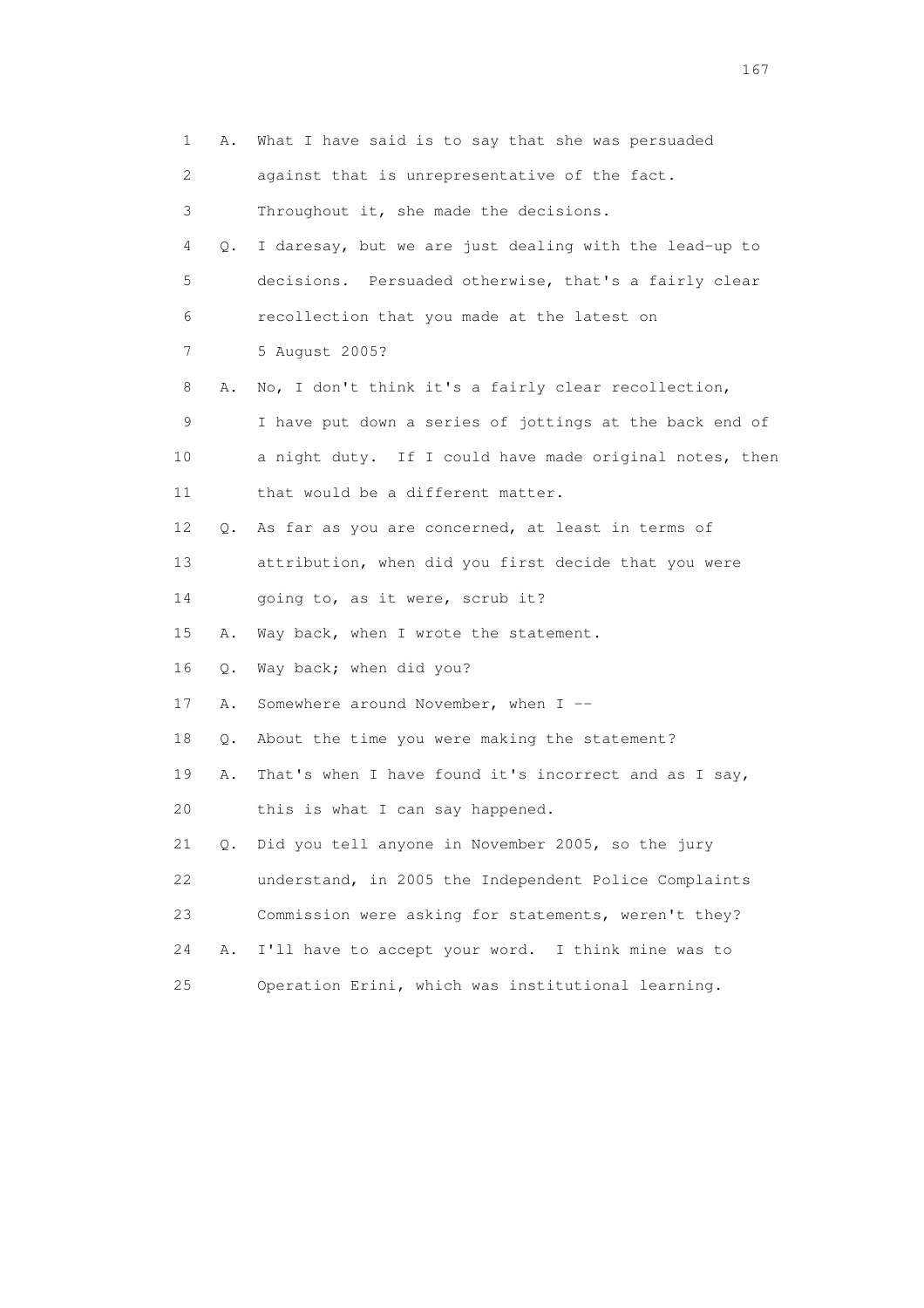| 1  | Α.            | What I have said is to say that she was persuaded       |
|----|---------------|---------------------------------------------------------|
| 2  |               | against that is unrepresentative of the fact.           |
| 3  |               | Throughout it, she made the decisions.                  |
| 4  | Q.            | I daresay, but we are just dealing with the lead-up to  |
| 5  |               | decisions. Persuaded otherwise, that's a fairly clear   |
| 6  |               | recollection that you made at the latest on             |
| 7  |               | 5 August 2005?                                          |
| 8  | Α.            | No, I don't think it's a fairly clear recollection,     |
| 9  |               | I have put down a series of jottings at the back end of |
| 10 |               | a night duty. If I could have made original notes, then |
| 11 |               | that would be a different matter.                       |
| 12 | Q.            | As far as you are concerned, at least in terms of       |
| 13 |               | attribution, when did you first decide that you were    |
| 14 |               | going to, as it were, scrub it?                         |
| 15 | Α.            | Way back, when I wrote the statement.                   |
| 16 | Q.            | Way back; when did you?                                 |
| 17 | Α.            | Somewhere around November, when I --                    |
| 18 | Q.            | About the time you were making the statement?           |
| 19 | Α.            | That's when I have found it's incorrect and as I say,   |
| 20 |               | this is what I can say happened.                        |
| 21 | $Q_{\bullet}$ | Did you tell anyone in November 2005, so the jury       |
| 22 |               | understand, in 2005 the Independent Police Complaints   |
| 23 |               | Commission were asking for statements, weren't they?    |
| 24 | Α.            | I'll have to accept your word. I think mine was to      |
| 25 |               | Operation Erini, which was institutional learning.      |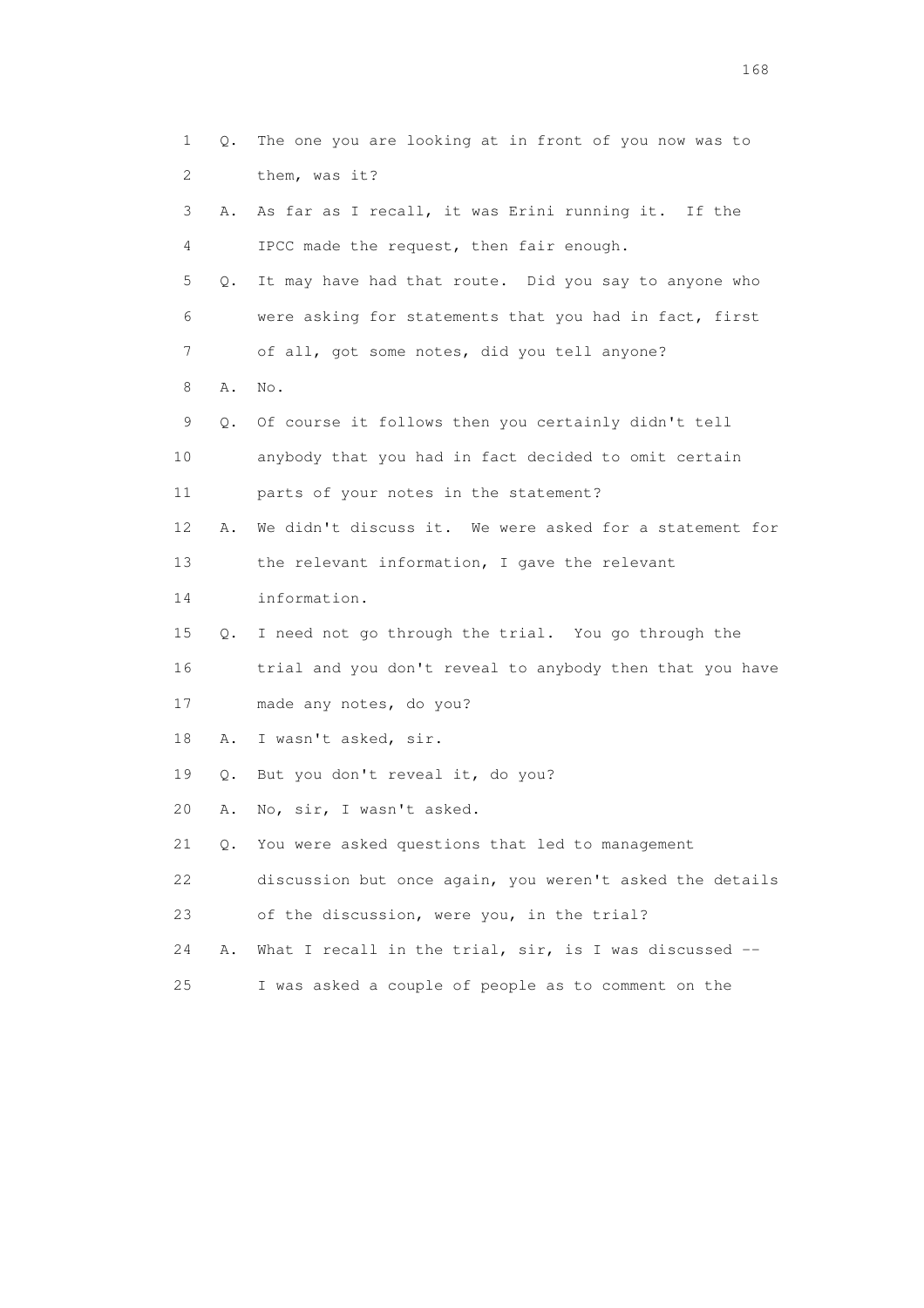|    | $\mathbf 1$<br>Q. | The one you are looking at in front of you now was to    |
|----|-------------------|----------------------------------------------------------|
|    | 2                 | them, was it?                                            |
|    | 3<br>Α.           | As far as I recall, it was Erini running it. If the      |
|    | 4                 | IPCC made the request, then fair enough.                 |
|    | 5<br>Q.           | It may have had that route. Did you say to anyone who    |
|    | 6                 | were asking for statements that you had in fact, first   |
|    | 7                 | of all, got some notes, did you tell anyone?             |
|    | 8<br>Α.           | No.                                                      |
|    | 9<br>Q.           | Of course it follows then you certainly didn't tell      |
| 10 |                   | anybody that you had in fact decided to omit certain     |
| 11 |                   | parts of your notes in the statement?                    |
| 12 | Α.                | We didn't discuss it. We were asked for a statement for  |
| 13 |                   | the relevant information, I gave the relevant            |
| 14 |                   | information.                                             |
| 15 | Q.                | I need not go through the trial. You go through the      |
| 16 |                   | trial and you don't reveal to anybody then that you have |
| 17 |                   | made any notes, do you?                                  |
| 18 | Α.                | I wasn't asked, sir.                                     |
| 19 | Q.                | But you don't reveal it, do you?                         |
| 20 | Α.                | No, sir, I wasn't asked.                                 |
| 21 |                   | Q. You were asked questions that led to management       |
| 22 |                   | discussion but once again, you weren't asked the details |
| 23 |                   | of the discussion, were you, in the trial?               |
| 24 | Α.                | What I recall in the trial, sir, is I was discussed --   |
| 25 |                   | I was asked a couple of people as to comment on the      |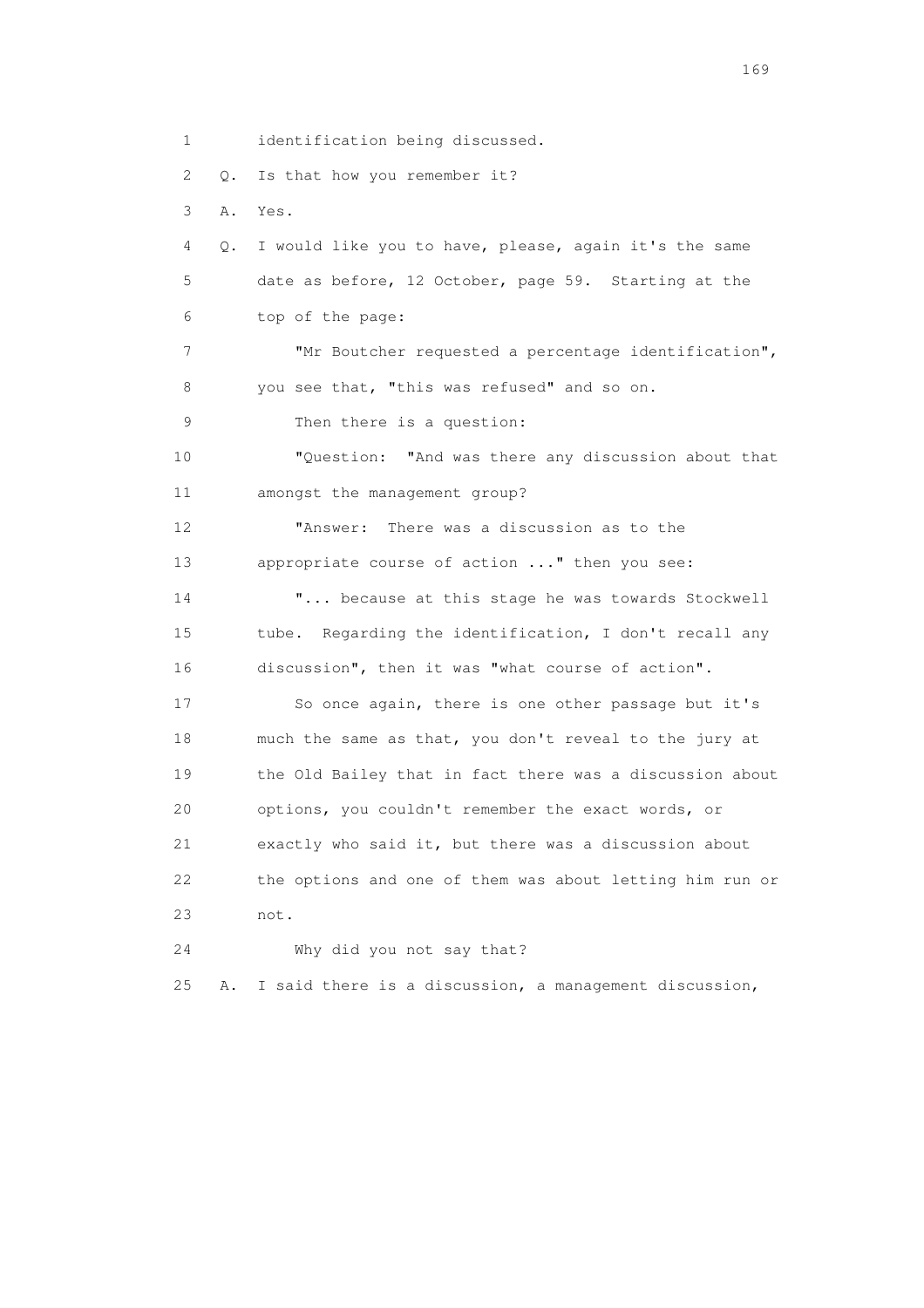1 identification being discussed. 2 Q. Is that how you remember it? 3 A. Yes. 4 Q. I would like you to have, please, again it's the same 5 date as before, 12 October, page 59. Starting at the 6 top of the page: 7 "Mr Boutcher requested a percentage identification", 8 you see that, "this was refused" and so on. 9 Then there is a question: 10 "Question: "And was there any discussion about that 11 amongst the management group? 12 "Answer: There was a discussion as to the 13 appropriate course of action ..." then you see: 14 "... because at this stage he was towards Stockwell 15 tube. Regarding the identification, I don't recall any 16 discussion", then it was "what course of action". 17 So once again, there is one other passage but it's 18 much the same as that, you don't reveal to the jury at 19 the Old Bailey that in fact there was a discussion about 20 options, you couldn't remember the exact words, or 21 exactly who said it, but there was a discussion about 22 the options and one of them was about letting him run or 23 not. 24 Why did you not say that? 25 A. I said there is a discussion, a management discussion,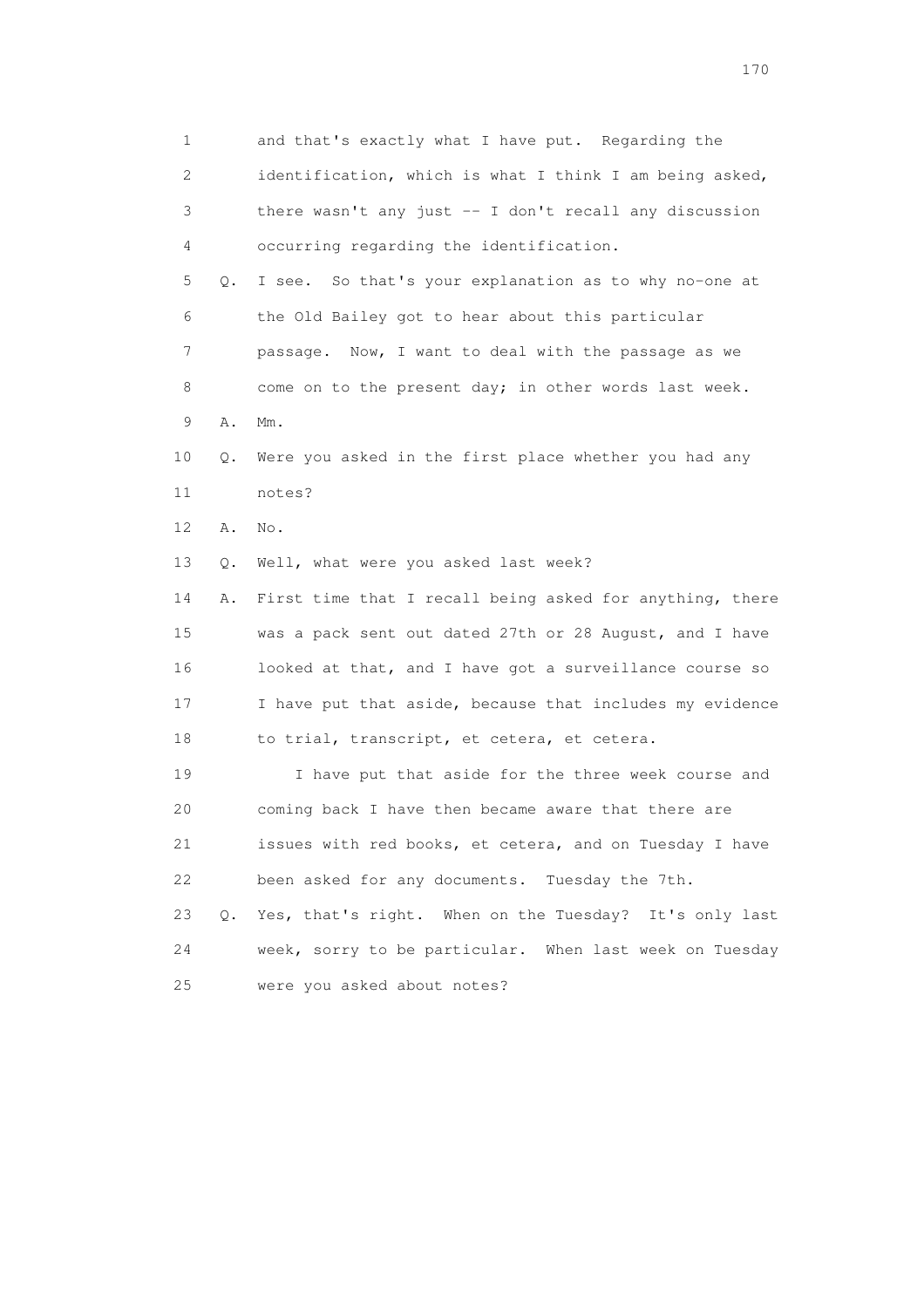1 and that's exactly what I have put. Regarding the 2 identification, which is what I think I am being asked, 3 there wasn't any just -- I don't recall any discussion 4 occurring regarding the identification. 5 Q. I see. So that's your explanation as to why no-one at 6 the Old Bailey got to hear about this particular 7 passage. Now, I want to deal with the passage as we 8 come on to the present day; in other words last week. 9 A. Mm. 10 Q. Were you asked in the first place whether you had any 11 notes? 12 A. No. 13 Q. Well, what were you asked last week? 14 A. First time that I recall being asked for anything, there 15 was a pack sent out dated 27th or 28 August, and I have 16 looked at that, and I have got a surveillance course so 17 I have put that aside, because that includes my evidence 18 to trial, transcript, et cetera, et cetera. 19 I have put that aside for the three week course and 20 coming back I have then became aware that there are 21 issues with red books, et cetera, and on Tuesday I have 22 been asked for any documents. Tuesday the 7th. 23 Q. Yes, that's right. When on the Tuesday? It's only last 24 week, sorry to be particular. When last week on Tuesday 25 were you asked about notes?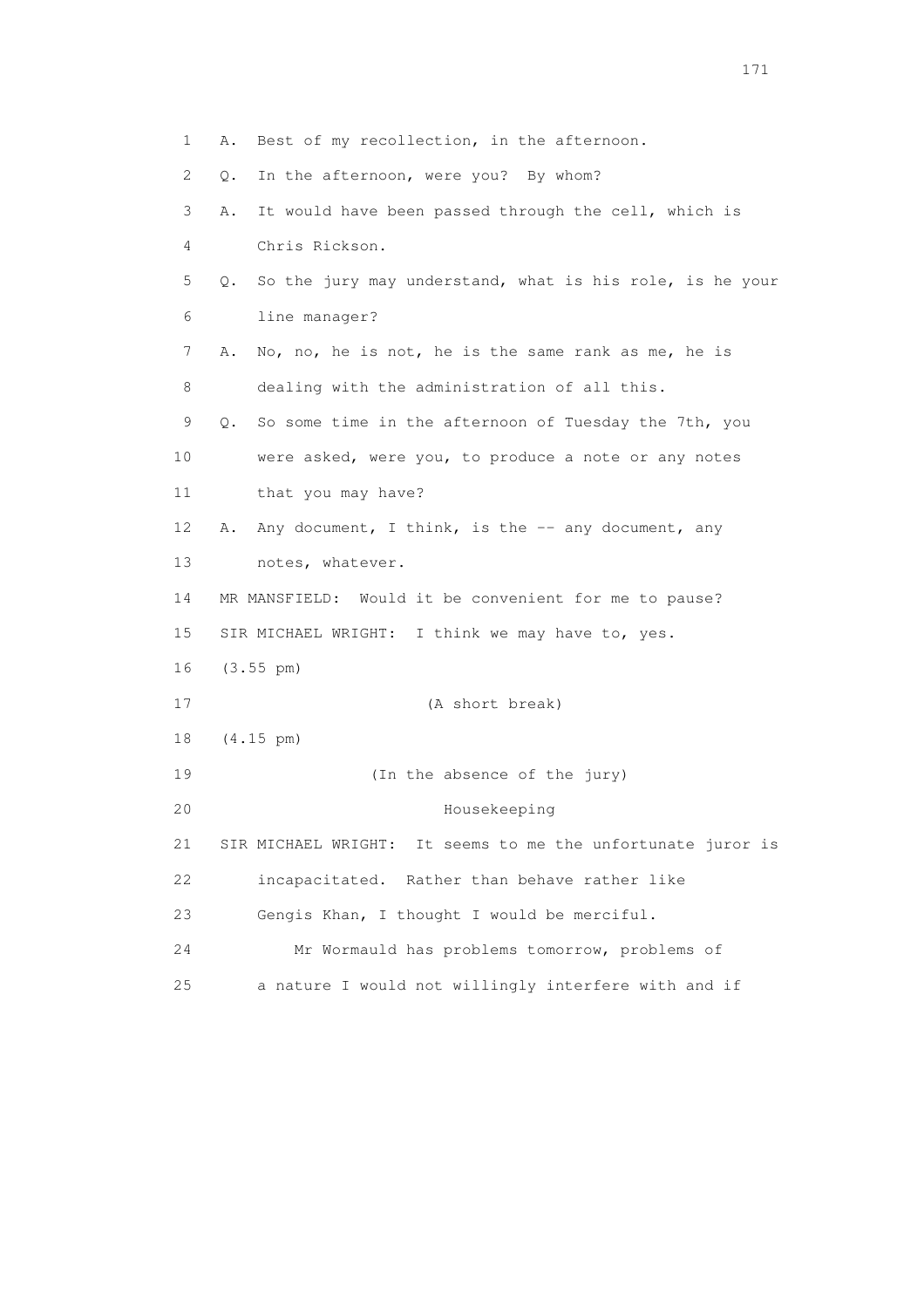1 A. Best of my recollection, in the afternoon. 2 Q. In the afternoon, were you? By whom? 3 A. It would have been passed through the cell, which is 4 Chris Rickson. 5 Q. So the jury may understand, what is his role, is he your 6 line manager? 7 A. No, no, he is not, he is the same rank as me, he is 8 dealing with the administration of all this. 9 Q. So some time in the afternoon of Tuesday the 7th, you 10 were asked, were you, to produce a note or any notes 11 that you may have? 12 A. Any document, I think, is the -- any document, any 13 notes, whatever. 14 MR MANSFIELD: Would it be convenient for me to pause? 15 SIR MICHAEL WRIGHT: I think we may have to, yes. 16 (3.55 pm) 17 (A short break) 18 (4.15 pm) 19 (In the absence of the jury) 20 Housekeeping 21 SIR MICHAEL WRIGHT: It seems to me the unfortunate juror is 22 incapacitated. Rather than behave rather like 23 Gengis Khan, I thought I would be merciful. 24 Mr Wormauld has problems tomorrow, problems of 25 a nature I would not willingly interfere with and if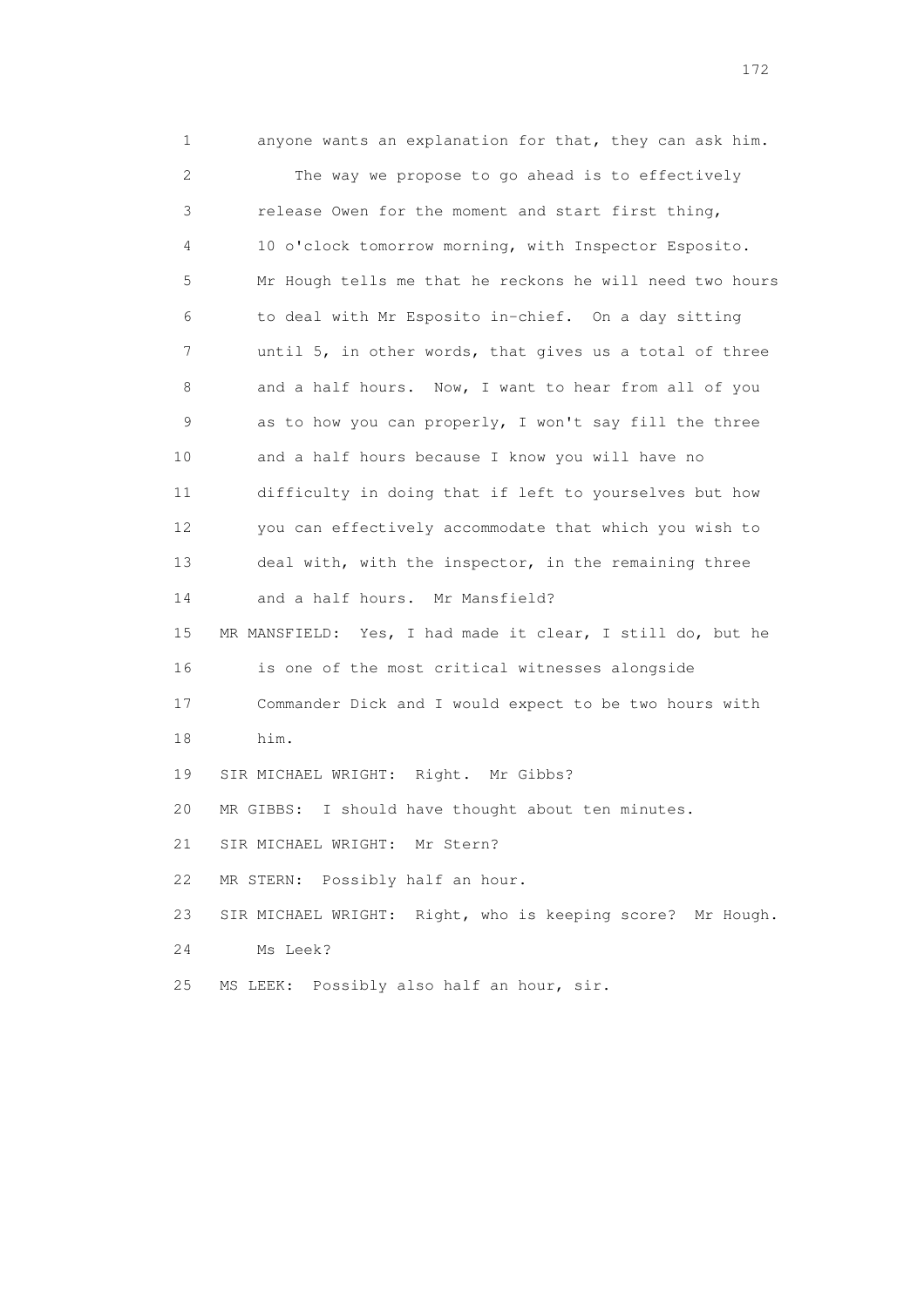1 anyone wants an explanation for that, they can ask him. 2 The way we propose to go ahead is to effectively 3 release Owen for the moment and start first thing, 4 10 o'clock tomorrow morning, with Inspector Esposito. 5 Mr Hough tells me that he reckons he will need two hours 6 to deal with Mr Esposito in-chief. On a day sitting 7 until 5, in other words, that gives us a total of three 8 and a half hours. Now, I want to hear from all of you 9 as to how you can properly, I won't say fill the three 10 and a half hours because I know you will have no 11 difficulty in doing that if left to yourselves but how 12 you can effectively accommodate that which you wish to 13 deal with, with the inspector, in the remaining three 14 and a half hours. Mr Mansfield? 15 MR MANSFIELD: Yes, I had made it clear, I still do, but he 16 is one of the most critical witnesses alongside 17 Commander Dick and I would expect to be two hours with 18 him. 19 SIR MICHAEL WRIGHT: Right. Mr Gibbs? 20 MR GIBBS: I should have thought about ten minutes. 21 SIR MICHAEL WRIGHT: Mr Stern? 22 MR STERN: Possibly half an hour. 23 SIR MICHAEL WRIGHT: Right, who is keeping score? Mr Hough. 24 Ms Leek? 25 MS LEEK: Possibly also half an hour, sir.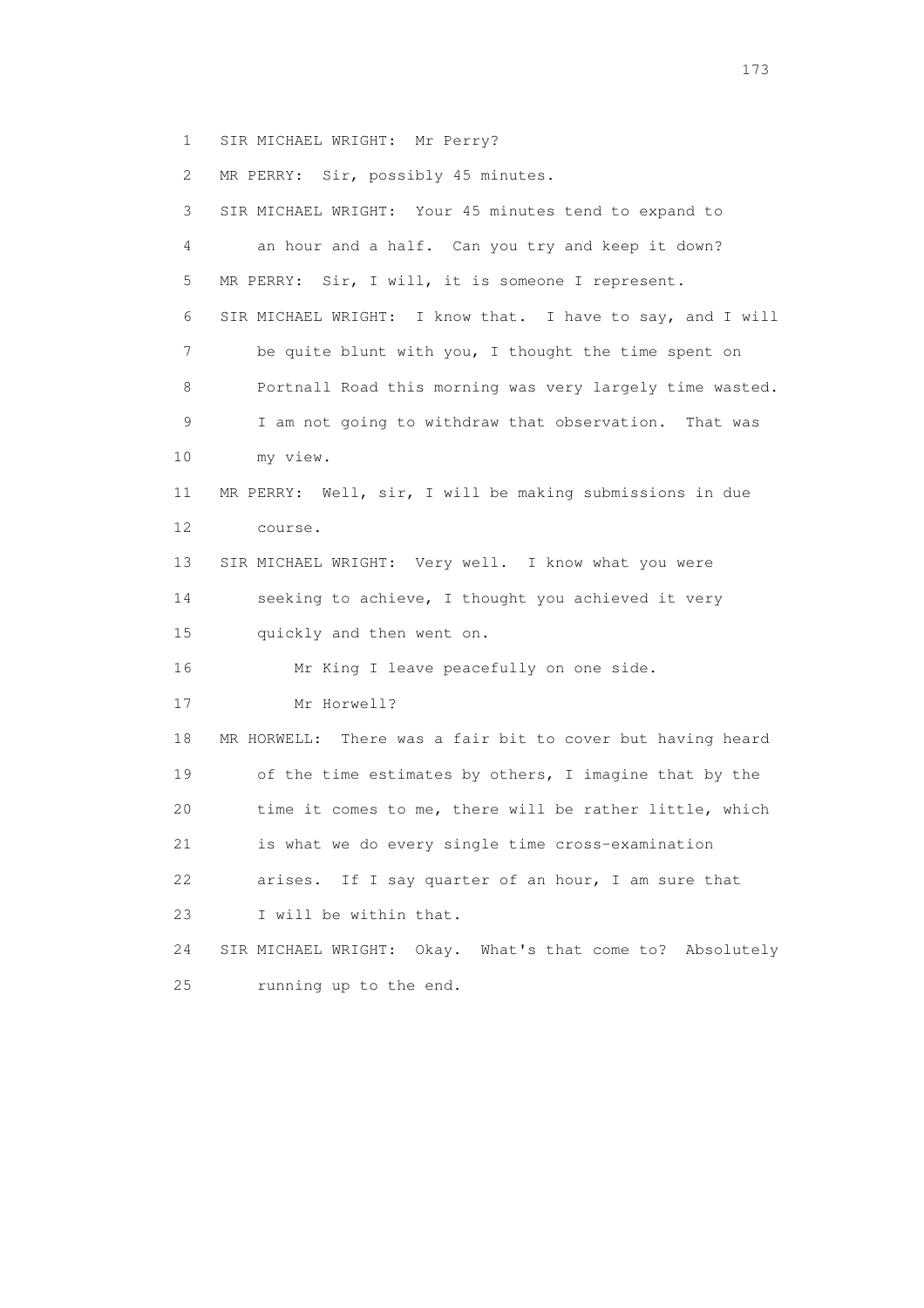1 SIR MICHAEL WRIGHT: Mr Perry?

2 MR PERRY: Sir, possibly 45 minutes.

 3 SIR MICHAEL WRIGHT: Your 45 minutes tend to expand to 4 an hour and a half. Can you try and keep it down? 5 MR PERRY: Sir, I will, it is someone I represent. 6 SIR MICHAEL WRIGHT: I know that. I have to say, and I will 7 be quite blunt with you, I thought the time spent on 8 Portnall Road this morning was very largely time wasted. 9 I am not going to withdraw that observation. That was 10 my view. 11 MR PERRY: Well, sir, I will be making submissions in due 12 course. 13 SIR MICHAEL WRIGHT: Very well. I know what you were 14 seeking to achieve, I thought you achieved it very 15 quickly and then went on. 16 Mr King I leave peacefully on one side. 17 Mr Horwell? 18 MR HORWELL: There was a fair bit to cover but having heard 19 of the time estimates by others, I imagine that by the 20 time it comes to me, there will be rather little, which 21 is what we do every single time cross-examination 22 arises. If I say quarter of an hour, I am sure that 23 I will be within that. 24 SIR MICHAEL WRIGHT: Okay. What's that come to? Absolutely 25 running up to the end.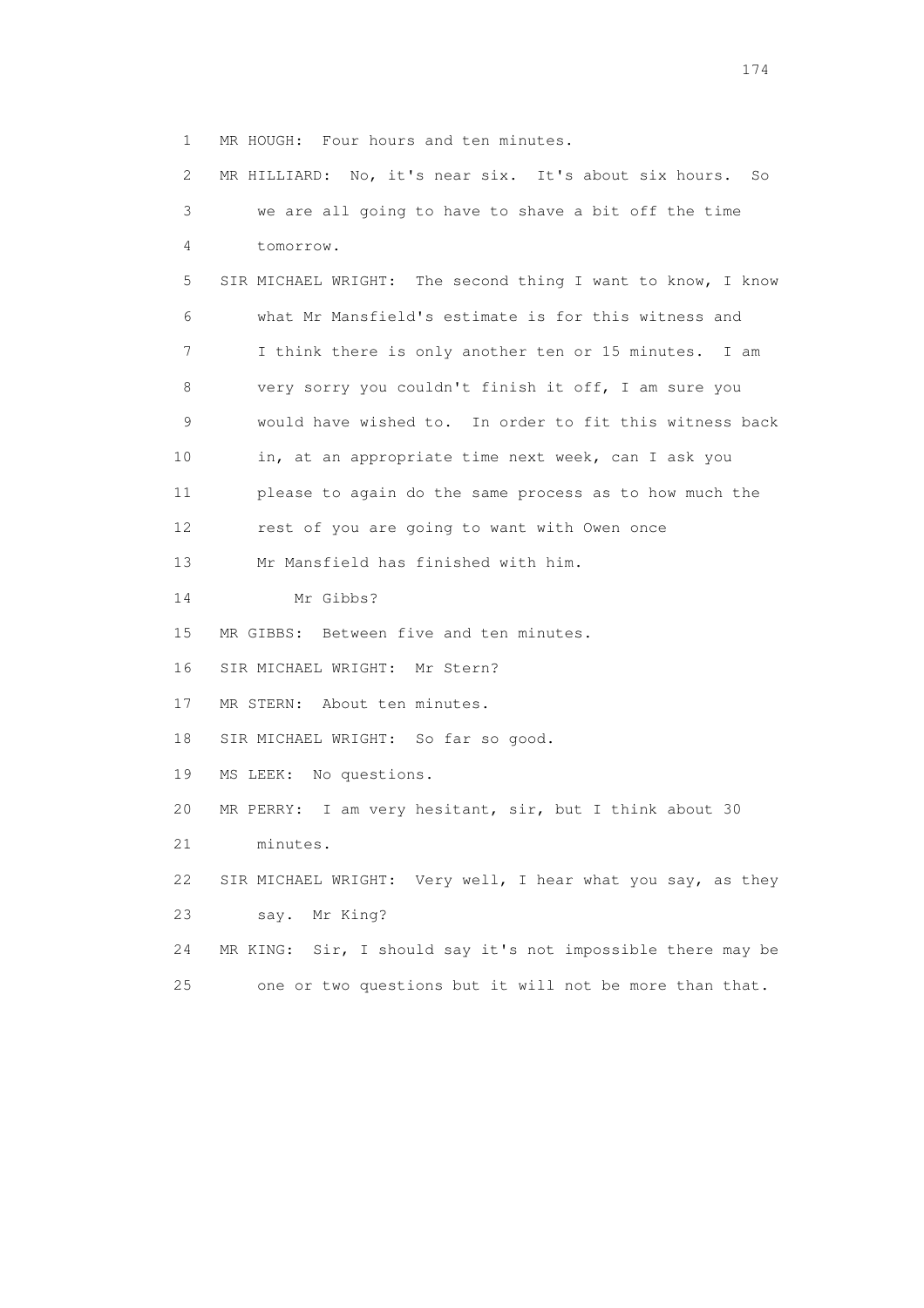1 MR HOUGH: Four hours and ten minutes.

 2 MR HILLIARD: No, it's near six. It's about six hours. So 3 we are all going to have to shave a bit off the time 4 tomorrow. 5 SIR MICHAEL WRIGHT: The second thing I want to know, I know 6 what Mr Mansfield's estimate is for this witness and 7 I think there is only another ten or 15 minutes. I am 8 very sorry you couldn't finish it off, I am sure you 9 would have wished to. In order to fit this witness back 10 in, at an appropriate time next week, can I ask you 11 please to again do the same process as to how much the 12 rest of you are going to want with Owen once 13 Mr Mansfield has finished with him. 14 Mr Gibbs? 15 MR GIBBS: Between five and ten minutes. 16 SIR MICHAEL WRIGHT: Mr Stern? 17 MR STERN: About ten minutes. 18 SIR MICHAEL WRIGHT: So far so good. 19 MS LEEK: No questions. 20 MR PERRY: I am very hesitant, sir, but I think about 30 21 minutes. 22 SIR MICHAEL WRIGHT: Very well, I hear what you say, as they 23 say. Mr King? 24 MR KING: Sir, I should say it's not impossible there may be 25 one or two questions but it will not be more than that.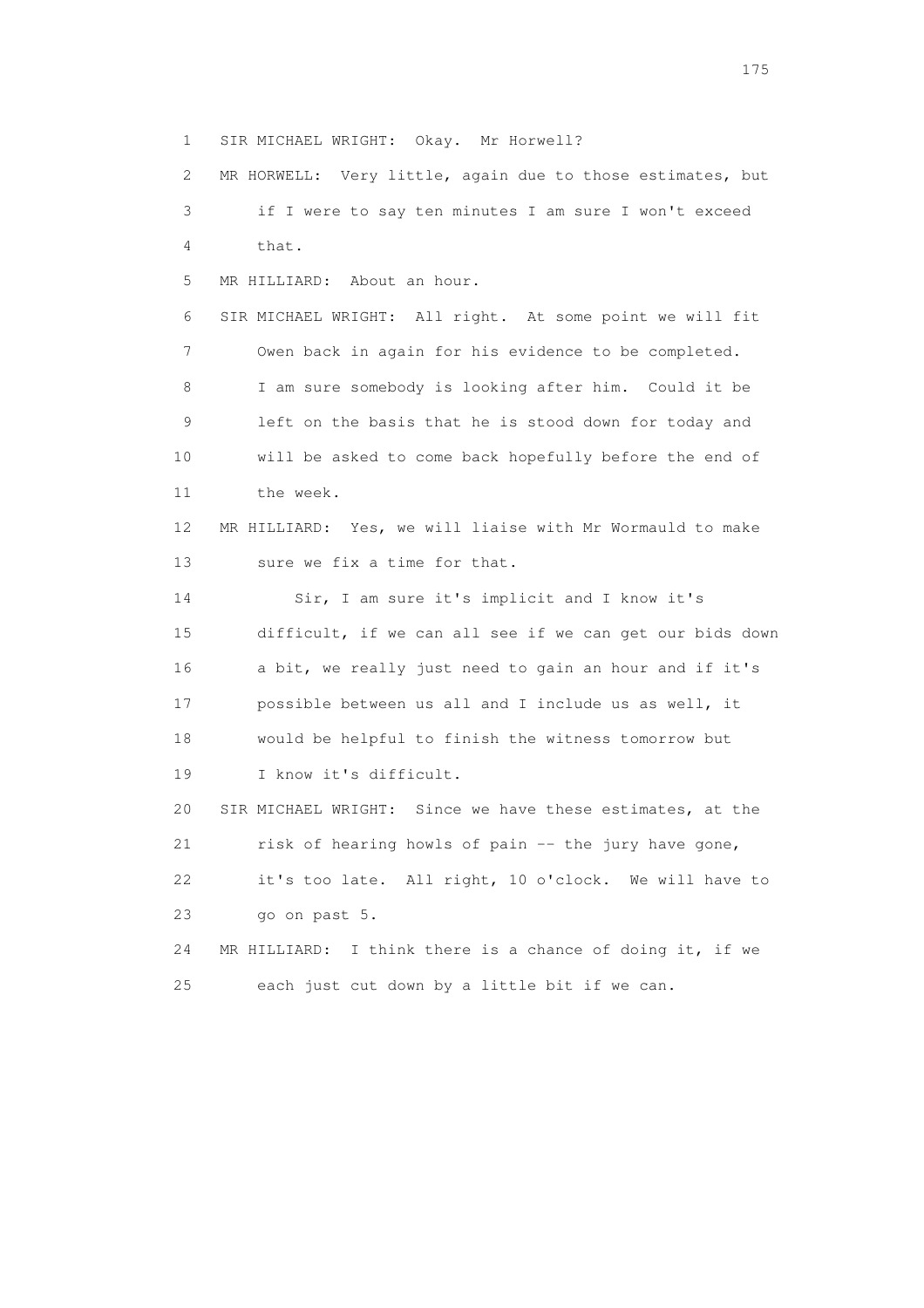1 SIR MICHAEL WRIGHT: Okay. Mr Horwell? 2 MR HORWELL: Very little, again due to those estimates, but

 3 if I were to say ten minutes I am sure I won't exceed 4 that. 5 MR HILLIARD: About an hour. 6 SIR MICHAEL WRIGHT: All right. At some point we will fit 7 Owen back in again for his evidence to be completed. 8 I am sure somebody is looking after him. Could it be 9 left on the basis that he is stood down for today and 10 will be asked to come back hopefully before the end of 11 the week. 12 MR HILLIARD: Yes, we will liaise with Mr Wormauld to make 13 sure we fix a time for that. 14 Sir, I am sure it's implicit and I know it's 15 difficult, if we can all see if we can get our bids down 16 a bit, we really just need to gain an hour and if it's 17 possible between us all and I include us as well, it 18 would be helpful to finish the witness tomorrow but 19 I know it's difficult. 20 SIR MICHAEL WRIGHT: Since we have these estimates, at the 21 risk of hearing howls of pain -- the jury have gone, 22 it's too late. All right, 10 o'clock. We will have to 23 go on past 5. 24 MR HILLIARD: I think there is a chance of doing it, if we

25 each just cut down by a little bit if we can.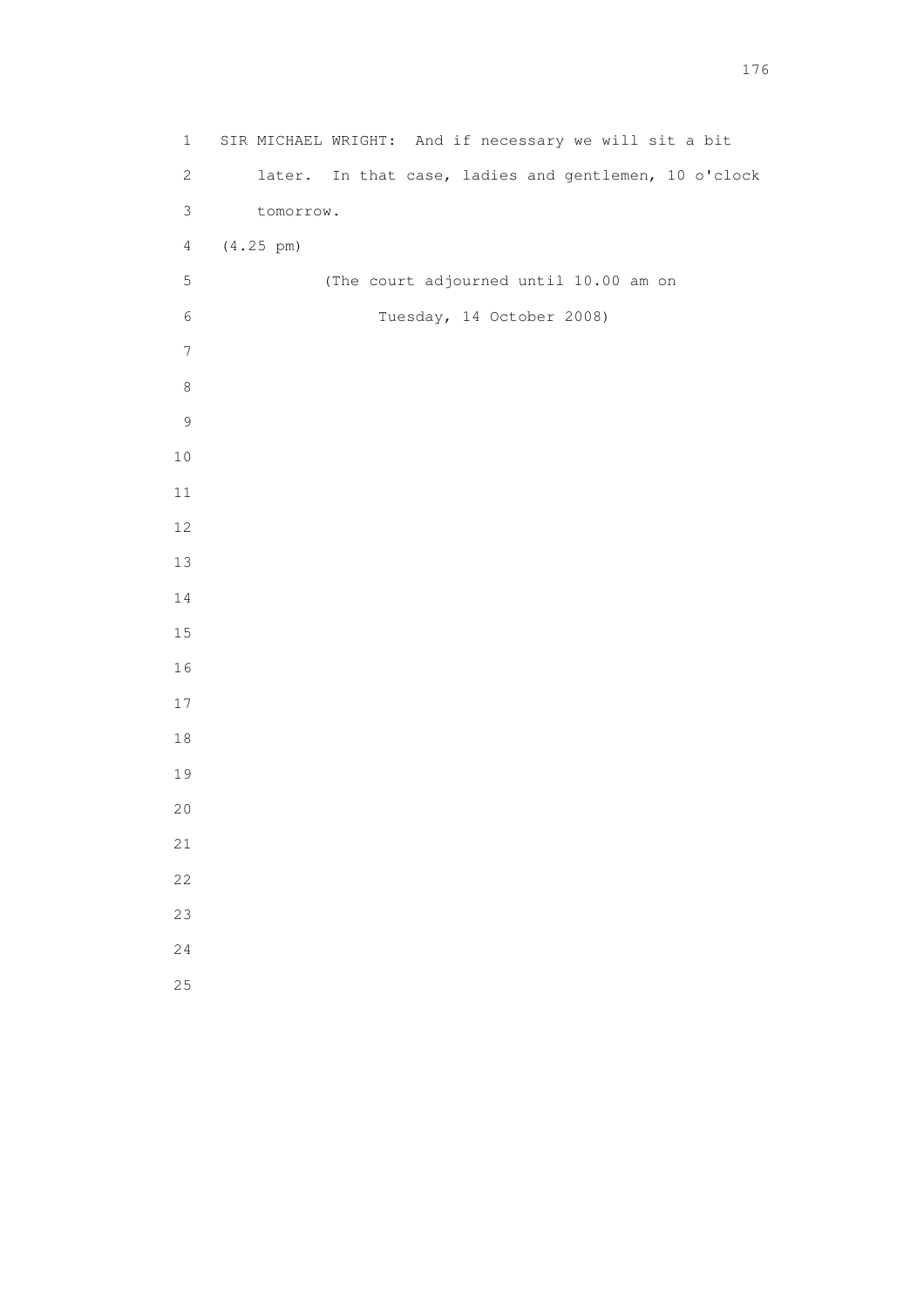1 SIR MICHAEL WRIGHT: And if necessary we will sit a bit 2 later. In that case, ladies and gentlemen, 10 o'clock 3 tomorrow. 4 (4.25 pm) 5 (The court adjourned until 10.00 am on 6 Tuesday, 14 October 2008)